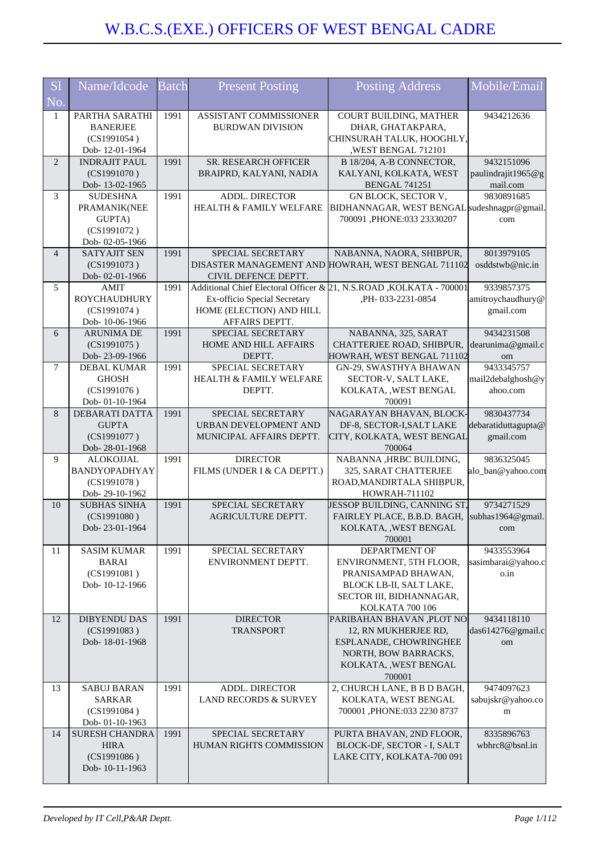| <b>S1</b>      | Name/Idcode                         | <b>Batch</b> | <b>Present Posting</b>                             | <b>Posting Address</b>                                              | Mobile/Email                     |
|----------------|-------------------------------------|--------------|----------------------------------------------------|---------------------------------------------------------------------|----------------------------------|
| No.            |                                     |              |                                                    |                                                                     |                                  |
| 1              | PARTHA SARATHI                      | 1991         | ASSISTANT COMMISSIONER                             | COURT BUILDING, MATHER                                              | 9434212636                       |
|                | <b>BANERJEE</b>                     |              | <b>BURDWAN DIVISION</b>                            | DHAR, GHATAKPARA,                                                   |                                  |
|                | (CS1991054)                         |              |                                                    | CHINSURAH TALUK, HOOGHLY,                                           |                                  |
|                | Dob-12-01-1964                      |              |                                                    | ,WEST BENGAL 712101                                                 |                                  |
| $\overline{2}$ | <b>INDRAJIT PAUL</b>                | 1991         | SR. RESEARCH OFFICER                               | B 18/204, A-B CONNECTOR,                                            | 9432151096                       |
|                | (CS1991070)<br>Dob-13-02-1965       |              | BRAIPRD, KALYANI, NADIA                            | KALYANI, KOLKATA, WEST<br><b>BENGAL 741251</b>                      | paulindrajit1965@g<br>mail.com   |
| 3              | <b>SUDESHNA</b>                     | 1991         | ADDL. DIRECTOR                                     | GN BLOCK, SECTOR V,                                                 | 9830891685                       |
|                | PRAMANIK(NEE                        |              | HEALTH & FAMILY WELFARE                            | BIDHANNAGAR, WEST BENGAL sudeshnagpr@gmail.                         |                                  |
|                | GUPTA)                              |              |                                                    | 700091 ,PHONE:033 23330207                                          | com                              |
|                | (CS1991072)                         |              |                                                    |                                                                     |                                  |
|                | Dob-02-05-1966                      |              |                                                    |                                                                     |                                  |
| $\overline{4}$ | <b>SATYAJIT SEN</b><br>(CS1991073)  | 1991         | SPECIAL SECRETARY<br>DISASTER MANAGEMENT AND       | NABANNA, NAORA, SHIBPUR,<br>HOWRAH, WEST BENGAL 711102              | 8013979105<br>osddstwb@nic.in    |
|                | Dob-02-01-1966                      |              | CIVIL DEFENCE DEPTT.                               |                                                                     |                                  |
| 5              | <b>AMIT</b>                         | 1991         |                                                    | Additional Chief Electoral Officer & 21, N.S.ROAD, KOLKATA - 700001 | 9339857375                       |
|                | <b>ROYCHAUDHURY</b>                 |              | Ex-officio Special Secretary                       | ,PH-033-2231-0854                                                   | amitroychaudhury@                |
|                | (CS1991074)                         |              | HOME (ELECTION) AND HILL                           |                                                                     | gmail.com                        |
|                | Dob-10-06-1966<br><b>ARUNIMA DE</b> | 1991         | AFFAIRS DEPTT.                                     | NABANNA, 325, SARAT                                                 | 9434231508                       |
| 6              | (CS1991075)                         |              | SPECIAL SECRETARY<br>HOME AND HILL AFFAIRS         | CHATTERJEE ROAD, SHIBPUR,                                           | dearunima@gmail.c                |
|                | Dob-23-09-1966                      |              | DEPTT.                                             | HOWRAH, WEST BENGAL 711102                                          | om                               |
| 7              | <b>DEBAL KUMAR</b>                  | 1991         | SPECIAL SECRETARY                                  | GN-29, SWASTHYA BHAWAN                                              | 9433345757                       |
|                | <b>GHOSH</b>                        |              | HEALTH & FAMILY WELFARE                            | SECTOR-V, SALT LAKE,                                                | mail2debalghosh@y                |
|                | (CS1991076)                         |              | DEPTT.                                             | KOLKATA, , WEST BENGAL                                              | ahoo.com                         |
| 8              | Dob-01-10-1964                      |              |                                                    | 700091<br>NAGARAYAN BHAVAN, BLOCK-                                  | 9830437734                       |
|                | DEBARATI DATTA<br><b>GUPTA</b>      | 1991         | SPECIAL SECRETARY<br>URBAN DEVELOPMENT AND         | DF-8, SECTOR-I, SALT LAKE                                           | debaratiduttagupta@              |
|                | (CS1991077)                         |              | MUNICIPAL AFFAIRS DEPTT.                           | CITY, KOLKATA, WEST BENGAL                                          | gmail.com                        |
|                | Dob-28-01-1968                      |              |                                                    | 700064                                                              |                                  |
| 9              | <b>ALOKOJJAL</b>                    | 1991         | <b>DIRECTOR</b>                                    | NABANNA , HRBC BUILDING,                                            | 9836325045                       |
|                | BANDYOPADHYAY                       |              | FILMS (UNDER I & CA DEPTT.)                        | 325, SARAT CHATTERJEE                                               | alo_ban@yahoo.com                |
|                | (CS1991078)<br>Dob-29-10-1962       |              |                                                    | ROAD, MANDIRTALA SHIBPUR,<br>HOWRAH-711102                          |                                  |
| 10             | <b>SUBHAS SINHA</b>                 | 1991         | SPECIAL SECRETARY                                  | <b>JESSOP BUILDING, CANNING ST,</b>                                 | 9734271529                       |
|                | (CS1991080)                         |              | <b>AGRICULTURE DEPTT.</b>                          | FAIRLEY PLACE, B.B.D. BAGH,                                         | subhas1964@gmail.                |
|                | Dob-23-01-1964                      |              |                                                    | KOLKATA, , WEST BENGAL                                              | com                              |
|                |                                     |              |                                                    | 700001                                                              |                                  |
| 11             | <b>SASIM KUMAR</b><br><b>BARAI</b>  | 1991         | SPECIAL SECRETARY<br>ENVIRONMENT DEPTT.            | <b>DEPARTMENT OF</b><br>ENVIRONMENT, 5TH FLOOR,                     | 9433553964<br>sasimbarai@yahoo.c |
|                | (CS1991081)                         |              |                                                    | PRANISAMPAD BHAWAN,                                                 | o.in                             |
|                | Dob-10-12-1966                      |              |                                                    | BLOCK LB-II, SALT LAKE,                                             |                                  |
|                |                                     |              |                                                    | SECTOR III, BIDHANNAGAR,                                            |                                  |
|                |                                     |              |                                                    | KOLKATA 700 106                                                     |                                  |
| 12             | <b>DIBYENDU DAS</b><br>(CS1991083)  | 1991         | <b>DIRECTOR</b><br><b>TRANSPORT</b>                | PARIBAHAN BHAVAN, PLOT NO<br>12, RN MUKHERJEE RD,                   | 9434118110<br>das614276@gmail.c  |
|                | Dob-18-01-1968                      |              |                                                    | ESPLANADE, CHOWRINGHEE                                              | om                               |
|                |                                     |              |                                                    | NORTH, BOW BARRACKS,                                                |                                  |
|                |                                     |              |                                                    | KOLKATA, , WEST BENGAL                                              |                                  |
|                |                                     |              |                                                    | 700001                                                              |                                  |
| 13             | <b>SABUJ BARAN</b><br><b>SARKAR</b> | 1991         | ADDL. DIRECTOR<br><b>LAND RECORDS &amp; SURVEY</b> | 2, CHURCH LANE, B B D BAGH,                                         | 9474097623                       |
|                | (CS1991084)                         |              |                                                    | KOLKATA, WEST BENGAL<br>700001, PHONE:033 2230 8737                 | sabujskr@yahoo.co<br>m           |
|                | Dob-01-10-1963                      |              |                                                    |                                                                     |                                  |
| 14             | <b>SURESH CHANDRA</b>               | 1991         | SPECIAL SECRETARY                                  | PURTA BHAVAN, 2ND FLOOR,                                            | 8335896763                       |
|                | <b>HIRA</b>                         |              | <b>HUMAN RIGHTS COMMISSION</b>                     | BLOCK-DF, SECTOR - I, SALT                                          | wbhrc8@bsnl.in                   |
|                | (CS1991086)                         |              |                                                    | LAKE CITY, KOLKATA-700 091                                          |                                  |
|                | Dob-10-11-1963                      |              |                                                    |                                                                     |                                  |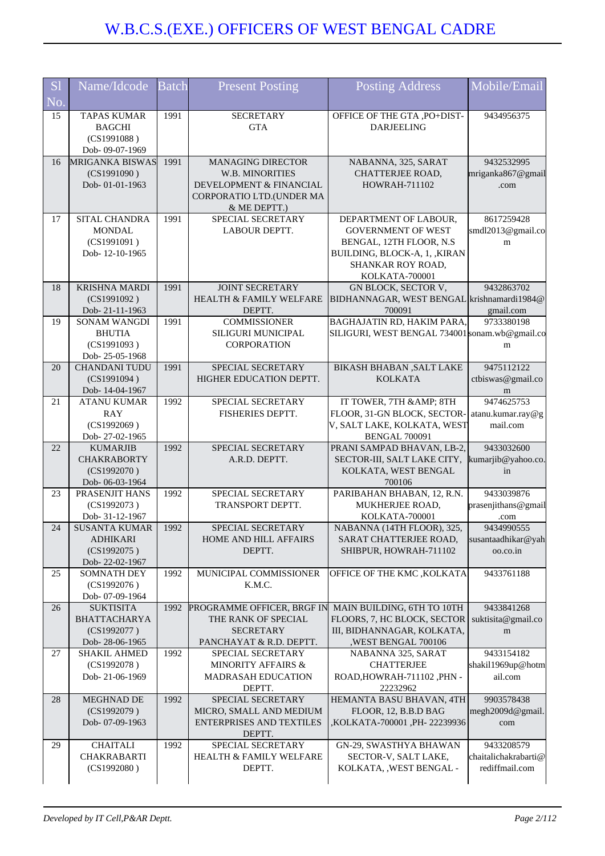| <b>S1</b><br>No. | Name/Idcode                                                              | <b>Batch</b> | <b>Present Posting</b>                                                                                                    | <b>Posting Address</b>                                                                                                                                 | Mobile/Email                                         |
|------------------|--------------------------------------------------------------------------|--------------|---------------------------------------------------------------------------------------------------------------------------|--------------------------------------------------------------------------------------------------------------------------------------------------------|------------------------------------------------------|
| 15               | <b>TAPAS KUMAR</b><br><b>BAGCHI</b><br>(CS1991088)<br>Dob- 09-07-1969    | 1991         | <b>SECRETARY</b><br><b>GTA</b>                                                                                            | OFFICE OF THE GTA , PO+DIST-<br><b>DARJEELING</b>                                                                                                      | 9434956375                                           |
| 16               | MRIGANKA BISWAS<br>(CS1991090)<br>Dob-01-01-1963                         | 1991         | <b>MANAGING DIRECTOR</b><br><b>W.B. MINORITIES</b><br>DEVELOPMENT & FINANCIAL<br>CORPORATIO LTD.(UNDER MA<br>& ME DEPTT.) | NABANNA, 325, SARAT<br>CHATTERJEE ROAD,<br><b>HOWRAH-711102</b>                                                                                        | 9432532995<br>mriganka867@gmail<br>.com              |
| 17               | SITAL CHANDRA<br><b>MONDAL</b><br>(CS1991091)<br>Dob-12-10-1965          | 1991         | SPECIAL SECRETARY<br><b>LABOUR DEPTT.</b>                                                                                 | DEPARTMENT OF LABOUR,<br><b>GOVERNMENT OF WEST</b><br>BENGAL, 12TH FLOOR, N.S.<br>BUILDING, BLOCK-A, 1, , KIRAN<br>SHANKAR ROY ROAD,<br>KOLKATA-700001 | 8617259428<br>smdl2013@gmail.co<br>m                 |
| 18               | <b>KRISHNA MARDI</b><br>(CS1991092)<br>Dob-21-11-1963                    | 1991         | <b>JOINT SECRETARY</b><br><b>HEALTH &amp; FAMILY WELFARE</b><br>DEPTT.                                                    | GN BLOCK, SECTOR V,<br>BIDHANNAGAR, WEST BENGAL krishnamardi1984@<br>700091                                                                            | 9432863702<br>gmail.com                              |
| 19               | <b>SONAM WANGDI</b><br><b>BHUTIA</b><br>(CS1991093)<br>Dob-25-05-1968    | 1991         | <b>COMMISSIONER</b><br>SILIGURI MUNICIPAL<br><b>CORPORATION</b>                                                           | <b>BAGHAJATIN RD, HAKIM PARA,</b><br>SILIGURI, WEST BENGAL 734001 sonam.wb@gmail.co                                                                    | 9733380198<br>m                                      |
| 20               | <b>CHANDANI TUDU</b><br>(CS1991094)<br>Dob-14-04-1967                    | 1991         | SPECIAL SECRETARY<br>HIGHER EDUCATION DEPTT.                                                                              | <b>BIKASH BHABAN , SALT LAKE</b><br><b>KOLKATA</b>                                                                                                     | 9475112122<br>ctbiswas@gmail.co<br>m                 |
| 21               | <b>ATANU KUMAR</b><br><b>RAY</b><br>(CS1992069)<br>Dob-27-02-1965        | 1992         | SPECIAL SECRETARY<br>FISHERIES DEPTT.                                                                                     | IT TOWER, 7TH & AMP; 8TH<br>FLOOR, 31-GN BLOCK, SECTOR-<br>V, SALT LAKE, KOLKATA, WEST<br><b>BENGAL 700091</b>                                         | 9474625753<br>atanu.kumar.ray@g<br>mail.com          |
| 22               | <b>KUMARJIB</b><br><b>CHAKRABORTY</b><br>(CS1992070)<br>Dob-06-03-1964   | 1992         | SPECIAL SECRETARY<br>A.R.D. DEPTT.                                                                                        | PRANI SAMPAD BHAVAN, LB-2,<br>SECTOR-III, SALT LAKE CITY,<br>KOLKATA, WEST BENGAL<br>700106                                                            | 9433032600<br>kumarjib@yahoo.co.<br>in               |
| 23               | PRASENJIT HANS<br>(CS1992073)<br>Dob- 31-12-1967                         | 1992         | SPECIAL SECRETARY<br>TRANSPORT DEPTT.                                                                                     | PARIBAHAN BHABAN, 12, R.N.<br>MUKHERJEE ROAD,<br>KOLKATA-700001                                                                                        | 9433039876<br>prasenjithans@gmail<br>.com            |
| 24               | <b>SUSANTA KUMAR</b><br><b>ADHIKARI</b><br>(CS1992075)<br>Dob-22-02-1967 | 1992         | SPECIAL SECRETARY<br><b>HOME AND HILL AFFAIRS</b><br>DEPTT.                                                               | NABANNA (14TH FLOOR), 325,<br>SARAT CHATTERJEE ROAD,<br>SHIBPUR, HOWRAH-711102                                                                         | 9434990555<br>susantaadhikar@yah<br>oo.co.in         |
| 25               | <b>SOMNATH DEY</b><br>(CS1992076)<br>Dob- 07-09-1964                     | 1992         | MUNICIPAL COMMISSIONER<br>K.M.C.                                                                                          | OFFICE OF THE KMC, KOLKATA                                                                                                                             | 9433761188                                           |
| 26               | <b>SUKTISITA</b><br><b>BHATTACHARYA</b><br>(CS1992077)<br>Dob-28-06-1965 | 1992         | PROGRAMME OFFICER, BRGF IN<br>THE RANK OF SPECIAL<br><b>SECRETARY</b><br>PANCHAYAT & R.D. DEPTT.                          | MAIN BUILDING, 6TH TO 10TH<br>FLOORS, 7, HC BLOCK, SECTOR<br>III, BIDHANNAGAR, KOLKATA,<br>,WEST BENGAL 700106                                         | 9433841268<br>suktisita@gmail.co<br>m                |
| 27               | <b>SHAKIL AHMED</b><br>(CS1992078)<br>Dob-21-06-1969                     | 1992         | SPECIAL SECRETARY<br><b>MINORITY AFFAIRS &amp;</b><br>MADRASAH EDUCATION<br>DEPTT.                                        | NABANNA 325, SARAT<br><b>CHATTERJEE</b><br>ROAD, HOWRAH-711102, PHN -<br>22232962                                                                      | 9433154182<br>shakil1969up@hotm<br>ail.com           |
| 28               | MEGHNAD DE<br>(CS1992079)<br>Dob-07-09-1963                              | 1992         | SPECIAL SECRETARY<br>MICRO, SMALL AND MEDIUM<br><b>ENTERPRISES AND TEXTILES</b><br>DEPTT.                                 | HEMANTA BASU BHAVAN, 4TH<br>FLOOR, 12, B.B.D BAG<br>,KOLKATA-700001, PH-22239936                                                                       | 9903578438<br>megh2009d@gmail.<br>com                |
| 29               | <b>CHAITALI</b><br><b>CHAKRABARTI</b><br>(CS1992080)                     | 1992         | SPECIAL SECRETARY<br><b>HEALTH &amp; FAMILY WELFARE</b><br>DEPTT.                                                         | GN-29, SWASTHYA BHAWAN<br>SECTOR-V, SALT LAKE,<br>KOLKATA, , WEST BENGAL -                                                                             | 9433208579<br>chaitalichakrabarti@<br>rediffmail.com |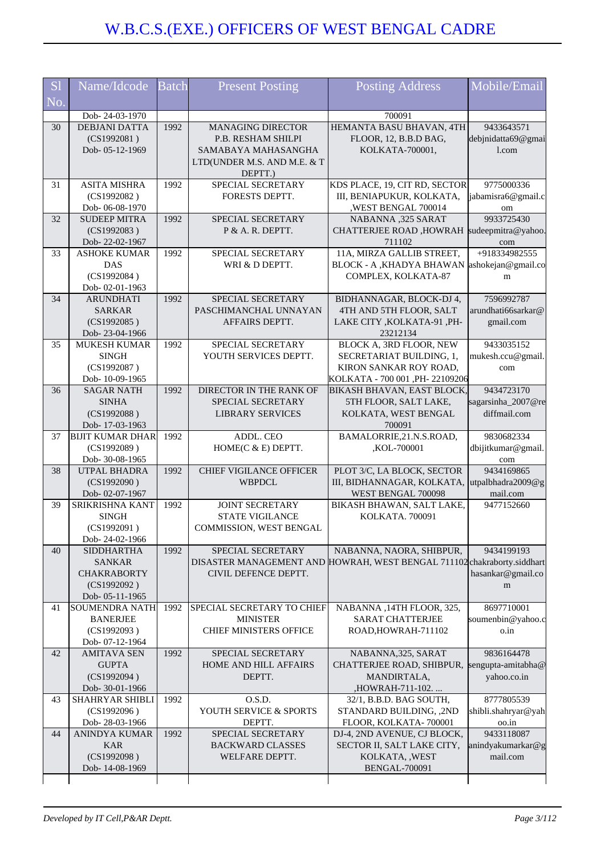| <b>S1</b> | Name/Idcode                            | <b>Batch</b> | <b>Present Posting</b>                          | <b>Posting Address</b>                                                      | Mobile/Email                     |
|-----------|----------------------------------------|--------------|-------------------------------------------------|-----------------------------------------------------------------------------|----------------------------------|
| No.       |                                        |              |                                                 |                                                                             |                                  |
| 30        | Dob-24-03-1970<br><b>DEBJANI DATTA</b> | 1992         | <b>MANAGING DIRECTOR</b>                        | 700091<br>HEMANTA BASU BHAVAN, 4TH                                          | 9433643571                       |
|           | (CS1992081)                            |              | P.B. RESHAM SHILPI                              | FLOOR, 12, B.B.D BAG,                                                       | debjnidatta69@gmai               |
|           | Dob-05-12-1969                         |              | SAMABAYA MAHASANGHA                             | KOLKATA-700001,                                                             | 1.com                            |
|           |                                        |              | LTD(UNDER M.S. AND M.E. & T                     |                                                                             |                                  |
|           |                                        |              | DEPTT.)                                         |                                                                             |                                  |
| 31        | <b>ASITA MISHRA</b>                    | 1992         | SPECIAL SECRETARY                               | KDS PLACE, 19, CIT RD, SECTOR                                               | 9775000336                       |
|           | (CS1992082)                            |              | FORESTS DEPTT.                                  | III, BENIAPUKUR, KOLKATA,                                                   | jabamisra6@gmail.c               |
|           | Dob-06-08-1970                         |              |                                                 | ,WEST BENGAL 700014                                                         | om                               |
| 32        | <b>SUDEEP MITRA</b><br>(CS1992083)     | 1992         | SPECIAL SECRETARY<br>P & A. R. DEPTT.           | NABANNA ,325 SARAT<br><b>CHATTERJEE ROAD, HOWRAH</b>                        | 9933725430<br>sudeepmitra@yahoo. |
|           | Dob-22-02-1967                         |              |                                                 | 711102                                                                      | com                              |
| 33        | <b>ASHOKE KUMAR</b>                    | 1992         | SPECIAL SECRETARY                               | 11A, MIRZA GALLIB STREET,                                                   | +918334982555                    |
|           | <b>DAS</b>                             |              | WRI & D DEPTT.                                  | BLOCK - A , KHADYA BHAWAN                                                   | ashokejan@gmail.co               |
|           | (CS1992084)                            |              |                                                 | COMPLEX, KOLKATA-87                                                         | m                                |
|           | Dob-02-01-1963                         |              |                                                 |                                                                             |                                  |
| 34        | <b>ARUNDHATI</b><br><b>SARKAR</b>      | 1992         | SPECIAL SECRETARY                               | BIDHANNAGAR, BLOCK-DJ 4,<br>4TH AND 5TH FLOOR, SALT                         | 7596992787<br>arundhati66sarkar@ |
|           | (CS1992085)                            |              | PASCHIMANCHAL UNNAYAN<br>AFFAIRS DEPTT.         | LAKE CITY , KOLKATA-91, PH-                                                 | gmail.com                        |
|           | Dob-23-04-1966                         |              |                                                 | 23212134                                                                    |                                  |
| 35        | <b>MUKESH KUMAR</b>                    | 1992         | SPECIAL SECRETARY                               | BLOCK A, 3RD FLOOR, NEW                                                     | 9433035152                       |
|           | <b>SINGH</b>                           |              | YOUTH SERVICES DEPTT.                           | SECRETARIAT BUILDING, 1,                                                    | mukesh.ccu@gmail.                |
|           | (CS1992087)                            |              |                                                 | KIRON SANKAR ROY ROAD,                                                      | com                              |
|           | Dob-10-09-1965                         |              |                                                 | KOLKATA - 700 001 ,PH- 22109206                                             |                                  |
| 36        | <b>SAGAR NATH</b><br><b>SINHA</b>      | 1992         | DIRECTOR IN THE RANK OF<br>SPECIAL SECRETARY    | <b>BIKASH BHAVAN, EAST BLOCK,</b><br>5TH FLOOR, SALT LAKE,                  | 9434723170<br>sagarsinha_2007@re |
|           | (CS1992088)                            |              | <b>LIBRARY SERVICES</b>                         | KOLKATA, WEST BENGAL                                                        | diffmail.com                     |
|           | Dob-17-03-1963                         |              |                                                 | 700091                                                                      |                                  |
| 37        | <b>BIJIT KUMAR DHAR</b>                | 1992         | ADDL. CEO                                       | BAMALORRIE, 21.N.S.ROAD,                                                    | 9830682334                       |
|           | (CS1992089)                            |              | HOME(C & E) DEPTT.                              | ,KOL-700001                                                                 | dbijitkumar@gmail.               |
|           | Dob- 30-08-1965                        |              |                                                 | PLOT 3/C, LA BLOCK, SECTOR                                                  | com                              |
| 38        | UTPAL BHADRA<br>(CS1992090)            | 1992         | <b>CHIEF VIGILANCE OFFICER</b><br><b>WBPDCL</b> | III, BIDHANNAGAR, KOLKATA,                                                  | 9434169865<br>utpalbhadra2009@g  |
|           | Dob-02-07-1967                         |              |                                                 | WEST BENGAL 700098                                                          | mail.com                         |
| 39        | SRIKRISHNA KANT                        | 1992         | <b>JOINT SECRETARY</b>                          | BIKASH BHAWAN, SALT LAKE,                                                   | 9477152660                       |
|           | <b>SINGH</b>                           |              | <b>STATE VIGILANCE</b>                          | KOLKATA. 700091                                                             |                                  |
|           | (CS1992091)                            |              | COMMISSION, WEST BENGAL                         |                                                                             |                                  |
|           | Dob-24-02-1966                         |              |                                                 |                                                                             |                                  |
| 40        | <b>SIDDHARTHA</b><br><b>SANKAR</b>     | 1992         | SPECIAL SECRETARY<br>DISASTER MANAGEMENT AND    | NABANNA, NAORA, SHIBPUR,<br>HOWRAH, WEST BENGAL 711102 chakraborty.siddhart | 9434199193                       |
|           | <b>CHAKRABORTY</b>                     |              | CIVIL DEFENCE DEPTT.                            |                                                                             | hasankar@gmail.co                |
|           | (CS1992092)                            |              |                                                 |                                                                             | m                                |
|           | Dob-05-11-1965                         |              |                                                 |                                                                             |                                  |
| 41        | SOUMENDRA NATH                         | 1992         | SPECIAL SECRETARY TO CHIEF                      | NABANNA, 14TH FLOOR, 325,                                                   | 8697710001                       |
|           | <b>BANERJEE</b>                        |              | <b>MINISTER</b>                                 | <b>SARAT CHATTERJEE</b>                                                     | soumenbin@yahoo.c                |
|           | (CS1992093)<br>Dob-07-12-1964          |              | CHIEF MINISTERS OFFICE                          | ROAD, HOWRAH-711102                                                         | o.in                             |
| 42        | <b>AMITAVA SEN</b>                     | 1992         | SPECIAL SECRETARY                               | NABANNA, 325, SARAT                                                         | 9836164478                       |
|           | <b>GUPTA</b>                           |              | HOME AND HILL AFFAIRS                           | CHATTERJEE ROAD, SHIBPUR, sengupta-amitabha@                                |                                  |
|           | (CS1992094)                            |              | DEPTT.                                          | MANDIRTALA,                                                                 | yahoo.co.in                      |
|           | Dob-30-01-1966                         |              |                                                 | ,HOWRAH-711-102.                                                            |                                  |
| 43        | <b>SHAHRYAR SHIBLI</b>                 | 1992         | O.S.D.                                          | 32/1, B.B.D. BAG SOUTH,                                                     | 8777805539                       |
|           | (CS1992096)                            |              | YOUTH SERVICE & SPORTS<br>DEPTT.                | STANDARD BUILDING, ,2ND                                                     | shibli.shahryar@yah<br>oo.in     |
| 44        | Dob-28-03-1966<br>ANINDYA KUMAR        | 1992         | SPECIAL SECRETARY                               | FLOOR, KOLKATA-700001<br>DJ-4, 2ND AVENUE, CJ BLOCK,                        | 9433118087                       |
|           | <b>KAR</b>                             |              | <b>BACKWARD CLASSES</b>                         | SECTOR II, SALT LAKE CITY,                                                  | anindyakumarkar@g                |
|           | (CS1992098)                            |              | WELFARE DEPTT.                                  | KOLKATA, , WEST                                                             | mail.com                         |
|           | Dob-14-08-1969                         |              |                                                 | <b>BENGAL-700091</b>                                                        |                                  |
|           |                                        |              |                                                 |                                                                             |                                  |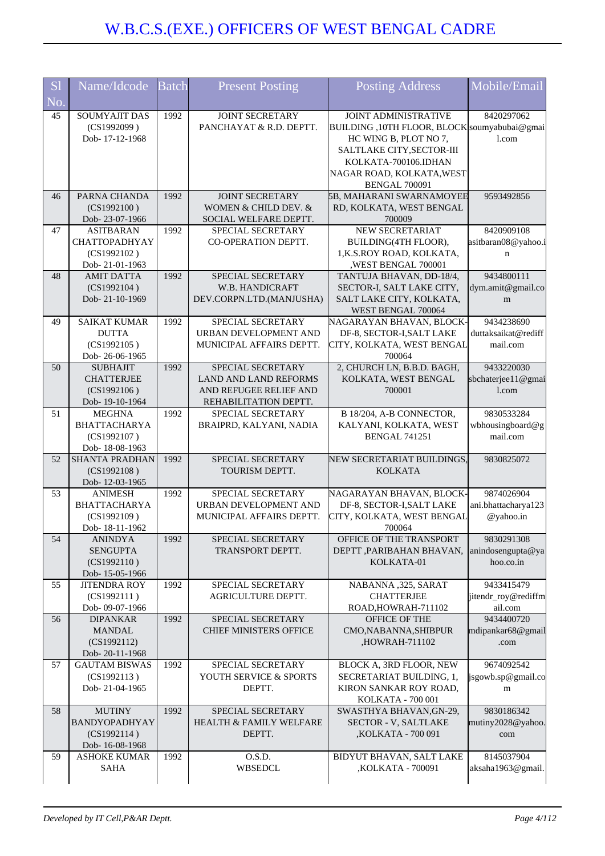| <b>S1</b><br>No. | Name/Idcode                                                               | Batch | <b>Present Posting</b>                                                                               | <b>Posting Address</b>                                                                                                                                                                 | Mobile/Email                                   |
|------------------|---------------------------------------------------------------------------|-------|------------------------------------------------------------------------------------------------------|----------------------------------------------------------------------------------------------------------------------------------------------------------------------------------------|------------------------------------------------|
| 45               | SOUMYAJIT DAS<br>(CS1992099)<br>Dob-17-12-1968                            | 1992  | JOINT SECRETARY<br>PANCHAYAT & R.D. DEPTT.                                                           | <b>JOINT ADMINISTRATIVE</b><br>BUILDING, 10TH FLOOR, BLOCK soumyabubai@gmai<br>HC WING B, PLOT NO 7,<br>SALTLAKE CITY, SECTOR-III<br>KOLKATA-700106.IDHAN<br>NAGAR ROAD, KOLKATA, WEST | 8420297062<br>1.com                            |
| 46               | PARNA CHANDA<br>(CS1992100)<br>Dob-23-07-1966                             | 1992  | <b>JOINT SECRETARY</b><br>WOMEN & CHILD DEV. &<br>SOCIAL WELFARE DEPTT.                              | <b>BENGAL 700091</b><br>5B, MAHARANI SWARNAMOYEE<br>RD, KOLKATA, WEST BENGAL<br>700009                                                                                                 | 9593492856                                     |
| 47               | <b>ASITBARAN</b><br><b>CHATTOPADHYAY</b><br>(CS1992102)<br>Dob-21-01-1963 | 1992  | SPECIAL SECRETARY<br>CO-OPERATION DEPTT.                                                             | NEW SECRETARIAT<br>BUILDING(4TH FLOOR),<br>1, K.S.ROY ROAD, KOLKATA,<br>,WEST BENGAL 700001                                                                                            | 8420909108<br>asitbaran08@yahoo.i<br>n         |
| 48               | <b>AMIT DATTA</b><br>(CS1992104)<br>Dob-21-10-1969                        | 1992  | SPECIAL SECRETARY<br>W.B. HANDICRAFT<br>DEV.CORPN.LTD.(MANJUSHA)                                     | TANTUJA BHAVAN, DD-18/4,<br>SECTOR-I, SALT LAKE CITY,<br>SALT LAKE CITY, KOLKATA,<br>WEST BENGAL 700064                                                                                | 9434800111<br>dym.amit@gmail.co<br>m           |
| 49               | <b>SAIKAT KUMAR</b><br><b>DUTTA</b><br>(CS1992105)<br>Dob-26-06-1965      | 1992  | SPECIAL SECRETARY<br>URBAN DEVELOPMENT AND<br>MUNICIPAL AFFAIRS DEPTT.                               | NAGARAYAN BHAVAN, BLOCK-<br>DF-8, SECTOR-I, SALT LAKE<br>CITY, KOLKATA, WEST BENGAL<br>700064                                                                                          | 9434238690<br>duttaksaikat@rediff<br>mail.com  |
| 50               | <b>SUBHAJIT</b><br><b>CHATTERJEE</b><br>(CS1992106)<br>Dob-19-10-1964     | 1992  | SPECIAL SECRETARY<br><b>LAND AND LAND REFORMS</b><br>AND REFUGEE RELIEF AND<br>REHABILITATION DEPTT. | 2, CHURCH LN, B.B.D. BAGH,<br>KOLKATA, WEST BENGAL<br>700001                                                                                                                           | 9433220030<br>sbchaterjee11@gmai<br>l.com      |
| 51               | <b>MEGHNA</b><br><b>BHATTACHARYA</b><br>(CS1992107)<br>Dob-18-08-1963     | 1992  | SPECIAL SECRETARY<br>BRAIPRD, KALYANI, NADIA                                                         | B 18/204, A-B CONNECTOR,<br>KALYANI, KOLKATA, WEST<br><b>BENGAL 741251</b>                                                                                                             | 9830533284<br>wbhousingboard@g<br>mail.com     |
| 52               | <b>SHANTA PRADHAN</b><br>(CS1992108)<br>Dob-12-03-1965                    | 1992  | SPECIAL SECRETARY<br>TOURISM DEPTT.                                                                  | NEW SECRETARIAT BUILDINGS,<br><b>KOLKATA</b>                                                                                                                                           | 9830825072                                     |
| 53               | <b>ANIMESH</b><br><b>BHATTACHARYA</b><br>(CS1992109)<br>Dob-18-11-1962    | 1992  | SPECIAL SECRETARY<br>URBAN DEVELOPMENT AND<br>MUNICIPAL AFFAIRS DEPTT.                               | NAGARAYAN BHAVAN, BLOCK-<br>DF-8, SECTOR-I, SALT LAKE<br>CITY, KOLKATA, WEST BENGAL<br>700064                                                                                          | 9874026904<br>ani.bhattacharya123<br>@yahoo.in |
| 54               | <b>ANINDYA</b><br><b>SENGUPTA</b><br>(CS1992110)<br>Dob-15-05-1966        | 1992  | SPECIAL SECRETARY<br>TRANSPORT DEPTT.                                                                | OFFICE OF THE TRANSPORT<br>DEPTT , PARIBAHAN BHAVAN,<br>KOLKATA-01                                                                                                                     | 9830291308<br>anindosengupta@ya<br>hoo.co.in   |
| 55               | <b>JITENDRA ROY</b><br>(CS1992111)<br>Dob-09-07-1966                      | 1992  | SPECIAL SECRETARY<br><b>AGRICULTURE DEPTT.</b>                                                       | NABANNA ,325, SARAT<br><b>CHATTERJEE</b><br>ROAD, HOWRAH-711102                                                                                                                        | 9433415479<br>jitendr_roy@rediffm<br>ail.com   |
| 56               | <b>DIPANKAR</b><br><b>MANDAL</b><br>(CS1992112)<br>Dob-20-11-1968         | 1992  | SPECIAL SECRETARY<br><b>CHIEF MINISTERS OFFICE</b>                                                   | OFFICE OF THE<br>CMO, NABANNA, SHIBPUR<br>,HOWRAH-711102                                                                                                                               | 9434400720<br>mdipankar68@gmail<br>.com        |
| 57               | <b>GAUTAM BISWAS</b><br>(CS1992113)<br>Dob-21-04-1965                     | 1992  | SPECIAL SECRETARY<br>YOUTH SERVICE & SPORTS<br>DEPTT.                                                | BLOCK A, 3RD FLOOR, NEW<br>SECRETARIAT BUILDING, 1,<br>KIRON SANKAR ROY ROAD,<br>KOLKATA - 700 001                                                                                     | 9674092542<br>jsgowb.sp@gmail.co<br>m          |
| 58               | <b>MUTINY</b><br>BANDYOPADHYAY<br>(CS1992114)<br>Dob-16-08-1968           | 1992  | SPECIAL SECRETARY<br><b>HEALTH &amp; FAMILY WELFARE</b><br>DEPTT.                                    | SWASTHYA BHAVAN, GN-29,<br><b>SECTOR - V, SALTLAKE</b><br>,KOLKATA - 700 091                                                                                                           | 9830186342<br>mutiny2028@yahoo.<br>com         |
| 59               | <b>ASHOKE KUMAR</b><br>SAHA                                               | 1992  | O.S.D.<br>WBSEDCL                                                                                    | BIDYUT BHAVAN, SALT LAKE<br>,KOLKATA - 700091                                                                                                                                          | 8145037904<br>aksaha1963@gmail.                |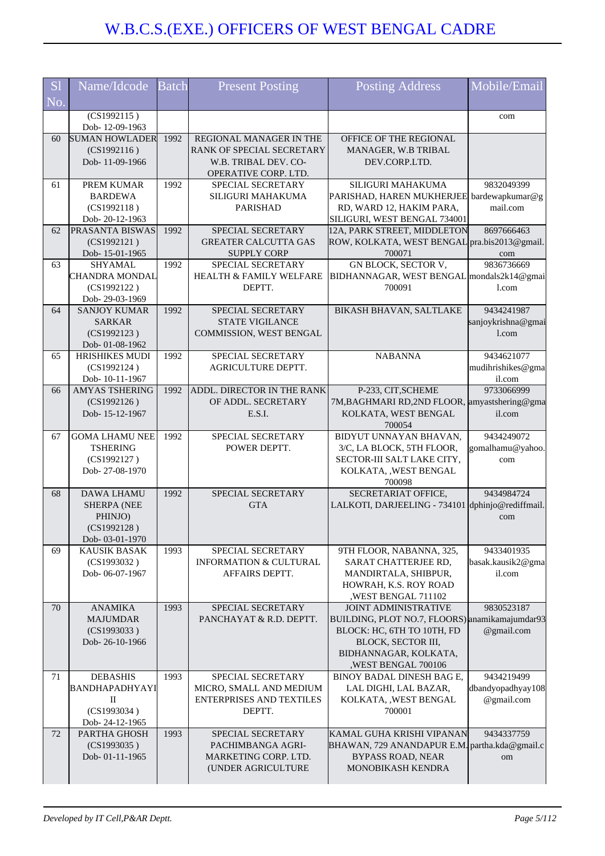| <b>S</b> l | Name/Idcode                             | <b>Batch</b> | <b>Present Posting</b>                      | <b>Posting Address</b>                                                     | Mobile/Email                |
|------------|-----------------------------------------|--------------|---------------------------------------------|----------------------------------------------------------------------------|-----------------------------|
| No.        |                                         |              |                                             |                                                                            |                             |
|            | (CS1992115)                             |              |                                             |                                                                            | com                         |
|            | Dob-12-09-1963<br><b>SUMAN HOWLADER</b> | 1992         | REGIONAL MANAGER IN THE                     |                                                                            |                             |
| 60         | (CS1992116)                             |              | RANK OF SPECIAL SECRETARY                   | OFFICE OF THE REGIONAL<br>MANAGER, W.B TRIBAL                              |                             |
|            | Dob-11-09-1966                          |              | W.B. TRIBAL DEV. CO-                        | DEV.CORP.LTD.                                                              |                             |
|            |                                         |              | OPERATIVE CORP. LTD.                        |                                                                            |                             |
| 61         | PREM KUMAR                              | 1992         | SPECIAL SECRETARY                           | SILIGURI MAHAKUMA                                                          | 9832049399                  |
|            | <b>BARDEWA</b>                          |              | SILIGURI MAHAKUMA                           | PARISHAD, HAREN MUKHERJEE bardewapkumar@g                                  |                             |
|            | (CS1992118)                             |              | PARISHAD                                    | RD, WARD 12, HAKIM PARA,                                                   | mail.com                    |
| 62         | Dob-20-12-1963<br>PRASANTA BISWAS       | 1992         | SPECIAL SECRETARY                           | SILIGURI, WEST BENGAL 734001<br>12A, PARK STREET, MIDDLETON                | 8697666463                  |
|            | (CS1992121)                             |              | <b>GREATER CALCUTTA GAS</b>                 | ROW, KOLKATA, WEST BENGAL pra.bis2013@gmail.                               |                             |
|            | Dob-15-01-1965                          |              | <b>SUPPLY CORP</b>                          | 700071                                                                     | com                         |
| 63         | <b>SHYAMAL</b>                          | 1992         | SPECIAL SECRETARY                           | GN BLOCK, SECTOR V,                                                        | 9836736669                  |
|            | CHANDRA MONDAL                          |              | <b>HEALTH &amp; FAMILY WELFARE</b>          | BIDHANNAGAR, WEST BENGAL mondals2k14@gmai                                  |                             |
|            | (CS1992122)                             |              | DEPTT.                                      | 700091                                                                     | 1.com                       |
|            | Dob-29-03-1969                          |              |                                             |                                                                            |                             |
| 64         | <b>SANJOY KUMAR</b>                     | 1992         | SPECIAL SECRETARY<br><b>STATE VIGILANCE</b> | <b>BIKASH BHAVAN, SALTLAKE</b>                                             | 9434241987                  |
|            | <b>SARKAR</b><br>(CS1992123)            |              | COMMISSION, WEST BENGAL                     |                                                                            | sanjoykrishna@gmai<br>1.com |
|            | Dob-01-08-1962                          |              |                                             |                                                                            |                             |
| 65         | HRISHIKES MUDI                          | 1992         | SPECIAL SECRETARY                           | <b>NABANNA</b>                                                             | 9434621077                  |
|            | (CS1992124)                             |              | AGRICULTURE DEPTT.                          |                                                                            | mudihrishikes@gma           |
|            | Dob-10-11-1967                          |              |                                             |                                                                            | il.com                      |
| 66         | <b>AMYAS TSHERING</b>                   | 1992         | ADDL. DIRECTOR IN THE RANK                  | P-233, CIT, SCHEME                                                         | 9733066999                  |
|            | (CS1992126)<br>Dob-15-12-1967           |              | OF ADDL. SECRETARY<br>E.S.I.                | 7M, BAGHMARI RD, 2ND FLOOR, amyastshering@gma<br>KOLKATA, WEST BENGAL      | il.com                      |
|            |                                         |              |                                             | 700054                                                                     |                             |
| 67         | <b>GOMA LHAMU NEE</b>                   | 1992         | SPECIAL SECRETARY                           | BIDYUT UNNAYAN BHAVAN,                                                     | 9434249072                  |
|            | <b>TSHERING</b>                         |              | POWER DEPTT.                                | 3/C, LA BLOCK, 5TH FLOOR,                                                  | gomalhamu@yahoo.            |
|            | (CS1992127)                             |              |                                             | SECTOR-III SALT LAKE CITY,                                                 | com                         |
|            | Dob-27-08-1970                          |              |                                             | KOLKATA, , WEST BENGAL                                                     |                             |
| 68         | <b>DAWA LHAMU</b>                       | 1992         | SPECIAL SECRETARY                           | 700098<br>SECRETARIAT OFFICE,                                              | 9434984724                  |
|            | <b>SHERPA (NEE</b>                      |              | <b>GTA</b>                                  | LALKOTI, DARJEELING - 734101 dphinjo@rediffmail.                           |                             |
|            | PHINJO)                                 |              |                                             |                                                                            | com                         |
|            | (CS1992128)                             |              |                                             |                                                                            |                             |
|            | Dob-03-01-1970                          |              |                                             |                                                                            |                             |
| 69         | <b>KAUSIK BASAK</b>                     | 1993         | SPECIAL SECRETARY                           | 9TH FLOOR, NABANNA, 325,                                                   | 9433401935                  |
|            | (CS1993032)<br>Dob-06-07-1967           |              | <b>INFORMATION &amp; CULTURAL</b>           | SARAT CHATTERJEE RD,                                                       | basak.kausik2@gma<br>il.com |
|            |                                         |              | AFFAIRS DEPTT.                              | MANDIRTALA, SHIBPUR,<br>HOWRAH, K.S. ROY ROAD                              |                             |
|            |                                         |              |                                             | WEST BENGAL 711102                                                         |                             |
| 70         | <b>ANAMIKA</b>                          | 1993         | SPECIAL SECRETARY                           | <b>JOINT ADMINISTRATIVE</b>                                                | 9830523187                  |
|            | <b>MAJUMDAR</b>                         |              | PANCHAYAT & R.D. DEPTT.                     | BUILDING, PLOT NO.7, FLOORS) anamikamajumdar93                             |                             |
|            | (CS1993033)                             |              |                                             | BLOCK: HC, 6TH TO 10TH, FD                                                 | @gmail.com                  |
|            | Dob-26-10-1966                          |              |                                             | BLOCK, SECTOR III,                                                         |                             |
|            |                                         |              |                                             | BIDHANNAGAR, KOLKATA,<br>,WEST BENGAL 700106                               |                             |
| 71         | <b>DEBASHIS</b>                         | 1993         | SPECIAL SECRETARY                           | BINOY BADAL DINESH BAG E,                                                  | 9434219499                  |
|            | BANDHAPADHYAYI                          |              | MICRO, SMALL AND MEDIUM                     | LAL DIGHI, LAL BAZAR,                                                      | dbandyopadhyay108           |
|            | П                                       |              | ENTERPRISES AND TEXTILES                    | KOLKATA, , WEST BENGAL                                                     | @gmail.com                  |
|            | (CS1993034)                             |              | DEPTT.                                      | 700001                                                                     |                             |
|            | Dob-24-12-1965                          |              |                                             |                                                                            |                             |
| 72         | PARTHA GHOSH<br>(CS1993035)             | 1993         | SPECIAL SECRETARY<br>PACHIMBANGA AGRI-      | KAMAL GUHA KRISHI VIPANAN<br>BHAWAN, 729 ANANDAPUR E.M. partha.kda@gmail.c | 9434337759                  |
|            | Dob-01-11-1965                          |              | MARKETING CORP. LTD.                        | <b>BYPASS ROAD, NEAR</b>                                                   | om                          |
|            |                                         |              | (UNDER AGRICULTURE                          | MONOBIKASH KENDRA                                                          |                             |
|            |                                         |              |                                             |                                                                            |                             |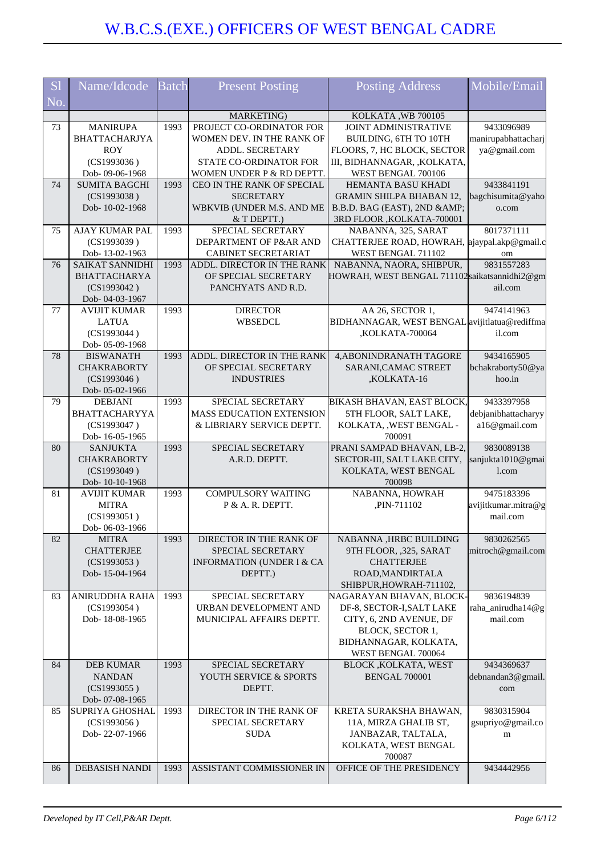| S <sub>1</sub><br>No. | Name/Idcode                         | <b>Batch</b> | <b>Present Posting</b>               | <b>Posting Address</b>                              | Mobile/Email        |
|-----------------------|-------------------------------------|--------------|--------------------------------------|-----------------------------------------------------|---------------------|
|                       |                                     |              | MARKETING)                           | KOLKATA, WB 700105                                  |                     |
| 73                    | <b>MANIRUPA</b>                     | 1993         | PROJECT CO-ORDINATOR FOR             | <b>JOINT ADMINISTRATIVE</b>                         | 9433096989          |
|                       | <b>BHATTACHARJYA</b>                |              | WOMEN DEV. IN THE RANK OF            | BUILDING, 6TH TO 10TH                               | manirupabhattacharj |
|                       | <b>ROY</b>                          |              | ADDL. SECRETARY                      | FLOORS, 7, HC BLOCK, SECTOR                         | ya@gmail.com        |
|                       | (CS1993036)                         |              | STATE CO-ORDINATOR FOR               | III, BIDHANNAGAR, ,KOLKATA,                         |                     |
|                       | Dob-09-06-1968                      |              | WOMEN UNDER P & RD DEPTT.            | WEST BENGAL 700106                                  |                     |
| 74                    | <b>SUMITA BAGCHI</b>                | 1993         | CEO IN THE RANK OF SPECIAL           | <b>HEMANTA BASU KHADI</b>                           | 9433841191          |
|                       | (CS1993038)                         |              | <b>SECRETARY</b>                     | <b>GRAMIN SHILPA BHABAN 12,</b>                     | bagchisumita@yaho   |
|                       | Dob-10-02-1968                      |              | WBKVIB (UNDER M.S. AND ME            | B.B.D. BAG (EAST), 2ND &                            | o.com               |
|                       |                                     |              | & T DEPTT.)                          | 3RD FLOOR , KOLKATA-700001                          |                     |
| 75                    | AJAY KUMAR PAL                      | 1993         | SPECIAL SECRETARY                    | NABANNA, 325, SARAT                                 | 8017371111          |
|                       | (CS1993039)                         |              | DEPARTMENT OF P&AR AND               | CHATTERJEE ROAD, HOWRAH, ajaypal.akp@gmail.c        |                     |
|                       | Dob-13-02-1963                      |              | CABINET SECRETARIAT                  | WEST BENGAL 711102                                  | om                  |
| 76                    | <b>SAIKAT SANNIDHI</b>              | 1993         | ADDL. DIRECTOR IN THE RANK           | NABANNA, NAORA, SHIBPUR,                            | 9831557283          |
|                       | <b>BHATTACHARYA</b>                 |              | OF SPECIAL SECRETARY                 | HOWRAH, WEST BENGAL 711102 saikatsannidhi2@gm       |                     |
|                       | (CS1993042)                         |              | PANCHYATS AND R.D.                   |                                                     | ail.com             |
|                       | Dob- 04-03-1967                     |              |                                      |                                                     |                     |
| 77                    | <b>AVIJIT KUMAR</b>                 | 1993         | <b>DIRECTOR</b>                      | AA 26, SECTOR 1,                                    | 9474141963          |
|                       | <b>LATUA</b>                        |              | <b>WBSEDCL</b>                       | BIDHANNAGAR, WEST BENGAL avijitlatua@rediffma       |                     |
|                       | (CS1993044)                         |              |                                      | ,KOLKATA-700064                                     | il.com              |
| 78                    | Dob- 05-09-1968<br><b>BISWANATH</b> | 1993         | ADDL. DIRECTOR IN THE RANK           | 4, ABONINDRANATH TAGORE                             | 9434165905          |
|                       | <b>CHAKRABORTY</b>                  |              | OF SPECIAL SECRETARY                 | SARANI, CAMAC STREET                                | bchakraborty50@ya   |
|                       | (CS1993046)                         |              | <b>INDUSTRIES</b>                    | ,KOLKATA-16                                         | hoo.in              |
|                       | Dob- 05-02-1966                     |              |                                      |                                                     |                     |
| 79                    | <b>DEBJANI</b>                      | 1993         | SPECIAL SECRETARY                    | BIKASH BHAVAN, EAST BLOCK,                          | 9433397958          |
|                       | <b>BHATTACHARYYA</b>                |              | MASS EDUCATION EXTENSION             | 5TH FLOOR, SALT LAKE,                               | debjanibhattacharyy |
|                       | (CS1993047)                         |              | & LIBRIARY SERVICE DEPTT.            | KOLKATA, , WEST BENGAL -                            | a16@gmail.com       |
|                       | Dob-16-05-1965                      |              |                                      | 700091                                              |                     |
| 80                    | <b>SANJUKTA</b>                     | 1993         | SPECIAL SECRETARY                    | PRANI SAMPAD BHAVAN, LB-2,                          | 9830089138          |
|                       | <b>CHAKRABORTY</b>                  |              | A.R.D. DEPTT.                        | SECTOR-III, SALT LAKE CITY,                         | sanjukta1010@gmai   |
|                       | (CS1993049)                         |              |                                      | KOLKATA, WEST BENGAL                                | $1$ .com            |
|                       | Dob-10-10-1968                      |              |                                      | 700098                                              |                     |
| 81                    | <b>AVIJIT KUMAR</b>                 | 1993         | <b>COMPULSORY WAITING</b>            | NABANNA, HOWRAH                                     | 9475183396          |
|                       | <b>MITRA</b>                        |              | P & A. R. DEPTT.                     | ,PIN-711102                                         | avijitkumar.mitra@g |
|                       | (CS1993051)                         |              |                                      |                                                     | mail.com            |
|                       | Dob-06-03-1966                      |              |                                      |                                                     |                     |
| 82                    | <b>MITRA</b>                        | 1993         | DIRECTOR IN THE RANK OF              | NABANNA , HRBC BUILDING                             | 9830262565          |
|                       | <b>CHATTERJEE</b>                   |              | SPECIAL SECRETARY                    | 9TH FLOOR, ,325, SARAT                              | mitroch@gmail.com   |
|                       | (CS1993053)                         |              | <b>INFORMATION (UNDER I &amp; CA</b> | <b>CHATTERJEE</b>                                   |                     |
|                       | Dob-15-04-1964                      |              | DEPTT.)                              | ROAD, MANDIRTALA                                    |                     |
| 83                    | <b>ANIRUDDHA RAHA</b>               | 1993         | SPECIAL SECRETARY                    | SHIBPUR, HOWRAH-711102,<br>NAGARAYAN BHAVAN, BLOCK- | 9836194839          |
|                       | (CS1993054)                         |              | URBAN DEVELOPMENT AND                | DF-8, SECTOR-I, SALT LAKE                           | raha_anirudha14@g   |
|                       | Dob-18-08-1965                      |              | MUNICIPAL AFFAIRS DEPTT.             | CITY, 6, 2ND AVENUE, DF                             | mail.com            |
|                       |                                     |              |                                      | BLOCK, SECTOR 1,                                    |                     |
|                       |                                     |              |                                      | BIDHANNAGAR, KOLKATA,                               |                     |
|                       |                                     |              |                                      | WEST BENGAL 700064                                  |                     |
| 84                    | <b>DEB KUMAR</b>                    | 1993         | SPECIAL SECRETARY                    | BLOCK , KOLKATA, WEST                               | 9434369637          |
|                       | <b>NANDAN</b>                       |              | YOUTH SERVICE & SPORTS               | <b>BENGAL 700001</b>                                | debnandan3@gmail    |
|                       | (CS1993055)                         |              | DEPTT.                               |                                                     | com                 |
|                       | Dob- 07-08-1965                     |              |                                      |                                                     |                     |
| 85                    | SUPRIYA GHOSHAL                     | 1993         | DIRECTOR IN THE RANK OF              | KRETA SURAKSHA BHAWAN,                              | 9830315904          |
|                       | (CS1993056)                         |              | SPECIAL SECRETARY                    | 11A, MIRZA GHALIB ST,                               | gsupriyo@gmail.co   |
|                       | Dob-22-07-1966                      |              | <b>SUDA</b>                          | JANBAZAR, TALTALA,                                  | m                   |
|                       |                                     |              |                                      | KOLKATA, WEST BENGAL                                |                     |
|                       |                                     |              |                                      | 700087                                              |                     |
| 86                    | <b>DEBASISH NANDI</b>               | 1993         | ASSISTANT COMMISSIONER IN            | OFFICE OF THE PRESIDENCY                            | 9434442956          |
|                       |                                     |              |                                      |                                                     |                     |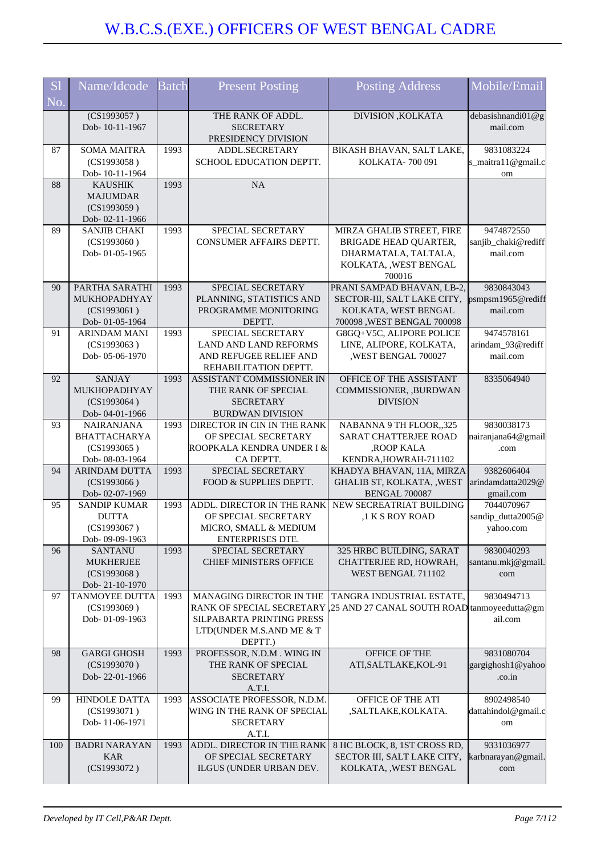| S <sub>1</sub><br>No. | Name/Idcode                                | <b>Batch</b> | <b>Present Posting</b>                                       | <b>Posting Address</b>                             | Mobile/Email                     |
|-----------------------|--------------------------------------------|--------------|--------------------------------------------------------------|----------------------------------------------------|----------------------------------|
|                       | $\overline{(CS1993057)}$<br>Dob-10-11-1967 |              | THE RANK OF ADDL.<br><b>SECRETARY</b><br>PRESIDENCY DIVISION | DIVISION , KOLKATA                                 | debasishnandi $01@g$<br>mail.com |
| 87                    | <b>SOMA MAITRA</b>                         | 1993         | ADDL.SECRETARY                                               | BIKASH BHAVAN, SALT LAKE,                          | 9831083224                       |
|                       | (CS1993058)                                |              | SCHOOL EDUCATION DEPTT.                                      | KOLKATA-700 091                                    | s_maitra11@gmail.c               |
|                       | Dob-10-11-1964                             |              |                                                              |                                                    | om                               |
| 88                    | <b>KAUSHIK</b>                             | 1993         | NA                                                           |                                                    |                                  |
|                       | <b>MAJUMDAR</b>                            |              |                                                              |                                                    |                                  |
|                       | (CS1993059)                                |              |                                                              |                                                    |                                  |
|                       | Dob-02-11-1966                             |              |                                                              |                                                    |                                  |
| 89                    | <b>SANJIB CHAKI</b>                        | 1993         | SPECIAL SECRETARY                                            | MIRZA GHALIB STREET, FIRE                          | 9474872550                       |
|                       | (CS1993060)                                |              | CONSUMER AFFAIRS DEPTT.                                      | BRIGADE HEAD QUARTER,                              | sanjib_chaki@rediff              |
|                       | Dob-01-05-1965                             |              |                                                              | DHARMATALA, TALTALA,                               | mail.com                         |
|                       |                                            |              |                                                              | KOLKATA, , WEST BENGAL                             |                                  |
|                       |                                            |              |                                                              | 700016                                             |                                  |
| 90                    | PARTHA SARATHI                             | 1993         | SPECIAL SECRETARY                                            | PRANI SAMPAD BHAVAN, LB-2,                         | 9830843043                       |
|                       | MUKHOPADHYAY                               |              | PLANNING, STATISTICS AND                                     | SECTOR-III, SALT LAKE CITY,                        | psmpsm1965@rediff                |
|                       | (CS1993061)                                |              | PROGRAMME MONITORING                                         | KOLKATA, WEST BENGAL                               | mail.com                         |
|                       | Dob- 01-05-1964                            |              | DEPTT.                                                       | 700098, WEST BENGAL 700098                         |                                  |
| 91                    | <b>ARINDAM MANI</b>                        | 1993         | SPECIAL SECRETARY                                            | G8GQ+V5C, ALIPORE POLICE                           | 9474578161                       |
|                       | (CS1993063)                                |              | LAND AND LAND REFORMS                                        | LINE, ALIPORE, KOLKATA,                            | arindam_93@rediff                |
|                       | Dob-05-06-1970                             |              | AND REFUGEE RELIEF AND                                       | ,WEST BENGAL 700027                                | mail.com                         |
|                       |                                            |              | REHABILITATION DEPTT.                                        |                                                    |                                  |
| 92                    | <b>SANJAY</b>                              | 1993         | ASSISTANT COMMISSIONER IN                                    | OFFICE OF THE ASSISTANT                            | 8335064940                       |
|                       | MUKHOPADHYAY                               |              | THE RANK OF SPECIAL                                          | COMMISSIONER, ,BURDWAN                             |                                  |
|                       | (CS1993064)                                |              | <b>SECRETARY</b>                                             | <b>DIVISION</b>                                    |                                  |
|                       | Dob-04-01-1966                             |              | <b>BURDWAN DIVISION</b>                                      |                                                    |                                  |
| 93                    | <b>NAIRANJANA</b>                          | 1993         | DIRECTOR IN CIN IN THE RANK                                  | NABANNA 9 TH FLOOR,,325                            | 9830038173                       |
|                       | <b>BHATTACHARYA</b>                        |              | OF SPECIAL SECRETARY                                         | SARAT CHATTERJEE ROAD                              | nairanjana64@gmail               |
|                       | (CS1993065)                                |              | ROOPKALA KENDRA UNDER I &                                    | ,ROOP KALA                                         | .com                             |
| 94                    | Dob- 08-03-1964<br><b>ARINDAM DUTTA</b>    | 1993         | CA DEPTT.<br>SPECIAL SECRETARY                               | KENDRA, HOWRAH-711102<br>KHADYA BHAVAN, 11A, MIRZA | 9382606404                       |
|                       | (CS1993066)                                |              | FOOD & SUPPLIES DEPTT.                                       | GHALIB ST, KOLKATA, , WEST                         | arindamdatta2029@                |
|                       | Dob- 02-07-1969                            |              |                                                              | <b>BENGAL 700087</b>                               | gmail.com                        |
| 95                    | <b>SANDIP KUMAR</b>                        | 1993         | ADDL. DIRECTOR IN THE RANK                                   | NEW SECREATRIAT BUILDING                           | 7044070967                       |
|                       | <b>DUTTA</b>                               |              | OF SPECIAL SECRETARY                                         | ,1 K S ROY ROAD                                    | sandip_dutta2005@                |
|                       | (CS1993067)                                |              | MICRO. SMALL & MEDIUM                                        |                                                    | yahoo.com                        |
|                       | Dob-09-09-1963                             |              | ENTERPRISES DTE.                                             |                                                    |                                  |
| 96                    | <b>SANTANU</b>                             | 1993         | SPECIAL SECRETARY                                            | 325 HRBC BUILDING, SARAT                           | 9830040293                       |
|                       | <b>MUKHERJEE</b>                           |              | <b>CHIEF MINISTERS OFFICE</b>                                | CHATTERJEE RD, HOWRAH,                             | santanu.mkj@gmail.               |
|                       | (CS1993068)                                |              |                                                              | WEST BENGAL 711102                                 | com                              |
|                       | Dob-21-10-1970                             |              |                                                              |                                                    |                                  |
| 97                    | <b>TANMOYEE DUTTA</b>                      | 1993         | MANAGING DIRECTOR IN THE                                     | TANGRA INDUSTRIAL ESTATE,                          | 9830494713                       |
|                       | (CS1993069)                                |              | RANK OF SPECIAL SECRETARY                                    | ,25 AND 27 CANAL SOUTH ROAD tanmoyeedutta@gm       |                                  |
|                       | Dob-01-09-1963                             |              | SILPABARTA PRINTING PRESS                                    |                                                    | ail.com                          |
|                       |                                            |              | LTD(UNDER M.S.AND ME & T                                     |                                                    |                                  |
|                       |                                            |              | DEPTT.)                                                      |                                                    |                                  |
| 98                    | <b>GARGI GHOSH</b>                         | 1993         | PROFESSOR, N.D.M. WING IN                                    | OFFICE OF THE                                      | 9831080704                       |
|                       | (CS1993070)                                |              | THE RANK OF SPECIAL                                          | ATI, SALTLAKE, KOL-91                              | gargighosh1@yahoo                |
|                       | Dob-22-01-1966                             |              | <b>SECRETARY</b>                                             |                                                    | .co.in                           |
| 99                    |                                            |              | A.T.I.                                                       |                                                    |                                  |
|                       | HINDOLE DATTA                              | 1993         | ASSOCIATE PROFESSOR, N.D.M.                                  | OFFICE OF THE ATI                                  | 8902498540                       |
|                       | (CS1993071)                                |              | WING IN THE RANK OF SPECIAL                                  | ,SALTLAKE,KOLKATA.                                 | dattahindol@gmail.c              |
|                       | Dob-11-06-1971                             |              | <b>SECRETARY</b><br>A.T.I.                                   |                                                    | om                               |
| 100                   | <b>BADRI NARAYAN</b>                       | 1993         | ADDL. DIRECTOR IN THE RANK                                   | 8 HC BLOCK, 8, 1ST CROSS RD,                       | 9331036977                       |
|                       | <b>KAR</b>                                 |              | OF SPECIAL SECRETARY                                         | SECTOR III, SALT LAKE CITY,                        | karbnarayan@gmail.               |
|                       | (CS1993072)                                |              | ILGUS (UNDER URBAN DEV.                                      | KOLKATA, , WEST BENGAL                             | com                              |
|                       |                                            |              |                                                              |                                                    |                                  |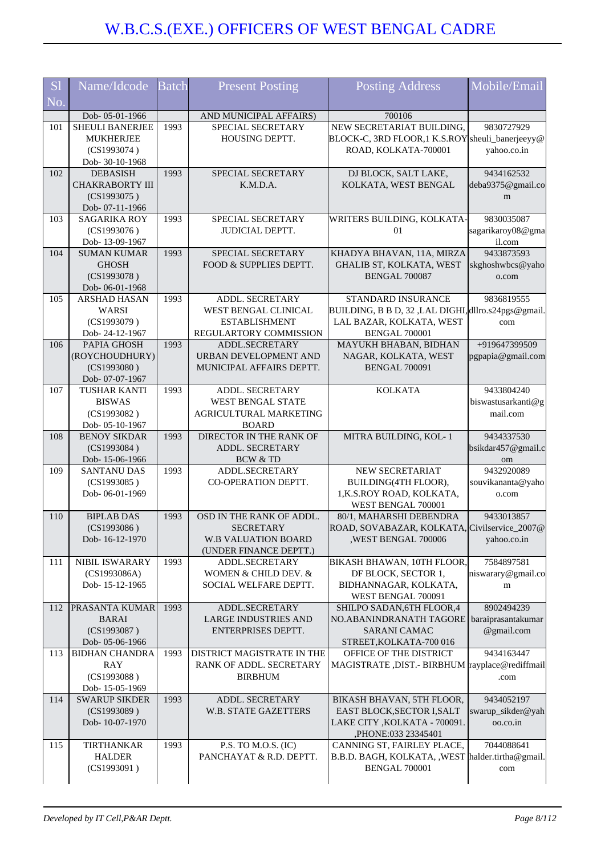| <b>S1</b><br>No. | Name/Idcode                                                                  | <b>Batch</b> | <b>Present Posting</b>                                                                               | <b>Posting Address</b>                                                                                                     | Mobile/Email                                 |
|------------------|------------------------------------------------------------------------------|--------------|------------------------------------------------------------------------------------------------------|----------------------------------------------------------------------------------------------------------------------------|----------------------------------------------|
|                  | Dob-05-01-1966                                                               |              | AND MUNICIPAL AFFAIRS)                                                                               | 700106                                                                                                                     |                                              |
| 101              | <b>SHEULI BANERJEE</b><br><b>MUKHERJEE</b><br>(CS1993074)<br>Dob- 30-10-1968 | 1993         | SPECIAL SECRETARY<br>HOUSING DEPTT.                                                                  | NEW SECRETARIAT BUILDING,<br>BLOCK-C, 3RD FLOOR, 1 K.S.ROY sheuli_banerjeeyy@<br>ROAD, KOLKATA-700001                      | 9830727929<br>yahoo.co.in                    |
| 102              | <b>DEBASISH</b><br><b>CHAKRABORTY III</b><br>(CS1993075)<br>Dob-07-11-1966   | 1993         | SPECIAL SECRETARY<br>K.M.D.A.                                                                        | DJ BLOCK, SALT LAKE,<br>KOLKATA, WEST BENGAL                                                                               | 9434162532<br>deba9375@gmail.co<br>m         |
| 103              | <b>SAGARIKA ROY</b><br>(CS1993076)<br>Dob-13-09-1967                         | 1993         | SPECIAL SECRETARY<br><b>JUDICIAL DEPTT.</b>                                                          | WRITERS BUILDING, KOLKATA-<br>01                                                                                           | 9830035087<br>sagarikaroy08@gma<br>il.com    |
| 104              | <b>SUMAN KUMAR</b><br><b>GHOSH</b><br>(CS1993078)<br>Dob-06-01-1968          | 1993         | SPECIAL SECRETARY<br>FOOD & SUPPLIES DEPTT.                                                          | KHADYA BHAVAN, 11A, MIRZA<br><b>GHALIB ST, KOLKATA, WEST</b><br><b>BENGAL 700087</b>                                       | 9433873593<br>skghoshwbcs@yaho<br>o.com      |
| 105              | <b>ARSHAD HASAN</b><br>WARSI<br>(CS1993079)<br>Dob-24-12-1967                | 1993         | ADDL. SECRETARY<br>WEST BENGAL CLINICAL<br><b>ESTABLISHMENT</b><br>REGULARTORY COMMISSION            | STANDARD INSURANCE<br>BUILDING, B B D, 32, LAL DIGHI, dllro.s24pgs@gmail.<br>LAL BAZAR, KOLKATA, WEST<br>BENGAL 700001     | 9836819555<br>com                            |
| 106              | PAPIA GHOSH<br>(ROYCHOUDHURY)<br>(CS1993080)<br>Dob- 07-07-1967              | 1993         | ADDL.SECRETARY<br>URBAN DEVELOPMENT AND<br>MUNICIPAL AFFAIRS DEPTT.                                  | MAYUKH BHABAN, BIDHAN<br>NAGAR, KOLKATA, WEST<br><b>BENGAL 700091</b>                                                      | +919647399509<br>pgpapia@gmail.com           |
| 107              | <b>TUSHAR KANTI</b><br><b>BISWAS</b><br>(CS1993082)<br>Dob- 05-10-1967       | 1993         | ADDL. SECRETARY<br><b>WEST BENGAL STATE</b><br>AGRICULTURAL MARKETING<br><b>BOARD</b>                | <b>KOLKATA</b>                                                                                                             | 9433804240<br>biswastusarkanti@g<br>mail.com |
| 108              | <b>BENOY SIKDAR</b><br>(CS1993084)<br>Dob-15-06-1966                         | 1993         | DIRECTOR IN THE RANK OF<br>ADDL. SECRETARY<br><b>BCW &amp; TD</b>                                    | MITRA BUILDING, KOL-1                                                                                                      | 9434337530<br>bsikdar457@gmail.c<br>om       |
| 109              | <b>SANTANU DAS</b><br>(CS1993085)<br>Dob-06-01-1969                          | 1993         | ADDL.SECRETARY<br>CO-OPERATION DEPTT.                                                                | NEW SECRETARIAT<br>BUILDING(4TH FLOOR),<br>1,K.S.ROY ROAD, KOLKATA,<br>WEST BENGAL 700001                                  | 9432920089<br>souvikananta@yaho<br>o.com     |
| 110              | <b>BIPLAB DAS</b><br>(CS1993086)<br>Dob-16-12-1970                           | 1993         | OSD IN THE RANK OF ADDL.<br><b>SECRETARY</b><br><b>W.B VALUATION BOARD</b><br>(UNDER FINANCE DEPTT.) | 80/1, MAHARSHI DEBENDRA<br>ROAD, SOVABAZAR, KOLKATA, Civilservice_2007@<br>,WEST BENGAL 700006                             | 9433013857<br>yahoo.co.in                    |
| 111              | NIBIL ISWARARY<br>(CS1993086A)<br>Dob-15-12-1965                             | 1993         | ADDL.SECRETARY<br>WOMEN & CHILD DEV. &<br>SOCIAL WELFARE DEPTT.                                      | BIKASH BHAWAN, 10TH FLOOR,<br>DF BLOCK, SECTOR 1,<br>BIDHANNAGAR, KOLKATA,<br>WEST BENGAL 700091                           | 7584897581<br>niswarary@gmail.co<br>m        |
| 112              | <b>PRASANTA KUMAR</b><br><b>BARAI</b><br>(CS1993087)<br>Dob-05-06-1966       | 1993         | ADDL.SECRETARY<br><b>LARGE INDUSTRIES AND</b><br>ENTERPRISES DEPTT.                                  | SHILPO SADAN, 6TH FLOOR, 4<br>NO.ABANINDRANATH TAGORE baraiprasantakumar<br><b>SARANI CAMAC</b><br>STREET, KOLKATA-700 016 | 8902494239<br>@gmail.com                     |
| 113              | <b>BIDHAN CHANDRA</b><br><b>RAY</b><br>(CS1993088)<br>Dob-15-05-1969         | 1993         | DISTRICT MAGISTRATE IN THE<br>RANK OF ADDL. SECRETARY<br><b>BIRBHUM</b>                              | OFFICE OF THE DISTRICT<br>MAGISTRATE , DIST.- BIRBHUM rayplace@rediffmail                                                  | 9434163447<br>.com                           |
| 114              | <b>SWARUP SIKDER</b><br>(CS1993089)<br>Dob-10-07-1970                        | 1993         | <b>ADDL. SECRETARY</b><br><b>W.B. STATE GAZETTERS</b>                                                | BIKASH BHAVAN, 5TH FLOOR,<br>EAST BLOCK, SECTOR I, SALT<br>LAKE CITY , KOLKATA - 700091.<br>,PHONE:033 23345401            | 9434052197<br>swarup_sikder@yah<br>oo.co.in  |
| 115              | <b>TIRTHANKAR</b><br><b>HALDER</b><br>(CS1993091)                            | 1993         | P.S. TO M.O.S. (IC)<br>PANCHAYAT & R.D. DEPTT.                                                       | CANNING ST, FAIRLEY PLACE,<br>B.B.D. BAGH, KOLKATA, , WEST halder.tirtha@gmail.<br><b>BENGAL 700001</b>                    | 7044088641<br>com                            |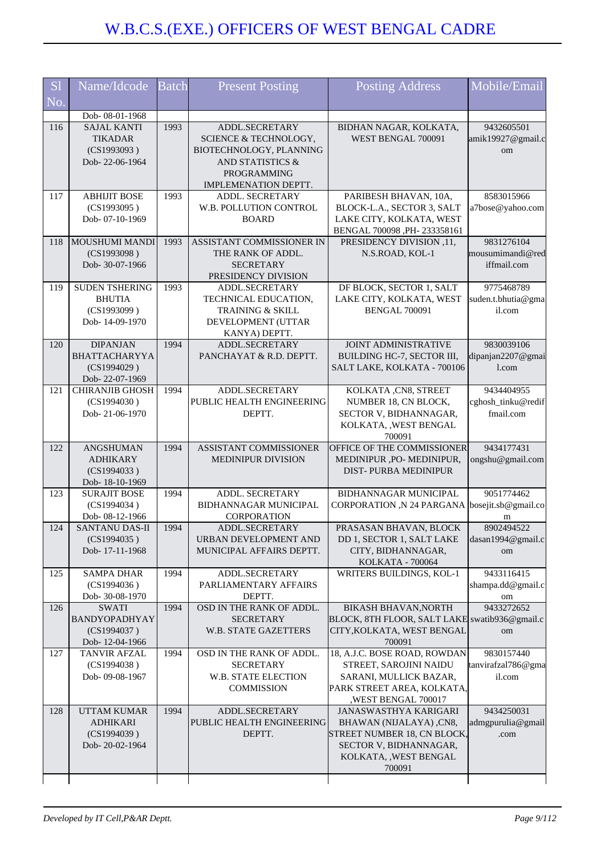| <b>S1</b><br>No. | Name/Idcode                                                                             | <b>Batch</b> | <b>Present Posting</b>                                                                                                               | <b>Posting Address</b>                                                                                                                        | Mobile/Email                                     |
|------------------|-----------------------------------------------------------------------------------------|--------------|--------------------------------------------------------------------------------------------------------------------------------------|-----------------------------------------------------------------------------------------------------------------------------------------------|--------------------------------------------------|
|                  |                                                                                         |              |                                                                                                                                      |                                                                                                                                               |                                                  |
| 116              | Dob-08-01-1968<br><b>SAJAL KANTI</b><br><b>TIKADAR</b><br>(CS1993093)<br>Dob-22-06-1964 | 1993         | ADDL.SECRETARY<br>SCIENCE & TECHNOLOGY,<br>BIOTECHNOLOGY, PLANNING<br>AND STATISTICS &<br><b>PROGRAMMING</b><br>IMPLEMENATION DEPTT. | BIDHAN NAGAR, KOLKATA,<br>WEST BENGAL 700091                                                                                                  | 9432605501<br>amik19927@gmail.c<br>om            |
| 117              | <b>ABHIJIT BOSE</b><br>(CS1993095)<br>Dob-07-10-1969                                    | 1993         | <b>ADDL. SECRETARY</b><br>W.B. POLLUTION CONTROL<br><b>BOARD</b>                                                                     | PARIBESH BHAVAN, 10A,<br>BLOCK-L.A., SECTOR 3, SALT<br>LAKE CITY, KOLKATA, WEST<br>BENGAL 700098, PH-233358161                                | 8583015966<br>a7bose@yahoo.com                   |
| 118              | <b>MOUSHUMI MANDI</b><br>(CS1993098)<br>Dob- 30-07-1966                                 | 1993         | ASSISTANT COMMISSIONER IN<br>THE RANK OF ADDL.<br><b>SECRETARY</b><br>PRESIDENCY DIVISION                                            | PRESIDENCY DIVISION ,11,<br>N.S.ROAD, KOL-1                                                                                                   | 9831276104<br>mousumimandi@red<br>iffmail.com    |
| 119              | <b>SUDEN TSHERING</b><br><b>BHUTIA</b><br>(CS1993099)<br>Dob-14-09-1970                 | 1993         | <b>ADDL.SECRETARY</b><br>TECHNICAL EDUCATION,<br><b>TRAINING &amp; SKILL</b><br>DEVELOPMENT (UTTAR<br>KANYA) DEPTT.                  | DF BLOCK, SECTOR 1, SALT<br>LAKE CITY, KOLKATA, WEST<br><b>BENGAL 700091</b>                                                                  | 9775468789<br>suden.t.bhutia@gma<br>il.com       |
| 120              | <b>DIPANJAN</b><br>BHATTACHARYYA<br>(CS1994029)<br>Dob-22-07-1969                       | 1994         | <b>ADDL.SECRETARY</b><br>PANCHAYAT & R.D. DEPTT.                                                                                     | <b>JOINT ADMINISTRATIVE</b><br>BUILDING HC-7, SECTOR III,<br>SALT LAKE, KOLKATA - 700106                                                      | 9830039106<br>dipanjan2207@gmai<br>1.com         |
| 121              | <b>CHIRANJIB GHOSH</b><br>(CS1994030)<br>Dob-21-06-1970                                 | 1994         | ADDL.SECRETARY<br>PUBLIC HEALTH ENGINEERING<br>DEPTT.                                                                                | KOLKATA, CN8, STREET<br>NUMBER 18, CN BLOCK,<br>SECTOR V, BIDHANNAGAR,<br>KOLKATA, , WEST BENGAL<br>700091                                    | 9434404955<br>cghosh_tinku@redif<br>fmail.com    |
| 122              | <b>ANGSHUMAN</b><br><b>ADHIKARY</b><br>(CS1994033)<br>Dob-18-10-1969                    | 1994         | ASSISTANT COMMISSIONER<br><b>MEDINIPUR DIVISION</b>                                                                                  | OFFICE OF THE COMMISSIONER<br>MEDINIPUR ,PO- MEDINIPUR,<br>DIST-PURBA MEDINIPUR                                                               | 9434177431<br>ongshu@gmail.com                   |
| 123              | <b>SURAJIT BOSE</b><br>(CS1994034)<br>Dob- 08-12-1966                                   | 1994         | <b>ADDL. SECRETARY</b><br><b>BIDHANNAGAR MUNICIPAL</b><br>CORPORATION                                                                | BIDHANNAGAR MUNICIPAL<br>CORPORATION, N 24 PARGANA bosejit.sb@gmail.co                                                                        | 9051774462<br>m                                  |
| 124              | <b>SANTANU DAS-II</b><br>(CS1994035)<br>Dob-17-11-1968                                  | 1994         | ADDL.SECRETARY<br>URBAN DEVELOPMENT AND<br>MUNICIPAL AFFAIRS DEPTT.                                                                  | PRASASAN BHAVAN, BLOCK<br>DD 1, SECTOR 1, SALT LAKE<br>CITY, BIDHANNAGAR,<br>KOLKATA - 700064                                                 | 8902494522<br>dasan1994@gmail.c<br><sub>om</sub> |
| 125              | <b>SAMPA DHAR</b><br>(CS1994036)<br>Dob-30-08-1970                                      | 1994         | ADDL.SECRETARY<br>PARLIAMENTARY AFFAIRS<br>DEPTT.                                                                                    | WRITERS BUILDINGS, KOL-1                                                                                                                      | 9433116415<br>shampa.dd@gmail.c<br>om            |
| 126              | <b>SWATI</b><br>BANDYOPADHYAY<br>(CS1994037)<br>Dob-12-04-1966                          | 1994         | OSD IN THE RANK OF ADDL.<br><b>SECRETARY</b><br><b>W.B. STATE GAZETTERS</b>                                                          | <b>BIKASH BHAVAN, NORTH</b><br>BLOCK, 8TH FLOOR, SALT LAKE swatib936@gmail.c<br>CITY, KOLKATA, WEST BENGAL<br>700091                          | 9433272652<br>om                                 |
| 127              | <b>TANVIR AFZAL</b><br>(CS1994038)<br>Dob-09-08-1967                                    | 1994         | OSD IN THE RANK OF ADDL.<br><b>SECRETARY</b><br><b>W.B. STATE ELECTION</b><br><b>COMMISSION</b>                                      | 18, A.J.C. BOSE ROAD, ROWDAN<br>STREET, SAROJINI NAIDU<br>SARANI, MULLICK BAZAR,<br>PARK STREET AREA, KOLKATA,<br>,WEST BENGAL 700017         | 9830157440<br>tanvirafzal786@gma<br>il.com       |
| 128              | <b>UTTAM KUMAR</b><br><b>ADHIKARI</b><br>(CS1994039)<br>Dob-20-02-1964                  | 1994         | ADDL.SECRETARY<br>PUBLIC HEALTH ENGINEERING<br>DEPTT.                                                                                | JANASWASTHYA KARIGARI<br>BHAWAN (NIJALAYA), CN8,<br>STREET NUMBER 18, CN BLOCK,<br>SECTOR V, BIDHANNAGAR,<br>KOLKATA, , WEST BENGAL<br>700091 | 9434250031<br>admgpurulia@gmail<br>.com          |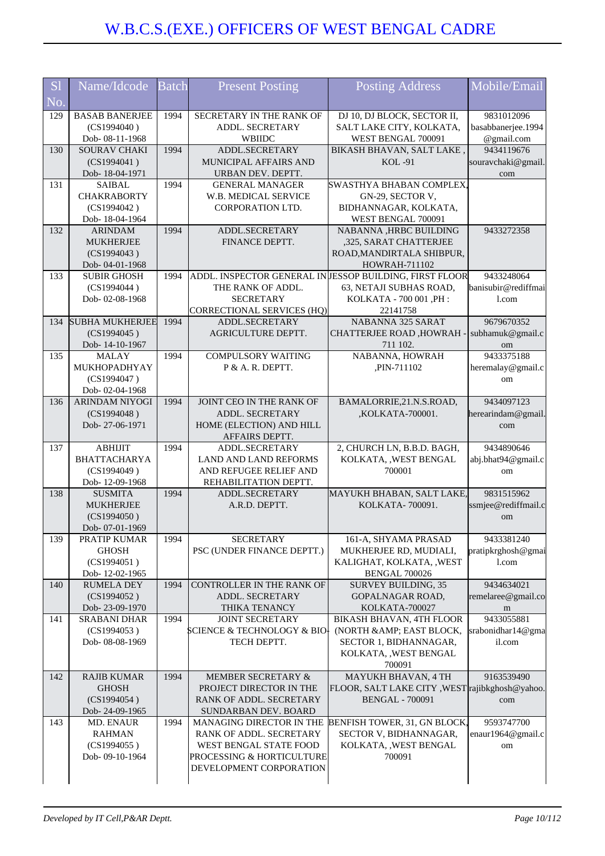| <b>S1</b> | Name/Idcode                             | <b>Batch</b> | <b>Present Posting</b>                              | <b>Posting Address</b>                                  | Mobile/Email                     |
|-----------|-----------------------------------------|--------------|-----------------------------------------------------|---------------------------------------------------------|----------------------------------|
| No.       |                                         |              |                                                     |                                                         |                                  |
| 129       | <b>BASAB BANERJEE</b>                   | 1994         | SECRETARY IN THE RANK OF                            | DJ 10, DJ BLOCK, SECTOR II,                             | 9831012096                       |
|           | (CS1994040)<br>Dob- 08-11-1968          |              | ADDL. SECRETARY<br>WBIIDC                           | SALT LAKE CITY, KOLKATA,<br>WEST BENGAL 700091          | basabbanerjee.1994<br>@gmail.com |
| 130       | <b>SOURAV CHAKI</b>                     | 1994         | ADDL.SECRETARY                                      | BIKASH BHAVAN, SALT LAKE,                               | 9434119676                       |
|           | (CS1994041)                             |              | MUNICIPAL AFFAIRS AND                               | <b>KOL-91</b>                                           | souravchaki@gmail.               |
|           | Dob-18-04-1971                          |              | URBAN DEV. DEPTT.                                   |                                                         | com                              |
| 131       | <b>SAIBAL</b>                           | 1994         | <b>GENERAL MANAGER</b>                              | SWASTHYA BHABAN COMPLEX,                                |                                  |
|           | <b>CHAKRABORTY</b>                      |              | W.B. MEDICAL SERVICE                                | GN-29, SECTOR V,                                        |                                  |
|           | (CS1994042)                             |              | <b>CORPORATION LTD.</b>                             | BIDHANNAGAR, KOLKATA,                                   |                                  |
| 132       | Dob-18-04-1964<br><b>ARINDAM</b>        | 1994         | ADDL.SECRETARY                                      | WEST BENGAL 700091<br>NABANNA , HRBC BUILDING           | 9433272358                       |
|           | <b>MUKHERJEE</b>                        |              | FINANCE DEPTT.                                      | ,325, SARAT CHATTERJEE                                  |                                  |
|           | (CS1994043)                             |              |                                                     | ROAD, MANDIRTALA SHIBPUR,                               |                                  |
|           | Dob-04-01-1968                          |              |                                                     | HOWRAH-711102                                           |                                  |
| 133       | <b>SUBIR GHOSH</b>                      | 1994         |                                                     | ADDL. INSPECTOR GENERAL IN JESSOP BUILDING, FIRST FLOOR | 9433248064                       |
|           | (CS1994044)                             |              | THE RANK OF ADDL.                                   | 63, NETAJI SUBHAS ROAD,                                 | banisubir@rediffmai              |
|           | Dob-02-08-1968                          |              | <b>SECRETARY</b>                                    | KOLKATA - 700 001, PH:                                  | l.com                            |
| 134       | <b>SUBHA MUKHERJEE</b>                  | 1994         | <b>CORRECTIONAL SERVICES (HQ)</b><br>ADDL.SECRETARY | 22141758<br><b>NABANNA 325 SARAT</b>                    | 9679670352                       |
|           | (CS1994045)                             |              | <b>AGRICULTURE DEPTT.</b>                           | <b>CHATTERJEE ROAD ,HOWRAH</b>                          | subhamuk@gmail.c                 |
|           | Dob-14-10-1967                          |              |                                                     | 711 102.                                                | om                               |
| 135       | <b>MALAY</b>                            | 1994         | <b>COMPULSORY WAITING</b>                           | NABANNA, HOWRAH                                         | 9433375188                       |
|           | MUKHOPADHYAY                            |              | P & A. R. DEPTT.                                    | ,PIN-711102                                             | heremalay@gmail.c                |
|           | (CS1994047)                             |              |                                                     |                                                         | om                               |
| 136       | Dob-02-04-1968<br><b>ARINDAM NIYOGI</b> | 1994         | JOINT CEO IN THE RANK OF                            | BAMALORRIE, 21.N.S.ROAD,                                | 9434097123                       |
|           | (CS1994048)                             |              | <b>ADDL. SECRETARY</b>                              | ,KOLKATA-700001.                                        | herearindam@gmail                |
|           | Dob-27-06-1971                          |              | HOME (ELECTION) AND HILL                            |                                                         | com                              |
|           |                                         |              | AFFAIRS DEPTT.                                      |                                                         |                                  |
| 137       | <b>ABHIJIT</b>                          | 1994         | ADDL.SECRETARY                                      | 2, CHURCH LN, B.B.D. BAGH,                              | 9434890646                       |
|           | <b>BHATTACHARYA</b>                     |              | <b>LAND AND LAND REFORMS</b>                        | KOLKATA, , WEST BENGAL                                  | abj.bhat94@gmail.c               |
|           | (CS1994049)<br>Dob-12-09-1968           |              | AND REFUGEE RELIEF AND<br>REHABILITATION DEPTT.     | 700001                                                  | om                               |
| 138       | <b>SUSMITA</b>                          | 1994         | ADDL.SECRETARY                                      | MAYUKH BHABAN, SALT LAKE,                               | 9831515962                       |
|           | <b>MUKHERJEE</b>                        |              | A.R.D. DEPTT.                                       | KOLKATA-700091.                                         | ssmjee@rediffmail.c              |
|           | (CS1994050)                             |              |                                                     |                                                         | om                               |
|           | Dob-07-01-1969                          |              |                                                     |                                                         |                                  |
| 139       | PRATIP KUMAR                            | 1994         | <b>SECRETARY</b>                                    | 161-A, SHYAMA PRASAD                                    | 9433381240                       |
|           | <b>GHOSH</b><br>(CS1994051)             |              | PSC (UNDER FINANCE DEPTT.)                          | MUKHERJEE RD, MUDIALI,<br>KALIGHAT, KOLKATA, , WEST     | pratipkrghosh@gmai<br>1.com      |
|           | Dob-12-02-1965                          |              |                                                     | <b>BENGAL 700026</b>                                    |                                  |
| 140       | <b>RUMELA DEY</b>                       | 1994         | CONTROLLER IN THE RANK OF                           | <b>SURVEY BUILDING, 35</b>                              | 9434634021                       |
|           | (CS1994052)                             |              | ADDL. SECRETARY                                     | GOPALNAGAR ROAD,                                        | remelaree@gmail.co               |
|           | Dob-23-09-1970                          |              | THIKA TENANCY                                       | KOLKATA-700027                                          | m                                |
| 141       | <b>SRABANI DHAR</b>                     | 1994         | <b>JOINT SECRETARY</b>                              | BIKASH BHAVAN, 4TH FLOOR                                | 9433055881                       |
|           | (CS1994053)<br>Dob-08-08-1969           |              | SCIENCE & TECHNOLOGY & BIO]<br>TECH DEPTT.          | (NORTH & AMP; EAST BLOCK,<br>SECTOR 1, BIDHANNAGAR,     | srabonidhar14@gma<br>il.com      |
|           |                                         |              |                                                     | KOLKATA, , WEST BENGAL                                  |                                  |
|           |                                         |              |                                                     | 700091                                                  |                                  |
| 142       | <b>RAJIB KUMAR</b>                      | 1994         | MEMBER SECRETARY &                                  | MAYUKH BHAVAN, 4 TH                                     | 9163539490                       |
|           | <b>GHOSH</b>                            |              | PROJECT DIRECTOR IN THE                             | FLOOR, SALT LAKE CITY, WEST rajibkghosh@yahoo.          |                                  |
|           | (CS1994054)                             |              | RANK OF ADDL. SECRETARY                             | <b>BENGAL - 700091</b>                                  | com                              |
| 143       | Dob-24-09-1965<br>MD. ENAUR             | 1994         | SUNDARBAN DEV. BOARD<br>MANAGING DIRECTOR IN THE    | BENFISH TOWER, 31, GN BLOCK,                            | 9593747700                       |
|           | <b>RAHMAN</b>                           |              | RANK OF ADDL. SECRETARY                             | SECTOR V, BIDHANNAGAR,                                  | enaur1964@gmail.c                |
|           | (CS1994055)                             |              | WEST BENGAL STATE FOOD                              | KOLKATA, , WEST BENGAL                                  | om                               |
|           | Dob-09-10-1964                          |              | PROCESSING & HORTICULTURE                           | 700091                                                  |                                  |
|           |                                         |              | DEVELOPMENT CORPORATION                             |                                                         |                                  |
|           |                                         |              |                                                     |                                                         |                                  |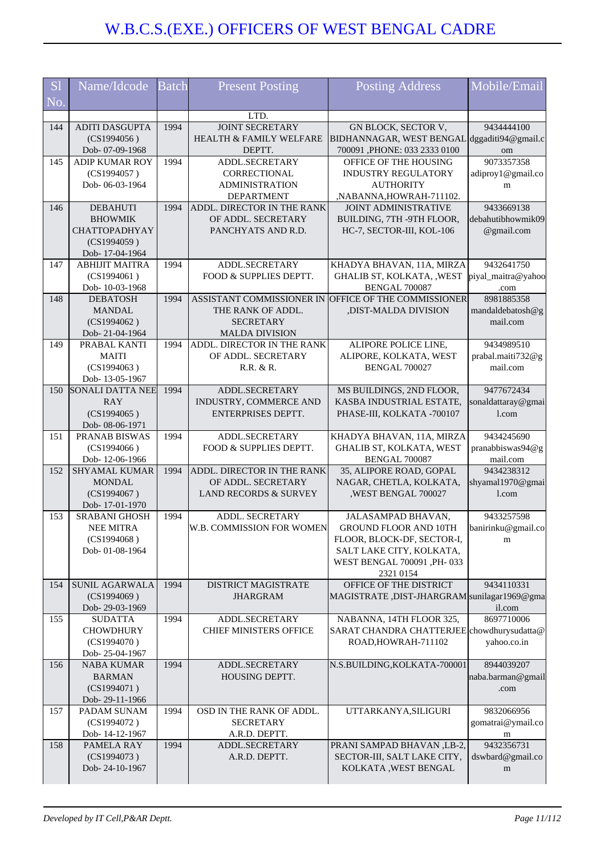| <b>S1</b> | Name/Idcode                              | <b>Batch</b> | <b>Present Posting</b>                              | <b>Posting Address</b>                                                      | Mobile/Email                     |
|-----------|------------------------------------------|--------------|-----------------------------------------------------|-----------------------------------------------------------------------------|----------------------------------|
| No.       |                                          |              |                                                     |                                                                             |                                  |
|           |                                          |              | LTD.                                                |                                                                             |                                  |
| 144       | <b>ADITI DASGUPTA</b>                    | 1994         | <b>JOINT SECRETARY</b>                              | GN BLOCK, SECTOR V,                                                         | 9434444100                       |
|           | (CS1994056)<br>Dob- 07-09-1968           |              | <b>HEALTH &amp; FAMILY WELFARE</b><br>DEPTT.        | BIDHANNAGAR, WEST BENGAL dggaditi94@gmail.c<br>700091, PHONE: 033 2333 0100 | om                               |
| 145       | <b>ADIP KUMAR ROY</b>                    | 1994         | ADDL.SECRETARY                                      | OFFICE OF THE HOUSING                                                       | 9073357358                       |
|           | (CS1994057)                              |              | CORRECTIONAL                                        | <b>INDUSTRY REGULATORY</b>                                                  | adiproy1@gmail.co                |
|           | Dob-06-03-1964                           |              | <b>ADMINISTRATION</b>                               | <b>AUTHORITY</b>                                                            | m                                |
| 146       | <b>DEBAHUTI</b>                          | 1994         | <b>DEPARTMENT</b><br>ADDL. DIRECTOR IN THE RANK     | ,NABANNA,HOWRAH-711102.<br><b>JOINT ADMINISTRATIVE</b>                      | 9433669138                       |
|           | <b>BHOWMIK</b>                           |              | OF ADDL. SECRETARY                                  | BUILDING, 7TH -9TH FLOOR,                                                   | debahutibhowmik09                |
|           | <b>CHATTOPADHYAY</b>                     |              | PANCHYATS AND R.D.                                  | HC-7, SECTOR-III, KOL-106                                                   | @gmail.com                       |
|           | (CS1994059)<br>Dob-17-04-1964            |              |                                                     |                                                                             |                                  |
| 147       | <b>ABHIJIT MAITRA</b>                    | 1994         | ADDL.SECRETARY                                      | KHADYA BHAVAN, 11A, MIRZA                                                   | 9432641750                       |
|           | (CS1994061)                              |              | FOOD & SUPPLIES DEPTT.                              | GHALIB ST, KOLKATA, , WEST                                                  | piyal_maitra@yahoo               |
|           | Dob-10-03-1968                           |              |                                                     | BENGAL 700087                                                               | .com                             |
| 148       | <b>DEBATOSH</b><br><b>MANDAL</b>         | 1994         | ASSISTANT COMMISSIONER IN<br>THE RANK OF ADDL.      | OFFICE OF THE COMMISSIONER<br>,DIST-MALDA DIVISION                          | 8981885358<br>mandaldebatosh@g   |
|           | (CS1994062)                              |              | <b>SECRETARY</b>                                    |                                                                             | mail.com                         |
|           | Dob-21-04-1964                           |              | <b>MALDA DIVISION</b>                               |                                                                             |                                  |
| 149       | PRABAL KANTI                             | 1994         | ADDL. DIRECTOR IN THE RANK                          | ALIPORE POLICE LINE,                                                        | 9434989510                       |
|           | <b>MAITI</b><br>(CS1994063)              |              | OF ADDL. SECRETARY<br>R.R. & R.                     | ALIPORE, KOLKATA, WEST<br><b>BENGAL 700027</b>                              | prabal.maiti732@g<br>mail.com    |
|           | Dob-13-05-1967                           |              |                                                     |                                                                             |                                  |
| 150       | <b>SONALI DATTA NEE</b>                  | 1994         | ADDL.SECRETARY                                      | MS BUILDINGS, 2ND FLOOR,                                                    | 9477672434                       |
|           | RAY                                      |              | INDUSTRY, COMMERCE AND                              | KASBA INDUSTRIAL ESTATE,                                                    | sonaldattaray@gmai               |
|           | (CS1994065)<br>Dob- 08-06-1971           |              | ENTERPRISES DEPTT.                                  | PHASE-III, KOLKATA -700107                                                  | 1.com                            |
| 151       | PRANAB BISWAS                            | 1994         | ADDL.SECRETARY                                      | KHADYA BHAVAN, 11A, MIRZA                                                   | 9434245690                       |
|           | (CS1994066)                              |              | FOOD & SUPPLIES DEPTT.                              | GHALIB ST, KOLKATA, WEST                                                    | pranabbiswas94@g                 |
| 152       | Dob-12-06-1966<br><b>SHYAMAL KUMAR</b>   | 1994         | ADDL. DIRECTOR IN THE RANK                          | <b>BENGAL 700087</b><br>35, ALIPORE ROAD, GOPAL                             | mail.com<br>9434238312           |
|           | <b>MONDAL</b>                            |              | OF ADDL. SECRETARY                                  | NAGAR, CHETLA, KOLKATA,                                                     | shyamal1970@gmai                 |
|           | (CS1994067)                              |              | LAND RECORDS & SURVEY                               | , WEST BENGAL 700027                                                        | l.com                            |
|           | Dob-17-01-1970                           |              |                                                     |                                                                             |                                  |
| 153       | <b>SRABANI GHOSH</b><br><b>NEE MITRA</b> | 1994         | <b>ADDL. SECRETARY</b><br>W.B. COMMISSION FOR WOMEN | JALASAMPAD BHAVAN,<br>GROUND FLOOR AND 10TH                                 | 9433257598<br>banirinku@gmail.co |
|           | (CS1994068)                              |              |                                                     | FLOOR, BLOCK-DF, SECTOR-I,                                                  | m                                |
|           | Dob-01-08-1964                           |              |                                                     | SALT LAKE CITY, KOLKATA,                                                    |                                  |
|           |                                          |              |                                                     | WEST BENGAL 700091 , PH-033                                                 |                                  |
| 154       | <b>SUNIL AGARWALA</b>                    | 1994         | <b>DISTRICT MAGISTRATE</b>                          | 2321 0154<br>OFFICE OF THE DISTRICT                                         | 9434110331                       |
|           | (CS1994069)                              |              | <b>JHARGRAM</b>                                     | MAGISTRATE, DIST-JHARGRAM sunilagar1969@gma                                 |                                  |
|           | Dob-29-03-1969                           |              |                                                     |                                                                             | il.com                           |
| 155       | <b>SUDATTA</b>                           | 1994         | ADDL.SECRETARY                                      | NABANNA, 14TH FLOOR 325,<br>SARAT CHANDRA CHATTERJEE chowdhurysudatta@      | 8697710006                       |
|           | <b>CHOWDHURY</b><br>(CS1994070)          |              | <b>CHIEF MINISTERS OFFICE</b>                       | ROAD, HOWRAH-711102                                                         | yahoo.co.in                      |
|           | Dob-25-04-1967                           |              |                                                     |                                                                             |                                  |
| 156       | <b>NABA KUMAR</b>                        | 1994         | ADDL.SECRETARY                                      | N.S.BUILDING, KOLKATA-700001                                                | 8944039207                       |
|           | <b>BARMAN</b><br>(CS1994071)             |              | HOUSING DEPTT.                                      |                                                                             | naba.barman@gmail                |
|           | Dob-29-11-1966                           |              |                                                     |                                                                             | .com                             |
| 157       | PADAM SUNAM                              | 1994         | OSD IN THE RANK OF ADDL.                            | UTTARKANYA, SILIGURI                                                        | 9832066956                       |
|           | (CS1994072)                              |              | <b>SECRETARY</b>                                    |                                                                             | gomatrai@ymail.co                |
| 158       | Dob-14-12-1967<br>PAMELA RAY             | 1994         | A.R.D. DEPTT.<br>ADDL.SECRETARY                     | PRANI SAMPAD BHAVAN ,LB-2,                                                  | m<br>9432356731                  |
|           | (CS1994073)                              |              | A.R.D. DEPTT.                                       | SECTOR-III, SALT LAKE CITY,                                                 | dswbard@gmail.co                 |
|           | Dob-24-10-1967                           |              |                                                     | KOLKATA , WEST BENGAL                                                       | m                                |
|           |                                          |              |                                                     |                                                                             |                                  |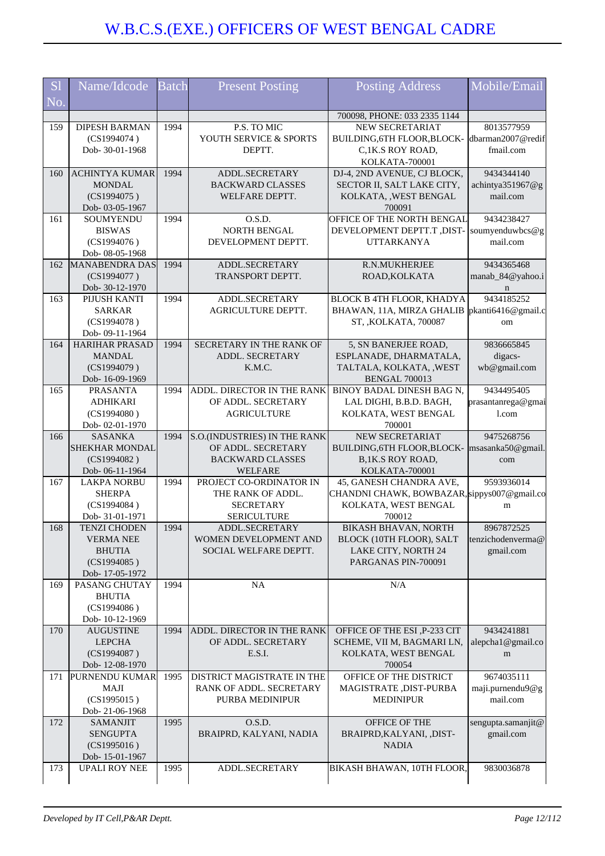| <b>Sl</b> | Name/Idcode                             | <b>Batch</b> | <b>Present Posting</b>                        | <b>Posting Address</b>                                 | Mobile/Email                |
|-----------|-----------------------------------------|--------------|-----------------------------------------------|--------------------------------------------------------|-----------------------------|
| No.       |                                         |              |                                               |                                                        |                             |
| 159       | <b>DIPESH BARMAN</b>                    | 1994         | P.S. TO MIC                                   | 700098, PHONE: 033 2335 1144<br><b>NEW SECRETARIAT</b> | 8013577959                  |
|           | (CS1994074)                             |              | YOUTH SERVICE & SPORTS                        | BUILDING, 6TH FLOOR, BLOCK-                            | dbarman2007@redif           |
|           | Dob- 30-01-1968                         |              | DEPTT.                                        | C,1K.S ROY ROAD,                                       | fmail.com                   |
|           |                                         |              |                                               | KOLKATA-700001                                         |                             |
| 160       | <b>ACHINTYA KUMAR</b>                   | 1994         | ADDL.SECRETARY                                | DJ-4, 2ND AVENUE, CJ BLOCK,                            | 9434344140                  |
|           | <b>MONDAL</b>                           |              | <b>BACKWARD CLASSES</b>                       | SECTOR II, SALT LAKE CITY,                             | achintya351967@g            |
|           | (CS1994075)                             |              | WELFARE DEPTT.                                | KOLKATA, , WEST BENGAL                                 | mail.com                    |
|           | Dob-03-05-1967                          |              |                                               | 700091                                                 |                             |
| 161       | SOUMYENDU                               | 1994         | O.S.D.                                        | OFFICE OF THE NORTH BENGAL                             | 9434238427                  |
|           | <b>BISWAS</b><br>(CS1994076)            |              | NORTH BENGAL<br>DEVELOPMENT DEPTT.            | DEVELOPMENT DEPTT.T, DIST-<br><b>UTTARKANYA</b>        | soumyenduwbcs@g<br>mail.com |
|           | Dob- 08-05-1968                         |              |                                               |                                                        |                             |
| 162       | <b>MANABENDRA DAS</b>                   | 1994         | ADDL.SECRETARY                                | R.N.MUKHERJEE                                          | 9434365468                  |
|           | (CS1994077)                             |              | TRANSPORT DEPTT.                              | ROAD, KOLKATA                                          | manab_84@yahoo.i            |
|           | Dob-30-12-1970                          |              |                                               |                                                        | n                           |
| 163       | PIJUSH KANTI                            | 1994         | ADDL.SECRETARY                                | BLOCK B 4TH FLOOR, KHADYA                              | 9434185252                  |
|           | <b>SARKAR</b>                           |              | AGRICULTURE DEPTT.                            | BHAWAN, 11A, MIRZA GHALIB  pkanti6416@gmail.c          |                             |
|           | (CS1994078)                             |              |                                               | ST, , KOLKATA, 700087                                  | om                          |
| 164       | Dob-09-11-1964<br><b>HARIHAR PRASAD</b> | 1994         | SECRETARY IN THE RANK OF                      | 5, SN BANERJEE ROAD,                                   | 9836665845                  |
|           | <b>MANDAL</b>                           |              | ADDL. SECRETARY                               | ESPLANADE, DHARMATALA,                                 | digacs-                     |
|           | (CS1994079)                             |              | K.M.C.                                        | TALTALA, KOLKATA, , WEST                               | wb@gmail.com                |
|           | Dob-16-09-1969                          |              |                                               | <b>BENGAL 700013</b>                                   |                             |
| 165       | <b>PRASANTA</b>                         | 1994         | ADDL. DIRECTOR IN THE RANK                    | BINOY BADAL DINESH BAG N,                              | 9434495405                  |
|           | <b>ADHIKARI</b>                         |              | OF ADDL. SECRETARY                            | LAL DIGHI, B.B.D. BAGH,                                | prasantanrega@gmai          |
|           | (CS1994080)                             |              | <b>AGRICULTURE</b>                            | KOLKATA, WEST BENGAL                                   | 1.com                       |
|           | Dob-02-01-1970                          |              |                                               | 700001                                                 |                             |
| 166       | <b>SASANKA</b>                          | 1994         | <b>S.O.(INDUSTRIES) IN THE RANK</b>           | NEW SECRETARIAT                                        | 9475268756                  |
|           | <b>SHEKHAR MONDAL</b>                   |              | OF ADDL. SECRETARY<br><b>BACKWARD CLASSES</b> | BUILDING, 6TH FLOOR, BLOCK-<br>B,1K.S ROY ROAD,        | msasanka50@gmail.           |
|           | (CS1994082)<br>Dob-06-11-1964           |              | <b>WELFARE</b>                                | KOLKATA-700001                                         | com                         |
| 167       | <b>LAKPA NORBU</b>                      | 1994         | PROJECT CO-ORDINATOR IN                       | 45, GANESH CHANDRA AVE,                                | 9593936014                  |
|           | <b>SHERPA</b>                           |              | THE RANK OF ADDL.                             | CHANDNI CHAWK, BOWBAZAR, sippys007@gmail.co            |                             |
|           | (CS1994084)                             |              | <b>SECRETARY</b>                              | KOLKATA, WEST BENGAL                                   | m                           |
|           | Dob- 31-01-1971                         |              | <b>SERICULTURE</b>                            | 700012                                                 |                             |
| 168       | <b>TENZI CHODEN</b>                     | 1994         | ADDL.SECRETARY                                | <b>BIKASH BHAVAN, NORTH</b>                            | 8967872525                  |
|           | <b>VERMA NEE</b>                        |              | WOMEN DEVELOPMENT AND                         | BLOCK (10TH FLOOR), SALT                               | tenzichodenverma@           |
|           | <b>BHUTIA</b>                           |              | SOCIAL WELFARE DEPTT.                         | LAKE CITY, NORTH 24                                    | gmail.com                   |
|           | (CS1994085)<br>Dob-17-05-1972           |              |                                               | PARGANAS PIN-700091                                    |                             |
| 169       | PASANG CHUTAY                           | 1994         | NA                                            | N/A                                                    |                             |
|           | <b>BHUTIA</b>                           |              |                                               |                                                        |                             |
|           | (CS1994086)                             |              |                                               |                                                        |                             |
|           | Dob-10-12-1969                          |              |                                               |                                                        |                             |
| 170       | <b>AUGUSTINE</b>                        | 1994         | ADDL. DIRECTOR IN THE RANK                    | OFFICE OF THE ESI, P-233 CIT                           | 9434241881                  |
|           | <b>LEPCHA</b>                           |              | OF ADDL. SECRETARY                            | SCHEME, VII M, BAGMARI LN,                             | alepcha1@gmail.co           |
|           | (CS1994087)                             |              | E.S.I.                                        | KOLKATA, WEST BENGAL                                   | m                           |
| 171       | Dob-12-08-1970<br>PURNENDU KUMAR        | 1995         | DISTRICT MAGISTRATE IN THE                    | 700054<br>OFFICE OF THE DISTRICT                       | 9674035111                  |
|           | MAJI                                    |              | RANK OF ADDL. SECRETARY                       | MAGISTRATE, DIST-PURBA                                 | maji.purnendu9@g            |
|           | (CS1995015)                             |              | PURBA MEDINIPUR                               | <b>MEDINIPUR</b>                                       | mail.com                    |
|           | Dob-21-06-1968                          |              |                                               |                                                        |                             |
| 172       | <b>SAMANJIT</b>                         | 1995         | O.S.D.                                        | OFFICE OF THE                                          | sengupta.samanjit@          |
|           | <b>SENGUPTA</b>                         |              | BRAIPRD, KALYANI, NADIA                       | BRAIPRD, KALYANI, , DIST-                              | gmail.com                   |
|           | (CS1995016)                             |              |                                               | <b>NADIA</b>                                           |                             |
|           | Dob-15-01-1967                          |              |                                               |                                                        |                             |
| 173       | <b>UPALI ROY NEE</b>                    | 1995         | ADDL.SECRETARY                                | BIKASH BHAWAN, 10TH FLOOR,                             | 9830036878                  |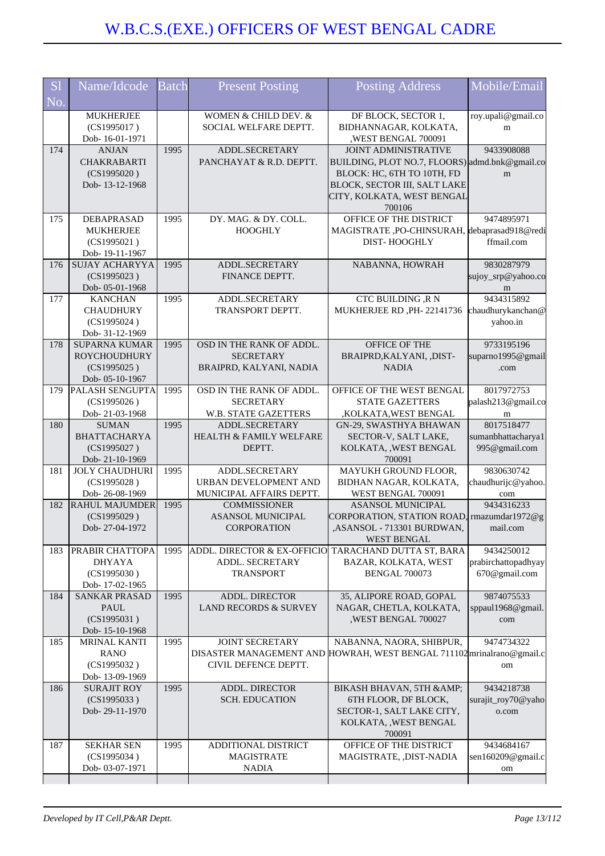| <b>S1</b><br>No. | Name/Idcode                                                                   | <b>Batch</b> | <b>Present Posting</b>                                                        | <b>Posting Address</b>                                                                                                                                                              | Mobile/Email                                       |
|------------------|-------------------------------------------------------------------------------|--------------|-------------------------------------------------------------------------------|-------------------------------------------------------------------------------------------------------------------------------------------------------------------------------------|----------------------------------------------------|
|                  | <b>MUKHERJEE</b><br>(CS1995017)<br>Dob-16-01-1971                             |              | WOMEN & CHILD DEV. &<br>SOCIAL WELFARE DEPTT.                                 | DF BLOCK, SECTOR 1,<br>BIDHANNAGAR, KOLKATA,<br>WEST BENGAL 700091                                                                                                                  | roy.upali@gmail.co<br>m                            |
| 174              | <b>ANJAN</b><br><b>CHAKRABARTI</b><br>(CS1995020)<br>Dob-13-12-1968           | 1995         | ADDL.SECRETARY<br>PANCHAYAT & R.D. DEPTT.                                     | <b>JOINT ADMINISTRATIVE</b><br>BUILDING, PLOT NO.7, FLOORS) admd.bnk@gmail.co<br>BLOCK: HC, 6TH TO 10TH, FD<br>BLOCK, SECTOR III, SALT LAKE<br>CITY, KOLKATA, WEST BENGAL<br>700106 | 9433908088<br>m                                    |
| 175              | <b>DEBAPRASAD</b><br><b>MUKHERJEE</b><br>(CS1995021)<br>Dob-19-11-1967        | 1995         | DY. MAG. & DY. COLL.<br><b>HOOGHLY</b>                                        | OFFICE OF THE DISTRICT<br>MAGISTRATE, PO-CHINSURAH, debaprasad918@redi<br><b>DIST-HOOGHLY</b>                                                                                       | 9474895971<br>ffmail.com                           |
| 176              | <b>SUJAY ACHARYYA</b><br>(CS1995023)<br>Dob-05-01-1968                        | 1995         | ADDL.SECRETARY<br>FINANCE DEPTT.                                              | NABANNA, HOWRAH                                                                                                                                                                     | 9830287979<br>sujoy_srp@yahoo.co<br>m              |
| 177              | <b>KANCHAN</b><br><b>CHAUDHURY</b><br>(CS1995024)<br>Dob- 31-12-1969          | 1995         | ADDL.SECRETARY<br>TRANSPORT DEPTT.                                            | <b>CTC BUILDING ,R N</b><br>MUKHERJEE RD, PH-22141736                                                                                                                               | 9434315892<br>chaudhurykanchan@<br>yahoo.in        |
| 178              | <b>SUPARNA KUMAR</b><br><b>ROYCHOUDHURY</b><br>(CS1995025)<br>Dob- 05-10-1967 | 1995         | OSD IN THE RANK OF ADDL.<br><b>SECRETARY</b><br>BRAIPRD, KALYANI, NADIA       | <b>OFFICE OF THE</b><br>BRAIPRD, KALYANI, , DIST-<br><b>NADIA</b>                                                                                                                   | 9733195196<br>suparno1995@gmail<br>.com            |
| 179              | <b>PALASH SENGUPTA</b><br>(CS1995026)<br>Dob-21-03-1968                       | 1995         | OSD IN THE RANK OF ADDL.<br><b>SECRETARY</b><br>W.B. STATE GAZETTERS          | OFFICE OF THE WEST BENGAL<br><b>STATE GAZETTERS</b><br>,KOLKATA, WEST BENGAL                                                                                                        | 8017972753<br>palash213@gmail.co<br>m              |
| 180              | <b>SUMAN</b><br><b>BHATTACHARYA</b><br>(CS1995027)<br>Dob-21-10-1969          | 1995         | ADDL.SECRETARY<br><b>HEALTH &amp; FAMILY WELFARE</b><br>DEPTT.                | GN-29, SWASTHYA BHAWAN<br>SECTOR-V, SALT LAKE,<br>KOLKATA, , WEST BENGAL<br>700091                                                                                                  | 8017518477<br>sumanbhattacharya1<br>995@gmail.com  |
| 181              | <b>JOLY CHAUDHURI</b><br>(CS1995028)<br>Dob-26-08-1969                        | 1995         | ADDL.SECRETARY<br>URBAN DEVELOPMENT AND<br>MUNICIPAL AFFAIRS DEPTT.           | MAYUKH GROUND FLOOR,<br>BIDHAN NAGAR, KOLKATA,<br>WEST BENGAL 700091                                                                                                                | 9830630742<br>chaudhurijc@yahoo.<br>com            |
| 182              | <b>RAHUL MAJUMDER</b><br>(CS1995029)<br>Dob-27-04-1972                        | 1995         | <b>COMMISSIONER</b><br>ASANSOL MUNICIPAL<br><b>CORPORATION</b>                | <b>ASANSOL MUNICIPAL</b><br>CORPORATION, STATION ROAD, mazumdar1972@g<br>ASANSOL - 713301 BURDWAN<br><b>WEST BENGAL</b>                                                             | 9434316233<br>mail.com                             |
| 183              | PRABIR CHATTOPA<br><b>DHYAYA</b><br>(CS1995030)<br>Dob-17-02-1965             | 1995         | <b>ADDL. DIRECTOR &amp; EX-OFFICIO</b><br>ADDL. SECRETARY<br><b>TRANSPORT</b> | TARACHAND DUTTA ST, BARA<br>BAZAR, KOLKATA, WEST<br><b>BENGAL 700073</b>                                                                                                            | 9434250012<br>prabirchattopadhyay<br>670@gmail.com |
| 184              | <b>SANKAR PRASAD</b><br><b>PAUL</b><br>(CS1995031)<br>Dob-15-10-1968          | 1995         | <b>ADDL. DIRECTOR</b><br>LAND RECORDS & SURVEY                                | 35, ALIPORE ROAD, GOPAL<br>NAGAR, CHETLA, KOLKATA,<br>,WEST BENGAL 700027                                                                                                           | 9874075533<br>sppaul1968@gmail.<br>com             |
| 185              | <b>MRINAL KANTI</b><br><b>RANO</b><br>(CS1995032)<br>Dob-13-09-1969           | 1995         | <b>JOINT SECRETARY</b><br>CIVIL DEFENCE DEPTT.                                | NABANNA, NAORA, SHIBPUR,<br>DISASTER MANAGEMENT AND HOWRAH, WEST BENGAL 711102 mrinalrano@gmail.c                                                                                   | 9474734322<br>om                                   |
| 186              | <b>SURAJIT ROY</b><br>(CS1995033)<br>Dob-29-11-1970                           | 1995         | <b>ADDL. DIRECTOR</b><br><b>SCH. EDUCATION</b>                                | BIKASH BHAVAN, 5TH &<br>6TH FLOOR, DF BLOCK,<br>SECTOR-1, SALT LAKE CITY,<br>KOLKATA, , WEST BENGAL<br>700091                                                                       | 9434218738<br>surajit_roy70@yaho<br>o.com          |
| 187              | <b>SEKHAR SEN</b><br>(CS1995034)<br>Dob- 03-07-1971                           | 1995         | ADDITIONAL DISTRICT<br><b>MAGISTRATE</b><br><b>NADIA</b>                      | OFFICE OF THE DISTRICT<br>MAGISTRATE, ,DIST-NADIA                                                                                                                                   | 9434684167<br>sen160209@gmail.c<br>om              |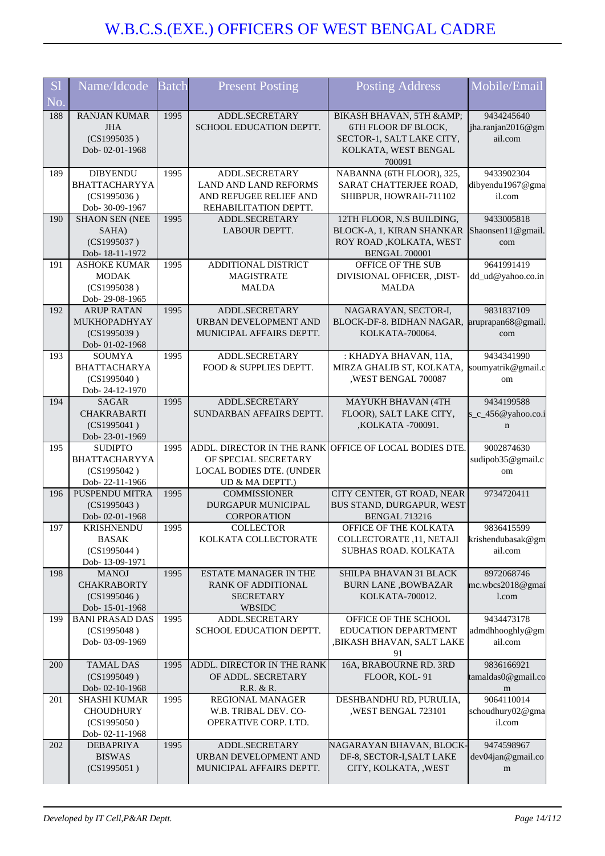| <b>S1</b>  | Name/Idcode                              | <b>Batch</b> | <b>Present Posting</b>                           | <b>Posting Address</b>                            | Mobile/Email                     |
|------------|------------------------------------------|--------------|--------------------------------------------------|---------------------------------------------------|----------------------------------|
| No.        |                                          |              |                                                  |                                                   |                                  |
| 188        | <b>RANJAN KUMAR</b>                      | 1995         | ADDL.SECRETARY                                   | BIKASH BHAVAN, 5TH &                              | 9434245640                       |
|            | <b>JHA</b>                               |              | SCHOOL EDUCATION DEPTT.                          | 6TH FLOOR DF BLOCK,                               | jha.ranjan2016@gm                |
|            | (CS1995035)<br>Dob-02-01-1968            |              |                                                  | SECTOR-1, SALT LAKE CITY,<br>KOLKATA, WEST BENGAL | ail.com                          |
|            |                                          |              |                                                  | 700091                                            |                                  |
| 189        | <b>DIBYENDU</b>                          | 1995         | ADDL.SECRETARY                                   | NABANNA (6TH FLOOR), 325,                         | 9433902304                       |
|            | <b>BHATTACHARYYA</b>                     |              | <b>LAND AND LAND REFORMS</b>                     | SARAT CHATTERJEE ROAD,                            | dibyendu1967@gma                 |
|            | (CS1995036)<br>Dob- 30-09-1967           |              | AND REFUGEE RELIEF AND<br>REHABILITATION DEPTT.  | SHIBPUR, HOWRAH-711102                            | il.com                           |
| 190        | <b>SHAON SEN (NEE</b>                    | 1995         | ADDL.SECRETARY                                   | 12TH FLOOR, N.S BUILDING,                         | 9433005818                       |
|            | SAHA)                                    |              | <b>LABOUR DEPTT.</b>                             | BLOCK-A, 1, KIRAN SHANKAR                         | Shaonsen11@gmail.                |
|            | (CS1995037)                              |              |                                                  | ROY ROAD, KOLKATA, WEST                           | com                              |
| 191        | Dob-18-11-1972<br><b>ASHOKE KUMAR</b>    | 1995         | ADDITIONAL DISTRICT                              | BENGAL 700001<br>OFFICE OF THE SUB                | 9641991419                       |
|            | <b>MODAK</b>                             |              | <b>MAGISTRATE</b>                                | DIVISIONAL OFFICER, ,DIST-                        | dd_ud@yahoo.co.in                |
|            | (CS1995038)                              |              | <b>MALDA</b>                                     | <b>MALDA</b>                                      |                                  |
|            | Dob-29-08-1965                           |              |                                                  |                                                   |                                  |
| 192        | <b>ARUP RATAN</b><br>MUKHOPADHYAY        | 1995         | ADDL.SECRETARY<br>URBAN DEVELOPMENT AND          | NAGARAYAN, SECTOR-I,<br>BLOCK-DF-8. BIDHAN NAGAR. | 9831837109<br>aruprapan68@gmail. |
|            | (CS1995039)                              |              | MUNICIPAL AFFAIRS DEPTT.                         | KOLKATA-700064.                                   | com                              |
|            | Dob- 01-02-1968                          |              |                                                  |                                                   |                                  |
| 193        | <b>SOUMYA</b>                            | 1995         | ADDL.SECRETARY                                   | : KHADYA BHAVAN, 11A,                             | 9434341990                       |
|            | <b>BHATTACHARYA</b><br>(CS1995040)       |              | FOOD & SUPPLIES DEPTT.                           | MIRZA GHALIB ST, KOLKATA,<br>,WEST BENGAL 700087  | soumyatrik@gmail.c               |
|            | Dob-24-12-1970                           |              |                                                  |                                                   | om                               |
| 194        | <b>SAGAR</b>                             | 1995         | ADDL.SECRETARY                                   | <b>MAYUKH BHAVAN (4TH</b>                         | 9434199588                       |
|            | <b>CHAKRABARTI</b>                       |              | SUNDARBAN AFFAIRS DEPTT.                         | FLOOR), SALT LAKE CITY,                           | s_c_456@yahoo.co.i               |
|            | (CS1995041)                              |              |                                                  | ,KOLKATA -700091.                                 | $\mathbf n$                      |
| 195        | Dob-23-01-1969<br><b>SUDIPTO</b>         | 1995         | ADDL. DIRECTOR IN THE RANK                       | OFFICE OF LOCAL BODIES DTE.                       | 9002874630                       |
|            | <b>BHATTACHARYYA</b>                     |              | OF SPECIAL SECRETARY                             |                                                   | sudipob35@gmail.c                |
|            | (CS1995042)                              |              | LOCAL BODIES DTE. (UNDER                         |                                                   | om                               |
| 196        | Dob-22-11-1966<br>PUSPENDU MITRA         | 1995         | UD & MA DEPTT.)<br><b>COMMISSIONER</b>           | CITY CENTER, GT ROAD, NEAR                        | 9734720411                       |
|            | (CS1995043)                              |              | <b>DURGAPUR MUNICIPAL</b>                        | BUS STAND, DURGAPUR, WEST                         |                                  |
|            | Dob-02-01-1968                           |              | <b>CORPORATION</b>                               | <b>BENGAL 713216</b>                              |                                  |
| 197        | <b>KRISHNENDU</b>                        | 1995         | <b>COLLECTOR</b>                                 | OFFICE OF THE KOLKATA                             | 9836415599                       |
|            | <b>BASAK</b><br>(CS1995044)              |              | KOLKATA COLLECTORATE                             | COLLECTORATE, 11, NETAJI<br>SUBHAS ROAD. KOLKATA  | krishendubasak@gm<br>ail.com     |
|            | Dob-13-09-1971                           |              |                                                  |                                                   |                                  |
| 198        | <b>MANOJ</b>                             | 1995         | <b>ESTATE MANAGER IN THE</b>                     | SHILPA BHAVAN 31 BLACK                            | 8972068746                       |
|            | <b>CHAKRABORTY</b>                       |              | RANK OF ADDITIONAL                               | <b>BURN LANE ,BOWBAZAR</b>                        | mc.wbcs2018@gmai                 |
|            | (CS1995046)                              |              | <b>SECRETARY</b>                                 | KOLKATA-700012.                                   | l.com                            |
| 199        | Dob-15-01-1968<br><b>BANI PRASAD DAS</b> | 1995         | WBSIDC<br>ADDL.SECRETARY                         | OFFICE OF THE SCHOOL                              | 9434473178                       |
|            | (CS1995048)                              |              | SCHOOL EDUCATION DEPTT.                          | EDUCATION DEPARTMENT                              | admdhhooghly@gm                  |
|            | Dob-03-09-1969                           |              |                                                  | , BIKASH BHAVAN, SALT LAKE                        | ail.com                          |
|            |                                          |              |                                                  | 91                                                |                                  |
| <b>200</b> | <b>TAMAL DAS</b><br>(CS1995049)          | 1995         | ADDL. DIRECTOR IN THE RANK<br>OF ADDL. SECRETARY | 16A, BRABOURNE RD. 3RD<br>FLOOR, KOL-91           | 9836166921<br>tamaldas0@gmail.co |
|            | Dob-02-10-1968                           |              | R.R. & R.                                        |                                                   | m                                |
| 201        | <b>SHASHI KUMAR</b>                      | 1995         | REGIONAL MANAGER                                 | DESHBANDHU RD, PURULIA,                           | 9064110014                       |
|            | <b>CHOUDHURY</b>                         |              | W.B. TRIBAL DEV. CO-                             | , WEST BENGAL 723101                              | schoudhury02@gma                 |
|            | (CS1995050)<br>Dob-02-11-1968            |              | OPERATIVE CORP. LTD.                             |                                                   | il.com                           |
| 202        | <b>DEBAPRIYA</b>                         | 1995         | ADDL.SECRETARY                                   | NAGARAYAN BHAVAN, BLOCK-                          | 9474598967                       |
|            | <b>BISWAS</b>                            |              | URBAN DEVELOPMENT AND                            | DF-8, SECTOR-I, SALT LAKE                         | dev04jan@gmail.co                |
|            | (CS1995051)                              |              | MUNICIPAL AFFAIRS DEPTT.                         | CITY, KOLKATA, , WEST                             | m                                |
|            |                                          |              |                                                  |                                                   |                                  |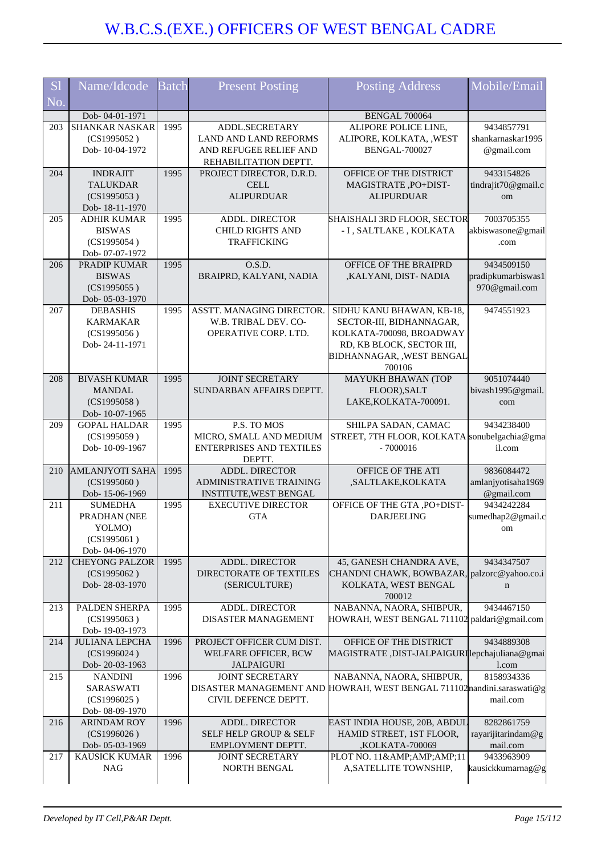| <b>Sl</b> | Name/Idcode                             | <b>Batch</b> | <b>Present Posting</b>                              | <b>Posting Address</b>                                                 | Mobile/Email                     |
|-----------|-----------------------------------------|--------------|-----------------------------------------------------|------------------------------------------------------------------------|----------------------------------|
| No.       |                                         |              |                                                     |                                                                        |                                  |
| 203       | Dob-04-01-1971<br><b>SHANKAR NASKAR</b> | 1995         | ADDL.SECRETARY                                      | BENGAL 700064<br>ALIPORE POLICE LINE,                                  | 9434857791                       |
|           | (CS1995052)                             |              | <b>LAND AND LAND REFORMS</b>                        | ALIPORE, KOLKATA, , WEST                                               | shankarnaskar1995                |
|           | Dob-10-04-1972                          |              | AND REFUGEE RELIEF AND                              | <b>BENGAL-700027</b>                                                   | @gmail.com                       |
|           |                                         |              | REHABILITATION DEPTT.                               |                                                                        |                                  |
| 204       | <b>INDRAJIT</b>                         | 1995         | PROJECT DIRECTOR, D.R.D.                            | OFFICE OF THE DISTRICT                                                 | 9433154826                       |
|           | <b>TALUKDAR</b>                         |              | <b>CELL</b>                                         | MAGISTRATE, PO+DIST-                                                   | tindrajit70@gmail.c              |
|           | (CS1995053)                             |              | <b>ALIPURDUAR</b>                                   | <b>ALIPURDUAR</b>                                                      | om                               |
|           | Dob-18-11-1970                          |              |                                                     |                                                                        |                                  |
| 205       | <b>ADHIR KUMAR</b>                      | 1995         | <b>ADDL. DIRECTOR</b>                               | SHAISHALI 3RD FLOOR, SECTOR                                            | 7003705355                       |
|           | <b>BISWAS</b>                           |              | <b>CHILD RIGHTS AND</b>                             | - I, SALTLAKE, KOLKATA                                                 | akbiswasone@gmail                |
|           | (CS1995054)<br>Dob- 07-07-1972          |              | <b>TRAFFICKING</b>                                  |                                                                        | .com                             |
| 206       | PRADIP KUMAR                            | 1995         | O.S.D.                                              | OFFICE OF THE BRAIPRD                                                  | 9434509150                       |
|           | <b>BISWAS</b>                           |              | BRAIPRD, KALYANI, NADIA                             | ,KALYANI, DIST- NADIA                                                  | pradipkumarbiswas1               |
|           | (CS1995055)                             |              |                                                     |                                                                        | 970@gmail.com                    |
|           | Dob-05-03-1970                          |              |                                                     |                                                                        |                                  |
| 207       | <b>DEBASHIS</b>                         | 1995         | ASSTT. MANAGING DIRECTOR.                           | SIDHU KANU BHAWAN, KB-18,                                              | 9474551923                       |
|           | <b>KARMAKAR</b>                         |              | W.B. TRIBAL DEV. CO-                                | SECTOR-III, BIDHANNAGAR,                                               |                                  |
|           | (CS1995056)                             |              | OPERATIVE CORP. LTD.                                | KOLKATA-700098, BROADWAY                                               |                                  |
|           | Dob-24-11-1971                          |              |                                                     | RD, KB BLOCK, SECTOR III,                                              |                                  |
|           |                                         |              |                                                     | BIDHANNAGAR, , WEST BENGAL<br>700106                                   |                                  |
| 208       | <b>BIVASH KUMAR</b>                     | 1995         | <b>JOINT SECRETARY</b>                              | MAYUKH BHAWAN (TOP                                                     | 9051074440                       |
|           | <b>MANDAL</b>                           |              | SUNDARBAN AFFAIRS DEPTT.                            | FLOOR), SALT                                                           | bivash1995@gmail.                |
|           | (CS1995058)                             |              |                                                     | LAKE, KOLKATA-700091.                                                  | com                              |
|           | Dob-10-07-1965                          |              |                                                     |                                                                        |                                  |
| 209       | <b>GOPAL HALDAR</b>                     | 1995         | P.S. TO MOS                                         | SHILPA SADAN, CAMAC                                                    | 9434238400                       |
|           | (CS1995059)                             |              | MICRO, SMALL AND MEDIUM                             | STREET, 7TH FLOOR, KOLKATA sonubelgachia@gma                           |                                  |
|           | Dob-10-09-1967                          |              | <b>ENTERPRISES AND TEXTILES</b><br>DEPTT.           | $-7000016$                                                             | il.com                           |
| 210       | <b>AMLANJYOTI SAHA</b>                  | 1995         | ADDL. DIRECTOR                                      | OFFICE OF THE ATI                                                      | 9836084472                       |
|           | (CS1995060)                             |              | <b>ADMINISTRATIVE TRAINING</b>                      | ,SALTLAKE,KOLKATA                                                      | amlanjyotisaha1969               |
|           | Dob-15-06-1969                          |              | INSTITUTE, WEST BENGAL                              |                                                                        | @gmail.com                       |
| 211       | <b>SUMEDHA</b>                          | 1995         | <b>EXECUTIVE DIRECTOR</b>                           | OFFICE OF THE GTA , PO+DIST-                                           | 9434242284                       |
|           | PRADHAN (NEE                            |              | <b>GTA</b>                                          | <b>DARJEELING</b>                                                      | sumedhap2@gmail.c                |
|           | YOLMO)<br>(CS1995061)                   |              |                                                     |                                                                        | om                               |
|           | Dob-04-06-1970                          |              |                                                     |                                                                        |                                  |
| 212       | <b>CHEYONG PALZOR</b>                   | 1995         | ADDL. DIRECTOR                                      | 45, GANESH CHANDRA AVE,                                                | 9434347507                       |
|           | (CS1995062)                             |              | <b>DIRECTORATE OF TEXTILES</b>                      | CHANDNI CHAWK, BOWBAZAR, palzorc@yahoo.co.i                            |                                  |
|           | Dob-28-03-1970                          |              | (SERICULTURE)                                       | KOLKATA, WEST BENGAL                                                   | n                                |
|           |                                         |              |                                                     | 700012                                                                 |                                  |
| 213       | PALDEN SHERPA                           | 1995         | <b>ADDL. DIRECTOR</b>                               | NABANNA, NAORA, SHIBPUR,                                               | 9434467150                       |
|           | (CS1995063)                             |              | <b>DISASTER MANAGEMENT</b>                          | HOWRAH, WEST BENGAL 711102 paldari@gmail.com                           |                                  |
| 214       | Dob-19-03-1973<br><b>JULIANA LEPCHA</b> | 1996         | PROJECT OFFICER CUM DIST.                           | OFFICE OF THE DISTRICT                                                 | 9434889308                       |
|           | (CS1996024)                             |              | WELFARE OFFICER, BCW                                | MAGISTRATE, DIST-JALPAIGURIlepchajuliana@gmai                          |                                  |
|           | Dob-20-03-1963                          |              | <b>JALPAIGURI</b>                                   |                                                                        | l.com                            |
| 215       | <b>NANDINI</b>                          | 1996         | <b>JOINT SECRETARY</b>                              | NABANNA, NAORA, SHIBPUR,                                               | 8158934336                       |
|           | SARASWATI                               |              |                                                     | DISASTER MANAGEMENT AND HOWRAH, WEST BENGAL 711102 nandini.saraswati@g |                                  |
|           | (CS1996025)                             |              | CIVIL DEFENCE DEPTT.                                |                                                                        | mail.com                         |
|           | Dob- 08-09-1970                         |              |                                                     |                                                                        |                                  |
| 216       | <b>ARINDAM ROY</b><br>(CS1996026)       | 1996         | ADDL. DIRECTOR<br><b>SELF HELP GROUP &amp; SELF</b> | EAST INDIA HOUSE, 20B, ABDUL<br>HAMID STREET, 1ST FLOOR,               | 8282861759<br>rayarijitarindam@g |
|           | Dob- 05-03-1969                         |              | EMPLOYMENT DEPTT.                                   | ,KOLKATA-700069                                                        | mail.com                         |
| 217       | KAUSICK KUMAR                           | 1996         | <b>JOINT SECRETARY</b>                              | PLOT NO. 11&11                                                         | 9433963909                       |
|           | <b>NAG</b>                              |              | NORTH BENGAL                                        | A, SATELLITE TOWNSHIP,                                                 | kausickkumarnag@g                |
|           |                                         |              |                                                     |                                                                        |                                  |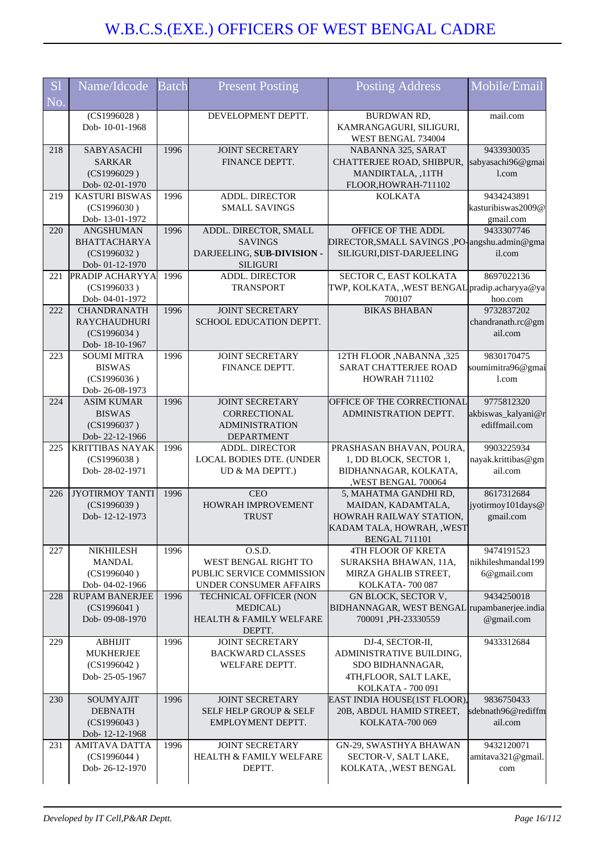| <b>S</b> l<br>No. | Name/Idcode                                                                | <b>Batch</b> | <b>Present Posting</b>                                                                      | <b>Posting Address</b>                                                                                                       | Mobile/Email                                      |
|-------------------|----------------------------------------------------------------------------|--------------|---------------------------------------------------------------------------------------------|------------------------------------------------------------------------------------------------------------------------------|---------------------------------------------------|
|                   | (CS1996028)<br>Dob-10-01-1968                                              |              | DEVELOPMENT DEPTT.                                                                          | BURDWAN RD,<br>KAMRANGAGURI, SILIGURI,<br>WEST BENGAL 734004                                                                 | mail.com                                          |
| 218               | SABYASACHI<br><b>SARKAR</b><br>(CS1996029)<br>Dob-02-01-1970               | 1996         | <b>JOINT SECRETARY</b><br>FINANCE DEPTT.                                                    | NABANNA 325, SARAT<br>CHATTERJEE ROAD, SHIBPUR,<br>MANDIRTALA, ,11TH<br>FLOOR, HOWRAH-711102                                 | 9433930035<br>sabyasachi96@gmai<br>l.com          |
| 219               | <b>KASTURI BISWAS</b><br>(CS1996030)<br>Dob-13-01-1972                     | 1996         | ADDL. DIRECTOR<br><b>SMALL SAVINGS</b>                                                      | <b>KOLKATA</b>                                                                                                               | 9434243891<br>kasturibiswas2009@<br>gmail.com     |
| 220               | ANGSHUMAN<br><b>BHATTACHARYA</b><br>(CS1996032)<br>Dob- 01-12-1970         | 1996         | ADDL. DIRECTOR, SMALL<br><b>SAVINGS</b><br>DARJEELING, SUB-DIVISION -<br><b>SILIGURI</b>    | OFFICE OF THE ADDL<br>DIRECTOR, SMALL SAVINGS, PO-angshu.admin@gma<br>SILIGURI, DIST-DARJEELING                              | 9433307746<br>il.com                              |
| 221               | <b>PRADIP ACHARYYA</b><br>(CS1996033)<br>Dob-04-01-1972                    | 1996         | <b>ADDL. DIRECTOR</b><br><b>TRANSPORT</b>                                                   | SECTOR C, EAST KOLKATA<br>TWP, KOLKATA, ,WEST BENGAL pradip.acharyya@ya<br>700107                                            | 8697022136<br>hoo.com                             |
| 222               | <b>CHANDRANATH</b><br><b>RAYCHAUDHURI</b><br>(CS1996034)<br>Dob-18-10-1967 | 1996         | <b>JOINT SECRETARY</b><br>SCHOOL EDUCATION DEPTT.                                           | <b>BIKAS BHABAN</b>                                                                                                          | 9732837202<br>chandranath.rc@gm<br>ail.com        |
| 223               | <b>SOUMI MITRA</b><br><b>BISWAS</b><br>(CS1996036)<br>Dob-26-08-1973       | 1996         | <b>JOINT SECRETARY</b><br>FINANCE DEPTT.                                                    | 12TH FLOOR , NABANNA , 325<br>SARAT CHATTERJEE ROAD<br><b>HOWRAH 711102</b>                                                  | 9830170475<br>soumimitra96@gmai<br>1.com          |
| 224               | <b>ASIM KUMAR</b><br><b>BISWAS</b><br>(CS1996037)<br>Dob-22-12-1966        | 1996         | <b>JOINT SECRETARY</b><br><b>CORRECTIONAL</b><br><b>ADMINISTRATION</b><br><b>DEPARTMENT</b> | OFFICE OF THE CORRECTIONAL<br>ADMINISTRATION DEPTT.                                                                          | 9775812320<br>akbiswas_kalyani@r<br>ediffmail.com |
| 225               | <b>KRITTIBAS NAYAK</b><br>(CS1996038)<br>Dob-28-02-1971                    | 1996         | ADDL. DIRECTOR<br>LOCAL BODIES DTE. (UNDER<br>UD & MA DEPTT.)                               | PRASHASAN BHAVAN, POURA,<br>1, DD BLOCK, SECTOR 1,<br>BIDHANNAGAR, KOLKATA,<br>,WEST BENGAL 700064                           | 9903225934<br>nayak.krittibas@gm<br>ail.com       |
| 226               | <b>JYOTIRMOY TANTI</b><br>(CS1996039)<br>Dob-12-12-1973                    | 1996         | <b>CEO</b><br>HOWRAH IMPROVEMENT<br><b>TRUST</b>                                            | 5, MAHATMA GANDHI RD,<br>MAIDAN, KADAMTALA,<br>HOWRAH RAILWAY STATION,<br>KADAM TALA, HOWRAH, , WEST<br><b>BENGAL 711101</b> | 8617312684<br>iyotirmoy101days@<br>gmail.com      |
| 227               | <b>NIKHILESH</b><br><b>MANDAL</b><br>(CS1996040)<br>Dob-04-02-1966         | 1996         | O.S.D.<br>WEST BENGAL RIGHT TO<br>PUBLIC SERVICE COMMISSION<br>UNDER CONSUMER AFFAIRS       | <b>4TH FLOOR OF KRETA</b><br>SURAKSHA BHAWAN, 11A,<br>MIRZA GHALIB STREET,<br>KOLKATA-700087                                 | 9474191523<br>nikhileshmandal199<br>6@gmail.com   |
| 228               | <b>RUPAM BANERJEE</b><br>(CS1996041)<br>Dob-09-08-1970                     | 1996         | TECHNICAL OFFICER (NON<br>MEDICAL)<br><b>HEALTH &amp; FAMILY WELFARE</b><br>DEPTT.          | GN BLOCK, SECTOR V,<br>BIDHANNAGAR, WEST BENGAL rupambanerjee.india<br>700091, PH-23330559                                   | 9434250018<br>@gmail.com                          |
| 229               | <b>ABHIJIT</b><br><b>MUKHERJEE</b><br>(CS1996042)<br>Dob-25-05-1967        | 1996         | <b>JOINT SECRETARY</b><br><b>BACKWARD CLASSES</b><br>WELFARE DEPTT.                         | DJ-4, SECTOR-II,<br>ADMINISTRATIVE BUILDING,<br>SDO BIDHANNAGAR,<br>4TH, FLOOR, SALT LAKE,<br>KOLKATA - 700 091              | 9433312684                                        |
| 230               | SOUMYAJIT<br><b>DEBNATH</b><br>(CS1996043)<br>Dob-12-12-1968               | 1996         | <b>JOINT SECRETARY</b><br>SELF HELP GROUP & SELF<br>EMPLOYMENT DEPTT.                       | EAST INDIA HOUSE(1ST FLOOR),<br>20B, ABDUL HAMID STREET,<br>KOLKATA-700 069                                                  | 9836750433<br>sdebnath96@rediffm<br>ail.com       |
| 231               | <b>AMITAVA DATTA</b><br>(CS1996044)<br>Dob-26-12-1970                      | 1996         | <b>JOINT SECRETARY</b><br>HEALTH & FAMILY WELFARE<br>DEPTT.                                 | GN-29, SWASTHYA BHAWAN<br>SECTOR-V, SALT LAKE,<br>KOLKATA, , WEST BENGAL                                                     | 9432120071<br>amitava321@gmail.<br>com            |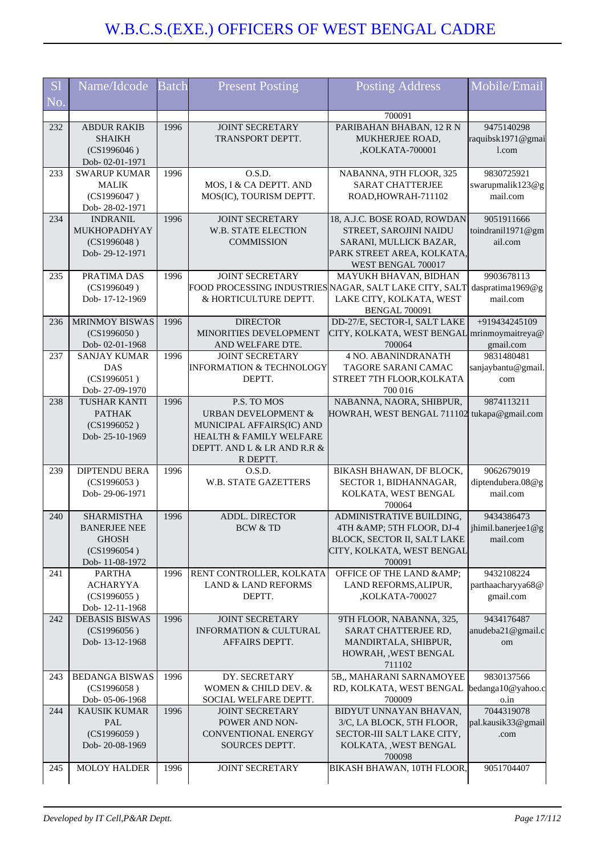| <b>S1</b> | Name/Idcode                                                                               | <b>Batch</b> | <b>Present Posting</b>                                                                                                                                      | <b>Posting Address</b>                                                                                                                        | Mobile/Email                                 |
|-----------|-------------------------------------------------------------------------------------------|--------------|-------------------------------------------------------------------------------------------------------------------------------------------------------------|-----------------------------------------------------------------------------------------------------------------------------------------------|----------------------------------------------|
| No.       |                                                                                           |              |                                                                                                                                                             |                                                                                                                                               |                                              |
| 232       | <b>ABDUR RAKIB</b><br><b>SHAIKH</b><br>(CS1996046)<br>Dob-02-01-1971                      | 1996         | <b>JOINT SECRETARY</b><br>TRANSPORT DEPTT.                                                                                                                  | 700091<br>PARIBAHAN BHABAN, 12 R N<br>MUKHERJEE ROAD,<br>,KOLKATA-700001                                                                      | 9475140298<br>raquibsk1971@gmai<br>1.com     |
| 233       | <b>SWARUP KUMAR</b><br><b>MALIK</b><br>(CS1996047)<br>Dob-28-02-1971                      | 1996         | O.S.D.<br>MOS, I & CA DEPTT. AND<br>MOS(IC), TOURISM DEPTT.                                                                                                 | NABANNA, 9TH FLOOR, 325<br><b>SARAT CHATTERJEE</b><br>ROAD, HOWRAH-711102                                                                     | 9830725921<br>swarupmalik123@g<br>mail.com   |
| 234       | <b>INDRANIL</b><br>MUKHOPADHYAY<br>(CS1996048)<br>Dob-29-12-1971                          | 1996         | <b>JOINT SECRETARY</b><br><b>W.B. STATE ELECTION</b><br><b>COMMISSION</b>                                                                                   | 18, A.J.C. BOSE ROAD, ROWDAN<br>STREET, SAROJINI NAIDU<br>SARANI, MULLICK BAZAR,<br>PARK STREET AREA, KOLKATA,<br>WEST BENGAL 700017          | 9051911666<br>toindranil1971@gm<br>ail.com   |
| 235       | PRATIMA DAS<br>(CS1996049)<br>Dob-17-12-1969                                              | 1996         | <b>JOINT SECRETARY</b><br>& HORTICULTURE DEPTT.                                                                                                             | MAYUKH BHAVAN, BIDHAN<br>FOOD PROCESSING INDUSTRIES NAGAR, SALT LAKE CITY, SALT<br>LAKE CITY, KOLKATA, WEST<br><b>BENGAL 700091</b>           | 9903678113<br>daspratima1969@g<br>mail.com   |
| 236       | <b>MRINMOY BISWAS</b><br>(CS1996050)<br>Dob-02-01-1968                                    | 1996         | <b>DIRECTOR</b><br>MINORITIES DEVELOPMENT<br>AND WELFARE DTE.                                                                                               | DD-27/E, SECTOR-I, SALT LAKE<br>CITY, KOLKATA, WEST BENGAL mrinmoymaitreya@<br>700064                                                         | +919434245109<br>gmail.com                   |
| 237       | <b>SANJAY KUMAR</b><br><b>DAS</b><br>(CS1996051)<br>Dob-27-09-1970                        | 1996         | <b>JOINT SECRETARY</b><br><b>INFORMATION &amp; TECHNOLOGY</b><br>DEPTT.                                                                                     | <b>4 NO. ABANINDRANATH</b><br>TAGORE SARANI CAMAC<br>STREET 7TH FLOOR, KOLKATA<br>700 016                                                     | 9831480481<br>sanjaybantu@gmail.<br>com      |
| 238       | <b>TUSHAR KANTI</b><br><b>PATHAK</b><br>(CS1996052)<br>Dob-25-10-1969                     | 1996         | P.S. TO MOS<br><b>URBAN DEVELOPMENT &amp;</b><br>MUNICIPAL AFFAIRS(IC) AND<br><b>HEALTH &amp; FAMILY WELFARE</b><br>DEPTT. AND L & LR AND R.R &<br>R DEPTT. | NABANNA, NAORA, SHIBPUR,<br>HOWRAH, WEST BENGAL 711102 tukapa@gmail.com                                                                       | 9874113211                                   |
| 239       | <b>DIPTENDU BERA</b><br>(CS1996053)<br>Dob-29-06-1971                                     | 1996         | O.S.D.<br><b>W.B. STATE GAZETTERS</b>                                                                                                                       | BIKASH BHAWAN, DF BLOCK,<br>SECTOR 1, BIDHANNAGAR,<br>KOLKATA, WEST BENGAL<br>700064                                                          | 9062679019<br>diptendubera.08@g<br>mail.com  |
| 240       | <b>SHARMISTHA</b><br><b>BANERJEE NEE</b><br><b>GHOSH</b><br>(CS1996054)<br>Dob-11-08-1972 | 1996         | <b>ADDL. DIRECTOR</b><br><b>BCW &amp; TD</b>                                                                                                                | ADMINISTRATIVE BUILDING,<br>4TH & 5TH FLOOR, DJ-4   jhimil.banerjee1@g<br>BLOCK, SECTOR II, SALT LAKE<br>CITY, KOLKATA, WEST BENGAL<br>700091 | 9434386473<br>mail.com                       |
| 241       | <b>PARTHA</b><br><b>ACHARYYA</b><br>(CS1996055)<br>Dob-12-11-1968                         | 1996         | RENT CONTROLLER, KOLKATA<br>LAND & LAND REFORMS<br>DEPTT.                                                                                                   | OFFICE OF THE LAND & AMP;<br>LAND REFORMS, ALIPUR,<br>,KOLKATA-700027                                                                         | 9432108224<br>parthaacharyya68@<br>gmail.com |
| 242       | <b>DEBASIS BISWAS</b><br>(CS1996056)<br>Dob-13-12-1968                                    | 1996         | <b>JOINT SECRETARY</b><br><b>INFORMATION &amp; CULTURAL</b><br>AFFAIRS DEPTT.                                                                               | 9TH FLOOR, NABANNA, 325,<br>SARAT CHATTERJEE RD,<br>MANDIRTALA, SHIBPUR,<br>HOWRAH, , WEST BENGAL<br>711102                                   | 9434176487<br>anudeba21@gmail.c<br>om        |
| 243       | <b>BEDANGA BISWAS</b><br>(CS1996058)<br>Dob-05-06-1968                                    | 1996         | DY. SECRETARY<br>WOMEN & CHILD DEV. &<br>SOCIAL WELFARE DEPTT.                                                                                              | 5B,, MAHARANI SARNAMOYEE<br>RD, KOLKATA, WEST BENGAL<br>700009                                                                                | 9830137566<br>bedanga10@yahoo.c<br>o.in      |
| 244       | <b>KAUSIK KUMAR</b><br>PAL<br>(CS1996059)<br>Dob-20-08-1969                               | 1996         | <b>JOINT SECRETARY</b><br>POWER AND NON-<br>CONVENTIONAL ENERGY<br>SOURCES DEPTT.                                                                           | BIDYUT UNNAYAN BHAVAN,<br>3/C, LA BLOCK, 5TH FLOOR,<br>SECTOR-III SALT LAKE CITY,<br>KOLKATA, , WEST BENGAL<br>700098                         | 7044319078<br>pal.kausik33@gmail<br>.com     |
| 245       | MOLOY HALDER                                                                              | 1996         | <b>JOINT SECRETARY</b>                                                                                                                                      | BIKASH BHAWAN, 10TH FLOOR,                                                                                                                    | 9051704407                                   |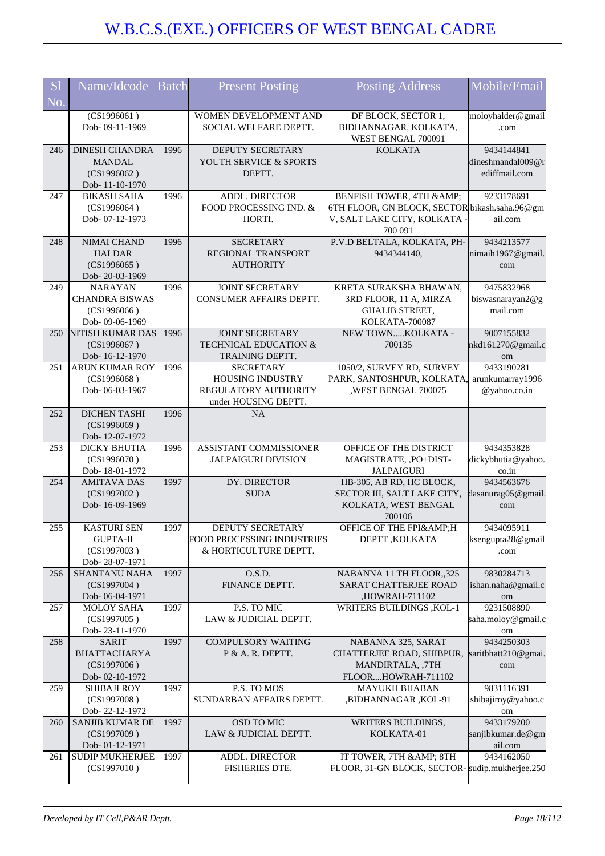| S <sub>1</sub><br>No. | Name/Idcode                                                               | <b>Batch</b> | <b>Present Posting</b>                                                               | <b>Posting Address</b>                                                                                                | Mobile/Email                                     |
|-----------------------|---------------------------------------------------------------------------|--------------|--------------------------------------------------------------------------------------|-----------------------------------------------------------------------------------------------------------------------|--------------------------------------------------|
|                       | $\overline{(CS1996061)}$<br>Dob-09-11-1969                                |              | WOMEN DEVELOPMENT AND<br>SOCIAL WELFARE DEPTT.                                       | DF BLOCK, SECTOR 1,<br>BIDHANNAGAR, KOLKATA,<br>WEST BENGAL 700091                                                    | moloyhalder@gmail<br>.com                        |
| 246                   | <b>DINESH CHANDRA</b><br><b>MANDAL</b><br>(CS1996062)<br>Dob-11-10-1970   | 1996         | DEPUTY SECRETARY<br>YOUTH SERVICE & SPORTS<br>DEPTT.                                 | <b>KOLKATA</b>                                                                                                        | 9434144841<br>dineshmandal009@r<br>ediffmail.com |
| 247                   | <b>BIKASH SAHA</b><br>(CS1996064)<br>Dob-07-12-1973                       | 1996         | ADDL. DIRECTOR<br>FOOD PROCESSING IND. &<br>HORTI.                                   | BENFISH TOWER, 4TH & AMP;<br>6TH FLOOR, GN BLOCK, SECTOR bikash.saha.96@gm<br>V, SALT LAKE CITY, KOLKATA -<br>700 091 | 9233178691<br>ail.com                            |
| 248                   | NIMAI CHAND<br><b>HALDAR</b><br>(CS1996065)<br>Dob-20-03-1969             | 1996         | <b>SECRETARY</b><br>REGIONAL TRANSPORT<br><b>AUTHORITY</b>                           | P.V.D BELTALA, KOLKATA, PH-<br>9434344140,                                                                            | 9434213577<br>nimaih1967@gmail.<br>com           |
| 249                   | <b>NARAYAN</b><br><b>CHANDRA BISWAS</b><br>(CS1996066)<br>Dob- 09-06-1969 | 1996         | <b>JOINT SECRETARY</b><br>CONSUMER AFFAIRS DEPTT.                                    | KRETA SURAKSHA BHAWAN,<br>3RD FLOOR, 11 A, MIRZA<br><b>GHALIB STREET,</b><br>KOLKATA-700087                           | 9475832968<br>biswasnarayan2@g<br>mail.com       |
| 250                   | <b>NITISH KUMAR DAS</b><br>(CS1996067)<br>Dob-16-12-1970                  | 1996         | <b>JOINT SECRETARY</b><br>TECHNICAL EDUCATION &<br>TRAINING DEPTT.                   | NEW TOWNKOLKATA -<br>700135                                                                                           | 9007155832<br>nkd161270@gmail.c<br>om            |
| 251                   | ARUN KUMAR ROY<br>(CS1996068)<br>Dob-06-03-1967                           | 1996         | <b>SECRETARY</b><br>HOUSING INDUSTRY<br>REGULATORY AUTHORITY<br>under HOUSING DEPTT. | 1050/2, SURVEY RD, SURVEY<br>PARK, SANTOSHPUR, KOLKATA,<br>,WEST BENGAL 700075                                        | 9433190281<br>arunkumarray1996<br>@yahoo.co.in   |
| 252                   | <b>DICHEN TASHI</b><br>(CS1996069)<br>Dob-12-07-1972                      | 1996         | <b>NA</b>                                                                            |                                                                                                                       |                                                  |
| 253                   | <b>DICKY BHUTIA</b><br>(CS1996070)<br>Dob-18-01-1972                      | 1996         | ASSISTANT COMMISSIONER<br><b>JALPAIGURI DIVISION</b>                                 | OFFICE OF THE DISTRICT<br>MAGISTRATE, ,PO+DIST-<br><b>JALPAIGURI</b>                                                  | 9434353828<br>dickybhutia@yahoo.<br>co.in        |
| 254                   | <b>AMITAVA DAS</b><br>(CS1997002)<br>Dob-16-09-1969                       | 1997         | DY. DIRECTOR<br><b>SUDA</b>                                                          | HB-305, AB RD, HC BLOCK,<br>SECTOR III, SALT LAKE CITY,<br>KOLKATA, WEST BENGAL<br>700106                             | 9434563676<br>dasanurag05@gmail.<br>com          |
| 255                   | KASTURI SEN<br><b>GUPTA-II</b><br>(CS1997003)<br>Dob-28-07-1971           | 1997         | DEPUTY SECRETARY<br>FOOD PROCESSING INDUSTRIES<br>& HORTICULTURE DEPTT.              | OFFICE OF THE FPI&H<br>DEPTT, KOLKATA                                                                                 | 9434095911<br>ksengupta28@gmail<br>.com          |
| 256                   | <b>SHANTANU NAHA</b><br>(CS1997004)<br>Dob-06-04-1971                     | 1997         | O.S.D.<br>FINANCE DEPTT.                                                             | NABANNA 11 TH FLOOR,,325<br><b>SARAT CHATTERJEE ROAD</b><br>,HOWRAH-711102                                            | 9830284713<br>ishan.naha@gmail.c<br>om           |
| 257                   | MOLOY SAHA<br>(CS1997005)<br>Dob-23-11-1970                               | 1997         | P.S. TO MIC<br>LAW & JUDICIAL DEPTT.                                                 | WRITERS BUILDINGS , KOL-1                                                                                             | 9231508890<br>saha.moloy@gmail.c<br>om           |
| 258                   | <b>SARIT</b><br><b>BHATTACHARYA</b><br>(CS1997006)<br>Dob-02-10-1972      | 1997         | <b>COMPULSORY WAITING</b><br>P & A. R. DEPTT.                                        | NABANNA 325, SARAT<br>CHATTERJEE ROAD, SHIBPUR,<br>MANDIRTALA, ,7TH<br>FLOORHOWRAH-711102                             | 9434250303<br>saritbhatt210@gmai.<br>com         |
| 259                   | <b>SHIBAJI ROY</b><br>(CS1997008)<br>Dob-22-12-1972                       | 1997         | P.S. TO MOS<br>SUNDARBAN AFFAIRS DEPTT.                                              | <b>MAYUKH BHABAN</b><br>,BIDHANNAGAR, KOL-91                                                                          | 9831116391<br>shibajiroy@yahoo.c<br>om           |
| 260                   | SANJIB KUMAR DE<br>(CS1997009)<br>Dob-01-12-1971                          | 1997         | OSD TO MIC<br>LAW & JUDICIAL DEPTT.                                                  | WRITERS BUILDINGS,<br>KOLKATA-01                                                                                      | 9433179200<br>sanjibkumar.de@gm<br>ail.com       |
| 261                   | <b>SUDIP MUKHERJEE</b><br>(CS1997010)                                     | 1997         | ADDL. DIRECTOR<br>FISHERIES DTE.                                                     | IT TOWER, 7TH & AMP; 8TH<br>FLOOR, 31-GN BLOCK, SECTOR- sudip.mukherjee.250                                           | 9434162050                                       |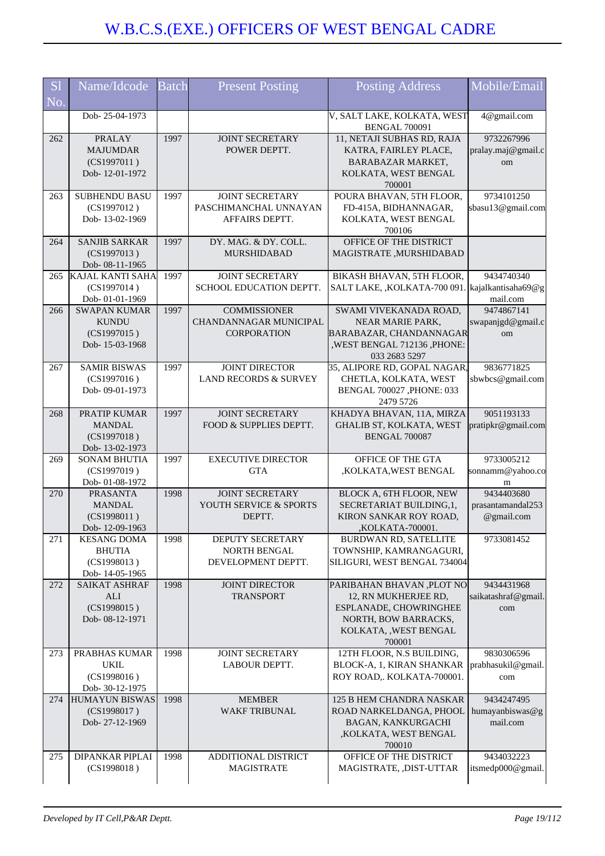| <b>S1</b><br>No. | Name/Idcode                                                          | <b>Batch</b> | <b>Present Posting</b>                                              | <b>Posting Address</b>                                                                                                                  | Mobile/Email                                  |
|------------------|----------------------------------------------------------------------|--------------|---------------------------------------------------------------------|-----------------------------------------------------------------------------------------------------------------------------------------|-----------------------------------------------|
|                  | Dob-25-04-1973                                                       |              |                                                                     | V, SALT LAKE, KOLKATA, WEST<br><b>BENGAL 700091</b>                                                                                     | 4@gmail.com                                   |
| 262              | <b>PRALAY</b><br><b>MAJUMDAR</b><br>(CS1997011)<br>Dob-12-01-1972    | 1997         | <b>JOINT SECRETARY</b><br>POWER DEPTT.                              | 11, NETAJI SUBHAS RD, RAJA<br>KATRA, FAIRLEY PLACE,<br>BARABAZAR MARKET,<br>KOLKATA, WEST BENGAL<br>700001                              | 9732267996<br>pralay.maj@gmail.c<br>om        |
| 263              | <b>SUBHENDU BASU</b><br>(CS1997012)<br>Dob-13-02-1969                | 1997         | <b>JOINT SECRETARY</b><br>PASCHIMANCHAL UNNAYAN<br>AFFAIRS DEPTT.   | POURA BHAVAN, 5TH FLOOR,<br>FD-415A, BIDHANNAGAR,<br>KOLKATA, WEST BENGAL<br>700106                                                     | 9734101250<br>sbasu13@gmail.com               |
| 264              | <b>SANJIB SARKAR</b><br>(CS1997013)<br>Dob- 08-11-1965               | 1997         | DY. MAG. & DY. COLL.<br><b>MURSHIDABAD</b>                          | OFFICE OF THE DISTRICT<br>MAGISTRATE, MURSHIDABAD                                                                                       |                                               |
| 265              | <b>KAJAL KANTI SAHA</b><br>(CS1997014)<br>Dob-01-01-1969             | 1997         | <b>JOINT SECRETARY</b><br>SCHOOL EDUCATION DEPTT.                   | BIKASH BHAVAN, 5TH FLOOR,<br>SALT LAKE, ,KOLKATA-700 091. kajalkantisaha69@g                                                            | 9434740340<br>mail.com                        |
| 266              | <b>SWAPAN KUMAR</b><br><b>KUNDU</b><br>(CS1997015)<br>Dob-15-03-1968 | 1997         | <b>COMMISSIONER</b><br>CHANDANNAGAR MUNICIPAL<br><b>CORPORATION</b> | SWAMI VIVEKANADA ROAD,<br>NEAR MARIE PARK,<br>BARABAZAR, CHANDANNAGAR<br>,WEST BENGAL 712136, PHONE:<br>033 2683 5297                   | 9474867141<br>swapanjgd@gmail.c<br>om         |
| 267              | <b>SAMIR BISWAS</b><br>(CS1997016)<br>Dob-09-01-1973                 | 1997         | <b>JOINT DIRECTOR</b><br><b>LAND RECORDS &amp; SURVEY</b>           | 35, ALIPORE RD, GOPAL NAGAR,<br>CHETLA, KOLKATA, WEST<br>BENGAL 700027 , PHONE: 033<br>2479 5726                                        | 9836771825<br>sbwbcs@gmail.com                |
| 268              | PRATIP KUMAR<br><b>MANDAL</b><br>(CS1997018)<br>Dob-13-02-1973       | 1997         | <b>JOINT SECRETARY</b><br>FOOD & SUPPLIES DEPTT.                    | KHADYA BHAVAN, 11A, MIRZA<br>GHALIB ST, KOLKATA, WEST<br><b>BENGAL 700087</b>                                                           | 9051193133<br>pratipkr@gmail.com              |
| 269              | <b>SONAM BHUTIA</b><br>(CS1997019)<br>Dob- 01-08-1972                | 1997         | <b>EXECUTIVE DIRECTOR</b><br><b>GTA</b>                             | OFFICE OF THE GTA<br>,KOLKATA,WEST BENGAL                                                                                               | 9733005212<br>sonnamm@yahoo.co<br>m           |
| 270              | <b>PRASANTA</b><br><b>MANDAL</b><br>(CS1998011)<br>Dob-12-09-1963    | 1998         | JOINT SECRETARY<br>YOUTH SERVICE & SPORTS<br>DEPTT.                 | BLOCK A, 6TH FLOOR, NEW<br>SECRETARIAT BUILDING, 1,<br>KIRON SANKAR ROY ROAD,<br>KOLKATA-700001,                                        | 9434403680<br>prasantamandal253<br>@gmail.com |
| 271              | <b>KESANG DOMA</b><br><b>BHUTIA</b><br>(CS1998013)<br>Dob-14-05-1965 | 1998         | DEPUTY SECRETARY<br><b>NORTH BENGAL</b><br>DEVELOPMENT DEPTT.       | BURDWAN RD, SATELLITE<br>TOWNSHIP, KAMRANGAGURI,<br>SILIGURI, WEST BENGAL 734004                                                        | 9733081452                                    |
| 272              | SAIKAT ASHRAF<br><b>ALI</b><br>(CS1998015)<br>Dob-08-12-1971         | 1998         | JOINT DIRECTOR<br><b>TRANSPORT</b>                                  | PARIBAHAN BHAVAN, PLOT NO<br>12, RN MUKHERJEE RD,<br>ESPLANADE, CHOWRINGHEE<br>NORTH, BOW BARRACKS,<br>KOLKATA, , WEST BENGAL<br>700001 | 9434431968<br>saikatashraf@gmail.<br>com      |
| 273              | PRABHAS KUMAR<br><b>UKIL</b><br>(CS1998016)<br>Dob-30-12-1975        | 1998         | <b>JOINT SECRETARY</b><br>LABOUR DEPTT.                             | 12TH FLOOR, N.S BUILDING,<br>BLOCK-A, 1, KIRAN SHANKAR<br>ROY ROAD,. KOLKATA-700001.                                                    | 9830306596<br>prabhasukil@gmail.<br>com       |
| 274              | <b>HUMAYUN BISWAS</b><br>(CS1998017)<br>Dob-27-12-1969               | 1998         | <b>MEMBER</b><br><b>WAKF TRIBUNAL</b>                               | 125 B HEM CHANDRA NASKAR<br>ROAD NARKELDANGA, PHOOL<br>BAGAN, KANKURGACHI<br>,KOLKATA, WEST BENGAL<br>700010                            | 9434247495<br>humayanbiswas@g<br>mail.com     |
| 275              | DIPANKAR PIPLAI<br>(CS1998018)                                       | 1998         | ADDITIONAL DISTRICT<br><b>MAGISTRATE</b>                            | OFFICE OF THE DISTRICT<br>MAGISTRATE, ,DIST-UTTAR                                                                                       | 9434032223<br>itsmedp000@gmail.               |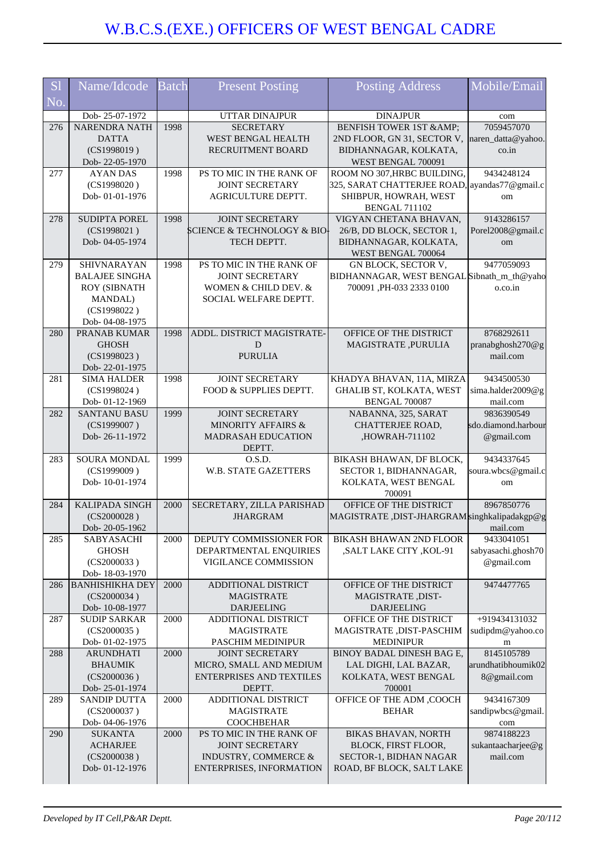| <b>S</b> l               | Name/Idcode                              | <b>Batch</b> | <b>Present Posting</b>                                     | <b>Posting Address</b>                         | Mobile/Email                      |
|--------------------------|------------------------------------------|--------------|------------------------------------------------------------|------------------------------------------------|-----------------------------------|
| $\overline{\text{No}}$ . |                                          |              |                                                            |                                                |                                   |
|                          | Dob-25-07-1972                           |              | UTTAR DINAJPUR                                             | <b>DINAJPUR</b>                                | com                               |
| 276                      | NARENDRA NATH                            | 1998         | <b>SECRETARY</b>                                           | <b>BENFISH TOWER 1ST &amp; AMP;</b>            | 7059457070                        |
|                          | <b>DATTA</b>                             |              | WEST BENGAL HEALTH                                         | 2ND FLOOR, GN 31, SECTOR V,                    | naren_datta@yahoo.                |
|                          | (CS1998019)<br>Dob-22-05-1970            |              | RECRUITMENT BOARD                                          | BIDHANNAGAR, KOLKATA,<br>WEST BENGAL 700091    | $\cos$ .in                        |
| 277                      | <b>AYAN DAS</b>                          | 1998         | PS TO MIC IN THE RANK OF                                   | ROOM NO 307, HRBC BUILDING,                    | 9434248124                        |
|                          | (CS1998020)                              |              | <b>JOINT SECRETARY</b>                                     | 325, SARAT CHATTERJEE ROAD, ayandas77@gmail.c  |                                   |
|                          | Dob-01-01-1976                           |              | <b>AGRICULTURE DEPTT.</b>                                  | SHIBPUR, HOWRAH, WEST                          | om                                |
|                          |                                          |              |                                                            | <b>BENGAL 711102</b>                           |                                   |
| 278                      | <b>SUDIPTA POREL</b>                     | 1998         | <b>JOINT SECRETARY</b>                                     | VIGYAN CHETANA BHAVAN,                         | 9143286157                        |
|                          | (CS1998021)                              |              | SCIENCE & TECHNOLOGY & BIO]                                | 26/B, DD BLOCK, SECTOR 1,                      | Porel2008@gmail.c                 |
|                          | Dob-04-05-1974                           |              | TECH DEPTT.                                                | BIDHANNAGAR, KOLKATA,                          | om                                |
| 279                      | SHIVNARAYAN                              | 1998         | PS TO MIC IN THE RANK OF                                   | WEST BENGAL 700064<br>GN BLOCK, SECTOR V,      | 9477059093                        |
|                          | <b>BALAJEE SINGHA</b>                    |              | <b>JOINT SECRETARY</b>                                     | BIDHANNAGAR, WEST BENGAL Sibnath_m_th@yaho     |                                   |
|                          | <b>ROY (SIBNATH</b>                      |              | WOMEN & CHILD DEV. &                                       | 700091, PH-033 2333 0100                       | o.co.in                           |
|                          | MANDAL)                                  |              | SOCIAL WELFARE DEPTT.                                      |                                                |                                   |
|                          | (CS1998022)                              |              |                                                            |                                                |                                   |
|                          | Dob-04-08-1975                           |              |                                                            |                                                |                                   |
| 280                      | PRANAB KUMAR                             | 1998         | ADDL. DISTRICT MAGISTRATE-                                 | OFFICE OF THE DISTRICT                         | 8768292611                        |
|                          | <b>GHOSH</b>                             |              | D                                                          | MAGISTRATE, PURULIA                            | pranabghosh270@g                  |
|                          | (CS1998023)                              |              | <b>PURULIA</b>                                             |                                                | mail.com                          |
| 281                      | Dob-22-01-1975<br><b>SIMA HALDER</b>     | 1998         | <b>JOINT SECRETARY</b>                                     | KHADYA BHAVAN, 11A, MIRZA                      | 9434500530                        |
|                          | (CS1998024)                              |              | FOOD & SUPPLIES DEPTT.                                     | GHALIB ST, KOLKATA, WEST                       | sima.halder2009@g                 |
|                          | Dob-01-12-1969                           |              |                                                            | BENGAL 700087                                  | mail.com                          |
| 282                      | <b>SANTANU BASU</b>                      | 1999         | <b>JOINT SECRETARY</b>                                     | NABANNA, 325, SARAT                            | 9836390549                        |
|                          | (CS1999007)                              |              | <b>MINORITY AFFAIRS &amp;</b>                              | CHATTERJEE ROAD,                               | sdo.diamond.harbour               |
|                          | Dob-26-11-1972                           |              | <b>MADRASAH EDUCATION</b>                                  | ,HOWRAH-711102                                 | @gmail.com                        |
|                          |                                          |              | DEPTT.                                                     |                                                |                                   |
| 283                      | SOURA MONDAL                             | 1999         | O.S.D.                                                     | BIKASH BHAWAN, DF BLOCK,                       | 9434337645                        |
|                          | (CS1999009)<br>Dob-10-01-1974            |              | <b>W.B. STATE GAZETTERS</b>                                | SECTOR 1, BIDHANNAGAR,<br>KOLKATA, WEST BENGAL | soura.wbcs@gmail.c<br>om          |
|                          |                                          |              |                                                            | 700091                                         |                                   |
| 284                      | <b>KALIPADA SINGH</b>                    | 2000         | SECRETARY, ZILLA PARISHAD                                  | OFFICE OF THE DISTRICT                         | 8967850776                        |
|                          | (CS2000028)                              |              | <b>JHARGRAM</b>                                            | MAGISTRATE, DIST-JHARGRAM singhkalipadakgp@g   |                                   |
|                          | Dob-20-05-1962                           |              |                                                            |                                                | mail.com                          |
| 285                      | SABYASACHI                               | 2000         | DEPUTY COMMISSIONER FOR                                    | <b>BIKASH BHAWAN 2ND FLOOR</b>                 | 9433041051                        |
|                          | <b>GHOSH</b>                             |              | DEPARTMENTAL ENQUIRIES                                     | ,SALT LAKE CITY ,KOL-91                        | sabyasachi.ghosh70                |
|                          | (CS2000033)                              |              | VIGILANCE COMMISSION                                       |                                                | @gmail.com                        |
| 286                      | Dob-18-03-1970<br><b>BANHISHIKHA DEY</b> | 2000         | ADDITIONAL DISTRICT                                        | OFFICE OF THE DISTRICT                         | 9474477765                        |
|                          | (CS2000034)                              |              | <b>MAGISTRATE</b>                                          | MAGISTRATE, DIST-                              |                                   |
|                          | Dob-10-08-1977                           |              | <b>DARJEELING</b>                                          | <b>DARJEELING</b>                              |                                   |
| 287                      | <b>SUDIP SARKAR</b>                      | 2000         | ADDITIONAL DISTRICT                                        | OFFICE OF THE DISTRICT                         | +919434131032                     |
|                          | (CS2000035)                              |              | <b>MAGISTRATE</b>                                          | MAGISTRATE, DIST-PASCHIM                       | sudipdm@yahoo.co                  |
|                          | Dob-01-02-1975                           |              | PASCHIM MEDINIPUR                                          | <b>MEDINIPUR</b>                               | m                                 |
| 288                      | <b>ARUNDHATI</b>                         | 2000         | <b>JOINT SECRETARY</b>                                     | BINOY BADAL DINESH BAG E,                      | 8145105789                        |
|                          | <b>BHAUMIK</b><br>(CS2000036)            |              | MICRO, SMALL AND MEDIUM<br><b>ENTERPRISES AND TEXTILES</b> | LAL DIGHI, LAL BAZAR,<br>KOLKATA, WEST BENGAL  | arundhatibhoumik02<br>8@gmail.com |
|                          | Dob-25-01-1974                           |              | DEPTT.                                                     | 700001                                         |                                   |
| 289                      | <b>SANDIP DUTTA</b>                      | 2000         | ADDITIONAL DISTRICT                                        | OFFICE OF THE ADM , COOCH                      | 9434167309                        |
|                          | (CS2000037)                              |              | <b>MAGISTRATE</b>                                          | <b>BEHAR</b>                                   | sandipwbcs@gmail.                 |
|                          | Dob-04-06-1976                           |              | <b>COOCHBEHAR</b>                                          |                                                | com                               |
| 290                      | <b>SUKANTA</b>                           | 2000         | PS TO MIC IN THE RANK OF                                   | BIKAS BHAVAN, NORTH                            | 9874188223                        |
|                          | <b>ACHARJEE</b>                          |              | <b>JOINT SECRETARY</b>                                     | BLOCK, FIRST FLOOR,                            | sukantaacharjee@g                 |
|                          | (CS2000038)                              |              | <b>INDUSTRY, COMMERCE &amp;</b>                            | SECTOR-1, BIDHAN NAGAR                         | mail.com                          |
|                          | Dob-01-12-1976                           |              | ENTERPRISES, INFORMATION                                   | ROAD, BF BLOCK, SALT LAKE                      |                                   |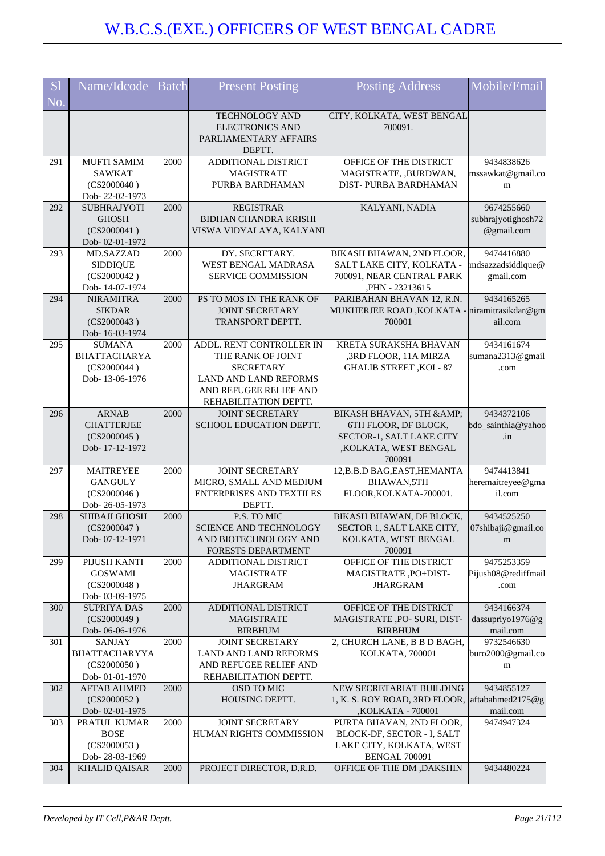| <b>S</b> l             | Name/Idcode                                                         | <b>Batch</b> | <b>Present Posting</b>                                                             | <b>Posting Address</b>                                                              | Mobile/Email                                   |
|------------------------|---------------------------------------------------------------------|--------------|------------------------------------------------------------------------------------|-------------------------------------------------------------------------------------|------------------------------------------------|
| $\overline{\text{No}}$ |                                                                     |              |                                                                                    |                                                                                     |                                                |
|                        |                                                                     |              | <b>TECHNOLOGY AND</b><br><b>ELECTRONICS AND</b><br>PARLIAMENTARY AFFAIRS<br>DEPTT. | CITY, KOLKATA, WEST BENGAL<br>700091.                                               |                                                |
| 291                    | <b>MUFTI SAMIM</b><br><b>SAWKAT</b>                                 | 2000         | ADDITIONAL DISTRICT<br><b>MAGISTRATE</b>                                           | OFFICE OF THE DISTRICT                                                              | 9434838626                                     |
|                        | (CS2000040)<br>Dob-22-02-1973                                       |              | PURBA BARDHAMAN                                                                    | MAGISTRATE, ,BURDWAN,<br>DIST-PURBA BARDHAMAN                                       | mssawkat@gmail.co<br>m                         |
| 292                    | <b>SUBHRAJYOTI</b><br><b>GHOSH</b><br>(CS2000041)<br>Dob-02-01-1972 | 2000         | <b>REGISTRAR</b><br><b>BIDHAN CHANDRA KRISHI</b><br>VISWA VIDYALAYA, KALYANI       | KALYANI, NADIA                                                                      | 9674255660<br>subhrajyotighosh72<br>@gmail.com |
| 293                    | MD.SAZZAD                                                           | 2000         | DY. SECRETARY.                                                                     | BIKASH BHAWAN, 2ND FLOOR,                                                           | 9474416880                                     |
|                        | <b>SIDDIQUE</b><br>(CS2000042)<br>Dob-14-07-1974                    |              | WEST BENGAL MADRASA<br><b>SERVICE COMMISSION</b>                                   | SALT LAKE CITY, KOLKATA -<br>700091, NEAR CENTRAL PARK<br>,PHN - 23213615           | mdsazzadsiddique@<br>gmail.com                 |
| 294                    | <b>NIRAMITRA</b>                                                    | 2000         | PS TO MOS IN THE RANK OF                                                           | PARIBAHAN BHAVAN 12, R.N.                                                           | 9434165265                                     |
|                        | <b>SIKDAR</b><br>(CS2000043)<br>Dob-16-03-1974                      |              | <b>JOINT SECRETARY</b><br><b>TRANSPORT DEPTT.</b>                                  | MUKHERJEE ROAD, KOLKATA - niramitrasikdar@gm<br>700001                              | ail.com                                        |
| 295                    | <b>SUMANA</b><br><b>BHATTACHARYA</b><br>(CS2000044)                 | 2000         | ADDL. RENT CONTROLLER IN<br>THE RANK OF JOINT<br><b>SECRETARY</b>                  | KRETA SURAKSHA BHAVAN<br>,3RD FLOOR, 11A MIRZA<br><b>GHALIB STREET ,KOL-87</b>      | 9434161674<br>sumana2313@gmail<br>.com         |
|                        | Dob-13-06-1976                                                      |              | LAND AND LAND REFORMS<br>AND REFUGEE RELIEF AND<br>REHABILITATION DEPTT.           |                                                                                     |                                                |
| 296                    | <b>ARNAB</b>                                                        | 2000         | <b>JOINT SECRETARY</b>                                                             | BIKASH BHAVAN, 5TH & AMP;                                                           | 9434372106                                     |
|                        | <b>CHATTERJEE</b><br>(CS2000045)<br>Dob-17-12-1972                  |              | SCHOOL EDUCATION DEPTT.                                                            | 6TH FLOOR, DF BLOCK,<br>SECTOR-1, SALT LAKE CITY<br>,KOLKATA, WEST BENGAL<br>700091 | bdo_sainthia@yahoo<br>.in                      |
| 297                    | <b>MAITREYEE</b>                                                    | 2000         | <b>JOINT SECRETARY</b>                                                             | 12, B.B.D BAG, EAST, HEMANTA                                                        | 9474413841                                     |
|                        | <b>GANGULY</b><br>(CS2000046)<br>Dob-26-05-1973                     |              | MICRO, SMALL AND MEDIUM<br><b>ENTERPRISES AND TEXTILES</b><br>DEPTT.               | BHAWAN,5TH<br>FLOOR, KOLKATA-700001.                                                | heremaitreyee@gma<br>il.com                    |
| 298                    | SHIBAJI GHOSH                                                       | 2000         | P.S. TO MIC                                                                        | BIKASH BHAWAN, DF BLOCK,                                                            | 9434525250                                     |
|                        | (CS2000047)<br>Dob-07-12-1971                                       |              | SCIENCE AND TECHNOLOGY<br>AND BIOTECHNOLOGY AND                                    | SECTOR 1, SALT LAKE CITY,<br>KOLKATA, WEST BENGAL                                   | 07shibaji@gmail.co<br>m                        |
| 299                    | PIJUSH KANTI                                                        | 2000         | FORESTS DEPARTMENT<br><b>ADDITIONAL DISTRICT</b>                                   | 700091<br>OFFICE OF THE DISTRICT                                                    | 9475253359                                     |
|                        | <b>GOSWAMI</b>                                                      |              | <b>MAGISTRATE</b>                                                                  | MAGISTRATE, PO+DIST-                                                                | Pijush08@rediffmail                            |
|                        | (CS2000048)<br>Dob- 03-09-1975                                      |              | <b>JHARGRAM</b>                                                                    | <b>JHARGRAM</b>                                                                     | .com                                           |
| 300                    | <b>SUPRIYA DAS</b>                                                  | 2000         | ADDITIONAL DISTRICT                                                                | OFFICE OF THE DISTRICT                                                              | 9434166374                                     |
|                        | (CS2000049)<br>Dob-06-06-1976                                       |              | <b>MAGISTRATE</b><br><b>BIRBHUM</b>                                                | MAGISTRATE ,PO- SURI, DIST-<br><b>BIRBHUM</b>                                       | dassupriyo1976@g<br>mail.com                   |
| 301                    | SANJAY                                                              | 2000         | <b>JOINT SECRETARY</b>                                                             | 2, CHURCH LANE, B B D BAGH,                                                         | 9732546630                                     |
|                        | BHATTACHARYYA<br>(CS2000050)<br>Dob-01-01-1970                      |              | LAND AND LAND REFORMS<br>AND REFUGEE RELIEF AND<br>REHABILITATION DEPTT.           | KOLKATA, 700001                                                                     | buro2000@gmail.co<br>m                         |
| 302                    | <b>AFTAB AHMED</b>                                                  | 2000         | OSD TO MIC                                                                         | NEW SECRETARIAT BUILDING                                                            | 9434855127                                     |
|                        | (CS2000052)                                                         |              | HOUSING DEPTT.                                                                     | 1, K. S. ROY ROAD, 3RD FLOOR, aftabahmed 2175@g                                     |                                                |
| 303                    | Dob-02-01-1975<br>PRATUL KUMAR                                      | 2000         | <b>JOINT SECRETARY</b>                                                             | ,KOLKATA - 700001<br>PURTA BHAVAN, 2ND FLOOR,                                       | mail.com<br>9474947324                         |
|                        | <b>BOSE</b>                                                         |              | HUMAN RIGHTS COMMISSION                                                            | BLOCK-DF, SECTOR - I, SALT                                                          |                                                |
|                        | (CS2000053)<br>Dob-28-03-1969                                       |              |                                                                                    | LAKE CITY, KOLKATA, WEST<br><b>BENGAL 700091</b>                                    |                                                |
| 304                    | <b>KHALID QAISAR</b>                                                | 2000         | PROJECT DIRECTOR, D.R.D.                                                           | OFFICE OF THE DM , DAKSHIN                                                          | 9434480224                                     |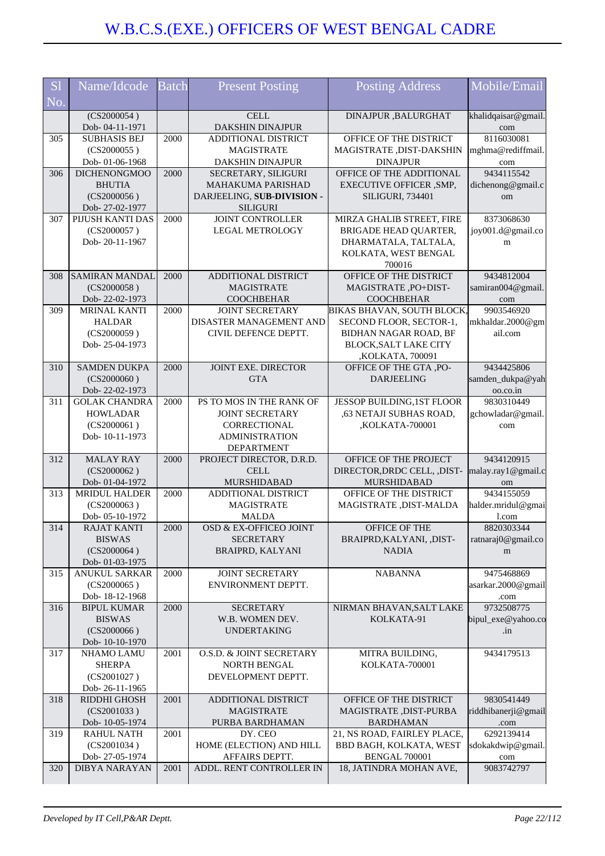| <b>S</b> l | Name/Idcode                           | <b>Batch</b> | <b>Present Posting</b>                         | <b>Posting Address</b>                           | Mobile/Email                |
|------------|---------------------------------------|--------------|------------------------------------------------|--------------------------------------------------|-----------------------------|
| No.        |                                       |              |                                                |                                                  |                             |
|            | (CS2000054)                           |              | <b>CELL</b>                                    | DINAJPUR , BALURGHAT                             | khalidqaisar@gmail.         |
|            | Dob-04-11-1971                        |              | DAKSHIN DINAJPUR                               |                                                  | com                         |
| 305        | <b>SUBHASIS BEJ</b>                   | 2000         | ADDITIONAL DISTRICT                            | OFFICE OF THE DISTRICT                           | 8116030081                  |
|            | (CS2000055)                           |              | <b>MAGISTRATE</b>                              | MAGISTRATE , DIST-DAKSHIN                        | mghma@rediffmail.           |
| 306        | Dob-01-06-1968<br><b>DICHENONGMOO</b> | 2000         | <b>DAKSHIN DINAJPUR</b><br>SECRETARY, SILIGURI | <b>DINAJPUR</b><br>OFFICE OF THE ADDITIONAL      | com<br>9434115542           |
|            | <b>BHUTIA</b>                         |              | <b>MAHAKUMA PARISHAD</b>                       | EXECUTIVE OFFICER , SMP,                         | dichenong@gmail.c           |
|            | (CS2000056)                           |              | DARJEELING, SUB-DIVISION -                     | <b>SILIGURI, 734401</b>                          | om                          |
|            | Dob-27-02-1977                        |              | <b>SILIGURI</b>                                |                                                  |                             |
| 307        | PIJUSH KANTI DAS                      | 2000         | <b>JOINT CONTROLLER</b>                        | MIRZA GHALIB STREET, FIRE                        | 8373068630                  |
|            | (CS2000057)                           |              | <b>LEGAL METROLOGY</b>                         | BRIGADE HEAD QUARTER,                            | joy001.d@gmail.co           |
|            | Dob-20-11-1967                        |              |                                                | DHARMATALA, TALTALA,                             | m                           |
|            |                                       |              |                                                | KOLKATA, WEST BENGAL                             |                             |
|            |                                       |              |                                                | 700016                                           |                             |
| 308        | <b>SAMIRAN MANDAL</b>                 | 2000         | ADDITIONAL DISTRICT                            | OFFICE OF THE DISTRICT                           | 9434812004                  |
|            | (CS2000058)                           |              | <b>MAGISTRATE</b>                              | MAGISTRATE, PO+DIST-                             | samiran004@gmail.           |
|            | Dob-22-02-1973                        |              | <b>COOCHBEHAR</b>                              | <b>COOCHBEHAR</b>                                | com                         |
| 309        | <b>MRINAL KANTI</b>                   | 2000         | <b>JOINT SECRETARY</b>                         | BIKAS BHAVAN, SOUTH BLOCK,                       | 9903546920                  |
|            | <b>HALDAR</b>                         |              | DISASTER MANAGEMENT AND                        | SECOND FLOOR, SECTOR-1,                          | mkhaldar.2000@gm            |
|            | (CS2000059)                           |              | CIVIL DEFENCE DEPTT.                           | BIDHAN NAGAR ROAD, BF                            | ail.com                     |
|            | Dob-25-04-1973                        |              |                                                | <b>BLOCK, SALT LAKE CITY</b><br>,KOLKATA, 700091 |                             |
| 310        | <b>SAMDEN DUKPA</b>                   | 2000         | <b>JOINT EXE. DIRECTOR</b>                     | OFFICE OF THE GTA, PO-                           | 9434425806                  |
|            | (CS2000060)                           |              | <b>GTA</b>                                     | <b>DARJEELING</b>                                | samden_dukpa@yah            |
|            | Dob-22-02-1973                        |              |                                                |                                                  | oo.co.in                    |
| 311        | <b>GOLAK CHANDRA</b>                  | 2000         | PS TO MOS IN THE RANK OF                       | JESSOP BUILDING, 1ST FLOOR                       | 9830310449                  |
|            | <b>HOWLADAR</b>                       |              | <b>JOINT SECRETARY</b>                         | ,63 NETAJI SUBHAS ROAD,                          | gchowladar@gmail.           |
|            | (CS2000061)                           |              | CORRECTIONAL                                   | ,KOLKATA-700001                                  | com                         |
|            | Dob-10-11-1973                        |              | <b>ADMINISTRATION</b>                          |                                                  |                             |
|            |                                       |              | <b>DEPARTMENT</b>                              |                                                  |                             |
| 312        | <b>MALAY RAY</b>                      | 2000         | PROJECT DIRECTOR, D.R.D.                       | OFFICE OF THE PROJECT                            | 9434120915                  |
|            | (CS2000062)                           |              | <b>CELL</b>                                    | DIRECTOR, DRDC CELL, , DIST-                     | malay.ray1@gmail.c          |
|            | Dob-01-04-1972                        |              | MURSHIDABAD                                    | MURSHIDABAD                                      | om                          |
| 313        | <b>MRIDUL HALDER</b>                  | 2000         | ADDITIONAL DISTRICT                            | OFFICE OF THE DISTRICT                           | 9434155059                  |
|            | (CS2000063)<br>Dob-05-10-1972         |              | <b>MAGISTRATE</b><br><b>MALDA</b>              | MAGISTRATE , DIST-MALDA                          | halder.mridul@gmai<br>1.com |
| 314        | RAJAT KANTI                           | 2000         | OSD & EX-OFFICEO JOINT                         | OFFICE OF THE                                    | 8820303344                  |
|            | <b>BISWAS</b>                         |              | <b>SECRETARY</b>                               | BRAIPRD, KALYANI, , DIST-                        | ratnaraj0@gmail.co          |
|            | (CS2000064)                           |              | <b>BRAIPRD, KALYANI</b>                        | <b>NADIA</b>                                     | m                           |
|            | Dob-01-03-1975                        |              |                                                |                                                  |                             |
| 315        | <b>ANUKUL SARKAR</b>                  | 2000         | <b>JOINT SECRETARY</b>                         | <b>NABANNA</b>                                   | 9475468869                  |
|            | (CS2000065)                           |              | ENVIRONMENT DEPTT.                             |                                                  | asarkar.2000@gmail          |
|            | Dob-18-12-1968                        |              |                                                |                                                  | .com                        |
| 316        | <b>BIPUL KUMAR</b>                    | 2000         | <b>SECRETARY</b>                               | NIRMAN BHAVAN, SALT LAKE                         | 9732508775                  |
|            | <b>BISWAS</b>                         |              | W.B. WOMEN DEV.                                | KOLKATA-91                                       | bipul_exe@yahoo.co          |
|            | (CS2000066)                           |              | <b>UNDERTAKING</b>                             |                                                  | .in                         |
|            | Dob-10-10-1970                        |              |                                                |                                                  |                             |
| 317        | <b>NHAMO LAMU</b><br><b>SHERPA</b>    | 2001         | O.S.D. & JOINT SECRETARY<br>NORTH BENGAL       | MITRA BUILDING,<br>KOLKATA-700001                | 9434179513                  |
|            | (CS2001027)                           |              | DEVELOPMENT DEPTT.                             |                                                  |                             |
|            | Dob-26-11-1965                        |              |                                                |                                                  |                             |
| 318        | RIDDHI GHOSH                          | 2001         | ADDITIONAL DISTRICT                            | OFFICE OF THE DISTRICT                           | 9830541449                  |
|            | (CS2001033)                           |              | <b>MAGISTRATE</b>                              | MAGISTRATE, DIST-PURBA                           | riddhibanerji@gmail         |
|            | Dob-10-05-1974                        |              | PURBA BARDHAMAN                                | <b>BARDHAMAN</b>                                 | .com                        |
| 319        | <b>RAHUL NATH</b>                     | 2001         | DY. CEO                                        | 21, NS ROAD, FAIRLEY PLACE,                      | 6292139414                  |
|            | (CS2001034)                           |              | HOME (ELECTION) AND HILL                       | BBD BAGH, KOLKATA, WEST                          | sdokakdwip@gmail.           |
|            | Dob-27-05-1974                        |              | AFFAIRS DEPTT.                                 | <b>BENGAL 700001</b>                             | com                         |
| 320        | <b>DIBYA NARAYAN</b>                  | 2001         | ADDL. RENT CONTROLLER IN                       | 18, JATINDRA MOHAN AVE,                          | 9083742797                  |
|            |                                       |              |                                                |                                                  |                             |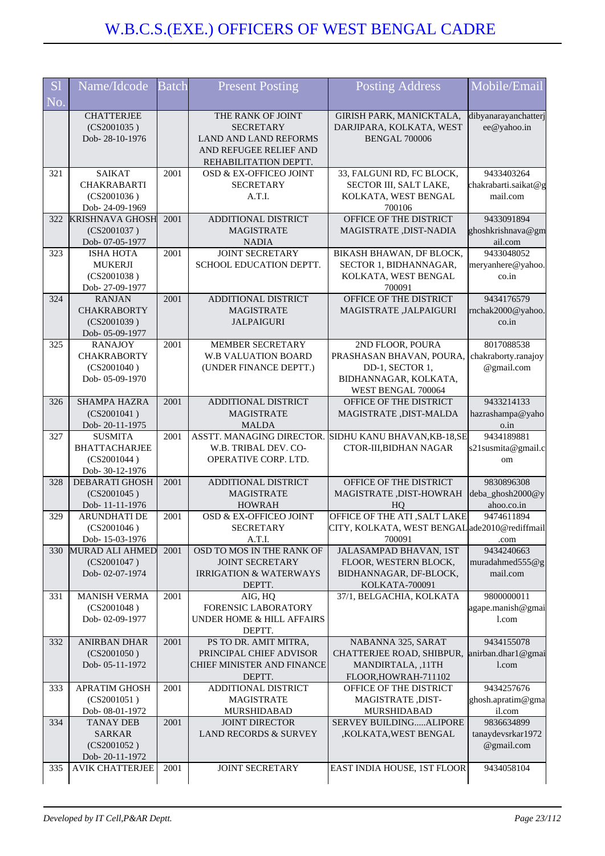| <b>S1</b> | Name/Idcode                                                              | <b>Batch</b> | <b>Present Posting</b>                                                                                                   | <b>Posting Address</b>                                                                                        | Mobile/Email                                                 |
|-----------|--------------------------------------------------------------------------|--------------|--------------------------------------------------------------------------------------------------------------------------|---------------------------------------------------------------------------------------------------------------|--------------------------------------------------------------|
| No.       |                                                                          |              |                                                                                                                          |                                                                                                               |                                                              |
|           | <b>CHATTERJEE</b><br>(CS2001035)<br>Dob-28-10-1976                       |              | THE RANK OF JOINT<br><b>SECRETARY</b><br><b>LAND AND LAND REFORMS</b><br>AND REFUGEE RELIEF AND<br>REHABILITATION DEPTT. | GIRISH PARK, MANICKTALA,<br>DARJIPARA, KOLKATA, WEST<br><b>BENGAL 700006</b>                                  | dibyanarayanchatterj<br>ee@yahoo.in                          |
| 321       | <b>SAIKAT</b><br><b>CHAKRABARTI</b><br>(CS2001036)<br>Dob-24-09-1969     | 2001         | OSD & EX-OFFICEO JOINT<br><b>SECRETARY</b><br>A.T.I.                                                                     | 33, FALGUNI RD, FC BLOCK,<br>SECTOR III, SALT LAKE,<br>KOLKATA, WEST BENGAL<br>700106                         | 9433403264<br>chakrabarti.saikat@g<br>mail.com               |
| 322       | <b>KRISHNAVA GHOSH</b><br>(CS2001037)<br>Dob- 07-05-1977                 | 2001         | ADDITIONAL DISTRICT<br><b>MAGISTRATE</b><br><b>NADIA</b>                                                                 | OFFICE OF THE DISTRICT<br>MAGISTRATE , DIST-NADIA                                                             | 9433091894<br>ghoshkrishnava@gm<br>ail.com                   |
| 323       | <b>ISHA HOTA</b><br><b>MUKERJI</b><br>(CS2001038)<br>Dob-27-09-1977      | 2001         | <b>JOINT SECRETARY</b><br>SCHOOL EDUCATION DEPTT.                                                                        | BIKASH BHAWAN, DF BLOCK,<br>SECTOR 1, BIDHANNAGAR,<br>KOLKATA, WEST BENGAL<br>700091                          | 9433048052<br>meryanhere@yahoo.<br>$\cos$ .in                |
| 324       | <b>RANJAN</b><br><b>CHAKRABORTY</b><br>(CS2001039)<br>Dob- 05-09-1977    | 2001         | ADDITIONAL DISTRICT<br><b>MAGISTRATE</b><br><b>JALPAIGURI</b>                                                            | OFFICE OF THE DISTRICT<br>MAGISTRATE , JALPAIGURI                                                             | 9434176579<br>rnchak2000@yahoo.<br>$\overline{\text{co.in}}$ |
| 325       | <b>RANAJOY</b><br><b>CHAKRABORTY</b><br>(CS2001040)<br>Dob-05-09-1970    | 2001         | MEMBER SECRETARY<br><b>W.B VALUATION BOARD</b><br>(UNDER FINANCE DEPTT.)                                                 | 2ND FLOOR, POURA<br>PRASHASAN BHAVAN, POURA<br>DD-1, SECTOR 1,<br>BIDHANNAGAR, KOLKATA,<br>WEST BENGAL 700064 | 8017088538<br>chakraborty.ranajoy<br>@gmail.com              |
| 326       | <b>SHAMPA HAZRA</b><br>(CS2001041)<br>Dob-20-11-1975                     | 2001         | ADDITIONAL DISTRICT<br><b>MAGISTRATE</b><br>MALDA                                                                        | OFFICE OF THE DISTRICT<br>MAGISTRATE, DIST-MALDA                                                              | 9433214133<br>hazrashampa@yaho<br>o.in                       |
| 327       | <b>SUSMITA</b><br><b>BHATTACHARJEE</b><br>(CS2001044)<br>Dob- 30-12-1976 | 2001         | ASSTT. MANAGING DIRECTOR.<br>W.B. TRIBAL DEV. CO-<br>OPERATIVE CORP. LTD.                                                | SIDHU KANU BHAVAN, KB-18, SE<br>CTOR-III, BIDHAN NAGAR                                                        | 9434189881<br>s21 susmita@gmail.c<br>om                      |
| 328       | <b>DEBARATI GHOSH</b><br>(CS2001045)<br>Dob-11-11-1976                   | 2001         | ADDITIONAL DISTRICT<br><b>MAGISTRATE</b><br><b>HOWRAH</b>                                                                | OFFICE OF THE DISTRICT<br>MAGISTRATE , DIST-HOWRAH<br>HO                                                      | 9830896308<br>deba_ghosh2000@y<br>ahoo.co.in                 |
| 329       | ARUNDHATI DE<br>(CS2001046)<br>Dob-15-03-1976                            | 2001         | OSD & EX-OFFICEO JOINT<br><b>SECRETARY</b><br>A.T.I.                                                                     | OFFICE OF THE ATI , SALT LAKE<br>CITY, KOLKATA, WEST BENGAL ade2010@rediffmail<br>700091                      | 9474611894<br>.com                                           |
| 330       | MURAD ALI AHMED<br>(CS2001047)<br>Dob-02-07-1974                         | 2001         | OSD TO MOS IN THE RANK OF<br><b>JOINT SECRETARY</b><br><b>IRRIGATION &amp; WATERWAYS</b><br>DEPTT.                       | JALASAMPAD BHAVAN, 1ST<br>FLOOR, WESTERN BLOCK,<br>BIDHANNAGAR, DF-BLOCK,<br>KOLKATA-700091                   | 9434240663<br>muradahmed $555@g$<br>mail.com                 |
| 331       | <b>MANISH VERMA</b><br>(CS2001048)<br>Dob-02-09-1977                     | 2001         | AIG, HQ<br>FORENSIC LABORATORY<br>UNDER HOME & HILL AFFAIRS<br>DEPTT.                                                    | 37/1, BELGACHIA, KOLKATA                                                                                      | 9800000011<br>agape.manish@gmai<br>1.com                     |
| 332       | <b>ANIRBAN DHAR</b><br>(CS2001050)<br>Dob-05-11-1972                     | 2001         | PS TO DR. AMIT MITRA,<br>PRINCIPAL CHIEF ADVISOR<br>CHIEF MINISTER AND FINANCE<br>DEPTT.                                 | NABANNA 325, SARAT<br>CHATTERJEE ROAD, SHIBPUR,<br>MANDIRTALA, ,11TH<br>FLOOR, HOWRAH-711102                  | 9434155078<br>anirban.dhar1@gmai<br>l.com                    |
| 333       | <b>APRATIM GHOSH</b><br>(CS2001051)<br>Dob- 08-01-1972                   | 2001         | ADDITIONAL DISTRICT<br><b>MAGISTRATE</b><br>MURSHIDABAD                                                                  | OFFICE OF THE DISTRICT<br>MAGISTRATE, DIST-<br>MURSHIDABAD                                                    | 9434257676<br>ghosh.apratim@gma<br>il.com                    |
| 334       | <b>TANAY DEB</b><br><b>SARKAR</b><br>(CS2001052)<br>Dob-20-11-1972       | 2001         | <b>JOINT DIRECTOR</b><br><b>LAND RECORDS &amp; SURVEY</b>                                                                | SERVEY BUILDINGALIPORE<br>,KOLKATA,WEST BENGAL                                                                | 9836634899<br>tanaydevsrkar1972<br>@gmail.com                |
| 335       | <b>AVIK CHATTERJEE</b>                                                   | 2001         | JOINT SECRETARY                                                                                                          | EAST INDIA HOUSE, 1ST FLOOR                                                                                   | 9434058104                                                   |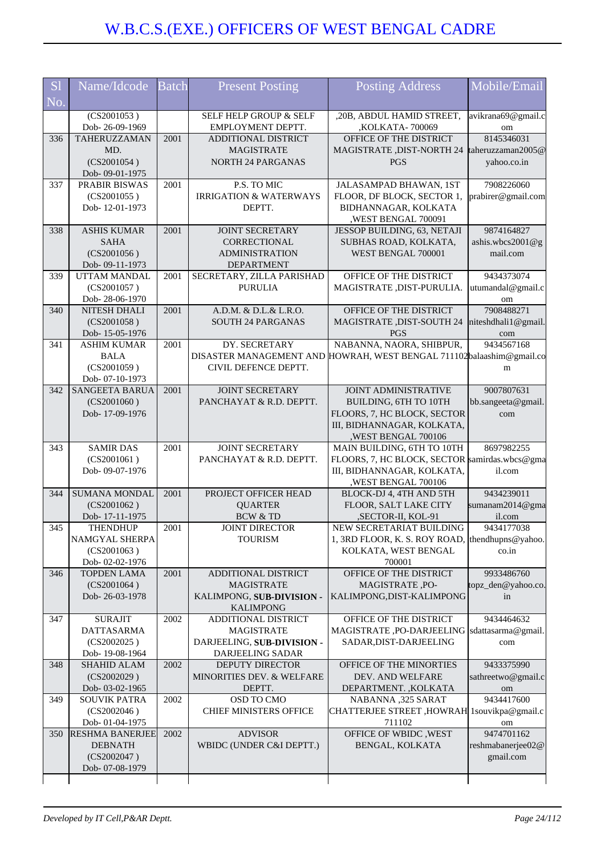| <b>S1</b> | Name/Idcode                           | <b>Batch</b> | <b>Present Posting</b>                          | <b>Posting Address</b>                                                      | Mobile/Email                 |
|-----------|---------------------------------------|--------------|-------------------------------------------------|-----------------------------------------------------------------------------|------------------------------|
| No.       |                                       |              |                                                 |                                                                             |                              |
|           | $\overline{(CS2001053)}$              |              | SELF HELP GROUP & SELF                          | ,20B, ABDUL HAMID STREET,                                                   | avikrana69@gmail.c           |
|           | Dob-26-09-1969<br>TAHERUZZAMAN        | 2001         | EMPLOYMENT DEPTT.                               | ,KOLKATA- 700069<br>OFFICE OF THE DISTRICT                                  | om<br>8145346031             |
| 336       | MD.                                   |              | ADDITIONAL DISTRICT<br><b>MAGISTRATE</b>        | MAGISTRATE, DIST-NORTH 24                                                   | taheruzzaman2005@            |
|           | (CS2001054)                           |              | <b>NORTH 24 PARGANAS</b>                        | <b>PGS</b>                                                                  | yahoo.co.in                  |
|           | Dob-09-01-1975                        |              |                                                 |                                                                             |                              |
| 337       | PRABIR BISWAS                         | 2001         | P.S. TO MIC                                     | JALASAMPAD BHAWAN, 1ST                                                      | 7908226060                   |
|           | (CS2001055)                           |              | <b>IRRIGATION &amp; WATERWAYS</b>               | FLOOR, DF BLOCK, SECTOR 1,                                                  | prabirer@gmail.com           |
|           | Dob-12-01-1973                        |              | DEPTT.                                          | BIDHANNAGAR, KOLKATA                                                        |                              |
|           |                                       |              |                                                 | ,WEST BENGAL 700091                                                         |                              |
| 338       | <b>ASHIS KUMAR</b>                    | 2001         | <b>JOINT SECRETARY</b>                          | JESSOP BUILDING, 63, NETAJI                                                 | 9874164827                   |
|           | <b>SAHA</b>                           |              | <b>CORRECTIONAL</b>                             | SUBHAS ROAD, KOLKATA,                                                       | ashis.wbcs2001@g<br>mail.com |
|           | (CS2001056)<br>Dob- 09-11-1973        |              | <b>ADMINISTRATION</b><br><b>DEPARTMENT</b>      | WEST BENGAL 700001                                                          |                              |
| 339       | UTTAM MANDAL                          | 2001         | SECRETARY, ZILLA PARISHAD                       | OFFICE OF THE DISTRICT                                                      | 9434373074                   |
|           | (CS2001057)                           |              | <b>PURULIA</b>                                  | MAGISTRATE, DIST-PURULIA.                                                   | utumandal@gmail.c            |
|           | Dob-28-06-1970                        |              |                                                 |                                                                             | om                           |
| 340       | NITESH DHALI                          | 2001         | A.D.M. & D.L.& L.R.O.                           | OFFICE OF THE DISTRICT                                                      | 7908488271                   |
|           | (CS2001058)                           |              | <b>SOUTH 24 PARGANAS</b>                        | <b>MAGISTRATE ,DIST-SOUTH 24</b>                                            | niteshdhali1@gmail.          |
|           | Dob-15-05-1976                        |              |                                                 | <b>PGS</b>                                                                  | com                          |
| 341       | <b>ASHIM KUMAR</b>                    | 2001         | DY. SECRETARY                                   | NABANNA, NAORA, SHIBPUR,                                                    | 9434567168                   |
|           | <b>BALA</b><br>(CS2001059)            |              | DISASTER MANAGEMENT AND<br>CIVIL DEFENCE DEPTT. | HOWRAH, WEST BENGAL 711102balaashim@gmail.co                                |                              |
|           | Dob- 07-10-1973                       |              |                                                 |                                                                             | m                            |
| 342       | SANGEETA BARUA                        | 2001         | <b>JOINT SECRETARY</b>                          | <b>JOINT ADMINISTRATIVE</b>                                                 | 9007807631                   |
|           | (CS2001060)                           |              | PANCHAYAT & R.D. DEPTT.                         | BUILDING, 6TH TO 10TH                                                       | bb.sangeeta@gmail            |
|           | Dob-17-09-1976                        |              |                                                 | FLOORS, 7, HC BLOCK, SECTOR                                                 | com                          |
|           |                                       |              |                                                 | III, BIDHANNAGAR, KOLKATA,                                                  |                              |
|           |                                       |              |                                                 | ,WEST BENGAL 700106                                                         |                              |
| 343       | <b>SAMIR DAS</b>                      | 2001         | <b>JOINT SECRETARY</b>                          | MAIN BUILDING, 6TH TO 10TH                                                  | 8697982255                   |
|           | (CS2001061)<br>Dob-09-07-1976         |              | PANCHAYAT & R.D. DEPTT.                         | FLOORS, 7, HC BLOCK, SECTOR samirdas.wbcs@gma<br>III, BIDHANNAGAR, KOLKATA, | il.com                       |
|           |                                       |              |                                                 | ,WEST BENGAL 700106                                                         |                              |
| 344       | <b>SUMANA MONDAL</b>                  | 2001         | PROJECT OFFICER HEAD                            | BLOCK-DJ 4, 4TH AND 5TH                                                     | 9434239011                   |
|           | (CS2001062)                           |              | <b>QUARTER</b>                                  | FLOOR, SALT LAKE CITY                                                       | sumanam2014@gma              |
|           | Dob-17-11-1975                        |              | <b>BCW &amp; TD</b>                             | ,SECTOR-II, KOL-91                                                          | il.com                       |
| 345       | <b>THENDHUP</b>                       | 2001         | <b>JOINT DIRECTOR</b>                           | NEW SECRETARIAT BUILDING                                                    | 9434177038                   |
|           | NAMGYAL SHERPA                        |              | <b>TOURISM</b>                                  | 1, 3RD FLOOR, K. S. ROY ROAD, thendhupns@yahoo.                             |                              |
|           | (CS2001063)                           |              |                                                 | KOLKATA, WEST BENGAL                                                        | $\cos$ .in                   |
| 346       | Dob- 02-02-1976<br><b>TOPDEN LAMA</b> | 2001         | ADDITIONAL DISTRICT                             | 700001<br>OFFICE OF THE DISTRICT                                            | 9933486760                   |
|           | (CS2001064)                           |              | <b>MAGISTRATE</b>                               | MAGISTRATE, PO-                                                             | topz_den@yahoo.co.           |
|           | Dob-26-03-1978                        |              | KALIMPONG, SUB-DIVISION -                       | KALIMPONG, DIST-KALIMPONG                                                   | in                           |
|           |                                       |              | <b>KALIMPONG</b>                                |                                                                             |                              |
| 347       | <b>SURAJIT</b>                        | 2002         | ADDITIONAL DISTRICT                             | OFFICE OF THE DISTRICT                                                      | 9434464632                   |
|           | <b>DATTASARMA</b>                     |              | <b>MAGISTRATE</b>                               | MAGISTRATE, PO-DARJEELING                                                   | sdattasarma@gmail.           |
|           | (CS2002025)                           |              | DARJEELING, SUB-DIVISION -                      | SADAR, DIST-DARJEELING                                                      | com                          |
|           | Dob-19-08-1964                        |              | DARJEELING SADAR                                |                                                                             |                              |
| 348       | <b>SHAHID ALAM</b>                    | 2002         | DEPUTY DIRECTOR                                 | OFFICE OF THE MINORTIES                                                     | 9433375990                   |
|           | (CS2002029)<br>Dob-03-02-1965         |              | MINORITIES DEV. & WELFARE<br>DEPTT.             | DEV. AND WELFARE<br>DEPARTMENT., KOLKATA                                    | sathreetwo@gmail.c<br>om     |
| 349       | <b>SOUVIK PATRA</b>                   | 2002         | OSD TO CMO                                      | NABANNA ,325 SARAT                                                          | 9434417600                   |
|           | (CS2002046)                           |              | <b>CHIEF MINISTERS OFFICE</b>                   | CHATTERJEE STREET, HOWRAH 1souvikpa@gmail.c                                 |                              |
|           | Dob- 01-04-1975                       |              |                                                 | 711102                                                                      | om                           |
| 350       | <b>RESHMA BANERJEE</b>                | 2002         | <b>ADVISOR</b>                                  | <b>OFFICE OF WBIDC, WEST</b>                                                | 9474701162                   |
|           | <b>DEBNATH</b>                        |              | WBIDC (UNDER C&I DEPTT.)                        | BENGAL, KOLKATA                                                             | reshmabanerjee02@            |
|           | (CS2002047)                           |              |                                                 |                                                                             | gmail.com                    |
|           | Dob- 07-08-1979                       |              |                                                 |                                                                             |                              |
|           |                                       |              |                                                 |                                                                             |                              |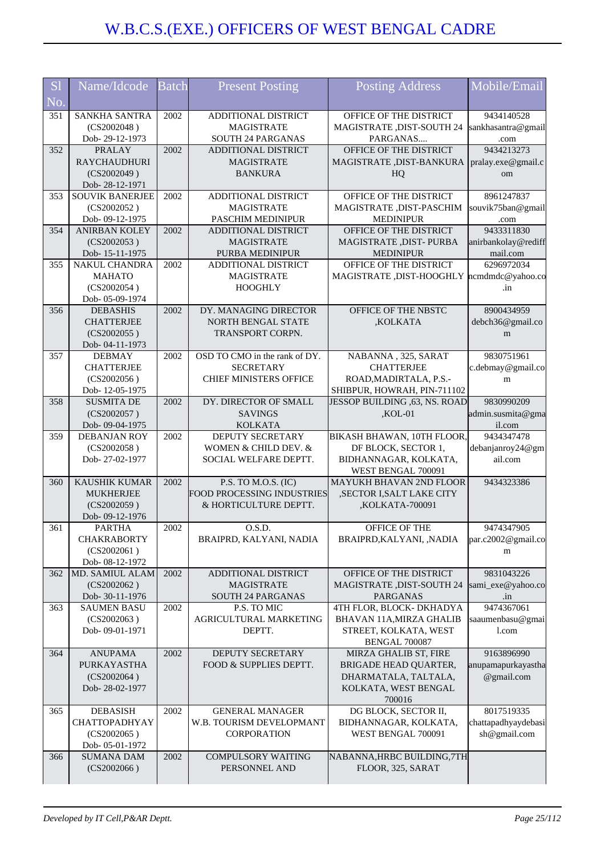|                | Name/Idcode                              | <b>Batch</b> | <b>Present Posting</b>                     | <b>Posting Address</b>                                        | Mobile/Email                                   |
|----------------|------------------------------------------|--------------|--------------------------------------------|---------------------------------------------------------------|------------------------------------------------|
| S <sub>1</sub> |                                          |              |                                            |                                                               |                                                |
| No.            |                                          |              |                                            |                                                               |                                                |
| 351            | SANKHA SANTRA                            | 2002         | ADDITIONAL DISTRICT                        | OFFICE OF THE DISTRICT                                        | 9434140528                                     |
|                | (CS2002048)                              |              | <b>MAGISTRATE</b>                          | MAGISTRATE , DIST-SOUTH 24                                    | sankhasantra@gmail                             |
|                | Dob-29-12-1973                           |              | SOUTH 24 PARGANAS                          | PARGANAS                                                      | .com                                           |
| 352            | <b>PRALAY</b>                            | 2002         | ADDITIONAL DISTRICT                        | OFFICE OF THE DISTRICT                                        | 9434213273                                     |
|                | <b>RAYCHAUDHURI</b>                      |              | <b>MAGISTRATE</b>                          | MAGISTRATE, DIST-BANKURA                                      | pralay.exe@gmail.c                             |
|                | (CS2002049)                              |              | <b>BANKURA</b>                             | HQ                                                            | om                                             |
| 353            | Dob-28-12-1971<br><b>SOUVIK BANERJEE</b> | 2002         | ADDITIONAL DISTRICT                        | OFFICE OF THE DISTRICT                                        | 8961247837                                     |
|                | (CS2002052)                              |              | <b>MAGISTRATE</b>                          | MAGISTRATE, DIST-PASCHIM                                      | souvik75ban@gmail                              |
|                | Dob- 09-12-1975                          |              | PASCHIM MEDINIPUR                          | <b>MEDINIPUR</b>                                              | .com                                           |
| 354            | <b>ANIRBAN KOLEY</b>                     | 2002         | ADDITIONAL DISTRICT                        | OFFICE OF THE DISTRICT                                        | 9433311830                                     |
|                | (CS2002053)                              |              | <b>MAGISTRATE</b>                          | MAGISTRATE, DIST-PURBA                                        | anirbankolay@rediff                            |
|                | Dob-15-11-1975                           |              | PURBA MEDINIPUR                            | <b>MEDINIPUR</b>                                              | mail.com                                       |
| 355            | <b>NAKUL CHANDRA</b>                     | 2002         | ADDITIONAL DISTRICT                        | OFFICE OF THE DISTRICT                                        | 6296972034                                     |
|                | <b>MAHATO</b>                            |              | <b>MAGISTRATE</b>                          | MAGISTRATE, DIST-HOOGHLY                                      | ncmdmdc@yahoo.co                               |
|                | (CS2002054)                              |              | <b>HOOGHLY</b>                             |                                                               | .in                                            |
|                | Dob-05-09-1974                           |              |                                            |                                                               |                                                |
| 356            | <b>DEBASHIS</b>                          | 2002         | DY. MANAGING DIRECTOR                      | OFFICE OF THE NBSTC                                           | 8900434959                                     |
|                | <b>CHATTERJEE</b>                        |              | NORTH BENGAL STATE                         | ,KOLKATA                                                      | debch36@gmail.co                               |
|                | (CS2002055)                              |              | <b>TRANSPORT CORPN.</b>                    |                                                               | m                                              |
|                | Dob-04-11-1973                           |              |                                            |                                                               |                                                |
| 357            | <b>DEBMAY</b>                            | 2002         | OSD TO CMO in the rank of DY.              | NABANNA, 325, SARAT                                           | 9830751961                                     |
|                | <b>CHATTERJEE</b>                        |              | <b>SECRETARY</b>                           | <b>CHATTERJEE</b>                                             | c.debmay@gmail.co                              |
|                | (CS2002056)                              |              | <b>CHIEF MINISTERS OFFICE</b>              | ROAD, MADIRTALA, P.S.-                                        | m                                              |
| 358            | Dob-12-05-1975<br><b>SUSMITA DE</b>      | 2002         | DY. DIRECTOR OF SMALL                      | SHIBPUR, HOWRAH, PIN-711102<br>JESSOP BUILDING , 63, NS. ROAD | 9830990209                                     |
|                | (CS2002057)                              |              | <b>SAVINGS</b>                             | $KOL-01$                                                      | admin.susmita@gma                              |
|                | Dob- 09-04-1975                          |              | <b>KOLKATA</b>                             |                                                               | il.com                                         |
| 359            | <b>DEBANJAN ROY</b>                      | 2002         | <b>DEPUTY SECRETARY</b>                    | BIKASH BHAWAN, 10TH FLOOR,                                    | 9434347478                                     |
|                |                                          |              |                                            |                                                               |                                                |
|                |                                          |              | WOMEN & CHILD DEV. &                       |                                                               |                                                |
|                | (CS2002058)<br>Dob-27-02-1977            |              | SOCIAL WELFARE DEPTT.                      | DF BLOCK, SECTOR 1,<br>BIDHANNAGAR, KOLKATA,                  | ail.com                                        |
|                |                                          |              |                                            | WEST BENGAL 700091                                            |                                                |
| 360            | KAUSHIK KUMAR                            | 2002         | P.S. TO M.O.S. (IC)                        | <b>MAYUKH BHAVAN 2ND FLOOR</b>                                | 9434323386                                     |
|                | <b>MUKHERJEE</b>                         |              | FOOD PROCESSING INDUSTRIES                 | ,SECTOR I,SALT LAKE CITY                                      |                                                |
|                | (CS2002059)                              |              | & HORTICULTURE DEPTT.                      | ,KOLKATA-700091                                               |                                                |
|                | Dob- 09-12-1976                          |              |                                            |                                                               |                                                |
| 361            | <b>PARTHA</b>                            | 2002         | O.S.D.                                     | <b>OFFICE OF THE</b>                                          | 9474347905                                     |
|                | <b>CHAKRABORTY</b>                       |              | BRAIPRD, KALYANI, NADIA                    | BRAIPRD, KALYANI, , NADIA                                     |                                                |
|                | (CS2002061)                              |              |                                            |                                                               | m                                              |
|                | Dob- 08-12-1972                          |              |                                            |                                                               | debanjanroy24@gm<br>par.c2002@gmail.co         |
| 362            | MD. SAMIUL ALAM                          | 2002         | ADDITIONAL DISTRICT                        | OFFICE OF THE DISTRICT                                        | 9831043226                                     |
|                | (CS2002062)                              |              | <b>MAGISTRATE</b>                          | <b>MAGISTRATE ,DIST-SOUTH 24</b>                              |                                                |
|                | Dob-30-11-1976                           |              | SOUTH 24 PARGANAS                          | <b>PARGANAS</b>                                               | .in                                            |
| 363            | <b>SAUMEN BASU</b>                       | 2002         | P.S. TO MIC                                | 4TH FLOR, BLOCK- DKHADYA                                      | 9474367061                                     |
|                | (CS2002063)<br>Dob-09-01-1971            |              | AGRICULTURAL MARKETING<br>DEPTT.           | BHAVAN 11A, MIRZA GHALIB                                      | sami_exe@yahoo.co<br>saaumenbasu@gmai<br>l.com |
|                |                                          |              |                                            | STREET, KOLKATA, WEST<br>BENGAL 700087                        |                                                |
| 364            | <b>ANUPAMA</b>                           | 2002         | DEPUTY SECRETARY                           | MIRZA GHALIB ST, FIRE                                         | 9163896990                                     |
|                | <b>PURKAYASTHA</b>                       |              | FOOD & SUPPLIES DEPTT.                     | BRIGADE HEAD QUARTER,                                         | anupamapurkayastha                             |
|                | (CS2002064)                              |              |                                            | DHARMATALA, TALTALA,                                          | @gmail.com                                     |
|                | Dob-28-02-1977                           |              |                                            | KOLKATA, WEST BENGAL                                          |                                                |
|                |                                          |              |                                            | 700016                                                        |                                                |
| 365            | <b>DEBASISH</b>                          | 2002         | <b>GENERAL MANAGER</b>                     | DG BLOCK, SECTOR II,                                          | 8017519335                                     |
|                | CHATTOPADHYAY                            |              | W.B. TOURISM DEVELOPMANT                   | BIDHANNAGAR, KOLKATA,                                         | chattapadhyaydebasi                            |
|                | (CS2002065)                              |              | CORPORATION                                | WEST BENGAL 700091                                            | sh@gmail.com                                   |
|                | Dob-05-01-1972                           |              |                                            |                                                               |                                                |
| 366            | <b>SUMANA DAM</b><br>(CS2002066)         | 2002         | <b>COMPULSORY WAITING</b><br>PERSONNEL AND | NABANNA, HRBC BUILDING, 7TH<br>FLOOR, 325, SARAT              |                                                |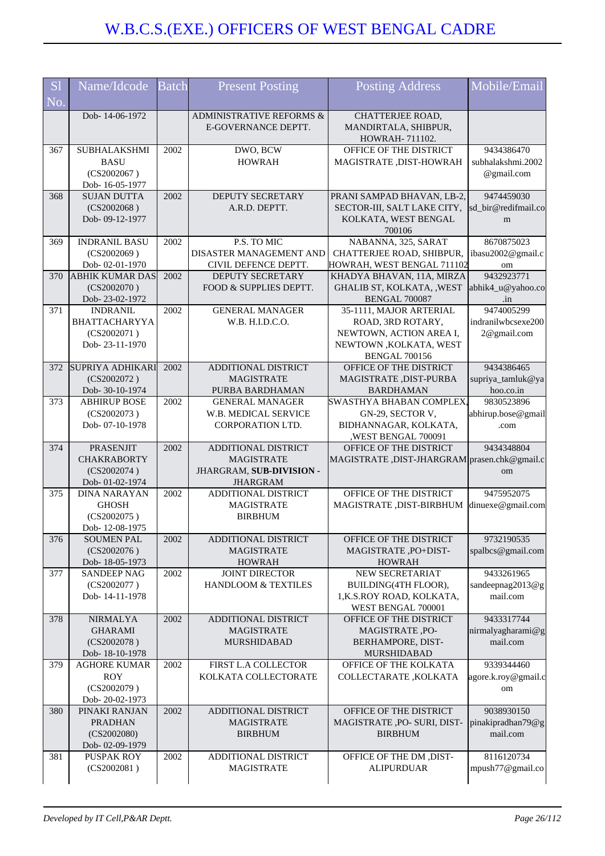| S <sub>1</sub><br>No. | Name/Idcode                                                              | <b>Batch</b> | <b>Present Posting</b>                                                                  | <b>Posting Address</b>                                                                                                     | Mobile/Email                                    |
|-----------------------|--------------------------------------------------------------------------|--------------|-----------------------------------------------------------------------------------------|----------------------------------------------------------------------------------------------------------------------------|-------------------------------------------------|
|                       | Dob-14-06-1972                                                           |              | ADMINISTRATIVE REFORMS &<br>E-GOVERNANCE DEPTT.                                         | CHATTERJEE ROAD,<br>MANDIRTALA, SHIBPUR,<br>HOWRAH- 711102.                                                                |                                                 |
| 367                   | <b>SUBHALAKSHMI</b><br><b>BASU</b><br>(CS2002067)<br>Dob-16-05-1977      | 2002         | DWO, BCW<br><b>HOWRAH</b>                                                               | OFFICE OF THE DISTRICT<br>MAGISTRATE , DIST-HOWRAH                                                                         | 9434386470<br>subhalakshmi.2002<br>@gmail.com   |
| 368                   | <b>SUJAN DUTTA</b><br>(CS2002068)<br>Dob-09-12-1977                      | 2002         | DEPUTY SECRETARY<br>A.R.D. DEPTT.                                                       | PRANI SAMPAD BHAVAN, LB-2,<br>SECTOR-III, SALT LAKE CITY,<br>KOLKATA, WEST BENGAL<br>700106                                | 9474459030<br>sd_bir@redifmail.co<br>m          |
| 369                   | <b>INDRANIL BASU</b><br>(CS2002069)<br>Dob-02-01-1970                    | 2002         | P.S. TO MIC<br>DISASTER MANAGEMENT AND<br>CIVIL DEFENCE DEPTT.                          | NABANNA, 325, SARAT<br>CHATTERJEE ROAD, SHIBPUR,<br>HOWRAH, WEST BENGAL 711102                                             | 8670875023<br>ibasu2002@gmail.c<br>om           |
| 370                   | <b>ABHIK KUMAR DAS</b><br>(CS2002070)<br>Dob-23-02-1972                  | 2002         | <b>DEPUTY SECRETARY</b><br>FOOD & SUPPLIES DEPTT.                                       | KHADYA BHAVAN, 11A, MIRZA<br>GHALIB ST, KOLKATA, , WEST<br><b>BENGAL 700087</b>                                            | 9432923771<br>abhik4_u@yahoo.co<br>$\cdot$ in   |
| 371                   | <b>INDRANIL</b><br>BHATTACHARYYA<br>(CS2002071)<br>Dob-23-11-1970        | 2002         | <b>GENERAL MANAGER</b><br>W.B. H.I.D.C.O.                                               | 35-1111, MAJOR ARTERIAL<br>ROAD, 3RD ROTARY,<br>NEWTOWN, ACTION AREA I,<br>NEWTOWN , KOLKATA, WEST<br><b>BENGAL 700156</b> | 9474005299<br>indranilwbcsexe200<br>2@gmail.com |
| 372                   | <b>SUPRIYA ADHIKARI</b><br>(CS2002072)<br>Dob- 30-10-1974                | 2002         | ADDITIONAL DISTRICT<br><b>MAGISTRATE</b><br>PURBA BARDHAMAN                             | OFFICE OF THE DISTRICT<br>MAGISTRATE , DIST-PURBA<br><b>BARDHAMAN</b>                                                      | 9434386465<br>supriya_tamluk@ya<br>hoo.co.in    |
| 373                   | <b>ABHIRUP BOSE</b><br>(CS2002073)<br>Dob-07-10-1978                     | 2002         | <b>GENERAL MANAGER</b><br>W.B. MEDICAL SERVICE<br>CORPORATION LTD.                      | SWASTHYA BHABAN COMPLEX,<br>GN-29, SECTOR V,<br>BIDHANNAGAR, KOLKATA,<br>,WEST BENGAL 700091                               | 9830523896<br>abhirup.bose@gmail<br>.com        |
| 374                   | <b>PRASENJIT</b><br><b>CHAKRABORTY</b><br>(CS2002074)<br>Dob- 01-02-1974 | 2002         | ADDITIONAL DISTRICT<br><b>MAGISTRATE</b><br>JHARGRAM, SUB-DIVISION -<br><b>JHARGRAM</b> | OFFICE OF THE DISTRICT<br>MAGISTRATE, DIST-JHARGRAM prasen.chk@gmail.c                                                     | 9434348804<br>om                                |
| 375                   | <b>DINA NARAYAN</b><br><b>GHOSH</b><br>(CS2002075)<br>Dob-12-08-1975     | 2002         | ADDITIONAL DISTRICT<br><b>MAGISTRATE</b><br><b>BIRBHUM</b>                              | OFFICE OF THE DISTRICT<br>MAGISTRATE , DIST-BIRBHUM                                                                        | 9475952075<br>dinuexe@gmail.com                 |
| 376                   | <b>SOUMEN PAL</b><br>(CS2002076)<br>Dob-18-05-1973                       | 2002         | ADDITIONAL DISTRICT<br><b>MAGISTRATE</b><br><b>HOWRAH</b>                               | OFFICE OF THE DISTRICT<br>MAGISTRATE, PO+DIST-<br><b>HOWRAH</b>                                                            | 9732190535<br>spalbcs@gmail.com                 |
| 377                   | <b>SANDEEP NAG</b><br>(CS2002077)<br>Dob-14-11-1978                      | 2002         | <b>JOINT DIRECTOR</b><br>HANDLOOM & TEXTILES                                            | NEW SECRETARIAT<br>BUILDING(4TH FLOOR),<br>1, K.S.ROY ROAD, KOLKATA,<br>WEST BENGAL 700001                                 | 9433261965<br>sandeepnag2013@g<br>mail.com      |
| 378                   | <b>NIRMALYA</b><br><b>GHARAMI</b><br>(CS2002078)<br>Dob-18-10-1978       | 2002         | ADDITIONAL DISTRICT<br><b>MAGISTRATE</b><br><b>MURSHIDABAD</b>                          | OFFICE OF THE DISTRICT<br>MAGISTRATE, PO-<br>BERHAMPORE, DIST-<br><b>MURSHIDABAD</b>                                       | 9433317744<br>nirmalyagharami@g<br>mail.com     |
| 379                   | <b>AGHORE KUMAR</b><br><b>ROY</b><br>(CS2002079)<br>Dob-20-02-1973       | 2002         | FIRST L.A COLLECTOR<br>KOLKATA COLLECTORATE                                             | OFFICE OF THE KOLKATA<br>COLLECTARATE, KOLKATA                                                                             | 9339344460<br>agore.k.roy@gmail.c<br>om         |
| 380                   | PINAKI RANJAN<br><b>PRADHAN</b><br>(CS2002080)<br>Dob-02-09-1979         | 2002         | ADDITIONAL DISTRICT<br><b>MAGISTRATE</b><br><b>BIRBHUM</b>                              | OFFICE OF THE DISTRICT<br>MAGISTRATE , PO- SURI, DIST-<br><b>BIRBHUM</b>                                                   | 9038930150<br>pinakipradhan79@g<br>mail.com     |
| 381                   | <b>PUSPAK ROY</b><br>(CS2002081)                                         | 2002         | ADDITIONAL DISTRICT<br><b>MAGISTRATE</b>                                                | OFFICE OF THE DM , DIST-<br><b>ALIPURDUAR</b>                                                                              | 8116120734<br>mpush77@gmail.co                  |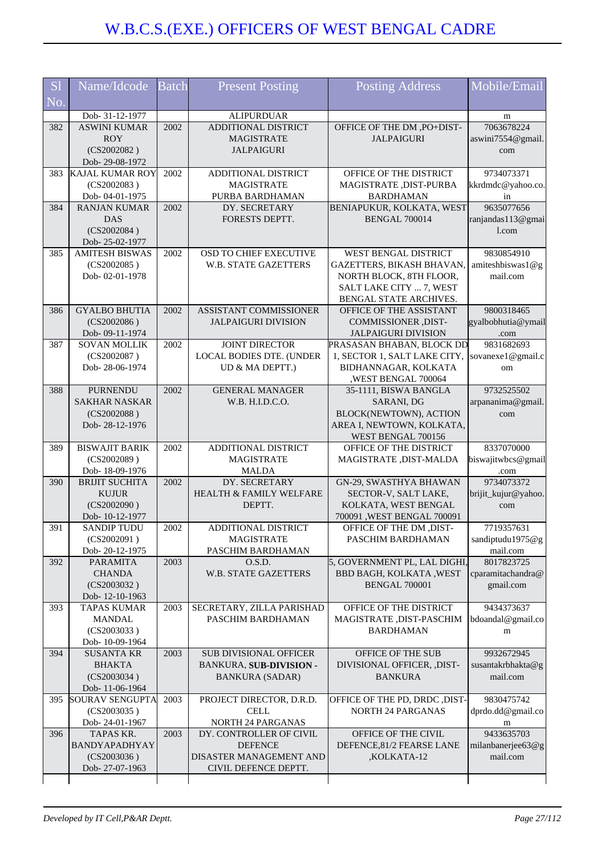| <b>S1</b> | Name/Idcode                             | <b>Batch</b> | <b>Present Posting</b>                   | <b>Posting Address</b>                            | Mobile/Email                    |
|-----------|-----------------------------------------|--------------|------------------------------------------|---------------------------------------------------|---------------------------------|
| No.       |                                         |              |                                          |                                                   |                                 |
|           | Dob-31-12-1977                          |              | <b>ALIPURDUAR</b>                        |                                                   | m                               |
| 382       | <b>ASWINI KUMAR</b><br><b>ROY</b>       | 2002         | ADDITIONAL DISTRICT<br><b>MAGISTRATE</b> | OFFICE OF THE DM, PO+DIST-<br><b>JALPAIGURI</b>   | 7063678224<br>aswini7554@gmail. |
|           | (CS2002082)                             |              | <b>JALPAIGURI</b>                        |                                                   | com                             |
|           | Dob-29-08-1972                          |              |                                          |                                                   |                                 |
| 383       | <b>KAJAL KUMAR ROY</b>                  | 2002         | ADDITIONAL DISTRICT                      | OFFICE OF THE DISTRICT                            | 9734073371                      |
|           | (CS2002083)                             |              | <b>MAGISTRATE</b>                        | MAGISTRATE, DIST-PURBA                            | kkrdmdc@yahoo.co.               |
|           | Dob-04-01-1975                          |              | PURBA BARDHAMAN                          | <b>BARDHAMAN</b>                                  | in                              |
| 384       | <b>RANJAN KUMAR</b>                     | 2002         | DY. SECRETARY                            | BENIAPUKUR, KOLKATA, WEST                         | 9635077656                      |
|           | <b>DAS</b><br>(CS2002084)               |              | FORESTS DEPTT.                           | <b>BENGAL 700014</b>                              | ranjandas113@gmai<br>1.com      |
|           | Dob-25-02-1977                          |              |                                          |                                                   |                                 |
| 385       | <b>AMITESH BISWAS</b>                   | 2002         | OSD TO CHIEF EXECUTIVE                   | WEST BENGAL DISTRICT                              | 9830854910                      |
|           | (CS2002085)                             |              | <b>W.B. STATE GAZETTERS</b>              | GAZETTERS, BIKASH BHAVAN,                         | amiteshbiswas1@g                |
|           | Dob-02-01-1978                          |              |                                          | NORTH BLOCK, 8TH FLOOR,                           | mail.com                        |
|           |                                         |              |                                          | SALT LAKE CITY  7, WEST                           |                                 |
| 386       | <b>GYALBO BHUTIA</b>                    | 2002         | ASSISTANT COMMISSIONER                   | BENGAL STATE ARCHIVES.<br>OFFICE OF THE ASSISTANT | 9800318465                      |
|           | (CS2002086)                             |              | <b>JALPAIGURI DIVISION</b>               | COMMISSIONER , DIST-                              | gyalbobhutia@ymail              |
|           | Dob- 09-11-1974                         |              |                                          | <b>JALPAIGURI DIVISION</b>                        | .com                            |
| 387       | <b>SOVAN MOLLIK</b>                     | 2002         | <b>JOINT DIRECTOR</b>                    | PRASASAN BHABAN, BLOCK DD                         | 9831682693                      |
|           | (CS2002087)                             |              | <b>LOCAL BODIES DTE. (UNDER</b>          | 1, SECTOR 1, SALT LAKE CITY,                      | sovanexe1@gmail.c               |
|           | Dob-28-06-1974                          |              | UD & MA DEPTT.)                          | BIDHANNAGAR, KOLKATA                              | om                              |
| 388       |                                         | 2002         | <b>GENERAL MANAGER</b>                   | ,WEST BENGAL 700064                               | 9732525502                      |
|           | <b>PURNENDU</b><br><b>SAKHAR NASKAR</b> |              | W.B. H.I.D.C.O.                          | 35-1111, BISWA BANGLA<br>SARANI, DG               | arpananima@gmail                |
|           | (CS2002088)                             |              |                                          | BLOCK(NEWTOWN), ACTION                            | com                             |
|           | Dob-28-12-1976                          |              |                                          | AREA I, NEWTOWN, KOLKATA,                         |                                 |
|           |                                         |              |                                          | WEST BENGAL 700156                                |                                 |
| 389       | <b>BISWAJIT BARIK</b>                   | 2002         | ADDITIONAL DISTRICT                      | OFFICE OF THE DISTRICT                            | 8337070000                      |
|           | (CS2002089)<br>Dob-18-09-1976           |              | <b>MAGISTRATE</b><br><b>MALDA</b>        | MAGISTRATE , DIST-MALDA                           | biswajitwbcs@gmail              |
| 390       | <b>BRIJIT SUCHITA</b>                   | 2002         | DY. SECRETARY                            | GN-29, SWASTHYA BHAWAN                            | .com<br>9734073372              |
|           | <b>KUJUR</b>                            |              | HEALTH & FAMILY WELFARE                  | SECTOR-V, SALT LAKE,                              | brijit_kujur@yahoo.             |
|           | (CS2002090)                             |              | DEPTT.                                   | KOLKATA, WEST BENGAL                              | com                             |
|           | Dob-10-12-1977                          |              |                                          | 700091, WEST BENGAL 700091                        |                                 |
| 391       | SANDIP TUDU                             | $2002\,$     | ADDITIONAL DISTRICT                      | OFFICE OF THE DM , DIST-                          | 7719357631                      |
|           | (CS2002091)<br>Dob-20-12-1975           |              | <b>MAGISTRATE</b><br>PASCHIM BARDHAMAN   | PASCHIM BARDHAMAN                                 | sandiptudu1975@g<br>mail.com    |
| 392       | <b>PARAMITA</b>                         | 2003         | O.S.D.                                   | 5, GOVERNMENT PL, LAL DIGHI,                      | 8017823725                      |
|           | <b>CHANDA</b>                           |              | W.B. STATE GAZETTERS                     | BBD BAGH, KOLKATA, WEST                           | cparamitachandra@               |
|           | (CS2003032)                             |              |                                          | <b>BENGAL 700001</b>                              | gmail.com                       |
|           | Dob-12-10-1963                          |              |                                          |                                                   |                                 |
| 393       | <b>TAPAS KUMAR</b>                      | 2003         | SECRETARY, ZILLA PARISHAD                | OFFICE OF THE DISTRICT                            | 9434373637                      |
|           | <b>MANDAL</b>                           |              | PASCHIM BARDHAMAN                        | MAGISTRATE , DIST-PASCHIM                         | bdoandal@gmail.co               |
|           | (CS2003033)<br>Dob-10-09-1964           |              |                                          | <b>BARDHAMAN</b>                                  | m                               |
| 394       | <b>SUSANTA KR</b>                       | 2003         | <b>SUB DIVISIONAL OFFICER</b>            | OFFICE OF THE SUB                                 | 9932672945                      |
|           | BHAKTA                                  |              | <b>BANKURA, SUB-DIVISION -</b>           | DIVISIONAL OFFICER, ,DIST-                        | susantakrbhakta@g               |
|           | (CS2003034)                             |              | <b>BANKURA (SADAR)</b>                   | <b>BANKURA</b>                                    | mail.com                        |
|           | Dob-11-06-1964                          |              |                                          |                                                   |                                 |
| 395       | <b>SOURAV SENGUPTA</b>                  | 2003         | PROJECT DIRECTOR, D.R.D.                 | OFFICE OF THE PD, DRDC , DIST-                    | 9830475742                      |
|           | (CS2003035)<br>Dob-24-01-1967           |              | <b>CELL</b><br>NORTH 24 PARGANAS         | <b>NORTH 24 PARGANAS</b>                          | dprdo.dd@gmail.co<br>m          |
| 396       | TAPAS KR.                               | 2003         | DY. CONTROLLER OF CIVIL                  | OFFICE OF THE CIVIL                               | 9433635703                      |
|           | BANDYAPADHYAY                           |              | <b>DEFENCE</b>                           | DEFENCE, 81/2 FEARSE LANE                         | milanbanerjee63@g               |
|           | (CS2003036)                             |              | DISASTER MANAGEMENT AND                  | ,KOLKATA-12                                       | mail.com                        |
|           | Dob-27-07-1963                          |              | CIVIL DEFENCE DEPTT.                     |                                                   |                                 |
|           |                                         |              |                                          |                                                   |                                 |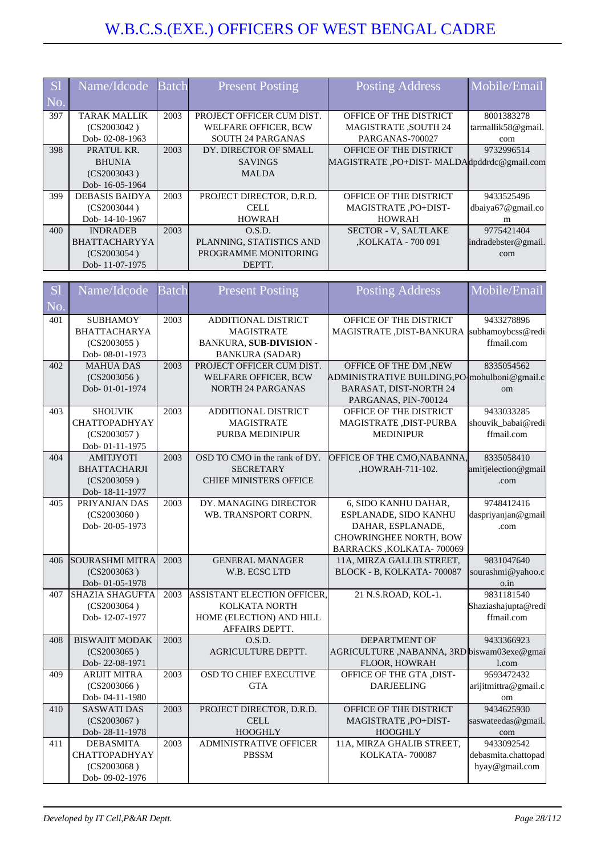| <b>S</b> | Name/Idcode           | <b>Batch</b> | <b>Present Posting</b>      | <b>Posting Address</b>                      | Mobile/Email        |
|----------|-----------------------|--------------|-----------------------------|---------------------------------------------|---------------------|
| No       |                       |              |                             |                                             |                     |
| 397      | TARAK MALLIK          | 2003         | PROJECT OFFICER CUM DIST.   | OFFICE OF THE DISTRICT                      | 8001383278          |
|          | (CS2003042)           |              | <b>WELFARE OFFICER, BCW</b> | <b>MAGISTRATE ,SOUTH 24</b>                 | tarmallik58@gmail.  |
|          | Dob-02-08-1963        |              | <b>SOUTH 24 PARGANAS</b>    | PARGANAS-700027                             | com                 |
| 398      | PRATUL KR.            | 2003         | DY. DIRECTOR OF SMALL       | OFFICE OF THE DISTRICT                      | 9732996514          |
|          | <b>BHUNIA</b>         |              | <b>SAVINGS</b>              | MAGISTRATE , PO+DIST-MALDAdpddrdc@gmail.com |                     |
|          | (CS2003043)           |              | <b>MALDA</b>                |                                             |                     |
|          | Dob-16-05-1964        |              |                             |                                             |                     |
| 399      | <b>DEBASIS BAIDYA</b> | 2003         | PROJECT DIRECTOR, D.R.D.    | OFFICE OF THE DISTRICT                      | 9433525496          |
|          | (CS2003044)           |              | CELL                        | MAGISTRATE, PO+DIST-                        | dbaiya67@gmail.co   |
|          | Dob-14-10-1967        |              | <b>HOWRAH</b>               | <b>HOWRAH</b>                               | m                   |
| 400      | <b>INDRADEB</b>       | 2003         | O.S.D.                      | <b>SECTOR - V, SALTLAKE</b>                 | 9775421404          |
|          | <b>BHATTACHARYYA</b>  |              | PLANNING, STATISTICS AND    | <b>.KOLKATA - 700 091</b>                   | indradebster@gmail. |
|          | (CS2003054)           |              | PROGRAMME MONITORING        |                                             | com                 |
|          | Dob-11-07-1975        |              | DEPTT.                      |                                             |                     |

| S <sub>1</sub> | Name/Idcode                     | $\overline{\text{Batch}}$ | <b>Present Posting</b>            | <b>Posting Address</b>                       | Mobile/Email         |
|----------------|---------------------------------|---------------------------|-----------------------------------|----------------------------------------------|----------------------|
| No.            |                                 |                           |                                   |                                              |                      |
| 401            | <b>SUBHAMOY</b>                 | 2003                      | ADDITIONAL DISTRICT               | OFFICE OF THE DISTRICT                       | 9433278896           |
|                | <b>BHATTACHARYA</b>             |                           | <b>MAGISTRATE</b>                 | MAGISTRATE , DIST-BANKURA                    | subhamoybcss@redi    |
|                | (CS2003055)                     |                           | BANKURA, SUB-DIVISION -           |                                              | ffmail.com           |
|                | Dob- 08-01-1973                 |                           | <b>BANKURA (SADAR)</b>            |                                              |                      |
| 402            | <b>MAHUA DAS</b>                | $\overline{2003}$         | PROJECT OFFICER CUM DIST.         | OFFICE OF THE DM, NEW                        | 8335054562           |
|                | (CS2003056)                     |                           | WELFARE OFFICER, BCW              | ADMINISTRATIVE BUILDING,PO-mohulboni@gmail.c |                      |
|                | Dob-01-01-1974                  |                           | <b>NORTH 24 PARGANAS</b>          | <b>BARASAT, DIST-NORTH 24</b>                | om                   |
|                |                                 |                           |                                   | PARGANAS, PIN-700124                         |                      |
| 403            | <b>SHOUVIK</b>                  | $\overline{2003}$         | ADDITIONAL DISTRICT               | OFFICE OF THE DISTRICT                       | 9433033285           |
|                | <b>CHATTOPADHYAY</b>            |                           | <b>MAGISTRATE</b>                 | MAGISTRATE, DIST-PURBA                       | shouvik_babai@redi   |
|                | (CS2003057)                     |                           | PURBA MEDINIPUR                   | <b>MEDINIPUR</b>                             | ffmail.com           |
|                | Dob-01-11-1975                  |                           |                                   |                                              |                      |
| 404            | <b>AMITJYOTI</b>                | $\overline{2003}$         | OSD TO CMO in the rank of DY.     | OFFICE OF THE CMO, NABANNA,                  | 8335058410           |
|                | <b>BHATTACHARJI</b>             |                           | <b>SECRETARY</b>                  | ,HOWRAH-711-102.                             | amitjelection@gmail  |
|                | (CS2003059)                     |                           | <b>CHIEF MINISTERS OFFICE</b>     |                                              | .com                 |
| 405            | Dob-18-11-1977<br>PRIYANJAN DAS | 2003                      | DY. MANAGING DIRECTOR             | 6, SIDO KANHU DAHAR,                         | 9748412416           |
|                | (CS2003060)                     |                           | WB. TRANSPORT CORPN.              | ESPLANADE, SIDO KANHU                        |                      |
|                | Dob-20-05-1973                  |                           |                                   | DAHAR, ESPLANADE,                            | daspriyanjan@gmail   |
|                |                                 |                           |                                   | CHOWRINGHEE NORTH, BOW                       | .com                 |
|                |                                 |                           |                                   | BARRACKS, KOLKATA-700069                     |                      |
| 406            | <b>SOURASHMI MITRA</b>          | 2003                      | <b>GENERAL MANAGER</b>            | 11A, MIRZA GALLIB STREET,                    | 9831047640           |
|                | (CS2003063)                     |                           | W.B. ECSC LTD                     | BLOCK - B, KOLKATA-700087                    | sourashmi@yahoo.c    |
|                | Dob-01-05-1978                  |                           |                                   |                                              | $0.\dot{1}n$         |
| 407            | <b>SHAZIA SHAGUFTA</b>          | 2003                      | <b>ASSISTANT ELECTION OFFICER</b> | 21 N.S.ROAD, KOL-1.                          | 9831181540           |
|                | (CS2003064)                     |                           | KOLKATA NORTH                     |                                              | Shaziashajupta@redi  |
|                | Dob-12-07-1977                  |                           | HOME (ELECTION) AND HILL          |                                              | ffmail.com           |
|                |                                 |                           | AFFAIRS DEPTT.                    |                                              |                      |
| 408            | <b>BISWAJIT MODAK</b>           | 2003                      | O.S.D.                            | DEPARTMENT OF                                | 9433366923           |
|                | (CS2003065)                     |                           | AGRICULTURE DEPTT.                | AGRICULTURE, NABANNA, 3RD biswam03exe@gmai   |                      |
|                | Dob-22-08-1971                  |                           |                                   | FLOOR, HOWRAH                                | l.com                |
| 409            | <b>ARIJIT MITRA</b>             | 2003                      | OSD TO CHIEF EXECUTIVE            | OFFICE OF THE GTA , DIST-                    | 9593472432           |
|                | (CS2003066)                     |                           | <b>GTA</b>                        | <b>DARJEELING</b>                            | arijitmittra@gmail.c |
|                | Dob-04-11-1980                  |                           |                                   |                                              | om                   |
| 410            | <b>SASWATI DAS</b>              | 2003                      | PROJECT DIRECTOR, D.R.D.          | OFFICE OF THE DISTRICT                       | 9434625930           |
|                | (CS2003067)                     |                           | <b>CELL</b>                       | MAGISTRATE, PO+DIST-                         | saswateedas@gmail.   |
|                | Dob-28-11-1978                  |                           | <b>HOOGHLY</b>                    | <b>HOOGHLY</b>                               | com                  |
| 411            | <b>DEBASMITA</b>                | 2003                      | <b>ADMINISTRATIVE OFFICER</b>     | 11A, MIRZA GHALIB STREET,                    | 9433092542           |
|                | <b>CHATTOPADHYAY</b>            |                           | <b>PBSSM</b>                      | KOLKATA-700087                               | debasmita.chattopad  |
|                | (CS2003068)                     |                           |                                   |                                              | hyay@gmail.com       |
|                | Dob-09-02-1976                  |                           |                                   |                                              |                      |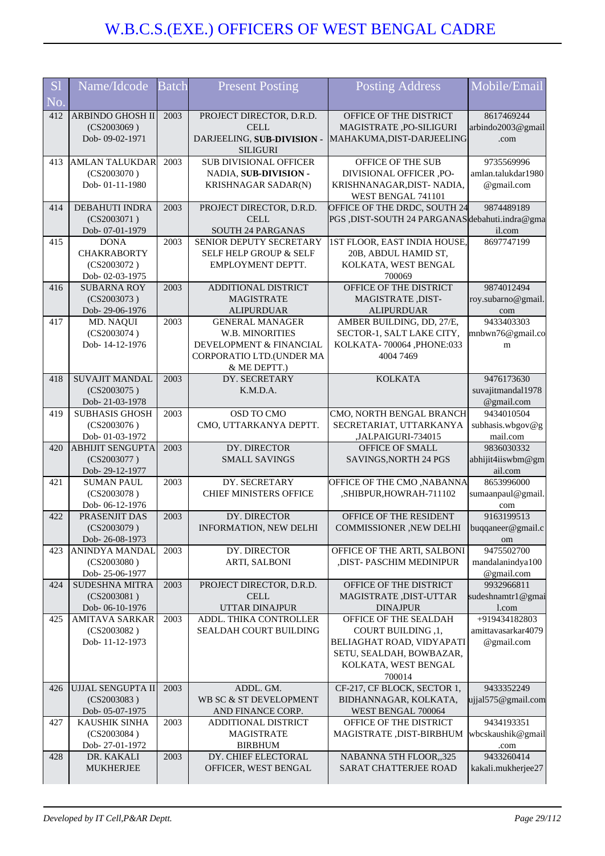| S <sub>1</sub> | Name/Idcode                             | <b>Batch</b> | <b>Present Posting</b>                        | <b>Posting Address</b>                               | Mobile/Email                     |
|----------------|-----------------------------------------|--------------|-----------------------------------------------|------------------------------------------------------|----------------------------------|
| No.            |                                         |              |                                               |                                                      |                                  |
| 412            | ARBINDO GHOSH II                        | 2003         | PROJECT DIRECTOR, D.R.D.                      | OFFICE OF THE DISTRICT                               | 8617469244                       |
|                | (CS2003069)                             |              | CELL                                          | MAGISTRATE, PO-SILIGURI                              | arbindo2003@gmail                |
|                | Dob-09-02-1971                          |              | DARJEELING, SUB-DIVISION -<br><b>SILIGURI</b> | MAHAKUMA, DIST-DARJEELING                            | .com                             |
| 413            | <b>AMLAN TALUKDAR</b>                   | 2003         | <b>SUB DIVISIONAL OFFICER</b>                 | OFFICE OF THE SUB                                    | 9735569996                       |
|                | (CS2003070)                             |              | NADIA, SUB-DIVISION -                         | DIVISIONAL OFFICER ,PO-                              | amlan.talukdar1980               |
|                | Dob-01-11-1980                          |              | KRISHNAGAR SADAR(N)                           | KRISHNANAGAR, DIST-NADIA,                            | @gmail.com                       |
|                |                                         |              |                                               | WEST BENGAL 741101                                   |                                  |
| 414            | <b>DEBAHUTI INDRA</b>                   | 2003         | PROJECT DIRECTOR, D.R.D.                      | OFFICE OF THE DRDC, SOUTH 24                         | 9874489189                       |
|                | (CS2003071)<br>Dob- 07-01-1979          |              | <b>CELL</b><br>SOUTH 24 PARGANAS              | PGS ,DIST-SOUTH 24 PARGANAS debahuti.indra@gma       | il.com                           |
| 415            | <b>DONA</b>                             | 2003         | <b>SENIOR DEPUTY SECRETARY</b>                | 1ST FLOOR, EAST INDIA HOUSE,                         | 8697747199                       |
|                | <b>CHAKRABORTY</b>                      |              | SELF HELP GROUP & SELF                        | 20B, ABDUL HAMID ST,                                 |                                  |
|                | (CS2003072)                             |              | EMPLOYMENT DEPTT.                             | KOLKATA, WEST BENGAL                                 |                                  |
|                | Dob-02-03-1975                          |              |                                               | 700069                                               |                                  |
| 416            | <b>SUBARNA ROY</b>                      | 2003         | ADDITIONAL DISTRICT                           | OFFICE OF THE DISTRICT                               | 9874012494                       |
|                | (CS2003073)<br>Dob-29-06-1976           |              | <b>MAGISTRATE</b><br><b>ALIPURDUAR</b>        | MAGISTRATE, DIST-<br><b>ALIPURDUAR</b>               | roy.subarno@gmail.               |
| 417            | MD. NAQUI                               | 2003         | <b>GENERAL MANAGER</b>                        | AMBER BUILDING, DD, 27/E,                            | com<br>9433403303                |
|                | (CS2003074)                             |              | W.B. MINORITIES                               | SECTOR-1, SALT LAKE CITY,                            | mnbwn76@gmail.co                 |
|                | Dob-14-12-1976                          |              | DEVELOPMENT & FINANCIAL                       | KOLKATA- 700064 , PHONE:033                          | m                                |
|                |                                         |              | CORPORATIO LTD.(UNDER MA                      | 4004 7469                                            |                                  |
|                |                                         |              | & ME DEPTT.)                                  |                                                      |                                  |
| 418            | <b>SUVAJIT MANDAL</b><br>(CS2003075)    | 2003         | DY. SECRETARY<br>K.M.D.A.                     | <b>KOLKATA</b>                                       | 9476173630<br>suvajitmandal1978  |
|                | Dob-21-03-1978                          |              |                                               |                                                      | @gmail.com                       |
| 419            | <b>SUBHASIS GHOSH</b>                   | 2003         | OSD TO CMO                                    | CMO, NORTH BENGAL BRANCH                             | 9434010504                       |
|                | (CS2003076)                             |              | CMO, UTTARKANYA DEPTT.                        | SECRETARIAT, UTTARKANYA                              | subhasis.wbgov@g                 |
|                | Dob- 01-03-1972                         |              |                                               | ,JALPAIGURI-734015                                   | mail.com                         |
| 420            | <b>ABHIJIT SENGUPTA</b>                 | 2003         | DY. DIRECTOR                                  | OFFICE OF SMALL                                      | 9836030332                       |
|                | (CS2003077)<br>Dob-29-12-1977           |              | <b>SMALL SAVINGS</b>                          | SAVINGS, NORTH 24 PGS                                | abhijit4iiswbm@gm<br>ail.com     |
| 421            | <b>SUMAN PAUL</b>                       | 2003         | DY. SECRETARY                                 | OFFICE OF THE CMO, NABANNA                           | 8653996000                       |
|                | (CS2003078)                             |              | <b>CHIEF MINISTERS OFFICE</b>                 | ,SHIBPUR,HOWRAH-711102                               | sumaanpaul@gmail.                |
|                | Dob-06-12-1976                          |              |                                               |                                                      | com                              |
| 422            | PRASENJIT DAS                           | 2003         | DY. DIRECTOR                                  | OFFICE OF THE RESIDENT                               | 9163199513                       |
|                | (CS2003079)<br>Dob-26-08-1973           |              | <b>INFORMATION, NEW DELHI</b>                 | COMMISSIONER , NEW DELHI                             | buqqaneer@gmail.c                |
| 423            | <b>ANINDYA MANDAL</b>                   | 2003         | DY. DIRECTOR                                  | OFFICE OF THE ARTI, SALBONI                          | om<br>9475502700                 |
|                | (CS2003080)                             |              | ARTI, SALBONI                                 | ,DIST- PASCHIM MEDINIPUR                             | mandalanindya100                 |
|                | Dob-25-06-1977                          |              |                                               |                                                      | @gmail.com                       |
| 424            | <b>SUDESHNA MITRA</b>                   | 2003         | PROJECT DIRECTOR, D.R.D.                      | OFFICE OF THE DISTRICT                               | 9932966811                       |
|                | (CS2003081)                             |              | <b>CELL</b>                                   | MAGISTRATE, DIST-UTTAR                               | sudeshnamtr1@gmai                |
| 425            | Dob-06-10-1976<br><b>AMITAVA SARKAR</b> | 2003         | UTTAR DINAJPUR<br>ADDL. THIKA CONTROLLER      | <b>DINAJPUR</b><br>OFFICE OF THE SEALDAH             | 1.com<br>+919434182803           |
|                | (CS2003082)                             |              | SEALDAH COURT BUILDING                        | COURT BUILDING ,1,                                   | amittavasarkar4079               |
|                | Dob-11-12-1973                          |              |                                               | BELIAGHAT ROAD, VIDYAPATI                            | @gmail.com                       |
|                |                                         |              |                                               | SETU, SEALDAH, BOWBAZAR,                             |                                  |
|                |                                         |              |                                               | KOLKATA, WEST BENGAL                                 |                                  |
|                |                                         |              |                                               | 700014                                               |                                  |
| 426            | UJJAL SENGUPTA II<br>(CS2003083)        | 2003         | ADDL. GM.<br>WB SC & ST DEVELOPMENT           | CF-217, CF BLOCK, SECTOR 1,<br>BIDHANNAGAR, KOLKATA, | 9433352249<br>ujjal575@gmail.com |
|                | Dob-05-07-1975                          |              | AND FINANCE CORP.                             | WEST BENGAL 700064                                   |                                  |
| 427            | <b>KAUSHIK SINHA</b>                    | 2003         | ADDITIONAL DISTRICT                           | OFFICE OF THE DISTRICT                               | 9434193351                       |
|                | (CS2003084)                             |              | <b>MAGISTRATE</b>                             | MAGISTRATE, DIST-BIRBHUM                             | wbcskaushik@gmail                |
|                | Dob-27-01-1972                          |              | <b>BIRBHUM</b>                                |                                                      | .com                             |
| 428            | DR. KAKALI<br><b>MUKHERJEE</b>          | 2003         | DY. CHIEF ELECTORAL<br>OFFICER, WEST BENGAL   | NABANNA 5TH FLOOR,,325<br>SARAT CHATTERJEE ROAD      | 9433260414<br>kakali.mukherjee27 |
|                |                                         |              |                                               |                                                      |                                  |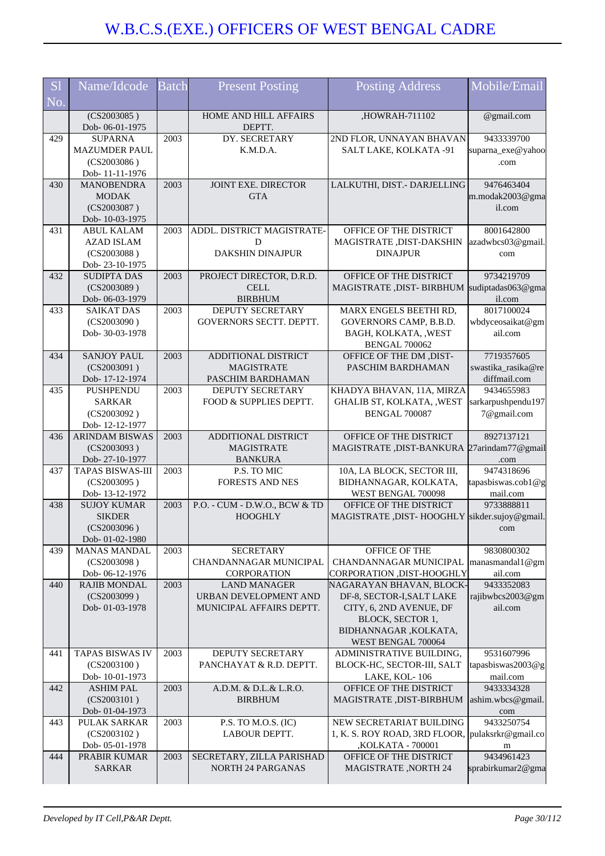| <b>S1</b> | Name/Idcode                          | <b>Batch</b> | <b>Present Posting</b>                     | <b>Posting Address</b>                                    | Mobile/Email                     |
|-----------|--------------------------------------|--------------|--------------------------------------------|-----------------------------------------------------------|----------------------------------|
| No.       |                                      |              |                                            |                                                           |                                  |
|           | (CS2003085)                          |              | HOME AND HILL AFFAIRS                      | ,HOWRAH-711102                                            | @gmail.com                       |
|           | Dob-06-01-1975                       |              | DEPTT.                                     |                                                           |                                  |
| 429       | <b>SUPARNA</b>                       | 2003         | DY. SECRETARY                              | 2ND FLOR, UNNAYAN BHAVAN                                  | 9433339700                       |
|           | <b>MAZUMDER PAUL</b>                 |              | K.M.D.A.                                   | SALT LAKE, KOLKATA -91                                    | suparna_exe@yahoo                |
|           | (CS2003086)<br>Dob-11-11-1976        |              |                                            |                                                           | .com                             |
| 430       | <b>MANOBENDRA</b>                    | 2003         | JOINT EXE. DIRECTOR                        | LALKUTHI, DIST.- DARJELLING                               | 9476463404                       |
|           | <b>MODAK</b>                         |              | <b>GTA</b>                                 |                                                           | m.modak2003@gma                  |
|           | (CS2003087)                          |              |                                            |                                                           | il.com                           |
|           | Dob-10-03-1975                       |              |                                            |                                                           |                                  |
| 431       | <b>ABUL KALAM</b>                    | 2003         | ADDL. DISTRICT MAGISTRATE-                 | OFFICE OF THE DISTRICT                                    | 8001642800                       |
|           | <b>AZAD ISLAM</b>                    |              | D                                          | MAGISTRATE, DIST-DAKSHIN                                  | azadwbcs03@gmail.                |
|           | (CS2003088)                          |              | <b>DAKSHIN DINAJPUR</b>                    | <b>DINAJPUR</b>                                           | com                              |
| 432       | Dob-23-10-1975<br><b>SUDIPTA DAS</b> | 2003         | PROJECT DIRECTOR, D.R.D.                   | OFFICE OF THE DISTRICT                                    | 9734219709                       |
|           | (CS2003089)                          |              | <b>CELL</b>                                | MAGISTRATE, DIST-BIRBHUM                                  | sudiptadas063@gma                |
|           | Dob-06-03-1979                       |              | <b>BIRBHUM</b>                             |                                                           | il.com                           |
| 433       | <b>SAIKAT DAS</b>                    | 2003         | <b>DEPUTY SECRETARY</b>                    | MARX ENGELS BEETHI RD,                                    | 8017100024                       |
|           | (CS2003090)                          |              | GOVERNORS SECTT. DEPTT.                    | GOVERNORS CAMP, B.B.D.                                    | wbdyceosaikat@gm                 |
|           | Dob- 30-03-1978                      |              |                                            | BAGH, KOLKATA, , WEST                                     | ail.com                          |
|           |                                      |              |                                            | <b>BENGAL 700062</b>                                      |                                  |
| 434       | <b>SANJOY PAUL</b>                   | 2003         | ADDITIONAL DISTRICT                        | OFFICE OF THE DM , DIST-                                  | 7719357605                       |
|           | (CS2003091)                          |              | <b>MAGISTRATE</b>                          | PASCHIM BARDHAMAN                                         | swastika_rasika@re               |
|           | Dob-17-12-1974                       |              | PASCHIM BARDHAMAN                          |                                                           | diffmail.com                     |
| 435       | <b>PUSHPENDU</b><br><b>SARKAR</b>    | 2003         | DEPUTY SECRETARY<br>FOOD & SUPPLIES DEPTT. | KHADYA BHAVAN, 11A, MIRZA<br>GHALIB ST, KOLKATA, , WEST   | 9434655983<br>sarkarpushpendu197 |
|           | (CS2003092)                          |              |                                            | BENGAL 700087                                             | 7@gmail.com                      |
|           | Dob-12-12-1977                       |              |                                            |                                                           |                                  |
| 436       | <b>ARINDAM BISWAS</b>                | 2003         | ADDITIONAL DISTRICT                        | OFFICE OF THE DISTRICT                                    | 8927137121                       |
|           | (CS2003093)                          |              | <b>MAGISTRATE</b>                          | MAGISTRATE ,DIST-BANKURA 27arindam77@gmail                |                                  |
|           | Dob-27-10-1977                       |              | <b>BANKURA</b>                             |                                                           | .com                             |
| 437       | <b>TAPAS BISWAS-III</b>              | 2003         | P.S. TO MIC                                | 10A, LA BLOCK, SECTOR III,                                | 9474318696                       |
|           | (CS2003095)                          |              | <b>FORESTS AND NES</b>                     | BIDHANNAGAR, KOLKATA,                                     | tapasbiswas.cob1@g               |
| 438       | Dob-13-12-1972<br><b>SUJOY KUMAR</b> | 2003         | P.O. - CUM - D.W.O., BCW & TD              | WEST BENGAL 700098<br>OFFICE OF THE DISTRICT              | mail.com<br>9733888811           |
|           | <b>SIKDER</b>                        |              | <b>HOOGHLY</b>                             | MAGISTRATE , DIST- HOOGHLY                                | sikder.sujoy@gmail.              |
|           | (CS2003096)                          |              |                                            |                                                           | com                              |
|           | Dob-01-02-1980                       |              |                                            |                                                           |                                  |
| 439       | <b>MANAS MANDAL</b>                  | 2003         | <b>SECRETARY</b>                           | OFFICE OF THE                                             | 9830800302                       |
|           | (CS2003098)                          |              | CHANDANNAGAR MUNICIPAL                     | CHANDANNAGAR MUNICIPAL                                    | manasmandal1@gm                  |
|           | Dob-06-12-1976                       |              | CORPORATION                                | CORPORATION , DIST-HOOGHLY                                | ail.com                          |
| 440       | <b>RAJIB MONDAL</b>                  | 2003         | <b>LAND MANAGER</b>                        | NAGARAYAN BHAVAN, BLOCK-                                  | 9433352083                       |
|           | (CS2003099)                          |              | URBAN DEVELOPMENT AND                      | DF-8, SECTOR-I, SALT LAKE                                 | rajibwbcs2003@gm                 |
|           | Dob-01-03-1978                       |              | MUNICIPAL AFFAIRS DEPTT.                   | CITY, 6, 2ND AVENUE, DF<br>BLOCK, SECTOR 1,               | ail.com                          |
|           |                                      |              |                                            | BIDHANNAGAR, KOLKATA,                                     |                                  |
|           |                                      |              |                                            | WEST BENGAL 700064                                        |                                  |
| 441       | <b>TAPAS BISWAS IV</b>               | 2003         | DEPUTY SECRETARY                           | ADMINISTRATIVE BUILDING,                                  | 9531607996                       |
|           | (CS2003100)                          |              | PANCHAYAT & R.D. DEPTT.                    | BLOCK-HC, SECTOR-III, SALT                                | tapasbiswas2003@g                |
|           | Dob-10-01-1973                       |              |                                            | LAKE, KOL-106                                             | mail.com                         |
| 442       | <b>ASHIM PAL</b>                     | 2003         | A.D.M. & D.L.& L.R.O.                      | OFFICE OF THE DISTRICT                                    | 9433334328                       |
|           | (CS2003101)                          |              | <b>BIRBHUM</b>                             | MAGISTRATE, DIST-BIRBHUM                                  | ashim.wbcs@gmail.                |
|           | Dob- 01-04-1973                      |              |                                            |                                                           | com                              |
| 443       | PULAK SARKAR<br>(CS2003102)          | 2003         | P.S. TO M.O.S. (IC)<br>LABOUR DEPTT.       | NEW SECRETARIAT BUILDING<br>1, K. S. ROY ROAD, 3RD FLOOR, | 9433250754<br>pulaksrkr@gmail.co |
|           | Dob-05-01-1978                       |              |                                            | ,KOLKATA - 700001                                         | m                                |
| 444       | PRABIR KUMAR                         | 2003         | SECRETARY, ZILLA PARISHAD                  | OFFICE OF THE DISTRICT                                    | 9434961423                       |
|           | <b>SARKAR</b>                        |              | <b>NORTH 24 PARGANAS</b>                   | <b>MAGISTRATE, NORTH 24</b>                               | sprabirkumar2@gma                |
|           |                                      |              |                                            |                                                           |                                  |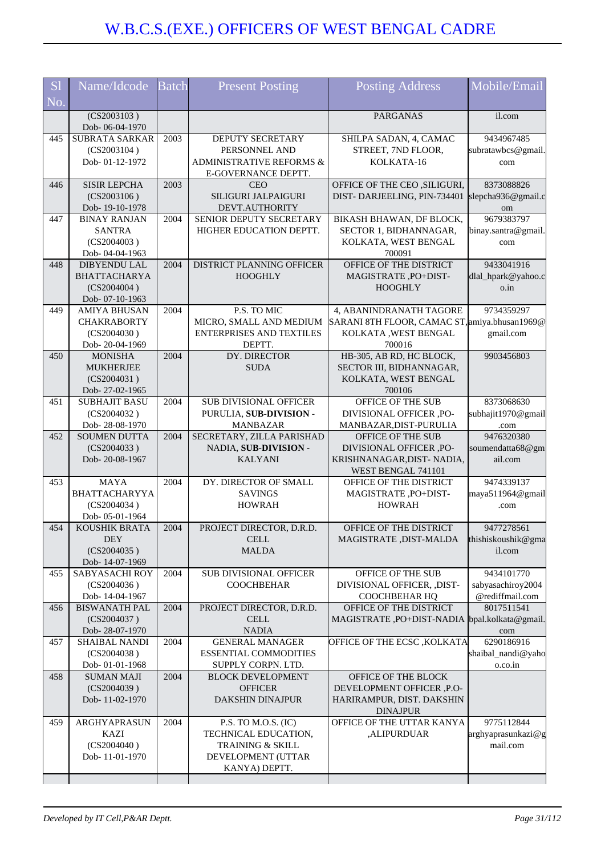| <b>S1</b> | Name/Idcode                            | <b>Batch</b> | <b>Present Posting</b>                        | <b>Posting Address</b>                            | Mobile/Email                     |
|-----------|----------------------------------------|--------------|-----------------------------------------------|---------------------------------------------------|----------------------------------|
| No.       |                                        |              |                                               |                                                   |                                  |
|           | (CS2003103)<br>Dob-06-04-1970          |              |                                               | <b>PARGANAS</b>                                   | il.com                           |
| 445       | <b>SUBRATA SARKAR</b>                  | 2003         | DEPUTY SECRETARY                              | SHILPA SADAN, 4, CAMAC                            | 9434967485                       |
|           | (CS2003104)                            |              | PERSONNEL AND                                 | STREET, 7ND FLOOR,                                | subratawbcs@gmail.               |
|           | Dob-01-12-1972                         |              | ADMINISTRATIVE REFORMS &                      | KOLKATA-16                                        | com                              |
| 446       | <b>SISIR LEPCHA</b>                    | 2003         | E-GOVERNANCE DEPTT.<br><b>CEO</b>             | OFFICE OF THE CEO , SILIGURI,                     | 8373088826                       |
|           | (CS2003106)                            |              | SILIGURI JALPAIGURI                           | DIST-DARJEELING, PIN-734401                       | slepcha936@gmail.c               |
|           | Dob-19-10-1978                         |              | DEVT.AUTHORITY                                |                                                   | om                               |
| 447       | <b>BINAY RANJAN</b>                    | 2004         | SENIOR DEPUTY SECRETARY                       | BIKASH BHAWAN, DF BLOCK,                          | 9679383797                       |
|           | <b>SANTRA</b>                          |              | HIGHER EDUCATION DEPTT.                       | SECTOR 1, BIDHANNAGAR,                            | binay.santra@gmail.              |
|           | (CS2004003)                            |              |                                               | KOLKATA, WEST BENGAL                              | com                              |
|           | Dob-04-04-1963                         |              |                                               | 700091                                            |                                  |
| 448       | DIBYENDU LAL                           | 2004         | DISTRICT PLANNING OFFICER                     | OFFICE OF THE DISTRICT                            | 9433041916                       |
|           | <b>BHATTACHARYA</b>                    |              | <b>HOOGHLY</b>                                | MAGISTRATE, PO+DIST-                              | dlal_hpark@yahoo.c               |
|           | (CS2004004)                            |              |                                               | <b>HOOGHLY</b>                                    | o.in                             |
| 449       | Dob- 07-10-1963<br><b>AMIYA BHUSAN</b> | 2004         | P.S. TO MIC                                   | 4, ABANINDRANATH TAGORE                           | 9734359297                       |
|           | <b>CHAKRABORTY</b>                     |              | MICRO, SMALL AND MEDIUM                       | SARANI 8TH FLOOR, CAMAC ST, amiya.bhusan1969@     |                                  |
|           | (CS2004030)                            |              | ENTERPRISES AND TEXTILES                      | KOLKATA, WEST BENGAL                              | gmail.com                        |
|           | Dob-20-04-1969                         |              | DEPTT.                                        | 700016                                            |                                  |
| 450       | <b>MONISHA</b>                         | 2004         | DY. DIRECTOR                                  | HB-305, AB RD, HC BLOCK,                          | 9903456803                       |
|           | <b>MUKHERJEE</b>                       |              | <b>SUDA</b>                                   | SECTOR III, BIDHANNAGAR,                          |                                  |
|           | (CS2004031)                            |              |                                               | KOLKATA, WEST BENGAL                              |                                  |
|           | Dob-27-02-1965                         |              |                                               | 700106                                            |                                  |
| 451       | <b>SUBHAJIT BASU</b>                   | 2004         | <b>SUB DIVISIONAL OFFICER</b>                 | OFFICE OF THE SUB                                 | 8373068630                       |
|           | (CS2004032)<br>Dob-28-08-1970          |              | PURULIA, SUB-DIVISION -<br><b>MANBAZAR</b>    | DIVISIONAL OFFICER ,PO-<br>MANBAZAR, DIST-PURULIA | subhajit1970@gmail<br>.com       |
| 452       | <b>SOUMEN DUTTA</b>                    | 2004         | SECRETARY, ZILLA PARISHAD                     | OFFICE OF THE SUB                                 | 9476320380                       |
|           | (CS2004033)                            |              | NADIA, SUB-DIVISION -                         | DIVISIONAL OFFICER ,PO-                           | soumendatta68@gm                 |
|           | Dob-20-08-1967                         |              | <b>KALYANI</b>                                | KRISHNANAGAR, DIST-NADIA,                         | ail.com                          |
|           |                                        |              |                                               | WEST BENGAL 741101                                |                                  |
| 453       | <b>MAYA</b>                            | 2004         | DY. DIRECTOR OF SMALL                         | OFFICE OF THE DISTRICT                            | 9474339137                       |
|           | BHATTACHARYYA                          |              | <b>SAVINGS</b>                                | MAGISTRATE, PO+DIST-                              | maya511964@gmail                 |
|           | (CS2004034)                            |              | <b>HOWRAH</b>                                 | <b>HOWRAH</b>                                     | .com                             |
| 454       | Dob-05-01-1964<br><b>KOUSHIK BRATA</b> | 2004         | PROJECT DIRECTOR, D.R.D.                      | OFFICE OF THE DISTRICT                            | 9477278561                       |
|           | <b>DEY</b>                             |              | <b>CELL</b>                                   | MAGISTRATE, DIST-MALDA                            | thishiskoushik@gma               |
|           | (CS2004035)                            |              | <b>MALDA</b>                                  |                                                   | il.com                           |
|           | Dob-14-07-1969                         |              |                                               |                                                   |                                  |
| 455       | SABYASACHI ROY                         | 2004         | <b>SUB DIVISIONAL OFFICER</b>                 | OFFICE OF THE SUB                                 | 9434101770                       |
|           | (CS2004036)                            |              | <b>COOCHBEHAR</b>                             | DIVISIONAL OFFICER, ,DIST-                        | sabyasachiroy2004                |
|           | Dob-14-04-1967                         |              |                                               | COOCHBEHAR HQ                                     | @rediffmail.com                  |
| 456       | <b>BISWANATH PAL</b>                   | 2004         | PROJECT DIRECTOR, D.R.D.                      | OFFICE OF THE DISTRICT                            | 8017511541                       |
|           | (CS2004037)<br>Dob-28-07-1970          |              | <b>CELL</b><br><b>NADIA</b>                   | MAGISTRATE, PO+DIST-NADIA                         | bpal.kolkata@gmail.<br>com       |
| 457       | SHAIBAL NANDI                          | 2004         | <b>GENERAL MANAGER</b>                        | OFFICE OF THE ECSC , KOLKATA                      | 6290186916                       |
|           | (CS2004038)                            |              | <b>ESSENTIAL COMMODITIES</b>                  |                                                   | shaibal_nandi@yaho               |
|           | Dob-01-01-1968                         |              | SUPPLY CORPN. LTD.                            |                                                   | o.co.in                          |
| 458       | <b>SUMAN MAJI</b>                      | 2004         | <b>BLOCK DEVELOPMENT</b>                      | OFFICE OF THE BLOCK                               |                                  |
|           | (CS2004039)                            |              | <b>OFFICER</b>                                | DEVELOPMENT OFFICER ,P.O-                         |                                  |
|           | Dob-11-02-1970                         |              | <b>DAKSHIN DINAJPUR</b>                       | HARIRAMPUR, DIST. DAKSHIN                         |                                  |
|           |                                        |              |                                               | <b>DINAJPUR</b>                                   |                                  |
| 459       | ARGHYAPRASUN<br><b>KAZI</b>            | 2004         | P.S. TO $M.O.S. (IC)$<br>TECHNICAL EDUCATION, | OFFICE OF THE UTTAR KANYA<br>,ALIPURDUAR          | 9775112844<br>arghyaprasunkazi@g |
|           | (CS2004040)                            |              | TRAINING & SKILL                              |                                                   | mail.com                         |
|           | Dob-11-01-1970                         |              | DEVELOPMENT (UTTAR                            |                                                   |                                  |
|           |                                        |              | KANYA) DEPTT.                                 |                                                   |                                  |
|           |                                        |              |                                               |                                                   |                                  |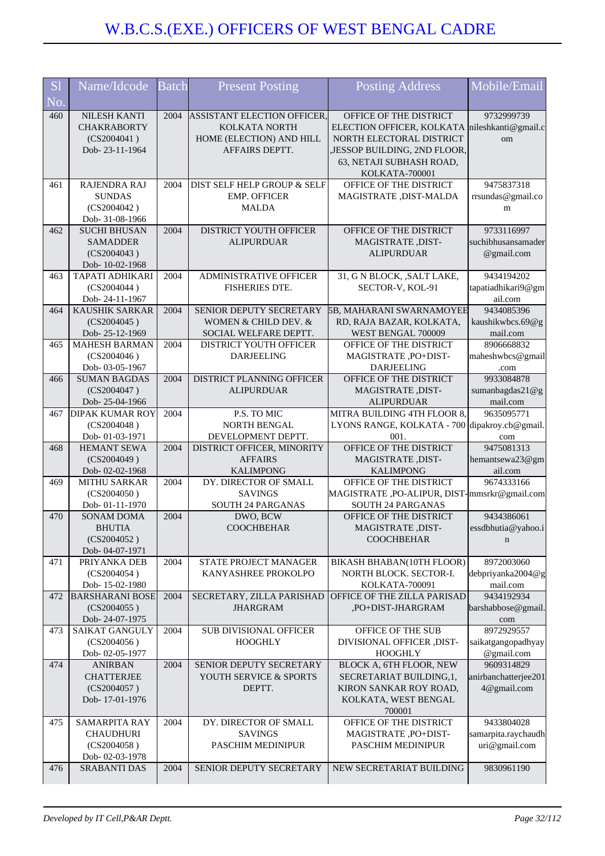| <b>S1</b>                | Name/Idcode                              | <b>Batch</b> | <b>Present Posting</b>                  | <b>Posting Address</b>                         | Mobile/Email                      |
|--------------------------|------------------------------------------|--------------|-----------------------------------------|------------------------------------------------|-----------------------------------|
| $\overline{\text{No}}$ . |                                          |              |                                         |                                                |                                   |
| 460                      | <b>NILESH KANTI</b>                      | 2004         | <b>ASSISTANT ELECTION OFFICER,</b>      | OFFICE OF THE DISTRICT                         | 9732999739                        |
|                          | <b>CHAKRABORTY</b>                       |              | KOLKATA NORTH                           | ELECTION OFFICER, KOLKATA nileshkanti@gmail.c  |                                   |
|                          | (CS2004041)                              |              | HOME (ELECTION) AND HILL                | NORTH ELECTORAL DISTRICT                       | om                                |
|                          | Dob-23-11-1964                           |              | AFFAIRS DEPTT.                          | ,JESSOP BUILDING, 2ND FLOOR,                   |                                   |
|                          |                                          |              |                                         | 63, NETAJI SUBHASH ROAD,                       |                                   |
| 461                      | <b>RAJENDRA RAJ</b>                      | 2004         | DIST SELF HELP GROUP & SELF             | KOLKATA-700001<br>OFFICE OF THE DISTRICT       | 9475837318                        |
|                          | <b>SUNDAS</b>                            |              | <b>EMP. OFFICER</b>                     | MAGISTRATE, DIST-MALDA                         | rrsundas@gmail.co                 |
|                          | (CS2004042)                              |              | <b>MALDA</b>                            |                                                | m                                 |
|                          | Dob- 31-08-1966                          |              |                                         |                                                |                                   |
| 462                      | <b>SUCHI BHUSAN</b>                      | 2004         | DISTRICT YOUTH OFFICER                  | OFFICE OF THE DISTRICT                         | 9733116997                        |
|                          | <b>SAMADDER</b>                          |              | <b>ALIPURDUAR</b>                       | MAGISTRATE, DIST-                              | suchibhusansamader                |
|                          | (CS2004043)                              |              |                                         | <b>ALIPURDUAR</b>                              | @gmail.com                        |
| 463                      | Dob-10-02-1968<br><b>TAPATI ADHIKARI</b> | 2004         | ADMINISTRATIVE OFFICER                  | 31, G N BLOCK, , SALT LAKE,                    | 9434194202                        |
|                          | (CS2004044)                              |              | FISHERIES DTE.                          | SECTOR-V, KOL-91                               | tapatiadhikari9@gm                |
|                          | Dob-24-11-1967                           |              |                                         |                                                | ail.com                           |
| 464                      | <b>KAUSHIK SARKAR</b>                    | 2004         | SENIOR DEPUTY SECRETARY                 | 5B, MAHARANI SWARNAMOYEE                       | 9434085396                        |
|                          | (CS2004045)                              |              | WOMEN & CHILD DEV. &                    | RD, RAJA BAZAR, KOLKATA,                       | kaushikwbcs.69@g                  |
|                          | Dob-25-12-1969                           |              | SOCIAL WELFARE DEPTT.                   | WEST BENGAL 700009                             | mail.com                          |
| 465                      | <b>MAHESH BARMAN</b>                     | 2004         | DISTRICT YOUTH OFFICER                  | OFFICE OF THE DISTRICT                         | 8906668832                        |
|                          | (CS2004046)                              |              | <b>DARJEELING</b>                       | MAGISTRATE, PO+DIST-<br><b>DARJEELING</b>      | maheshwbcs@gmail                  |
| 466                      | Dob- 03-05-1967<br><b>SUMAN BAGDAS</b>   | 2004         | DISTRICT PLANNING OFFICER               | OFFICE OF THE DISTRICT                         | .com<br>9933084878                |
|                          | (CS2004047)                              |              | <b>ALIPURDUAR</b>                       | MAGISTRATE, DIST-                              | sumanbagdas21@g                   |
|                          | Dob-25-04-1966                           |              |                                         | <b>ALIPURDUAR</b>                              | mail.com                          |
| 467                      | <b>DIPAK KUMAR ROY</b>                   | 2004         | P.S. TO MIC                             | MITRA BUILDING 4TH FLOOR 8,                    | 9635095771                        |
|                          | (CS2004048)                              |              | NORTH BENGAL                            | LYONS RANGE, KOLKATA - 700                     | dipakroy.cb@gmail.                |
|                          | Dob-01-03-1971                           |              | DEVELOPMENT DEPTT.                      | 001.                                           | com                               |
| 468                      | <b>HEMANT SEWA</b>                       | 2004         | DISTRICT OFFICER, MINORITY              | OFFICE OF THE DISTRICT                         | 9475081313                        |
|                          | (CS2004049)<br>Dob-02-02-1968            |              | <b>AFFAIRS</b><br><b>KALIMPONG</b>      | MAGISTRATE, DIST-<br><b>KALIMPONG</b>          | hemantsewa23@gm<br>ail.com        |
| 469                      | <b>MITHU SARKAR</b>                      | 2004         | DY. DIRECTOR OF SMALL                   | OFFICE OF THE DISTRICT                         | 9674333166                        |
|                          | (CS2004050)                              |              | <b>SAVINGS</b>                          | MAGISTRATE, PO-ALIPUR, DIST-mmsrkr@gmail.com   |                                   |
|                          | Dob-01-11-1970                           |              | SOUTH 24 PARGANAS                       | SOUTH 24 PARGANAS                              |                                   |
| 470                      | <b>SONAM DOMA</b>                        | 2004         | DWO, BCW                                | OFFICE OF THE DISTRICT                         | 9434386061                        |
|                          | <b>BHUTIA</b>                            |              | <b>COOCHBEHAR</b>                       | MAGISTRATE, DIST-                              | essdbhutia@yahoo.i                |
|                          | (CS2004052)                              |              |                                         | <b>COOCHBEHAR</b>                              | n                                 |
| 471                      | Dob-04-07-1971<br>PRIYANKA DEB           | 2004         | STATE PROJECT MANAGER                   | BIKASH BHABAN(10TH FLOOR)                      | 8972003060                        |
|                          | (CS2004054)                              |              | KANYASHREE PROKOLPO                     | NORTH BLOCK. SECTOR-I.                         | debpriyanka2004@g                 |
|                          | Dob-15-02-1980                           |              |                                         | KOLKATA-700091                                 | mail.com                          |
| 472                      | <b>BARSHARANI BOSE</b>                   | 2004         | SECRETARY, ZILLA PARISHAD               | OFFICE OF THE ZILLA PARISAD                    | 9434192934                        |
|                          | (CS2004055)                              |              | <b>JHARGRAM</b>                         | ,PO+DIST-JHARGRAM                              | barshabbose@gmail.                |
| 473                      | Dob-24-07-1975<br>SAIKAT GANGULY         | 2004         | <b>SUB DIVISIONAL OFFICER</b>           | OFFICE OF THE SUB                              | com<br>8972929557                 |
|                          | (CS2004056)                              |              | <b>HOOGHLY</b>                          | DIVISIONAL OFFICER ,DIST-                      | saikatgangopadhyay                |
|                          | Dob-02-05-1977                           |              |                                         | <b>HOOGHLY</b>                                 | @gmail.com                        |
| 474                      | <b>ANIRBAN</b>                           | 2004         | SENIOR DEPUTY SECRETARY                 | BLOCK A, 6TH FLOOR, NEW                        | 9609314829                        |
|                          | <b>CHATTERJEE</b>                        |              | YOUTH SERVICE & SPORTS                  | SECRETARIAT BUILDING,1,                        | anirbanchatterjee201              |
|                          | (CS2004057)                              |              | DEPTT.                                  | KIRON SANKAR ROY ROAD,                         | 4@gmail.com                       |
|                          | Dob-17-01-1976                           |              |                                         | KOLKATA, WEST BENGAL                           |                                   |
|                          |                                          |              |                                         | 700001                                         |                                   |
| 475                      | SAMARPITA RAY<br><b>CHAUDHURI</b>        | 2004         | DY. DIRECTOR OF SMALL<br><b>SAVINGS</b> | OFFICE OF THE DISTRICT<br>MAGISTRATE, PO+DIST- | 9433804028<br>samarpita.raychaudh |
|                          | (CS2004058)                              |              | PASCHIM MEDINIPUR                       | PASCHIM MEDINIPUR                              | uri@gmail.com                     |
|                          | Dob-02-03-1978                           |              |                                         |                                                |                                   |
| 476                      | SRABANTI DAS                             | 2004         | SENIOR DEPUTY SECRETARY                 | NEW SECRETARIAT BUILDING                       | 9830961190                        |
|                          |                                          |              |                                         |                                                |                                   |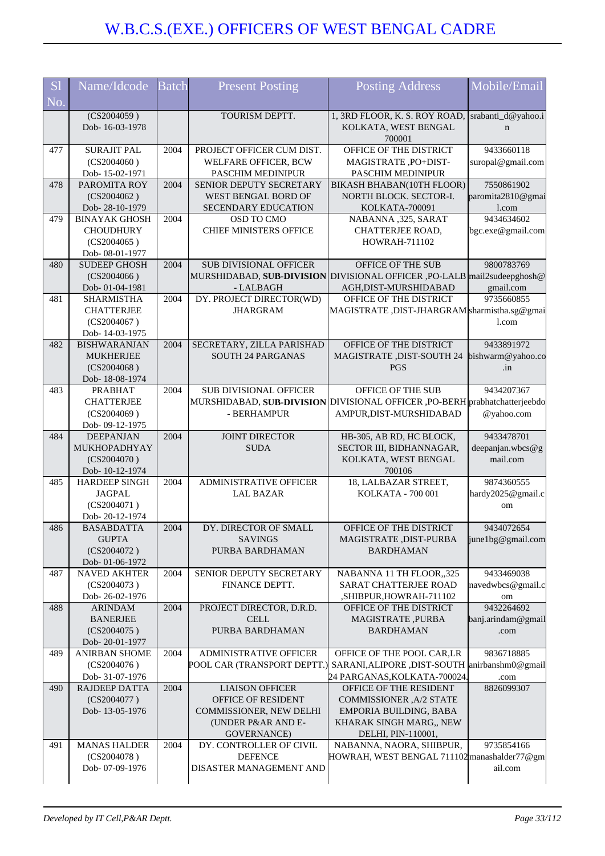| S <sub>1</sub> | Name/Idcode                              | <b>Batch</b>      | <b>Present Posting</b>                      | <b>Posting Address</b>                                                  | Mobile/Email               |
|----------------|------------------------------------------|-------------------|---------------------------------------------|-------------------------------------------------------------------------|----------------------------|
| No.            |                                          |                   |                                             |                                                                         |                            |
|                | $\overline{(CS2004059)}$                 |                   | TOURISM DEPTT.                              | 1, 3RD FLOOR, K. S. ROY ROAD,                                           | srabanti_d@yahoo.i         |
|                | Dob-16-03-1978                           |                   |                                             | KOLKATA, WEST BENGAL                                                    | $\mathbf n$                |
| 477            | <b>SURAJIT PAL</b>                       | 2004              | PROJECT OFFICER CUM DIST.                   | 700001<br>OFFICE OF THE DISTRICT                                        | 9433660118                 |
|                | (CS2004060)                              |                   | WELFARE OFFICER, BCW                        | MAGISTRATE, PO+DIST-                                                    | suropal@gmail.com          |
|                | Dob-15-02-1971                           |                   | PASCHIM MEDINIPUR                           | PASCHIM MEDINIPUR                                                       |                            |
| 478            | PAROMITA ROY                             | 2004              | SENIOR DEPUTY SECRETARY                     | BIKASH BHABAN(10TH FLOOR)                                               | 7550861902                 |
|                | (CS2004062)                              |                   | WEST BENGAL BORD OF                         | NORTH BLOCK. SECTOR-I.                                                  | paromita2810@gmai          |
|                | Dob-28-10-1979                           |                   | SECENDARY EDUCATION                         | KOLKATA-700091                                                          | l.com<br>9434634602        |
| 479            | <b>BINAYAK GHOSH</b><br><b>CHOUDHURY</b> | 2004              | OSD TO CMO<br><b>CHIEF MINISTERS OFFICE</b> | NABANNA ,325, SARAT<br>CHATTERJEE ROAD,                                 | bgc.exe@gmail.com          |
|                | (CS2004065)                              |                   |                                             | <b>HOWRAH-711102</b>                                                    |                            |
|                | Dob-08-01-1977                           |                   |                                             |                                                                         |                            |
| 480            | <b>SUDEEP GHOSH</b>                      | 2004              | <b>SUB DIVISIONAL OFFICER</b>               | OFFICE OF THE SUB                                                       | 9800783769                 |
|                | (CS2004066)                              |                   |                                             | MURSHIDABAD, SUB-DIVISION DIVISIONAL OFFICER, PO-LALB mail2sudeepghosh@ |                            |
| 481            | Dob-01-04-1981<br><b>SHARMISTHA</b>      | 2004              | - LALBAGH<br>DY. PROJECT DIRECTOR(WD)       | AGH, DIST-MURSHIDABAD<br>OFFICE OF THE DISTRICT                         | gmail.com<br>9735660855    |
|                | <b>CHATTERJEE</b>                        |                   | <b>JHARGRAM</b>                             | MAGISTRATE, DIST-JHARGRAM sharmistha.sg@gmai                            |                            |
|                | (CS2004067)                              |                   |                                             |                                                                         | 1.com                      |
|                | Dob-14-03-1975                           |                   |                                             |                                                                         |                            |
| 482            | <b>BISHWARANJAN</b>                      | 2004              | SECRETARY, ZILLA PARISHAD                   | OFFICE OF THE DISTRICT                                                  | 9433891972                 |
|                | <b>MUKHERJEE</b>                         |                   | <b>SOUTH 24 PARGANAS</b>                    | MAGISTRATE , DIST-SOUTH 24                                              | bishwarm@yahoo.co          |
|                | (CS2004068)<br>Dob-18-08-1974            |                   |                                             | <b>PGS</b>                                                              | .in                        |
| 483            | <b>PRABHAT</b>                           | $200\overline{4}$ | <b>SUB DIVISIONAL OFFICER</b>               | OFFICE OF THE SUB                                                       | 9434207367                 |
|                | <b>CHATTERJEE</b>                        |                   | MURSHIDABAD, SUB-DIVISION                   | DIVISIONAL OFFICER , PO-BERH prabhatchatterjeebdo                       |                            |
|                | (CS2004069)                              |                   | - BERHAMPUR                                 | AMPUR, DIST-MURSHIDABAD                                                 | @yahoo.com                 |
|                | Dob- 09-12-1975                          |                   |                                             |                                                                         |                            |
| 484            | <b>DEEPANJAN</b>                         | 2004              | <b>JOINT DIRECTOR</b>                       | HB-305, AB RD, HC BLOCK,                                                | 9433478701                 |
|                | MUKHOPADHYAY                             |                   | <b>SUDA</b>                                 | SECTOR III, BIDHANNAGAR,                                                | deepanjan.wbcs@g           |
|                |                                          |                   |                                             |                                                                         |                            |
|                | (CS2004070)                              |                   |                                             | KOLKATA, WEST BENGAL                                                    | mail.com                   |
| 485            | Dob-10-12-1974<br><b>HARDEEP SINGH</b>   | 2004              | <b>ADMINISTRATIVE OFFICER</b>               | 700106<br>18, LALBAZAR STREET,                                          | 9874360555                 |
|                | <b>JAGPAL</b>                            |                   | <b>LAL BAZAR</b>                            | KOLKATA - 700 001                                                       | hardy2025@gmail.c          |
|                | (CS2004071)                              |                   |                                             |                                                                         | om                         |
|                | Dob-20-12-1974                           |                   |                                             |                                                                         |                            |
| 486            | <b>BASABDATTA</b>                        | 2004              | DY. DIRECTOR OF SMALL                       | OFFICE OF THE DISTRICT                                                  | 9434072654                 |
|                | <b>GUPTA</b><br>(CS2004072)              |                   | <b>SAVINGS</b><br>PURBA BARDHAMAN           | MAGISTRATE, DIST-PURBA<br><b>BARDHAMAN</b>                              | june1bg@gmail.com          |
|                | Dob-01-06-1972                           |                   |                                             |                                                                         |                            |
| 487            | <b>NAVED AKHTER</b>                      | 2004              | SENIOR DEPUTY SECRETARY                     | NABANNA 11 TH FLOOR,,325                                                | 9433469038                 |
|                | (CS2004073)                              |                   | FINANCE DEPTT.                              | SARAT CHATTERJEE ROAD                                                   |                            |
|                | Dob-26-02-1976                           |                   |                                             | ,SHIBPUR,HOWRAH-711102                                                  | om                         |
| 488            | <b>ARINDAM</b><br><b>BANERJEE</b>        | 2004              | PROJECT DIRECTOR, D.R.D.<br><b>CELL</b>     | OFFICE OF THE DISTRICT                                                  | 9432264692                 |
|                | (CS2004075)                              |                   | PURBA BARDHAMAN                             | MAGISTRATE, PURBA<br><b>BARDHAMAN</b>                                   | banj.arindam@gmail<br>.com |
|                | Dob-20-01-1977                           |                   |                                             |                                                                         |                            |
| 489            | <b>ANIRBAN SHOME</b>                     | 2004              | ADMINISTRATIVE OFFICER                      | OFFICE OF THE POOL CAR, LR                                              | 9836718885                 |
|                | (CS2004076)                              |                   | POOL CAR (TRANSPORT DEPTT.)                 | SARANI, ALIPORE, DIST-SOUTH anirbanshm0@gmail                           |                            |
| 490            | Dob- 31-07-1976<br><b>RAJDEEP DATTA</b>  | 2004              | <b>LIAISON OFFICER</b>                      | 24 PARGANAS, KOLKATA-700024.<br>OFFICE OF THE RESIDENT                  | .com<br>8826099307         |
|                | (CS2004077)                              |                   | OFFICE OF RESIDENT                          | COMMISSIONER, A/2 STATE                                                 |                            |
|                | Dob-13-05-1976                           |                   | COMMISSIONER, NEW DELHI                     | EMPORIA BUILDING, BABA                                                  |                            |
|                |                                          |                   | (UNDER P&AR AND E-                          | KHARAK SINGH MARG,, NEW                                                 |                            |
|                |                                          |                   | GOVERNANCE)                                 | DELHI, PIN-110001,                                                      | navedwbcs@gmail.c          |
| 491            | <b>MANAS HALDER</b>                      | 2004              | DY. CONTROLLER OF CIVIL                     | NABANNA, NAORA, SHIBPUR,                                                | 9735854166                 |
|                | (CS2004078)<br>Dob- 07-09-1976           |                   | <b>DEFENCE</b><br>DISASTER MANAGEMENT AND   | HOWRAH, WEST BENGAL 711102 manashalder77@gm                             | ail.com                    |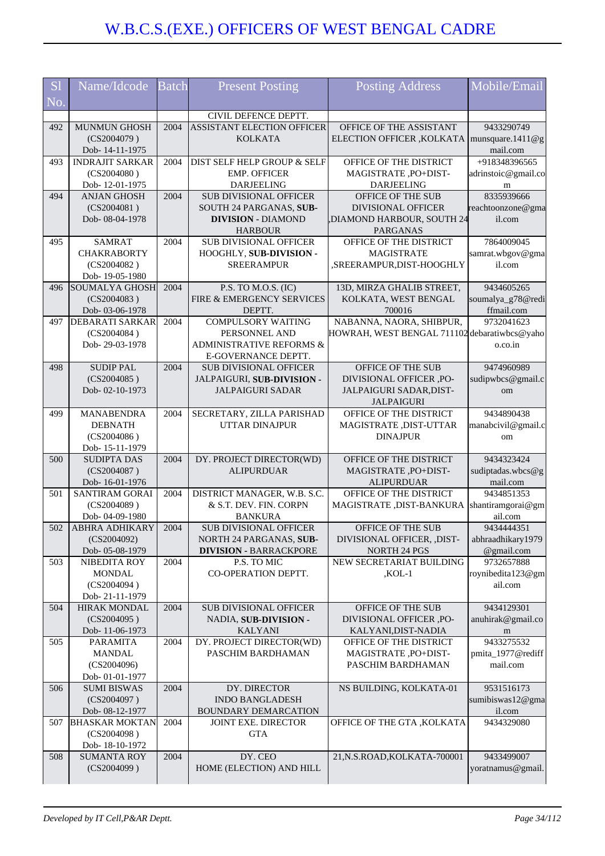| S <sub>1</sub> | Name/Idcode                       | <b>Batch</b> | <b>Present Posting</b>                                   | <b>Posting Address</b>                         | Mobile/Email                    |
|----------------|-----------------------------------|--------------|----------------------------------------------------------|------------------------------------------------|---------------------------------|
|                |                                   |              |                                                          |                                                |                                 |
| No.            |                                   |              |                                                          |                                                |                                 |
|                |                                   |              | CIVIL DEFENCE DEPTT.                                     |                                                |                                 |
| 492            | <b>MUNMUN GHOSH</b>               | 2004         | ASSISTANT ELECTION OFFICER                               | OFFICE OF THE ASSISTANT                        | 9433290749                      |
|                | (CS2004079)                       |              | <b>KOLKATA</b>                                           | ELECTION OFFICER , KOLKATA                     | munsquare.1411 $@g$             |
|                | Dob-14-11-1975                    |              |                                                          |                                                | mail.com                        |
| 493            | <b>INDRAJIT SARKAR</b>            | 2004         | DIST SELF HELP GROUP & SELF                              | OFFICE OF THE DISTRICT                         | +918348396565                   |
|                | (CS2004080)                       |              | <b>EMP. OFFICER</b>                                      | MAGISTRATE, PO+DIST-                           | adrinstoic@gmail.co             |
|                | Dob-12-01-1975                    |              | <b>DARJEELING</b>                                        | <b>DARJEELING</b>                              | m                               |
| 494            | <b>ANJAN GHOSH</b><br>(CS2004081) | 2004         | <b>SUB DIVISIONAL OFFICER</b><br>SOUTH 24 PARGANAS, SUB- | OFFICE OF THE SUB<br><b>DIVISIONAL OFFICER</b> | 8335939666                      |
|                | Dob-08-04-1978                    |              | <b>DIVISION - DIAMOND</b>                                | DIAMOND HARBOUR, SOUTH 24                      | reachtoonzone@gma<br>il.com     |
|                |                                   |              | <b>HARBOUR</b>                                           | <b>PARGANAS</b>                                |                                 |
| 495            | <b>SAMRAT</b>                     | 2004         | <b>SUB DIVISIONAL OFFICER</b>                            | OFFICE OF THE DISTRICT                         | 7864009045                      |
|                | <b>CHAKRABORTY</b>                |              | HOOGHLY, SUB-DIVISION -                                  | <b>MAGISTRATE</b>                              | samrat.wbgov@gma                |
|                | (CS2004082)                       |              | <b>SREERAMPUR</b>                                        | ,SREERAMPUR,DIST-HOOGHLY                       | il.com                          |
|                | Dob-19-05-1980                    |              |                                                          |                                                |                                 |
| 496            | SOUMALYA GHOSH                    | 2004         | P.S. TO M.O.S. (IC)                                      | 13D, MIRZA GHALIB STREET,                      | 9434605265                      |
|                | (CS2004083)                       |              | FIRE & EMERGENCY SERVICES                                | KOLKATA, WEST BENGAL                           | soumalya_g78@redi               |
|                | Dob-03-06-1978                    |              | DEPTT.                                                   | 700016                                         | ffmail.com                      |
| 497            | <b>DEBARATI SARKAR</b>            | 2004         | <b>COMPULSORY WAITING</b>                                | NABANNA, NAORA, SHIBPUR,                       | 9732041623                      |
|                | (CS2004084)                       |              | PERSONNEL AND                                            | HOWRAH, WEST BENGAL 711102 debaratiwbcs@yaho   |                                 |
|                | Dob-29-03-1978                    |              | ADMINISTRATIVE REFORMS &                                 |                                                | o.co.in                         |
|                |                                   |              | E-GOVERNANCE DEPTT.                                      |                                                |                                 |
| 498            | <b>SUDIP PAL</b>                  | 2004         | <b>SUB DIVISIONAL OFFICER</b>                            | OFFICE OF THE SUB                              | 9474960989                      |
|                | (CS2004085)                       |              | JALPAIGURI, SUB-DIVISION -                               | DIVISIONAL OFFICER ,PO-                        | sudipwbcs@gmail.c               |
|                | Dob-02-10-1973                    |              | <b>JALPAIGURI SADAR</b>                                  | JALPAIGURI SADAR, DIST-<br><b>JALPAIGURI</b>   | om                              |
| 499            | <b>MANABENDRA</b>                 | 2004         | SECRETARY, ZILLA PARISHAD                                | OFFICE OF THE DISTRICT                         | 9434890438                      |
|                | <b>DEBNATH</b>                    |              | <b>UTTAR DINAJPUR</b>                                    | MAGISTRATE, DIST-UTTAR                         | manabcivil@gmail.c              |
|                | (CS2004086)                       |              |                                                          | <b>DINAJPUR</b>                                | om                              |
|                | Dob-15-11-1979                    |              |                                                          |                                                |                                 |
| 500            | <b>SUDIPTA DAS</b>                | 2004         | DY. PROJECT DIRECTOR(WD)                                 | OFFICE OF THE DISTRICT                         | 9434323424                      |
|                | (CS2004087)                       |              | <b>ALIPURDUAR</b>                                        | MAGISTRATE, PO+DIST-                           | sudiptadas.wbcs@g               |
|                | Dob-16-01-1976                    |              |                                                          | <b>ALIPURDUAR</b>                              | mail.com                        |
| 501            | SANTIRAM GORAI                    | 2004         | DISTRICT MANAGER, W.B. S.C.                              | OFFICE OF THE DISTRICT                         | 9434851353                      |
|                | (CS2004089)                       |              | & S.T. DEV. FIN. CORPN                                   | MAGISTRATE , DIST-BANKURA                      | shantiramgorai@gm               |
|                | Dob-04-09-1980                    |              | <b>BANKURA</b>                                           |                                                | ail.com                         |
| 502            | <b>ABHRA ADHIKARY</b>             | 2004         | <b>SUB DIVISIONAL OFFICER</b>                            | <b>OFFICE OF THE SUB</b>                       | 9434444351                      |
|                | (CS2004092)<br>Dob- 05-08-1979    |              | NORTH 24 PARGANAS, SUB-<br><b>DIVISION - BARRACKPORE</b> | DIVISIONAL OFFICER, ,DIST-<br>NORTH 24 PGS     | abhraadhikary1979<br>@gmail.com |
| 503            | NIBEDITA ROY                      | 2004         | P.S. TO MIC                                              | NEW SECRETARIAT BUILDING                       | 9732657888                      |
|                | <b>MONDAL</b>                     |              | CO-OPERATION DEPTT.                                      | $KOL-1$                                        | roynibedita123@gm               |
|                | (CS2004094)                       |              |                                                          |                                                | ail.com                         |
|                | Dob-21-11-1979                    |              |                                                          |                                                |                                 |
| 504            | HIRAK MONDAL                      | 2004         | <b>SUB DIVISIONAL OFFICER</b>                            | OFFICE OF THE SUB                              | 9434129301                      |
|                | (CS2004095)                       |              | NADIA, SUB-DIVISION -                                    | DIVISIONAL OFFICER ,PO-                        | anuhirak@gmail.co               |
|                | Dob-11-06-1973                    |              | <b>KALYANI</b>                                           | KALYANI, DIST-NADIA                            | m                               |
| 505            | <b>PARAMITA</b>                   | 2004         | DY. PROJECT DIRECTOR(WD)                                 | OFFICE OF THE DISTRICT                         | 9433275532                      |
|                | <b>MANDAL</b>                     |              | PASCHIM BARDHAMAN                                        | MAGISTRATE, PO+DIST-                           | pmita_1977@rediff               |
|                | (CS2004096)                       |              |                                                          | PASCHIM BARDHAMAN                              | mail.com                        |
| 506            | Dob-01-01-1977                    | 2004         | DY. DIRECTOR                                             |                                                | 9531516173                      |
|                | <b>SUMI BISWAS</b><br>(CS2004097) |              | <b>INDO BANGLADESH</b>                                   | NS BUILDING, KOLKATA-01                        | sumibiswas12@gma                |
|                | Dob- 08-12-1977                   |              | <b>BOUNDARY DEMARCATION</b>                              |                                                | il.com                          |
| 507            | <b>BHASKAR MOKTAN</b>             | 2004         | JOINT EXE. DIRECTOR                                      | OFFICE OF THE GTA , KOLKATA                    | 9434329080                      |
|                | (CS2004098)                       |              | <b>GTA</b>                                               |                                                |                                 |
|                | Dob-18-10-1972                    |              |                                                          |                                                |                                 |
| 508            | <b>SUMANTA ROY</b>                | 2004         | DY. CEO                                                  | 21, N.S.ROAD, KOLKATA-700001                   | 9433499007                      |
|                | (CS2004099)                       |              | HOME (ELECTION) AND HILL                                 |                                                | yoratnamus@gmail.               |
|                |                                   |              |                                                          |                                                |                                 |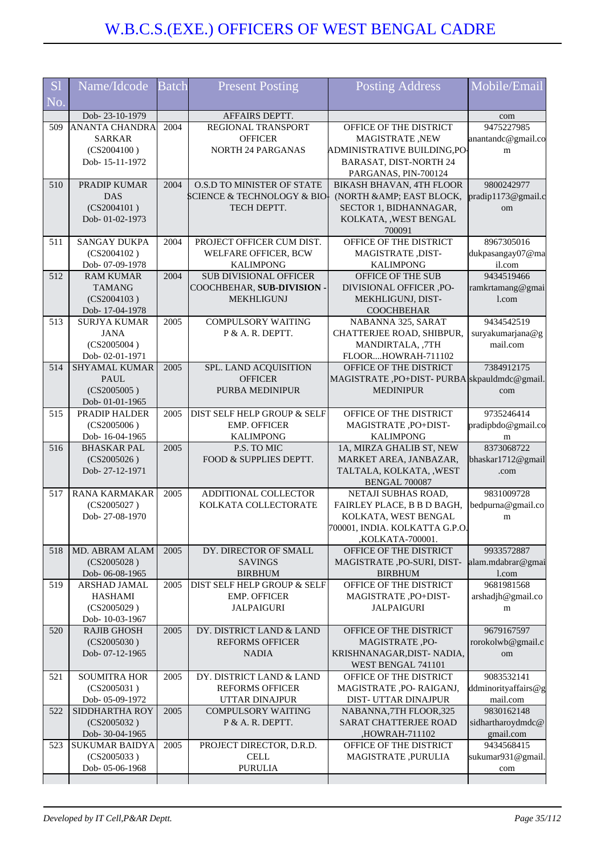| <b>S1</b> | Name/Idcode                           | <b>Batch</b> | <b>Present Posting</b>                        | <b>Posting Address</b>                                | Mobile/Email           |
|-----------|---------------------------------------|--------------|-----------------------------------------------|-------------------------------------------------------|------------------------|
| No.       |                                       |              |                                               |                                                       |                        |
|           | Dob-23-10-1979                        |              | AFFAIRS DEPTT.                                |                                                       | com                    |
| 509       | <b>ANANTA CHANDRA</b>                 | 2004         | REGIONAL TRANSPORT                            | OFFICE OF THE DISTRICT                                | 9475227985             |
|           | <b>SARKAR</b>                         |              | <b>OFFICER</b>                                | MAGISTRATE, NEW                                       | anantandc@gmail.co     |
|           | (CS2004100)<br>Dob-15-11-1972         |              | <b>NORTH 24 PARGANAS</b>                      | ADMINISTRATIVE BUILDING,PO-<br>BARASAT, DIST-NORTH 24 | m                      |
|           |                                       |              |                                               | PARGANAS, PIN-700124                                  |                        |
| 510       | PRADIP KUMAR                          | 2004         | O.S.D TO MINISTER OF STATE                    | BIKASH BHAVAN, 4TH FLOOR                              | 9800242977             |
|           | <b>DAS</b>                            |              | SCIENCE & TECHNOLOGY & BIO-                   | (NORTH & AMP; EAST BLOCK,                             | pradip1173@gmail.c     |
|           | (CS2004101)                           |              | TECH DEPTT.                                   | SECTOR 1, BIDHANNAGAR,                                | om                     |
|           | Dob-01-02-1973                        |              |                                               | KOLKATA, , WEST BENGAL                                |                        |
|           |                                       |              |                                               | 700091                                                |                        |
| 511       | <b>SANGAY DUKPA</b>                   | 2004         | PROJECT OFFICER CUM DIST.                     | OFFICE OF THE DISTRICT                                | 8967305016             |
|           | (CS2004102)                           |              | WELFARE OFFICER, BCW                          | MAGISTRATE, DIST-                                     | dukpasangay07@ma       |
|           | Dob-07-09-1978                        |              | <b>KALIMPONG</b>                              | <b>KALIMPONG</b>                                      | il.com                 |
| 512       | <b>RAM KUMAR</b>                      | 2004         | SUB DIVISIONAL OFFICER                        | OFFICE OF THE SUB                                     | 9434519466             |
|           | <b>TAMANG</b>                         |              | COOCHBEHAR, SUB-DIVISION -                    | DIVISIONAL OFFICER ,PO-                               | ramkrtamang@gmai       |
|           | (CS2004103)                           |              | <b>MEKHLIGUNJ</b>                             | MEKHLIGUNJ, DIST-                                     | 1.com                  |
| 513       | Dob-17-04-1978<br><b>SURJYA KUMAR</b> | 2005         | <b>COMPULSORY WAITING</b>                     | <b>COOCHBEHAR</b><br>NABANNA 325, SARAT               | 9434542519             |
|           | <b>JANA</b>                           |              | P & A. R. DEPTT.                              | CHATTERJEE ROAD, SHIBPUR,                             | suryakumarjana@g       |
|           | (CS2005004)                           |              |                                               | MANDIRTALA, ,7TH                                      | mail.com               |
|           | Dob-02-01-1971                        |              |                                               | FLOORHOWRAH-711102                                    |                        |
| 514       | <b>SHYAMAL KUMAR</b>                  | 2005         | SPL. LAND ACQUISITION                         | OFFICE OF THE DISTRICT                                | 7384912175             |
|           | <b>PAUL</b>                           |              | <b>OFFICER</b>                                | MAGISTRATE, PO+DIST-PURBA skpauldmdc@gmail            |                        |
|           | (CS2005005)                           |              | PURBA MEDINIPUR                               | <b>MEDINIPUR</b>                                      | com                    |
|           | Dob-01-01-1965                        |              |                                               |                                                       |                        |
| 515       | PRADIP HALDER                         | 2005         | DIST SELF HELP GROUP & SELF                   | OFFICE OF THE DISTRICT                                | 9735246414             |
|           | (CS2005006)                           |              | <b>EMP. OFFICER</b>                           | MAGISTRATE, PO+DIST-                                  | pradipbdo@gmail.co     |
| 516       | Dob-16-04-1965<br><b>BHASKAR PAL</b>  | 2005         | <b>KALIMPONG</b><br>P.S. TO MIC               | <b>KALIMPONG</b><br>1A, MIRZA GHALIB ST, NEW          | m<br>8373068722        |
|           | (CS2005026)                           |              | FOOD & SUPPLIES DEPTT.                        | MARKET AREA, JANBAZAR,                                | bhaskar1712@gmail      |
|           | Dob-27-12-1971                        |              |                                               | TALTALA, KOLKATA, , WEST                              | .com                   |
|           |                                       |              |                                               | BENGAL 700087                                         |                        |
| 517       | <b>RANA KARMAKAR</b>                  | 2005         | ADDITIONAL COLLECTOR                          | NETAJI SUBHAS ROAD,                                   | 9831009728             |
|           | (CS2005027)                           |              | KOLKATA COLLECTORATE                          | FAIRLEY PLACE, B B D BAGH,                            | bedpurna@gmail.co      |
|           | Dob-27-08-1970                        |              |                                               | KOLKATA, WEST BENGAL                                  | m                      |
|           |                                       |              |                                               | 700001. INDIA. KOLKATTA G.P.O.                        |                        |
|           |                                       |              |                                               | ,KOLKATA-700001.                                      |                        |
| 518       | MD. ABRAM ALAM                        | 2005         | DY. DIRECTOR OF SMALL                         | OFFICE OF THE DISTRICT                                | 9933572887             |
|           | (CS2005028)                           |              | <b>SAVINGS</b>                                | MAGISTRATE, PO-SURI, DIST-                            | alam.mdabrar@gmai      |
| 519       | Dob-06-08-1965<br>ARSHAD JAMAL        | 2005         | <b>BIRBHUM</b><br>DIST SELF HELP GROUP & SELF | <b>BIRBHUM</b><br>OFFICE OF THE DISTRICT              | l.com<br>9681981568    |
|           | <b>HASHAMI</b>                        |              | <b>EMP. OFFICER</b>                           | MAGISTRATE, PO+DIST-                                  | arshadjh@gmail.co      |
|           | (CS2005029)                           |              | <b>JALPAIGURI</b>                             | <b>JALPAIGURI</b>                                     | m                      |
|           | Dob-10-03-1967                        |              |                                               |                                                       |                        |
| 520       | <b>RAJIB GHOSH</b>                    | 2005         | DY. DISTRICT LAND & LAND                      | OFFICE OF THE DISTRICT                                | 9679167597             |
|           | (CS2005030)                           |              | <b>REFORMS OFFICER</b>                        | MAGISTRATE, PO-                                       | rorokolwb@gmail.c      |
|           | Dob-07-12-1965                        |              | <b>NADIA</b>                                  | KRISHNANAGAR, DIST-NADIA,                             | om                     |
|           |                                       |              |                                               | WEST BENGAL 741101                                    |                        |
| 521       | <b>SOUMITRA HOR</b>                   | 2005         | DY. DISTRICT LAND & LAND                      | OFFICE OF THE DISTRICT                                | 9083532141             |
|           | (CS2005031)                           |              | <b>REFORMS OFFICER</b>                        | MAGISTRATE, PO-RAIGANJ,                               | ddminorityaffairs@g    |
| 522       | Dob-05-09-1972                        | 2005         | UTTAR DINAJPUR                                | DIST- UTTAR DINAJPUR                                  | mail.com<br>9830162148 |
|           | SIDDHARTHA ROY<br>(CS2005032)         |              | <b>COMPULSORY WAITING</b><br>P & A. R. DEPTT. | NABANNA, 7TH FLOOR, 325<br>SARAT CHATTERJEE ROAD      | sidhartharoydmdc@      |
|           | Dob- 30-04-1965                       |              |                                               | ,HOWRAH-711102                                        | gmail.com              |
| 523       | SUKUMAR BAIDYA                        | 2005         | PROJECT DIRECTOR, D.R.D.                      | OFFICE OF THE DISTRICT                                | 9434568415             |
|           | (CS2005033)                           |              | <b>CELL</b>                                   | MAGISTRATE, PURULIA                                   | sukumar931@gmail.      |
|           | Dob-05-06-1968                        |              | <b>PURULIA</b>                                |                                                       | com                    |
|           |                                       |              |                                               |                                                       |                        |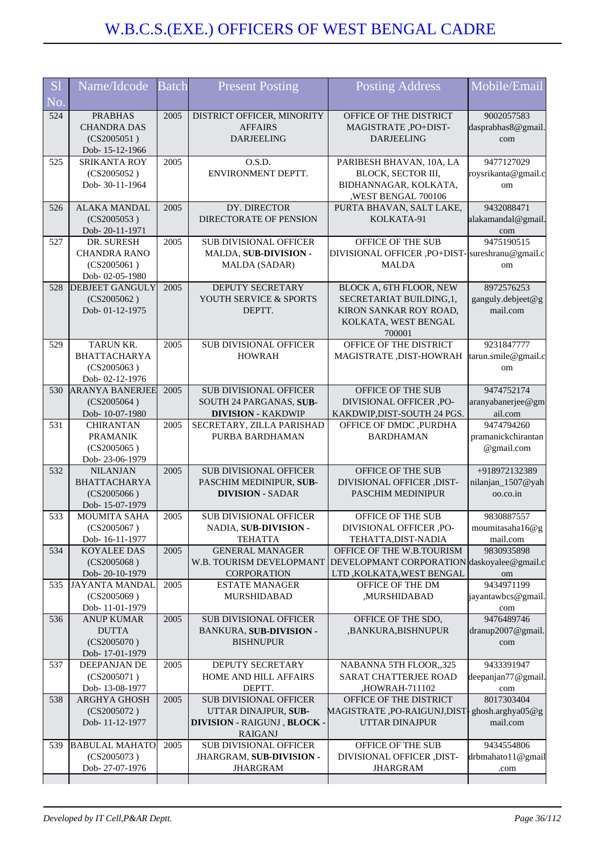| S <sub>1</sub> | Name/Idcode                             | <b>Batch</b> | <b>Present Posting</b>                              | <b>Posting Address</b>                                         | Mobile/Email                     |
|----------------|-----------------------------------------|--------------|-----------------------------------------------------|----------------------------------------------------------------|----------------------------------|
| No.            |                                         |              |                                                     |                                                                |                                  |
| 524            | <b>PRABHAS</b>                          | 2005         | DISTRICT OFFICER, MINORITY                          | OFFICE OF THE DISTRICT                                         | 9002057583                       |
|                | <b>CHANDRA DAS</b>                      |              | <b>AFFAIRS</b>                                      | MAGISTRATE, PO+DIST-                                           | dasprabhas8@gmail.               |
|                | (CS2005051)                             |              | <b>DARJEELING</b>                                   | <b>DARJEELING</b>                                              | com                              |
| 525            | Dob-15-12-1966<br><b>SRIKANTA ROY</b>   | 2005         | O.S.D.                                              | PARIBESH BHAVAN, 10A, LA                                       | 9477127029                       |
|                | (CS2005052)                             |              | ENVIRONMENT DEPTT.                                  | BLOCK, SECTOR III,                                             | roysrikanta@gmail.c              |
|                | Dob-30-11-1964                          |              |                                                     | BIDHANNAGAR, KOLKATA,                                          | om                               |
|                |                                         |              |                                                     | ,WEST BENGAL 700106                                            |                                  |
| 526            | <b>ALAKA MANDAL</b>                     | 2005         | DY. DIRECTOR                                        | PURTA BHAVAN, SALT LAKE,                                       | 9432088471                       |
|                | (CS2005053)<br>Dob-20-11-1971           |              | DIRECTORATE OF PENSION                              | KOLKATA-91                                                     | alakamandal@gmail<br>com         |
| 527            | DR. SURESH                              | 2005         | SUB DIVISIONAL OFFICER                              | OFFICE OF THE SUB                                              | 9475190515                       |
|                | <b>CHANDRA RANO</b>                     |              | MALDA, SUB-DIVISION -                               | DIVISIONAL OFFICER , PO+DIST-Sureshranu@gmail.c                |                                  |
|                | (CS2005061)                             |              | MALDA (SADAR)                                       | <b>MALDA</b>                                                   | om                               |
|                | Dob-02-05-1980                          |              |                                                     |                                                                |                                  |
| 528            | <b>DEBJEET GANGULY</b><br>(CS2005062)   | 2005         | DEPUTY SECRETARY<br>YOUTH SERVICE & SPORTS          | BLOCK A, 6TH FLOOR, NEW<br>SECRETARIAT BUILDING, 1,            | 8972576253<br>ganguly.debjeet@g  |
|                | Dob-01-12-1975                          |              | DEPTT.                                              | KIRON SANKAR ROY ROAD,                                         | mail.com                         |
|                |                                         |              |                                                     | KOLKATA, WEST BENGAL                                           |                                  |
|                |                                         |              |                                                     | 700001                                                         |                                  |
| 529            | <b>TARUN KR.</b>                        | 2005         | <b>SUB DIVISIONAL OFFICER</b>                       | OFFICE OF THE DISTRICT                                         | 9231847777                       |
|                | <b>BHATTACHARYA</b><br>(CS2005063)      |              | <b>HOWRAH</b>                                       | MAGISTRATE ,DIST-HOWRAH                                        | tarun.smile@gmail.c              |
|                | Dob-02-12-1976                          |              |                                                     |                                                                | om                               |
| 530            | <b>ARANYA BANERJEE</b>                  | 2005         | <b>SUB DIVISIONAL OFFICER</b>                       | OFFICE OF THE SUB                                              | 9474752174                       |
|                | (CS2005064)                             |              | SOUTH 24 PARGANAS, SUB-                             | <b>DIVISIONAL OFFICER</b> , PO-                                | aranyabanerjee@gm                |
|                | Dob-10-07-1980                          |              | <b>DIVISION - KAKDWIP</b>                           | KAKDWIP, DIST-SOUTH 24 PGS.                                    | ail.com                          |
| 531            | <b>CHIRANTAN</b>                        | 2005         | SECRETARY, ZILLA PARISHAD                           | OFFICE OF DMDC , PURDHA                                        | 9474794260                       |
|                | <b>PRAMANIK</b><br>(CS2005065)          |              | PURBA BARDHAMAN                                     | <b>BARDHAMAN</b>                                               | pramanickchirantan<br>@gmail.com |
|                | Dob-23-06-1979                          |              |                                                     |                                                                |                                  |
| 532            | <b>NILANJAN</b>                         | 2005         | <b>SUB DIVISIONAL OFFICER</b>                       | OFFICE OF THE SUB                                              | +918972132389                    |
|                | <b>BHATTACHARYA</b>                     |              | PASCHIM MEDINIPUR, SUB-                             | DIVISIONAL OFFICER ,DIST-                                      | nilanjan_1507@yah                |
|                | (CS2005066)<br>Dob-15-07-1979           |              | <b>DIVISION - SADAR</b>                             | PASCHIM MEDINIPUR                                              | oo.co.in                         |
| 533            | <b>MOUMITA SAHA</b>                     | 2005         | <b>SUB DIVISIONAL OFFICER</b>                       | OFFICE OF THE SUB                                              | 9830887557                       |
|                | (CS2005067)                             |              | NADIA, SUB-DIVISION -                               | DIVISIONAL OFFICER ,PO-                                        | moumitasaha16@g                  |
|                | Dob-16-11-1977                          |              | <b>TEHATTA</b>                                      | TEHATTA, DIST-NADIA                                            | mail.com                         |
| 534            | KOYALEE DAS                             | 2005         | <b>GENERAL MANAGER</b>                              | OFFICE OF THE W.B.TOURISM                                      | 9830935898                       |
|                | (CS2005068)                             |              | W.B. TOURISM DEVELOPMANT                            | DEVELOPMANT CORPORATION daskoyalee@gmail.c                     |                                  |
| 535            | Dob-20-10-1979<br><b>JAYANTA MANDAL</b> | 2005         | <b>CORPORATION</b><br><b>ESTATE MANAGER</b>         | LTD, KOLKATA, WEST BENGAL<br>OFFICE OF THE DM                  | om<br>9434971199                 |
|                | (CS2005069)                             |              | <b>MURSHIDABAD</b>                                  | ,MURSHIDABAD                                                   | jayantawbcs@gmail.               |
|                | Dob-11-01-1979                          |              |                                                     |                                                                | com                              |
| 536            | <b>ANUP KUMAR</b>                       | 2005         | <b>SUB DIVISIONAL OFFICER</b>                       | OFFICE OF THE SDO,                                             | 9476489746                       |
|                | <b>DUTTA</b>                            |              | BANKURA, SUB-DIVISION -                             | ,BANKURA,BISHNUPUR                                             | dranup2007@gmail.                |
|                | (CS2005070)<br>Dob-17-01-1979           |              | <b>BISHNUPUR</b>                                    |                                                                | com                              |
| 537            | DEEPANJAN DE                            | 2005         | DEPUTY SECRETARY                                    | NABANNA 5TH FLOOR,,325                                         | 9433391947                       |
|                | (CS2005071)                             |              | HOME AND HILL AFFAIRS                               | <b>SARAT CHATTERJEE ROAD</b>                                   | deepanjan77@gmail.               |
|                | Dob-13-08-1977                          |              | DEPTT.                                              | ,HOWRAH-711102                                                 | com                              |
| 538            | ARGHYA GHOSH                            | 2005         | SUB DIVISIONAL OFFICER                              | OFFICE OF THE DISTRICT                                         | 8017303404                       |
|                | (CS2005072)<br>Dob-11-12-1977           |              | UTTAR DINAJPUR, SUB-<br>DIVISION - RAIGUNJ, BLOCK - | MAGISTRATE ,PO-RAIGUNJ,DIST phosh.arghya05@g<br>UTTAR DINAJPUR | mail.com                         |
|                |                                         |              | <b>RAIGANJ</b>                                      |                                                                |                                  |
| 539            | <b>BABULAL MAHATO</b>                   | 2005         | SUB DIVISIONAL OFFICER                              | OFFICE OF THE SUB                                              | 9434554806                       |
|                | (CS2005073)                             |              | JHARGRAM, SUB-DIVISION -                            | DIVISIONAL OFFICER ,DIST-                                      | drbmahato11@gmail                |
|                | Dob-27-07-1976                          |              | <b>JHARGRAM</b>                                     | <b>JHARGRAM</b>                                                | .com                             |
|                |                                         |              |                                                     |                                                                |                                  |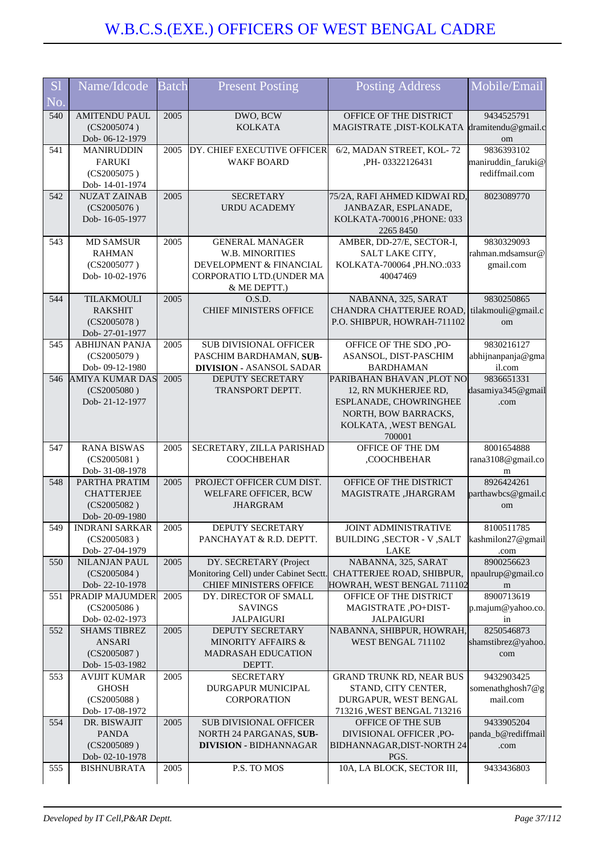| S <sub>1</sub><br>No. | Name/Idcode                                                           | <b>Batch</b> | <b>Present Posting</b>                                                                                           | Posting Address                                                                                                                         | Mobile/Email                                       |
|-----------------------|-----------------------------------------------------------------------|--------------|------------------------------------------------------------------------------------------------------------------|-----------------------------------------------------------------------------------------------------------------------------------------|----------------------------------------------------|
| 540                   | <b>AMITENDU PAUL</b><br>(CS2005074)<br>Dob-06-12-1979                 | 2005         | DWO, BCW<br><b>KOLKATA</b>                                                                                       | OFFICE OF THE DISTRICT<br>MAGISTRATE, DIST-KOLKATA                                                                                      | 9434525791<br>dramitendu@gmail.c<br>om             |
| 541                   | <b>MANIRUDDIN</b><br><b>FARUKI</b><br>(CS2005075)<br>Dob-14-01-1974   | 2005         | DY. CHIEF EXECUTIVE OFFICER<br><b>WAKF BOARD</b>                                                                 | 6/2, MADAN STREET, KOL-72<br>,PH-03322126431                                                                                            | 9836393102<br>maniruddin_faruki@<br>rediffmail.com |
| 542                   | <b>NUZAT ZAINAB</b><br>(CS2005076)<br>Dob-16-05-1977                  | 2005         | <b>SECRETARY</b><br><b>URDU ACADEMY</b>                                                                          | 75/2A, RAFI AHMED KIDWAI RD,<br>JANBAZAR, ESPLANADE,<br>KOLKATA-700016 ,PHONE: 033<br>2265 8450                                         | 8023089770                                         |
| 543                   | <b>MD SAMSUR</b><br><b>RAHMAN</b><br>(CS2005077)<br>Dob-10-02-1976    | 2005         | <b>GENERAL MANAGER</b><br>W.B. MINORITIES<br>DEVELOPMENT & FINANCIAL<br>CORPORATIO LTD.(UNDER MA<br>& ME DEPTT.) | AMBER, DD-27/E, SECTOR-I,<br>SALT LAKE CITY,<br>KOLKATA-700064, PH.NO.:033<br>40047469                                                  | 9830329093<br>rahman.mdsamsur@<br>gmail.com        |
| 544                   | <b>TILAKMOULI</b><br><b>RAKSHIT</b><br>(CS2005078)<br>Dob-27-01-1977  | 2005         | O.S.D.<br><b>CHIEF MINISTERS OFFICE</b>                                                                          | NABANNA, 325, SARAT<br>CHANDRA CHATTERJEE ROAD.<br>P.O. SHIBPUR, HOWRAH-711102                                                          | 9830250865<br>tilakmouli@gmail.c<br>om             |
| 545                   | <b>ABHIJNAN PANJA</b><br>(CS2005079)<br>Dob-09-12-1980                | 2005         | SUB DIVISIONAL OFFICER<br>PASCHIM BARDHAMAN, SUB-<br><b>DIVISION - ASANSOL SADAR</b>                             | OFFICE OF THE SDO, PO-<br>ASANSOL, DIST-PASCHIM<br><b>BARDHAMAN</b>                                                                     | 9830216127<br>abhijnanpanja@gma<br>il.com          |
| 546                   | <b>AMIYA KUMAR DAS</b><br>(CS2005080)<br>Dob-21-12-1977               | 2005         | DEPUTY SECRETARY<br>TRANSPORT DEPTT.                                                                             | PARIBAHAN BHAVAN ,PLOT NO<br>12, RN MUKHERJEE RD,<br>ESPLANADE, CHOWRINGHEE<br>NORTH, BOW BARRACKS,<br>KOLKATA, , WEST BENGAL<br>700001 | 9836651331<br>dasamiya345@gmail<br>.com            |
| 547                   | <b>RANA BISWAS</b><br>(CS2005081)<br>Dob- 31-08-1978                  | 2005         | SECRETARY, ZILLA PARISHAD<br><b>COOCHBEHAR</b>                                                                   | OFFICE OF THE DM<br>,COOCHBEHAR                                                                                                         | 8001654888<br>rana3108@gmail.co<br>m               |
| 548                   | PARTHA PRATIM<br><b>CHATTERJEE</b><br>(CS2005082)<br>Dob-20-09-1980   | 2005         | PROJECT OFFICER CUM DIST.<br>WELFARE OFFICER, BCW<br><b>JHARGRAM</b>                                             | OFFICE OF THE DISTRICT<br>MAGISTRATE, JHARGRAM                                                                                          | 8926424261<br>parthawbcs@gmail.c<br>om             |
| 549                   | <b>INDRANI SARKAR</b><br>(CS2005083)<br>Dob-27-04-1979                | 2005         | DEPUTY SECRETARY<br>PANCHAYAT & R.D. DEPTT.                                                                      | <b>JOINT ADMINISTRATIVE</b><br><b>BUILDING , SECTOR - V , SALT</b><br>LAKE                                                              | 8100511785<br>kashmilon27@gmail<br>.com            |
| 550                   | NILANJAN PAUL<br>(CS2005084)<br>Dob-22-10-1978                        | 2005         | DY. SECRETARY (Project<br>Monitoring Cell) under Cabinet Sectt.<br>CHIEF MINISTERS OFFICE                        | NABANNA, 325, SARAT<br>CHATTERJEE ROAD, SHIBPUR,<br>HOWRAH, WEST BENGAL 711102                                                          | 8900256623<br>npaulrup@gmail.co<br>m               |
| 551                   | <b>PRADIP MAJUMDER</b><br>(CS2005086)<br>Dob- 02-02-1973              | 2005         | DY. DIRECTOR OF SMALL<br><b>SAVINGS</b><br><b>JALPAIGURI</b>                                                     | OFFICE OF THE DISTRICT<br>MAGISTRATE, PO+DIST-<br><b>JALPAIGURI</b>                                                                     | 8900713619<br>p.majum@yahoo.co.<br>in              |
| 552                   | <b>SHAMS TIBREZ</b><br><b>ANSARI</b><br>(CS2005087)<br>Dob-15-03-1982 | 2005         | DEPUTY SECRETARY<br>MINORITY AFFAIRS &<br><b>MADRASAH EDUCATION</b><br>DEPTT.                                    | NABANNA, SHIBPUR, HOWRAH,<br>WEST BENGAL 711102                                                                                         | 8250546873<br>shamstibrez@yahoo.<br>com            |
| 553                   | <b>AVIJIT KUMAR</b><br><b>GHOSH</b><br>(CS2005088)<br>Dob-17-08-1972  | 2005         | <b>SECRETARY</b><br>DURGAPUR MUNICIPAL<br>CORPORATION                                                            | <b>GRAND TRUNK RD, NEAR BUS</b><br>STAND, CITY CENTER,<br>DURGAPUR, WEST BENGAL<br>713216, WEST BENGAL 713216                           | 9432903425<br>somenathghosh7@g<br>mail.com         |
| 554                   | DR. BISWAJIT<br><b>PANDA</b><br>(CS2005089)<br>Dob-02-10-1978         | 2005         | SUB DIVISIONAL OFFICER<br>NORTH 24 PARGANAS, SUB-<br><b>DIVISION - BIDHANNAGAR</b>                               | OFFICE OF THE SUB<br>DIVISIONAL OFFICER, PO-<br>BIDHANNAGAR, DIST-NORTH 24<br>PGS.                                                      | 9433905204<br>panda_b@rediffmail<br>.com           |
| 555                   | <b>BISHNUBRATA</b>                                                    | 2005         | P.S. TO MOS                                                                                                      | 10A, LA BLOCK, SECTOR III,                                                                                                              | 9433436803                                         |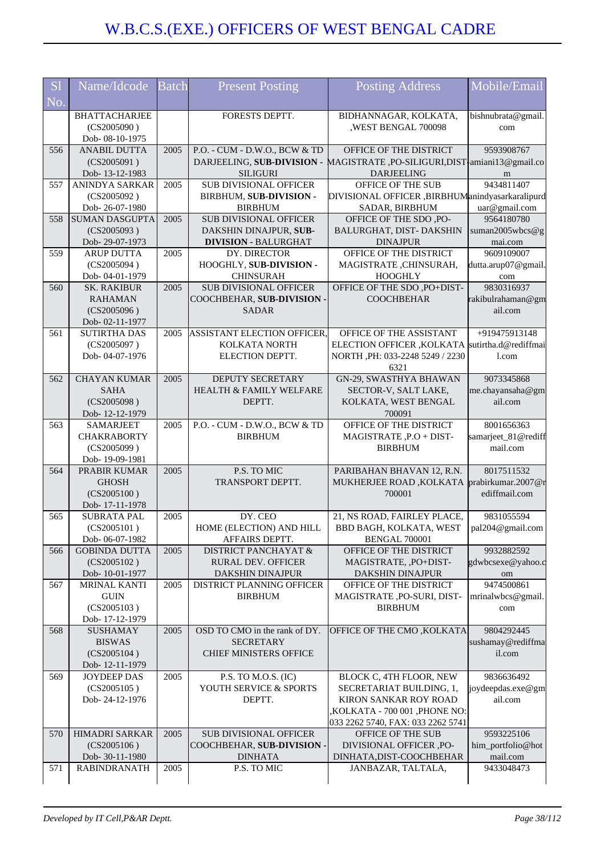| <b>S1</b> | Name/Idcode                            | <b>Batch</b> | <b>Present Posting</b>                                       | Posting Address                                                      | Mobile/Email                    |
|-----------|----------------------------------------|--------------|--------------------------------------------------------------|----------------------------------------------------------------------|---------------------------------|
| No.       |                                        |              |                                                              |                                                                      |                                 |
|           | <b>BHATTACHARJEE</b>                   |              | FORESTS DEPTT.                                               | BIDHANNAGAR, KOLKATA,                                                | bishnubrata@gmail.              |
|           | (CS2005090)<br>Dob- 08-10-1975         |              |                                                              | ,WEST BENGAL 700098                                                  | com                             |
| 556       | <b>ANABIL DUTTA</b>                    | 2005         | P.O. - CUM - D.W.O., BCW & TD                                | OFFICE OF THE DISTRICT                                               | 9593908767                      |
|           | (CS2005091)                            |              | DARJEELING, SUB-DIVISION -                                   | MAGISTRATE, PO-SILIGURI, DIST <sup>1</sup> amiani 13@gmail.co        |                                 |
|           | Dob-13-12-1983                         |              | <b>SILIGURI</b>                                              | <b>DARJEELING</b>                                                    | m                               |
| 557       | ANINDYA SARKAR<br>(CS2005092)          | 2005         | SUB DIVISIONAL OFFICER<br>BIRBHUM, SUB-DIVISION -            | OFFICE OF THE SUB<br>DIVISIONAL OFFICER, BIRBHUManindyasarkaralipurd | 9434811407                      |
|           | Dob-26-07-1980                         |              | <b>BIRBHUM</b>                                               | SADAR, BIRBHUM                                                       | uar@gmail.com                   |
| 558       | <b>SUMAN DASGUPTA</b>                  | 2005         | <b>SUB DIVISIONAL OFFICER</b>                                | OFFICE OF THE SDO, PO-                                               | 9564180780                      |
|           | (CS2005093)                            |              | DAKSHIN DINAJPUR, SUB-                                       | BALURGHAT, DIST-DAKSHIN                                              | suman2005wbcs@g                 |
| 559       | Dob-29-07-1973<br><b>ARUP DUTTA</b>    | 2005         | <b>DIVISION - BALURGHAT</b><br>DY. DIRECTOR                  | <b>DINAJPUR</b><br>OFFICE OF THE DISTRICT                            | mai.com<br>9609109007           |
|           | (CS2005094)                            |              | HOOGHLY, SUB-DIVISION -                                      | MAGISTRATE, CHINSURAH,                                               | dutta.arup07@gmail.             |
|           | Dob-04-01-1979                         |              | <b>CHINSURAH</b>                                             | <b>HOOGHLY</b>                                                       | com                             |
| 560       | <b>SK. RAKIBUR</b>                     | 2005         | <b>SUB DIVISIONAL OFFICER</b>                                | OFFICE OF THE SDO, PO+DIST-                                          | 9830316937                      |
|           | <b>RAHAMAN</b>                         |              | COOCHBEHAR, SUB-DIVISION -                                   | <b>COOCHBEHAR</b>                                                    | rakibulrahaman@gm               |
|           | (CS2005096)<br>Dob-02-11-1977          |              | <b>SADAR</b>                                                 |                                                                      | ail.com                         |
| 561       | <b>SUTIRTHA DAS</b>                    | 2005         | ASSISTANT ELECTION OFFICER,                                  | OFFICE OF THE ASSISTANT                                              | +919475913148                   |
|           | (CS2005097)                            |              | KOLKATA NORTH                                                | ELECTION OFFICER, KOLKATA sutirtha.d@rediffmai                       |                                 |
|           | Dob-04-07-1976                         |              | ELECTION DEPTT.                                              | NORTH , PH: 033-2248 5249 / 2230                                     | 1.com                           |
| 562       | <b>CHAYAN KUMAR</b>                    | 2005         | DEPUTY SECRETARY                                             | 6321<br>GN-29, SWASTHYA BHAWAN                                       | 9073345868                      |
|           | <b>SAHA</b>                            |              | <b>HEALTH &amp; FAMILY WELFARE</b>                           | SECTOR-V, SALT LAKE,                                                 | me.chayansaha@gm                |
|           | (CS2005098)                            |              | DEPTT.                                                       | KOLKATA, WEST BENGAL                                                 | ail.com                         |
|           | Dob-12-12-1979                         |              |                                                              | 700091                                                               |                                 |
| 563       | <b>SAMARJEET</b><br><b>CHAKRABORTY</b> | 2005         | P.O. - CUM - D.W.O., BCW & TD<br><b>BIRBHUM</b>              | OFFICE OF THE DISTRICT                                               | 8001656363                      |
|           | (CS2005099)                            |              |                                                              | MAGISTRATE, P.O + DIST-<br><b>BIRBHUM</b>                            | samarjeet_81@rediff<br>mail.com |
|           | Dob-19-09-1981                         |              |                                                              |                                                                      |                                 |
| 564       | PRABIR KUMAR                           | 2005         | P.S. TO MIC                                                  | PARIBAHAN BHAVAN 12, R.N.                                            | 8017511532                      |
|           | <b>GHOSH</b>                           |              | TRANSPORT DEPTT.                                             | MUKHERJEE ROAD, KOLKATA                                              | prabirkumar.2007@r              |
|           | (CS2005100)<br>Dob-17-11-1978          |              |                                                              | 700001                                                               | ediffmail.com                   |
| 565       | <b>SUBRATA PAL</b>                     | 2005         | DY. CEO                                                      | 21, NS ROAD, FAIRLEY PLACE,                                          | 9831055594                      |
|           | (CS2005101)                            |              | HOME (ELECTION) AND HILL                                     | BBD BAGH, KOLKATA, WEST  pal204@gmail.com                            |                                 |
|           | Dob-06-07-1982                         |              | AFFAIRS DEPTT.                                               | <b>BENGAL 700001</b>                                                 |                                 |
| 566       | <b>GOBINDA DUTTA</b><br>(CS2005102)    | 2005         | <b>DISTRICT PANCHAYAT &amp;</b><br><b>RURAL DEV. OFFICER</b> | OFFICE OF THE DISTRICT<br>MAGISTRATE, ,PO+DIST-                      | 9932882592<br>gdwbcsexe@yahoo.c |
|           | Dob-10-01-1977                         |              | DAKSHIN DINAJPUR                                             | DAKSHIN DINAJPUR                                                     | om                              |
| 567       | MRINAL KANTI                           | 2005         | DISTRICT PLANNING OFFICER                                    | OFFICE OF THE DISTRICT                                               | 9474500861                      |
|           | <b>GUIN</b>                            |              | <b>BIRBHUM</b>                                               | MAGISTRATE ,PO-SURI, DIST-                                           | mrinalwbcs@gmail.               |
|           | (CS2005103)<br>Dob-17-12-1979          |              |                                                              | <b>BIRBHUM</b>                                                       | com                             |
| 568       | <b>SUSHAMAY</b>                        | 2005         | OSD TO CMO in the rank of DY.                                | OFFICE OF THE CMO, KOLKATA                                           | 9804292445                      |
|           | <b>BISWAS</b>                          |              | <b>SECRETARY</b>                                             |                                                                      | sushamay@rediffma               |
|           | (CS2005104)                            |              | <b>CHIEF MINISTERS OFFICE</b>                                |                                                                      | il.com                          |
|           | Dob-12-11-1979                         |              |                                                              |                                                                      |                                 |
| 569       | JOYDEEP DAS<br>(CS2005105)             | 2005         | P.S. TO M.O.S. (IC)<br>YOUTH SERVICE & SPORTS                | BLOCK C, 4TH FLOOR, NEW<br>SECRETARIAT BUILDING, 1,                  | 9836636492<br>joydeepdas.exe@gm |
|           | Dob-24-12-1976                         |              | DEPTT.                                                       | KIRON SANKAR ROY ROAD                                                | ail.com                         |
|           |                                        |              |                                                              | ,KOLKATA - 700 001 ,PHONE NO:                                        |                                 |
|           |                                        |              |                                                              | 033 2262 5740, FAX: 033 2262 5741                                    |                                 |
| 570       | HIMADRI SARKAR<br>(CS2005106)          | 2005         | SUB DIVISIONAL OFFICER<br>COOCHBEHAR, SUB-DIVISION -         | OFFICE OF THE SUB<br>DIVISIONAL OFFICER ,PO-                         | 9593225106<br>him_portfolio@hot |
|           | Dob-30-11-1980                         |              | <b>DINHATA</b>                                               | DINHATA, DIST-COOCHBEHAR                                             | mail.com                        |
| 571       | <b>RABINDRANATH</b>                    | 2005         | P.S. TO MIC                                                  | JANBAZAR, TALTALA,                                                   | 9433048473                      |
|           |                                        |              |                                                              |                                                                      |                                 |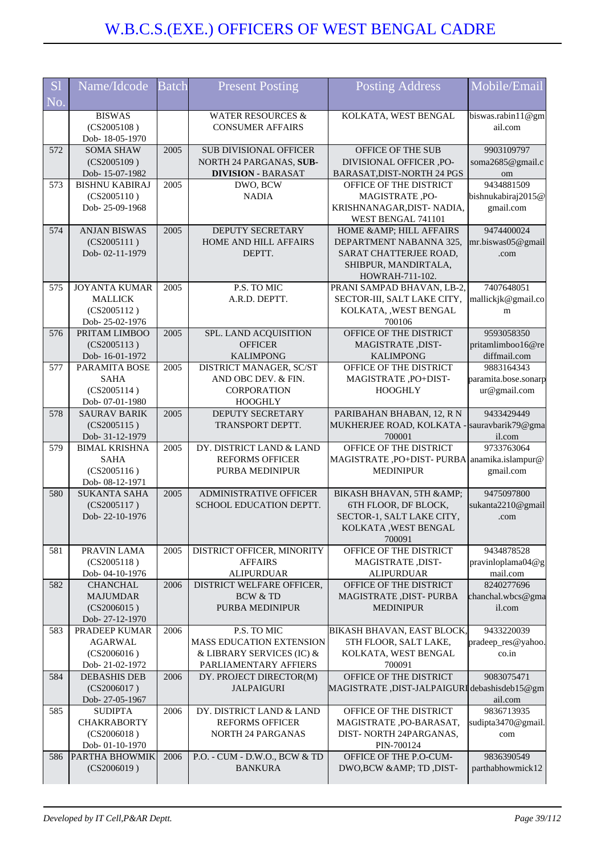| <b>S</b> l | Name/Idcode                            | <b>Batch</b> | <b>Present Posting</b>        | Posting Address                              | Mobile/Email         |
|------------|----------------------------------------|--------------|-------------------------------|----------------------------------------------|----------------------|
| No.        |                                        |              |                               |                                              |                      |
|            | <b>BISWAS</b>                          |              | <b>WATER RESOURCES &amp;</b>  | KOLKATA, WEST BENGAL                         | biswas.rabin11@gm    |
|            | (CS2005108)                            |              | <b>CONSUMER AFFAIRS</b>       |                                              | ail.com              |
|            | Dob-18-05-1970                         |              |                               |                                              |                      |
| 572        | <b>SOMA SHAW</b>                       | 2005         | <b>SUB DIVISIONAL OFFICER</b> | OFFICE OF THE SUB                            | 9903109797           |
|            | (CS2005109)                            |              | NORTH 24 PARGANAS, SUB-       | DIVISIONAL OFFICER ,PO-                      | soma2685@gmail.c     |
|            | Dob-15-07-1982                         |              | <b>DIVISION - BARASAT</b>     | BARASAT, DIST-NORTH 24 PGS                   | om                   |
| 573        | <b>BISHNU KABIRAJ</b>                  | 2005         | DWO, BCW                      | OFFICE OF THE DISTRICT                       | 9434881509           |
|            | (CS2005110)                            |              | <b>NADIA</b>                  | MAGISTRATE, PO-                              | bishnukabiraj2015@   |
|            | Dob-25-09-1968                         |              |                               | KRISHNANAGAR, DIST-NADIA,                    | gmail.com            |
|            |                                        |              |                               | WEST BENGAL 741101                           |                      |
| 574        | <b>ANJAN BISWAS</b>                    | 2005         | DEPUTY SECRETARY              | HOME & AMP; HILL AFFAIRS                     | 9474400024           |
|            | (CS2005111)                            |              | <b>HOME AND HILL AFFAIRS</b>  | DEPARTMENT NABANNA 325,                      | mr.biswas05@gmail    |
|            | Dob-02-11-1979                         |              | DEPTT.                        | SARAT CHATTERJEE ROAD,                       | .com                 |
|            |                                        |              |                               | SHIBPUR, MANDIRTALA,                         |                      |
|            |                                        |              |                               | HOWRAH-711-102.                              |                      |
| 575        | <b>JOYANTA KUMAR</b>                   | 2005         | P.S. TO MIC                   | PRANI SAMPAD BHAVAN, LB-2,                   | 7407648051           |
|            | <b>MALLICK</b>                         |              | A.R.D. DEPTT.                 | SECTOR-III, SALT LAKE CITY,                  | mallickjk@gmail.co   |
|            | (CS2005112)                            |              |                               | KOLKATA, , WEST BENGAL                       | m                    |
|            | Dob-25-02-1976                         |              |                               | 700106                                       |                      |
| 576        | PRITAM LIMBOO                          | 2005         | SPL. LAND ACQUISITION         | OFFICE OF THE DISTRICT                       | 9593058350           |
|            | (CS2005113)                            |              | <b>OFFICER</b>                | MAGISTRATE, DIST-                            | pritamlimboo16@re    |
|            | Dob-16-01-1972                         |              | <b>KALIMPONG</b>              | <b>KALIMPONG</b>                             | diffmail.com         |
| 577        | PARAMITA BOSE                          | 2005         | DISTRICT MANAGER, SC/ST       | OFFICE OF THE DISTRICT                       | 9883164343           |
|            | <b>SAHA</b>                            |              | AND OBC DEV. & FIN.           | MAGISTRATE, PO+DIST-                         | paramita.bose.sonarp |
|            | (CS2005114)                            |              | CORPORATION                   | <b>HOOGHLY</b>                               | ur@gmail.com         |
|            | Dob-07-01-1980                         |              | <b>HOOGHLY</b>                |                                              |                      |
| 578        | <b>SAURAV BARIK</b>                    | 2005         | <b>DEPUTY SECRETARY</b>       | PARIBAHAN BHABAN, 12, R N                    | 9433429449           |
|            | (CS2005115)                            |              | TRANSPORT DEPTT.              | MUKHERJEE ROAD, KOLKATA -                    | sauravbarik79@gma    |
|            | Dob- 31-12-1979                        |              |                               | 700001                                       | il.com<br>9733763064 |
| 579        | <b>BIMAL KRISHNA</b>                   | 2005         | DY. DISTRICT LAND & LAND      | OFFICE OF THE DISTRICT                       |                      |
|            | <b>SAHA</b>                            |              | <b>REFORMS OFFICER</b>        | MAGISTRATE, PO+DIST-PURBA anamika.islampur@  |                      |
|            | (CS2005116)                            |              | PURBA MEDINIPUR               | <b>MEDINIPUR</b>                             | gmail.com            |
| 580        | Dob- 08-12-1971<br><b>SUKANTA SAHA</b> | 2005         | ADMINISTRATIVE OFFICER        | BIKASH BHAVAN, 5TH &                         | 9475097800           |
|            | (CS2005117)                            |              | SCHOOL EDUCATION DEPTT.       | 6TH FLOOR, DF BLOCK,                         | sukanta2210@gmail    |
|            | Dob-22-10-1976                         |              |                               | SECTOR-1, SALT LAKE CITY,                    | .com                 |
|            |                                        |              |                               | KOLKATA, WEST BENGAL                         |                      |
|            |                                        |              |                               | 700091                                       |                      |
| 581        | PRAVIN LAMA                            | 2005         | DISTRICT OFFICER, MINORITY    | OFFICE OF THE DISTRICT                       | 9434878528           |
|            | (CS2005118)                            |              | <b>AFFAIRS</b>                | MAGISTRATE, DIST-                            | pravinloplama04@g    |
|            | Dob-04-10-1976                         |              | <b>ALIPURDUAR</b>             | <b>ALIPURDUAR</b>                            | mail.com             |
| 582        | <b>CHANCHAL</b>                        | 2006         | DISTRICT WELFARE OFFICER,     | OFFICE OF THE DISTRICT                       | 8240277696           |
|            | <b>MAJUMDAR</b>                        |              | <b>BCW &amp; TD</b>           | MAGISTRATE , DIST- PURBA                     | chanchal.wbcs@gma    |
|            | (CS2006015)                            |              | PURBA MEDINIPUR               | <b>MEDINIPUR</b>                             | il.com               |
|            | Dob-27-12-1970                         |              |                               |                                              |                      |
| 583        | PRADEEP KUMAR                          | 2006         | P.S. TO MIC                   | BIKASH BHAVAN, EAST BLOCK,                   | 9433220039           |
|            | <b>AGARWAL</b>                         |              | MASS EDUCATION EXTENSION      | 5TH FLOOR, SALT LAKE,                        | pradeep_res@yahoo.   |
|            | (CS2006016)                            |              | & LIBRARY SERVICES (IC) &     | KOLKATA, WEST BENGAL                         | co.in                |
|            | Dob-21-02-1972                         |              | PARLIAMENTARY AFFIERS         | 700091                                       |                      |
| 584        | <b>DEBASHIS DEB</b>                    | 2006         | DY. PROJECT DIRECTOR(M)       | OFFICE OF THE DISTRICT                       | 9083075471           |
|            | (CS2006017)                            |              | <b>JALPAIGURI</b>             | MAGISTRATE, DIST-JALPAIGURI debashisdeb15@gm |                      |
|            | Dob-27-05-1967                         |              |                               |                                              | ail.com              |
| 585        | <b>SUDIPTA</b>                         | 2006         | DY. DISTRICT LAND & LAND      | OFFICE OF THE DISTRICT                       | 9836713935           |
|            | <b>CHAKRABORTY</b>                     |              | <b>REFORMS OFFICER</b>        | MAGISTRATE, PO-BARASAT,                      | sudipta3470@gmail.   |
|            | (CS2006018)                            |              | <b>NORTH 24 PARGANAS</b>      | DIST-NORTH 24PARGANAS,                       | com                  |
|            | Dob-01-10-1970                         |              |                               | PIN-700124                                   |                      |
| 586        | <b>PARTHA BHOWMIK</b>                  | 2006         | P.O. - CUM - D.W.O., BCW & TD | OFFICE OF THE P.O-CUM-                       | 9836390549           |
|            | (CS2006019)                            |              | <b>BANKURA</b>                | DWO,BCW & TD, DIST-                          | parthabhowmick12     |
|            |                                        |              |                               |                                              |                      |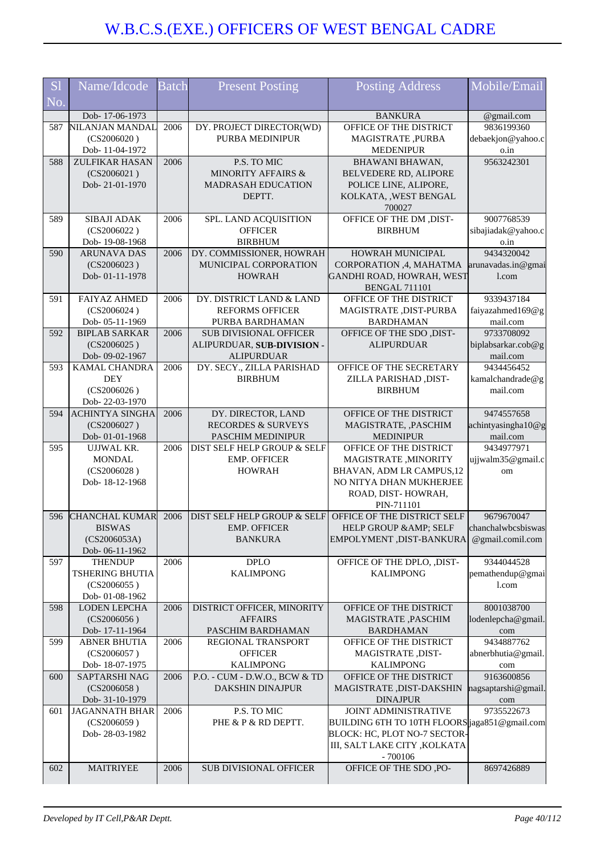| <b>S1</b> | Name/Idcode                           | <b>Batch</b> | <b>Present Posting</b>                                     | <b>Posting Address</b>                            | Mobile/Email                 |
|-----------|---------------------------------------|--------------|------------------------------------------------------------|---------------------------------------------------|------------------------------|
| No.       |                                       |              |                                                            |                                                   |                              |
|           | Dob-17-06-1973                        |              |                                                            | <b>BANKURA</b>                                    | @gmail.com                   |
| 587       | NILANJAN MANDAL                       | 2006         | DY. PROJECT DIRECTOR(WD)                                   | OFFICE OF THE DISTRICT                            | 9836199360                   |
|           | (CS2006020)                           |              | PURBA MEDINIPUR                                            | MAGISTRATE, PURBA                                 | debaekjon@yahoo.c            |
|           | Dob-11-04-1972                        |              |                                                            | <b>MEDENIPUR</b>                                  | o.in                         |
| 588       | ZULFIKAR HASAN                        | 2006         | P.S. TO MIC                                                | BHAWANI BHAWAN,                                   | 9563242301                   |
|           | (CS2006021)<br>Dob-21-01-1970         |              | <b>MINORITY AFFAIRS &amp;</b><br><b>MADRASAH EDUCATION</b> | BELVEDERE RD, ALIPORE<br>POLICE LINE, ALIPORE,    |                              |
|           |                                       |              | DEPTT.                                                     | KOLKATA, , WEST BENGAL                            |                              |
|           |                                       |              |                                                            | 700027                                            |                              |
| 589       | SIBAJI ADAK                           | 2006         | SPL. LAND ACQUISITION                                      | OFFICE OF THE DM , DIST-                          | 9007768539                   |
|           | (CS2006022)                           |              | <b>OFFICER</b>                                             | <b>BIRBHUM</b>                                    | sibajiadak@yahoo.c           |
|           | Dob-19-08-1968                        |              | <b>BIRBHUM</b>                                             |                                                   | o.in                         |
| 590       | <b>ARUNAVA DAS</b>                    | 2006         | DY. COMMISSIONER, HOWRAH                                   | HOWRAH MUNICIPAL                                  | 9434320042                   |
|           | (CS2006023)                           |              | MUNICIPAL CORPORATION                                      | CORPORATION , 4, MAHATMA                          | arunavadas.in@gmai           |
|           | Dob-01-11-1978                        |              | <b>HOWRAH</b>                                              | GANDHI ROAD, HOWRAH, WEST<br><b>BENGAL 711101</b> | 1.com                        |
| 591       | <b>FAIYAZ AHMED</b>                   | 2006         | DY. DISTRICT LAND & LAND                                   | OFFICE OF THE DISTRICT                            | 9339437184                   |
|           | (CS2006024)                           |              | <b>REFORMS OFFICER</b>                                     | MAGISTRATE , DIST-PURBA                           | faiyazahmed169@g             |
|           | Dob-05-11-1969                        |              | PURBA BARDHAMAN                                            | <b>BARDHAMAN</b>                                  | mail.com                     |
| 592       | <b>BIPLAB SARKAR</b>                  | 2006         | <b>SUB DIVISIONAL OFFICER</b>                              | OFFICE OF THE SDO , DIST-                         | 9733708092                   |
|           | (CS2006025)                           |              | ALIPURDUAR, SUB-DIVISION -                                 | <b>ALIPURDUAR</b>                                 | biplabsarkar.cob@g           |
|           | Dob- 09-02-1967                       |              | <b>ALIPURDUAR</b>                                          |                                                   | mail.com                     |
| 593       | KAMAL CHANDRA                         | 2006         | DY. SECY., ZILLA PARISHAD                                  | OFFICE OF THE SECRETARY                           | 9434456452                   |
|           | <b>DEY</b><br>(CS2006026)             |              | <b>BIRBHUM</b>                                             | ZILLA PARISHAD, DIST-<br><b>BIRBHUM</b>           | kamalchandrade@g<br>mail.com |
|           | Dob-22-03-1970                        |              |                                                            |                                                   |                              |
| 594       | <b>ACHINTYA SINGHA</b>                | 2006         | DY. DIRECTOR, LAND                                         | OFFICE OF THE DISTRICT                            | 9474557658                   |
|           | (CS2006027)                           |              | <b>RECORDES &amp; SURVEYS</b>                              | MAGISTRATE, , PASCHIM                             | achintyasingha10@g           |
|           | Dob-01-01-1968                        |              | PASCHIM MEDINIPUR                                          | <b>MEDINIPUR</b>                                  | mail.com                     |
| 595       | UJJWAL KR.                            | 2006         | DIST SELF HELP GROUP & SELF                                | OFFICE OF THE DISTRICT                            | 9434977971                   |
|           | <b>MONDAL</b>                         |              | <b>EMP. OFFICER</b>                                        | MAGISTRATE, MINORITY                              | ujjwalm35@gmail.c            |
|           | (CS2006028)<br>Dob-18-12-1968         |              | <b>HOWRAH</b>                                              | BHAVAN, ADM LR CAMPUS, 12                         | om                           |
|           |                                       |              |                                                            | NO NITYA DHAN MUKHERJEE<br>ROAD, DIST-HOWRAH,     |                              |
|           |                                       |              |                                                            | PIN-711101                                        |                              |
| 596       | <b>CHANCHAL KUMAR</b>                 | 2006         | DIST SELF HELP GROUP & SELF                                | OFFICE OF THE DISTRICT SELF                       | 9679670047                   |
|           | <b>BISWAS</b>                         |              | <b>EMP. OFFICER</b>                                        | HELP GROUP & AMP; SELF                            | chanchalwbcsbiswas           |
|           | (CS2006053A)                          |              | <b>BANKURA</b>                                             | EMPOLYMENT, DIST-BANKURA                          | @gmail.comil.com             |
|           | Dob-06-11-1962                        |              |                                                            |                                                   |                              |
| 597       | <b>THENDUP</b>                        | 2006         | <b>DPLO</b><br><b>KALIMPONG</b>                            | OFFICE OF THE DPLO, , DIST-<br><b>KALIMPONG</b>   | 9344044528                   |
|           | <b>TSHERING BHUTIA</b><br>(CS2006055) |              |                                                            |                                                   | pemathendup@gmai<br>l.com    |
|           | Dob-01-08-1962                        |              |                                                            |                                                   |                              |
| 598       | <b>LODEN LEPCHA</b>                   | 2006         | DISTRICT OFFICER, MINORITY                                 | OFFICE OF THE DISTRICT                            | 8001038700                   |
|           | (CS2006056)                           |              | <b>AFFAIRS</b>                                             | MAGISTRATE, PASCHIM                               | lodenlepcha@gmail            |
|           | Dob-17-11-1964                        |              | PASCHIM BARDHAMAN                                          | <b>BARDHAMAN</b>                                  | com                          |
| 599       | <b>ABNER BHUTIA</b>                   | 2006         | REGIONAL TRANSPORT                                         | OFFICE OF THE DISTRICT                            | 9434887762                   |
|           | (CS2006057)                           |              | <b>OFFICER</b>                                             | MAGISTRATE ,DIST-                                 | abnerbhutia@gmail.           |
| 600       | Dob-18-07-1975<br>SAPTARSHI NAG       | 2006         | <b>KALIMPONG</b><br>P.O. - CUM - D.W.O., BCW & TD          | <b>KALIMPONG</b><br>OFFICE OF THE DISTRICT        | com<br>9163600856            |
|           | (CS2006058)                           |              | <b>DAKSHIN DINAJPUR</b>                                    | MAGISTRATE , DIST-DAKSHIN                         | nagsaptarshi@gmail.          |
|           | Dob- 31-10-1979                       |              |                                                            | <b>DINAJPUR</b>                                   | com                          |
| 601       | <b>JAGANNATH BHAR</b>                 | 2006         | P.S. TO MIC                                                | <b>JOINT ADMINISTRATIVE</b>                       | 9735522673                   |
|           | (CS2006059)                           |              | PHE & P & RD DEPTT.                                        | BUILDING 6TH TO 10TH FLOORS jaga851@gmail.com     |                              |
|           | Dob-28-03-1982                        |              |                                                            | BLOCK: HC, PLOT NO-7 SECTOR-                      |                              |
|           |                                       |              |                                                            | III, SALT LAKE CITY , KOLKATA                     |                              |
| 602       | <b>MAITRIYEE</b>                      | 2006         | SUB DIVISIONAL OFFICER                                     | $-700106$<br>OFFICE OF THE SDO, PO-               |                              |
|           |                                       |              |                                                            |                                                   | 8697426889                   |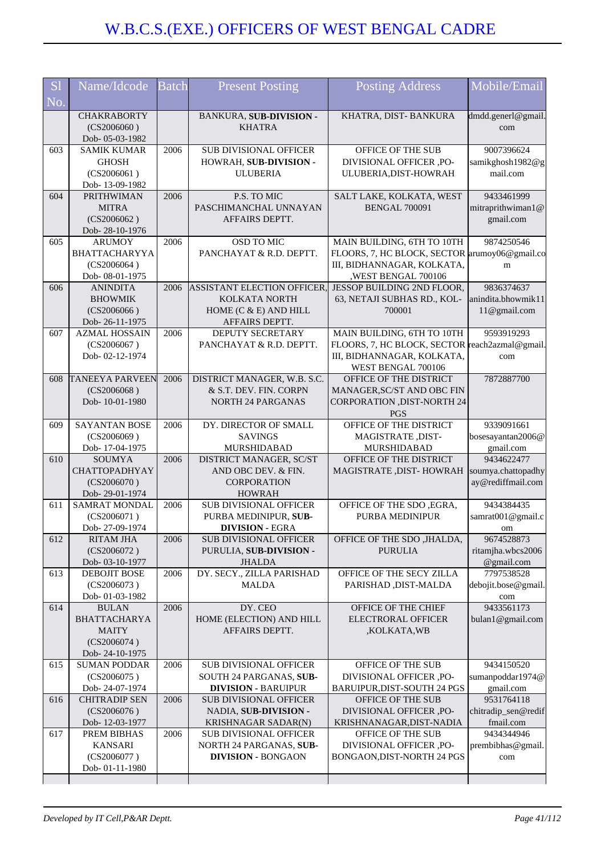| S <sub>1</sub><br>Name/Idcode<br><b>Batch</b><br><b>Present Posting</b><br>No.<br><b>CHAKRABORTY</b><br>BANKURA, SUB-DIVISION -<br><b>KHATRA</b><br>(CS2006060)<br>Dob- 05-03-1982<br><b>SAMIK KUMAR</b><br>2006<br><b>SUB DIVISIONAL OFFICER</b><br>603 | Mobile/Email<br><b>Posting Address</b><br>dmdd.generl@gmail.<br>KHATRA, DIST-BANKURA<br>com<br>OFFICE OF THE SUB<br>9007396624                           |
|----------------------------------------------------------------------------------------------------------------------------------------------------------------------------------------------------------------------------------------------------------|----------------------------------------------------------------------------------------------------------------------------------------------------------|
|                                                                                                                                                                                                                                                          |                                                                                                                                                          |
|                                                                                                                                                                                                                                                          |                                                                                                                                                          |
| HOWRAH, SUB-DIVISION -<br><b>GHOSH</b><br>(CS2006061)<br><b>ULUBERIA</b>                                                                                                                                                                                 | DIVISIONAL OFFICER ,PO-<br>samikghosh1982@g<br>ULUBERIA, DIST-HOWRAH<br>mail.com                                                                         |
| Dob-13-09-1982<br>PRITHWIMAN<br>P.S. TO MIC<br>604<br>2006<br><b>MITRA</b><br>PASCHIMANCHAL UNNAYAN<br>(CS2006062)<br>AFFAIRS DEPTT.<br>Dob-28-10-1976                                                                                                   | SALT LAKE, KOLKATA, WEST<br>9433461999<br><b>BENGAL 700091</b><br>mitraprithwiman1@<br>gmail.com                                                         |
| 605<br>2006<br>OSD TO MIC<br><b>ARUMOY</b><br>PANCHAYAT & R.D. DEPTT.<br><b>BHATTACHARYYA</b><br>(CS2006064)<br>Dob- 08-01-1975                                                                                                                          | MAIN BUILDING, 6TH TO 10TH<br>9874250546<br>FLOORS, 7, HC BLOCK, SECTOR arumoy06@gmail.co<br>III, BIDHANNAGAR, KOLKATA,<br>m<br>,WEST BENGAL 700106      |
| <b>ANINDITA</b><br>ASSISTANT ELECTION OFFICER,<br>2006<br>606<br>KOLKATA NORTH<br><b>BHOWMIK</b><br>HOME (C & E) AND HILL<br>(CS2006066)<br>Dob-26-11-1975<br>AFFAIRS DEPTT.                                                                             | JESSOP BUILDING 2ND FLOOR,<br>9836374637<br>anindita.bhowmik11<br>63, NETAJI SUBHAS RD., KOL-<br>11@gmail.com<br>700001                                  |
| 607<br><b>AZMAL HOSSAIN</b><br>2006<br>DEPUTY SECRETARY<br>(CS2006067)<br>PANCHAYAT & R.D. DEPTT.<br>Dob-02-12-1974                                                                                                                                      | MAIN BUILDING, 6TH TO 10TH<br>9593919293<br>FLOORS, 7, HC BLOCK, SECTOR<br>reach2azmal@gmail.<br>III, BIDHANNAGAR, KOLKATA,<br>com<br>WEST BENGAL 700106 |
| <b>TANEEYA PARVEEN</b><br>DISTRICT MANAGER, W.B. S.C.<br>2006<br>608<br>(CS2006068)<br>& S.T. DEV. FIN. CORPN<br>Dob-10-01-1980<br><b>NORTH 24 PARGANAS</b>                                                                                              | 7872887700<br>OFFICE OF THE DISTRICT<br>MANAGER, SC/ST AND OBC FIN<br><b>CORPORATION ,DIST-NORTH 24</b><br><b>PGS</b>                                    |
| <b>SAYANTAN BOSE</b><br>2006<br>DY. DIRECTOR OF SMALL<br>609<br>(CS2006069)<br><b>SAVINGS</b><br>Dob-17-04-1975<br><b>MURSHIDABAD</b>                                                                                                                    | OFFICE OF THE DISTRICT<br>9339091661<br>MAGISTRATE, DIST-<br>bosesayantan2006@<br>gmail.com<br><b>MURSHIDABAD</b>                                        |
| 610<br>2006<br><b>SOUMYA</b><br>DISTRICT MANAGER, SC/ST<br><b>CHATTOPADHYAY</b><br>AND OBC DEV. & FIN.<br><b>CORPORATION</b><br>(CS2006070)<br>Dob-29-01-1974<br><b>HOWRAH</b>                                                                           | 9434622477<br>OFFICE OF THE DISTRICT<br>soumya.chattopadhy<br>MAGISTRATE , DIST- HOWRAH<br>ay@rediffmail.com                                             |
| <b>SAMRAT MONDAL</b><br><b>SUB DIVISIONAL OFFICER</b><br>611<br>2006<br>(CS2006071)<br>PURBA MEDINIPUR, SUB-<br>Dob-27-09-1974<br><b>DIVISION - EGRA</b>                                                                                                 | OFFICE OF THE SDO, EGRA,<br>9434384435<br>PURBA MEDINIPUR<br>samrat001@gmail.c<br>om                                                                     |
| 612<br><b>RITAM JHA</b><br>2006<br><b>SUB DIVISIONAL OFFICER</b><br>(CS2006072)<br>PURULIA, SUB-DIVISION -<br>Dob- 03-10-1977<br><b>JHALDA</b>                                                                                                           | OFFICE OF THE SDO , JHALDA,<br>9674528873<br><b>PURULIA</b><br>ritamjha.wbcs2006<br>@gmail.com                                                           |
| DY. SECY., ZILLA PARISHAD<br>613<br><b>DEBOJIT BOSE</b><br>2006<br>(CS2006073)<br><b>MALDA</b><br>Dob-01-03-1982                                                                                                                                         | OFFICE OF THE SECY ZILLA<br>7797538528<br>PARISHAD, DIST-MALDA<br>debojit.bose@gmail.<br>com                                                             |
| DY. CEO<br>614<br>2006<br><b>BULAN</b><br>HOME (ELECTION) AND HILL<br><b>BHATTACHARYA</b><br><b>MAITY</b><br>AFFAIRS DEPTT.<br>(CS2006074)<br>Dob-24-10-1975                                                                                             | 9433561173<br>OFFICE OF THE CHIEF<br><b>ELECTRORAL OFFICER</b><br>bulan1@gmail.com<br>,KOLKATA,WB                                                        |
| 615<br><b>SUB DIVISIONAL OFFICER</b><br><b>SUMAN PODDAR</b><br>2006<br>(CS2006075)<br>SOUTH 24 PARGANAS, SUB-<br>Dob-24-07-1974<br><b>DIVISION - BARUIPUR</b>                                                                                            | 9434150520<br>OFFICE OF THE SUB<br>DIVISIONAL OFFICER ,PO-<br>sumanpoddar1974@<br>BARUIPUR, DIST-SOUTH 24 PGS<br>gmail.com                               |
| 2006<br>616<br><b>CHITRADIP SEN</b><br><b>SUB DIVISIONAL OFFICER</b><br>(CS2006076)<br>NADIA, SUB-DIVISION -<br>Dob-12-03-1977<br><b>KRISHNAGAR SADAR(N)</b>                                                                                             | 9531764118<br>OFFICE OF THE SUB<br>DIVISIONAL OFFICER ,PO-<br>chitradip_sen@redif<br>fmail.com<br>KRISHNANAGAR, DIST-NADIA                               |
| 617<br>2006<br>PREM BIBHAS<br><b>SUB DIVISIONAL OFFICER</b><br><b>KANSARI</b><br>NORTH 24 PARGANAS, SUB-<br>(CS2006077)<br><b>DIVISION - BONGAON</b><br>Dob-01-11-1980                                                                                   | 9434344946<br>OFFICE OF THE SUB<br>DIVISIONAL OFFICER ,PO-<br>prembibhas@gmail.<br>BONGAON, DIST-NORTH 24 PGS<br>com                                     |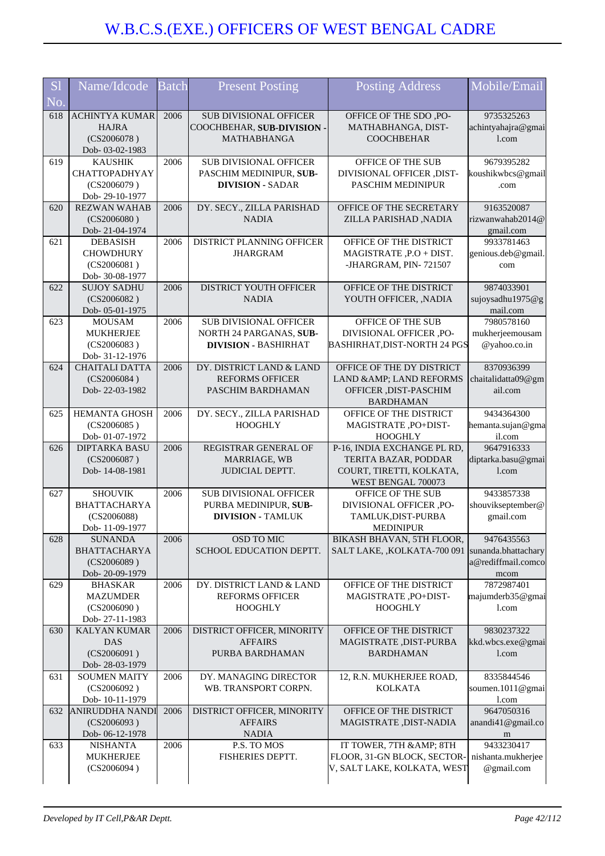| S <sub>1</sub> | Name/Idcode                          | <b>Batch</b> | <b>Present Posting</b>                             | <b>Posting Address</b>                                | Mobile/Email                     |
|----------------|--------------------------------------|--------------|----------------------------------------------------|-------------------------------------------------------|----------------------------------|
| No.            |                                      |              |                                                    |                                                       |                                  |
| 618            | <b>ACHINTYA KUMAR</b>                | 2006         | <b>SUB DIVISIONAL OFFICER</b>                      | OFFICE OF THE SDO, PO-                                | 9735325263                       |
|                | <b>HAJRA</b>                         |              | COOCHBEHAR, SUB-DIVISION -                         | MATHABHANGA, DIST-                                    | achintyahajra@gmai               |
|                | (CS2006078)                          |              | <b>MATHABHANGA</b>                                 | <b>COOCHBEHAR</b>                                     | 1.com                            |
| 619            | Dob- 03-02-1983<br><b>KAUSHIK</b>    | 2006         | <b>SUB DIVISIONAL OFFICER</b>                      | OFFICE OF THE SUB                                     | 9679395282                       |
|                | <b>CHATTOPADHYAY</b>                 |              | PASCHIM MEDINIPUR, SUB-                            | DIVISIONAL OFFICER ,DIST-                             | koushikwbcs@gmail                |
|                | (CS2006079)                          |              | <b>DIVISION - SADAR</b>                            | PASCHIM MEDINIPUR                                     | .com                             |
|                | Dob-29-10-1977                       |              |                                                    |                                                       |                                  |
| 620            | <b>REZWAN WAHAB</b>                  | 2006         | DY. SECY., ZILLA PARISHAD                          | OFFICE OF THE SECRETARY                               | 9163520087                       |
|                | (CS2006080)                          |              | <b>NADIA</b>                                       | ZILLA PARISHAD ,NADIA                                 | rizwanwahab2014@                 |
|                | Dob-21-04-1974                       |              |                                                    |                                                       | gmail.com                        |
| 621            | <b>DEBASISH</b>                      | 2006         | DISTRICT PLANNING OFFICER                          | OFFICE OF THE DISTRICT                                | 9933781463                       |
|                | <b>CHOWDHURY</b>                     |              | <b>JHARGRAM</b>                                    | MAGISTRATE, P.O + DIST.                               | genious.deb@gmail                |
|                | (CS2006081)<br>Dob- 30-08-1977       |              |                                                    | -JHARGRAM, PIN-721507                                 | com                              |
| 622            | <b>SUJOY SADHU</b>                   | 2006         | DISTRICT YOUTH OFFICER                             | OFFICE OF THE DISTRICT                                | 9874033901                       |
|                | (CS2006082)                          |              | <b>NADIA</b>                                       | YOUTH OFFICER, , NADIA                                | sujoysadhu1975@g                 |
|                | Dob-05-01-1975                       |              |                                                    |                                                       | mail.com                         |
| 623            | <b>MOUSAM</b>                        | 2006         | <b>SUB DIVISIONAL OFFICER</b>                      | OFFICE OF THE SUB                                     | 7980578160                       |
|                | <b>MUKHERJEE</b>                     |              | NORTH 24 PARGANAS, SUB-                            | DIVISIONAL OFFICER ,PO-                               | mukherjeemousam                  |
|                | (CS2006083)                          |              | <b>DIVISION - BASHIRHAT</b>                        | <b>BASHIRHAT, DIST-NORTH 24 PGS</b>                   | @yahoo.co.in                     |
|                | Dob- 31-12-1976                      |              |                                                    |                                                       |                                  |
| 624            | <b>CHAITALI DATTA</b><br>(CS2006084) | 2006         | DY. DISTRICT LAND & LAND<br><b>REFORMS OFFICER</b> | OFFICE OF THE DY DISTRICT<br>LAND & AMP; LAND REFORMS | 8370936399<br>chaitalidatta09@gm |
|                | Dob-22-03-1982                       |              | PASCHIM BARDHAMAN                                  | OFFICER , DIST-PASCHIM                                | ail.com                          |
|                |                                      |              |                                                    | <b>BARDHAMAN</b>                                      |                                  |
| 625            | HEMANTA GHOSH                        | 2006         | DY. SECY., ZILLA PARISHAD                          | OFFICE OF THE DISTRICT                                | 9434364300                       |
|                | (CS2006085)                          |              | <b>HOOGHLY</b>                                     | MAGISTRATE, PO+DIST-                                  | hemanta.sujan@gma                |
|                | Dob- 01-07-1972                      |              |                                                    | <b>HOOGHLY</b>                                        | il.com                           |
| 626            | <b>DIPTARKA BASU</b>                 | 2006         | REGISTRAR GENERAL OF                               | P-16, INDIA EXCHANGE PL RD,                           | 9647916333                       |
|                | (CS2006087)                          |              | MARRIAGE, WB                                       | TERITA BAZAR, PODDAR                                  | diptarka.basu@gmai               |
|                | Dob-14-08-1981                       |              | JUDICIAL DEPTT.                                    | COURT, TIRETTI, KOLKATA,<br>WEST BENGAL 700073        | 1.com                            |
| 627            | <b>SHOUVIK</b>                       | 2006         | <b>SUB DIVISIONAL OFFICER</b>                      | OFFICE OF THE SUB                                     | 9433857338                       |
|                | <b>BHATTACHARYA</b>                  |              | PURBA MEDINIPUR, SUB-                              | DIVISIONAL OFFICER ,PO-                               | shouvikseptember@                |
|                | (CS2006088)                          |              | <b>DIVISION - TAMLUK</b>                           | TAMLUK, DIST-PURBA                                    | gmail.com                        |
|                | Dob-11-09-1977                       |              |                                                    | <b>MEDINIPUR</b>                                      |                                  |
| 628            | <b>SUNANDA</b>                       | 2006         | <b>OSD TO MIC</b>                                  | BIKASH BHAVAN, 5TH FLOOR,                             | 9476435563                       |
|                | <b>BHATTACHARYA</b>                  |              | SCHOOL EDUCATION DEPTT.                            | SALT LAKE, , KOLKATA-700 091                          | sunanda.bhattachary              |
|                | (CS2006089)                          |              |                                                    |                                                       | a@rediffmail.comco               |
| 629            | Dob-20-09-1979<br><b>BHASKAR</b>     | 2006         | DY. DISTRICT LAND & LAND                           | OFFICE OF THE DISTRICT                                | mcom<br>7872987401               |
|                | <b>MAZUMDER</b>                      |              | <b>REFORMS OFFICER</b>                             | MAGISTRATE, PO+DIST-                                  | majumderb35@gmai                 |
|                | (CS2006090)                          |              | <b>HOOGHLY</b>                                     | <b>HOOGHLY</b>                                        | 1.com                            |
|                | Dob-27-11-1983                       |              |                                                    |                                                       |                                  |
| 630            | <b>KALYAN KUMAR</b>                  | 2006         | DISTRICT OFFICER, MINORITY                         | OFFICE OF THE DISTRICT                                | 9830237322                       |
|                | <b>DAS</b>                           |              | <b>AFFAIRS</b>                                     | MAGISTRATE, DIST-PURBA                                | kkd.wbcs.exe@gmai                |
|                | (CS2006091)                          |              | PURBA BARDHAMAN                                    | <b>BARDHAMAN</b>                                      | 1.com                            |
|                | Dob-28-03-1979                       |              |                                                    |                                                       |                                  |
| 631            | <b>SOUMEN MAITY</b><br>(CS2006092)   | 2006         | DY. MANAGING DIRECTOR<br>WB. TRANSPORT CORPN.      | 12, R.N. MUKHERJEE ROAD,<br><b>KOLKATA</b>            | 8335844546<br>soumen.1011@gmai   |
|                | Dob-10-11-1979                       |              |                                                    |                                                       | l.com                            |
| 632            | <b>ANIRUDDHA NANDI</b>               | 2006         | DISTRICT OFFICER, MINORITY                         | OFFICE OF THE DISTRICT                                | 9647050316                       |
|                | (CS2006093)                          |              | <b>AFFAIRS</b>                                     | MAGISTRATE , DIST-NADIA                               | anandi41@gmail.co                |
|                | Dob-06-12-1978                       |              | <b>NADIA</b>                                       |                                                       | m                                |
| 633            | <b>NISHANTA</b>                      | 2006         | P.S. TO MOS                                        | IT TOWER, 7TH & AMP; 8TH                              | 9433230417                       |
|                | <b>MUKHERJEE</b>                     |              | FISHERIES DEPTT.                                   | FLOOR, 31-GN BLOCK, SECTOR-                           | nishanta.mukherjee               |
|                | (CS2006094)                          |              |                                                    | V, SALT LAKE, KOLKATA, WEST                           | @gmail.com                       |
|                |                                      |              |                                                    |                                                       |                                  |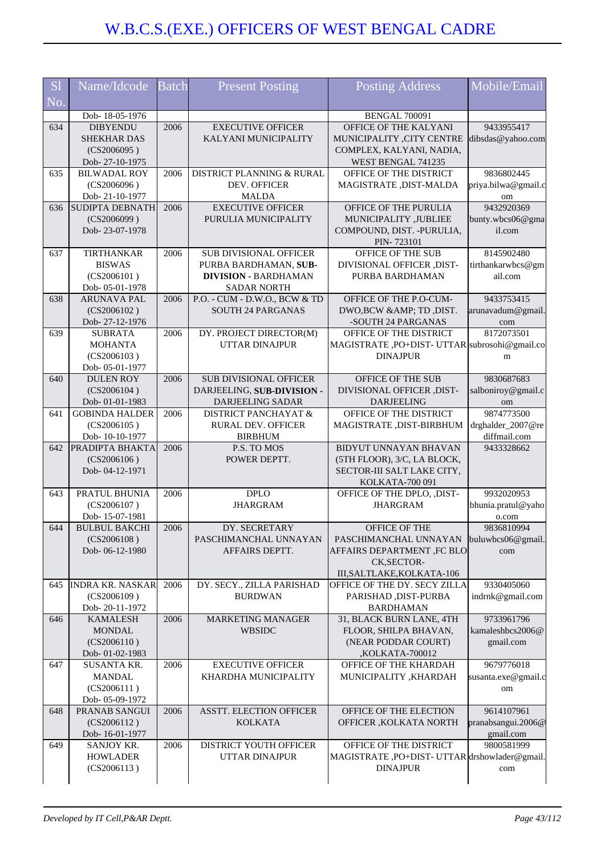| <b>S1</b> | Name/Idcode                             | <b>Batch</b> | <b>Present Posting</b>                               | <b>Posting Address</b>                                           | Mobile/Email                   |
|-----------|-----------------------------------------|--------------|------------------------------------------------------|------------------------------------------------------------------|--------------------------------|
| No.       |                                         |              |                                                      |                                                                  |                                |
|           | Dob-18-05-1976<br><b>DIBYENDU</b>       | 2006         | <b>EXECUTIVE OFFICER</b>                             | BENGAL 700091<br>OFFICE OF THE KALYANI                           | 9433955417                     |
| 634       | <b>SHEKHAR DAS</b>                      |              | KALYANI MUNICIPALITY                                 | MUNICIPALITY ,CITY CENTRE                                        | dibsdas@yahoo.com              |
|           | (CS2006095)                             |              |                                                      | COMPLEX, KALYANI, NADIA,                                         |                                |
|           | Dob-27-10-1975                          |              |                                                      | WEST BENGAL 741235                                               |                                |
| 635       | <b>BILWADAL ROY</b>                     | 2006         | DISTRICT PLANNING & RURAL                            | OFFICE OF THE DISTRICT                                           | 9836802445                     |
|           | (CS2006096)                             |              | <b>DEV. OFFICER</b>                                  | MAGISTRATE, DIST-MALDA                                           | priya.bilwa@gmail.c            |
|           | Dob-21-10-1977                          |              | <b>MALDA</b>                                         |                                                                  | om                             |
| 636       | <b>SUDIPTA DEBNATH</b>                  | 2006         | <b>EXECUTIVE OFFICER</b>                             | OFFICE OF THE PURULIA                                            | 9432920369                     |
|           | (CS2006099)                             |              | PURULIA MUNICIPALITY                                 | MUNICIPALITY ,JUBLIEE                                            | bunty.wbcs06@gma               |
|           | Dob-23-07-1978                          |              |                                                      | COMPOUND, DIST. - PURULIA,                                       | il.com                         |
|           |                                         |              |                                                      | PIN-723101                                                       |                                |
| 637       | TIRTHANKAR                              | 2006         | <b>SUB DIVISIONAL OFFICER</b>                        | OFFICE OF THE SUB                                                | 8145902480                     |
|           | <b>BISWAS</b><br>(CS2006101)            |              | PURBA BARDHAMAN, SUB-<br><b>DIVISION - BARDHAMAN</b> | DIVISIONAL OFFICER ,DIST-<br>PURBA BARDHAMAN                     | tirthankarwbcs@gm<br>ail.com   |
|           | Dob-05-01-1978                          |              | <b>SADAR NORTH</b>                                   |                                                                  |                                |
| 638       | <b>ARUNAVA PAL</b>                      | 2006         | P.O. - CUM - D.W.O., BCW & TD                        | OFFICE OF THE P.O-CUM-                                           | 9433753415                     |
|           | (CS2006102)                             |              | <b>SOUTH 24 PARGANAS</b>                             | DWO,BCW & TD, DIST.                                              | arunavadum@gmail.              |
|           | Dob-27-12-1976                          |              |                                                      | -SOUTH 24 PARGANAS                                               | com                            |
| 639       | <b>SUBRATA</b>                          | 2006         | DY. PROJECT DIRECTOR(M)                              | OFFICE OF THE DISTRICT                                           | 8172073501                     |
|           | <b>MOHANTA</b>                          |              | <b>UTTAR DINAJPUR</b>                                | MAGISTRATE, PO+DIST-UTTAR subrosohi@gmail.co                     |                                |
|           | (CS2006103)                             |              |                                                      | <b>DINAJPUR</b>                                                  | m                              |
|           | Dob-05-01-1977                          |              |                                                      |                                                                  |                                |
| 640       | <b>DULEN ROY</b>                        | 2006         | <b>SUB DIVISIONAL OFFICER</b>                        | OFFICE OF THE SUB                                                | 9830687683                     |
|           | (CS2006104)                             |              | DARJEELING, SUB-DIVISION -                           | DIVISIONAL OFFICER ,DIST-                                        | salboniroy@gmail.c             |
| 641       | Dob-01-01-1983<br><b>GOBINDA HALDER</b> | 2006         | DARJEELING SADAR<br><b>DISTRICT PANCHAYAT &amp;</b>  | <b>DARJEELING</b><br>OFFICE OF THE DISTRICT                      | om<br>9874773500               |
|           | (CS2006105)                             |              | RURAL DEV. OFFICER                                   | MAGISTRATE, DIST-BIRBHUM                                         | drghalder_2007@re              |
|           | Dob-10-10-1977                          |              | <b>BIRBHUM</b>                                       |                                                                  | diffmail.com                   |
| 642       | PRADIPTA BHAKTA                         | 2006         | P.S. TO MOS                                          | BIDYUT UNNAYAN BHAVAN                                            | 9433328662                     |
|           | (CS2006106)                             |              | POWER DEPTT.                                         | (5TH FLOOR), 3/C, LA BLOCK,                                      |                                |
|           | Dob-04-12-1971                          |              |                                                      | SECTOR-III SALT LAKE CITY,                                       |                                |
|           |                                         |              |                                                      | KOLKATA-700 091                                                  |                                |
| 643       | PRATUL BHUNIA                           | 2006         | <b>DPLO</b>                                          | OFFICE OF THE DPLO, ,DIST-                                       | 9932020953                     |
|           | (CS2006107)<br>Dob-15-07-1981           |              | <b>JHARGRAM</b>                                      | <b>JHARGRAM</b>                                                  | bhunia.pratul@yaho             |
| 644       | <b>BULBUL BAKCHI</b>                    | 2006         | DY. SECRETARY                                        | <b>OFFICE OF THE</b>                                             | o.com<br>9836810994            |
|           | (CS2006108)                             |              | PASCHIMANCHAL UNNAYAN                                | PASCHIMANCHAL UNNAYAN                                            | buluwbcs06@gmail               |
|           | Dob-06-12-1980                          |              | AFFAIRS DEPTT.                                       | <b>AFFAIRS DEPARTMENT ,FC BLO</b>                                | com                            |
|           |                                         |              |                                                      | CK, SECTOR-                                                      |                                |
|           |                                         |              |                                                      | III, SALTLAKE, KOLKATA-106                                       |                                |
| 645       | <b>INDRA KR. NASKAR</b>                 | 2006         | DY. SECY., ZILLA PARISHAD                            | OFFICE OF THE DY. SECY ZILLA                                     | 9330405060                     |
|           | (CS2006109)                             |              | <b>BURDWAN</b>                                       | PARISHAD, DIST-PURBA                                             | indrnk@gmail.com               |
|           | Dob-20-11-1972                          |              |                                                      | <b>BARDHAMAN</b>                                                 |                                |
| 646       | <b>KAMALESH</b><br><b>MONDAL</b>        | 2006         | <b>MARKETING MANAGER</b>                             | 31, BLACK BURN LANE, 4TH<br>FLOOR, SHILPA BHAVAN,                | 9733961796<br>kamaleshbcs2006@ |
|           | (CS2006110)                             |              | WBSIDC                                               | (NEAR PODDAR COURT)                                              | gmail.com                      |
|           | Dob- 01-02-1983                         |              |                                                      | ,KOLKATA-700012                                                  |                                |
| 647       | SUSANTA KR.                             | 2006         | <b>EXECUTIVE OFFICER</b>                             | OFFICE OF THE KHARDAH                                            | 9679776018                     |
|           | <b>MANDAL</b>                           |              | KHARDHA MUNICIPALITY                                 | MUNICIPALITY , KHARDAH                                           | susanta.exe@gmail.c            |
|           | (CS2006111)                             |              |                                                      |                                                                  | om                             |
|           | Dob- 05-09-1972                         |              |                                                      |                                                                  |                                |
| 648       | PRANAB SANGUI                           | 2006         | <b>ASSTT. ELECTION OFFICER</b>                       | OFFICE OF THE ELECTION                                           | 9614107961                     |
|           | (CS2006112)                             |              | <b>KOLKATA</b>                                       | OFFICER , KOLKATA NORTH                                          | pranabsangui.2006@             |
|           | Dob-16-01-1977                          |              |                                                      |                                                                  | gmail.com                      |
| 649       | SANJOY KR.                              | 2006         | DISTRICT YOUTH OFFICER                               | OFFICE OF THE DISTRICT                                           | 9800581999                     |
|           | <b>HOWLADER</b><br>(CS2006113)          |              | UTTAR DINAJPUR                                       | MAGISTRATE, PO+DIST- UTTAR drshowlader@gmail.<br><b>DINAJPUR</b> |                                |
|           |                                         |              |                                                      |                                                                  | com                            |
|           |                                         |              |                                                      |                                                                  |                                |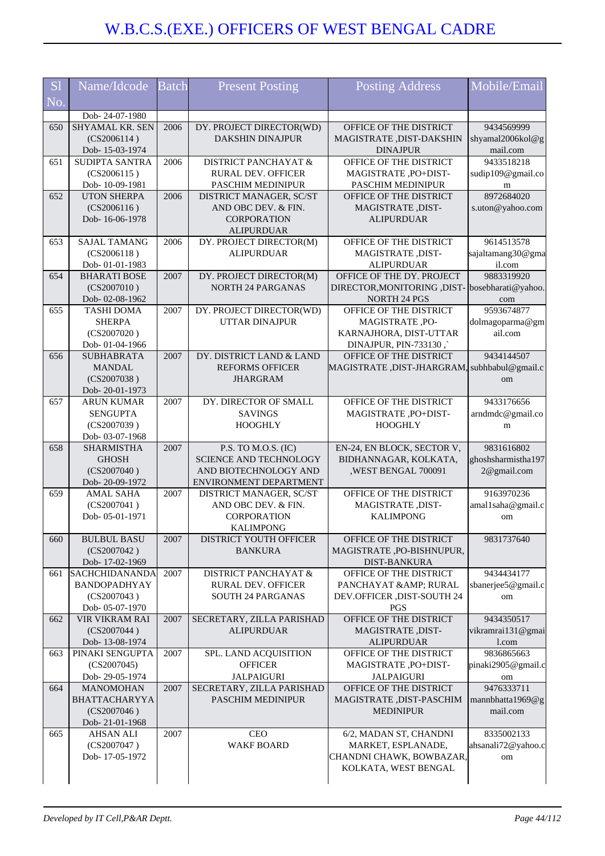| <b>S1</b> | Name/Idcode                           | <b>Batch</b> | <b>Present Posting</b>                              | <b>Posting Address</b>                                         | Mobile/Email                      |
|-----------|---------------------------------------|--------------|-----------------------------------------------------|----------------------------------------------------------------|-----------------------------------|
| No.       |                                       |              |                                                     |                                                                |                                   |
|           | Dob-24-07-1980                        |              |                                                     |                                                                |                                   |
| 650       | <b>SHYAMAL KR. SEN</b><br>(CS2006114) | 2006         | DY. PROJECT DIRECTOR(WD)<br><b>DAKSHIN DINAJPUR</b> | OFFICE OF THE DISTRICT<br>MAGISTRATE, DIST-DAKSHIN             | 9434569999<br>shyamal2006kol@g    |
|           | Dob-15-03-1974                        |              |                                                     | <b>DINAJPUR</b>                                                | mail.com                          |
| 651       | SUDIPTA SANTRA                        | 2006         | <b>DISTRICT PANCHAYAT &amp;</b>                     | OFFICE OF THE DISTRICT                                         | 9433518218                        |
|           | (CS2006115)                           |              | RURAL DEV. OFFICER                                  | MAGISTRATE, PO+DIST-                                           | sudip109@gmail.co                 |
|           | Dob-10-09-1981                        |              | <b>PASCHIM MEDINIPUR</b>                            | PASCHIM MEDINIPUR                                              | m                                 |
| 652       | <b>UTON SHERPA</b>                    | 2006         | DISTRICT MANAGER, SC/ST                             | OFFICE OF THE DISTRICT                                         | 8972684020                        |
|           | (CS2006116)<br>Dob-16-06-1978         |              | AND OBC DEV. & FIN.<br><b>CORPORATION</b>           | MAGISTRATE, DIST-<br><b>ALIPURDUAR</b>                         | s.uton@yahoo.com                  |
|           |                                       |              | <b>ALIPURDUAR</b>                                   |                                                                |                                   |
| 653       | <b>SAJAL TAMANG</b>                   | 2006         | DY. PROJECT DIRECTOR(M)                             | OFFICE OF THE DISTRICT                                         | 9614513578                        |
|           | (CS2006118)                           |              | <b>ALIPURDUAR</b>                                   | MAGISTRATE, DIST-                                              | sajaltamang30@gma                 |
|           | Dob-01-01-1983                        |              |                                                     | <b>ALIPURDUAR</b>                                              | il.com                            |
| 654       | <b>BHARATI BOSE</b>                   | 2007         | DY. PROJECT DIRECTOR(M)                             | OFFICE OF THE DY. PROJECT                                      | 9883319920                        |
|           | (CS2007010)<br>Dob-02-08-1962         |              | <b>NORTH 24 PARGANAS</b>                            | DIRECTOR, MONITORING, DIST- bosebharati@yahoo.<br>NORTH 24 PGS |                                   |
| 655       | <b>TASHI DOMA</b>                     | 2007         | DY. PROJECT DIRECTOR(WD)                            | OFFICE OF THE DISTRICT                                         | com<br>9593674877                 |
|           | <b>SHERPA</b>                         |              | <b>UTTAR DINAJPUR</b>                               | MAGISTRATE, PO-                                                | dolmagoparma@gm                   |
|           | (CS2007020)                           |              |                                                     | KARNAJHORA, DIST-UTTAR                                         | ail.com                           |
|           | Dob- 01-04-1966                       |              |                                                     | DINAJPUR, PIN-733130,                                          |                                   |
| 656       | <b>SUBHABRATA</b>                     | 2007         | DY. DISTRICT LAND & LAND                            | OFFICE OF THE DISTRICT                                         | 9434144507                        |
|           | <b>MANDAL</b>                         |              | <b>REFORMS OFFICER</b>                              | MAGISTRATE, DIST-JHARGRAM, subhbabul@gmail.c                   |                                   |
|           | (CS2007038)                           |              | <b>JHARGRAM</b>                                     |                                                                | om                                |
| 657       | Dob-20-01-1973<br><b>ARUN KUMAR</b>   | 2007         | DY. DIRECTOR OF SMALL                               | OFFICE OF THE DISTRICT                                         | 9433176656                        |
|           | <b>SENGUPTA</b>                       |              | <b>SAVINGS</b>                                      | MAGISTRATE, PO+DIST-                                           | arndmdc@gmail.co                  |
|           | (CS2007039)                           |              | <b>HOOGHLY</b>                                      | <b>HOOGHLY</b>                                                 | m                                 |
|           | Dob- 03-07-1968                       |              |                                                     |                                                                |                                   |
| 658       | <b>SHARMISTHA</b>                     | 2007         | P.S. TO M.O.S. (IC)                                 | EN-24, EN BLOCK, SECTOR V,                                     | 9831616802                        |
|           | <b>GHOSH</b><br>(CS2007040)           |              | SCIENCE AND TECHNOLOGY<br>AND BIOTECHNOLOGY AND     | BIDHANNAGAR, KOLKATA,                                          | ghoshsharmistha197<br>2@gmail.com |
|           | Dob-20-09-1972                        |              | ENVIRONMENT DEPARTMENT                              | , WEST BENGAL 700091                                           |                                   |
| 659       | <b>AMAL SAHA</b>                      | 2007         | DISTRICT MANAGER, SC/ST                             | OFFICE OF THE DISTRICT                                         | 9163970236                        |
|           | (CS2007041)                           |              | AND OBC DEV. & FIN.                                 | MAGISTRATE, DIST-                                              | amal1saha@gmail.c                 |
|           | Dob-05-01-1971                        |              | CORPORATION                                         | <b>KALIMPONG</b>                                               | om                                |
|           |                                       |              | <b>KALIMPONG</b>                                    |                                                                |                                   |
| 660       | <b>BULBUL BASU</b><br>(CS2007042)     | 2007         | DISTRICT YOUTH OFFICER<br><b>BANKURA</b>            | OFFICE OF THE DISTRICT<br>MAGISTRATE, PO-BISHNUPUR,            | 9831737640                        |
|           | Dob-17-02-1969                        |              |                                                     | <b>DIST-BANKURA</b>                                            |                                   |
| 661       | SACHCHIDANANDA                        | 2007         | <b>DISTRICT PANCHAYAT &amp;</b>                     | OFFICE OF THE DISTRICT                                         | 9434434177                        |
|           | BANDOPADHYAY                          |              | <b>RURAL DEV. OFFICER</b>                           | PANCHAYAT & AMP; RURAL                                         | sbanerjee5@gmail.c                |
|           | (CS2007043)                           |              | <b>SOUTH 24 PARGANAS</b>                            | DEV.OFFICER , DIST-SOUTH 24                                    | om                                |
|           | Dob-05-07-1970                        |              |                                                     | PGS                                                            |                                   |
| 662       | <b>VIR VIKRAM RAI</b><br>(CS2007044)  | 2007         | SECRETARY, ZILLA PARISHAD<br><b>ALIPURDUAR</b>      | OFFICE OF THE DISTRICT<br>MAGISTRATE, DIST-                    | 9434350517<br>vikramrai131@gmai   |
|           | Dob-13-08-1974                        |              |                                                     | <b>ALIPURDUAR</b>                                              | l.com                             |
| 663       | PINAKI SENGUPTA                       | 2007         | SPL. LAND ACQUISITION                               | OFFICE OF THE DISTRICT                                         | 9836865663                        |
|           | (CS2007045)                           |              | <b>OFFICER</b>                                      | MAGISTRATE, PO+DIST-                                           | pinaki2905@gmail.c                |
|           | Dob-29-05-1974                        |              | <b>JALPAIGURI</b>                                   | <b>JALPAIGURI</b>                                              | om                                |
| 664       | <b>MANOMOHAN</b>                      | 2007         | SECRETARY, ZILLA PARISHAD                           | OFFICE OF THE DISTRICT                                         | 9476333711                        |
|           | <b>BHATTACHARYYA</b>                  |              | <b>PASCHIM MEDINIPUR</b>                            | MAGISTRATE ,DIST-PASCHIM                                       | mannbhatta1969@g                  |
|           | (CS2007046)<br>Dob-21-01-1968         |              |                                                     | <b>MEDINIPUR</b>                                               | mail.com                          |
| 665       | <b>AHSAN ALI</b>                      | 2007         | <b>CEO</b>                                          | 6/2, MADAN ST, CHANDNI                                         | 8335002133                        |
|           | (CS2007047)                           |              | <b>WAKF BOARD</b>                                   | MARKET, ESPLANADE,                                             | ahsanali72@yahoo.c                |
|           | Dob-17-05-1972                        |              |                                                     | CHANDNI CHAWK, BOWBAZAR,                                       | om                                |
|           |                                       |              |                                                     | KOLKATA, WEST BENGAL                                           |                                   |
|           |                                       |              |                                                     |                                                                |                                   |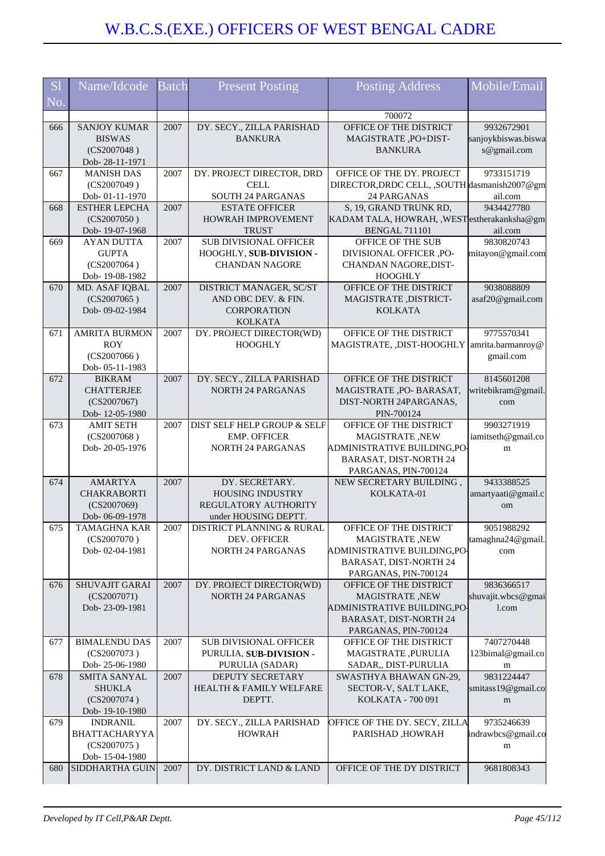| <b>S1</b> | Name/Idcode                              | <b>Batch</b> | <b>Present Posting</b>                               | <b>Posting Address</b>                                                | Mobile/Email             |
|-----------|------------------------------------------|--------------|------------------------------------------------------|-----------------------------------------------------------------------|--------------------------|
| No.       |                                          |              |                                                      |                                                                       |                          |
|           |                                          |              |                                                      | 700072                                                                |                          |
| 666       | <b>SANJOY KUMAR</b>                      | 2007         | DY. SECY., ZILLA PARISHAD                            | OFFICE OF THE DISTRICT                                                | 9932672901               |
|           | <b>BISWAS</b>                            |              | <b>BANKURA</b>                                       | MAGISTRATE, PO+DIST-                                                  | sanjoykbiswas.biswa      |
|           | (CS2007048)<br>Dob-28-11-1971            |              |                                                      | <b>BANKURA</b>                                                        | s@gmail.com              |
| 667       | <b>MANISH DAS</b>                        | 2007         | DY. PROJECT DIRECTOR, DRD                            | OFFICE OF THE DY. PROJECT                                             | 9733151719               |
|           | (CS2007049)                              |              | <b>CELL</b>                                          | DIRECTOR, DRDC CELL, , SOUTH dasmanish 2007@gm                        |                          |
|           | Dob-01-11-1970                           |              | SOUTH 24 PARGANAS                                    | 24 PARGANAS                                                           | ail.com                  |
| 668       | <b>ESTHER LEPCHA</b>                     | 2007         | <b>ESTATE OFFICER</b>                                | S, 19, GRAND TRUNK RD,                                                | 9434427780               |
|           | (CS2007050)                              |              | HOWRAH IMPROVEMENT                                   | KADAM TALA, HOWRAH, ,WESTestherakanksha@gm                            |                          |
|           | Dob-19-07-1968                           |              | <b>TRUST</b><br><b>SUB DIVISIONAL OFFICER</b>        | <b>BENGAL 711101</b>                                                  | ail.com<br>9830820743    |
| 669       | <b>AYAN DUTTA</b><br><b>GUPTA</b>        | 2007         | HOOGHLY, SUB-DIVISION -                              | OFFICE OF THE SUB<br>DIVISIONAL OFFICER ,PO-                          | mitayon@gmail.com        |
|           | (CS2007064)                              |              | <b>CHANDAN NAGORE</b>                                | CHANDAN NAGORE, DIST-                                                 |                          |
|           | Dob-19-08-1982                           |              |                                                      | <b>HOOGHLY</b>                                                        |                          |
| 670       | MD. ASAF IQBAL                           | 2007         | DISTRICT MANAGER, SC/ST                              | OFFICE OF THE DISTRICT                                                | 9038088809               |
|           | (CS2007065)                              |              | AND OBC DEV. & FIN.                                  | MAGISTRATE, DISTRICT-                                                 | asaf20@gmail.com         |
|           | Dob-09-02-1984                           |              | <b>CORPORATION</b>                                   | <b>KOLKATA</b>                                                        |                          |
|           |                                          |              | <b>KOLKATA</b>                                       |                                                                       | 9775570341               |
| 671       | <b>AMRITA BURMON</b><br><b>ROY</b>       | 2007         | DY. PROJECT DIRECTOR(WD)<br><b>HOOGHLY</b>           | OFFICE OF THE DISTRICT<br>MAGISTRATE, ,DIST-HOOGHLY amrita.barmanroy@ |                          |
|           | (CS2007066)                              |              |                                                      |                                                                       | gmail.com                |
|           | Dob-05-11-1983                           |              |                                                      |                                                                       |                          |
| 672       | <b>BIKRAM</b>                            | 2007         | DY. SECY., ZILLA PARISHAD                            | OFFICE OF THE DISTRICT                                                | 8145601208               |
|           | <b>CHATTERJEE</b>                        |              | <b>NORTH 24 PARGANAS</b>                             | MAGISTRATE, PO- BARASAT,                                              | writebikram@gmail.       |
|           | (CS2007067)                              |              |                                                      | DIST-NORTH 24PARGANAS,                                                | com                      |
| 673       | Dob-12-05-1980<br><b>AMIT SETH</b>       | 2007         | DIST SELF HELP GROUP & SELF                          | PIN-700124<br>OFFICE OF THE DISTRICT                                  | 9903271919               |
|           | (CS2007068)                              |              | <b>EMP. OFFICER</b>                                  | MAGISTRATE, NEW                                                       | iamitseth@gmail.co       |
|           | Dob-20-05-1976                           |              | <b>NORTH 24 PARGANAS</b>                             | ADMINISTRATIVE BUILDING, PO-                                          | m                        |
|           |                                          |              |                                                      | <b>BARASAT, DIST-NORTH 24</b>                                         |                          |
|           |                                          |              |                                                      | PARGANAS, PIN-700124                                                  |                          |
| 674       | <b>AMARTYA</b>                           | 2007         | DY. SECRETARY.                                       | NEW SECRETARY BUILDING,                                               | 9433388525               |
|           | <b>CHAKRABORTI</b><br>(CS2007069)        |              | <b>HOUSING INDUSTRY</b><br>REGULATORY AUTHORITY      | KOLKATA-01                                                            | amartyaati@gmail.c<br>om |
|           | Dob-06-09-1978                           |              | under HOUSING DEPTT.                                 |                                                                       |                          |
| 675       | <b>TAMAGHNA KAR</b>                      | 2007         | DISTRICT PLANNING & RURAL                            | OFFICE OF THE DISTRICT                                                | 9051988292               |
|           | (CS2007070)                              |              | DEV. OFFICER                                         | MAGISTRATE, NEW                                                       | tamaghna24@gmail.        |
|           | Dob-02-04-1981                           |              | <b>NORTH 24 PARGANAS</b>                             | ADMINISTRATIVE BUILDING,PO-                                           | com                      |
|           |                                          |              |                                                      | BARASAT, DIST-NORTH 24                                                |                          |
| 676       | <b>SHUVAJIT GARAI</b>                    | 2007         |                                                      | PARGANAS, PIN-700124<br>OFFICE OF THE DISTRICT                        | 9836366517               |
|           | (CS2007071)                              |              | DY. PROJECT DIRECTOR(WD)<br><b>NORTH 24 PARGANAS</b> | MAGISTRATE, NEW                                                       | shuvajit.wbcs@gmai       |
|           | Dob-23-09-1981                           |              |                                                      | ADMINISTRATIVE BUILDING,PO-                                           | $1$ .com                 |
|           |                                          |              |                                                      | <b>BARASAT, DIST-NORTH 24</b>                                         |                          |
|           |                                          |              |                                                      | PARGANAS, PIN-700124                                                  |                          |
| 677       | <b>BIMALENDU DAS</b>                     | 2007         | <b>SUB DIVISIONAL OFFICER</b>                        | OFFICE OF THE DISTRICT                                                | 7407270448               |
|           | (CS2007073)                              |              | PURULIA, SUB-DIVISION -                              | MAGISTRATE, PURULIA                                                   | 123bimal@gmail.co        |
| 678       | Dob-25-06-1980<br>SMITA SANYAL           | 2007         | PURULIA (SADAR)<br>DEPUTY SECRETARY                  | SADAR,, DIST-PURULIA<br>SWASTHYA BHAWAN GN-29,                        | m<br>9831224447          |
|           | <b>SHUKLA</b>                            |              | HEALTH & FAMILY WELFARE                              | SECTOR-V, SALT LAKE,                                                  | smitass19@gmail.co       |
|           | (CS2007074)                              |              | DEPTT.                                               | KOLKATA - 700 091                                                     | m                        |
|           | Dob-19-10-1980                           |              |                                                      |                                                                       |                          |
| 679       | <b>INDRANIL</b>                          | 2007         | DY. SECY., ZILLA PARISHAD                            | OFFICE OF THE DY. SECY, ZILLA                                         | 9735246639               |
|           | BHATTACHARYYA                            |              | <b>HOWRAH</b>                                        | PARISHAD, HOWRAH                                                      | indrawbcs@gmail.co       |
|           | (CS2007075)                              |              |                                                      |                                                                       | m                        |
| 680       | Dob-15-04-1980<br><b>SIDDHARTHA GUIN</b> | 2007         | DY. DISTRICT LAND & LAND                             | OFFICE OF THE DY DISTRICT                                             | 9681808343               |
|           |                                          |              |                                                      |                                                                       |                          |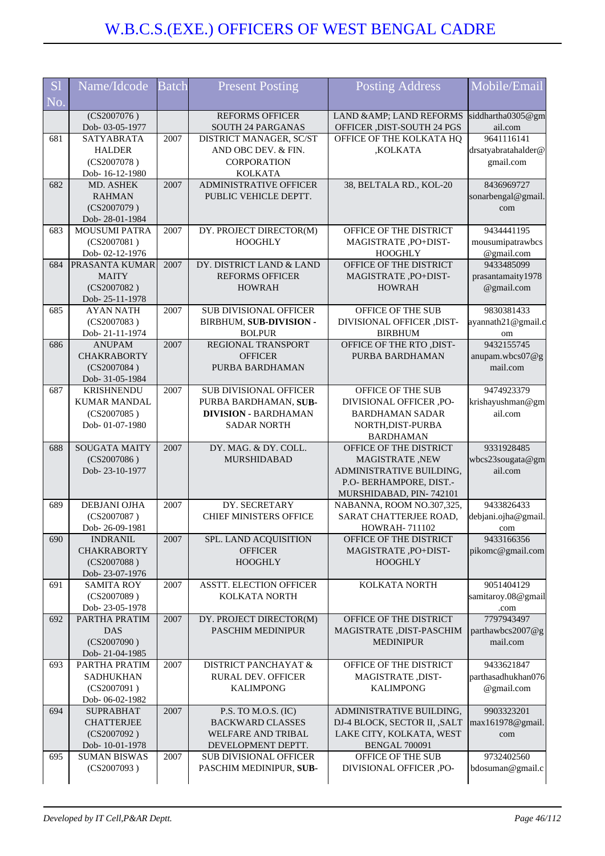| <b>S1</b><br>No. | Name/Idcode                           | <b>Batch</b> | <b>Present Posting</b>                              | <b>Posting Address</b>                              | Mobile/Email               |
|------------------|---------------------------------------|--------------|-----------------------------------------------------|-----------------------------------------------------|----------------------------|
|                  |                                       |              |                                                     |                                                     |                            |
|                  | $\overline{(CS2007076)}$              |              | <b>REFORMS OFFICER</b>                              | LAND & AMP; LAND REFORMS                            | siddhartha0305@gm          |
|                  | Dob-03-05-1977                        |              | SOUTH 24 PARGANAS                                   | OFFICER , DIST-SOUTH 24 PGS                         | ail.com                    |
| 681              | <b>SATYABRATA</b>                     | 2007         | DISTRICT MANAGER, SC/ST                             | OFFICE OF THE KOLKATA HQ                            | 9641116141                 |
|                  | <b>HALDER</b>                         |              | AND OBC DEV. & FIN.                                 | ,KOLKATA                                            | drsatyabratahalder@        |
|                  | (CS2007078)                           |              | CORPORATION                                         |                                                     | gmail.com                  |
|                  | Dob-16-12-1980                        |              | <b>KOLKATA</b>                                      |                                                     |                            |
| 682              | MD. ASHEK                             | 2007         | <b>ADMINISTRATIVE OFFICER</b>                       | 38, BELTALA RD., KOL-20                             | 8436969727                 |
|                  | <b>RAHMAN</b>                         |              | PUBLIC VEHICLE DEPTT.                               |                                                     | sonarbengal@gmail          |
|                  | (CS2007079)<br>Dob-28-01-1984         |              |                                                     |                                                     | com                        |
| 683              | <b>MOUSUMI PATRA</b>                  | 2007         | DY. PROJECT DIRECTOR(M)                             | OFFICE OF THE DISTRICT                              | 9434441195                 |
|                  | (CS2007081)                           |              | <b>HOOGHLY</b>                                      | MAGISTRATE, PO+DIST-                                | mousumipatrawbcs           |
|                  | Dob-02-12-1976                        |              |                                                     | <b>HOOGHLY</b>                                      | @gmail.com                 |
| 684              | <b>PRASANTA KUMAR</b>                 | 2007         | DY. DISTRICT LAND & LAND                            | OFFICE OF THE DISTRICT                              | 9433485099                 |
|                  | <b>MAITY</b>                          |              | <b>REFORMS OFFICER</b>                              | MAGISTRATE, PO+DIST-                                | prasantamaity1978          |
|                  | (CS2007082)                           |              | <b>HOWRAH</b>                                       | <b>HOWRAH</b>                                       | @gmail.com                 |
|                  | Dob-25-11-1978                        |              |                                                     |                                                     |                            |
| 685              | <b>AYAN NATH</b>                      | 2007         | <b>SUB DIVISIONAL OFFICER</b>                       | OFFICE OF THE SUB                                   | 9830381433                 |
|                  | (CS2007083)                           |              | BIRBHUM, SUB-DIVISION -                             | DIVISIONAL OFFICER ,DIST-                           | ayannath21@gmail.c         |
|                  | Dob-21-11-1974                        |              | <b>BOLPUR</b>                                       | <b>BIRBHUM</b>                                      | om                         |
| 686              | <b>ANUPAM</b>                         | 2007         | REGIONAL TRANSPORT                                  | OFFICE OF THE RTO ,DIST-                            | 9432155745                 |
|                  | <b>CHAKRABORTY</b>                    |              | <b>OFFICER</b>                                      | PURBA BARDHAMAN                                     | anupam.wbcs07@g            |
|                  | (CS2007084)                           |              | PURBA BARDHAMAN                                     |                                                     | mail.com                   |
|                  | Dob- 31-05-1984                       |              |                                                     |                                                     |                            |
| 687              | <b>KRISHNENDU</b>                     | 2007         | SUB DIVISIONAL OFFICER                              | OFFICE OF THE SUB                                   | 9474923379                 |
|                  | <b>KUMAR MANDAL</b>                   |              | PURBA BARDHAMAN, SUB-                               | DIVISIONAL OFFICER ,PO-                             | krishayushman@gm           |
|                  | (CS2007085)                           |              | <b>DIVISION - BARDHAMAN</b>                         | <b>BARDHAMAN SADAR</b>                              | ail.com                    |
|                  | Dob-01-07-1980                        |              | <b>SADAR NORTH</b>                                  | NORTH, DIST-PURBA                                   |                            |
|                  |                                       |              |                                                     | <b>BARDHAMAN</b>                                    |                            |
| 688              | <b>SOUGATA MAITY</b>                  | 2007         | DY. MAG. & DY. COLL.                                | OFFICE OF THE DISTRICT                              | 9331928485                 |
|                  | (CS2007086)                           |              | <b>MURSHIDABAD</b>                                  | MAGISTRATE, NEW                                     | wbcs23sougata@gm           |
|                  | Dob-23-10-1977                        |              |                                                     | ADMINISTRATIVE BUILDING,                            | ail.com                    |
|                  |                                       |              |                                                     | P.O- BERHAMPORE, DIST.-                             |                            |
|                  | <b>DEBJANI OJHA</b>                   | 2007         | DY. SECRETARY                                       | MURSHIDABAD, PIN-742101                             | 9433826433                 |
| 689              | (CS2007087)                           |              | CHIEF MINISTERS OFFICE                              | NABANNA, ROOM NO.307,325,<br>SARAT CHATTERJEE ROAD, |                            |
|                  | Dob-26-09-1981                        |              |                                                     | <b>HOWRAH-711102</b>                                | debjani.ojha@gmail.<br>com |
| 690              | <b>INDRANIL</b>                       | 2007         | SPL. LAND ACQUISITION                               | OFFICE OF THE DISTRICT                              | 9433166356                 |
|                  | <b>CHAKRABORTY</b>                    |              | <b>OFFICER</b>                                      | MAGISTRATE, PO+DIST-                                | pikomc@gmail.com           |
|                  | (CS2007088)                           |              | <b>HOOGHLY</b>                                      | <b>HOOGHLY</b>                                      |                            |
|                  | Dob-23-07-1976                        |              |                                                     |                                                     |                            |
| 691              | <b>SAMITA ROY</b>                     | 2007         | <b>ASSTT. ELECTION OFFICER</b>                      | KOLKATA NORTH                                       | 9051404129                 |
|                  | (CS2007089)                           |              | KOLKATA NORTH                                       |                                                     | samitaroy.08@gmail         |
|                  | Dob-23-05-1978                        |              |                                                     |                                                     | .com                       |
| 692              | PARTHA PRATIM                         | 2007         | DY. PROJECT DIRECTOR(M)                             | OFFICE OF THE DISTRICT                              | 7797943497                 |
|                  | <b>DAS</b>                            |              | PASCHIM MEDINIPUR                                   | MAGISTRATE, DIST-PASCHIM                            | parthawbcs2007@g           |
|                  | (CS2007090)                           |              |                                                     | <b>MEDINIPUR</b>                                    | mail.com                   |
|                  | Dob-21-04-1985                        |              |                                                     |                                                     |                            |
| 693              | PARTHA PRATIM                         | 2007         | <b>DISTRICT PANCHAYAT &amp;</b>                     | OFFICE OF THE DISTRICT                              | 9433621847                 |
|                  | <b>SADHUKHAN</b>                      |              | RURAL DEV. OFFICER                                  | MAGISTRATE, DIST-                                   | parthasadhukhan076         |
|                  | (CS2007091)                           |              | <b>KALIMPONG</b>                                    | <b>KALIMPONG</b>                                    | @gmail.com                 |
|                  | Dob-06-02-1982                        |              |                                                     |                                                     |                            |
| 694              | <b>SUPRABHAT</b>                      | 2007         | P.S. TO M.O.S. (IC)                                 | ADMINISTRATIVE BUILDING,                            | 9903323201                 |
|                  | <b>CHATTERJEE</b>                     |              | <b>BACKWARD CLASSES</b>                             | DJ-4 BLOCK, SECTOR II, ,SALT                        | max161978@gmail.           |
|                  | (CS2007092)                           |              | <b>WELFARE AND TRIBAL</b>                           | LAKE CITY, KOLKATA, WEST                            | com                        |
| 695              | Dob-10-01-1978<br><b>SUMAN BISWAS</b> |              | DEVELOPMENT DEPTT.<br><b>SUB DIVISIONAL OFFICER</b> | <b>BENGAL 700091</b><br>OFFICE OF THE SUB           | 9732402560                 |
|                  | (CS2007093)                           | 2007         | PASCHIM MEDINIPUR, SUB-                             | DIVISIONAL OFFICER ,PO-                             | bdosuman@gmail.c           |
|                  |                                       |              |                                                     |                                                     |                            |
|                  |                                       |              |                                                     |                                                     |                            |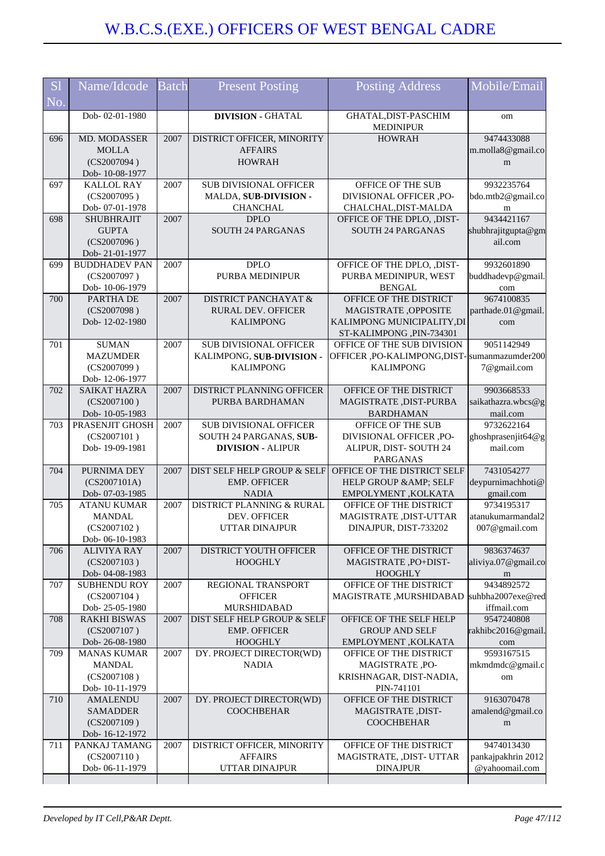| <b>S1</b><br>No. | Name/Idcode                                                          | <b>Batch</b> | <b>Present Posting</b>                                                               | <b>Posting Address</b>                                                                                    | Mobile/Email                                       |
|------------------|----------------------------------------------------------------------|--------------|--------------------------------------------------------------------------------------|-----------------------------------------------------------------------------------------------------------|----------------------------------------------------|
|                  | Dob-02-01-1980                                                       |              | <b>DIVISION - GHATAL</b>                                                             | GHATAL, DIST-PASCHIM<br><b>MEDINIPUR</b>                                                                  | om                                                 |
| 696              | MD. MODASSER<br><b>MOLLA</b><br>(CS2007094)<br>Dob-10-08-1977        | 2007         | DISTRICT OFFICER, MINORITY<br><b>AFFAIRS</b><br><b>HOWRAH</b>                        | <b>HOWRAH</b>                                                                                             | 9474433088<br>m.molla8@gmail.co<br>m               |
| 697              | <b>KALLOL RAY</b><br>(CS2007095)<br>Dob-07-01-1978                   | 2007         | <b>SUB DIVISIONAL OFFICER</b><br>MALDA, SUB-DIVISION -<br><b>CHANCHAL</b>            | OFFICE OF THE SUB<br>DIVISIONAL OFFICER ,PO-<br>CHALCHAL, DIST-MALDA                                      | 9932235764<br>bdo.mtb2@gmail.co<br>m               |
| 698              | <b>SHUBHRAJIT</b><br><b>GUPTA</b><br>(CS2007096)<br>Dob-21-01-1977   | 2007         | <b>DPLO</b><br><b>SOUTH 24 PARGANAS</b>                                              | OFFICE OF THE DPLO, ,DIST-<br><b>SOUTH 24 PARGANAS</b>                                                    | 9434421167<br>shubhrajitgupta@gm<br>ail.com        |
| 699              | <b>BUDDHADEV PAN</b><br>(CS2007097)<br>Dob-10-06-1979                | 2007         | <b>DPLO</b><br>PURBA MEDINIPUR                                                       | OFFICE OF THE DPLO, ,DIST-<br>PURBA MEDINIPUR, WEST<br><b>BENGAL</b>                                      | 9932601890<br>buddhadevp@gmail.<br>com             |
| 700              | PARTHA DE<br>(CS2007098)<br>Dob-12-02-1980                           | 2007         | <b>DISTRICT PANCHAYAT &amp;</b><br><b>RURAL DEV. OFFICER</b><br><b>KALIMPONG</b>     | OFFICE OF THE DISTRICT<br>MAGISTRATE, OPPOSITE<br>KALIMPONG MUNICIPALITY, DI<br>ST-KALIMPONG , PIN-734301 | 9674100835<br>parthade.01@gmail.<br>com            |
| 701              | <b>SUMAN</b><br><b>MAZUMDER</b><br>(CS2007099)<br>Dob-12-06-1977     | 2007         | <b>SUB DIVISIONAL OFFICER</b><br>KALIMPONG, SUB-DIVISION -<br><b>KALIMPONG</b>       | OFFICE OF THE SUB DIVISION<br>OFFICER, PO-KALIMPONG, DIST-Sumanmazumder200<br><b>KALIMPONG</b>            | 9051142949<br>7@gmail.com                          |
| 702              | <b>SAIKAT HAZRA</b><br>(CS2007100)<br>Dob-10-05-1983                 | 2007         | DISTRICT PLANNING OFFICER<br>PURBA BARDHAMAN                                         | OFFICE OF THE DISTRICT<br>MAGISTRATE, DIST-PURBA<br><b>BARDHAMAN</b>                                      | 9903668533<br>saikathazra.wbcs@g<br>mail.com       |
| 703              | PRASENJIT GHOSH<br>(CS2007101)<br>Dob-19-09-1981                     | 2007         | <b>SUB DIVISIONAL OFFICER</b><br>SOUTH 24 PARGANAS, SUB-<br><b>DIVISION - ALIPUR</b> | OFFICE OF THE SUB<br>DIVISIONAL OFFICER ,PO-<br>ALIPUR, DIST-SOUTH 24<br><b>PARGANAS</b>                  | 9732622164<br>ghoshprasenjit64@g<br>mail.com       |
| 704              | PURNIMA DEY<br>(CS2007101A)<br>Dob- 07-03-1985                       | 2007         | DIST SELF HELP GROUP & SELF<br><b>EMP. OFFICER</b><br><b>NADIA</b>                   | OFFICE OF THE DISTRICT SELF<br>HELP GROUP & AMP; SELF<br>EMPOLYMENT, KOLKATA                              | 7431054277<br>deypurnimachhoti@<br>gmail.com       |
| 705              | <b>ATANU KUMAR</b><br><b>MANDAL</b><br>(CS2007102)<br>Dob-06-10-1983 | 2007         | DISTRICT PLANNING & RURAL<br>DEV. OFFICER<br><b>UTTAR DINAJPUR</b>                   | OFFICE OF THE DISTRICT<br>MAGISTRATE ,DIST-UTTAR<br>DINAJPUR, DIST-733202                                 | 9734195317<br>atanukumarmandal2<br>007@gmail.com   |
| 706              | <b>ALIVIYA RAY</b><br>(CS2007103)<br>Dob-04-08-1983                  | 2007         | DISTRICT YOUTH OFFICER<br><b>HOOGHLY</b>                                             | OFFICE OF THE DISTRICT<br>MAGISTRATE, PO+DIST-<br><b>HOOGHLY</b>                                          | 9836374637<br>aliviya.07@gmail.co<br>m             |
| 707              | <b>SUBHENDU ROY</b><br>(CS2007104)<br>Dob-25-05-1980                 | 2007         | REGIONAL TRANSPORT<br><b>OFFICER</b><br>MURSHIDABAD                                  | OFFICE OF THE DISTRICT<br>MAGISTRATE, MURSHIDABAD                                                         | 9434892572<br>suhbha2007exe@red<br>iffmail.com     |
| 708              | <b>RAKHI BISWAS</b><br>(CS2007107)<br>Dob-26-08-1980                 | 2007         | <b>DIST SELF HELP GROUP &amp; SELF</b><br><b>EMP. OFFICER</b><br><b>HOOGHLY</b>      | OFFICE OF THE SELF HELP<br><b>GROUP AND SELF</b><br>EMPLOYMENT, KOLKATA                                   | 9547240808<br>rakhibc2016@gmail.<br>com            |
| 709              | <b>MANAS KUMAR</b><br><b>MANDAL</b><br>(CS2007108)<br>Dob-10-11-1979 | 2007         | DY. PROJECT DIRECTOR(WD)<br><b>NADIA</b>                                             | OFFICE OF THE DISTRICT<br>MAGISTRATE, PO-<br>KRISHNAGAR, DIST-NADIA,<br>PIN-741101                        | 9593167515<br>mkmdmdc@gmail.c<br>om                |
| 710              | <b>AMALENDU</b><br><b>SAMADDER</b><br>(CS2007109)<br>Dob-16-12-1972  | 2007         | DY. PROJECT DIRECTOR(WD)<br><b>COOCHBEHAR</b>                                        | OFFICE OF THE DISTRICT<br>MAGISTRATE, DIST-<br><b>COOCHBEHAR</b>                                          | 9163070478<br>amalend@gmail.co<br>m                |
| 711              | PANKAJ TAMANG<br>(CS2007110)<br>Dob-06-11-1979                       | 2007         | DISTRICT OFFICER, MINORITY<br><b>AFFAIRS</b><br>UTTAR DINAJPUR                       | OFFICE OF THE DISTRICT<br>MAGISTRATE, ,DIST- UTTAR<br><b>DINAJPUR</b>                                     | 9474013430<br>pankajpakhrin 2012<br>@yahoomail.com |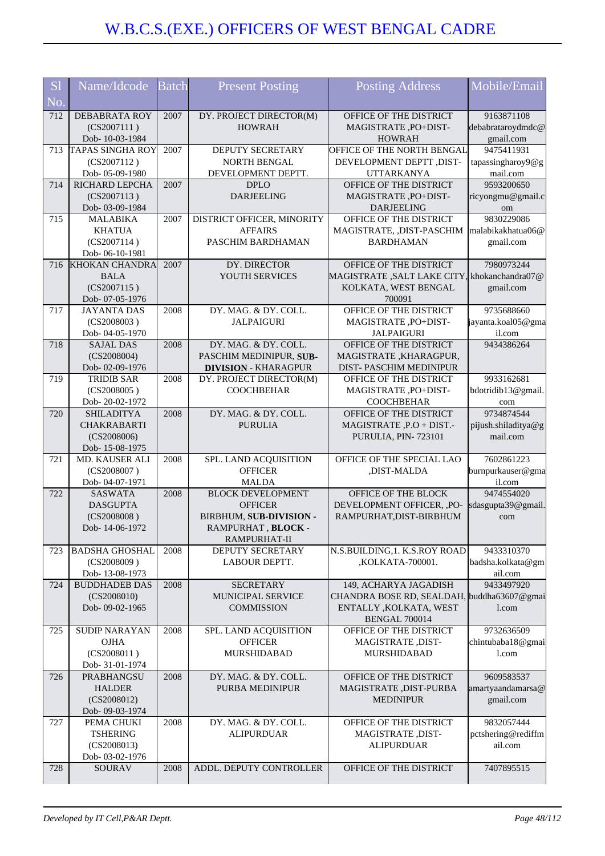| <b>S</b> l | Name/Idcode                       | <b>Batch</b> | <b>Present Posting</b>                   | <b>Posting Address</b>                       | Mobile/Email           |
|------------|-----------------------------------|--------------|------------------------------------------|----------------------------------------------|------------------------|
| No.        |                                   |              |                                          |                                              |                        |
| 712        | <b>DEBABRATA ROY</b>              | 2007         | DY. PROJECT DIRECTOR(M)                  | OFFICE OF THE DISTRICT                       | 9163871108             |
|            | (CS2007111)                       |              | <b>HOWRAH</b>                            | MAGISTRATE, PO+DIST-                         | debabrataroydmdc@      |
|            | Dob-10-03-1984                    |              |                                          | <b>HOWRAH</b>                                | gmail.com              |
| 713        | <b>TAPAS SINGHA ROY</b>           | 2007         | DEPUTY SECRETARY                         | OFFICE OF THE NORTH BENGAL                   | 9475411931             |
|            | (CS2007112)                       |              | <b>NORTH BENGAL</b>                      | DEVELOPMENT DEPTT ,DIST-                     | tapassingharoy9@g      |
| 714        | Dob- 05-09-1980<br>RICHARD LEPCHA | 2007         | DEVELOPMENT DEPTT.<br><b>DPLO</b>        | <b>UTTARKANYA</b><br>OFFICE OF THE DISTRICT  | mail.com<br>9593200650 |
|            | (CS2007113)                       |              | <b>DARJEELING</b>                        | MAGISTRATE, PO+DIST-                         | ricyongmu@gmail.c      |
|            | Dob- 03-09-1984                   |              |                                          | <b>DARJEELING</b>                            | om                     |
| 715        | <b>MALABIKA</b>                   | 2007         | DISTRICT OFFICER, MINORITY               | OFFICE OF THE DISTRICT                       | 9830229086             |
|            | <b>KHATUA</b>                     |              | <b>AFFAIRS</b>                           | MAGISTRATE, ,DIST-PASCHIM                    | malabikakhatua06@      |
|            | (CS2007114)                       |              | PASCHIM BARDHAMAN                        | <b>BARDHAMAN</b>                             | gmail.com              |
|            | Dob-06-10-1981                    |              |                                          |                                              |                        |
| 716        | <b>KHOKAN CHANDRA</b>             | 2007         | DY. DIRECTOR                             | OFFICE OF THE DISTRICT                       | 7980973244             |
|            | <b>BALA</b>                       |              | YOUTH SERVICES                           | MAGISTRATE, SALT LAKE CITY, khokanchandra07@ |                        |
|            | (CS2007115)                       |              |                                          | KOLKATA, WEST BENGAL                         | gmail.com              |
|            | Dob- 07-05-1976                   |              |                                          | 700091                                       |                        |
| 717        | <b>JAYANTA DAS</b>                | 2008         | DY. MAG. & DY. COLL.                     | OFFICE OF THE DISTRICT                       | 9735688660             |
|            | (CS2008003)                       |              | <b>JALPAIGURI</b>                        | MAGISTRATE, PO+DIST-                         | jayanta.koal05@gma     |
|            | Dob-04-05-1970                    |              |                                          | <b>JALPAIGURI</b>                            | il.com                 |
| 718        | <b>SAJAL DAS</b>                  | 2008         | DY. MAG. & DY. COLL.                     | OFFICE OF THE DISTRICT                       | 9434386264             |
|            | (CS2008004)                       |              | PASCHIM MEDINIPUR, SUB-                  | MAGISTRATE, KHARAGPUR,                       |                        |
|            | Dob-02-09-1976                    |              | <b>DIVISION - KHARAGPUR</b>              | DIST-PASCHIM MEDINIPUR                       |                        |
| 719        | <b>TRIDIB SAR</b>                 | 2008         | DY. PROJECT DIRECTOR(M)                  | OFFICE OF THE DISTRICT                       | 9933162681             |
|            | (CS2008005)                       |              | <b>COOCHBEHAR</b>                        | MAGISTRATE, PO+DIST-                         | bdotridib13@gmail.     |
|            | Dob-20-02-1972                    |              |                                          | <b>COOCHBEHAR</b>                            | com                    |
| 720        | <b>SHILADITYA</b>                 | 2008         | DY. MAG. & DY. COLL.                     | OFFICE OF THE DISTRICT                       | 9734874544             |
|            | <b>CHAKRABARTI</b>                |              | <b>PURULIA</b>                           | MAGISTRATE, P.O + DIST.-                     | pijush.shiladitya@g    |
|            | (CS2008006)                       |              |                                          | PURULIA, PIN-723101                          | mail.com               |
|            | Dob-15-08-1975                    |              |                                          |                                              |                        |
| 721        | MD. KAUSER ALI                    | 2008         | SPL. LAND ACQUISITION                    | OFFICE OF THE SPECIAL LAO                    | 7602861223             |
|            | (CS2008007)                       |              | <b>OFFICER</b>                           | ,DIST-MALDA                                  | burnpurkauser@gma      |
| 722        | Dob-04-07-1971<br><b>SASWATA</b>  | 2008         | <b>MALDA</b><br><b>BLOCK DEVELOPMENT</b> | OFFICE OF THE BLOCK                          | il.com<br>9474554020   |
|            | <b>DASGUPTA</b>                   |              | <b>OFFICER</b>                           | DEVELOPMENT OFFICER, ,PO-                    | sdasgupta39@gmail.     |
|            | (CS2008008)                       |              | BIRBHUM, SUB-DIVISION -                  | RAMPURHAT, DIST-BIRBHUM                      | com                    |
|            | Dob-14-06-1972                    |              | RAMPURHAT, BLOCK -                       |                                              |                        |
|            |                                   |              | RAMPURHAT-II                             |                                              |                        |
| 723        | <b>BADSHA GHOSHAL</b>             | 2008         | DEPUTY SECRETARY                         | N.S.BUILDING, 1. K.S.ROY ROAD                | 9433310370             |
|            | (CS2008009)                       |              | LABOUR DEPTT.                            | ,KOLKATA-700001.                             | badsha.kolkata@gm      |
|            | Dob-13-08-1973                    |              |                                          |                                              | ail.com                |
| 724        | <b>BUDDHADEB DAS</b>              | 2008         | <b>SECRETARY</b>                         | 149, ACHARYA JAGADISH                        | 9433497920             |
|            | (CS2008010)                       |              | MUNICIPAL SERVICE                        | CHANDRA BOSE RD, SEALDAH, buddha63607@gmai   |                        |
|            | Dob-09-02-1965                    |              | <b>COMMISSION</b>                        | ENTALLY , KOLKATA, WEST                      | l.com                  |
|            |                                   |              |                                          | BENGAL 700014                                |                        |
| 725        | <b>SUDIP NARAYAN</b>              | 2008         | SPL. LAND ACQUISITION                    | OFFICE OF THE DISTRICT                       | 9732636509             |
|            | <b>OJHA</b>                       |              | <b>OFFICER</b>                           | MAGISTRATE, DIST-                            | chintubaba18@gmai      |
|            | (CS2008011)                       |              | MURSHIDABAD                              | MURSHIDABAD                                  | l.com                  |
|            | Dob- 31-01-1974                   |              |                                          |                                              |                        |
| 726        | PRABHANGSU                        | 2008         | DY. MAG. & DY. COLL.                     | OFFICE OF THE DISTRICT                       | 9609583537             |
|            | <b>HALDER</b>                     |              | PURBA MEDINIPUR                          | MAGISTRATE, DIST-PURBA                       | amartyaandamarsa@      |
|            | (CS2008012)                       |              |                                          | <b>MEDINIPUR</b>                             | gmail.com              |
|            | Dob- 09-03-1974                   |              |                                          |                                              |                        |
| 727        | PEMA CHUKI                        | 2008         | DY. MAG. & DY. COLL.                     | OFFICE OF THE DISTRICT                       | 9832057444             |
|            | <b>TSHERING</b>                   |              | <b>ALIPURDUAR</b>                        | MAGISTRATE, DIST-                            | pctshering@rediffm     |
|            | (CS2008013)                       |              |                                          | <b>ALIPURDUAR</b>                            | ail.com                |
|            | Dob- 03-02-1976                   |              |                                          |                                              |                        |
| 728        | SOURAV                            | 2008         | ADDL. DEPUTY CONTROLLER                  | OFFICE OF THE DISTRICT                       | 7407895515             |
|            |                                   |              |                                          |                                              |                        |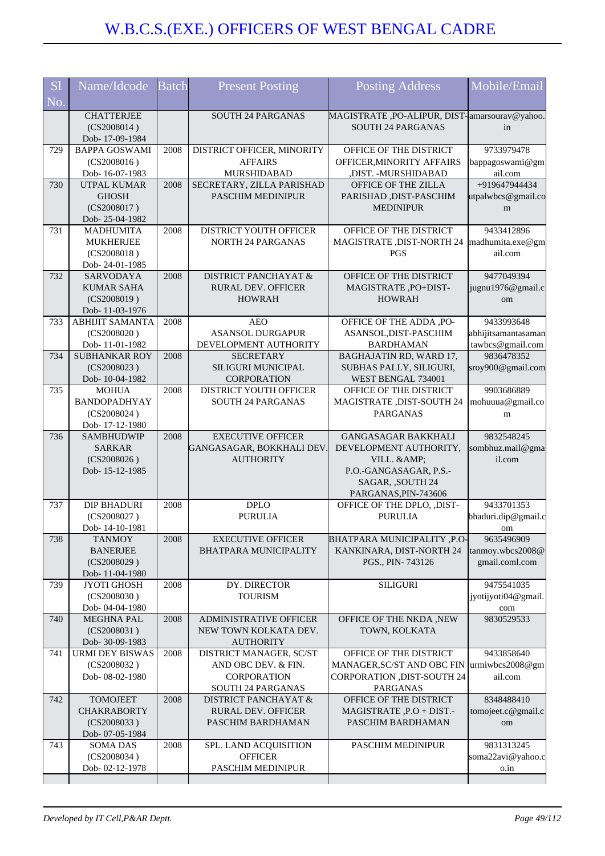| S <sub>1</sub><br>No. | Name/Idcode                                        | <b>Batch</b> | <b>Present Posting</b>                                | Posting Address                                                           | Mobile/Email                      |
|-----------------------|----------------------------------------------------|--------------|-------------------------------------------------------|---------------------------------------------------------------------------|-----------------------------------|
|                       | <b>CHATTERJEE</b><br>(CS2008014)<br>Dob-17-09-1984 |              | <b>SOUTH 24 PARGANAS</b>                              | MAGISTRATE, PO-ALIPUR, DIST-amarsourav@yahoo.<br><b>SOUTH 24 PARGANAS</b> | in                                |
| 729                   | <b>BAPPA GOSWAMI</b><br>(CS2008016)                | 2008         | DISTRICT OFFICER, MINORITY<br><b>AFFAIRS</b>          | OFFICE OF THE DISTRICT<br>OFFICER, MINORITY AFFAIRS                       | 9733979478<br>bappagoswami@gm     |
|                       | Dob-16-07-1983                                     |              | MURSHIDABAD                                           | ,DIST. - MURSHIDABAD                                                      | ail.com                           |
| 730                   | <b>UTPAL KUMAR</b><br><b>GHOSH</b>                 | 2008         | SECRETARY, ZILLA PARISHAD<br><b>PASCHIM MEDINIPUR</b> | OFFICE OF THE ZILLA                                                       | +919647944434                     |
|                       | (CS2008017)                                        |              |                                                       | PARISHAD, DIST-PASCHIM<br><b>MEDINIPUR</b>                                | utpalwbcs@gmail.co<br>m           |
|                       | Dob-25-04-1982                                     |              |                                                       |                                                                           |                                   |
| 731                   | <b>MADHUMITA</b>                                   | 2008         | DISTRICT YOUTH OFFICER                                | OFFICE OF THE DISTRICT                                                    | 9433412896                        |
|                       | <b>MUKHERJEE</b>                                   |              | <b>NORTH 24 PARGANAS</b>                              | MAGISTRATE , DIST-NORTH 24                                                | madhumita.exe@gm                  |
|                       | (CS2008018)                                        |              |                                                       | PGS                                                                       | ail.com                           |
|                       | Dob-24-01-1985                                     |              |                                                       |                                                                           |                                   |
| 732                   | SARVODAYA                                          | 2008         | <b>DISTRICT PANCHAYAT &amp;</b>                       | OFFICE OF THE DISTRICT                                                    | 9477049394                        |
|                       | <b>KUMAR SAHA</b><br>(CS2008019)                   |              | <b>RURAL DEV. OFFICER</b><br><b>HOWRAH</b>            | MAGISTRATE, PO+DIST-<br><b>HOWRAH</b>                                     | jugnu1976@gmail.c                 |
|                       | Dob-11-03-1976                                     |              |                                                       |                                                                           | om                                |
| 733                   | <b>ABHIJIT SAMANTA</b>                             | 2008         | <b>AEO</b>                                            | OFFICE OF THE ADDA, PO-                                                   | 9433993648                        |
|                       | (CS2008020)                                        |              | <b>ASANSOL DURGAPUR</b>                               | ASANSOL, DIST-PASCHIM                                                     | abhijitsamantasaman               |
|                       | Dob-11-01-1982                                     |              | DEVELOPMENT AUTHORITY                                 | <b>BARDHAMAN</b>                                                          | tawbcs@gmail.com                  |
| 734                   | <b>SUBHANKAR ROY</b>                               | 2008         | <b>SECRETARY</b>                                      | BAGHAJATIN RD, WARD 17,                                                   | 9836478352                        |
|                       | (CS2008023)                                        |              | <b>SILIGURI MUNICIPAL</b>                             | SUBHAS PALLY, SILIGURI,                                                   | sroy900@gmail.com                 |
| 735                   | Dob-10-04-1982<br><b>MOHUA</b>                     | 2008         | <b>CORPORATION</b><br>DISTRICT YOUTH OFFICER          | WEST BENGAL 734001<br>OFFICE OF THE DISTRICT                              | 9903686889                        |
|                       | <b>BANDOPADHYAY</b>                                |              | <b>SOUTH 24 PARGANAS</b>                              | <b>MAGISTRATE, DIST-SOUTH 24</b>                                          | mohuuua@gmail.co                  |
|                       | (CS2008024)                                        |              |                                                       | <b>PARGANAS</b>                                                           | m                                 |
|                       | Dob-17-12-1980                                     |              |                                                       |                                                                           |                                   |
| 736                   | <b>SAMBHUDWIP</b>                                  | 2008         | <b>EXECUTIVE OFFICER</b>                              | <b>GANGASAGAR BAKKHALI</b>                                                | 9832548245                        |
|                       |                                                    |              |                                                       |                                                                           |                                   |
|                       | <b>SARKAR</b>                                      |              | GANGASAGAR, BOKKHALI DEV                              | DEVELOPMENT AUTHORITY,                                                    | sombhuz.mail@gma                  |
|                       | (CS2008026)                                        |              | <b>AUTHORITY</b>                                      | VILL. & AMP;                                                              | il.com                            |
|                       | Dob-15-12-1985                                     |              |                                                       | P.O.-GANGASAGAR, P.S.-                                                    |                                   |
|                       |                                                    |              |                                                       | SAGAR, ,SOUTH 24                                                          |                                   |
| 737                   | <b>DIP BHADURI</b>                                 | 2008         | <b>DPLO</b>                                           | PARGANAS, PIN-743606<br>OFFICE OF THE DPLO, ,DIST-                        | 9433701353                        |
|                       | (CS2008027)                                        |              | <b>PURULIA</b>                                        | <b>PURULIA</b>                                                            | bhaduri.dip@gmail.c               |
|                       | Dob-14-10-1981                                     |              |                                                       |                                                                           | om                                |
| 738                   | <b>TANMOY</b>                                      | 2008         | <b>EXECUTIVE OFFICER</b>                              | <b>BHATPARA MUNICIPALITY, P.O-</b>                                        | 9635496909                        |
|                       | <b>BANERJEE</b>                                    |              | <b>BHATPARA MUNICIPALITY</b>                          | KANKINARA, DIST-NORTH 24                                                  | tanmoy.wbcs2008@                  |
|                       | (CS2008029)                                        |              |                                                       | PGS., PIN-743126                                                          | gmail.coml.com                    |
| 739                   | Dob-11-04-1980                                     | 2008         |                                                       |                                                                           |                                   |
|                       | <b>JYOTI GHOSH</b><br>(CS2008030)                  |              | DY. DIRECTOR<br><b>TOURISM</b>                        | <b>SILIGURI</b>                                                           | 9475541035<br>jyotijyoti04@gmail. |
|                       | Dob-04-04-1980                                     |              |                                                       |                                                                           | com                               |
| 740                   | <b>MEGHNA PAL</b>                                  | 2008         | <b>ADMINISTRATIVE OFFICER</b>                         | OFFICE OF THE NKDA ,NEW                                                   | 9830529533                        |
|                       | (CS2008031)                                        |              | NEW TOWN KOLKATA DEV.                                 | TOWN, KOLKATA                                                             |                                   |
|                       | Dob- 30-09-1983                                    |              | <b>AUTHORITY</b>                                      |                                                                           |                                   |
| 741                   | <b>URMI DEY BISWAS</b>                             | 2008         | DISTRICT MANAGER, SC/ST                               | OFFICE OF THE DISTRICT                                                    | 9433858640                        |
|                       | (CS2008032)<br>Dob-08-02-1980                      |              | AND OBC DEV. & FIN.                                   | MANAGER, SC/ST AND OBC FIN                                                | $ $ urmiwbcs2008@gm<br>ail.com    |
|                       |                                                    |              | <b>CORPORATION</b><br><b>SOUTH 24 PARGANAS</b>        | <b>CORPORATION ,DIST-SOUTH 24</b><br><b>PARGANAS</b>                      |                                   |
| 742                   | <b>TOMOJEET</b>                                    | 2008         | <b>DISTRICT PANCHAYAT &amp;</b>                       | OFFICE OF THE DISTRICT                                                    | 8348488410                        |
|                       | <b>CHAKRABORTY</b>                                 |              | <b>RURAL DEV. OFFICER</b>                             | MAGISTRATE, P.O + DIST.-                                                  | tomojeet.c@gmail.c                |
|                       | (CS2008033)                                        |              | PASCHIM BARDHAMAN                                     | PASCHIM BARDHAMAN                                                         | om                                |
|                       | Dob- 07-05-1984                                    |              |                                                       |                                                                           |                                   |
| 743                   | <b>SOMA DAS</b><br>(CS2008034)                     | 2008         | SPL. LAND ACQUISITION<br><b>OFFICER</b>               | PASCHIM MEDINIPUR                                                         | 9831313245<br>soma22avi@yahoo.c   |
|                       | Dob-02-12-1978                                     |              | PASCHIM MEDINIPUR                                     |                                                                           | o.in                              |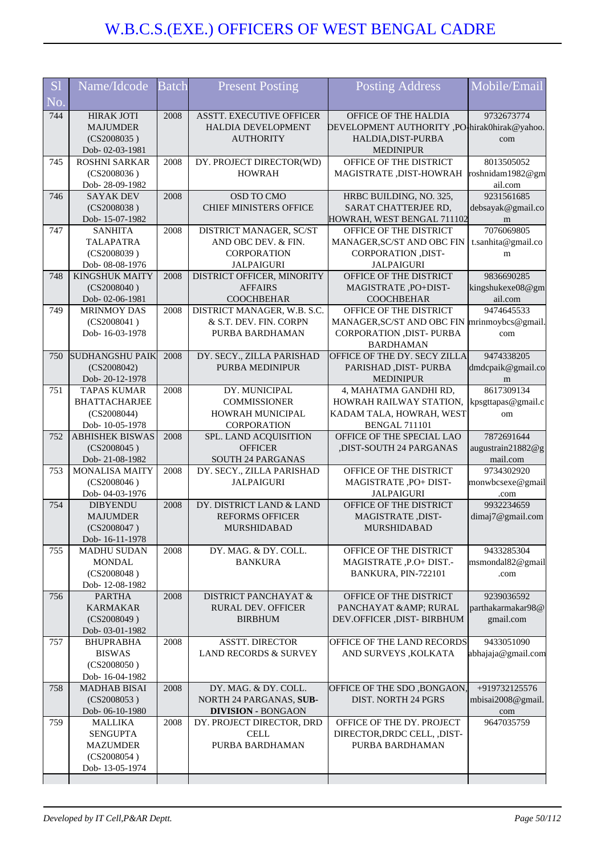| <b>S1</b> | Name/Idcode                              | <b>Batch</b> | <b>Present Posting</b>                                | <b>Posting Address</b>                                                          | Mobile/Email                       |
|-----------|------------------------------------------|--------------|-------------------------------------------------------|---------------------------------------------------------------------------------|------------------------------------|
| No.       |                                          |              |                                                       |                                                                                 |                                    |
| 744       | <b>HIRAK JOTI</b>                        | 2008         | <b>ASSTT. EXECUTIVE OFFICER</b>                       | OFFICE OF THE HALDIA                                                            | 9732673774                         |
|           | <b>MAJUMDER</b><br>(CS2008035)           |              | HALDIA DEVELOPMENT<br><b>AUTHORITY</b>                | DEVELOPMENT AUTHORITY ,PO <sup>1</sup> hirak0hirak@yahoo.<br>HALDIA, DIST-PURBA | com                                |
|           | Dob-02-03-1981                           |              |                                                       | <b>MEDINIPUR</b>                                                                |                                    |
| 745       | <b>ROSHNI SARKAR</b>                     | 2008         | DY. PROJECT DIRECTOR(WD)                              | OFFICE OF THE DISTRICT                                                          | 8013505052                         |
|           | (CS2008036)<br>Dob-28-09-1982            |              | <b>HOWRAH</b>                                         | MAGISTRATE, DIST-HOWRAH                                                         | roshnidam1982@gm<br>ail.com        |
| 746       | <b>SAYAK DEV</b>                         | 2008         | OSD TO CMO                                            | HRBC BUILDING, NO. 325,                                                         | 9231561685                         |
|           | (CS2008038)                              |              | <b>CHIEF MINISTERS OFFICE</b>                         | SARAT CHATTERJEE RD,                                                            | debsayak@gmail.co                  |
| 747       | Dob-15-07-1982<br><b>SANHITA</b>         | 2008         | DISTRICT MANAGER, SC/ST                               | HOWRAH, WEST BENGAL 711102<br>OFFICE OF THE DISTRICT                            | m<br>7076069805                    |
|           | <b>TALAPATRA</b>                         |              | AND OBC DEV. & FIN.                                   | MANAGER, SC/ST AND OBC FIN                                                      | t.sanhita@gmail.co                 |
|           | (CS2008039)                              |              | <b>CORPORATION</b>                                    | CORPORATION , DIST-                                                             | m                                  |
| 748       | Dob- 08-08-1976<br><b>KINGSHUK MAITY</b> | 2008         | <b>JALPAIGURI</b><br>DISTRICT OFFICER, MINORITY       | <b>JALPAIGURI</b><br>OFFICE OF THE DISTRICT                                     | 9836690285                         |
|           | (CS2008040)                              |              | <b>AFFAIRS</b>                                        | MAGISTRATE, PO+DIST-                                                            | kingshukexe08@gm                   |
|           | Dob-02-06-1981                           |              | <b>COOCHBEHAR</b>                                     | <b>COOCHBEHAR</b>                                                               | ail.com                            |
| 749       | <b>MRINMOY DAS</b>                       | 2008         | DISTRICT MANAGER, W.B. S.C.<br>& S.T. DEV. FIN. CORPN | OFFICE OF THE DISTRICT                                                          | 9474645533                         |
|           | (CS2008041)<br>Dob-16-03-1978            |              | PURBA BARDHAMAN                                       | MANAGER, SC/ST AND OBC FIN mrinmoybcs@gmail.<br>CORPORATION , DIST- PURBA       | com                                |
|           |                                          |              |                                                       | <b>BARDHAMAN</b>                                                                |                                    |
| 750       | <b>SUDHANGSHU PAIK</b>                   | 2008         | DY. SECY., ZILLA PARISHAD                             | OFFICE OF THE DY. SECY ZILLA                                                    | 9474338205                         |
|           | (CS2008042)<br>Dob-20-12-1978            |              | <b>PURBA MEDINIPUR</b>                                | PARISHAD, DIST-PURBA<br><b>MEDINIPUR</b>                                        | dmdcpaik@gmail.co<br>m             |
| 751       | <b>TAPAS KUMAR</b>                       | 2008         | DY. MUNICIPAL                                         | 4, MAHATMA GANDHI RD,                                                           | 8617309134                         |
|           | <b>BHATTACHARJEE</b>                     |              | <b>COMMISSIONER</b>                                   | HOWRAH RAILWAY STATION,                                                         | kpsgttapas@gmail.c                 |
|           | (CS2008044)<br>Dob-10-05-1978            |              | HOWRAH MUNICIPAL<br>CORPORATION                       | KADAM TALA, HOWRAH, WEST<br><b>BENGAL 711101</b>                                | om                                 |
| 752       | <b>ABHISHEK BISWAS</b>                   | 2008         | SPL. LAND ACQUISITION                                 | OFFICE OF THE SPECIAL LAO                                                       | 7872691644                         |
|           | (CS2008045)                              |              | <b>OFFICER</b>                                        | ,DIST-SOUTH 24 PARGANAS                                                         | augustrain21882@g                  |
| 753       | Dob-21-08-1982<br><b>MONALISA MAITY</b>  | 2008         | SOUTH 24 PARGANAS<br>DY. SECY., ZILLA PARISHAD        | OFFICE OF THE DISTRICT                                                          | mail.com<br>9734302920             |
|           | (CS2008046)                              |              | <b>JALPAIGURI</b>                                     | MAGISTRATE , PO+ DIST-                                                          | monwbcsexe@gmail                   |
|           | Dob-04-03-1976                           |              |                                                       | <b>JALPAIGURI</b>                                                               | .com                               |
| 754       | <b>DIBYENDU</b><br><b>MAJUMDER</b>       | 2008         | DY. DISTRICT LAND & LAND<br><b>REFORMS OFFICER</b>    | OFFICE OF THE DISTRICT<br>MAGISTRATE, DIST-                                     | 9932234659<br>dimaj7@gmail.com     |
|           | (CS2008047)                              |              | <b>MURSHIDABAD</b>                                    | <b>MURSHIDABAD</b>                                                              |                                    |
|           | Dob-16-11-1978                           |              |                                                       |                                                                                 |                                    |
| 755       | <b>MADHU SUDAN</b><br><b>MONDAL</b>      | 2008         | DY. MAG. & DY. COLL.<br><b>BANKURA</b>                | OFFICE OF THE DISTRICT<br>MAGISTRATE, P.O+ DIST.-                               | 9433285304<br>msmondal82@gmail     |
|           | (CS2008048)                              |              |                                                       | BANKURA, PIN-722101                                                             | .com                               |
|           | Dob-12-08-1982                           |              |                                                       |                                                                                 |                                    |
| 756       | <b>PARTHA</b><br><b>KARMAKAR</b>         | 2008         | <b>DISTRICT PANCHAYAT &amp;</b><br>RURAL DEV. OFFICER | OFFICE OF THE DISTRICT<br>PANCHAYAT & AMP; RURAL                                | 9239036592<br>parthakarmakar98@    |
|           | (CS2008049)                              |              | <b>BIRBHUM</b>                                        | DEV.OFFICER , DIST- BIRBHUM                                                     | gmail.com                          |
|           | Dob-03-01-1982                           |              |                                                       |                                                                                 |                                    |
| 757       | <b>BHUPRABHA</b><br><b>BISWAS</b>        | 2008         | ASSTT. DIRECTOR<br>LAND RECORDS & SURVEY              | OFFICE OF THE LAND RECORDS<br>AND SURVEYS , KOLKATA                             | 9433051090<br>abhajaja@gmail.com   |
|           | (CS2008050)                              |              |                                                       |                                                                                 |                                    |
|           | Dob-16-04-1982                           |              |                                                       |                                                                                 |                                    |
| 758       | <b>MADHAB BISAI</b><br>(CS2008053)       | 2008         | DY. MAG. & DY. COLL.<br>NORTH 24 PARGANAS, SUB-       | OFFICE OF THE SDO, BONGAON,<br><b>DIST. NORTH 24 PGRS</b>                       | +919732125576<br>mbisai2008@gmail. |
|           | Dob-06-10-1980                           |              | <b>DIVISION - BONGAON</b>                             |                                                                                 | com                                |
| 759       | <b>MALLIKA</b>                           | 2008         | DY. PROJECT DIRECTOR, DRD                             | OFFICE OF THE DY. PROJECT                                                       | 9647035759                         |
|           | <b>SENGUPTA</b><br><b>MAZUMDER</b>       |              | <b>CELL</b><br>PURBA BARDHAMAN                        | DIRECTOR, DRDC CELL, , DIST-<br>PURBA BARDHAMAN                                 |                                    |
|           | (CS2008054)                              |              |                                                       |                                                                                 |                                    |
|           | Dob-13-05-1974                           |              |                                                       |                                                                                 |                                    |
|           |                                          |              |                                                       |                                                                                 |                                    |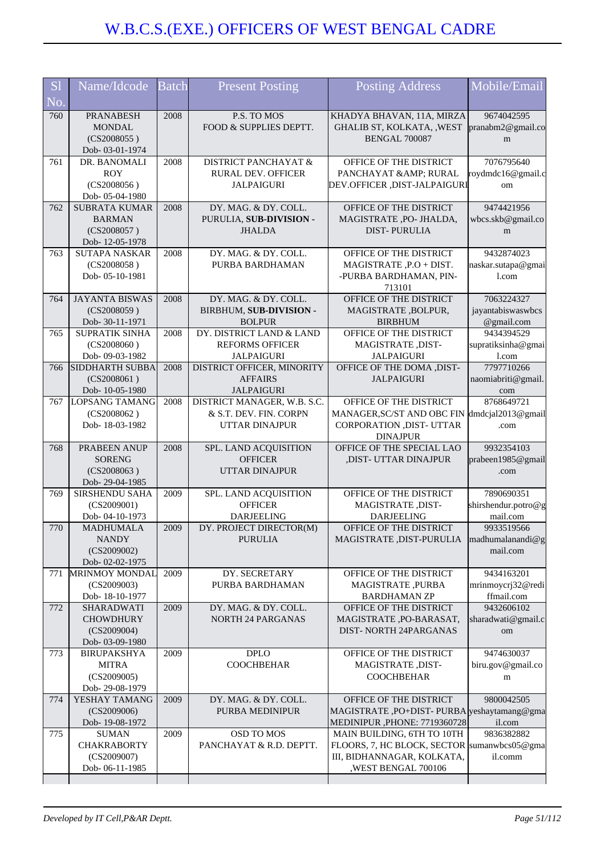| <b>S1</b>                | Name/Idcode                                                            | <b>Batch</b> | <b>Present Posting</b>                                                         | <b>Posting Address</b>                                                                                                          | Mobile/Email                                  |
|--------------------------|------------------------------------------------------------------------|--------------|--------------------------------------------------------------------------------|---------------------------------------------------------------------------------------------------------------------------------|-----------------------------------------------|
| $\overline{\text{No}}$ . |                                                                        |              |                                                                                |                                                                                                                                 |                                               |
| 760                      | <b>PRANABESH</b><br><b>MONDAL</b><br>(CS2008055)<br>Dob- 03-01-1974    | 2008         | P.S. TO MOS<br>FOOD & SUPPLIES DEPTT.                                          | KHADYA BHAVAN, 11A, MIRZA<br>GHALIB ST, KOLKATA, , WEST<br><b>BENGAL 700087</b>                                                 | 9674042595<br>pranabm2@gmail.co<br>m          |
| 761                      | DR. BANOMALI<br><b>ROY</b>                                             | 2008         | <b>DISTRICT PANCHAYAT &amp;</b><br>RURAL DEV. OFFICER                          | OFFICE OF THE DISTRICT<br>PANCHAYAT & AMP; RURAL                                                                                | 7076795640<br>roydmdc16@gmail.c               |
|                          | (CS2008056)<br>Dob-05-04-1980                                          |              | <b>JALPAIGURI</b>                                                              | DEV.OFFICER ,DIST-JALPAIGURI                                                                                                    | om                                            |
| 762                      | <b>SUBRATA KUMAR</b><br><b>BARMAN</b><br>(CS2008057)<br>Dob-12-05-1978 | 2008         | DY. MAG. & DY. COLL.<br>PURULIA, SUB-DIVISION -<br><b>JHALDA</b>               | OFFICE OF THE DISTRICT<br>MAGISTRATE, PO- JHALDA,<br><b>DIST-PURULIA</b>                                                        | 9474421956<br>wbcs.skb@gmail.co<br>m          |
| 763                      | <b>SUTAPA NASKAR</b><br>(CS2008058)<br>Dob-05-10-1981                  | 2008         | DY. MAG. & DY. COLL.<br>PURBA BARDHAMAN                                        | OFFICE OF THE DISTRICT<br>MAGISTRATE, P.O + DIST.<br>-PURBA BARDHAMAN, PIN-<br>713101                                           | 9432874023<br>naskar.sutapa@gmai<br>1.com     |
| 764                      | <b>JAYANTA BISWAS</b><br>(CS2008059)<br>Dob-30-11-1971                 | 2008         | DY. MAG. & DY. COLL.<br>BIRBHUM, SUB-DIVISION -<br><b>BOLPUR</b>               | OFFICE OF THE DISTRICT<br>MAGISTRATE, BOLPUR,<br><b>BIRBHUM</b>                                                                 | 7063224327<br>jayantabiswaswbcs<br>@gmail.com |
| 765                      | <b>SUPRATIK SINHA</b><br>(CS2008060)<br>Dob-09-03-1982                 | 2008         | DY. DISTRICT LAND & LAND<br><b>REFORMS OFFICER</b><br><b>JALPAIGURI</b>        | OFFICE OF THE DISTRICT<br>MAGISTRATE, DIST-<br><b>JALPAIGURI</b>                                                                | 9434394529<br>supratiksinha@gmai<br>1.com     |
| 766                      | <b>SIDDHARTH SUBBA</b><br>(CS2008061)<br>Dob-10-05-1980                | 2008         | DISTRICT OFFICER, MINORITY<br><b>AFFAIRS</b><br><b>JALPAIGURI</b>              | OFFICE OF THE DOMA , DIST-<br><b>JALPAIGURI</b>                                                                                 | 7797710266<br>naomiabriti@gmail.<br>com       |
| 767                      | LOPSANG TAMANG<br>(CS2008062)<br>Dob-18-03-1982                        | 2008         | DISTRICT MANAGER, W.B. S.C.<br>& S.T. DEV. FIN. CORPN<br><b>UTTAR DINAJPUR</b> | OFFICE OF THE DISTRICT<br>MANAGER, SC/ST AND OBC FIN<br>CORPORATION , DIST- UTTAR<br><b>DINAJPUR</b>                            | 8768649721<br>dmdcjal2013@gmail<br>.com       |
| 768                      | PRABEEN ANUP<br><b>SORENG</b><br>(CS2008063)<br>Dob-29-04-1985         | 2008         | SPL. LAND ACQUISITION<br><b>OFFICER</b><br><b>UTTAR DINAJPUR</b>               | OFFICE OF THE SPECIAL LAO<br>,DIST- UTTAR DINAJPUR                                                                              | 9932354103<br>prabeen1985@gmail<br>.com       |
| 769                      | <b>SIRSHENDU SAHA</b><br>(CS2009001)<br>Dob-04-10-1973                 | 2009         | SPL. LAND ACQUISITION<br><b>OFFICER</b><br><b>DARJEELING</b>                   | OFFICE OF THE DISTRICT<br>MAGISTRATE, DIST-<br><b>DARJEELING</b>                                                                | 7890690351<br>shirshendur.potro@g<br>mail.com |
| 770                      | <b>MADHUMALA</b><br><b>NANDY</b><br>(CS2009002)<br>Dob-02-02-1975      | 2009         | DY. PROJECT DIRECTOR(M)<br><b>PURULIA</b>                                      | OFFICE OF THE DISTRICT<br>MAGISTRATE, DIST-PURULIA                                                                              | 9933519566<br>madhumalanandi@g<br>mail.com    |
| 771                      | <b>MRINMOY MONDAL</b><br>(CS2009003)<br>Dob-18-10-1977                 | 2009         | DY. SECRETARY<br>PURBA BARDHAMAN                                               | OFFICE OF THE DISTRICT<br>MAGISTRATE, PURBA<br><b>BARDHAMAN ZP</b>                                                              | 9434163201<br>mrinmoycrj32@redi<br>ffmail.com |
| 772                      | SHARADWATI<br><b>CHOWDHURY</b><br>(CS2009004)<br>Dob-03-09-1980        | 2009         | DY. MAG. & DY. COLL.<br><b>NORTH 24 PARGANAS</b>                               | OFFICE OF THE DISTRICT<br>MAGISTRATE, PO-BARASAT,<br><b>DIST- NORTH 24PARGANAS</b>                                              | 9432606102<br>sharadwati@gmail.c<br>om        |
| 773                      | <b>BIRUPAKSHYA</b><br><b>MITRA</b><br>(CS2009005)<br>Dob-29-08-1979    | 2009         | <b>DPLO</b><br><b>COOCHBEHAR</b>                                               | OFFICE OF THE DISTRICT<br>MAGISTRATE, DIST-<br><b>COOCHBEHAR</b>                                                                | 9474630037<br>biru.gov@gmail.co<br>m          |
| 774                      | YESHAY TAMANG<br>(CS2009006)<br>Dob-19-08-1972                         | 2009         | DY. MAG. & DY. COLL.<br>PURBA MEDINIPUR                                        | OFFICE OF THE DISTRICT<br>MAGISTRATE, PO+DIST-PURBA yeshaytamang@gma<br>MEDINIPUR , PHONE: 7719360728                           | 9800042505<br>il.com                          |
| 775                      | <b>SUMAN</b><br><b>CHAKRABORTY</b><br>(CS2009007)<br>Dob-06-11-1985    | 2009         | OSD TO MOS<br>PANCHAYAT & R.D. DEPTT.                                          | MAIN BUILDING, 6TH TO 10TH<br>FLOORS, 7, HC BLOCK, SECTOR sumanwbcs05@gma<br>III, BIDHANNAGAR, KOLKATA,<br>, WEST BENGAL 700106 | 9836382882<br>il.comm                         |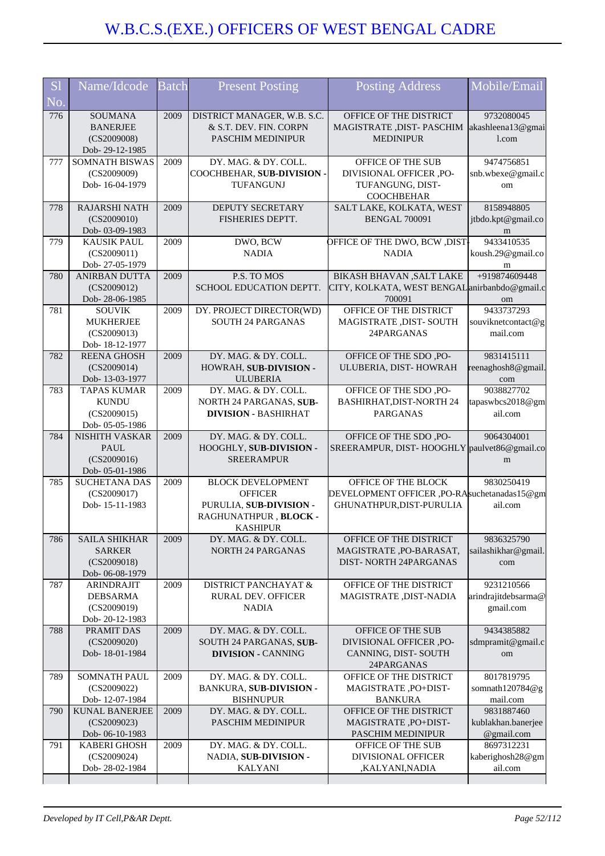| S <sub>1</sub><br>No. | Name/Idcode                        | <b>Batch</b> | <b>Present Posting</b>                      | <b>Posting Address</b>                        | Mobile/Email                |
|-----------------------|------------------------------------|--------------|---------------------------------------------|-----------------------------------------------|-----------------------------|
| 776                   | <b>SOUMANA</b>                     | 2009         | DISTRICT MANAGER, W.B. S.C.                 | OFFICE OF THE DISTRICT                        | 9732080045                  |
|                       | <b>BANERJEE</b>                    |              | & S.T. DEV. FIN. CORPN                      | MAGISTRATE , DIST- PASCHIM                    | akashleena13@gmai           |
|                       | (CS2009008)                        |              | PASCHIM MEDINIPUR                           | <b>MEDINIPUR</b>                              | 1.com                       |
|                       | Dob-29-12-1985                     |              |                                             |                                               |                             |
| 777                   | <b>SOMNATH BISWAS</b>              | 2009         | DY. MAG. & DY. COLL.                        | OFFICE OF THE SUB                             | 9474756851                  |
|                       | (CS2009009)                        |              | COOCHBEHAR, SUB-DIVISION -                  | DIVISIONAL OFFICER ,PO-                       | snb.wbexe@gmail.c           |
|                       | Dob-16-04-1979                     |              | TUFANGUNJ                                   | TUFANGUNG, DIST-                              | om                          |
|                       |                                    |              |                                             | <b>COOCHBEHAR</b>                             |                             |
| 778                   | <b>RAJARSHI NATH</b>               | 2009         | DEPUTY SECRETARY                            | SALT LAKE, KOLKATA, WEST                      | 8158948805                  |
|                       | (CS2009010)                        |              | FISHERIES DEPTT.                            | <b>BENGAL 700091</b>                          | jtbdo.kpt@gmail.co          |
|                       | Dob- 03-09-1983                    |              |                                             |                                               | m                           |
| 779                   | <b>KAUSIK PAUL</b>                 | 2009         | DWO, BCW                                    | <b>OFFICE OF THE DWO, BCW, DIST-</b>          | 9433410535                  |
|                       | (CS2009011)                        |              | <b>NADIA</b>                                | <b>NADIA</b>                                  | koush.29@gmail.co           |
|                       | Dob-27-05-1979                     |              |                                             |                                               | m                           |
| 780                   | <b>ANIRBAN DUTTA</b>               | 2009         | P.S. TO MOS                                 | <b>BIKASH BHAVAN , SALT LAKE</b>              | +919874609448               |
|                       | (CS2009012)                        |              | SCHOOL EDUCATION DEPTT.                     | CITY, KOLKATA, WEST BENGAL anirbanbdo@gmail.c |                             |
|                       | Dob-28-06-1985                     |              |                                             | 700091                                        | om                          |
| 781                   | <b>SOUVIK</b>                      | 2009         | DY. PROJECT DIRECTOR(WD)                    | OFFICE OF THE DISTRICT                        | 9433737293                  |
|                       | <b>MUKHERJEE</b>                   |              | <b>SOUTH 24 PARGANAS</b>                    | MAGISTRATE, DIST-SOUTH                        | souviknetcontact@g          |
|                       | (CS2009013)                        |              |                                             | 24PARGANAS                                    | mail.com                    |
|                       | Dob-18-12-1977                     |              |                                             |                                               |                             |
| 782                   | <b>REENA GHOSH</b>                 | 2009         | DY. MAG. & DY. COLL.                        | OFFICE OF THE SDO, PO-                        | 9831415111                  |
|                       | (CS2009014)                        |              | HOWRAH, SUB-DIVISION -                      | ULUBERIA, DIST-HOWRAH                         | reenaghosh8@gmail           |
|                       | Dob-13-03-1977                     |              | <b>ULUBERIA</b>                             |                                               | com                         |
| 783                   | <b>TAPAS KUMAR</b>                 | 2009         | DY. MAG. & DY. COLL.                        | OFFICE OF THE SDO, PO-                        | 9038827702                  |
|                       | <b>KUNDU</b>                       |              | NORTH 24 PARGANAS, SUB-                     | <b>BASHIRHAT, DIST-NORTH 24</b>               | tapaswbcs2018@gm            |
|                       | (CS2009015)                        |              | <b>DIVISION - BASHIRHAT</b>                 | <b>PARGANAS</b>                               | ail.com                     |
|                       | Dob-05-05-1986                     |              |                                             |                                               |                             |
| 784                   | <b>NISHITH VASKAR</b>              | 2009         | DY. MAG. & DY. COLL.                        | OFFICE OF THE SDO, PO-                        | 9064304001                  |
|                       | PAUL                               |              | HOOGHLY, SUB-DIVISION -                     | SREERAMPUR, DIST-HOOGHLY paulvet86@gmail.co   |                             |
|                       |                                    |              |                                             |                                               |                             |
|                       | (CS2009016)                        |              | <b>SREERAMPUR</b>                           |                                               | m                           |
|                       | Dob-05-01-1986                     |              |                                             |                                               |                             |
| 785                   | <b>SUCHETANA DAS</b>               | 2009         | <b>BLOCK DEVELOPMENT</b>                    | OFFICE OF THE BLOCK                           | 9830250419                  |
|                       | (CS2009017)                        |              | <b>OFFICER</b>                              | DEVELOPMENT OFFICER ,PO-RAsuchetanadas15@gm   |                             |
|                       | Dob-15-11-1983                     |              | PURULIA, SUB-DIVISION -                     | GHUNATHPUR, DIST-PURULIA                      | ail.com                     |
|                       |                                    |              | RAGHUNATHPUR, BLOCK -                       |                                               |                             |
|                       |                                    |              | <b>KASHIPUR</b>                             |                                               |                             |
| 786                   | <b>SAILA SHIKHAR</b>               | 2009         | DY. MAG. & DY. COLL.                        | OFFICE OF THE DISTRICT                        | 9836325790                  |
|                       | <b>SARKER</b>                      |              | <b>NORTH 24 PARGANAS</b>                    | MAGISTRATE, PO-BARASAT,                       | sailashikhar@gmail.         |
|                       | (CS2009018)                        |              |                                             | DIST-NORTH 24PARGANAS                         | com                         |
|                       | Dob-06-08-1979                     |              |                                             |                                               |                             |
| 787                   | <b>ARINDRAJIT</b>                  | 2009         | <b>DISTRICT PANCHAYAT &amp;</b>             | OFFICE OF THE DISTRICT                        | 9231210566                  |
|                       | <b>DEBSARMA</b>                    |              | <b>RURAL DEV. OFFICER</b>                   | MAGISTRATE , DIST-NADIA                       | arindrajitdebsarma@         |
|                       | (CS2009019)                        |              | <b>NADIA</b>                                |                                               | gmail.com                   |
|                       | Dob-20-12-1983                     |              |                                             |                                               |                             |
| 788                   | PRAMIT DAS                         | 2009         | DY. MAG. & DY. COLL.                        | OFFICE OF THE SUB                             | 9434385882                  |
|                       | (CS2009020)                        |              | SOUTH 24 PARGANAS, SUB-                     | DIVISIONAL OFFICER ,PO-                       | sdmpramit@gmail.c           |
|                       | Dob-18-01-1984                     |              | <b>DIVISION - CANNING</b>                   | CANNING, DIST-SOUTH                           | om                          |
|                       |                                    |              |                                             | 24PARGANAS                                    |                             |
| 789                   | <b>SOMNATH PAUL</b><br>(CS2009022) | 2009         | DY. MAG. & DY. COLL.                        | OFFICE OF THE DISTRICT                        | 8017819795                  |
|                       | Dob-12-07-1984                     |              | BANKURA, SUB-DIVISION -<br><b>BISHNUPUR</b> | MAGISTRATE, PO+DIST-<br><b>BANKURA</b>        | somnath120784@g<br>mail.com |
| 790                   | <b>KUNAL BANERJEE</b>              | 2009         | DY. MAG. & DY. COLL.                        | OFFICE OF THE DISTRICT                        | 9831887460                  |
|                       | (CS2009023)                        |              | PASCHIM MEDINIPUR                           | MAGISTRATE, PO+DIST-                          | kublakhan.banerjee          |
|                       | Dob-06-10-1983                     |              |                                             | PASCHIM MEDINIPUR                             | @gmail.com                  |
| 791                   | <b>KABERI GHOSH</b>                | 2009         | DY. MAG. & DY. COLL.                        | OFFICE OF THE SUB                             | 8697312231                  |
|                       | (CS2009024)                        |              | NADIA, SUB-DIVISION -                       | DIVISIONAL OFFICER                            | kaberighosh28@gm            |
|                       | Dob-28-02-1984                     |              | <b>KALYANI</b>                              | ,KALYANI,NADIA                                | ail.com                     |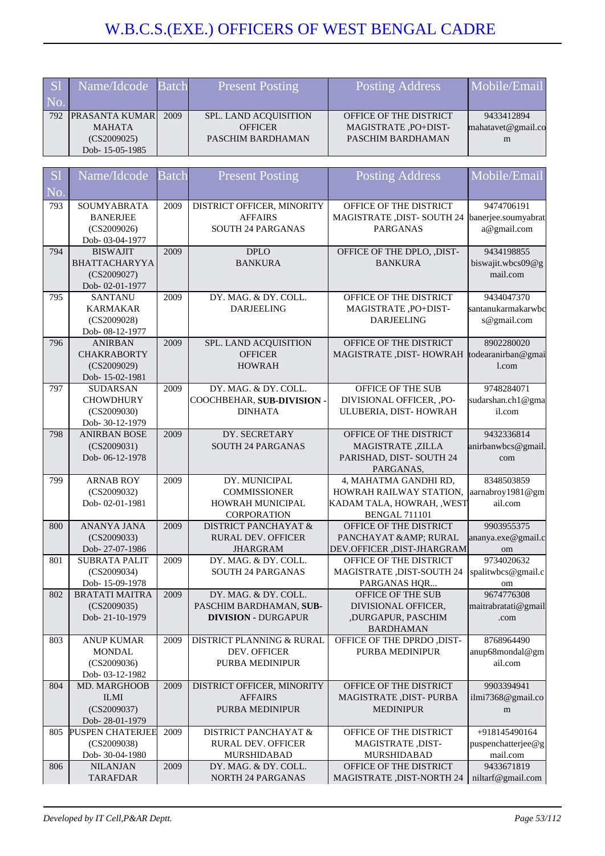| S <sub>1</sub> | Name/Idcode Batch  |      | <b>Present Posting</b>       | Posting Address               | Mobile/Email       |
|----------------|--------------------|------|------------------------------|-------------------------------|--------------------|
| No.            |                    |      |                              |                               |                    |
|                | 792 PRASANTA KUMAR | 2009 | <b>SPL. LAND ACOUISITION</b> | <b>OFFICE OF THE DISTRICT</b> | 9433412894         |
|                | <b>MAHATA</b>      |      | <b>OFFICER</b>               | MAGISTRATE ,PO+DIST-          | mahatavet@gmail.co |
|                | (CS2009025)        |      | PASCHIM BARDHAMAN            | PASCHIM BARDHAMAN             | m                  |
|                | Dob-15-05-1985     |      |                              |                               |                    |

| S <sub>1</sub> | Name/Idcode                               | <b>Batch</b> | <b>Present Posting</b>          | <b>Posting Address</b>                             | Mobile/Email        |
|----------------|-------------------------------------------|--------------|---------------------------------|----------------------------------------------------|---------------------|
| No.            |                                           |              |                                 |                                                    |                     |
| 793            | SOUMYABRATA                               | 2009         | DISTRICT OFFICER, MINORITY      | OFFICE OF THE DISTRICT                             | 9474706191          |
|                | <b>BANERJEE</b>                           |              | <b>AFFAIRS</b>                  | MAGISTRATE , DIST- SOUTH 24                        | banerjee.soumyabrat |
|                | (CS2009026)                               |              | SOUTH 24 PARGANAS               | <b>PARGANAS</b>                                    | a@gmail.com         |
|                | Dob-03-04-1977                            |              |                                 |                                                    |                     |
| 794            | <b>BISWAJIT</b>                           | 2009         | <b>DPLO</b>                     | OFFICE OF THE DPLO, ,DIST-                         | 9434198855          |
|                | <b>BHATTACHARYYA</b>                      |              | <b>BANKURA</b>                  | <b>BANKURA</b>                                     | biswajit.wbcs09@g   |
|                | (CS2009027)                               |              |                                 |                                                    | mail.com            |
|                | Dob-02-01-1977                            |              |                                 |                                                    |                     |
| 795            | <b>SANTANU</b>                            | 2009         | DY. MAG. & DY. COLL.            | OFFICE OF THE DISTRICT                             | 9434047370          |
|                | <b>KARMAKAR</b>                           |              | <b>DARJEELING</b>               | MAGISTRATE, PO+DIST-                               | santanukarmakarwbc  |
|                | (CS2009028)                               |              |                                 | <b>DARJEELING</b>                                  | s@gmail.com         |
|                | Dob- 08-12-1977                           |              |                                 |                                                    |                     |
| 796            | <b>ANIRBAN</b>                            | 2009         | SPL. LAND ACQUISITION           | OFFICE OF THE DISTRICT                             | 8902280020          |
|                | <b>CHAKRABORTY</b>                        |              | <b>OFFICER</b>                  | MAGISTRATE , DIST- HOWRAH                          | todearanirban@gmai  |
|                | (CS2009029)                               |              | <b>HOWRAH</b>                   |                                                    | l.com               |
|                | Dob-15-02-1981                            |              |                                 |                                                    |                     |
| 797            | <b>SUDARSAN</b>                           | 2009         | DY. MAG. & DY. COLL.            | OFFICE OF THE SUB                                  | 9748284071          |
|                | <b>CHOWDHURY</b>                          |              | COOCHBEHAR, SUB-DIVISION -      | DIVISIONAL OFFICER, , PO-                          | sudarshan.ch1@gma   |
|                | (CS2009030)                               |              | <b>DINHATA</b>                  | ULUBERIA, DIST-HOWRAH                              | il.com              |
| 798            | Dob- 30-12-1979<br><b>ANIRBAN BOSE</b>    | 2009         | DY. SECRETARY                   | OFFICE OF THE DISTRICT                             | 9432336814          |
|                | (CS2009031)                               |              | <b>SOUTH 24 PARGANAS</b>        | <b>MAGISTRATE, ZILLA</b>                           | anirbanwbcs@gmail.  |
|                | Dob-06-12-1978                            |              |                                 | PARISHAD, DIST-SOUTH 24                            | com                 |
|                |                                           |              |                                 | PARGANAS,                                          |                     |
| 799            | <b>ARNAB ROY</b>                          | 2009         | DY. MUNICIPAL                   | 4, MAHATMA GANDHI RD,                              | 8348503859          |
|                | (CS2009032)                               |              | <b>COMMISSIONER</b>             | HOWRAH RAILWAY STATION,                            | aarnabroy1981@gm    |
|                |                                           |              |                                 |                                                    |                     |
|                | Dob-02-01-1981                            |              | HOWRAH MUNICIPAL                |                                                    | ail.com             |
|                |                                           |              | CORPORATION                     | KADAM TALA, HOWRAH, , WEST<br><b>BENGAL 711101</b> |                     |
| 800            | ANANYA JANA                               | 2009         | <b>DISTRICT PANCHAYAT &amp;</b> | OFFICE OF THE DISTRICT                             | 9903955375          |
|                | (CS2009033)                               |              | <b>RURAL DEV. OFFICER</b>       | PANCHAYAT & AMP; RURAL                             | ananya.exe@gmail.c  |
|                | Dob-27-07-1986                            |              | <b>JHARGRAM</b>                 | DEV.OFFICER, DIST-JHARGRAM                         | om                  |
| 801            | <b>SUBRATA PALIT</b>                      | 2009         | DY. MAG. & DY. COLL.            | OFFICE OF THE DISTRICT                             | 9734020632          |
|                | (CS2009034)                               |              | <b>SOUTH 24 PARGANAS</b>        | <b>MAGISTRATE , DIST-SOUTH 24</b>                  | spalitwbcs@gmail.c  |
|                | Dob-15-09-1978                            |              |                                 | PARGANAS HQR                                       | om                  |
| 802            | <b>BRATATI MAITRA</b>                     | 2009         | DY. MAG. & DY. COLL.            | OFFICE OF THE SUB                                  | 9674776308          |
|                | (CS2009035)                               |              | PASCHIM BARDHAMAN, SUB-         | DIVISIONAL OFFICER,                                | maitrabratati@gmail |
|                | Dob-21-10-1979                            |              | <b>DIVISION - DURGAPUR</b>      | ,DURGAPUR, PASCHIM                                 | .com                |
|                |                                           |              |                                 | <b>BARDHAMAN</b>                                   |                     |
| 803            | <b>ANUP KUMAR</b>                         | 2009         | DISTRICT PLANNING & RURAL       | OFFICE OF THE DPRDO ,DIST-                         | 8768964490          |
|                | <b>MONDAL</b>                             |              | DEV. OFFICER                    | PURBA MEDINIPUR                                    | anup68mondal@gm     |
|                | (CS2009036)                               |              | <b>PURBA MEDINIPUR</b>          |                                                    | ail.com             |
|                | Dob-03-12-1982                            |              |                                 |                                                    |                     |
| 804            | MD. MARGHOOB                              | 2009         | DISTRICT OFFICER, MINORITY      | OFFICE OF THE DISTRICT                             | 9903394941          |
|                | <b>ILMI</b>                               |              | <b>AFFAIRS</b>                  | MAGISTRATE ,DIST- PURBA                            | ilmi7368@gmail.co   |
|                | (CS2009037)                               |              | PURBA MEDINIPUR                 | <b>MEDINIPUR</b>                                   | m                   |
| 805            | Dob-28-01-1979<br><b>PUSPEN CHATERJEE</b> | 2009         | <b>DISTRICT PANCHAYAT &amp;</b> | OFFICE OF THE DISTRICT                             | +918145490164       |
|                | (CS2009038)                               |              | <b>RURAL DEV. OFFICER</b>       | MAGISTRATE, DIST-                                  | puspenchatterjee@g  |
|                | Dob- 30-04-1980                           |              | MURSHIDABAD                     | <b>MURSHIDABAD</b>                                 | mail.com            |
| 806            | <b>NILANJAN</b>                           | 2009         | DY. MAG. & DY. COLL.            | OFFICE OF THE DISTRICT                             | 9433671819          |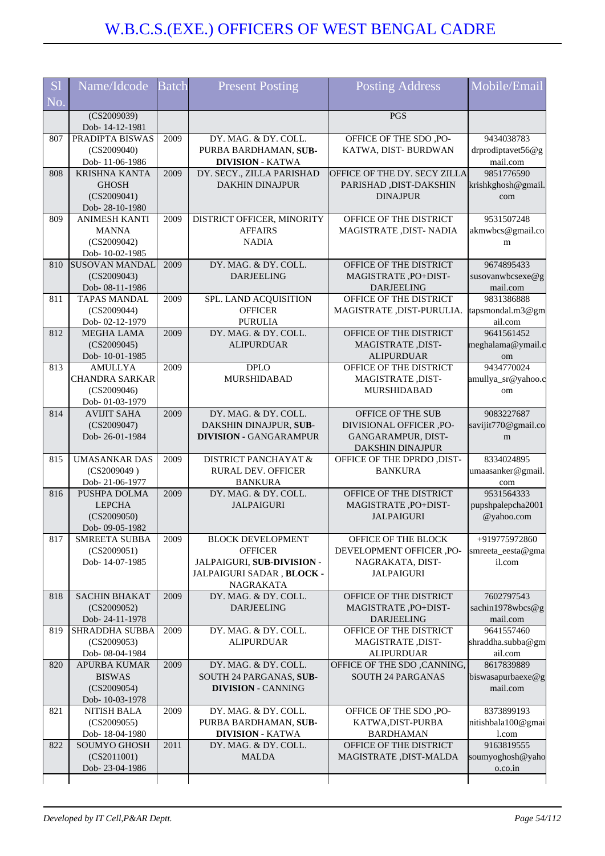| S <sub>1</sub> | Name/Idcode                          | <b>Batch</b> | <b>Present Posting</b>          | <b>Posting Address</b>                                | Mobile/Email                 |
|----------------|--------------------------------------|--------------|---------------------------------|-------------------------------------------------------|------------------------------|
| No.            |                                      |              |                                 |                                                       |                              |
|                | (CS2009039)<br>Dob-14-12-1981        |              |                                 | PGS                                                   |                              |
| 807            | PRADIPTA BISWAS                      | 2009         | DY. MAG. & DY. COLL.            | OFFICE OF THE SDO, PO-                                | 9434038783                   |
|                | (CS2009040)                          |              | PURBA BARDHAMAN, SUB-           | KATWA, DIST-BURDWAN                                   | drprodiptavet56@g            |
|                | Dob-11-06-1986                       |              | <b>DIVISION - KATWA</b>         |                                                       | mail.com                     |
| 808            | <b>KRISHNA KANTA</b>                 | 2009         | DY. SECY., ZILLA PARISHAD       | OFFICE OF THE DY. SECY ZILLA                          | 9851776590                   |
|                | <b>GHOSH</b><br>(CS2009041)          |              | <b>DAKHIN DINAJPUR</b>          | PARISHAD , DIST-DAKSHIN<br><b>DINAJPUR</b>            | krishkghosh@gmail.           |
|                | Dob-28-10-1980                       |              |                                 |                                                       | com                          |
| 809            | <b>ANIMESH KANTI</b>                 | 2009         | DISTRICT OFFICER, MINORITY      | OFFICE OF THE DISTRICT                                | 9531507248                   |
|                | <b>MANNA</b>                         |              | <b>AFFAIRS</b>                  | MAGISTRATE , DIST- NADIA                              | akmwbcs@gmail.co             |
|                | (CS2009042)                          |              | <b>NADIA</b>                    |                                                       | m                            |
|                | Dob-10-02-1985                       |              |                                 |                                                       |                              |
| 810            | <b>SUSOVAN MANDAL</b>                | 2009         | DY. MAG. & DY. COLL.            | OFFICE OF THE DISTRICT                                | 9674895433                   |
|                | (CS2009043)<br>Dob-08-11-1986        |              | <b>DARJEELING</b>               | MAGISTRATE, PO+DIST-<br><b>DARJEELING</b>             | susovanwbcsexe@g<br>mail.com |
| 811            | <b>TAPAS MANDAL</b>                  | 2009         | SPL. LAND ACQUISITION           | OFFICE OF THE DISTRICT                                | 9831386888                   |
|                | (CS2009044)                          |              | <b>OFFICER</b>                  | MAGISTRATE , DIST-PURULIA.                            | tapsmondal.m3@gm             |
|                | Dob-02-12-1979                       |              | <b>PURULIA</b>                  |                                                       | ail.com                      |
| 812            | <b>MEGHA LAMA</b>                    | 2009         | DY. MAG. & DY. COLL.            | OFFICE OF THE DISTRICT                                | 9641561452                   |
|                | (CS2009045)                          |              | <b>ALIPURDUAR</b>               | MAGISTRATE, DIST-                                     | meghalama@ymail.c            |
| 813            | Dob-10-01-1985<br><b>AMULLYA</b>     | 2009         | <b>DPLO</b>                     | <b>ALIPURDUAR</b><br>OFFICE OF THE DISTRICT           | om<br>9434770024             |
|                | <b>CHANDRA SARKAR</b>                |              | MURSHIDABAD                     | MAGISTRATE, DIST-                                     | amullya_sr@yahoo.c           |
|                | (CS2009046)                          |              |                                 | MURSHIDABAD                                           | om                           |
|                | Dob- 01-03-1979                      |              |                                 |                                                       |                              |
| 814            | <b>AVIJIT SAHA</b>                   | 2009         | DY. MAG. & DY. COLL.            | OFFICE OF THE SUB                                     | 9083227687                   |
|                | (CS2009047)                          |              | DAKSHIN DINAJPUR, SUB-          | DIVISIONAL OFFICER, PO-                               | savijit770@gmail.co          |
|                | Dob-26-01-1984                       |              | <b>DIVISION - GANGARAMPUR</b>   | GANGARAMPUR, DIST-                                    | m                            |
| 815            | <b>UMASANKAR DAS</b>                 | 2009         | <b>DISTRICT PANCHAYAT &amp;</b> | <b>DAKSHIN DINAJPUR</b><br>OFFICE OF THE DPRDO ,DIST- | 8334024895                   |
|                | (CS2009049)                          |              | RURAL DEV. OFFICER              | <b>BANKURA</b>                                        | umaasanker@gmail             |
|                | Dob-21-06-1977                       |              | <b>BANKURA</b>                  |                                                       | com                          |
| 816            | PUSHPA DOLMA                         | 2009         | DY. MAG. & DY. COLL.            | OFFICE OF THE DISTRICT                                | 9531564333                   |
|                | <b>LEPCHA</b>                        |              | <b>JALPAIGURI</b>               | MAGISTRATE, PO+DIST-                                  | pupshpalepcha2001            |
|                | (CS2009050)                          |              |                                 | <b>JALPAIGURI</b>                                     | @yahoo.com                   |
| 817            | Dob-09-05-1982<br>SMREETA SUBBA      | 2009         | <b>BLOCK DEVELOPMENT</b>        | OFFICE OF THE BLOCK                                   | +919775972860                |
|                | (CS2009051)                          |              | <b>OFFICER</b>                  | DEVELOPMENT OFFICER ,PO-                              | smreeta_eesta@gma            |
|                | Dob-14-07-1985                       |              | JALPAIGURI, SUB-DIVISION -      | NAGRAKATA, DIST-                                      | il.com                       |
|                |                                      |              | JALPAIGURI SADAR, BLOCK -       | <b>JALPAIGURI</b>                                     |                              |
|                |                                      |              | NAGRAKATA                       |                                                       |                              |
| 818            | <b>SACHIN BHAKAT</b>                 | 2009         | DY. MAG. & DY. COLL.            | OFFICE OF THE DISTRICT                                | 7602797543                   |
|                | (CS2009052)<br>Dob-24-11-1978        |              | <b>DARJEELING</b>               | MAGISTRATE, PO+DIST-<br><b>DARJEELING</b>             | sachin1978wbcs@g<br>mail.com |
| 819            | <b>SHRADDHA SUBBA</b>                | 2009         | DY. MAG. & DY. COLL.            | OFFICE OF THE DISTRICT                                | 9641557460                   |
|                | (CS2009053)                          |              | <b>ALIPURDUAR</b>               | MAGISTRATE, DIST-                                     | shraddha.subba@gm            |
|                | Dob- 08-04-1984                      |              |                                 | <b>ALIPURDUAR</b>                                     | ail.com                      |
| 820            | <b>APURBA KUMAR</b>                  | 2009         | DY. MAG. & DY. COLL.            | OFFICE OF THE SDO, CANNING,                           | 8617839889                   |
|                | <b>BISWAS</b>                        |              | SOUTH 24 PARGANAS, SUB-         | <b>SOUTH 24 PARGANAS</b>                              | biswasapurbaexe@g            |
|                | (CS2009054)                          |              | <b>DIVISION - CANNING</b>       |                                                       | mail.com                     |
| 821            | Dob-10-03-1978<br><b>NITISH BALA</b> | 2009         | DY. MAG. & DY. COLL.            | OFFICE OF THE SDO, PO-                                | 8373899193                   |
|                | (CS2009055)                          |              | PURBA BARDHAMAN, SUB-           | KATWA, DIST-PURBA                                     | nitishbala100@gmai           |
|                | Dob-18-04-1980                       |              | <b>DIVISION - KATWA</b>         | <b>BARDHAMAN</b>                                      | l.com                        |
| 822            | <b>SOUMYO GHOSH</b>                  | 2011         | DY. MAG. & DY. COLL.            | OFFICE OF THE DISTRICT                                | 9163819555                   |
|                | (CS2011001)                          |              | <b>MALDA</b>                    | MAGISTRATE , DIST-MALDA                               | soumyoghosh@yaho             |
|                | Dob-23-04-1986                       |              |                                 |                                                       | o.co.in                      |
|                |                                      |              |                                 |                                                       |                              |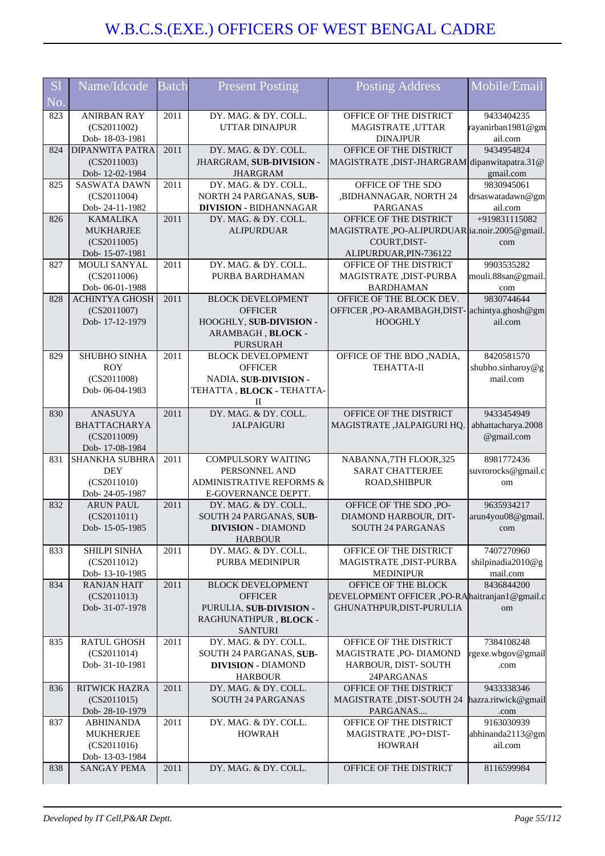| S <sub>1</sub>         | Name/Idcode                   | <b>Batch</b> | <b>Present Posting</b>                               | <b>Posting Address</b>                           | Mobile/Email        |
|------------------------|-------------------------------|--------------|------------------------------------------------------|--------------------------------------------------|---------------------|
| $\overline{\text{No}}$ |                               |              |                                                      |                                                  |                     |
| 823                    | <b>ANIRBAN RAY</b>            | 2011         | DY. MAG. & DY. COLL.                                 | OFFICE OF THE DISTRICT                           | 9433404235          |
|                        | (CS2011002)                   |              | <b>UTTAR DINAJPUR</b>                                | <b>MAGISTRATE, UTTAR</b>                         | rayanirban1981@gm   |
|                        | Dob-18-03-1981                |              |                                                      | <b>DINAJPUR</b>                                  | ail.com             |
| 824                    | <b>DIPANWITA PATRA</b>        | 2011         | DY. MAG. & DY. COLL.                                 | OFFICE OF THE DISTRICT                           | 9434954824          |
|                        | (CS2011003)                   |              | JHARGRAM, SUB-DIVISION -                             | MAGISTRATE, DIST-JHARGRAM dipanwitapatra.31@     |                     |
|                        | Dob-12-02-1984                |              | <b>JHARGRAM</b>                                      |                                                  | gmail.com           |
| 825                    | <b>SASWATA DAWN</b>           | 2011         | DY. MAG. & DY. COLL.                                 | OFFICE OF THE SDO                                | 9830945061          |
|                        | (CS2011004)                   |              | NORTH 24 PARGANAS, SUB-                              | ,BIDHANNAGAR, NORTH 24                           | drsaswatadawn@gm    |
|                        | Dob-24-11-1982                |              | <b>DIVISION - BIDHANNAGAR</b>                        | <b>PARGANAS</b>                                  | ail.com             |
| 826                    | <b>KAMALIKA</b>               | 2011         | DY. MAG. & DY. COLL.                                 | OFFICE OF THE DISTRICT                           | +919831115082       |
|                        | <b>MUKHARJEE</b>              |              | <b>ALIPURDUAR</b>                                    | MAGISTRATE, PO-ALIPURDUAR  ia.noir.2005@gmail.   |                     |
|                        | (CS2011005)<br>Dob-15-07-1981 |              |                                                      | COURT, DIST-                                     | com                 |
| 827                    | MOULI SANYAL                  | 2011         | DY. MAG. & DY. COLL.                                 | ALIPURDUAR, PIN-736122<br>OFFICE OF THE DISTRICT | 9903535282          |
|                        | (CS2011006)                   |              | PURBA BARDHAMAN                                      | MAGISTRATE , DIST-PURBA                          | mouli.88san@gmail.  |
|                        | Dob-06-01-1988                |              |                                                      | <b>BARDHAMAN</b>                                 | com                 |
| 828                    | <b>ACHINTYA GHOSH</b>         | 2011         | <b>BLOCK DEVELOPMENT</b>                             | OFFICE OF THE BLOCK DEV.                         | 9830744644          |
|                        | (CS2011007)                   |              | <b>OFFICER</b>                                       | OFFICER, PO-ARAMBAGH, DIST- achintya.ghosh@gm    |                     |
|                        | Dob-17-12-1979                |              | HOOGHLY, SUB-DIVISION -                              | <b>HOOGHLY</b>                                   | ail.com             |
|                        |                               |              | ARAMBAGH, BLOCK -                                    |                                                  |                     |
|                        |                               |              | <b>PURSURAH</b>                                      |                                                  |                     |
| 829                    | SHUBHO SINHA                  | 2011         | <b>BLOCK DEVELOPMENT</b>                             | OFFICE OF THE BDO , NADIA,                       | 8420581570          |
|                        | <b>ROY</b>                    |              | <b>OFFICER</b>                                       | <b>TEHATTA-II</b>                                | shubho.sinharoy@g   |
|                        | (CS2011008)                   |              | NADIA, SUB-DIVISION -                                |                                                  | mail.com            |
|                        | Dob-06-04-1983                |              | TEHATTA, BLOCK - TEHATTA-                            |                                                  |                     |
|                        |                               |              | П                                                    |                                                  |                     |
| 830                    | <b>ANASUYA</b>                | 2011         | DY. MAG. & DY. COLL.                                 | OFFICE OF THE DISTRICT                           | 9433454949          |
|                        | <b>BHATTACHARYA</b>           |              | <b>JALPAIGURI</b>                                    | MAGISTRATE , JALPAIGURI HQ.                      | abhattacharya.2008  |
|                        | (CS2011009)                   |              |                                                      |                                                  | @gmail.com          |
|                        | Dob-17-08-1984                |              |                                                      |                                                  |                     |
| 831                    | <b>SHANKHA SUBHRA</b>         | 2011         | <b>COMPULSORY WAITING</b>                            | NABANNA,7TH FLOOR,325                            | 8981772436          |
|                        | <b>DEY</b>                    |              | PERSONNEL AND<br><b>ADMINISTRATIVE REFORMS &amp;</b> | <b>SARAT CHATTERJEE</b><br>ROAD, SHIBPUR         | suvrorocks@gmail.c  |
|                        | (CS2011010)<br>Dob-24-05-1987 |              | E-GOVERNANCE DEPTT.                                  |                                                  | om                  |
| 832                    | <b>ARUN PAUL</b>              | 2011         | DY. MAG. & DY. COLL.                                 | OFFICE OF THE SDO, PO-                           | 9635934217          |
|                        | (CS2011011)                   |              | SOUTH 24 PARGANAS, SUB-                              | DIAMOND HARBOUR, DIT-                            | arun4you08@gmail.   |
|                        | Dob-15-05-1985                |              | <b>DIVISION - DIAMOND</b>                            | <b>SOUTH 24 PARGANAS</b>                         | com                 |
|                        |                               |              | <b>HARBOUR</b>                                       |                                                  |                     |
| 833                    | SHILPI SINHA                  | 2011         | DY. MAG. & DY. COLL.                                 | OFFICE OF THE DISTRICT                           | 7407270960          |
|                        | (CS2011012)                   |              | PURBA MEDINIPUR                                      | MAGISTRATE, DIST-PURBA                           | shilpinadia2010@g   |
|                        | Dob-13-10-1985                |              |                                                      | <b>MEDINIPUR</b>                                 | mail.com            |
| 834                    | <b>RANJAN HAIT</b>            | 2011         | <b>BLOCK DEVELOPMENT</b>                             | OFFICE OF THE BLOCK                              | 8436844200          |
|                        | (CS2011013)                   |              | <b>OFFICER</b>                                       | DEVELOPMENT OFFICER ,PO-RAhaitranjan1@gmail.c    |                     |
|                        | Dob- 31-07-1978               |              | PURULIA, SUB-DIVISION -                              | GHUNATHPUR, DIST-PURULIA                         | om                  |
|                        |                               |              | RAGHUNATHPUR, BLOCK -                                |                                                  |                     |
|                        |                               |              | <b>SANTURI</b>                                       |                                                  |                     |
| 835                    | <b>RATUL GHOSH</b>            | 2011         | DY. MAG. & DY. COLL.                                 | OFFICE OF THE DISTRICT                           | 7384108248          |
|                        | (CS2011014)<br>Dob-31-10-1981 |              | SOUTH 24 PARGANAS, SUB-                              | MAGISTRATE ,PO- DIAMOND                          | rgexe.wbgov@gmail   |
|                        |                               |              | <b>DIVISION - DIAMOND</b>                            | HARBOUR, DIST-SOUTH<br>24PARGANAS                | .com                |
| 836                    | <b>RITWICK HAZRA</b>          | 2011         | <b>HARBOUR</b><br>DY. MAG. & DY. COLL.               | OFFICE OF THE DISTRICT                           | 9433338346          |
|                        | (CS2011015)                   |              | SOUTH 24 PARGANAS                                    | <b>MAGISTRATE, DIST-SOUTH 24</b>                 | hazra.ritwick@gmail |
|                        | Dob-28-10-1979                |              |                                                      | PARGANAS                                         | .com                |
| 837                    | <b>ABHINANDA</b>              | 2011         | DY. MAG. & DY. COLL.                                 | OFFICE OF THE DISTRICT                           | 9163030939          |
|                        | <b>MUKHERJEE</b>              |              | <b>HOWRAH</b>                                        | MAGISTRATE, PO+DIST-                             | abhinanda2113@gm    |
|                        | (CS2011016)                   |              |                                                      | <b>HOWRAH</b>                                    | ail.com             |
|                        | Dob-13-03-1984                |              |                                                      |                                                  |                     |
| 838                    | SANGAY PEMA                   | 2011         | DY. MAG. & DY. COLL.                                 | OFFICE OF THE DISTRICT                           | 8116599984          |
|                        |                               |              |                                                      |                                                  |                     |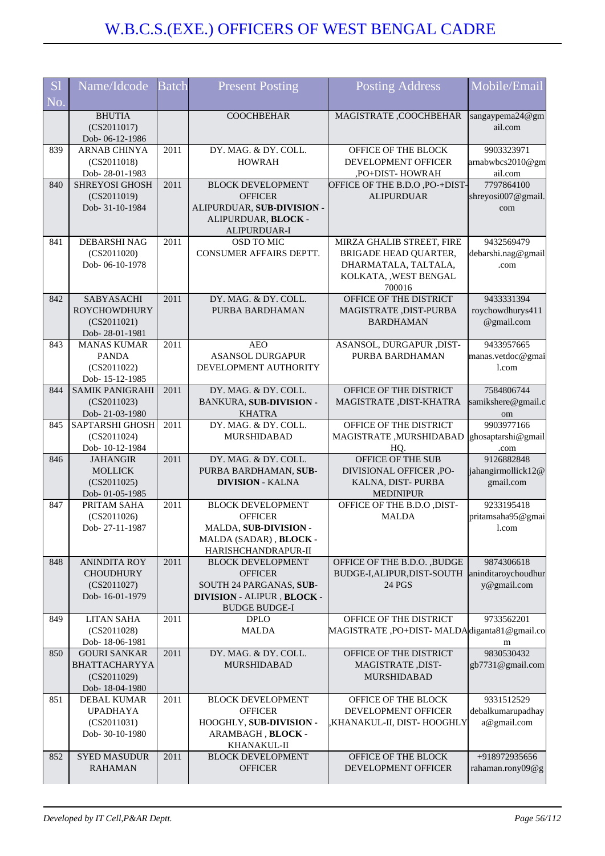| S <sub>1</sub><br>No. | Name/Idcode                                                                  | <b>Batch</b> | <b>Present Posting</b>                                                                                                      | <b>Posting Address</b>                                                                                         | Mobile/Email                                     |
|-----------------------|------------------------------------------------------------------------------|--------------|-----------------------------------------------------------------------------------------------------------------------------|----------------------------------------------------------------------------------------------------------------|--------------------------------------------------|
|                       | <b>BHUTIA</b><br>(CS2011017)<br>Dob-06-12-1986                               |              | <b>COOCHBEHAR</b>                                                                                                           | MAGISTRATE ,COOCHBEHAR                                                                                         | sangaypema24@gm<br>ail.com                       |
| 839                   | ARNAB CHINYA<br>(CS2011018)<br>Dob-28-01-1983                                | 2011         | DY. MAG. & DY. COLL.<br><b>HOWRAH</b>                                                                                       | OFFICE OF THE BLOCK<br>DEVELOPMENT OFFICER<br>,PO+DIST-HOWRAH                                                  | 9903323971<br>arnabwbcs2010@gm<br>ail.com        |
| 840                   | <b>SHREYOSI GHOSH</b><br>(CS2011019)<br>Dob- 31-10-1984                      | 2011         | <b>BLOCK DEVELOPMENT</b><br><b>OFFICER</b><br>ALIPURDUAR, SUB-DIVISION -<br>ALIPURDUAR, BLOCK -<br>ALIPURDUAR-I             | OFFICE OF THE B.D.O , PO-+DIST-<br><b>ALIPURDUAR</b>                                                           | 7797864100<br>shreyosi007@gmail.<br>com          |
| 841                   | DEBARSHI NAG<br>(CS2011020)<br>Dob-06-10-1978                                | 2011         | OSD TO MIC<br>CONSUMER AFFAIRS DEPTT.                                                                                       | MIRZA GHALIB STREET, FIRE<br>BRIGADE HEAD QUARTER,<br>DHARMATALA, TALTALA,<br>KOLKATA, , WEST BENGAL<br>700016 | 9432569479<br>debarshi.nag@gmail<br>.com         |
| 842                   | SABYASACHI<br><b>ROYCHOWDHURY</b><br>(CS2011021)<br>Dob-28-01-1981           | 2011         | DY. MAG. & DY. COLL.<br>PURBA BARDHAMAN                                                                                     | OFFICE OF THE DISTRICT<br>MAGISTRATE, DIST-PURBA<br><b>BARDHAMAN</b>                                           | 9433331394<br>roychowdhurys411<br>@gmail.com     |
| 843                   | <b>MANAS KUMAR</b><br><b>PANDA</b><br>(CS2011022)<br>Dob-15-12-1985          | 2011         | <b>AEO</b><br><b>ASANSOL DURGAPUR</b><br>DEVELOPMENT AUTHORITY                                                              | ASANSOL, DURGAPUR , DIST-<br>PURBA BARDHAMAN                                                                   | 9433957665<br>manas.vetdoc@gmai<br>1.com         |
| 844                   | <b>SAMIK PANIGRAHI</b><br>(CS2011023)<br>Dob-21-03-1980                      | 2011         | DY. MAG. & DY. COLL.<br><b>BANKURA, SUB-DIVISION -</b><br><b>KHATRA</b>                                                     | OFFICE OF THE DISTRICT<br>MAGISTRATE, DIST-KHATRA                                                              | 7584806744<br>samikshere@gmail.c<br>om           |
| 845                   | SAPTARSHI GHOSH<br>(CS2011024)<br>Dob-10-12-1984                             | 2011         | DY. MAG. & DY. COLL.<br>MURSHIDABAD                                                                                         | OFFICE OF THE DISTRICT<br>MAGISTRATE, MURSHIDABAD<br>HQ.                                                       | 9903977166<br>ghosaptarshi@gmail<br>.com         |
| 846                   | <b>JAHANGIR</b><br><b>MOLLICK</b><br>(CS2011025)<br>Dob- 01-05-1985          | 2011         | DY. MAG. & DY. COLL.<br>PURBA BARDHAMAN, SUB-<br><b>DIVISION - KALNA</b>                                                    | OFFICE OF THE SUB<br>DIVISIONAL OFFICER ,PO-<br>KALNA, DIST-PURBA<br><b>MEDINIPUR</b>                          | 9126882848<br>jahangirmollick12@<br>gmail.com    |
| 847                   | PRITAM SAHA<br>(CS2011026)<br>Dob-27-11-1987                                 | 2011         | <b>BLOCK DEVELOPMENT</b><br><b>OFFICER</b><br><b>MALDA, SUB-DIVISION -</b><br>MALDA (SADAR), BLOCK -<br>HARISHCHANDRAPUR-II | OFFICE OF THE B.D.O , DIST-<br><b>MALDA</b>                                                                    | 9233195418<br>pritamsaha95@gmai<br>l.com         |
| 848                   | <b>ANINDITA ROY</b><br><b>CHOUDHURY</b><br>(CS2011027)<br>Dob-16-01-1979     | 2011         | <b>BLOCK DEVELOPMENT</b><br><b>OFFICER</b><br>SOUTH 24 PARGANAS, SUB-<br>DIVISION - ALIPUR, BLOCK -<br><b>BUDGE BUDGE-I</b> | OFFICE OF THE B.D.O., BUDGE<br>BUDGE-I, ALIPUR, DIST-SOUTH<br>24 PGS                                           | 9874306618<br>aninditaroychoudhur<br>y@gmail.com |
| 849                   | <b>LITAN SAHA</b><br>(CS2011028)<br>Dob-18-06-1981                           | 2011         | <b>DPLO</b><br><b>MALDA</b>                                                                                                 | OFFICE OF THE DISTRICT<br>MAGISTRATE, PO+DIST-MALDAdiganta81@gmail.co                                          | 9733562201<br>m                                  |
| 850                   | <b>GOURI SANKAR</b><br><b>BHATTACHARYYA</b><br>(CS2011029)<br>Dob-18-04-1980 | 2011         | DY. MAG. & DY. COLL.<br>MURSHIDABAD                                                                                         | OFFICE OF THE DISTRICT<br>MAGISTRATE, DIST-<br><b>MURSHIDABAD</b>                                              | 9830530432<br>gb7731@gmail.com                   |
| 851                   | <b>DEBAL KUMAR</b><br><b>UPADHAYA</b><br>(CS2011031)<br>Dob-30-10-1980       | 2011         | <b>BLOCK DEVELOPMENT</b><br><b>OFFICER</b><br>HOOGHLY, SUB-DIVISION -<br>ARAMBAGH, BLOCK -<br>KHANAKUL-II                   | OFFICE OF THE BLOCK<br>DEVELOPMENT OFFICER<br>,KHANAKUL-II, DIST- HOOGHLY                                      | 9331512529<br>debalkumarupadhay<br>a@gmail.com   |
| 852                   | <b>SYED MASUDUR</b><br><b>RAHAMAN</b>                                        | 2011         | <b>BLOCK DEVELOPMENT</b><br><b>OFFICER</b>                                                                                  | OFFICE OF THE BLOCK<br>DEVELOPMENT OFFICER                                                                     | +918972935656<br>rahaman.rony09@g                |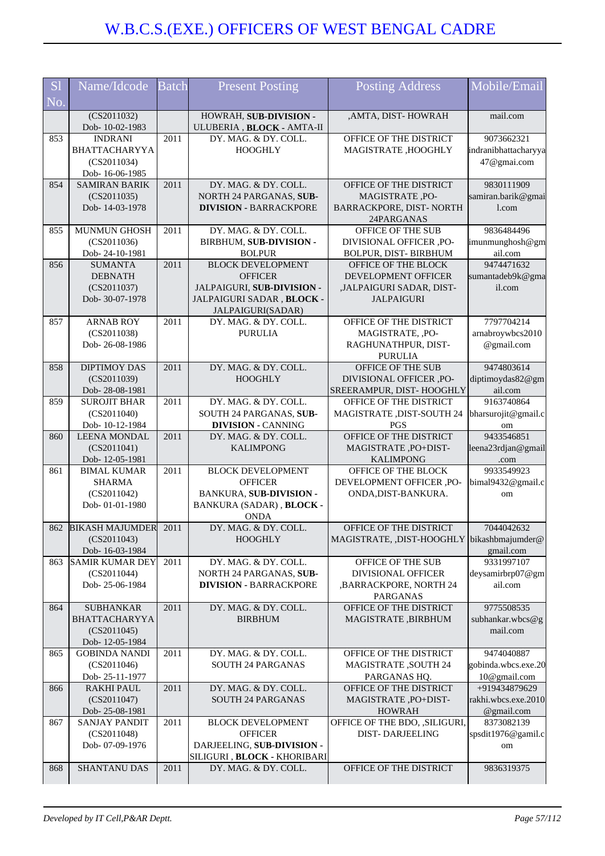| S <sub>1</sub> | Name/Idcode                                | Batch | <b>Present Posting</b>                                  | <b>Posting Address</b>                        | Mobile/Email         |
|----------------|--------------------------------------------|-------|---------------------------------------------------------|-----------------------------------------------|----------------------|
| No.            |                                            |       |                                                         |                                               |                      |
|                | $\overline{(CS2011032)}$<br>Dob-10-02-1983 |       | HOWRAH, SUB-DIVISION -<br>ULUBERIA, BLOCK - AMTA-II     | , AMTA, DIST-HOWRAH                           | mail.com             |
| 853            | <b>INDRANI</b>                             | 2011  | DY. MAG. & DY. COLL.                                    | OFFICE OF THE DISTRICT                        | 9073662321           |
|                | BHATTACHARYYA                              |       | <b>HOOGHLY</b>                                          | MAGISTRATE, HOOGHLY                           | indranibhattacharyya |
|                | (CS2011034)                                |       |                                                         |                                               | 47@gmai.com          |
|                | Dob-16-06-1985                             |       |                                                         |                                               |                      |
| 854            | <b>SAMIRAN BARIK</b>                       | 2011  | DY. MAG. & DY. COLL.                                    | OFFICE OF THE DISTRICT                        | 9830111909           |
|                | (CS2011035)                                |       | NORTH 24 PARGANAS, SUB-                                 | MAGISTRATE, PO-                               | samiran.barik@gmai   |
|                | Dob-14-03-1978                             |       | <b>DIVISION - BARRACKPORE</b>                           | BARRACKPORE, DIST- NORTH<br>24PARGANAS        | 1.com                |
| 855            | MUNMUN GHOSH                               | 2011  | DY. MAG. & DY. COLL.                                    | OFFICE OF THE SUB                             | 9836484496           |
|                | (CS2011036)                                |       | BIRBHUM, SUB-DIVISION -                                 | DIVISIONAL OFFICER ,PO-                       | imunmunghosh@gm      |
|                | Dob-24-10-1981                             |       | <b>BOLPUR</b>                                           | BOLPUR, DIST-BIRBHUM                          | ail.com              |
| 856            | <b>SUMANTA</b>                             | 2011  | <b>BLOCK DEVELOPMENT</b>                                | OFFICE OF THE BLOCK                           | 9474471632           |
|                | <b>DEBNATH</b>                             |       | <b>OFFICER</b>                                          | DEVELOPMENT OFFICER                           | sumantadeb9k@gma     |
|                | (CS2011037)<br>Dob- 30-07-1978             |       | JALPAIGURI, SUB-DIVISION -<br>JALPAIGURI SADAR, BLOCK - | ,JALPAIGURI SADAR, DIST-<br><b>JALPAIGURI</b> | il.com               |
|                |                                            |       | JALPAIGURI(SADAR)                                       |                                               |                      |
| 857            | <b>ARNAB ROY</b>                           | 2011  | DY. MAG. & DY. COLL.                                    | OFFICE OF THE DISTRICT                        | 7797704214           |
|                | (CS2011038)                                |       | <b>PURULIA</b>                                          | MAGISTRATE, ,PO-                              | arnabroywbcs2010     |
|                | Dob-26-08-1986                             |       |                                                         | RAGHUNATHPUR, DIST-                           | @gmail.com           |
|                |                                            |       |                                                         | <b>PURULIA</b>                                |                      |
| 858            | <b>DIPTIMOY DAS</b>                        | 2011  | DY. MAG. & DY. COLL.                                    | OFFICE OF THE SUB                             | 9474803614           |
|                | (CS2011039)                                |       | <b>HOOGHLY</b>                                          | DIVISIONAL OFFICER ,PO-                       | diptimoydas82@gm     |
|                | Dob-28-08-1981                             |       |                                                         | SREERAMPUR, DIST-HOOGHLY                      | ail.com              |
| 859            | <b>SUROJIT BHAR</b>                        | 2011  | DY. MAG. & DY. COLL.                                    | OFFICE OF THE DISTRICT                        | 9163740864           |
|                | (CS2011040)                                |       | SOUTH 24 PARGANAS, SUB-                                 | MAGISTRATE, DIST-SOUTH 24                     | bharsurojit@gmail.c  |
|                | Dob-10-12-1984                             |       | <b>DIVISION - CANNING</b>                               | <b>PGS</b>                                    | om                   |
| 860            | <b>LEENA MONDAL</b>                        | 2011  | DY. MAG. & DY. COLL.                                    | OFFICE OF THE DISTRICT                        | 9433546851           |
|                | (CS2011041)                                |       | <b>KALIMPONG</b>                                        | MAGISTRATE, PO+DIST-<br><b>KALIMPONG</b>      | leena23rdjan@gmail   |
| 861            | Dob-12-05-1981<br><b>BIMAL KUMAR</b>       | 2011  | <b>BLOCK DEVELOPMENT</b>                                | OFFICE OF THE BLOCK                           | .com<br>9933549923   |
|                | <b>SHARMA</b>                              |       | <b>OFFICER</b>                                          | DEVELOPMENT OFFICER ,PO-                      | bimal9432@gmail.c    |
|                | (CS2011042)                                |       | <b>BANKURA, SUB-DIVISION -</b>                          | ONDA, DIST-BANKURA.                           | om                   |
|                | Dob-01-01-1980                             |       | BANKURA (SADAR), BLOCK -                                |                                               |                      |
|                |                                            |       | <b>ONDA</b>                                             |                                               |                      |
|                | 862 BIKASH MAJUMDER 2011                   |       | DY. MAG. & DY. COLL.                                    | <b>OFFICE OF THE DISTRICT</b>                 | 7044042632           |
|                | (CS2011043)                                |       | <b>HOOGHLY</b>                                          | MAGISTRATE, ,DIST-HOOGHLY bikashbmajumder@    |                      |
|                | Dob-16-03-1984                             |       |                                                         |                                               | gmail.com            |
| 863            | <b>SAMIR KUMAR DEY</b>                     | 2011  | DY. MAG. & DY. COLL.                                    | OFFICE OF THE SUB                             | 9331997107           |
|                | (CS2011044)                                |       | NORTH 24 PARGANAS, SUB-                                 | <b>DIVISIONAL OFFICER</b>                     | deysamirbrp07@gm     |
|                | Dob-25-06-1984                             |       | <b>DIVISION - BARRACKPORE</b>                           | , BARRACKPORE, NORTH 24<br><b>PARGANAS</b>    | ail.com              |
| 864            | <b>SUBHANKAR</b>                           | 2011  | DY. MAG. & DY. COLL.                                    | OFFICE OF THE DISTRICT                        | 9775508535           |
|                | <b>BHATTACHARYYA</b>                       |       | <b>BIRBHUM</b>                                          | MAGISTRATE, BIRBHUM                           | subhankar.wbcs@g     |
|                | (CS2011045)                                |       |                                                         |                                               | mail.com             |
|                | Dob-12-05-1984                             |       |                                                         |                                               |                      |
| 865            | <b>GOBINDA NANDI</b>                       | 2011  | DY. MAG. & DY. COLL.                                    | OFFICE OF THE DISTRICT                        | 9474040887           |
|                | (CS2011046)                                |       | <b>SOUTH 24 PARGANAS</b>                                | <b>MAGISTRATE, SOUTH 24</b>                   | gobinda.wbcs.exe.20  |
|                | Dob-25-11-1977                             |       |                                                         | PARGANAS HQ.                                  | 10@gmail.com         |
| 866            | <b>RAKHI PAUL</b>                          | 2011  | DY. MAG. & DY. COLL.                                    | OFFICE OF THE DISTRICT                        | +919434879629        |
|                | (CS2011047)                                |       | <b>SOUTH 24 PARGANAS</b>                                | MAGISTRATE, PO+DIST-                          | rakhi.wbcs.exe.2010  |
|                | Dob-25-08-1981                             |       |                                                         | <b>HOWRAH</b>                                 | @gmail.com           |
| 867            | <b>SANJAY PANDIT</b>                       | 2011  | <b>BLOCK DEVELOPMENT</b>                                | OFFICE OF THE BDO, , SILIGURI,                | 8373082139           |
|                | (CS2011048)<br>Dob- 07-09-1976             |       | <b>OFFICER</b><br>DARJEELING, SUB-DIVISION -            | <b>DIST-DARJEELING</b>                        | spsdit1976@gamil.c   |
|                |                                            |       | SILIGURI, BLOCK - KHORIBARI                             |                                               | om                   |
| 868            | SHANTANU DAS                               | 2011  | DY. MAG. & DY. COLL.                                    | OFFICE OF THE DISTRICT                        | 9836319375           |
|                |                                            |       |                                                         |                                               |                      |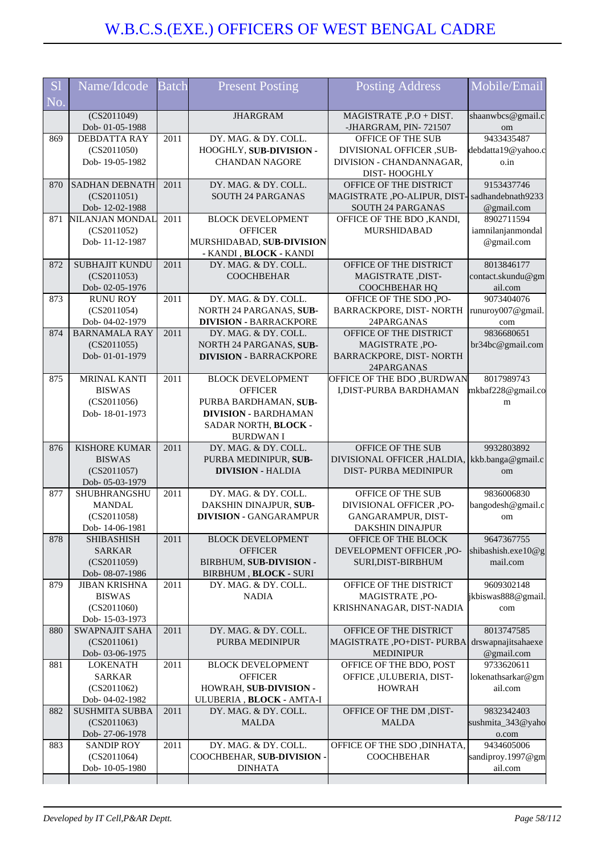| <b>S</b> l | Name/Idcode                             | <b>Batch</b> | <b>Present Posting</b>                                   | <b>Posting Address</b>                                 | Mobile/Email                    |
|------------|-----------------------------------------|--------------|----------------------------------------------------------|--------------------------------------------------------|---------------------------------|
| No.        |                                         |              |                                                          |                                                        |                                 |
|            | (CS2011049)                             |              | <b>JHARGRAM</b>                                          | MAGISTRATE, P.O + DIST.                                | shaanwbcs@gmail.c               |
|            | Dob-01-05-1988                          |              |                                                          | -JHARGRAM, PIN-721507                                  | om                              |
| 869        | <b>DEBDATTA RAY</b>                     | 2011         | DY. MAG. & DY. COLL.                                     | <b>OFFICE OF THE SUB</b>                               | 9433435487                      |
|            | (CS2011050)                             |              | HOOGHLY, SUB-DIVISION -                                  | DIVISIONAL OFFICER, SUB-                               | debdatta19@yahoo.c              |
|            | Dob-19-05-1982                          |              | <b>CHANDAN NAGORE</b>                                    | DIVISION - CHANDANNAGAR,                               | o.in                            |
|            |                                         | 2011         | DY. MAG. & DY. COLL.                                     | DIST-HOOGHLY                                           |                                 |
| 870        | <b>SADHAN DEBNATH</b><br>(CS2011051)    |              | <b>SOUTH 24 PARGANAS</b>                                 | OFFICE OF THE DISTRICT<br>MAGISTRATE ,PO-ALIPUR, DIST- | 9153437746<br>sadhandebnath9233 |
|            | Dob-12-02-1988                          |              |                                                          | SOUTH 24 PARGANAS                                      | @gmail.com                      |
| 871        | NILANJAN MONDAL                         | 2011         | <b>BLOCK DEVELOPMENT</b>                                 | OFFICE OF THE BDO, KANDI,                              | 8902711594                      |
|            | (CS2011052)                             |              | <b>OFFICER</b>                                           | MURSHIDABAD                                            | iamnilanjanmondal               |
|            | Dob-11-12-1987                          |              | MURSHIDABAD, SUB-DIVISION                                |                                                        | @gmail.com                      |
|            |                                         |              | - KANDI, BLOCK - KANDI                                   |                                                        |                                 |
| 872        | <b>SUBHAJIT KUNDU</b>                   | 2011         | DY. MAG. & DY. COLL.                                     | OFFICE OF THE DISTRICT                                 | 8013846177                      |
|            | (CS2011053)                             |              | <b>COOCHBEHAR</b>                                        | MAGISTRATE, DIST-                                      | contact.skundu@gm               |
|            | Dob-02-05-1976                          |              |                                                          | COOCHBEHAR HQ                                          | ail.com                         |
| 873        | <b>RUNU ROY</b>                         | 2011         | DY. MAG. & DY. COLL.                                     | OFFICE OF THE SDO, PO-                                 | 9073404076                      |
|            | (CS2011054)<br>Dob-04-02-1979           |              | NORTH 24 PARGANAS, SUB-<br><b>DIVISION - BARRACKPORE</b> | BARRACKPORE, DIST- NORTH<br>24PARGANAS                 | runuroy007@gmail.               |
| 874        | <b>BARNAMALA RAY</b>                    | 2011         | DY. MAG. & DY. COLL.                                     | OFFICE OF THE DISTRICT                                 | com<br>9836680651               |
|            | (CS2011055)                             |              | NORTH 24 PARGANAS, SUB-                                  | MAGISTRATE, PO-                                        | br34bc@gmail.com                |
|            | Dob-01-01-1979                          |              | <b>DIVISION - BARRACKPORE</b>                            | BARRACKPORE, DIST- NORTH                               |                                 |
|            |                                         |              |                                                          | 24PARGANAS                                             |                                 |
| 875        | <b>MRINAL KANTI</b>                     | 2011         | <b>BLOCK DEVELOPMENT</b>                                 | OFFICE OF THE BDO, BURDWAN                             | 8017989743                      |
|            | <b>BISWAS</b>                           |              | <b>OFFICER</b>                                           | I, DIST-PURBA BARDHAMAN                                | mkbaf228@gmail.co               |
|            | (CS2011056)                             |              | PURBA BARDHAMAN, SUB-                                    |                                                        | ${\rm m}$                       |
|            | Dob-18-01-1973                          |              | <b>DIVISION - BARDHAMAN</b>                              |                                                        |                                 |
|            |                                         |              | SADAR NORTH, BLOCK -                                     |                                                        |                                 |
| 876        | <b>KISHORE KUMAR</b>                    | 2011         | <b>BURDWAN I</b><br>DY. MAG. & DY. COLL.                 | OFFICE OF THE SUB                                      | 9932803892                      |
|            | <b>BISWAS</b>                           |              | PURBA MEDINIPUR, SUB-                                    | DIVISIONAL OFFICER , HALDIA,                           | kkb.banga@gmail.c               |
|            | (CS2011057)                             |              | <b>DIVISION - HALDIA</b>                                 | DIST-PURBA MEDINIPUR                                   | om                              |
|            | Dob-05-03-1979                          |              |                                                          |                                                        |                                 |
| 877        | SHUBHRANGSHU                            | 2011         | DY. MAG. & DY. COLL.                                     | OFFICE OF THE SUB                                      | 9836006830                      |
|            | <b>MANDAL</b>                           |              | DAKSHIN DINAJPUR, SUB-                                   | DIVISIONAL OFFICER ,PO-                                | bangodesh@gmail.c               |
|            | (CS2011058)                             |              | <b>DIVISION - GANGARAMPUR</b>                            | GANGARAMPUR, DIST-                                     | om                              |
|            | Dob-14-06-1981                          |              |                                                          | DAKSHIN DINAJPUR                                       |                                 |
| 878        | <b>SHIBASHISH</b>                       | 2011         | <b>BLOCK DEVELOPMENT</b>                                 | OFFICE OF THE BLOCK                                    | 9647367755                      |
|            | <b>SARKAR</b>                           |              | <b>OFFICER</b>                                           | DEVELOPMENT OFFICER, PO-                               | shibashish.exe10@g              |
|            | (CS2011059)<br>Dob- 08-07-1986          |              | BIRBHUM, SUB-DIVISION -                                  | SURI, DIST-BIRBHUM                                     | mail.com                        |
| 879        | <b>JIBAN KRISHNA</b>                    | 2011         | BIRBHUM, BLOCK - SURI<br>DY. MAG. & DY. COLL.            | OFFICE OF THE DISTRICT                                 | 9609302148                      |
|            | <b>BISWAS</b>                           |              | <b>NADIA</b>                                             | MAGISTRATE, PO-                                        | jkbiswas888@gmail.              |
|            | (CS2011060)                             |              |                                                          | KRISHNANAGAR, DIST-NADIA                               | com                             |
|            | Dob-15-03-1973                          |              |                                                          |                                                        |                                 |
| 880        | <b>SWAPNAJIT SAHA</b>                   | 2011         | DY. MAG. & DY. COLL.                                     | OFFICE OF THE DISTRICT                                 | 8013747585                      |
|            | (CS2011061)                             |              | PURBA MEDINIPUR                                          | MAGISTRATE, PO+DIST- PURBA                             | drswapnajitsahaexe              |
|            | Dob-03-06-1975                          |              |                                                          | <b>MEDINIPUR</b>                                       | @gmail.com                      |
| 881        | <b>LOKENATH</b>                         | 2011         | <b>BLOCK DEVELOPMENT</b>                                 | OFFICE OF THE BDO, POST                                | 9733620611                      |
|            | <b>SARKAR</b>                           |              | <b>OFFICER</b>                                           | OFFICE, ULUBERIA, DIST-                                | lokenathsarkar@gm               |
|            | (CS2011062)                             |              | HOWRAH, SUB-DIVISION -                                   | <b>HOWRAH</b>                                          | ail.com                         |
| 882        | Dob-04-02-1982<br><b>SUSHMITA SUBBA</b> | 2011         | ULUBERIA, BLOCK - AMTA-I<br>DY. MAG. & DY. COLL.         | OFFICE OF THE DM ,DIST-                                | 9832342403                      |
|            | (CS2011063)                             |              | <b>MALDA</b>                                             | <b>MALDA</b>                                           | sushmita_343@yaho               |
|            | Dob-27-06-1978                          |              |                                                          |                                                        | o.com                           |
| 883        | <b>SANDIP ROY</b>                       | 2011         | DY. MAG. & DY. COLL.                                     | OFFICE OF THE SDO , DINHATA,                           | 9434605006                      |
|            | (CS2011064)                             |              | COOCHBEHAR, SUB-DIVISION -                               | <b>COOCHBEHAR</b>                                      | sandiproy.1997@gm               |
|            | Dob-10-05-1980                          |              | <b>DINHATA</b>                                           |                                                        | ail.com                         |
|            |                                         |              |                                                          |                                                        |                                 |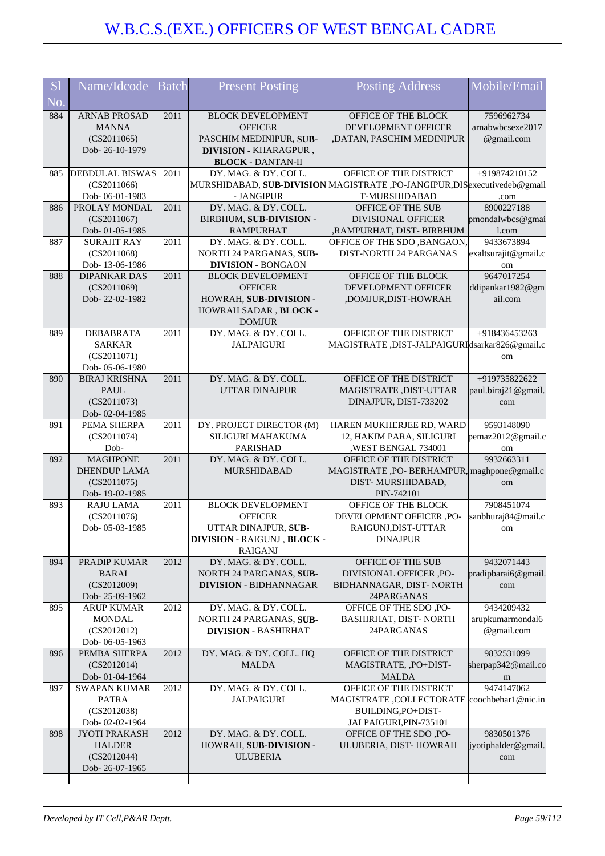| <b>S1</b> | Name/Idcode                           | Batch | <b>Present Posting</b>                     | Posting Address                                                          | Mobile/Email                   |
|-----------|---------------------------------------|-------|--------------------------------------------|--------------------------------------------------------------------------|--------------------------------|
| No.       |                                       |       |                                            |                                                                          |                                |
| 884       | <b>ARNAB PROSAD</b>                   | 2011  | <b>BLOCK DEVELOPMENT</b>                   | OFFICE OF THE BLOCK                                                      | 7596962734                     |
|           | <b>MANNA</b><br>(CS2011065)           |       | <b>OFFICER</b><br>PASCHIM MEDINIPUR, SUB-  | DEVELOPMENT OFFICER<br>,DATAN, PASCHIM MEDINIPUR                         | arnabwbcsexe2017<br>@gmail.com |
|           | Dob-26-10-1979                        |       | <b>DIVISION - KHARAGPUR,</b>               |                                                                          |                                |
|           |                                       |       | <b>BLOCK - DANTAN-II</b>                   |                                                                          |                                |
| 885       | <b>DEBDULAL BISWAS</b>                | 2011  | DY. MAG. & DY. COLL.                       | OFFICE OF THE DISTRICT                                                   | +919874210152                  |
|           | (CS2011066)                           |       |                                            | MURSHIDABAD, SUB-DIVISION MAGISTRATE, PO-JANGIPUR, DISexecutivedeb@gmail |                                |
| 886       | Dob-06-01-1983<br>PROLAY MONDAL       | 2011  | - JANGIPUR<br>DY. MAG. & DY. COLL.         | T-MURSHIDABAD<br>OFFICE OF THE SUB                                       | .com<br>8900227188             |
|           | (CS2011067)                           |       | BIRBHUM, SUB-DIVISION -                    | <b>DIVISIONAL OFFICER</b>                                                | pmondalwbcs@gmai               |
|           | Dob-01-05-1985                        |       | <b>RAMPURHAT</b>                           | ,RAMPURHAT, DIST- BIRBHUM                                                | l.com                          |
| 887       | <b>SURAJIT RAY</b>                    | 2011  | DY. MAG. & DY. COLL.                       | OFFICE OF THE SDO, BANGAON,                                              | 9433673894                     |
|           | (CS2011068)                           |       | NORTH 24 PARGANAS, SUB-                    | <b>DIST-NORTH 24 PARGANAS</b>                                            | exaltsurajit@gmail.c           |
|           | Dob-13-06-1986                        |       | <b>DIVISION - BONGAON</b>                  |                                                                          | om                             |
| 888       | <b>DIPANKAR DAS</b><br>(CS2011069)    | 2011  | <b>BLOCK DEVELOPMENT</b><br><b>OFFICER</b> | OFFICE OF THE BLOCK<br>DEVELOPMENT OFFICER                               | 9647017254<br>ddipankar1982@gm |
|           | Dob-22-02-1982                        |       | HOWRAH, SUB-DIVISION -                     | ,DOMJUR,DIST-HOWRAH                                                      | ail.com                        |
|           |                                       |       | HOWRAH SADAR, BLOCK -                      |                                                                          |                                |
|           |                                       |       | <b>DOMJUR</b>                              |                                                                          |                                |
| 889       | DEBABRATA                             | 2011  | DY. MAG. & DY. COLL.                       | OFFICE OF THE DISTRICT                                                   | +918436453263                  |
|           | <b>SARKAR</b><br>(CS2011071)          |       | <b>JALPAIGURI</b>                          | MAGISTRATE ,DIST-JALPAIGURIdsarkar826@gmail.c                            | om                             |
|           | Dob-05-06-1980                        |       |                                            |                                                                          |                                |
| 890       | <b>BIRAJ KRISHNA</b>                  | 2011  | DY. MAG. & DY. COLL.                       | OFFICE OF THE DISTRICT                                                   | +919735822622                  |
|           | <b>PAUL</b>                           |       | <b>UTTAR DINAJPUR</b>                      | MAGISTRATE, DIST-UTTAR                                                   | paul.biraj21@gmail.            |
|           | (CS2011073)                           |       |                                            | DINAJPUR, DIST-733202                                                    | com                            |
| 891       | Dob-02-04-1985<br>PEMA SHERPA         | 2011  | DY. PROJECT DIRECTOR (M)                   | HAREN MUKHERJEE RD, WARD                                                 | 9593148090                     |
|           | (CS2011074)                           |       | SILIGURI MAHAKUMA                          | 12, HAKIM PARA, SILIGURI                                                 | pemaz2012@gmail.c              |
|           | Dob-                                  |       | <b>PARISHAD</b>                            | ,WEST BENGAL 734001                                                      | om                             |
| 892       | <b>MAGHPONE</b>                       | 2011  | DY. MAG. & DY. COLL.                       | OFFICE OF THE DISTRICT                                                   | 9932663311                     |
|           | <b>DHENDUP LAMA</b>                   |       | MURSHIDABAD                                | MAGISTRATE, PO-BERHAMPUR, maghpone@gmail.c                               |                                |
|           | (CS2011075)<br>Dob-19-02-1985         |       |                                            | DIST-MURSHIDABAD,<br>PIN-742101                                          | om                             |
| 893       | <b>RAJU LAMA</b>                      | 2011  | <b>BLOCK DEVELOPMENT</b>                   | OFFICE OF THE BLOCK                                                      | 7908451074                     |
|           | (CS2011076)                           |       | <b>OFFICER</b>                             | DEVELOPMENT OFFICER ,PO-                                                 | sanbhuraj84@mail.c             |
|           | Dob-05-03-1985                        |       | UTTAR DINAJPUR, SUB-                       | RAIGUNJ, DIST-UTTAR                                                      | om                             |
|           |                                       |       | DIVISION - RAIGUNJ , BLOCK -<br>RAIGANJ    | <b>DINAJPUR</b>                                                          |                                |
| 894       | PRADIP KUMAR                          | 2012  | DY. MAG. & DY. COLL.                       | OFFICE OF THE SUB                                                        | 9432071443                     |
|           | <b>BARAI</b>                          |       | NORTH 24 PARGANAS, SUB-                    | DIVISIONAL OFFICER ,PO-                                                  | pradipbarai6@gmail.            |
|           | (CS2012009)                           |       | <b>DIVISION - BIDHANNAGAR</b>              | BIDHANNAGAR, DIST-NORTH                                                  | com                            |
|           | Dob-25-09-1962                        |       | DY. MAG. & DY. COLL.                       | 24PARGANAS                                                               |                                |
| 895       | <b>ARUP KUMAR</b><br><b>MONDAL</b>    | 2012  | NORTH 24 PARGANAS, SUB-                    | OFFICE OF THE SDO, PO-<br>BASHIRHAT, DIST-NORTH                          | 9434209432<br>arupkumarmondal6 |
|           | (CS2012012)                           |       | <b>DIVISION - BASHIRHAT</b>                | 24PARGANAS                                                               | @gmail.com                     |
|           | Dob-06-05-1963                        |       |                                            |                                                                          |                                |
| 896       | PEMBA SHERPA                          | 2012  | DY. MAG. & DY. COLL. HQ                    | OFFICE OF THE DISTRICT                                                   | 9832531099                     |
|           | (CS2012014)                           |       | <b>MALDA</b>                               | MAGISTRATE, , PO+DIST-                                                   | sherpap342@mail.co             |
| 897       | Dob-01-04-1964<br><b>SWAPAN KUMAR</b> | 2012  | DY. MAG. & DY. COLL.                       | <b>MALDA</b><br>OFFICE OF THE DISTRICT                                   | m<br>9474147062                |
|           | PATRA                                 |       | <b>JALPAIGURI</b>                          | MAGISTRATE, COLLECTORATE coochbehar1@nic.in                              |                                |
|           | (CS2012038)                           |       |                                            | BUILDING, PO+DIST-                                                       |                                |
|           | Dob-02-02-1964                        |       |                                            | JALPAIGURI, PIN-735101                                                   |                                |
| 898       | <b>JYOTI PRAKASH</b>                  | 2012  | DY. MAG. & DY. COLL.                       | OFFICE OF THE SDO, PO-                                                   | 9830501376                     |
|           | <b>HALDER</b><br>(CS2012044)          |       | HOWRAH, SUB-DIVISION -<br><b>ULUBERIA</b>  | ULUBERIA, DIST-HOWRAH                                                    | iyotiphalder@gmail.<br>com     |
|           | Dob-26-07-1965                        |       |                                            |                                                                          |                                |
|           |                                       |       |                                            |                                                                          |                                |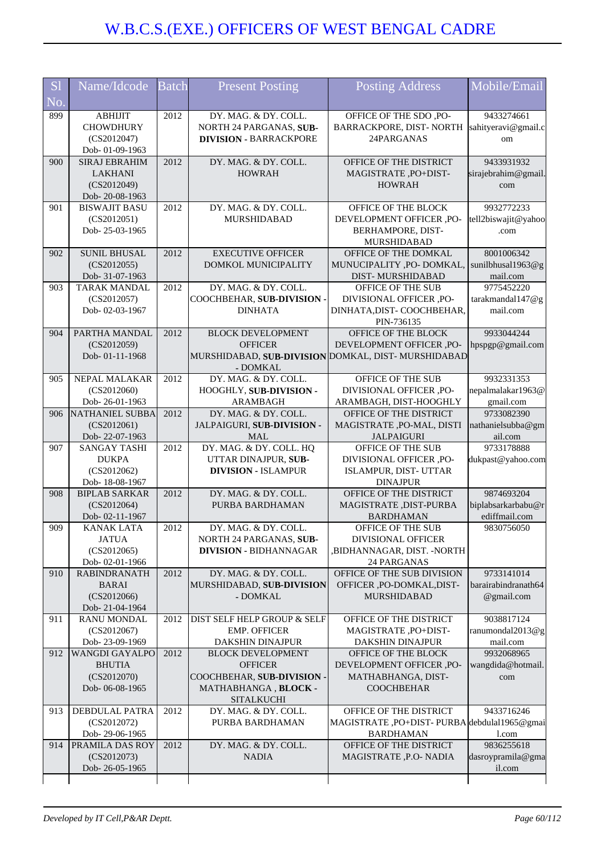| <b>S</b> l | Name/Idcode                              | Batch | <b>Present Posting</b>                             | <b>Posting Address</b>                                  | Mobile/Email                      |
|------------|------------------------------------------|-------|----------------------------------------------------|---------------------------------------------------------|-----------------------------------|
| No.        |                                          |       |                                                    |                                                         |                                   |
| 899        | <b>ABHIJIT</b>                           | 2012  | DY. MAG. & DY. COLL.                               | OFFICE OF THE SDO, PO-                                  | 9433274661                        |
|            | <b>CHOWDHURY</b>                         |       | NORTH 24 PARGANAS, SUB-                            | BARRACKPORE, DIST- NORTH                                | sahityeravi@gmail.c               |
|            | (CS2012047)                              |       | <b>DIVISION - BARRACKPORE</b>                      | 24PARGANAS                                              | om                                |
| 900        | Dob-01-09-1963<br><b>SIRAJ EBRAHIM</b>   | 2012  | DY. MAG. & DY. COLL.                               | OFFICE OF THE DISTRICT                                  | 9433931932                        |
|            | <b>LAKHANI</b>                           |       | <b>HOWRAH</b>                                      | MAGISTRATE, PO+DIST-                                    | sirajebrahim@gmail                |
|            | (CS2012049)                              |       |                                                    | <b>HOWRAH</b>                                           | com                               |
|            | Dob-20-08-1963                           |       |                                                    |                                                         |                                   |
| 901        | <b>BISWAJIT BASU</b>                     | 2012  | DY. MAG. & DY. COLL.                               | OFFICE OF THE BLOCK                                     | 9932772233                        |
|            | (CS2012051)                              |       | <b>MURSHIDABAD</b>                                 | DEVELOPMENT OFFICER ,PO-                                | tell2biswajit@yahoo               |
|            | Dob-25-03-1965                           |       |                                                    | BERHAMPORE, DIST-<br>MURSHIDABAD                        | .com                              |
| 902        | <b>SUNIL BHUSAL</b>                      | 2012  | <b>EXECUTIVE OFFICER</b>                           | OFFICE OF THE DOMKAL                                    | 8001006342                        |
|            | (CS2012055)                              |       | DOMKOL MUNICIPALITY                                | MUNUCIPALITY , PO- DOMKAL,                              | sunilbhusal1963@g                 |
|            | Dob- 31-07-1963                          |       |                                                    | DIST-MURSHIDABAD                                        | mail.com                          |
| 903        | <b>TARAK MANDAL</b>                      | 2012  | DY. MAG. & DY. COLL.                               | OFFICE OF THE SUB                                       | 9775452220                        |
|            | (CS2012057)                              |       | COOCHBEHAR, SUB-DIVISION -                         | DIVISIONAL OFFICER ,PO-                                 | tarakmandal147@g                  |
|            | Dob-02-03-1967                           |       | <b>DINHATA</b>                                     | DINHATA, DIST-COOCHBEHAR,                               | mail.com                          |
| 904        | PARTHA MANDAL                            | 2012  | <b>BLOCK DEVELOPMENT</b>                           | PIN-736135<br>OFFICE OF THE BLOCK                       | 9933044244                        |
|            | (CS2012059)                              |       | <b>OFFICER</b>                                     | DEVELOPMENT OFFICER ,PO-                                | hpspgp@gmail.com                  |
|            | Dob-01-11-1968                           |       |                                                    | MURSHIDABAD, SUB-DIVISION DOMKAL, DIST-MURSHIDABAD      |                                   |
|            |                                          |       | - DOMKAL                                           |                                                         |                                   |
| 905        | NEPAL MALAKAR                            | 2012  | DY. MAG. & DY. COLL.                               | OFFICE OF THE SUB                                       | 9932331353                        |
|            | (CS2012060)                              |       | HOOGHLY, SUB-DIVISION -                            | DIVISIONAL OFFICER ,PO-                                 | nepalmalakar1963@                 |
|            | Dob-26-01-1963<br><b>NATHANIEL SUBBA</b> |       | <b>ARAMBAGH</b>                                    | ARAMBAGH, DIST-HOOGHLY                                  | gmail.com<br>9733082390           |
| 906        | (CS2012061)                              | 2012  | DY. MAG. & DY. COLL.<br>JALPAIGURI, SUB-DIVISION - | OFFICE OF THE DISTRICT<br>MAGISTRATE, PO-MAL, DISTI     | nathanielsubba@gm                 |
|            | Dob-22-07-1963                           |       | <b>MAL</b>                                         | <b>JALPAIGURI</b>                                       | ail.com                           |
| 907        | <b>SANGAY TASHI</b>                      | 2012  | DY. MAG. & DY. COLL. HQ                            | OFFICE OF THE SUB                                       | 9733178888                        |
|            | <b>DUKPA</b>                             |       | UTTAR DINAJPUR, SUB-                               | DIVISIONAL OFFICER ,PO-                                 | dukpast@yahoo.com                 |
|            | (CS2012062)                              |       | <b>DIVISION - ISLAMPUR</b>                         | ISLAMPUR, DIST- UTTAR                                   |                                   |
|            | Dob-18-08-1967<br><b>BIPLAB SARKAR</b>   |       | DY. MAG. & DY. COLL.                               | <b>DINAJPUR</b><br>OFFICE OF THE DISTRICT               | 9874693204                        |
| 908        | (CS2012064)                              | 2012  | PURBA BARDHAMAN                                    | MAGISTRATE, DIST-PURBA                                  | biplabsarkarbabu@r                |
|            | Dob-02-11-1967                           |       |                                                    | <b>BARDHAMAN</b>                                        | ediffmail.com                     |
| 909        | KANAK LATA                               | 2012  | DY. MAG. & DY. COLL                                | OFFICE OF THE SUB                                       | 9830756050                        |
|            | <b>JATUA</b>                             |       | NORTH 24 PARGANAS, SUB-                            | <b>DIVISIONAL OFFICER</b>                               |                                   |
|            | (CS2012065)                              |       | <b>DIVISION - BIDHANNAGAR</b>                      | BIDHANNAGAR, DIST. -NORTH,                              |                                   |
|            | Dob-02-01-1966                           |       |                                                    | 24 PARGANAS                                             |                                   |
| 910        | <b>RABINDRANATH</b><br><b>BARAI</b>      | 2012  | DY. MAG. & DY. COLL.<br>MURSHIDABAD, SUB-DIVISION  | OFFICE OF THE SUB DIVISION<br>OFFICER, PO-DOMKAL, DIST- | 9733141014<br>barairabindranath64 |
|            | (CS2012066)                              |       | - DOMKAL                                           | <b>MURSHIDABAD</b>                                      | @gmail.com                        |
|            | Dob-21-04-1964                           |       |                                                    |                                                         |                                   |
| 911        | <b>RANU MONDAL</b>                       | 2012  | DIST SELF HELP GROUP & SELF                        | OFFICE OF THE DISTRICT                                  | 9038817124                        |
|            | (CS2012067)                              |       | <b>EMP. OFFICER</b>                                | MAGISTRATE, PO+DIST-                                    | ranumondal2013@g                  |
|            | Dob-23-09-1969                           |       | DAKSHIN DINAJPUR                                   | DAKSHIN DINAJPUR                                        | mail.com                          |
| 912        | <b>WANGDI GAYALPO</b><br><b>BHUTIA</b>   | 2012  | <b>BLOCK DEVELOPMENT</b><br><b>OFFICER</b>         | OFFICE OF THE BLOCK<br>DEVELOPMENT OFFICER ,PO-         | 9932068965<br>wangdida@hotmail.   |
|            | (CS2012070)                              |       | COOCHBEHAR, SUB-DIVISION -                         | MATHABHANGA, DIST-                                      | com                               |
|            | Dob-06-08-1965                           |       | MATHABHANGA, BLOCK -                               | <b>COOCHBEHAR</b>                                       |                                   |
|            |                                          |       | <b>SITALKUCHI</b>                                  |                                                         |                                   |
| 913        | <b>DEBDULAL PATRA</b>                    | 2012  | DY. MAG. & DY. COLL.                               | OFFICE OF THE DISTRICT                                  | 9433716246                        |
|            | (CS2012072)                              |       | PURBA BARDHAMAN                                    | MAGISTRATE, PO+DIST-PURBA debdulal1965@gmai             |                                   |
| 914        | Dob-29-06-1965                           |       |                                                    | BARDHAMAN<br>OFFICE OF THE DISTRICT                     | l.com<br>9836255618               |
|            | PRAMILA DAS ROY<br>(CS2012073)           | 2012  | DY. MAG. & DY. COLL.<br><b>NADIA</b>               | MAGISTRATE, P.O- NADIA                                  | dasroypramila@gma                 |
|            | Dob-26-05-1965                           |       |                                                    |                                                         | il.com                            |
|            |                                          |       |                                                    |                                                         |                                   |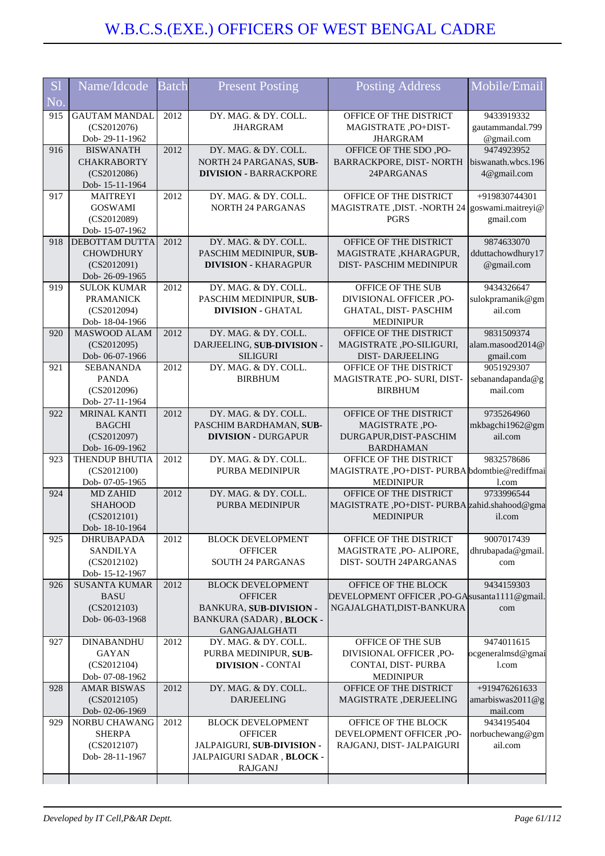| S <sub>1</sub> | Name/Idcode                    | <b>Batch</b> | <b>Present Posting</b>                         | <b>Posting Address</b>                                           | Mobile/Email       |
|----------------|--------------------------------|--------------|------------------------------------------------|------------------------------------------------------------------|--------------------|
| No.            |                                |              |                                                |                                                                  |                    |
| 915            | <b>GAUTAM MANDAL</b>           | 2012         | DY. MAG. & DY. COLL.                           | OFFICE OF THE DISTRICT                                           | 9433919332         |
|                | (CS2012076)                    |              | <b>JHARGRAM</b>                                | MAGISTRATE, PO+DIST-                                             | gautammandal.799   |
|                | Dob-29-11-1962                 |              |                                                | <b>JHARGRAM</b>                                                  | @gmail.com         |
| 916            | <b>BISWANATH</b>               | 2012         | DY. MAG. & DY. COLL.                           | OFFICE OF THE SDO, PO-                                           | 9474923952         |
|                | <b>CHAKRABORTY</b>             |              | NORTH 24 PARGANAS, SUB-                        | BARRACKPORE, DIST-NORTH                                          | biswanath.wbcs.196 |
|                | (CS2012086)                    |              | <b>DIVISION - BARRACKPORE</b>                  | 24PARGANAS                                                       | 4@gmail.com        |
|                | Dob-15-11-1964                 |              |                                                |                                                                  |                    |
| 917            | <b>MAITREYI</b>                | 2012         | DY. MAG. & DY. COLL.                           | OFFICE OF THE DISTRICT                                           | +919830744301      |
|                | <b>GOSWAMI</b>                 |              | <b>NORTH 24 PARGANAS</b>                       | MAGISTRATE, DIST. - NORTH 24 goswami.maitreyi@                   |                    |
|                | (CS2012089)                    |              |                                                | <b>PGRS</b>                                                      | gmail.com          |
|                | Dob-15-07-1962                 |              |                                                |                                                                  |                    |
| 918            | <b>DEBOTTAM DUTTA</b>          | 2012         | DY. MAG. & DY. COLL.                           | OFFICE OF THE DISTRICT                                           | 9874633070         |
|                | <b>CHOWDHURY</b>               |              | PASCHIM MEDINIPUR, SUB-                        | MAGISTRATE, KHARAGPUR,                                           | dduttachowdhury17  |
|                | (CS2012091)                    |              | <b>DIVISION - KHARAGPUR</b>                    | DIST-PASCHIM MEDINIPUR                                           | @gmail.com         |
|                | Dob-26-09-1965                 |              |                                                |                                                                  |                    |
| 919            | <b>SULOK KUMAR</b>             | 2012         | DY. MAG. & DY. COLL.                           | OFFICE OF THE SUB                                                | 9434326647         |
|                | <b>PRAMANICK</b>               |              | PASCHIM MEDINIPUR, SUB-                        | DIVISIONAL OFFICER ,PO-                                          | sulokpramanik@gm   |
|                | (CS2012094)                    |              | <b>DIVISION - GHATAL</b>                       | GHATAL, DIST-PASCHIM                                             | ail.com            |
|                | Dob-18-04-1966                 |              |                                                | <b>MEDINIPUR</b>                                                 |                    |
| 920            | MASWOOD ALAM                   | 2012         | DY. MAG. & DY. COLL.                           | OFFICE OF THE DISTRICT                                           | 9831509374         |
|                | (CS2012095)                    |              | DARJEELING, SUB-DIVISION -                     | MAGISTRATE, PO-SILIGURI,                                         | alam.masood2014@   |
|                | Dob-06-07-1966                 |              | <b>SILIGURI</b>                                | <b>DIST-DARJEELING</b>                                           | gmail.com          |
| 921            | <b>SEBANANDA</b>               | 2012         | DY. MAG. & DY. COLL.                           | OFFICE OF THE DISTRICT                                           | 9051929307         |
|                | <b>PANDA</b>                   |              | <b>BIRBHUM</b>                                 | MAGISTRATE ,PO- SURI, DIST-                                      | sebanandapanda@g   |
|                | (CS2012096)                    |              |                                                | <b>BIRBHUM</b>                                                   | mail.com           |
|                | Dob-27-11-1964                 |              |                                                |                                                                  |                    |
| 922            | <b>MRINAL KANTI</b>            | 2012         | DY. MAG. & DY. COLL.                           | OFFICE OF THE DISTRICT                                           | 9735264960         |
|                | <b>BAGCHI</b>                  |              | PASCHIM BARDHAMAN, SUB-                        | MAGISTRATE, PO-                                                  | mkbagchi1962@gm    |
|                | (CS2012097)                    |              | <b>DIVISION - DURGAPUR</b>                     | DURGAPUR, DIST-PASCHIM                                           | ail.com            |
|                | Dob-16-09-1962                 |              |                                                | <b>BARDHAMAN</b>                                                 |                    |
| 923            | THENDUP BHUTIA                 | 2012         | DY. MAG. & DY. COLL.<br><b>PURBA MEDINIPUR</b> | OFFICE OF THE DISTRICT                                           | 9832578686         |
|                | (CS2012100)<br>Dob- 07-05-1965 |              |                                                | MAGISTRATE, PO+DIST-PURBA bdomtbie@rediffmai<br><b>MEDINIPUR</b> | 1.com              |
| 924            | <b>MD ZAHID</b>                | 2012         | DY. MAG. & DY. COLL.                           | OFFICE OF THE DISTRICT                                           | 9733996544         |
|                | <b>SHAHOOD</b>                 |              | <b>PURBA MEDINIPUR</b>                         | MAGISTRATE, PO+DIST-PURBA zahid.shahood@gma                      |                    |
|                | (CS2012101)                    |              |                                                | <b>MEDINIPUR</b>                                                 | il.com             |
|                | Dob-18-10-1964                 |              |                                                |                                                                  |                    |
| 925            | <b>DHRUBAPADA</b>              | 2012         | <b>BLOCK DEVELOPMENT</b>                       | OFFICE OF THE DISTRICT                                           | 9007017439         |
|                | <b>SANDILYA</b>                |              | <b>OFFICER</b>                                 | MAGISTRATE, PO- ALIPORE,                                         | dhrubapada@gmail.  |
|                | (CS2012102)                    |              | SOUTH 24 PARGANAS                              | DIST-SOUTH 24PARGANAS                                            | com                |
|                | Dob-15-12-1967                 |              |                                                |                                                                  |                    |
| 926            | <b>SUSANTA KUMAR</b>           | 2012         | <b>BLOCK DEVELOPMENT</b>                       | OFFICE OF THE BLOCK                                              | 9434159303         |
|                | <b>BASU</b>                    |              | <b>OFFICER</b>                                 | DEVELOPMENT OFFICER, PO-GAsusanta1111@gmail.                     |                    |
|                | (CS2012103)                    |              | <b>BANKURA, SUB-DIVISION -</b>                 | NGAJALGHATI, DIST-BANKURA                                        | com                |
|                | Dob-06-03-1968                 |              | BANKURA (SADAR), BLOCK -                       |                                                                  |                    |
|                |                                |              | <b>GANGAJALGHATI</b>                           |                                                                  |                    |
| 927            | <b>DINABANDHU</b>              | 2012         | DY. MAG. & DY. COLL.                           | OFFICE OF THE SUB                                                | 9474011615         |
|                | <b>GAYAN</b>                   |              | PURBA MEDINIPUR, SUB-                          | DIVISIONAL OFFICER ,PO-                                          | ocgeneralmsd@gmai  |
|                | (CS2012104)                    |              | <b>DIVISION - CONTAI</b>                       | CONTAI, DIST-PURBA                                               | l.com              |
|                | Dob-07-08-1962                 |              |                                                | <b>MEDINIPUR</b>                                                 |                    |
| 928            | <b>AMAR BISWAS</b>             | 2012         | DY. MAG. & DY. COLL.                           | OFFICE OF THE DISTRICT                                           | +919476261633      |
|                | (CS2012105)                    |              | <b>DARJEELING</b>                              | MAGISTRATE, DERJEELING                                           | amarbiswas2011@g   |
|                | Dob-02-06-1969                 |              |                                                |                                                                  | mail.com           |
| 929            | NORBU CHAWANG                  | 2012         | <b>BLOCK DEVELOPMENT</b>                       | OFFICE OF THE BLOCK                                              | 9434195404         |
|                | <b>SHERPA</b>                  |              | <b>OFFICER</b>                                 | DEVELOPMENT OFFICER, PO-                                         | norbuchewang@gm    |
|                | (CS2012107)                    |              | JALPAIGURI, SUB-DIVISION -                     | RAJGANJ, DIST- JALPAIGURI                                        | ail.com            |
|                | Dob-28-11-1967                 |              | JALPAIGURI SADAR, BLOCK -                      |                                                                  |                    |
|                |                                |              | <b>RAJGANJ</b>                                 |                                                                  |                    |
|                |                                |              |                                                |                                                                  |                    |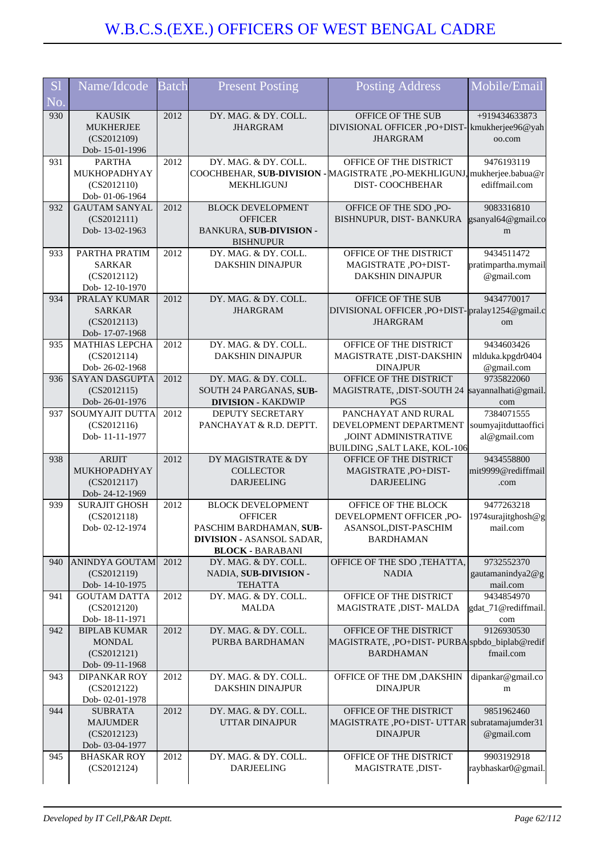| <b>S1</b> | Name/Idcode                                                           | Batch | <b>Present Posting</b>                                                                                                               | <b>Posting Address</b>                                                                                               | Mobile/Email                                       |
|-----------|-----------------------------------------------------------------------|-------|--------------------------------------------------------------------------------------------------------------------------------------|----------------------------------------------------------------------------------------------------------------------|----------------------------------------------------|
| No.       |                                                                       |       |                                                                                                                                      |                                                                                                                      |                                                    |
| 930       | <b>KAUSIK</b><br><b>MUKHERJEE</b><br>(CS2012109)<br>Dob-15-01-1996    | 2012  | DY. MAG. & DY. COLL.<br><b>JHARGRAM</b>                                                                                              | OFFICE OF THE SUB<br>DIVISIONAL OFFICER , PO+DIST- kmukherjee96@yah<br><b>JHARGRAM</b>                               | +919434633873<br>oo.com                            |
| 931       | <b>PARTHA</b><br>MUKHOPADHYAY<br>(CS2012110)<br>Dob-01-06-1964        | 2012  | DY. MAG. & DY. COLL.<br>MEKHLIGUNJ                                                                                                   | OFFICE OF THE DISTRICT<br>COOCHBEHAR, SUB-DIVISION - MAGISTRATE, PO-MEKHLIGUNJ, mukherjee.babua@r<br>DIST-COOCHBEHAR | 9476193119<br>ediffmail.com                        |
| 932       | <b>GAUTAM SANYAL</b><br>(CS2012111)<br>Dob-13-02-1963                 | 2012  | <b>BLOCK DEVELOPMENT</b><br><b>OFFICER</b><br><b>BANKURA, SUB-DIVISION -</b><br><b>BISHNUPUR</b>                                     | OFFICE OF THE SDO, PO-<br>BISHNUPUR, DIST- BANKURA                                                                   | 9083316810<br>gsanyal64@gmail.co<br>m              |
| 933       | PARTHA PRATIM<br><b>SARKAR</b><br>(CS2012112)<br>Dob-12-10-1970       | 2012  | DY. MAG. & DY. COLL.<br>DAKSHIN DINAJPUR                                                                                             | OFFICE OF THE DISTRICT<br>MAGISTRATE, PO+DIST-<br><b>DAKSHIN DINAJPUR</b>                                            | 9434511472<br>pratimpartha.mymail<br>@gmail.com    |
| 934       | PRALAY KUMAR<br><b>SARKAR</b><br>(CS2012113)<br>Dob-17-07-1968        | 2012  | DY. MAG. & DY. COLL.<br><b>JHARGRAM</b>                                                                                              | OFFICE OF THE SUB<br>DIVISIONAL OFFICER , PO+DIST-pralay1254@gmail.c<br><b>JHARGRAM</b>                              | 9434770017<br>om                                   |
| 935       | <b>MATHIAS LEPCHA</b><br>(CS2012114)<br>Dob-26-02-1968                | 2012  | DY. MAG. & DY. COLL.<br><b>DAKSHIN DINAJPUR</b>                                                                                      | OFFICE OF THE DISTRICT<br>MAGISTRATE , DIST-DAKSHIN<br><b>DINAJPUR</b>                                               | 9434603426<br>mlduka.kpgdr0404<br>@gmail.com       |
| 936       | <b>SAYAN DASGUPTA</b><br>(CS2012115)<br>Dob-26-01-1976                | 2012  | DY. MAG. & DY. COLL.<br>SOUTH 24 PARGANAS, SUB-<br><b>DIVISION - KAKDWIP</b>                                                         | OFFICE OF THE DISTRICT<br>MAGISTRATE, ,DIST-SOUTH 24<br><b>PGS</b>                                                   | 9735822060<br>sayannalhati@gmail.<br>com           |
| 937       | SOUMYAJIT DUTTA<br>(CS2012116)<br>Dob-11-11-1977                      | 2012  | DEPUTY SECRETARY<br>PANCHAYAT & R.D. DEPTT.                                                                                          | PANCHAYAT AND RURAL<br>DEVELOPMENT DEPARTMENT<br>,JOINT ADMINISTRATIVE<br><b>BUILDING , SALT LAKE, KOL-106</b>       | 7384071555<br>soumyajitduttaoffici<br>al@gmail.com |
| 938       | <b>ARIJIT</b><br>MUKHOPADHYAY<br>(CS2012117)<br>Dob-24-12-1969        | 2012  | DY MAGISTRATE & DY<br><b>COLLECTOR</b><br><b>DARJEELING</b>                                                                          | OFFICE OF THE DISTRICT<br>MAGISTRATE, PO+DIST-<br><b>DARJEELING</b>                                                  | 9434558800<br>mit9999@rediffmail<br>.com           |
| 939       | <b>SURAJIT GHOSH</b><br>(CS2012118)<br>Dob-02-12-1974                 | 2012  | <b>BLOCK DEVELOPMENT</b><br><b>OFFICER</b><br>PASCHIM BARDHAMAN, SUB-<br><b>DIVISION - ASANSOL SADAR,</b><br><b>BLOCK - BARABANI</b> | OFFICE OF THE BLOCK<br>DEVELOPMENT OFFICER ,PO-<br>ASANSOL,DIST-PASCHIM<br><b>BARDHAMAN</b>                          | 9477263218<br>1974surajitghosh@g<br>mail.com       |
| 940       | ANINDYA GOUTAM<br>(CS2012119)<br>Dob-14-10-1975                       | 2012  | DY. MAG. & DY. COLL.<br>NADIA, SUB-DIVISION -<br><b>TEHATTA</b>                                                                      | OFFICE OF THE SDO, TEHATTA,<br><b>NADIA</b>                                                                          | 9732552370<br>gautamanindya2@g<br>mail.com         |
| 941       | <b>GOUTAM DATTA</b><br>(CS2012120)<br>Dob-18-11-1971                  | 2012  | DY. MAG. & DY. COLL.<br><b>MALDA</b>                                                                                                 | OFFICE OF THE DISTRICT<br>MAGISTRATE , DIST- MALDA                                                                   | 9434854970<br>gdat_71@rediffmail.<br>com           |
| 942       | <b>BIPLAB KUMAR</b><br><b>MONDAL</b><br>(CS2012121)<br>Dob-09-11-1968 | 2012  | DY. MAG. & DY. COLL.<br>PURBA BARDHAMAN                                                                                              | OFFICE OF THE DISTRICT<br>MAGISTRATE, PO+DIST-PURBA spbdo_biplab@redif<br><b>BARDHAMAN</b>                           | 9126930530<br>fmail.com                            |
| 943       | <b>DIPANKAR ROY</b><br>(CS2012122)<br>Dob-02-01-1978                  | 2012  | DY. MAG. & DY. COLL.<br><b>DAKSHIN DINAJPUR</b>                                                                                      | OFFICE OF THE DM , DAKSHIN<br><b>DINAJPUR</b>                                                                        | dipankar@gmail.co<br>m                             |
| 944       | <b>SUBRATA</b><br><b>MAJUMDER</b><br>(CS2012123)<br>Dob- 03-04-1977   | 2012  | DY. MAG. & DY. COLL.<br>UTTAR DINAJPUR                                                                                               | OFFICE OF THE DISTRICT<br>MAGISTRATE, PO+DIST-UTTAR subratamajumder31<br><b>DINAJPUR</b>                             | 9851962460<br>@gmail.com                           |
| 945       | <b>BHASKAR ROY</b><br>(CS2012124)                                     | 2012  | DY. MAG. & DY. COLL.<br><b>DARJEELING</b>                                                                                            | OFFICE OF THE DISTRICT<br>MAGISTRATE, DIST-                                                                          | 9903192918<br>raybhaskar0@gmail.                   |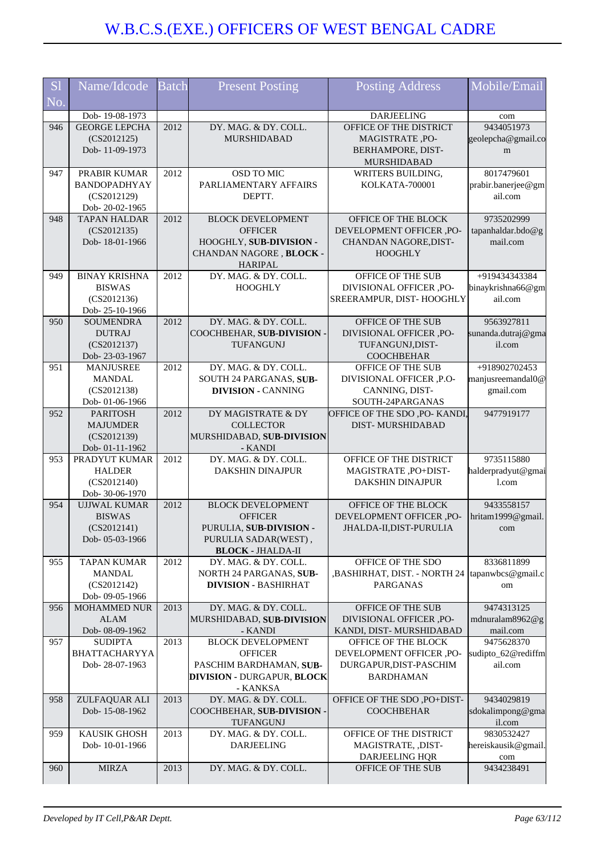| <b>S1</b> | Name/Idcode                           | <b>Batch</b> | <b>Present Posting</b>                                       | <b>Posting Address</b>                          | Mobile/Email                      |
|-----------|---------------------------------------|--------------|--------------------------------------------------------------|-------------------------------------------------|-----------------------------------|
| No.       |                                       |              |                                                              |                                                 |                                   |
|           | Dob-19-08-1973                        |              |                                                              | <b>DARJEELING</b>                               | com                               |
| 946       | <b>GEORGE LEPCHA</b>                  | 2012         | DY. MAG. & DY. COLL.                                         | OFFICE OF THE DISTRICT                          | 9434051973                        |
|           | (CS2012125)                           |              | MURSHIDABAD                                                  | MAGISTRATE, PO-                                 | geolepcha@gmail.co                |
|           | Dob-11-09-1973                        |              |                                                              | BERHAMPORE, DIST-<br><b>MURSHIDABAD</b>         | m                                 |
| 947       | PRABIR KUMAR                          | 2012         | OSD TO MIC                                                   | WRITERS BUILDING,                               | 8017479601                        |
|           | BANDOPADHYAY                          |              | PARLIAMENTARY AFFAIRS                                        | <b>KOLKATA-700001</b>                           | prabir.banerjee@gm                |
|           | (CS2012129)                           |              | DEPTT.                                                       |                                                 | ail.com                           |
|           | Dob-20-02-1965                        |              |                                                              |                                                 |                                   |
| 948       | <b>TAPAN HALDAR</b><br>(CS2012135)    | 2012         | <b>BLOCK DEVELOPMENT</b><br><b>OFFICER</b>                   | OFFICE OF THE BLOCK<br>DEVELOPMENT OFFICER ,PO- | 9735202999<br>tapanhaldar.bdo@g   |
|           | Dob-18-01-1966                        |              | HOOGHLY, SUB-DIVISION -                                      | CHANDAN NAGORE, DIST-                           | mail.com                          |
|           |                                       |              | CHANDAN NAGORE, BLOCK -                                      | <b>HOOGHLY</b>                                  |                                   |
|           |                                       |              | <b>HARIPAL</b>                                               |                                                 |                                   |
| 949       | <b>BINAY KRISHNA</b>                  | 2012         | DY. MAG. & DY. COLL.                                         | OFFICE OF THE SUB                               | +919434343384                     |
|           | <b>BISWAS</b>                         |              | <b>HOOGHLY</b>                                               | DIVISIONAL OFFICER ,PO-                         | binaykrishna66@gm                 |
|           | (CS2012136)                           |              |                                                              | SREERAMPUR, DIST-HOOGHLY                        | ail.com                           |
| 950       | Dob-25-10-1966<br><b>SOUMENDRA</b>    | 2012         | DY. MAG. & DY. COLL.                                         | OFFICE OF THE SUB                               | 9563927811                        |
|           | <b>DUTRAJ</b>                         |              | COOCHBEHAR, SUB-DIVISION -                                   | DIVISIONAL OFFICER ,PO-                         | sunanda.dutraj@gma                |
|           | (CS2012137)                           |              | <b>TUFANGUNJ</b>                                             | TUFANGUNJ, DIST-                                | il.com                            |
|           | Dob-23-03-1967                        |              |                                                              | <b>COOCHBEHAR</b>                               |                                   |
| 951       | <b>MANJUSREE</b>                      | 2012         | DY. MAG. & DY. COLL.                                         | OFFICE OF THE SUB                               | +918902702453                     |
|           | <b>MANDAL</b><br>(CS2012138)          |              | SOUTH 24 PARGANAS, SUB-<br><b>DIVISION - CANNING</b>         | DIVISIONAL OFFICER ,P.O-<br>CANNING, DIST-      | manjusreemandal0@<br>gmail.com    |
|           | Dob-01-06-1966                        |              |                                                              | SOUTH-24PARGANAS                                |                                   |
| 952       | <b>PARITOSH</b>                       | 2012         | DY MAGISTRATE & DY                                           | OFFICE OF THE SDO ,PO- KANDI,                   | 9477919177                        |
|           | <b>MAJUMDER</b>                       |              | <b>COLLECTOR</b>                                             | <b>DIST-MURSHIDABAD</b>                         |                                   |
|           | (CS2012139)                           |              | MURSHIDABAD, SUB-DIVISION                                    |                                                 |                                   |
| 953       | Dob-01-11-1962<br>PRADYUT KUMAR       | 2012         | - KANDI<br>DY. MAG. & DY. COLL.                              | OFFICE OF THE DISTRICT                          | 9735115880                        |
|           | <b>HALDER</b>                         |              | DAKSHIN DINAJPUR                                             | MAGISTRATE, PO+DIST-                            | halderpradyut@gmai                |
|           | (CS2012140)                           |              |                                                              | <b>DAKSHIN DINAJPUR</b>                         | 1.com                             |
|           | Dob- 30-06-1970                       |              |                                                              |                                                 |                                   |
| 954       | <b>UJJWAL KUMAR</b>                   | 2012         | <b>BLOCK DEVELOPMENT</b>                                     | OFFICE OF THE BLOCK                             | 9433558157                        |
|           | <b>BISWAS</b>                         |              | <b>OFFICER</b>                                               | DEVELOPMENT OFFICER ,PO-                        | hritam1999@gmail.                 |
|           | (CS2012141)<br>Dob-05-03-1966         |              | PURULIA, SUB-DIVISION -<br>PURULIA SADAR(WEST),              | JHALDA-II,DIST-PURULIA                          | com                               |
|           |                                       |              | <b>BLOCK - JHALDA-II</b>                                     |                                                 |                                   |
| 955       | <b>TAPAN KUMAR</b>                    | 2012         | DY. MAG. & DY. COLL.                                         | OFFICE OF THE SDO                               | 8336811899                        |
|           | <b>MANDAL</b>                         |              | NORTH 24 PARGANAS, SUB-                                      | ,BASHIRHAT, DIST. - NORTH 24  tapanwbcs@gmail.c |                                   |
|           | (CS2012142)                           |              | <b>DIVISION - BASHIRHAT</b>                                  | <b>PARGANAS</b>                                 | om                                |
| 956       | Dob-09-05-1966<br><b>MOHAMMED NUR</b> | 2013         | DY. MAG. & DY. COLL.                                         | OFFICE OF THE SUB                               | 9474313125                        |
|           | <b>ALAM</b>                           |              | MURSHIDABAD, SUB-DIVISION                                    | DIVISIONAL OFFICER ,PO-                         | mdnuralam8962@g                   |
|           | Dob- 08-09-1962                       |              | - KANDI                                                      | KANDI, DIST-MURSHIDABAD                         | mail.com                          |
| 957       | <b>SUDIPTA</b>                        | 2013         | <b>BLOCK DEVELOPMENT</b>                                     | OFFICE OF THE BLOCK                             | 9475628370                        |
|           | <b>BHATTACHARYYA</b>                  |              | <b>OFFICER</b>                                               | DEVELOPMENT OFFICER ,PO-                        | sudipto_62@rediffm                |
|           | Dob-28-07-1963                        |              | PASCHIM BARDHAMAN, SUB-<br><b>DIVISION - DURGAPUR, BLOCK</b> | DURGAPUR, DIST-PASCHIM<br><b>BARDHAMAN</b>      | ail.com                           |
|           |                                       |              | - KANKSA                                                     |                                                 |                                   |
| 958       | ZULFAQUAR ALI                         | 2013         | DY. MAG. & DY. COLL.                                         | OFFICE OF THE SDO , PO+DIST-                    | 9434029819                        |
|           | Dob-15-08-1962                        |              | COOCHBEHAR, SUB-DIVISION -                                   | <b>COOCHBEHAR</b>                               | sdokalimpong@gma                  |
|           |                                       |              | TUFANGUNJ                                                    |                                                 | il.com                            |
| 959       | <b>KAUSIK GHOSH</b><br>Dob-10-01-1966 | 2013         | DY. MAG. & DY. COLL.<br><b>DARJEELING</b>                    | OFFICE OF THE DISTRICT                          | 9830532427<br>hereiskausik@gmail. |
|           |                                       |              |                                                              | MAGISTRATE, ,DIST-<br>DARJEELING HQR            | com                               |
| 960       | <b>MIRZA</b>                          | 2013         | DY. MAG. & DY. COLL.                                         | OFFICE OF THE SUB                               | 9434238491                        |
|           |                                       |              |                                                              |                                                 |                                   |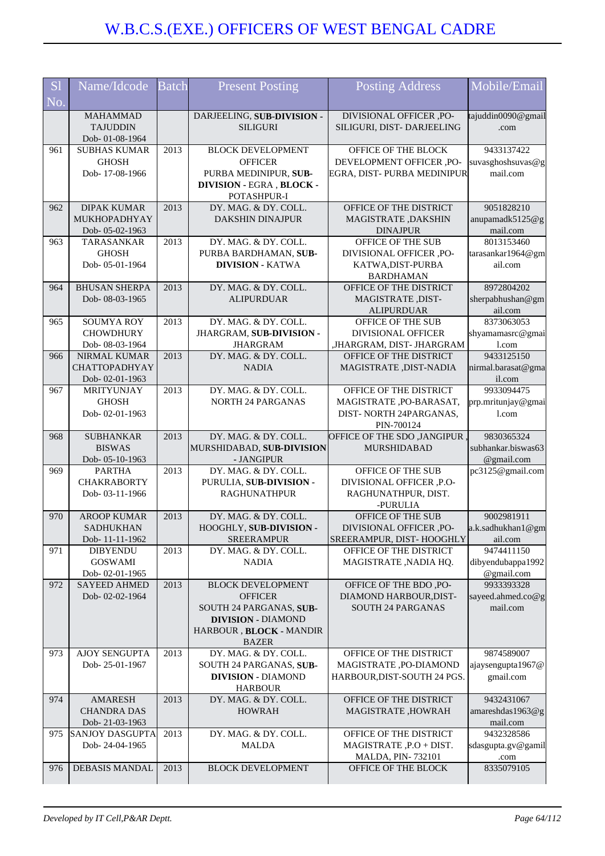| <b>S1</b> | Name/Idcode                            | <b>Batch</b> | <b>Present Posting</b>                            | <b>Posting Address</b>                           | Mobile/Email                           |
|-----------|----------------------------------------|--------------|---------------------------------------------------|--------------------------------------------------|----------------------------------------|
| No.       |                                        |              |                                                   |                                                  |                                        |
|           | <b>MAHAMMAD</b>                        |              | DARJEELING, SUB-DIVISION -                        | DIVISIONAL OFFICER ,PO-                          | tajuddin0090@gmail                     |
|           | <b>TAJUDDIN</b><br>Dob-01-08-1964      |              | <b>SILIGURI</b>                                   | SILIGURI, DIST- DARJEELING                       | .com                                   |
| 961       | <b>SUBHAS KUMAR</b>                    | 2013         | <b>BLOCK DEVELOPMENT</b>                          | OFFICE OF THE BLOCK                              | 9433137422                             |
|           | <b>GHOSH</b>                           |              | <b>OFFICER</b>                                    | DEVELOPMENT OFFICER ,PO-                         | suvasghoshsuvas@g                      |
|           | Dob-17-08-1966                         |              | PURBA MEDINIPUR, SUB-<br>DIVISION - EGRA, BLOCK - | EGRA, DIST- PURBA MEDINIPUR                      | mail.com                               |
|           |                                        |              | POTASHPUR-I                                       |                                                  |                                        |
| 962       | <b>DIPAK KUMAR</b>                     | 2013         | DY. MAG. & DY. COLL.                              | OFFICE OF THE DISTRICT                           | 9051828210                             |
|           | MUKHOPADHYAY                           |              | <b>DAKSHIN DINAJPUR</b>                           | MAGISTRATE, DAKSHIN                              | anupamadk5125@g<br>mail.com            |
| 963       | Dob-05-02-1963<br><b>TARASANKAR</b>    | 2013         | DY. MAG. & DY. COLL.                              | <b>DINAJPUR</b><br>OFFICE OF THE SUB             | 8013153460                             |
|           | <b>GHOSH</b>                           |              | PURBA BARDHAMAN, SUB-                             | DIVISIONAL OFFICER ,PO-                          | tarasankar1964@gm                      |
|           | Dob-05-01-1964                         |              | <b>DIVISION - KATWA</b>                           | KATWA, DIST-PURBA                                | ail.com                                |
|           |                                        |              |                                                   | <b>BARDHAMAN</b>                                 |                                        |
| 964       | <b>BHUSAN SHERPA</b>                   | 2013         | DY. MAG. & DY. COLL.<br><b>ALIPURDUAR</b>         | OFFICE OF THE DISTRICT                           | 8972804202                             |
|           | Dob-08-03-1965                         |              |                                                   | MAGISTRATE, DIST-<br><b>ALIPURDUAR</b>           | sherpabhushan@gm<br>ail.com            |
| 965       | <b>SOUMYA ROY</b>                      | 2013         | DY. MAG. & DY. COLL.                              | OFFICE OF THE SUB                                | 8373063053                             |
|           | <b>CHOWDHURY</b>                       |              | JHARGRAM, SUB-DIVISION -                          | <b>DIVISIONAL OFFICER</b>                        | shyamamasrc@gmai                       |
|           | Dob-08-03-1964                         |              | <b>JHARGRAM</b>                                   | ,JHARGRAM, DIST- JHARGRAM                        | 1.com                                  |
| 966       | NIRMAL KUMAR                           | 2013         | DY. MAG. & DY. COLL.                              | OFFICE OF THE DISTRICT                           | 9433125150                             |
|           | <b>CHATTOPADHYAY</b><br>Dob-02-01-1963 |              | <b>NADIA</b>                                      | MAGISTRATE , DIST-NADIA                          | nirmal.barasat@gma<br>il.com           |
| 967       | MRITYUNJAY                             | 2013         | DY. MAG. & DY. COLL.                              | OFFICE OF THE DISTRICT                           | 9933094475                             |
|           | <b>GHOSH</b>                           |              | <b>NORTH 24 PARGANAS</b>                          | MAGISTRATE, PO-BARASAT,                          | prp.mritunjay@gmai                     |
|           | Dob-02-01-1963                         |              |                                                   | DIST-NORTH 24PARGANAS,                           | 1.com                                  |
|           |                                        |              |                                                   | PIN-700124                                       |                                        |
| 968       | <b>SUBHANKAR</b>                       | 2013         | DY. MAG. & DY. COLL.                              | OFFICE OF THE SDO , JANGIPUR                     | 9830365324                             |
|           |                                        |              |                                                   |                                                  |                                        |
|           | <b>BISWAS</b>                          |              | MURSHIDABAD, SUB-DIVISION<br>- JANGIPUR           | <b>MURSHIDABAD</b>                               | subhankar.biswas63                     |
| 969       | Dob-05-10-1963<br><b>PARTHA</b>        | 2013         | DY. MAG. & DY. COLL.                              | OFFICE OF THE SUB                                | @gmail.com<br>pc3125@gmail.com         |
|           | <b>CHAKRABORTY</b>                     |              | PURULIA, SUB-DIVISION -                           | DIVISIONAL OFFICER ,P.O-                         |                                        |
|           | Dob-03-11-1966                         |              | <b>RAGHUNATHPUR</b>                               | RAGHUNATHPUR, DIST.                              |                                        |
|           |                                        |              |                                                   | -PURULIA                                         |                                        |
| 970       | <b>AROOP KUMAR</b><br><b>SADHUKHAN</b> | 2013         | DY. MAG. & DY. COLL.<br>HOOGHLY, SUB-DIVISION -   | OFFICE OF THE SUB<br>DIVISIONAL OFFICER ,PO-     | 9002981911                             |
|           | Dob-11-11-1962                         |              | <b>SREERAMPUR</b>                                 | SREERAMPUR, DIST-HOOGHLY                         | ail.com                                |
| 971       | <b>DIBYENDU</b>                        | 2013         | DY. MAG. & DY. COLL.                              | OFFICE OF THE DISTRICT                           | 9474411150                             |
|           | <b>GOSWAMI</b>                         |              | <b>NADIA</b>                                      | MAGISTRATE, NADIA HQ.                            | a.k.sadhukhan1@gm<br>dibyendubappa1992 |
| 972       | Dob-02-01-1965<br><b>SAYEED AHMED</b>  | 2013         |                                                   |                                                  | @gmail.com<br>9933393328               |
|           | Dob-02-02-1964                         |              | <b>BLOCK DEVELOPMENT</b><br><b>OFFICER</b>        | OFFICE OF THE BDO, PO-<br>DIAMOND HARBOUR, DIST- | sayeed.ahmed.co@g                      |
|           |                                        |              | SOUTH 24 PARGANAS, SUB-                           | <b>SOUTH 24 PARGANAS</b>                         | mail.com                               |
|           |                                        |              | <b>DIVISION - DIAMOND</b>                         |                                                  |                                        |
|           |                                        |              | HARBOUR , BLOCK - MANDIR<br><b>BAZER</b>          |                                                  |                                        |
| 973       | AJOY SENGUPTA                          | 2013         | DY. MAG. & DY. COLL.                              | OFFICE OF THE DISTRICT                           | 9874589007                             |
|           | Dob-25-01-1967                         |              | SOUTH 24 PARGANAS, SUB-                           | MAGISTRATE, PO-DIAMOND                           | ajaysengupta1967@                      |
|           |                                        |              | <b>DIVISION - DIAMOND</b><br><b>HARBOUR</b>       | HARBOUR, DIST-SOUTH 24 PGS.                      | gmail.com                              |
| 974       | <b>AMARESH</b>                         | 2013         | DY. MAG. & DY. COLL.                              | OFFICE OF THE DISTRICT                           | 9432431067                             |
|           | <b>CHANDRA DAS</b>                     |              | <b>HOWRAH</b>                                     | MAGISTRATE, HOWRAH                               | amareshdas1963@g                       |
|           | Dob-21-03-1963                         |              |                                                   |                                                  | mail.com                               |
| 975       | <b>SANJOY DASGUPTA</b>                 | 2013         | DY. MAG. & DY. COLL.                              | OFFICE OF THE DISTRICT                           | 9432328586                             |
|           | Dob-24-04-1965                         |              | <b>MALDA</b>                                      | MAGISTRATE, P.O + DIST.                          | .com                                   |
| 976       | DEBASIS MANDAL                         | 2013         | <b>BLOCK DEVELOPMENT</b>                          | MALDA, PIN-732101<br>OFFICE OF THE BLOCK         | sdasgupta.gv@gamil<br>8335079105       |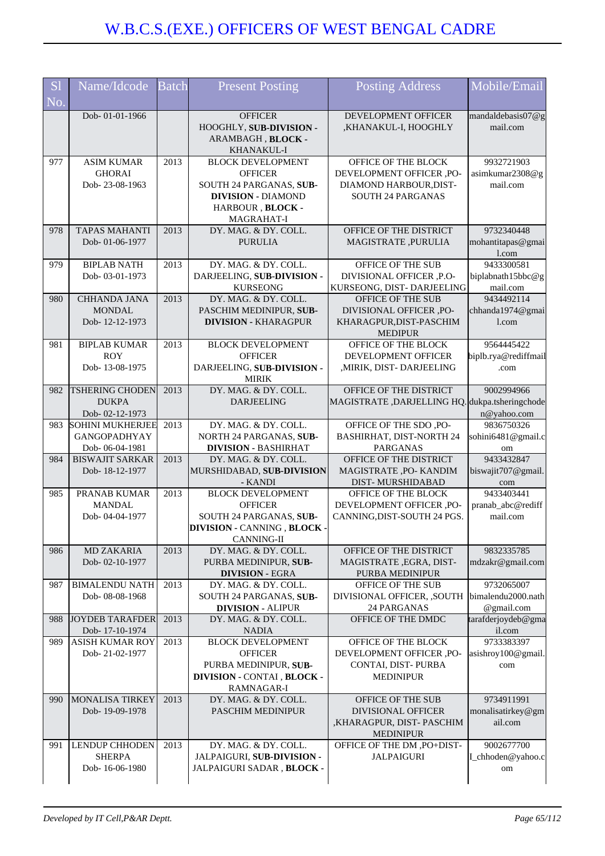| <b>S1</b><br>No. | Name/Idcode                                                      | <b>Batch</b> | <b>Present Posting</b>                                                                                                               | <b>Posting Address</b>                                                                                | Mobile/Email                                   |
|------------------|------------------------------------------------------------------|--------------|--------------------------------------------------------------------------------------------------------------------------------------|-------------------------------------------------------------------------------------------------------|------------------------------------------------|
|                  | Dob-01-01-1966                                                   |              | <b>OFFICER</b><br>HOOGHLY, SUB-DIVISION -<br>ARAMBAGH, BLOCK -<br>KHANAKUL-I                                                         | DEVELOPMENT OFFICER<br>,KHANAKUL-I, HOOGHLY                                                           | mandaldebasis07@g<br>mail.com                  |
| 977              | <b>ASIM KUMAR</b><br><b>GHORAI</b><br>Dob-23-08-1963             | 2013         | <b>BLOCK DEVELOPMENT</b><br><b>OFFICER</b><br>SOUTH 24 PARGANAS, SUB-<br><b>DIVISION - DIAMOND</b><br>HARBOUR, BLOCK -<br>MAGRAHAT-I | OFFICE OF THE BLOCK<br>DEVELOPMENT OFFICER ,PO-<br>DIAMOND HARBOUR, DIST-<br><b>SOUTH 24 PARGANAS</b> | 9932721903<br>asimkumar2308@g<br>mail.com      |
| 978              | <b>TAPAS MAHANTI</b><br>Dob-01-06-1977                           | 2013         | DY. MAG. & DY. COLL.<br><b>PURULIA</b>                                                                                               | OFFICE OF THE DISTRICT<br>MAGISTRATE, PURULIA                                                         | 9732340448<br>mohantitapas@gmai<br>l.com       |
| 979              | <b>BIPLAB NATH</b><br>Dob-03-01-1973                             | 2013         | DY. MAG. & DY. COLL.<br>DARJEELING, SUB-DIVISION -<br><b>KURSEONG</b>                                                                | OFFICE OF THE SUB<br>DIVISIONAL OFFICER ,P.O-<br>KURSEONG, DIST-DARJEELING                            | 9433300581<br>biplabnath15bbc@g<br>mail.com    |
| 980              | <b>CHHANDA JANA</b><br><b>MONDAL</b><br>Dob-12-12-1973           | 2013         | DY. MAG. & DY. COLL.<br>PASCHIM MEDINIPUR, SUB-<br><b>DIVISION - KHARAGPUR</b>                                                       | OFFICE OF THE SUB<br>DIVISIONAL OFFICER ,PO-<br>KHARAGPUR, DIST-PASCHIM<br><b>MEDIPUR</b>             | 9434492114<br>chhanda1974@gmai<br>$1$ .com     |
| 981              | <b>BIPLAB KUMAR</b><br><b>ROY</b><br>Dob-13-08-1975              | 2013         | <b>BLOCK DEVELOPMENT</b><br><b>OFFICER</b><br>DARJEELING, SUB-DIVISION -<br><b>MIRIK</b>                                             | OFFICE OF THE BLOCK<br><b>DEVELOPMENT OFFICER</b><br>MIRIK, DIST- DARJEELING                          | 9564445422<br>biplb.rya@rediffmail<br>.com     |
| 982              | <b>TSHERING CHODEN</b><br><b>DUKPA</b><br>Dob-02-12-1973         | 2013         | DY. MAG. & DY. COLL.<br><b>DARJEELING</b>                                                                                            | OFFICE OF THE DISTRICT<br>MAGISTRATE, DARJELLING HQ. dukpa.tsheringchode                              | 9002994966<br>n@yahoo.com                      |
| 983              | <b>SOHINI MUKHERJEE</b><br><b>GANGOPADHYAY</b><br>Dob-06-04-1981 | 2013         | DY. MAG. & DY. COLL.<br>NORTH 24 PARGANAS, SUB-<br><b>DIVISION - BASHIRHAT</b>                                                       | OFFICE OF THE SDO, PO-<br><b>BASHIRHAT, DIST-NORTH 24</b><br><b>PARGANAS</b>                          | 9836750326<br>sohini6481@gmail.c<br>om         |
| 984              | <b>BISWAJIT SARKAR</b><br>Dob-18-12-1977                         | 2013         | DY. MAG. & DY. COLL.<br>MURSHIDABAD, SUB-DIVISION<br>- KANDI                                                                         | OFFICE OF THE DISTRICT<br>MAGISTRATE, PO- KANDIM<br>DIST-MURSHIDABAD                                  | 9433432847<br>biswajit707@gmail<br>com         |
| 985              | PRANAB KUMAR<br><b>MANDAL</b><br>Dob-04-04-1977                  | 2013         | <b>BLOCK DEVELOPMENT</b><br><b>OFFICER</b><br>SOUTH 24 PARGANAS, SUB-<br><b>DIVISION - CANNING, BLOCK -</b><br><b>CANNING-II</b>     | OFFICE OF THE BLOCK<br>DEVELOPMENT OFFICER ,PO-<br>CANNING, DIST-SOUTH 24 PGS.                        | 9433403441<br>pranab_abc@rediff<br>mail.com    |
| 986              | <b>MD ZAKARIA</b><br>Dob-02-10-1977                              | 2013         | DY. MAG. & DY. COLL.<br>PURBA MEDINIPUR, SUB-<br><b>DIVISION - EGRA</b>                                                              | OFFICE OF THE DISTRICT<br>MAGISTRATE, EGRA, DIST-<br><b>PURBA MEDINIPUR</b>                           | 9832335785<br>mdzakr@gmail.com                 |
| 987              | <b>BIMALENDU NATH</b><br>Dob-08-08-1968                          | 2013         | DY. MAG. & DY. COLL.<br>SOUTH 24 PARGANAS, SUB-<br><b>DIVISION - ALIPUR</b>                                                          | OFFICE OF THE SUB<br>DIVISIONAL OFFICER, ,SOUTH<br>24 PARGANAS                                        | 9732065007<br>bimalendu2000.nath<br>@gmail.com |
| 988              | <b>JOYDEB TARAFDER</b><br>Dob-17-10-1974                         | 2013         | DY. MAG. & DY. COLL.<br><b>NADIA</b>                                                                                                 | OFFICE OF THE DMDC                                                                                    | tarafderjoydeb@gma<br>il.com                   |
| 989              | <b>ASISH KUMAR ROY</b><br>Dob-21-02-1977                         | 2013         | <b>BLOCK DEVELOPMENT</b><br><b>OFFICER</b><br>PURBA MEDINIPUR, SUB-<br>DIVISION - CONTAI, BLOCK -<br>RAMNAGAR-I                      | OFFICE OF THE BLOCK<br>DEVELOPMENT OFFICER ,PO-<br>CONTAI, DIST-PURBA<br><b>MEDINIPUR</b>             | 9733383397<br>asishroy100@gmail.<br>com        |
| 990              | <b>MONALISA TIRKEY</b><br>Dob-19-09-1978                         | 2013         | DY. MAG. & DY. COLL.<br>PASCHIM MEDINIPUR                                                                                            | OFFICE OF THE SUB<br><b>DIVISIONAL OFFICER</b><br>,KHARAGPUR, DIST-PASCHIM<br><b>MEDINIPUR</b>        | 9734911991<br>monalisatirkey@gm<br>ail.com     |
| 991              | <b>LENDUP CHHODEN</b><br><b>SHERPA</b><br>Dob-16-06-1980         | 2013         | DY. MAG. & DY. COLL.<br>JALPAIGURI, SUB-DIVISION -<br>JALPAIGURI SADAR, BLOCK -                                                      | OFFICE OF THE DM, PO+DIST-<br><b>JALPAIGURI</b>                                                       | 9002677700<br>I_chhoden@yahoo.c<br>om          |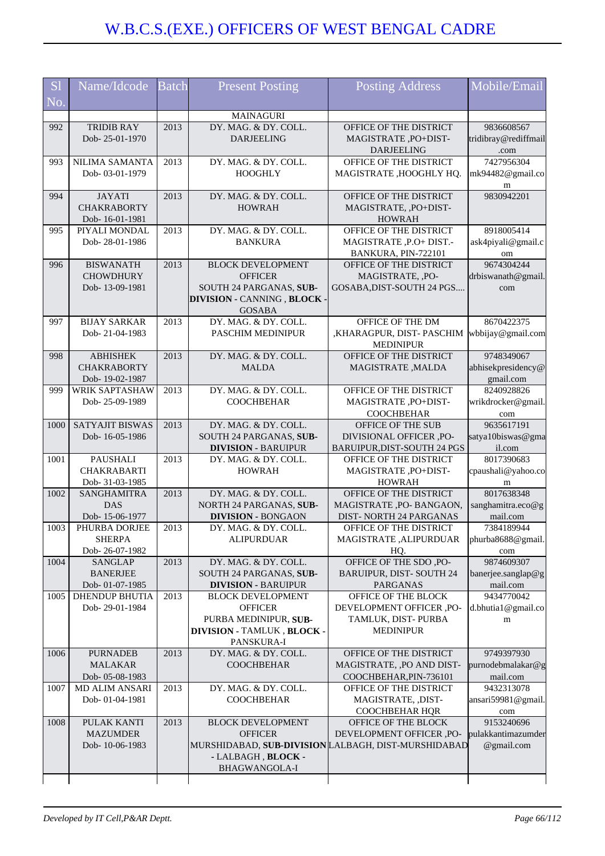| <b>S1</b>        | Name/Idcode                             | <b>Batch</b> | <b>Present Posting</b>                             | Posting Address                                       | Mobile/Email                     |
|------------------|-----------------------------------------|--------------|----------------------------------------------------|-------------------------------------------------------|----------------------------------|
| No.              |                                         |              |                                                    |                                                       |                                  |
|                  |                                         |              | MAINAGURI                                          |                                                       |                                  |
| 992              | <b>TRIDIB RAY</b>                       | 2013         | DY. MAG. & DY. COLL.                               | OFFICE OF THE DISTRICT                                | 9836608567                       |
|                  | Dob-25-01-1970                          |              | <b>DARJEELING</b>                                  | MAGISTRATE, PO+DIST-                                  | tridibray@rediffmail             |
|                  | <b>NILIMA SAMANTA</b>                   | 2013         | DY. MAG. & DY. COLL.                               | <b>DARJEELING</b><br>OFFICE OF THE DISTRICT           | .com<br>7427956304               |
| 993              | Dob-03-01-1979                          |              | <b>HOOGHLY</b>                                     | MAGISTRATE ,HOOGHLY HQ.                               | mk94482@gmail.co                 |
|                  |                                         |              |                                                    |                                                       | m                                |
| 994              | <b>JAYATI</b>                           | 2013         | DY. MAG. & DY. COLL.                               | OFFICE OF THE DISTRICT                                | 9830942201                       |
|                  | <b>CHAKRABORTY</b>                      |              | <b>HOWRAH</b>                                      | MAGISTRATE, , PO+DIST-                                |                                  |
| 995              | Dob-16-01-1981<br>PIYALI MONDAL         | 2013         | DY. MAG. & DY. COLL.                               | <b>HOWRAH</b><br>OFFICE OF THE DISTRICT               | 8918005414                       |
|                  | Dob-28-01-1986                          |              | <b>BANKURA</b>                                     | MAGISTRATE, P.O+ DIST.-                               | ask4piyali@gmail.c               |
|                  |                                         |              |                                                    | BANKURA, PIN-722101                                   | om                               |
| 996              | <b>BISWANATH</b>                        | 2013         | <b>BLOCK DEVELOPMENT</b>                           | OFFICE OF THE DISTRICT                                | 9674304244                       |
|                  | <b>CHOWDHURY</b>                        |              | <b>OFFICER</b>                                     | MAGISTRATE, ,PO-                                      | drbiswanath@gmail.               |
|                  | Dob-13-09-1981                          |              | SOUTH 24 PARGANAS, SUB-                            | GOSABA, DIST-SOUTH 24 PGS                             | com                              |
|                  |                                         |              | DIVISION - CANNING, BLOCK ·<br><b>GOSABA</b>       |                                                       |                                  |
| 997              | <b>BIJAY SARKAR</b>                     | 2013         | DY. MAG. & DY. COLL.                               | OFFICE OF THE DM                                      | 8670422375                       |
|                  | Dob-21-04-1983                          |              | PASCHIM MEDINIPUR                                  | ,KHARAGPUR, DIST- PASCHIM                             | wbbijay@gmail.com                |
|                  |                                         |              |                                                    | <b>MEDINIPUR</b>                                      |                                  |
| 998              | <b>ABHISHEK</b>                         | 2013         | DY. MAG. & DY. COLL.                               | OFFICE OF THE DISTRICT                                | 9748349067                       |
|                  | <b>CHAKRABORTY</b>                      |              | <b>MALDA</b>                                       | MAGISTRATE, MALDA                                     | abhisekpresidency@               |
| 999              | Dob-19-02-1987<br>WRIK SAPTASHAW        | 2013         | DY. MAG. & DY. COLL.                               | OFFICE OF THE DISTRICT                                | gmail.com<br>8240928826          |
|                  | Dob-25-09-1989                          |              | <b>COOCHBEHAR</b>                                  | MAGISTRATE, PO+DIST-                                  | wrikdrocker@gmail.               |
|                  |                                         |              |                                                    | <b>COOCHBEHAR</b>                                     | com                              |
| 1000             | <b>SATYAJIT BISWAS</b>                  | 2013         | DY. MAG. & DY. COLL.                               | OFFICE OF THE SUB                                     | 9635617191                       |
|                  | Dob-16-05-1986                          |              | SOUTH 24 PARGANAS, SUB-                            | DIVISIONAL OFFICER, PO-                               | satya10biswas@gma                |
| 1001             | PAUSHALI                                | 2013         | <b>DIVISION - BARUIPUR</b><br>DY. MAG. & DY. COLL. | BARUIPUR, DIST-SOUTH 24 PGS<br>OFFICE OF THE DISTRICT | il.com<br>8017390683             |
|                  | <b>CHAKRABARTI</b>                      |              | <b>HOWRAH</b>                                      | MAGISTRATE, PO+DIST-                                  | cpaushali@yahoo.co               |
|                  | Dob- 31-03-1985                         |              |                                                    | <b>HOWRAH</b>                                         | m                                |
| 1002             | SANGHAMITRA                             | 2013         | DY. MAG. & DY. COLL.                               | OFFICE OF THE DISTRICT                                | 8017638348                       |
|                  | <b>DAS</b>                              |              | NORTH 24 PARGANAS, SUB-                            | MAGISTRATE, PO- BANGAON,                              | sanghamitra.eco@g                |
|                  | Dob-15-06-1977                          |              | <b>DIVISION - BONGAON</b>                          | DIST-NORTH 24 PARGANAS                                | mail.com                         |
| 10 <sub>03</sub> | PHURBA DORJEE<br><b>SHERPA</b>          | 2013         | DY. MAG. & DY. COLL<br><b>ALIPURDUAR</b>           | OFFICE OF THE DISTRICT<br>MAGISTRATE, ALIPURDUAR      | 7384189944<br>phurba8688@gmail.  |
|                  | Dob-26-07-1982                          |              |                                                    | HQ.                                                   | com                              |
| 1004             | <b>SANGLAP</b>                          | 2013         | DY. MAG. & DY. COLL.                               | OFFICE OF THE SDO, PO-                                | 9874609307                       |
|                  | <b>BANERJEE</b>                         |              | SOUTH 24 PARGANAS, SUB-                            | BARUIPUR, DIST-SOUTH 24                               | banerjee.sanglap@g               |
|                  | Dob-01-07-1985                          |              | <b>DIVISION - BARUIPUR</b>                         | <b>PARGANAS</b>                                       | mail.com                         |
| 1005             | <b>DHENDUP BHUTIA</b>                   | 2013         | <b>BLOCK DEVELOPMENT</b>                           | OFFICE OF THE BLOCK                                   | 9434770042                       |
|                  | Dob-29-01-1984                          |              | <b>OFFICER</b><br>PURBA MEDINIPUR, SUB-            | DEVELOPMENT OFFICER ,PO-<br>TAMLUK, DIST-PURBA        | d.bhutia1@gmail.co<br>m          |
|                  |                                         |              | DIVISION - TAMLUK, BLOCK -                         | <b>MEDINIPUR</b>                                      |                                  |
|                  |                                         |              | PANSKURA-I                                         |                                                       |                                  |
| 1006             | <b>PURNADEB</b>                         | 2013         | DY. MAG. & DY. COLL.                               | OFFICE OF THE DISTRICT                                | 9749397930                       |
|                  | <b>MALAKAR</b>                          |              | <b>COOCHBEHAR</b>                                  | MAGISTRATE, ,PO AND DIST-                             | purnodebmalakar@g                |
|                  | Dob-05-08-1983                          |              |                                                    | COOCHBEHAR, PIN-736101                                | mail.com                         |
| 1007             | <b>MD ALIM ANSARI</b><br>Dob-01-04-1981 | 2013         | DY. MAG. & DY. COLL.<br><b>COOCHBEHAR</b>          | OFFICE OF THE DISTRICT<br>MAGISTRATE, ,DIST-          | 9432313078<br>ansari59981@gmail. |
|                  |                                         |              |                                                    | COOCHBEHAR HQR                                        | com                              |
| 1008             | PULAK KANTI                             | 2013         | <b>BLOCK DEVELOPMENT</b>                           | OFFICE OF THE BLOCK                                   | 9153240696                       |
|                  | <b>MAZUMDER</b>                         |              | <b>OFFICER</b>                                     | DEVELOPMENT OFFICER ,PO-                              | pulakkantimazumder               |
|                  | Dob-10-06-1983                          |              |                                                    | MURSHIDABAD, SUB-DIVISION LALBAGH, DIST-MURSHIDABAD   | @gmail.com                       |
|                  |                                         |              | - LALBAGH, BLOCK -                                 |                                                       |                                  |
|                  |                                         |              | BHAGWANGOLA-I                                      |                                                       |                                  |
|                  |                                         |              |                                                    |                                                       |                                  |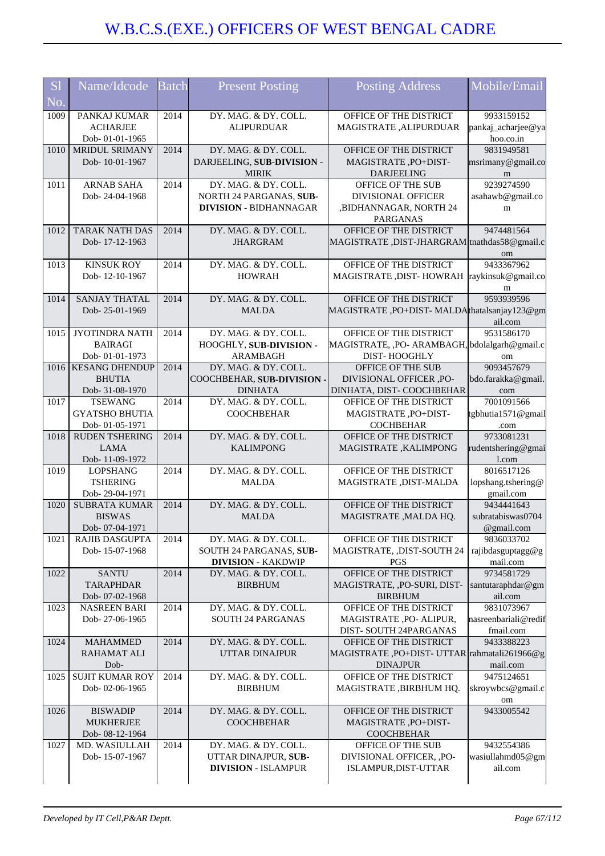| <b>S</b> l | Name/Idcode                              | <b>Batch</b> | <b>Present Posting</b>                           | <b>Posting Address</b>                                        | Mobile/Email                       |
|------------|------------------------------------------|--------------|--------------------------------------------------|---------------------------------------------------------------|------------------------------------|
| No.        |                                          |              |                                                  |                                                               |                                    |
| 1009       | PANKAJ KUMAR                             | 2014         | DY. MAG. & DY. COLL.                             | OFFICE OF THE DISTRICT                                        | 9933159152                         |
|            | <b>ACHARJEE</b>                          |              | <b>ALIPURDUAR</b>                                | MAGISTRATE, ALIPURDUAR                                        | pankaj_acharjee@ya                 |
|            | Dob-01-01-1965                           |              |                                                  |                                                               | hoo.co.in                          |
| 1010       | <b>MRIDUL SRIMANY</b>                    | 2014         | DY. MAG. & DY. COLL.                             | OFFICE OF THE DISTRICT                                        | 9831949581                         |
|            | Dob-10-01-1967                           |              | DARJEELING, SUB-DIVISION -<br><b>MIRIK</b>       | MAGISTRATE, PO+DIST-<br><b>DARJEELING</b>                     | msrimany@gmail.co<br>m             |
| 1011       | <b>ARNAB SAHA</b>                        | 2014         | DY. MAG. & DY. COLL.                             | OFFICE OF THE SUB                                             | 9239274590                         |
|            | Dob-24-04-1968                           |              | NORTH 24 PARGANAS, SUB-                          | <b>DIVISIONAL OFFICER</b>                                     | asahawb@gmail.co                   |
|            |                                          |              | <b>DIVISION - BIDHANNAGAR</b>                    | ,BIDHANNAGAR, NORTH 24                                        | m                                  |
|            |                                          |              |                                                  | <b>PARGANAS</b>                                               |                                    |
| 1012       | <b>TARAK NATH DAS</b>                    | 2014         | DY. MAG. & DY. COLL.                             | OFFICE OF THE DISTRICT                                        | 9474481564                         |
|            | Dob-17-12-1963                           |              | <b>JHARGRAM</b>                                  | MAGISTRATE, DIST-JHARGRAM tnathdas58@gmail.c                  | om                                 |
| 1013       | <b>KINSUK ROY</b>                        | 2014         | DY. MAG. & DY. COLL.                             | OFFICE OF THE DISTRICT                                        | 9433367962                         |
|            | Dob-12-10-1967                           |              | <b>HOWRAH</b>                                    | MAGISTRATE , DIST- HOWRAH                                     | raykinsuk@gmail.co                 |
|            |                                          |              |                                                  |                                                               | m                                  |
| 1014       | <b>SANJAY THATAL</b>                     | 2014         | DY. MAG. & DY. COLL.                             | OFFICE OF THE DISTRICT                                        | 9593939596                         |
|            | Dob-25-01-1969                           |              | <b>MALDA</b>                                     | MAGISTRATE, PO+DIST-MALDAthatalsanjay123@gm                   |                                    |
|            |                                          |              |                                                  |                                                               | ail.com                            |
| 1015       | JYOTINDRA NATH<br><b>BAIRAGI</b>         | 2014         | DY. MAG. & DY. COLL.<br>HOOGHLY, SUB-DIVISION -  | OFFICE OF THE DISTRICT                                        | 9531586170                         |
|            | Dob-01-01-1973                           |              | <b>ARAMBAGH</b>                                  | MAGISTRATE, ,PO- ARAMBAGH, bdolalgarh@gmail.c<br>DIST-HOOGHLY | om                                 |
| 1016       | <b>KESANG DHENDUP</b>                    | 2014         | DY. MAG. & DY. COLL.                             | OFFICE OF THE SUB                                             | 9093457679                         |
|            | <b>BHUTIA</b>                            |              | COOCHBEHAR, SUB-DIVISION -                       | DIVISIONAL OFFICER ,PO-                                       | bdo.farakka@gmail.                 |
|            | Dob- 31-08-1970                          |              | <b>DINHATA</b>                                   | DINHATA, DIST-COOCHBEHAR                                      | com                                |
| 1017       | <b>TSEWANG</b>                           | 2014         | DY. MAG. & DY. COLL.                             | OFFICE OF THE DISTRICT                                        | 7001091566                         |
|            | <b>GYATSHO BHUTIA</b>                    |              | <b>COOCHBEHAR</b>                                | MAGISTRATE, PO+DIST-                                          | tgbhutia1571@gmail                 |
|            | Dob-01-05-1971                           |              |                                                  | <b>COCHBEHAR</b>                                              | .com                               |
| 1018       | <b>RUDEN TSHERING</b><br><b>LAMA</b>     | 2014         | DY. MAG. & DY. COLL.<br><b>KALIMPONG</b>         | OFFICE OF THE DISTRICT<br>MAGISTRATE, KALIMPONG               | 9733081231<br>rudentshering@gmai   |
|            | Dob-11-09-1972                           |              |                                                  |                                                               | 1.com                              |
| 1019       | <b>LOPSHANG</b>                          | 2014         | DY. MAG. & DY. COLL.                             | OFFICE OF THE DISTRICT                                        | 8016517126                         |
|            | <b>TSHERING</b>                          |              | <b>MALDA</b>                                     | MAGISTRATE, DIST-MALDA                                        | lopshang.tshering@                 |
|            | Dob-29-04-1971                           |              |                                                  |                                                               | gmail.com                          |
| 1020       | SUBRATA KUMAR                            | 2014         | DY. MAG. & DY. COLL.                             | OFFICE OF THE DISTRICT                                        | 9434441643                         |
|            | <b>BISWAS</b>                            |              | <b>MALDA</b>                                     | MAGISTRATE , MALDA HQ.                                        | subratabiswas0704                  |
| 1021       | Dob- 07-04-1971<br><b>RAJIB DASGUPTA</b> | 2014         | DY. MAG. & DY. COLL.                             | OFFICE OF THE DISTRICT                                        | @gmail.com<br>9836033702           |
|            | Dob-15-07-1968                           |              | SOUTH 24 PARGANAS, SUB-                          | MAGISTRATE, ,DIST-SOUTH 24                                    | rajibdasguptagg@g                  |
|            |                                          |              | <b>DIVISION - KAKDWIP</b>                        | <b>PGS</b>                                                    | mail.com                           |
| 1022       | <b>SANTU</b>                             | 2014         | DY. MAG. & DY. COLL.                             | OFFICE OF THE DISTRICT                                        | 9734581729                         |
|            | <b>TARAPHDAR</b>                         |              | <b>BIRBHUM</b>                                   | MAGISTRATE, ,PO-SURI, DIST-                                   | santutaraphdar@gm                  |
|            | Dob-07-02-1968                           |              |                                                  | <b>BIRBHUM</b>                                                | ail.com                            |
| 1023       | <b>NASREEN BARI</b><br>Dob-27-06-1965    | 2014         | DY. MAG. & DY. COLL.<br><b>SOUTH 24 PARGANAS</b> | OFFICE OF THE DISTRICT<br>MAGISTRATE ,PO- ALIPUR,             | 9831073967<br>nasreenbariali@redif |
|            |                                          |              |                                                  | DIST-SOUTH 24PARGANAS                                         | fmail.com                          |
| 1024       | <b>MAHAMMED</b>                          | 2014         | DY. MAG. & DY. COLL.                             | OFFICE OF THE DISTRICT                                        | 9433388223                         |
|            | <b>RAHAMAT ALI</b>                       |              | <b>UTTAR DINAJPUR</b>                            | MAGISTRATE, PO+DIST- UTTAR rahmatali261966@g                  |                                    |
|            | Dob-                                     |              |                                                  | <b>DINAJPUR</b>                                               | mail.com                           |
| 1025       | <b>SUJIT KUMAR ROY</b>                   | 2014         | DY. MAG. & DY. COLL.                             | OFFICE OF THE DISTRICT                                        | 9475124651                         |
|            | Dob-02-06-1965                           |              | <b>BIRBHUM</b>                                   | MAGISTRATE , BIRBHUM HQ.                                      | skroywbcs@gmail.c                  |
| 1026       | <b>BISWADIP</b>                          | 2014         | DY. MAG. & DY. COLL.                             | OFFICE OF THE DISTRICT                                        | om<br>9433005542                   |
|            | <b>MUKHERJEE</b>                         |              | <b>COOCHBEHAR</b>                                | MAGISTRATE, PO+DIST-                                          |                                    |
|            | Dob-08-12-1964                           |              |                                                  | <b>COOCHBEHAR</b>                                             |                                    |
| 1027       | MD. WASIULLAH                            | 2014         | DY. MAG. & DY. COLL.                             | OFFICE OF THE SUB                                             | 9432554386                         |
|            | Dob-15-07-1967                           |              | UTTAR DINAJPUR, SUB-                             | DIVISIONAL OFFICER, , PO-                                     | wasiullahmd05@gm                   |
|            |                                          |              | <b>DIVISION - ISLAMPUR</b>                       | ISLAMPUR, DIST-UTTAR                                          | ail.com                            |
|            |                                          |              |                                                  |                                                               |                                    |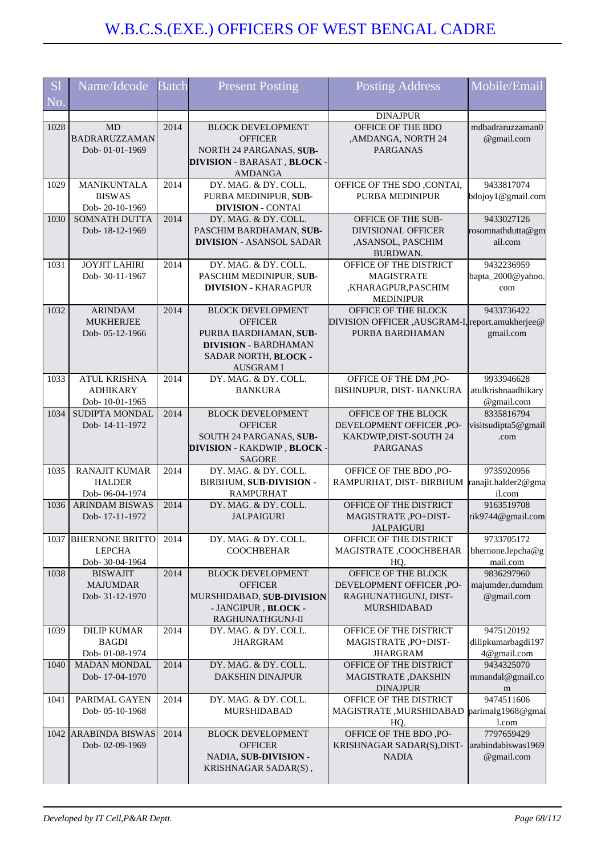| <sub>S1</sub> | Name/Idcode                        | <b>Batch</b> | <b>Present Posting</b>                             | <b>Posting Address</b>                                              | Mobile/Email                      |
|---------------|------------------------------------|--------------|----------------------------------------------------|---------------------------------------------------------------------|-----------------------------------|
| $N_{0}$       |                                    |              |                                                    |                                                                     |                                   |
|               |                                    |              |                                                    | <b>DINAJPUR</b>                                                     |                                   |
| 1028          | MD                                 | 2014         | <b>BLOCK DEVELOPMENT</b>                           | OFFICE OF THE BDO                                                   | mdbadraruzzaman0                  |
|               | <b>BADRARUZZAMAN</b>               |              | <b>OFFICER</b>                                     | ,AMDANGA, NORTH 24                                                  | @gmail.com                        |
|               | Dob-01-01-1969                     |              | NORTH 24 PARGANAS, SUB-                            | <b>PARGANAS</b>                                                     |                                   |
|               |                                    |              | <b>DIVISION - BARASAT, BLOCK</b><br><b>AMDANGA</b> |                                                                     |                                   |
| 1029          | MANIKUNTALA                        | 2014         | DY. MAG. & DY. COLL.                               | OFFICE OF THE SDO , CONTAI,                                         | 9433817074                        |
|               | <b>BISWAS</b>                      |              | PURBA MEDINIPUR, SUB-                              | PURBA MEDINIPUR                                                     | bdojoy1@gmail.com                 |
|               | Dob-20-10-1969                     |              | <b>DIVISION - CONTAI</b>                           |                                                                     |                                   |
| 1030          | SOMNATH DUTTA                      | 2014         | DY. MAG. & DY. COLL.                               | OFFICE OF THE SUB-                                                  | 9433027126                        |
|               | Dob-18-12-1969                     |              | PASCHIM BARDHAMAN, SUB-                            | <b>DIVISIONAL OFFICER</b>                                           | rosomnathdutta@gm                 |
|               |                                    |              | <b>DIVISION - ASANSOL SADAR</b>                    | ,ASANSOL, PASCHIM                                                   | ail.com                           |
|               |                                    |              |                                                    | BURDWAN.                                                            |                                   |
| 1031          | <b>JOYJIT LAHIRI</b>               | 2014         | DY. MAG. & DY. COLL.                               | OFFICE OF THE DISTRICT                                              | 9432236959                        |
|               | Dob-30-11-1967                     |              | PASCHIM MEDINIPUR, SUB-                            | <b>MAGISTRATE</b>                                                   | bapta_2000@yahoo.                 |
|               |                                    |              | <b>DIVISION - KHARAGPUR</b>                        | ,KHARAGPUR,PASCHIM                                                  | com                               |
|               |                                    |              |                                                    | <b>MEDINIPUR</b>                                                    |                                   |
| 1032          | <b>ARINDAM</b>                     | 2014         | <b>BLOCK DEVELOPMENT</b>                           | OFFICE OF THE BLOCK                                                 | 9433736422                        |
|               | <b>MUKHERJEE</b><br>Dob-05-12-1966 |              | <b>OFFICER</b><br>PURBA BARDHAMAN, SUB-            | DIVISION OFFICER , AUSGRAM-I, report.amukherjee@<br>PURBA BARDHAMAN | gmail.com                         |
|               |                                    |              | <b>DIVISION - BARDHAMAN</b>                        |                                                                     |                                   |
|               |                                    |              | SADAR NORTH, BLOCK -                               |                                                                     |                                   |
|               |                                    |              | <b>AUSGRAMI</b>                                    |                                                                     |                                   |
| 1033          | <b>ATUL KRISHNA</b>                | 2014         | DY. MAG. & DY. COLL.                               | OFFICE OF THE DM, PO-                                               | 9933946628                        |
|               | <b>ADHIKARY</b>                    |              | <b>BANKURA</b>                                     | BISHNUPUR, DIST- BANKURA                                            | atulkrishnaadhikary               |
|               | Dob-10-01-1965                     |              |                                                    |                                                                     | @gmail.com                        |
| 1034          | <b>SUDIPTA MONDAL</b>              | 2014         | <b>BLOCK DEVELOPMENT</b>                           | OFFICE OF THE BLOCK                                                 | 8335816794                        |
|               | Dob-14-11-1972                     |              | <b>OFFICER</b>                                     | DEVELOPMENT OFFICER ,PO-                                            | visitsudipta5@gmail               |
|               |                                    |              | SOUTH 24 PARGANAS, SUB-                            | KAKDWIP, DIST-SOUTH 24                                              | .com                              |
|               |                                    |              | <b>DIVISION - KAKDWIP, BLOCK</b>                   | <b>PARGANAS</b>                                                     |                                   |
|               |                                    |              | <b>SAGORE</b>                                      |                                                                     |                                   |
| 1035          | <b>RANAJIT KUMAR</b>               | 2014         | DY. MAG. & DY. COLL.                               | OFFICE OF THE BDO, PO-                                              | 9735920956                        |
|               | <b>HALDER</b><br>Dob-06-04-1974    |              | BIRBHUM, SUB-DIVISION -<br><b>RAMPURHAT</b>        | RAMPURHAT, DIST- BIRBHUM                                            | ranajit.halder2@gma<br>il.com     |
| 1036          | <b>ARINDAM BISWAS</b>              | 2014         | DY. MAG. & DY. COLL.                               | OFFICE OF THE DISTRICT                                              | 9163519708                        |
|               | Dob-17-11-1972                     |              | <b>JALPAIGURI</b>                                  | MAGISTRATE, PO+DIST-                                                | rik9744@gmail.com                 |
|               |                                    |              |                                                    | <b>JALPAIGURI</b>                                                   |                                   |
|               | 1037 BHERNONE BRITTO               | 2014         | DY. MAG. & DY. COLL.                               | OFFICE OF THE DISTRICT                                              | 9733705172                        |
|               | <b>LEPCHA</b>                      |              | <b>COOCHBEHAR</b>                                  | MAGISTRATE, COOCHBEHAR                                              | bhernone.lepcha@g                 |
|               | Dob- 30-04-1964                    |              |                                                    | HQ.                                                                 | mail.com                          |
| 1038          | <b>BISWAJIT</b>                    | 2014         | <b>BLOCK DEVELOPMENT</b>                           | OFFICE OF THE BLOCK                                                 | 9836297960                        |
|               | <b>MAJUMDAR</b>                    |              | <b>OFFICER</b>                                     | DEVELOPMENT OFFICER ,PO-                                            | majumder.dumdum                   |
|               | Dob-31-12-1970                     |              | MURSHIDABAD, SUB-DIVISION                          | RAGHUNATHGUNJ, DIST-                                                | @gmail.com                        |
|               |                                    |              | - JANGIPUR, BLOCK -                                | <b>MURSHIDABAD</b>                                                  |                                   |
|               |                                    |              | RAGHUNATHGUNJ-II                                   |                                                                     |                                   |
| 1039          | <b>DILIP KUMAR</b>                 | 2014         | DY. MAG. & DY. COLL.                               | OFFICE OF THE DISTRICT                                              | 9475120192                        |
|               | <b>BAGDI</b><br>Dob-01-08-1974     |              | <b>JHARGRAM</b>                                    | MAGISTRATE, PO+DIST-<br><b>JHARGRAM</b>                             | dilipkumarbagdi197<br>4@gmail.com |
| 1040          | <b>MADAN MONDAL</b>                | 2014         | DY. MAG. & DY. COLL.                               | OFFICE OF THE DISTRICT                                              | 9434325070                        |
|               | Dob-17-04-1970                     |              | <b>DAKSHIN DINAJPUR</b>                            | MAGISTRATE ,DAKSHIN                                                 | mmandal@gmail.co                  |
|               |                                    |              |                                                    | <b>DINAJPUR</b>                                                     | m                                 |
| 1041          | PARIMAL GAYEN                      | 2014         | DY. MAG. & DY. COLL.                               | OFFICE OF THE DISTRICT                                              | 9474511606                        |
|               | Dob-05-10-1968                     |              | MURSHIDABAD                                        | MAGISTRATE, MURSHIDABAD                                             | parimalg1968@gmai                 |
|               |                                    |              |                                                    | HQ.                                                                 | 1.com                             |
|               | 1042 ARABINDA BISWAS               | 2014         | <b>BLOCK DEVELOPMENT</b>                           | OFFICE OF THE BDO, PO-                                              | 7797659429                        |
|               | Dob-02-09-1969                     |              | <b>OFFICER</b>                                     | KRISHNAGAR SADAR(S), DIST-                                          | arabindabiswas1969                |
|               |                                    |              | NADIA, SUB-DIVISION -                              | <b>NADIA</b>                                                        | @gmail.com                        |
|               |                                    |              | KRISHNAGAR SADAR(S),                               |                                                                     |                                   |
|               |                                    |              |                                                    |                                                                     |                                   |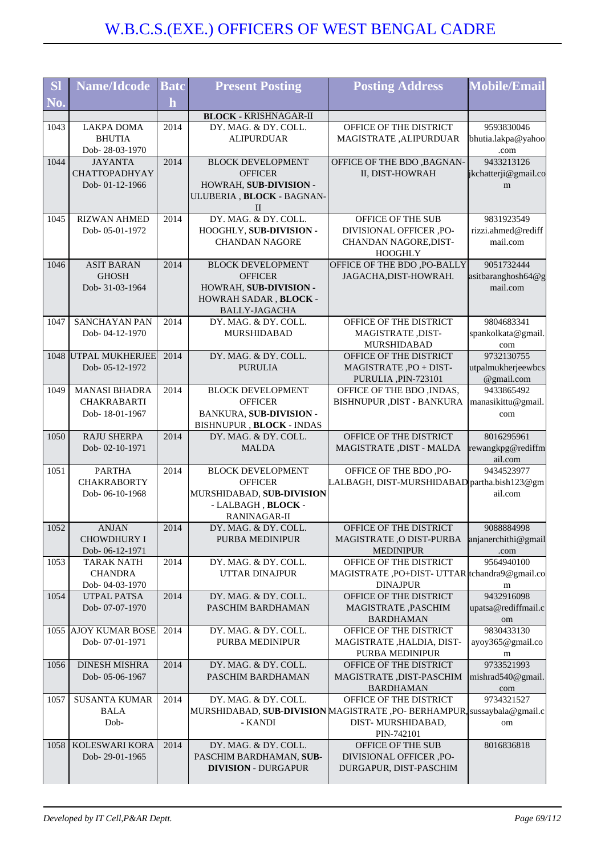| <b>SI</b> | <b>Name/Idcode</b>                     | <b>Batc</b> | <b>Present Posting</b>                       | <b>Posting Address</b>                                                                       | <b>Mobile/Email</b>          |
|-----------|----------------------------------------|-------------|----------------------------------------------|----------------------------------------------------------------------------------------------|------------------------------|
| No.       |                                        | $\mathbf h$ |                                              |                                                                                              |                              |
|           |                                        |             | <b>BLOCK - KRISHNAGAR-II</b>                 |                                                                                              |                              |
| 1043      | <b>LAKPA DOMA</b>                      | 2014        | DY. MAG. & DY. COLL.                         | OFFICE OF THE DISTRICT                                                                       | 9593830046                   |
|           | <b>BHUTIA</b>                          |             | <b>ALIPURDUAR</b>                            | MAGISTRATE, ALIPURDUAR                                                                       | bhutia.lakpa@yahoo           |
|           | Dob-28-03-1970                         |             |                                              |                                                                                              | .com                         |
| 1044      | <b>JAYANTA</b>                         | 2014        | <b>BLOCK DEVELOPMENT</b>                     | OFFICE OF THE BDO , BAGNAN-                                                                  | 9433213126                   |
|           | <b>CHATTOPADHYAY</b><br>Dob-01-12-1966 |             | <b>OFFICER</b><br>HOWRAH, SUB-DIVISION -     | II, DIST-HOWRAH                                                                              | jkchatterji@gmail.co<br>m    |
|           |                                        |             | ULUBERIA, BLOCK - BAGNAN-                    |                                                                                              |                              |
|           |                                        |             | П                                            |                                                                                              |                              |
| 1045      | <b>RIZWAN AHMED</b>                    | 2014        | DY, MAG, & DY, COLL.                         | OFFICE OF THE SUB                                                                            | 9831923549                   |
|           | Dob-05-01-1972                         |             | HOOGHLY, SUB-DIVISION -                      | DIVISIONAL OFFICER ,PO-                                                                      | rizzi.ahmed@rediff           |
|           |                                        |             | <b>CHANDAN NAGORE</b>                        | CHANDAN NAGORE, DIST-<br><b>HOOGHLY</b>                                                      | mail.com                     |
| 1046      | <b>ASIT BARAN</b>                      | 2014        | <b>BLOCK DEVELOPMENT</b>                     | OFFICE OF THE BDO , PO-BALLY                                                                 | 9051732444                   |
|           | <b>GHOSH</b>                           |             | <b>OFFICER</b>                               | JAGACHA, DIST-HOWRAH.                                                                        | asitbaranghosh64@g           |
|           | Dob- 31-03-1964                        |             | HOWRAH, SUB-DIVISION -                       |                                                                                              | mail.com                     |
|           |                                        |             | HOWRAH SADAR, BLOCK -                        |                                                                                              |                              |
| 1047      | SANCHAYAN PAN                          | 2014        | <b>BALLY-JAGACHA</b><br>DY. MAG. & DY. COLL. | OFFICE OF THE DISTRICT                                                                       | 9804683341                   |
|           | Dob-04-12-1970                         |             | <b>MURSHIDABAD</b>                           | MAGISTRATE, DIST-                                                                            | spankolkata@gmail.           |
|           |                                        |             |                                              | MURSHIDABAD                                                                                  | com                          |
|           | 1048 UTPAL MUKHERJEE                   | 2014        | DY. MAG. & DY. COLL.                         | OFFICE OF THE DISTRICT                                                                       | 9732130755                   |
|           | Dob-05-12-1972                         |             | <b>PURULIA</b>                               | MAGISTRATE, PO + DIST-                                                                       | utpalmukherjeewbcs           |
| 1049      | <b>MANASI BHADRA</b>                   | 2014        | <b>BLOCK DEVELOPMENT</b>                     | PURULIA, PIN-723101<br>OFFICE OF THE BDO, INDAS,                                             | @gmail.com<br>9433865492     |
|           | <b>CHAKRABARTI</b>                     |             | <b>OFFICER</b>                               | BISHNUPUR , DIST - BANKURA                                                                   | manasikittu@gmail.           |
|           | Dob-18-01-1967                         |             | BANKURA, SUB-DIVISION -                      |                                                                                              | com                          |
|           |                                        |             | BISHNUPUR, BLOCK - INDAS                     |                                                                                              |                              |
| 1050      | <b>RAJU SHERPA</b>                     | 2014        | DY. MAG. & DY. COLL.                         | OFFICE OF THE DISTRICT                                                                       | 8016295961                   |
|           | Dob-02-10-1971                         |             | <b>MALDA</b>                                 | MAGISTRATE, DIST - MALDA                                                                     | rewangkpg@rediffm<br>ail.com |
| 1051      | <b>PARTHA</b>                          | 2014        | <b>BLOCK DEVELOPMENT</b>                     | OFFICE OF THE BDO, PO-                                                                       | 9434523977                   |
|           | <b>CHAKRABORTY</b>                     |             | <b>OFFICER</b>                               | LALBAGH, DIST-MURSHIDABAD partha.bish123@gm                                                  |                              |
|           | Dob-06-10-1968                         |             | MURSHIDABAD, SUB-DIVISION                    |                                                                                              | ail.com                      |
|           |                                        |             | - LALBAGH, BLOCK -<br>RANINAGAR-II           |                                                                                              |                              |
| 1052      | <b>ANJAN</b>                           | 2014        | DY. MAG. & DY. COLI                          | OFFICE OF THE DISTRICT                                                                       | 9088884998                   |
|           | <b>CHOWDHURY I</b>                     |             | PURBA MEDINIPUR                              | MAGISTRATE, O DIST-PURBA                                                                     | anjanerchithi@gmail          |
|           | Dob-06-12-1971                         |             |                                              | <b>MEDINIPUR</b>                                                                             | .com                         |
| 1053      | <b>TARAK NATH</b>                      | 2014        | DY. MAG. & DY. COLL.                         | OFFICE OF THE DISTRICT                                                                       | 9564940100                   |
|           | <b>CHANDRA</b><br>Dob-04-03-1970       |             | <b>UTTAR DINAJPUR</b>                        | MAGISTRATE, PO+DIST- UTTAR tchandra9@gmail.co<br><b>DINAJPUR</b>                             | m                            |
| 1054      | UTPAL PATSA                            | 2014        | DY. MAG. & DY. COLL.                         | OFFICE OF THE DISTRICT                                                                       | 9432916098                   |
|           | Dob-07-07-1970                         |             | PASCHIM BARDHAMAN                            | MAGISTRATE ,PASCHIM                                                                          | upatsa@rediffmail.c          |
|           |                                        |             |                                              | <b>BARDHAMAN</b>                                                                             | om                           |
|           | 1055 AJOY KUMAR BOSE                   | 2014        | DY. MAG. & DY. COLL.                         | OFFICE OF THE DISTRICT                                                                       | 9830433130                   |
|           | Dob-07-01-1971                         |             | PURBA MEDINIPUR                              | MAGISTRATE, HALDIA, DIST-<br>PURBA MEDINIPUR                                                 | ayoy365@gmail.co<br>m        |
| 1056      | <b>DINESH MISHRA</b>                   | 2014        | DY. MAG. & DY. COLL.                         | OFFICE OF THE DISTRICT                                                                       | 9733521993                   |
|           | Dob-05-06-1967                         |             | PASCHIM BARDHAMAN                            | MAGISTRATE , DIST-PASCHIM                                                                    | mishrad540@gmail.            |
|           |                                        |             |                                              | <b>BARDHAMAN</b>                                                                             | com                          |
| 1057      | <b>SUSANTA KUMAR</b>                   | 2014        | DY. MAG. & DY. COLL.                         | OFFICE OF THE DISTRICT                                                                       | 9734321527                   |
|           | <b>BALA</b><br>Dob-                    |             | - KANDI                                      | MURSHIDABAD, SUB-DIVISION MAGISTRATE ,PO- BERHAMPUR, sussaybala@gmail.c<br>DIST-MURSHIDABAD, | om                           |
|           |                                        |             |                                              | PIN-742101                                                                                   |                              |
| 1058      | KOLESWARI KORA                         | 2014        | DY. MAG. & DY. COLL.                         | OFFICE OF THE SUB                                                                            | 8016836818                   |
|           | Dob-29-01-1965                         |             | PASCHIM BARDHAMAN, SUB-                      | DIVISIONAL OFFICER ,PO-                                                                      |                              |
|           |                                        |             | <b>DIVISION - DURGAPUR</b>                   | DURGAPUR, DIST-PASCHIM                                                                       |                              |
|           |                                        |             |                                              |                                                                                              |                              |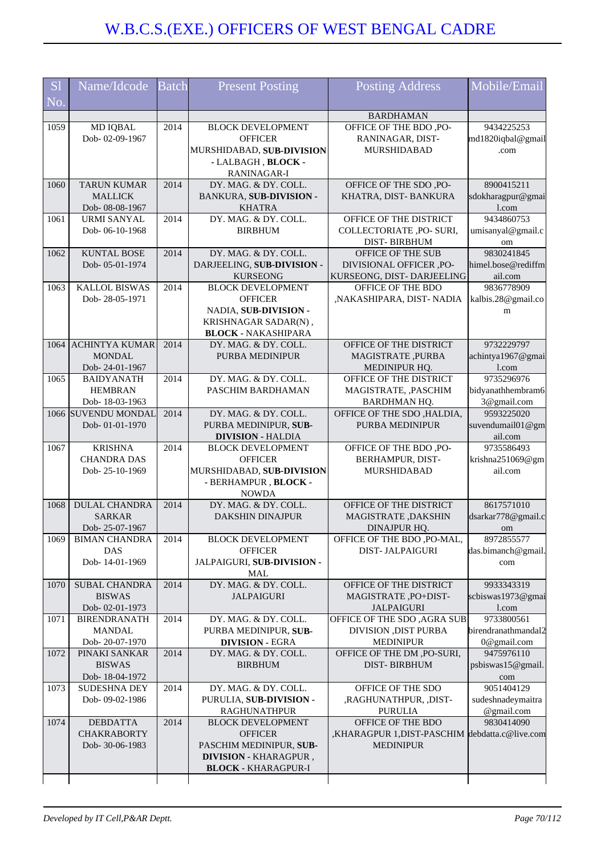| <b>S1</b> | Name/Idcode                           | <b>Batch</b> | <b>Present Posting</b>                            | <b>Posting Address</b>                               | Mobile/Email                      |
|-----------|---------------------------------------|--------------|---------------------------------------------------|------------------------------------------------------|-----------------------------------|
| No.       |                                       |              |                                                   |                                                      |                                   |
| 1059      | <b>MD IQBAL</b>                       | 2014         | <b>BLOCK DEVELOPMENT</b>                          | <b>BARDHAMAN</b><br>OFFICE OF THE BDO, PO-           | 9434225253                        |
|           | Dob-02-09-1967                        |              | <b>OFFICER</b>                                    | RANINAGAR, DIST-                                     | md1820iqbal@gmail                 |
|           |                                       |              | MURSHIDABAD, SUB-DIVISION                         | MURSHIDABAD                                          | .com                              |
|           |                                       |              | - LALBAGH, BLOCK -                                |                                                      |                                   |
|           |                                       |              | RANINAGAR-I                                       |                                                      |                                   |
| 1060      | <b>TARUN KUMAR</b>                    | 2014         | DY. MAG. & DY. COLL.                              | OFFICE OF THE SDO, PO-                               | 8900415211                        |
|           | <b>MALLICK</b>                        |              | BANKURA, SUB-DIVISION -                           | KHATRA, DIST-BANKURA                                 | sdokharagpur@gmai                 |
| 1061      | Dob- 08-08-1967<br><b>URMI SANYAL</b> | 2014         | <b>KHATRA</b><br>DY. MAG. & DY. COLL.             | OFFICE OF THE DISTRICT                               | l.com<br>9434860753               |
|           | Dob-06-10-1968                        |              | <b>BIRBHUM</b>                                    | COLLECTORIATE ,PO- SURI,                             | umisanyal@gmail.c                 |
|           |                                       |              |                                                   | <b>DIST-BIRBHUM</b>                                  | om                                |
| 1062      | <b>KUNTAL BOSE</b>                    | 2014         | DY. MAG. & DY. COLL.                              | OFFICE OF THE SUB                                    | 9830241845                        |
|           | Dob-05-01-1974                        |              | DARJEELING, SUB-DIVISION -                        | DIVISIONAL OFFICER, PO-                              | himel.bose@rediffm                |
|           |                                       |              | <b>KURSEONG</b>                                   | KURSEONG, DIST-DARJEELING                            | ail.com                           |
| 1063      | <b>KALLOL BISWAS</b>                  | 2014         | <b>BLOCK DEVELOPMENT</b>                          | OFFICE OF THE BDO                                    | 9836778909                        |
|           | Dob-28-05-1971                        |              | <b>OFFICER</b><br>NADIA, SUB-DIVISION -           | ,NAKASHIPARA, DIST- NADIA                            | kalbis.28@gmail.co                |
|           |                                       |              | KRISHNAGAR SADAR(N),                              |                                                      | m                                 |
|           |                                       |              | <b>BLOCK - NAKASHIPARA</b>                        |                                                      |                                   |
| 1064      | <b>ACHINTYA KUMAR</b>                 | 2014         | DY. MAG. & DY. COLL.                              | OFFICE OF THE DISTRICT                               | 9732229797                        |
|           | <b>MONDAL</b>                         |              | PURBA MEDINIPUR                                   | MAGISTRATE, PURBA                                    | achintya1967@gmai                 |
|           | Dob-24-01-1967                        |              |                                                   | MEDINIPUR HQ.                                        | l.com                             |
| 1065      | <b>BAIDYANATH</b>                     | 2014         | DY. MAG. & DY. COLL.                              | OFFICE OF THE DISTRICT                               | 9735296976                        |
|           | <b>HEMBRAN</b><br>Dob-18-03-1963      |              | PASCHIM BARDHAMAN                                 | MAGISTRATE, , PASCHIM<br>BARDHMAN HQ.                | bidyanathhembram6<br>3@gmail.com  |
|           | 1066 SUVENDU MONDAL                   | 2014         | DY. MAG. & DY. COLL.                              | OFFICE OF THE SDO, HALDIA,                           | 9593225020                        |
|           | Dob-01-01-1970                        |              | PURBA MEDINIPUR, SUB-                             | PURBA MEDINIPUR                                      | suvendumail01@gm                  |
|           |                                       |              | <b>DIVISION - HALDIA</b>                          |                                                      | ail.com                           |
| 1067      | <b>KRISHNA</b>                        | 2014         | <b>BLOCK DEVELOPMENT</b>                          | OFFICE OF THE BDO, PO-                               | 9735586493                        |
|           | <b>CHANDRA DAS</b>                    |              | <b>OFFICER</b>                                    | BERHAMPUR, DIST-<br><b>MURSHIDABAD</b>               | krishna251069@gm                  |
|           | Dob-25-10-1969                        |              | MURSHIDABAD, SUB-DIVISION<br>- BERHAMPUR, BLOCK - |                                                      | ail.com                           |
|           |                                       |              | <b>NOWDA</b>                                      |                                                      |                                   |
| 1068      | <b>DULAL CHANDRA</b>                  | 2014         | DY. MAG. & DY. COLL.                              | OFFICE OF THE DISTRICT                               | 8617571010                        |
|           | <b>SARKAR</b>                         |              | <b>DAKSHIN DINAJPUR</b>                           | MAGISTRATE, DAKSHIN                                  | dsarkar778@gmail.c                |
|           | Dob-25-07-1967                        |              |                                                   | DINAJPUR HQ.                                         | <sub>om</sub>                     |
| 1069      | <b>BIMAN CHANDRA</b><br><b>DAS</b>    | 2014         | <b>BLOCK DEVELOPMENT</b><br><b>OFFICER</b>        | OFFICE OF THE BDO ,PO-MAL,<br><b>DIST-JALPAIGURI</b> | 8972855577                        |
|           | Dob-14-01-1969                        |              | JALPAIGURI, SUB-DIVISION -                        |                                                      | das.bimanch@gmail.<br>com         |
|           |                                       |              | MAL                                               |                                                      |                                   |
| 1070      | <b>SUBAL CHANDRA</b>                  | 2014         | DY. MAG. & DY. COLL.                              | OFFICE OF THE DISTRICT                               | 9933343319                        |
|           | <b>BISWAS</b>                         |              | <b>JALPAIGURI</b>                                 | MAGISTRATE, PO+DIST-                                 | scbiswas1973@gmai                 |
|           | Dob-02-01-1973                        |              |                                                   | <b>JALPAIGURI</b>                                    | 1.com                             |
| 1071      | <b>BIRENDRANATH</b><br><b>MANDAL</b>  | 2014         | DY. MAG. & DY. COLL.                              | OFFICE OF THE SDO, AGRA SUB                          | 9733800561<br>birendranathmandal2 |
|           | Dob-20-07-1970                        |              | PURBA MEDINIPUR, SUB-<br><b>DIVISION - EGRA</b>   | DIVISION ,DIST PURBA<br><b>MEDINIPUR</b>             | 0@gmail.com                       |
| 1072      | PINAKI SANKAR                         | 2014         | DY. MAG. & DY. COLL.                              | OFFICE OF THE DM, PO-SURI,                           | 9475976110                        |
|           | <b>BISWAS</b>                         |              | <b>BIRBHUM</b>                                    | <b>DIST-BIRBHUM</b>                                  | psbiswas15@gmail.                 |
|           | Dob-18-04-1972                        |              |                                                   |                                                      | com                               |
| 1073      | SUDESHNA DEY                          | 2014         | DY. MAG. & DY. COLL.                              | OFFICE OF THE SDO                                    | 9051404129                        |
|           | Dob-09-02-1986                        |              | PURULIA, SUB-DIVISION -                           | ,RAGHUNATHPUR, ,DIST-                                | sudeshnadeymaitra                 |
| 1074      | <b>DEBDATTA</b>                       | 2014         | <b>RAGHUNATHPUR</b><br><b>BLOCK DEVELOPMENT</b>   | <b>PURULIA</b><br>OFFICE OF THE BDO                  | @gmail.com<br>9830414090          |
|           | <b>CHAKRABORTY</b>                    |              | <b>OFFICER</b>                                    | ,KHARAGPUR 1,DIST-PASCHIM debdatta.c@live.com        |                                   |
|           | Dob-30-06-1983                        |              | PASCHIM MEDINIPUR, SUB-                           | <b>MEDINIPUR</b>                                     |                                   |
|           |                                       |              | DIVISION - KHARAGPUR,                             |                                                      |                                   |
|           |                                       |              | <b>BLOCK - KHARAGPUR-I</b>                        |                                                      |                                   |
|           |                                       |              |                                                   |                                                      |                                   |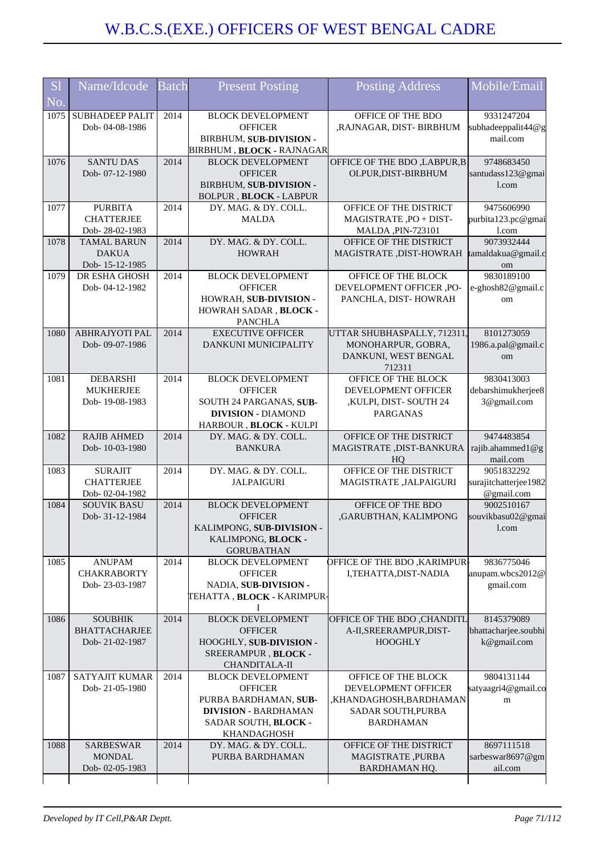| <b>Sl</b> | Name/Idcode                              | <b>Batch</b> | <b>Present Posting</b>                                | <b>Posting Address</b>                                      | Mobile/Email                     |
|-----------|------------------------------------------|--------------|-------------------------------------------------------|-------------------------------------------------------------|----------------------------------|
| No.       |                                          |              |                                                       |                                                             |                                  |
| 1075      | <b>SUBHADEEP PALIT</b><br>Dob-04-08-1986 | 2014         | <b>BLOCK DEVELOPMENT</b><br><b>OFFICER</b>            | OFFICE OF THE BDO<br>,RAJNAGAR, DIST- BIRBHUM               | 9331247204<br>subhadeeppalit44@g |
|           |                                          |              | BIRBHUM, SUB-DIVISION -                               |                                                             | mail.com                         |
|           |                                          |              | <b>BIRBHUM, BLOCK - RAJNAGAR</b>                      |                                                             |                                  |
| 1076      | <b>SANTU DAS</b>                         | 2014         | <b>BLOCK DEVELOPMENT</b>                              | OFFICE OF THE BDO , LABPUR, B                               | 9748683450                       |
|           | Dob-07-12-1980                           |              | <b>OFFICER</b>                                        | OLPUR, DIST-BIRBHUM                                         | santudass123@gmai                |
|           |                                          |              | BIRBHUM, SUB-DIVISION -                               |                                                             | 1.com                            |
| 1077      | <b>PURBITA</b>                           | 2014         | <b>BOLPUR, BLOCK - LABPUR</b><br>DY. MAG. & DY. COLL. | OFFICE OF THE DISTRICT                                      | 9475606990                       |
|           | <b>CHATTERJEE</b>                        |              | <b>MALDA</b>                                          | MAGISTRATE, PO + DIST-                                      | purbita123.pc@gmai               |
|           | Dob-28-02-1983                           |              |                                                       | MALDA, PIN-723101                                           | l.com                            |
| 1078      | <b>TAMAL BARUN</b>                       | 2014         | DY. MAG. & DY. COLL.                                  | OFFICE OF THE DISTRICT                                      | 9073932444                       |
|           | <b>DAKUA</b>                             |              | <b>HOWRAH</b>                                         | MAGISTRATE, DIST-HOWRAH                                     | tamaldakua@gmail.c               |
|           | Dob-15-12-1985                           |              |                                                       |                                                             | om                               |
| 1079      | DR ESHA GHOSH<br>Dob-04-12-1982          | 2014         | <b>BLOCK DEVELOPMENT</b><br><b>OFFICER</b>            | OFFICE OF THE BLOCK<br>DEVELOPMENT OFFICER ,PO-             | 9830189100<br>e-ghosh82@gmail.c  |
|           |                                          |              | HOWRAH, SUB-DIVISION -                                | PANCHLA, DIST-HOWRAH                                        | om                               |
|           |                                          |              | HOWRAH SADAR, BLOCK -                                 |                                                             |                                  |
|           |                                          |              | <b>PANCHLA</b>                                        |                                                             |                                  |
| 1080      | ABHRAJYOTI PAL                           | 2014         | <b>EXECUTIVE OFFICER</b>                              | UTTAR SHUBHASPALLY, 712311,                                 | 8101273059                       |
|           | Dob-09-07-1986                           |              | <b>DANKUNI MUNICIPALITY</b>                           | MONOHARPUR, GOBRA,<br>DANKUNI, WEST BENGAL                  | 1986.a.pal@gmail.c<br>om         |
|           |                                          |              |                                                       | 712311                                                      |                                  |
| 1081      | <b>DEBARSHI</b>                          | 2014         | <b>BLOCK DEVELOPMENT</b>                              | OFFICE OF THE BLOCK                                         | 9830413003                       |
|           | <b>MUKHERJEE</b>                         |              | <b>OFFICER</b>                                        | DEVELOPMENT OFFICER                                         | debarshimukherjee8               |
|           | Dob-19-08-1983                           |              | SOUTH 24 PARGANAS, SUB-                               | ,KULPI, DIST-SOUTH 24                                       | 3@gmail.com                      |
|           |                                          |              | <b>DIVISION - DIAMOND</b>                             | <b>PARGANAS</b>                                             |                                  |
| 1082      | <b>RAJIB AHMED</b>                       | 2014         | HARBOUR, BLOCK - KULPI<br>DY. MAG. & DY. COLL.        | OFFICE OF THE DISTRICT                                      | 9474483854                       |
|           | Dob-10-03-1980                           |              | <b>BANKURA</b>                                        | MAGISTRATE, DIST-BANKURA                                    | rajib.ahammed1@g                 |
|           |                                          |              |                                                       | HO                                                          | mail.com                         |
| 1083      | <b>SURAJIT</b>                           | 2014         | DY. MAG. & DY. COLL.                                  | OFFICE OF THE DISTRICT                                      | 9051832292                       |
|           | <b>CHATTERJEE</b>                        |              | <b>JALPAIGURI</b>                                     | MAGISTRATE , JALPAIGURI                                     | surajitchatterjee1982            |
| 1084      | Dob-02-04-1982<br><b>SOUVIK BASU</b>     | 2014         | <b>BLOCK DEVELOPMENT</b>                              | OFFICE OF THE BDO                                           | @gmail.com<br>9002510167         |
|           | Dob- 31-12-1984                          |              | <b>OFFICER</b>                                        | ,GARUBTHAN, KALIMPONG                                       | souvikbasu02@gmai                |
|           |                                          |              | KALIMPONG, SUB-DIVISION -                             |                                                             | l.com                            |
|           |                                          |              | KALIMPONG, BLOCK -                                    |                                                             |                                  |
|           |                                          |              | <b>GORUBATHAN</b>                                     |                                                             |                                  |
| 1085      | <b>ANUPAM</b><br><b>CHAKRABORTY</b>      | 2014         | <b>BLOCK DEVELOPMENT</b><br><b>OFFICER</b>            | <b>DFFICE OF THE BDO ,KARIMPUR-</b><br>I,TEHATTA,DIST-NADIA | 9836775046<br>anupam.wbcs2012@   |
|           | Dob-23-03-1987                           |              | NADIA, SUB-DIVISION -                                 |                                                             | gmail.com                        |
|           |                                          |              | TEHATTA, BLOCK - KARIMPUR-                            |                                                             |                                  |
|           |                                          |              | Ι                                                     |                                                             |                                  |
| 1086      | <b>SOUBHIK</b>                           | 2014         | <b>BLOCK DEVELOPMENT</b>                              | OFFICE OF THE BDO, CHANDITL                                 | 8145379089                       |
|           | <b>BHATTACHARJEE</b><br>Dob-21-02-1987   |              | <b>OFFICER</b>                                        | A-II, SREER AMPUR, DIST-<br><b>HOOGHLY</b>                  | bhattacharjee.soubhi             |
|           |                                          |              | HOOGHLY, SUB-DIVISION -<br>SREERAMPUR, BLOCK -        |                                                             | k@gmail.com                      |
|           |                                          |              | <b>CHANDITALA-II</b>                                  |                                                             |                                  |
| 1087      | <b>SATYAJIT KUMAR</b>                    | 2014         | <b>BLOCK DEVELOPMENT</b>                              | OFFICE OF THE BLOCK                                         | 9804131144                       |
|           | Dob-21-05-1980                           |              | <b>OFFICER</b>                                        | DEVELOPMENT OFFICER                                         | satyaagri4@gmail.co              |
|           |                                          |              | PURBA BARDHAMAN, SUB-                                 | ,KHANDAGHOSH,BARDHAMAN                                      | m                                |
|           |                                          |              | <b>DIVISION - BARDHAMAN</b>                           | SADAR SOUTH, PURBA<br><b>BARDHAMAN</b>                      |                                  |
|           |                                          |              | SADAR SOUTH, BLOCK -<br>KHANDAGHOSH                   |                                                             |                                  |
| 1088      | <b>SARBESWAR</b>                         | 2014         | DY. MAG. & DY. COLL.                                  | OFFICE OF THE DISTRICT                                      | 8697111518                       |
|           | <b>MONDAL</b>                            |              | PURBA BARDHAMAN                                       | MAGISTRATE, PURBA                                           | sarbeswar8697@gm                 |
|           | Dob-02-05-1983                           |              |                                                       | BARDHAMAN HQ.                                               | ail.com                          |
|           |                                          |              |                                                       |                                                             |                                  |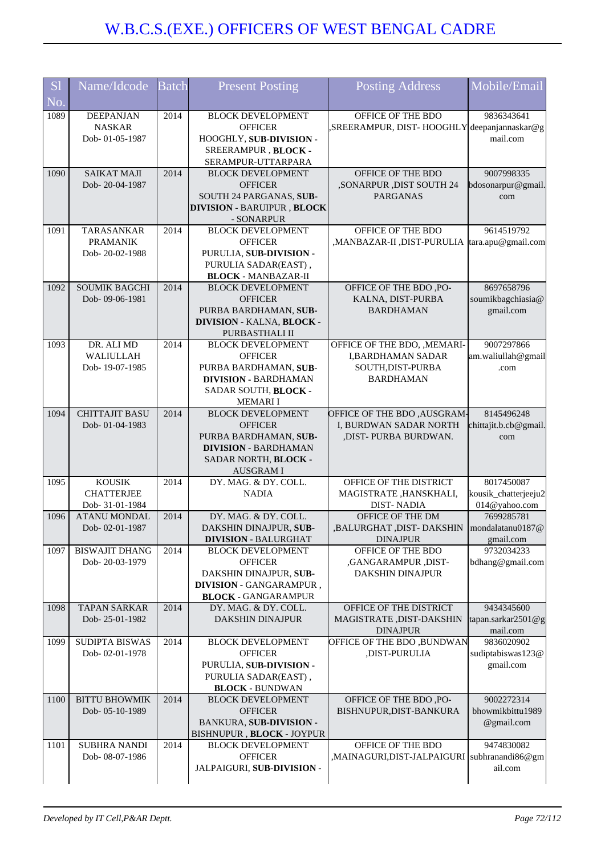| <b>S1</b><br>No. | Name/Idcode                                           | <b>Batch</b> | <b>Present Posting</b>                                                                                                                        | <b>Posting Address</b>                                                                            | Mobile/Email                                        |
|------------------|-------------------------------------------------------|--------------|-----------------------------------------------------------------------------------------------------------------------------------------------|---------------------------------------------------------------------------------------------------|-----------------------------------------------------|
| 1089             | <b>DEEPANJAN</b><br><b>NASKAR</b><br>Dob-01-05-1987   | 2014         | <b>BLOCK DEVELOPMENT</b><br><b>OFFICER</b><br>HOOGHLY, SUB-DIVISION -<br>SREERAMPUR, BLOCK -<br>SERAMPUR-UTTARPARA                            | OFFICE OF THE BDO<br>"SREERAMPUR, DIST-HOOGHLY deepanjannaskar@g                                  | 9836343641<br>mail.com                              |
| 1090             | <b>SAIKAT MAJI</b><br>Dob-20-04-1987                  | 2014         | <b>BLOCK DEVELOPMENT</b><br><b>OFFICER</b><br>SOUTH 24 PARGANAS, SUB-<br><b>DIVISION - BARUIPUR, BLOCK</b><br>- SONARPUR                      | OFFICE OF THE BDO<br>,SONARPUR ,DIST SOUTH 24<br><b>PARGANAS</b>                                  | 9007998335<br>bdosonarpur@gmail<br>com              |
| 1091             | TARASANKAR<br><b>PRAMANIK</b><br>Dob-20-02-1988       | 2014         | <b>BLOCK DEVELOPMENT</b><br><b>OFFICER</b><br>PURULIA, SUB-DIVISION -<br>PURULIA SADAR(EAST),<br><b>BLOCK - MANBAZAR-II</b>                   | OFFICE OF THE BDO<br>,MANBAZAR-II, DIST-PURULIA tara.apu@gmail.com                                | 9614519792                                          |
| 1092             | <b>SOUMIK BAGCHI</b><br>Dob-09-06-1981                | 2014         | <b>BLOCK DEVELOPMENT</b><br><b>OFFICER</b><br>PURBA BARDHAMAN, SUB-<br>DIVISION - KALNA, BLOCK -<br>PURBASTHALI II                            | OFFICE OF THE BDO, PO-<br>KALNA, DIST-PURBA<br><b>BARDHAMAN</b>                                   | 8697658796<br>soumikbagchiasia@<br>gmail.com        |
| 1093             | DR. ALI MD<br>WALIULLAH<br>Dob-19-07-1985             | 2014         | <b>BLOCK DEVELOPMENT</b><br><b>OFFICER</b><br>PURBA BARDHAMAN, SUB-<br><b>DIVISION - BARDHAMAN</b><br>SADAR SOUTH, BLOCK -<br><b>MEMARII</b>  | OFFICE OF THE BDO, , MEMARI-<br><b>I,BARDHAMAN SADAR</b><br>SOUTH, DIST-PURBA<br><b>BARDHAMAN</b> | 9007297866<br>am.waliullah@gmail<br>.com            |
| 1094             | <b>CHITTAJIT BASU</b><br>Dob-01-04-1983               | 2014         | <b>BLOCK DEVELOPMENT</b><br><b>OFFICER</b><br>PURBA BARDHAMAN, SUB-<br><b>DIVISION - BARDHAMAN</b><br>SADAR NORTH, BLOCK -<br><b>AUSGRAMI</b> | <b>OFFICE OF THE BDO, AUSGRAM-</b><br>I, BURDWAN SADAR NORTH<br>,DIST-PURBA BURDWAN.              | 8145496248<br>chittajit.b.cb@gmail<br>com           |
| 1095             | <b>KOUSIK</b><br><b>CHATTERJEE</b><br>Dob- 31-01-1984 | 2014         | DY. MAG. & DY. COLL.<br><b>NADIA</b>                                                                                                          | OFFICE OF THE DISTRICT<br>MAGISTRATE, HANSKHALI,<br><b>DIST-NADIA</b>                             | 8017450087<br>kousik_chatterjeeju2<br>014@yahoo.com |
| 1096             | <b>ATANU MONDAL</b><br>Dob-02-01-1987                 | 2014         | DY. MAG. & DY. COLL.<br>DAKSHIN DINAJPUR, SUB-<br><b>DIVISION - BALURGHAT</b>                                                                 | OFFICE OF THE DM<br>BALURGHAT, DIST-DAKSHIN   mondalatanu0187@  <br><b>DINAJPUR</b>               | 7699285781<br>gmail.com                             |
| 1097             | <b>BISWAJIT DHANG</b><br>Dob-20-03-1979               | 2014         | <b>BLOCK DEVELOPMENT</b><br><b>OFFICER</b><br>DAKSHIN DINAJPUR, SUB-<br>DIVISION - GANGARAMPUR,<br><b>BLOCK - GANGARAMPUR</b>                 | OFFICE OF THE BDO<br>.GANGARAMPUR ,DIST-<br>DAKSHIN DINAJPUR                                      | 9732034233<br>bdhang@gmail.com                      |
| 1098             | <b>TAPAN SARKAR</b><br>Dob-25-01-1982                 | 2014         | DY. MAG. & DY. COLL.<br>DAKSHIN DINAJPUR                                                                                                      | OFFICE OF THE DISTRICT<br>MAGISTRATE , DIST-DAKSHIN<br><b>DINAJPUR</b>                            | 9434345600<br>tapan.sarkar2501@g<br>mail.com        |
| 1099             | <b>SUDIPTA BISWAS</b><br>Dob-02-01-1978               | 2014         | <b>BLOCK DEVELOPMENT</b><br><b>OFFICER</b><br>PURULIA, SUB-DIVISION -<br>PURULIA SADAR(EAST),<br><b>BLOCK - BUNDWAN</b>                       | OFFICE OF THE BDO, BUNDWAN<br>,DIST-PURULIA                                                       | 9836020902<br>sudiptabiswas123@<br>gmail.com        |
| 1100             | <b>BITTU BHOWMIK</b><br>Dob-05-10-1989                | 2014         | <b>BLOCK DEVELOPMENT</b><br><b>OFFICER</b><br>BANKURA, SUB-DIVISION -<br>BISHNUPUR, BLOCK - JOYPUR                                            | OFFICE OF THE BDO, PO-<br>BISHNUPUR, DIST-BANKURA                                                 | 9002272314<br>bhowmikbittu1989<br>@gmail.com        |
| 1101             | <b>SUBHRA NANDI</b><br>Dob- 08-07-1986                | 2014         | <b>BLOCK DEVELOPMENT</b><br><b>OFFICER</b><br>JALPAIGURI, SUB-DIVISION -                                                                      | OFFICE OF THE BDO<br>,MAINAGURI,DIST-JALPAIGURI subhranandi86@gm                                  | 9474830082<br>ail.com                               |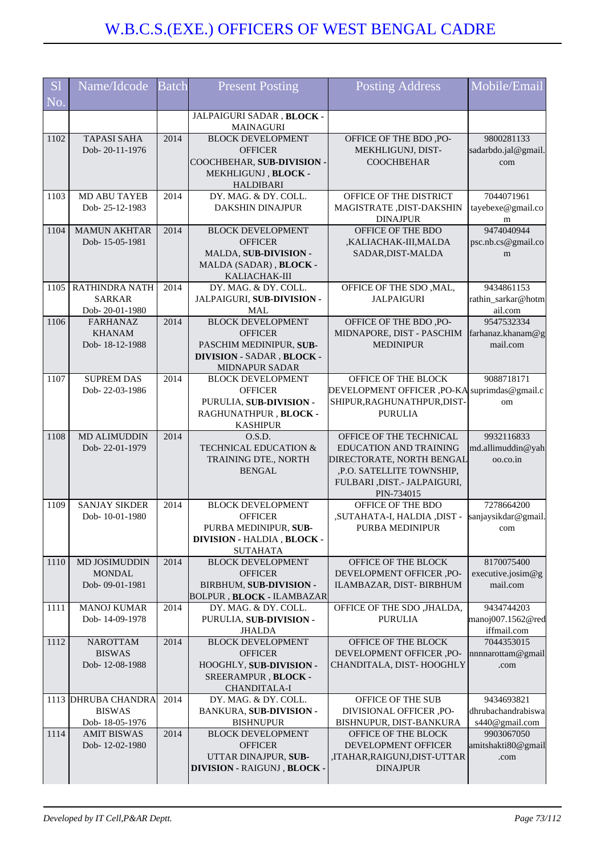| S <sub>1</sub>         | Name/Idcode                           | <b>Batch</b> | <b>Present Posting</b>                              | <b>Posting Address</b>                                              | Mobile/Email                         |
|------------------------|---------------------------------------|--------------|-----------------------------------------------------|---------------------------------------------------------------------|--------------------------------------|
| $\overline{\text{No}}$ |                                       |              |                                                     |                                                                     |                                      |
|                        |                                       |              | JALPAIGURI SADAR, BLOCK -                           |                                                                     |                                      |
| 1102                   | <b>TAPASI SAHA</b>                    | 2014         | <b>MAINAGURI</b><br><b>BLOCK DEVELOPMENT</b>        | OFFICE OF THE BDO, PO-                                              | 9800281133                           |
|                        | Dob-20-11-1976                        |              | <b>OFFICER</b>                                      | MEKHLIGUNJ, DIST-                                                   | sadarbdo.jal@gmail.                  |
|                        |                                       |              | COOCHBEHAR, SUB-DIVISION -                          | <b>COOCHBEHAR</b>                                                   | com                                  |
|                        |                                       |              | MEKHLIGUNJ, BLOCK -<br><b>HALDIBARI</b>             |                                                                     |                                      |
| 1103                   | MD ABU TAYEB                          | 2014         | DY. MAG. & DY. COLL.                                | OFFICE OF THE DISTRICT                                              | 7044071961                           |
|                        | Dob-25-12-1983                        |              | <b>DAKSHIN DINAJPUR</b>                             | MAGISTRATE , DIST-DAKSHIN<br><b>DINAJPUR</b>                        | tayebexe@gmail.co<br>m               |
| 1104                   | <b>MAMUN AKHTAR</b><br>Dob-15-05-1981 | 2014         | <b>BLOCK DEVELOPMENT</b><br><b>OFFICER</b>          | OFFICE OF THE BDO                                                   | 9474040944                           |
|                        |                                       |              | MALDA, SUB-DIVISION -                               | ,KALIACHAK-III,MALDA<br>SADAR, DIST-MALDA                           | psc.nb.cs@gmail.co<br>m              |
|                        |                                       |              | MALDA (SADAR), BLOCK -                              |                                                                     |                                      |
|                        |                                       |              | KALIACHAK-III                                       |                                                                     |                                      |
| 1105                   | RATHINDRA NATH<br><b>SARKAR</b>       | 2014         | DY. MAG. & DY. COLL.<br>JALPAIGURI, SUB-DIVISION -  | OFFICE OF THE SDO, MAL,<br><b>JALPAIGURI</b>                        | 9434861153<br>rathin_sarkar@hotm     |
|                        | Dob-20-01-1980                        |              | <b>MAL</b>                                          |                                                                     | ail.com                              |
| 1106                   | <b>FARHANAZ</b>                       | 2014         | <b>BLOCK DEVELOPMENT</b>                            | OFFICE OF THE BDO, PO-                                              | 9547532334                           |
|                        | <b>KHANAM</b><br>Dob-18-12-1988       |              | <b>OFFICER</b><br>PASCHIM MEDINIPUR, SUB-           | MIDNAPORE, DIST - PASCHIM<br><b>MEDINIPUR</b>                       | farhanaz.khanam@g<br>mail.com        |
|                        |                                       |              | DIVISION - SADAR, BLOCK -                           |                                                                     |                                      |
|                        |                                       |              | MIDNAPUR SADAR                                      |                                                                     |                                      |
| 1107                   | <b>SUPREM DAS</b><br>Dob-22-03-1986   | 2014         | <b>BLOCK DEVELOPMENT</b><br><b>OFFICER</b>          | OFFICE OF THE BLOCK<br>DEVELOPMENT OFFICER, PO-KA suprimdas@gmail.c | 9088718171                           |
|                        |                                       |              | PURULIA, SUB-DIVISION -                             | SHIPUR, RAGHUNATHPUR, DIST-                                         | om                                   |
|                        |                                       |              | RAGHUNATHPUR, BLOCK -                               | <b>PURULIA</b>                                                      |                                      |
|                        |                                       |              | <b>KASHIPUR</b>                                     |                                                                     |                                      |
| 1108                   | <b>MD ALIMUDDIN</b><br>Dob-22-01-1979 | 2014         | 0.S.D.<br><b>TECHNICAL EDUCATION &amp;</b>          | OFFICE OF THE TECHNICAL<br><b>EDUCATION AND TRAINING</b>            | 9932116833<br>md.allimuddin@yah      |
|                        |                                       |              | TRAINING DTE., NORTH                                | DIRECTORATE, NORTH BENGAL                                           | oo.co.in                             |
|                        |                                       |              | <b>BENGAL</b>                                       | ,P.O. SATELLITE TOWNSHIP,                                           |                                      |
|                        |                                       |              |                                                     | FULBARI, DIST.- JALPAIGURI,<br>PIN-734015                           |                                      |
| 1109                   | <b>SANJAY SIKDER</b>                  | 2014         | <b>BLOCK DEVELOPMENT</b>                            | OFFICE OF THE BDO                                                   | 7278664200                           |
|                        | Dob-10-01-1980                        |              | <b>OFFICER</b>                                      | , SUTAHATA-I, HALDIA, DIST,                                         | sanjaysikdar@gmail.                  |
|                        |                                       |              | PURBA MEDINIPUR, SUB-<br>DIVISION - HALDIA, BLOCK - | PURBA MEDINIPUR                                                     | com                                  |
|                        |                                       |              | <b>SUTAHATA</b>                                     |                                                                     |                                      |
| 1110                   | MD JOSIMUDDIN                         | 2014         | <b>BLOCK DEVELOPMENT</b>                            | OFFICE OF THE BLOCK                                                 | 8170075400                           |
|                        | <b>MONDAL</b><br>Dob-09-01-1981       |              | <b>OFFICER</b><br>BIRBHUM, SUB-DIVISION -           | DEVELOPMENT OFFICER ,PO-<br>ILAMBAZAR, DIST- BIRBHUM                | executive.josim@g<br>mail.com        |
|                        |                                       |              | <b>BOLPUR, BLOCK - ILAMBAZAR</b>                    |                                                                     |                                      |
| 1111                   | <b>MANOJ KUMAR</b>                    | 2014         | DY. MAG. & DY. COLL.                                | OFFICE OF THE SDO , JHALDA,                                         | 9434744203                           |
|                        | Dob-14-09-1978                        |              | PURULIA, SUB-DIVISION -<br><b>JHALDA</b>            | <b>PURULIA</b>                                                      | manoj007.1562@red<br>iffmail.com     |
| 1112                   | <b>NAROTTAM</b>                       | 2014         | <b>BLOCK DEVELOPMENT</b>                            | OFFICE OF THE BLOCK                                                 | 7044353015                           |
|                        | <b>BISWAS</b>                         |              | <b>OFFICER</b>                                      | DEVELOPMENT OFFICER ,PO-                                            | nnnnarottam@gmail                    |
|                        | Dob-12-08-1988                        |              | HOOGHLY, SUB-DIVISION -<br>SREERAMPUR, BLOCK -      | CHANDITALA, DIST-HOOGHLY                                            | .com                                 |
|                        |                                       |              | <b>CHANDITALA-I</b>                                 |                                                                     |                                      |
|                        | 1113 DHRUBA CHANDRA                   | 2014         | DY. MAG. & DY. COLL.                                | OFFICE OF THE SUB                                                   | 9434693821                           |
|                        | <b>BISWAS</b><br>Dob-18-05-1976       |              | <b>BANKURA, SUB-DIVISION -</b><br><b>BISHNUPUR</b>  | DIVISIONAL OFFICER ,PO-<br>BISHNUPUR, DIST-BANKURA                  | dhrubachandrabiswa<br>s440@gmail.com |
| 1114                   | <b>AMIT BISWAS</b>                    | 2014         | <b>BLOCK DEVELOPMENT</b>                            | OFFICE OF THE BLOCK                                                 | 9903067050                           |
|                        | Dob-12-02-1980                        |              | <b>OFFICER</b>                                      | DEVELOPMENT OFFICER                                                 | amitshakti80@gmail                   |
|                        |                                       |              | UTTAR DINAJPUR, SUB-                                | ,ITAHAR,RAIGUNJ,DIST-UTTAR                                          | .com                                 |
|                        |                                       |              | DIVISION - RAIGUNJ, BLOCK -                         | <b>DINAJPUR</b>                                                     |                                      |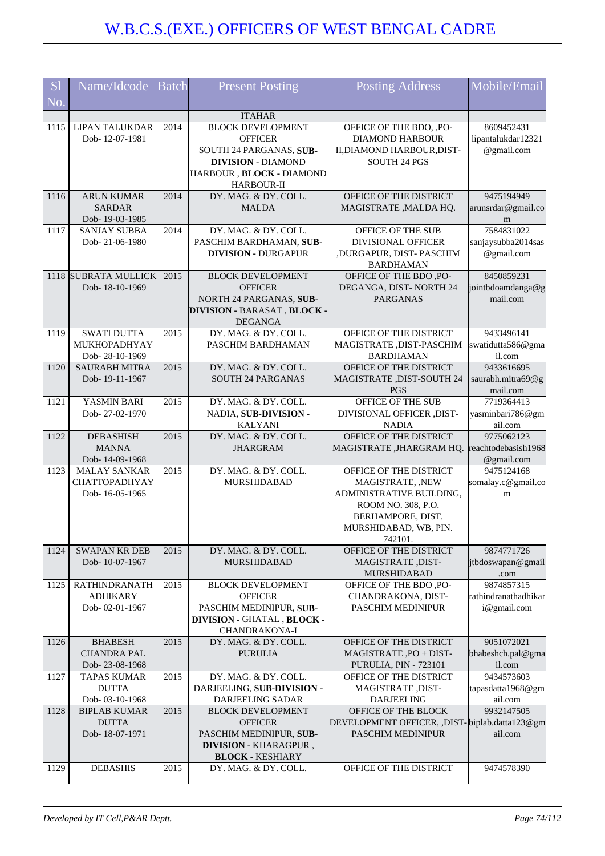| <b>S1</b> | Name/Idcode                             | <b>Batch</b> | <b>Present Posting</b>                                 | <b>Posting Address</b>                                 | Mobile/Email                      |
|-----------|-----------------------------------------|--------------|--------------------------------------------------------|--------------------------------------------------------|-----------------------------------|
| No.       |                                         |              |                                                        |                                                        |                                   |
|           |                                         |              | <b>ITAHAR</b>                                          |                                                        |                                   |
| 1115      | <b>LIPAN TALUKDAR</b><br>Dob-12-07-1981 | 2014         | <b>BLOCK DEVELOPMENT</b><br><b>OFFICER</b>             | OFFICE OF THE BDO, ,PO-<br><b>DIAMOND HARBOUR</b>      | 8609452431<br>lipantalukdar12321  |
|           |                                         |              | SOUTH 24 PARGANAS, SUB-                                | II, DIAMOND HARBOUR, DIST-                             | @gmail.com                        |
|           |                                         |              | <b>DIVISION - DIAMOND</b>                              | <b>SOUTH 24 PGS</b>                                    |                                   |
|           |                                         |              | HARBOUR, BLOCK - DIAMOND<br><b>HARBOUR-II</b>          |                                                        |                                   |
| 1116      | <b>ARUN KUMAR</b>                       | 2014         | DY. MAG. & DY. COLL.                                   | OFFICE OF THE DISTRICT                                 | 9475194949                        |
|           | <b>SARDAR</b><br>Dob-19-03-1985         |              | <b>MALDA</b>                                           | MAGISTRATE, MALDA HQ.                                  | arunsrdar@gmail.co<br>${\rm m}$   |
| 1117      | <b>SANJAY SUBBA</b>                     | 2014         | DY. MAG. & DY. COLL.                                   | OFFICE OF THE SUB                                      | 7584831022                        |
|           | Dob-21-06-1980                          |              | PASCHIM BARDHAMAN, SUB-                                | <b>DIVISIONAL OFFICER</b>                              | sanjaysubba2014sas                |
|           |                                         |              | <b>DIVISION - DURGAPUR</b>                             | ,DURGAPUR, DIST-PASCHIM<br><b>BARDHAMAN</b>            | @gmail.com                        |
|           | 1118 SUBRATA MULLICK                    | 2015         | <b>BLOCK DEVELOPMENT</b>                               | OFFICE OF THE BDO, PO-                                 | 8450859231                        |
|           | Dob-18-10-1969                          |              | <b>OFFICER</b>                                         | DEGANGA, DIST-NORTH 24                                 | jointbdoamdanga@g                 |
|           |                                         |              | NORTH 24 PARGANAS, SUB-<br>DIVISION - BARASAT, BLOCK - | <b>PARGANAS</b>                                        | mail.com                          |
|           |                                         |              | <b>DEGANGA</b>                                         |                                                        |                                   |
| 1119      | <b>SWATI DUTTA</b>                      | 2015         | DY. MAG. & DY. COLL.                                   | OFFICE OF THE DISTRICT                                 | 9433496141                        |
|           | MUKHOPADHYAY                            |              | PASCHIM BARDHAMAN                                      | MAGISTRATE, DIST-PASCHIM                               | swatidutta586@gma                 |
|           | Dob-28-10-1969                          | 2015         |                                                        | <b>BARDHAMAN</b>                                       | il.com                            |
| 1120      | <b>SAURABH MITRA</b><br>Dob-19-11-1967  |              | DY. MAG. & DY. COLL.<br><b>SOUTH 24 PARGANAS</b>       | OFFICE OF THE DISTRICT<br>MAGISTRATE , DIST-SOUTH 24   | 9433616695<br>saurabh.mitra69@g   |
|           |                                         |              |                                                        | <b>PGS</b>                                             | mail.com                          |
| 1121      | YASMIN BARI                             | 2015         | DY. MAG. & DY. COLL.                                   | OFFICE OF THE SUB                                      | 7719364413                        |
|           | Dob-27-02-1970                          |              | NADIA, SUB-DIVISION -                                  | DIVISIONAL OFFICER ,DIST-                              | yasminbari786@gm                  |
|           |                                         |              | <b>KALYANI</b>                                         | <b>NADIA</b>                                           | ail.com                           |
| 1122      | <b>DEBASHISH</b><br><b>MANNA</b>        | 2015         | DY. MAG. & DY. COLL.<br><b>JHARGRAM</b>                | OFFICE OF THE DISTRICT<br>MAGISTRATE ,JHARGRAM HQ.     | 9775062123<br>reachtodebasish1968 |
|           | Dob-14-09-1968                          |              |                                                        |                                                        | @gmail.com                        |
| 1123      | <b>MALAY SANKAR</b>                     | 2015         | DY. MAG. & DY. COLL.                                   | OFFICE OF THE DISTRICT                                 | 9475124168                        |
|           | <b>CHATTOPADHYAY</b>                    |              | MURSHIDABAD                                            | MAGISTRATE, ,NEW                                       | somalay.c@gmail.co                |
|           | Dob-16-05-1965                          |              |                                                        | ADMINISTRATIVE BUILDING,                               | m                                 |
|           |                                         |              |                                                        | ROOM NO. 308, P.O.<br>BERHAMPORE, DIST.                |                                   |
|           |                                         |              |                                                        | MURSHIDABAD, WB, PIN.                                  |                                   |
|           |                                         |              |                                                        | 742101.                                                |                                   |
| 1124      | <b>SWAPAN KR DEB</b>                    | 2015         | DY. MAG. & DY. COLL.                                   | OFFICE OF THE DISTRICT                                 | 9874771726                        |
|           | Dob-10-07-1967                          |              | <b>MURSHIDABAD</b>                                     | MAGISTRATE, DIST-                                      | jtbdoswapan@gmail                 |
| 1125      | <b>RATHINDRANATH</b>                    | 2015         | <b>BLOCK DEVELOPMENT</b>                               | MURSHIDABAD<br>OFFICE OF THE BDO, PO-                  | .com<br>9874857315                |
|           | <b>ADHIKARY</b>                         |              | <b>OFFICER</b>                                         | CHANDRAKONA, DIST-                                     | rathindranathadhikar              |
|           | Dob-02-01-1967                          |              | PASCHIM MEDINIPUR, SUB-                                | PASCHIM MEDINIPUR                                      | i@gmail.com                       |
|           |                                         |              | DIVISION - GHATAL, BLOCK -<br>CHANDRAKONA-I            |                                                        |                                   |
| 1126      | <b>BHABESH</b>                          | 2015         | DY. MAG. & DY. COLL.                                   | OFFICE OF THE DISTRICT                                 | 9051072021                        |
|           | <b>CHANDRA PAL</b>                      |              | <b>PURULIA</b>                                         | MAGISTRATE, PO + DIST-                                 | bhabeshch.pal@gma                 |
| 1127      | Dob-23-08-1968<br><b>TAPAS KUMAR</b>    | 2015         | DY. MAG. & DY. COLL.                                   | <b>PURULIA, PIN - 723101</b><br>OFFICE OF THE DISTRICT | il.com<br>9434573603              |
|           | <b>DUTTA</b>                            |              | DARJEELING, SUB-DIVISION -                             | MAGISTRATE, DIST-                                      | tapasdatta1968@gm                 |
|           | Dob- 03-10-1968                         |              | DARJEELING SADAR                                       | <b>DARJEELING</b>                                      | ail.com                           |
| 1128      | <b>BIPLAB KUMAR</b>                     | 2015         | <b>BLOCK DEVELOPMENT</b>                               | OFFICE OF THE BLOCK                                    | 9932147505                        |
|           | <b>DUTTA</b>                            |              | <b>OFFICER</b>                                         | DEVELOPMENT OFFICER, ,DIST-biplab.datta123@gm          |                                   |
|           | Dob-18-07-1971                          |              | PASCHIM MEDINIPUR, SUB-                                | PASCHIM MEDINIPUR                                      | ail.com                           |
|           |                                         |              | DIVISION - KHARAGPUR,<br><b>BLOCK - KESHIARY</b>       |                                                        |                                   |
| 1129      | <b>DEBASHIS</b>                         | 2015         | DY. MAG. & DY. COLL.                                   | OFFICE OF THE DISTRICT                                 | 9474578390                        |
|           |                                         |              |                                                        |                                                        |                                   |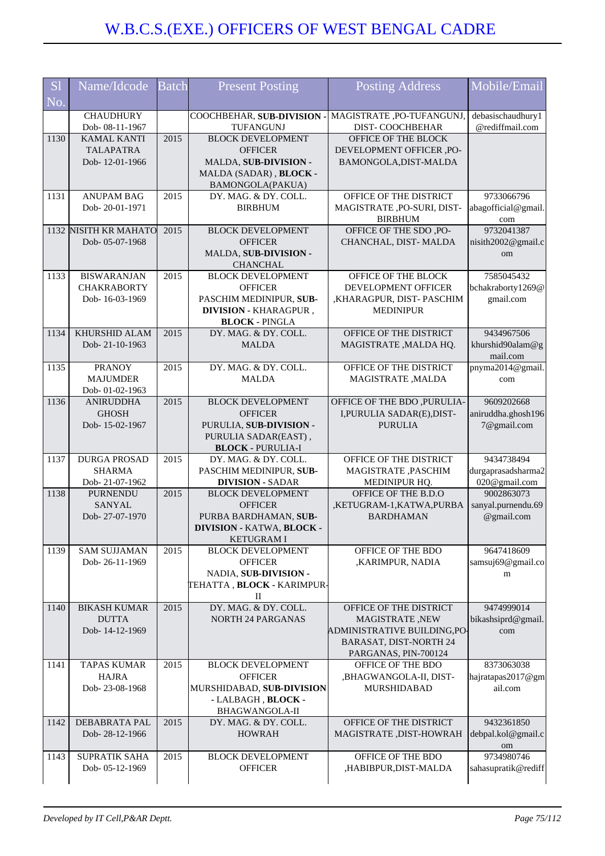| <b>S1</b><br>No. | Name/Idcode                                                | <b>Batch</b> | <b>Present Posting</b>                                                                                                      | <b>Posting Address</b>                                                                                                            | Mobile/Email                                      |
|------------------|------------------------------------------------------------|--------------|-----------------------------------------------------------------------------------------------------------------------------|-----------------------------------------------------------------------------------------------------------------------------------|---------------------------------------------------|
|                  | <b>CHAUDHURY</b><br>Dob- 08-11-1967                        |              | COOCHBEHAR, SUB-DIVISION -<br>TUFANGUNJ                                                                                     | MAGISTRATE, PO-TUFANGUNJ,<br>DIST-COOCHBEHAR                                                                                      | debasischaudhury1<br>@rediffmail.com              |
| 1130             | <b>KAMAL KANTI</b><br><b>TALAPATRA</b><br>Dob-12-01-1966   | 2015         | <b>BLOCK DEVELOPMENT</b><br><b>OFFICER</b><br>MALDA, SUB-DIVISION -<br>MALDA (SADAR), BLOCK -<br>BAMONGOLA(PAKUA)           | OFFICE OF THE BLOCK<br>DEVELOPMENT OFFICER ,PO-<br>BAMONGOLA, DIST-MALDA                                                          |                                                   |
| 1131             | <b>ANUPAM BAG</b><br>Dob-20-01-1971                        | 2015         | DY. MAG. & DY. COLL.<br><b>BIRBHUM</b>                                                                                      | OFFICE OF THE DISTRICT<br>MAGISTRATE ,PO-SURI, DIST-<br><b>BIRBHUM</b>                                                            | 9733066796<br>abagofficial@gmail.<br>com          |
|                  | 1132 NISITH KR MAHATO<br>Dob-05-07-1968                    | 2015         | <b>BLOCK DEVELOPMENT</b><br><b>OFFICER</b><br>MALDA, SUB-DIVISION -<br><b>CHANCHAL</b>                                      | OFFICE OF THE SDO, PO-<br>CHANCHAL, DIST-MALDA                                                                                    | 9732041387<br>nisith2002@gmail.c<br>om            |
| 1133             | <b>BISWARANJAN</b><br><b>CHAKRABORTY</b><br>Dob-16-03-1969 | 2015         | <b>BLOCK DEVELOPMENT</b><br><b>OFFICER</b><br>PASCHIM MEDINIPUR, SUB-<br>DIVISION - KHARAGPUR,<br><b>BLOCK - PINGLA</b>     | OFFICE OF THE BLOCK<br>DEVELOPMENT OFFICER<br>,KHARAGPUR, DIST-PASCHIM<br><b>MEDINIPUR</b>                                        | 7585045432<br>bchakraborty1269@<br>gmail.com      |
| 1134             | KHURSHID ALAM<br>Dob-21-10-1963                            | 2015         | DY. MAG. & DY. COLL.<br><b>MALDA</b>                                                                                        | OFFICE OF THE DISTRICT<br>MAGISTRATE, MALDA HQ.                                                                                   | 9434967506<br>khurshid90alam@g<br>mail.com        |
| 1135             | <b>PRANOY</b><br><b>MAJUMDER</b><br>Dob-01-02-1963         | 2015         | DY. MAG. & DY. COLL.<br><b>MALDA</b>                                                                                        | OFFICE OF THE DISTRICT<br>MAGISTRATE, MALDA                                                                                       | pnyma2014@gmail.<br>com                           |
| 1136             | <b>ANIRUDDHA</b><br><b>GHOSH</b><br>Dob-15-02-1967         | 2015         | <b>BLOCK DEVELOPMENT</b><br><b>OFFICER</b><br>PURULIA, SUB-DIVISION -<br>PURULIA SADAR(EAST),<br><b>BLOCK - PURULIA-I</b>   | OFFICE OF THE BDO , PURULIA-<br>I, PURULIA SADAR(E), DIST-<br><b>PURULIA</b>                                                      | 9609202668<br>aniruddha.ghosh196<br>7@gmail.com   |
| 1137             | <b>DURGA PROSAD</b><br><b>SHARMA</b><br>Dob-21-07-1962     | 2015         | DY. MAG. & DY. COLL.<br>PASCHIM MEDINIPUR, SUB-<br><b>DIVISION - SADAR</b>                                                  | OFFICE OF THE DISTRICT<br>MAGISTRATE , PASCHIM<br>MEDINIPUR HQ.                                                                   | 9434738494<br>durgaprasadsharma2<br>020@gmail.com |
| 1138             | <b>PURNENDU</b><br><b>SANYAL</b><br>Dob-27-07-1970         | 2015         | <b>BLOCK DEVELOPMENT</b><br><b>OFFICER</b><br>PURBA BARDHAMAN, SUB-<br><b>DIVISION - KATWA, BLOCK -</b><br><b>KETUGRAMI</b> | OFFICE OF THE B.D.O<br>,KETUGRAM-1,KATWA,PURBA<br><b>BARDHAMAN</b>                                                                | 9002863073<br>sanyal.purnendu.69<br>@gmail.com    |
| 1139             | <b>SAM SUJJAMAN</b><br>Dob-26-11-1969                      | 2015         | <b>BLOCK DEVELOPMENT</b><br><b>OFFICER</b><br>NADIA, SUB-DIVISION -<br>TEHATTA , <b>BLOCK -</b> KARIMPUR-<br>П              | OFFICE OF THE BDO<br>,KARIMPUR, NADIA                                                                                             | 9647418609<br>samsuj69@gmail.co<br>m              |
| 1140             | <b>BIKASH KUMAR</b><br><b>DUTTA</b><br>Dob-14-12-1969      | 2015         | DY. MAG. & DY. COLL.<br><b>NORTH 24 PARGANAS</b>                                                                            | OFFICE OF THE DISTRICT<br><b>MAGISTRATE, NEW</b><br>ADMINISTRATIVE BUILDING,PO-<br>BARASAT, DIST-NORTH 24<br>PARGANAS, PIN-700124 | 9474999014<br>bikashsiprd@gmail.<br>com           |
| 1141             | <b>TAPAS KUMAR</b><br><b>HAJRA</b><br>Dob-23-08-1968       | 2015         | <b>BLOCK DEVELOPMENT</b><br><b>OFFICER</b><br>MURSHIDABAD, SUB-DIVISION<br>- LALBAGH, BLOCK -<br>BHAGWANGOLA-II             | OFFICE OF THE BDO<br>,BHAGWANGOLA-II, DIST-<br><b>MURSHIDABAD</b>                                                                 | 8373063038<br>hajratapas2017@gm<br>ail.com        |
| 1142             | DEBABRATA PAL<br>Dob-28-12-1966                            | 2015         | DY. MAG. & DY. COLL.<br><b>HOWRAH</b>                                                                                       | OFFICE OF THE DISTRICT<br>MAGISTRATE, DIST-HOWRAH                                                                                 | 9432361850<br>debpal.kol@gmail.c<br>om            |
| 1143             | <b>SUPRATIK SAHA</b><br>Dob-05-12-1969                     | 2015         | <b>BLOCK DEVELOPMENT</b><br><b>OFFICER</b>                                                                                  | OFFICE OF THE BDO<br>,HABIBPUR,DIST-MALDA                                                                                         | 9734980746<br>sahasupratik@rediff                 |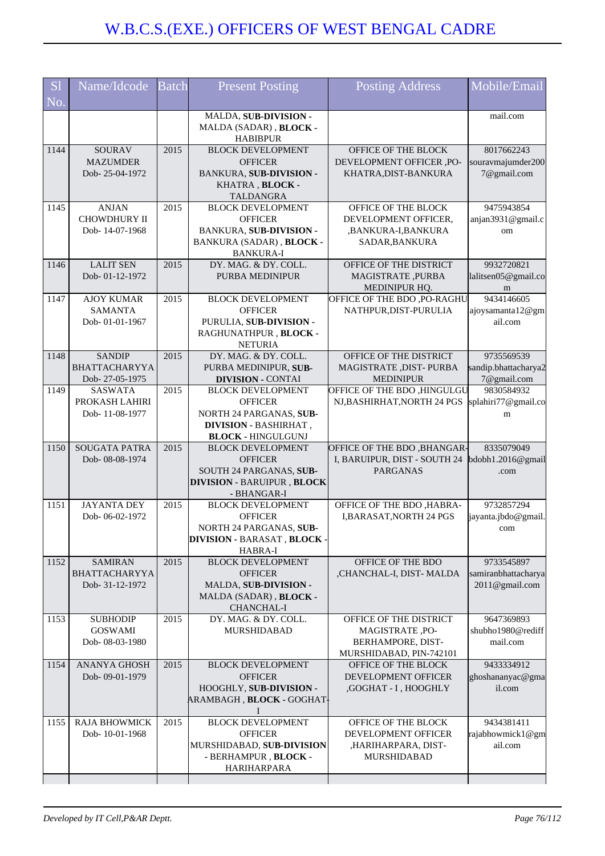| S <sub>1</sub><br>No. | Name/Idcode                                             | <b>Batch</b> | <b>Present Posting</b>                                                                                                      | <b>Posting Address</b>                                                                    | Mobile/Email                                        |
|-----------------------|---------------------------------------------------------|--------------|-----------------------------------------------------------------------------------------------------------------------------|-------------------------------------------------------------------------------------------|-----------------------------------------------------|
|                       |                                                         |              | MALDA, SUB-DIVISION -<br>MALDA (SADAR), BLOCK -<br><b>HABIBPUR</b>                                                          |                                                                                           | mail.com                                            |
| 1144                  | <b>SOURAV</b><br><b>MAZUMDER</b><br>Dob-25-04-1972      | 2015         | <b>BLOCK DEVELOPMENT</b><br><b>OFFICER</b><br>BANKURA, SUB-DIVISION -<br>KHATRA, BLOCK -<br><b>TALDANGRA</b>                | OFFICE OF THE BLOCK<br>DEVELOPMENT OFFICER ,PO-<br>KHATRA, DIST-BANKURA                   | 8017662243<br>souravmajumder200<br>7@gmail.com      |
| 1145                  | <b>ANJAN</b><br><b>CHOWDHURY II</b><br>Dob-14-07-1968   | 2015         | <b>BLOCK DEVELOPMENT</b><br><b>OFFICER</b><br>BANKURA, SUB-DIVISION -<br>BANKURA (SADAR), BLOCK -<br><b>BANKURA-I</b>       | OFFICE OF THE BLOCK<br>DEVELOPMENT OFFICER,<br>,BANKURA-I,BANKURA<br>SADAR, BANKURA       | 9475943854<br>anjan3931@gmail.c<br>om               |
| 1146                  | <b>LALIT SEN</b><br>Dob-01-12-1972                      | 2015         | DY. MAG. & DY. COLL.<br><b>PURBA MEDINIPUR</b>                                                                              | OFFICE OF THE DISTRICT<br>MAGISTRATE, PURBA<br>MEDINIPUR HQ.                              | 9932720821<br>lalitsen05@gmail.co<br>m              |
| 1147                  | <b>AJOY KUMAR</b><br><b>SAMANTA</b><br>Dob-01-01-1967   | 2015         | <b>BLOCK DEVELOPMENT</b><br><b>OFFICER</b><br>PURULIA, SUB-DIVISION -<br>RAGHUNATHPUR, BLOCK -<br><b>NETURIA</b>            | OFFICE OF THE BDO, PO-RAGHU<br>NATHPUR, DIST-PURULIA                                      | 9434146605<br>ajoysamanta12@gm<br>ail.com           |
| 1148                  | <b>SANDIP</b><br><b>BHATTACHARYYA</b><br>Dob-27-05-1975 | 2015         | DY. MAG. & DY. COLL.<br>PURBA MEDINIPUR, SUB-<br><b>DIVISION - CONTAI</b>                                                   | OFFICE OF THE DISTRICT<br>MAGISTRATE, DIST-PURBA<br><b>MEDINIPUR</b>                      | 9735569539<br>sandip.bhattacharya2<br>7@gmail.com   |
| 1149                  | <b>SASWATA</b><br>PROKASH LAHIRI<br>Dob-11-08-1977      | 2015         | <b>BLOCK DEVELOPMENT</b><br><b>OFFICER</b><br>NORTH 24 PARGANAS, SUB-<br>DIVISION - BASHIRHAT,<br><b>BLOCK - HINGULGUNJ</b> | OFFICE OF THE BDO ,HINGULGU<br>NJ, BASHIRHAT, NORTH 24 PGS                                | 9830584932<br>splahiri77@gmail.co<br>m              |
| 1150                  | <b>SOUGATA PATRA</b><br>Dob-08-08-1974                  | 2015         | <b>BLOCK DEVELOPMENT</b><br><b>OFFICER</b><br>SOUTH 24 PARGANAS, SUB-<br><b>DIVISION - BARUIPUR, BLOCK</b><br>- BHANGAR-I   | <b>OFFICE OF THE BDO, BHANGAR-</b><br>I, BARUIPUR, DIST - SOUTH 24<br><b>PARGANAS</b>     | 8335079049<br>bdobh1.2016@gmail<br>.com             |
| 1151                  | <b>JAYANTA DEY</b><br>Dob-06-02-1972                    | 2015         | <b>BLOCK DEVELOPMENT</b><br><b>OFFICER</b><br>NORTH 24 PARGANAS, SUB-<br><b>DIVISION - BARASAT, BLOCK -</b><br>HABRA-I      | OFFICE OF THE BDO ,HABRA-<br>I, BARASAT, NORTH 24 PGS                                     | 9732857294<br>jayanta.jbdo@gmail.<br>com            |
| 1152                  | <b>SAMIRAN</b><br>BHATTACHARYYA<br>Dob-31-12-1972       | 2015         | <b>BLOCK DEVELOPMENT</b><br><b>OFFICER</b><br>MALDA, SUB-DIVISION -<br>MALDA (SADAR), BLOCK -<br><b>CHANCHAL-I</b>          | OFFICE OF THE BDO<br>,CHANCHAL-I, DIST-MALDA                                              | 9733545897<br>samiranbhattacharya<br>2011@gmail.com |
| 1153                  | <b>SUBHODIP</b><br><b>GOSWAMI</b><br>Dob-08-03-1980     | 2015         | DY. MAG. & DY. COLL.<br><b>MURSHIDABAD</b>                                                                                  | OFFICE OF THE DISTRICT<br>MAGISTRATE, PO-<br>BERHAMPORE, DIST-<br>MURSHIDABAD, PIN-742101 | 9647369893<br>shubho1980@rediff<br>mail.com         |
| 1154                  | <b>ANANYA GHOSH</b><br>Dob-09-01-1979                   | 2015         | <b>BLOCK DEVELOPMENT</b><br><b>OFFICER</b><br>HOOGHLY, SUB-DIVISION -<br>ARAMBAGH, BLOCK - GOGHAT                           | OFFICE OF THE BLOCK<br>DEVELOPMENT OFFICER<br>,GOGHAT - I, HOOGHLY                        | 9433334912<br>ghoshananyac@gma<br>il.com            |
| 1155                  | <b>RAJA BHOWMICK</b><br>Dob-10-01-1968                  | 2015         | <b>BLOCK DEVELOPMENT</b><br><b>OFFICER</b><br>MURSHIDABAD, SUB-DIVISION<br>- BERHAMPUR, BLOCK -<br><b>HARIHARPARA</b>       | OFFICE OF THE BLOCK<br>DEVELOPMENT OFFICER<br>,HARIHARPARA, DIST-<br>MURSHIDABAD          | 9434381411<br>rajabhowmick1@gm<br>ail.com           |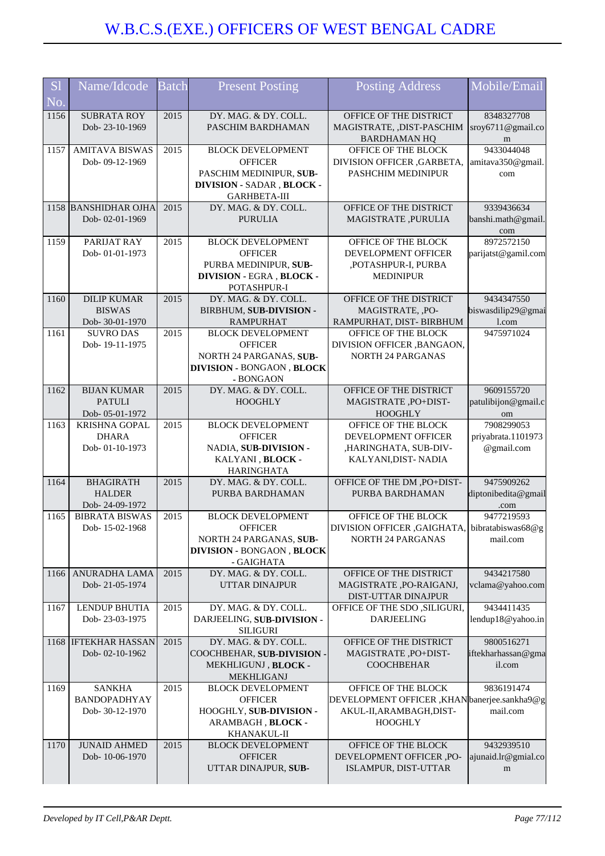| <b>S1</b> | Name/Idcode                                   | <b>Batch</b> | <b>Present Posting</b>              | <b>Posting Address</b>                         | Mobile/Email        |
|-----------|-----------------------------------------------|--------------|-------------------------------------|------------------------------------------------|---------------------|
| No.       |                                               |              |                                     |                                                |                     |
| 1156      | <b>SUBRATA ROY</b>                            | 2015         | DY. MAG. & DY. COLL.                | OFFICE OF THE DISTRICT                         | 8348327708          |
|           | Dob-23-10-1969                                |              | PASCHIM BARDHAMAN                   | MAGISTRATE, ,DIST-PASCHIM                      | sroy6711@gmail.co   |
|           |                                               |              |                                     | <b>BARDHAMAN HQ</b>                            | m                   |
| 1157      | <b>AMITAVA BISWAS</b>                         | 2015         | <b>BLOCK DEVELOPMENT</b>            | OFFICE OF THE BLOCK                            | 9433044048          |
|           | Dob-09-12-1969                                |              | <b>OFFICER</b>                      | DIVISION OFFICER, GARBETA,                     | amitava350@gmail.   |
|           |                                               |              | PASCHIM MEDINIPUR, SUB-             | PASHCHIM MEDINIPUR                             | com                 |
|           |                                               |              | DIVISION - SADAR, BLOCK -           |                                                |                     |
|           |                                               |              | <b>GARHBETA-III</b>                 |                                                |                     |
|           | 1158 BANSHIDHAR OJHA                          | 2015         | DY. MAG. & DY. COLL.                | OFFICE OF THE DISTRICT                         | 9339436634          |
|           | Dob-02-01-1969                                |              | <b>PURULIA</b>                      | MAGISTRATE, PURULIA                            | banshi.math@gmail   |
|           |                                               |              |                                     |                                                | com                 |
| 1159      | PARIJAT RAY                                   | 2015         | <b>BLOCK DEVELOPMENT</b>            | OFFICE OF THE BLOCK                            | 8972572150          |
|           | Dob-01-01-1973                                |              | <b>OFFICER</b>                      | DEVELOPMENT OFFICER                            | parijatst@gamil.com |
|           |                                               |              | PURBA MEDINIPUR, SUB-               | ,POTASHPUR-I, PURBA                            |                     |
|           |                                               |              | <b>DIVISION - EGRA, BLOCK -</b>     | <b>MEDINIPUR</b>                               |                     |
| 1160      | <b>DILIP KUMAR</b>                            | 2015         | POTASHPUR-I<br>DY. MAG. & DY. COLL. | OFFICE OF THE DISTRICT                         | 9434347550          |
|           | <b>BISWAS</b>                                 |              | BIRBHUM, SUB-DIVISION -             |                                                | biswasdilip29@gmai  |
|           | Dob-30-01-1970                                |              | <b>RAMPURHAT</b>                    | MAGISTRATE, ,PO-<br>RAMPURHAT, DIST- BIRBHUM   | l.com               |
| 1161      | <b>SUVRO DAS</b>                              | 2015         | <b>BLOCK DEVELOPMENT</b>            | OFFICE OF THE BLOCK                            | 9475971024          |
|           | Dob-19-11-1975                                |              | <b>OFFICER</b>                      | DIVISION OFFICER , BANGAON,                    |                     |
|           |                                               |              | NORTH 24 PARGANAS, SUB-             | <b>NORTH 24 PARGANAS</b>                       |                     |
|           |                                               |              | <b>DIVISION - BONGAON, BLOCK</b>    |                                                |                     |
|           |                                               |              | - BONGAON                           |                                                |                     |
| 1162      | <b>BIJAN KUMAR</b>                            | 2015         | DY. MAG. & DY. COLL.                | OFFICE OF THE DISTRICT                         | 9609155720          |
|           | <b>PATULI</b>                                 |              | <b>HOOGHLY</b>                      | MAGISTRATE, PO+DIST-                           | patulibijon@gmail.c |
|           | Dob-05-01-1972                                |              |                                     | <b>HOOGHLY</b>                                 | om                  |
| 1163      | <b>KRISHNA GOPAL</b>                          | 2015         | <b>BLOCK DEVELOPMENT</b>            | OFFICE OF THE BLOCK                            | 7908299053          |
|           | <b>DHARA</b>                                  |              | <b>OFFICER</b>                      | DEVELOPMENT OFFICER                            | priyabrata.1101973  |
|           | Dob-01-10-1973                                |              | NADIA, SUB-DIVISION -               | ,HARINGHATA, SUB-DIV-                          | @gmail.com          |
|           |                                               |              | KALYANI, BLOCK -                    | KALYANI, DIST-NADIA                            |                     |
|           |                                               |              | <b>HARINGHATA</b>                   |                                                |                     |
| 1164      | <b>BHAGIRATH</b>                              | 2015         | DY. MAG. & DY. COLL.                | OFFICE OF THE DM , PO+DIST-                    | 9475909262          |
|           | <b>HALDER</b>                                 |              | PURBA BARDHAMAN                     | PURBA BARDHAMAN                                | diptonibedita@gmail |
|           | Dob-24-09-1972                                |              |                                     |                                                | .com                |
| 1165      | <b>BIBRATA BISWAS</b>                         | 2015         | <b>BLOCK DEVELOPMENT</b>            | OFFICE OF THE BLOCK                            | 9477219593          |
|           | Dob-15-02-1968                                |              | <b>OFFICER</b>                      | DIVISION OFFICER, GAIGHATA, bibratabiswas68@g  |                     |
|           |                                               |              | NORTH 24 PARGANAS, SUB-             | <b>NORTH 24 PARGANAS</b>                       | mail.com            |
|           |                                               |              | <b>DIVISION - BONGAON, BLOCK</b>    |                                                |                     |
|           |                                               |              | - GAIGHATA                          |                                                |                     |
| 1166      | ANURADHA LAMA                                 | 2015         | DY. MAG. & DY. COLL.                | OFFICE OF THE DISTRICT                         | 9434217580          |
|           | Dob-21-05-1974                                |              | <b>UTTAR DINAJPUR</b>               | MAGISTRATE, PO-RAIGANJ,                        | vclama@yahoo.com    |
|           |                                               |              |                                     | DIST-UTTAR DINAJPUR                            |                     |
| 1167      | <b>LENDUP BHUTIA</b>                          | 2015         | DY. MAG. & DY. COLL.                | OFFICE OF THE SDO , SILIGURI,                  | 9434411435          |
|           | Dob-23-03-1975                                |              | DARJEELING, SUB-DIVISION -          | <b>DARJEELING</b>                              | lendup18@yahoo.in   |
|           |                                               |              | <b>SILIGURI</b>                     |                                                | 9800516271          |
|           | 1168 <b>IFTEKHAR HASSAN</b><br>Dob-02-10-1962 | 2015         | DY. MAG. & DY. COLL.                | OFFICE OF THE DISTRICT<br>MAGISTRATE, PO+DIST- | iftekharhassan@gma  |
|           |                                               |              | COOCHBEHAR, SUB-DIVISION -          | <b>COOCHBEHAR</b>                              | il.com              |
|           |                                               |              | MEKHLIGUNJ, BLOCK-<br>MEKHLIGANJ    |                                                |                     |
| 1169      | <b>SANKHA</b>                                 | 2015         | <b>BLOCK DEVELOPMENT</b>            | OFFICE OF THE BLOCK                            | 9836191474          |
|           | BANDOPADHYAY                                  |              | <b>OFFICER</b>                      | DEVELOPMENT OFFICER, KHANbanerjee.sankha9@g    |                     |
|           | Dob-30-12-1970                                |              | HOOGHLY, SUB-DIVISION -             | AKUL-II, ARAMBAGH, DIST-                       | mail.com            |
|           |                                               |              | ARAMBAGH, BLOCK -                   | <b>HOOGHLY</b>                                 |                     |
|           |                                               |              | KHANAKUL-II                         |                                                |                     |
| 1170      | <b>JUNAID AHMED</b>                           | 2015         | <b>BLOCK DEVELOPMENT</b>            | OFFICE OF THE BLOCK                            | 9432939510          |
|           | Dob-10-06-1970                                |              | <b>OFFICER</b>                      | DEVELOPMENT OFFICER ,PO-                       | ajunaid.lr@gmial.co |
|           |                                               |              | UTTAR DINAJPUR, SUB-                | ISLAMPUR, DIST-UTTAR                           | m                   |
|           |                                               |              |                                     |                                                |                     |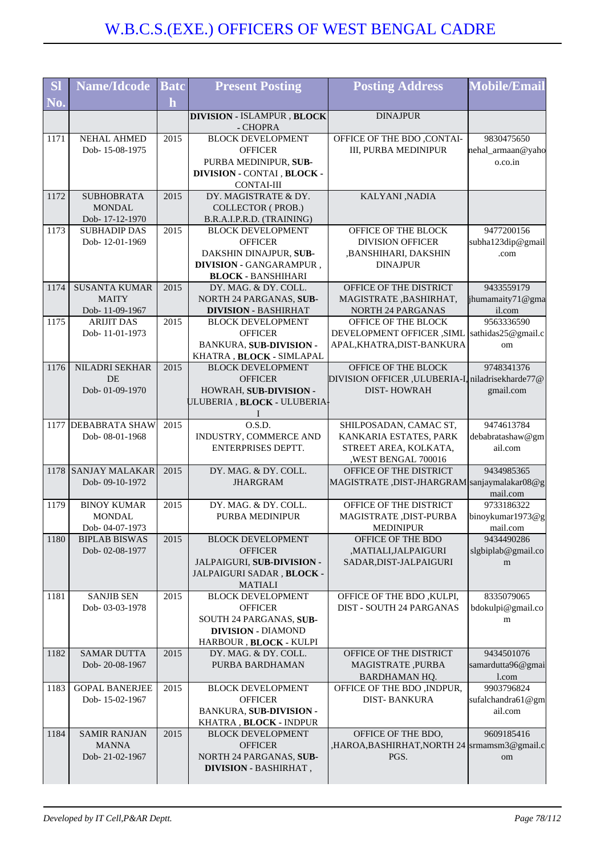| <b>SI</b> | <b>Name/Idcode</b>                    | <b>Batc</b>  | <b>Present Posting</b>                                 | <b>Posting Address</b>                              | <b>Mobile/Email</b>         |
|-----------|---------------------------------------|--------------|--------------------------------------------------------|-----------------------------------------------------|-----------------------------|
| No.       |                                       | $\mathbf{h}$ |                                                        |                                                     |                             |
|           |                                       |              | <b>DIVISION - ISLAMPUR, BLOCK</b>                      | <b>DINAJPUR</b>                                     |                             |
|           |                                       |              | - CHOPRA                                               |                                                     |                             |
| 1171      | <b>NEHAL AHMED</b>                    | 2015         | <b>BLOCK DEVELOPMENT</b>                               | <b>OFFICE OF THE BDO ,CONTAI-</b>                   | 9830475650                  |
|           | Dob-15-08-1975                        |              | <b>OFFICER</b>                                         | III, PURBA MEDINIPUR                                | nehal_armaan@yaho           |
|           |                                       |              | PURBA MEDINIPUR, SUB-                                  |                                                     | o.co.in                     |
|           |                                       |              | DIVISION - CONTAI , BLOCK -<br><b>CONTAI-III</b>       |                                                     |                             |
| 1172      | <b>SUBHOBRATA</b>                     | 2015         | DY. MAGISTRATE & DY.                                   | KALYANI, NADIA                                      |                             |
|           | <b>MONDAL</b>                         |              | <b>COLLECTOR (PROB.)</b>                               |                                                     |                             |
|           | Dob-17-12-1970                        |              | B.R.A.I.P.R.D. (TRAINING)                              |                                                     |                             |
| 1173      | <b>SUBHADIP DAS</b>                   | 2015         | <b>BLOCK DEVELOPMENT</b>                               | OFFICE OF THE BLOCK                                 | 9477200156                  |
|           | Dob-12-01-1969                        |              | <b>OFFICER</b>                                         | <b>DIVISION OFFICER</b>                             | subha123dip@gmail           |
|           |                                       |              | DAKSHIN DINAJPUR, SUB-                                 | ,BANSHIHARI, DAKSHIN                                | .com                        |
|           |                                       |              | DIVISION - GANGARAMPUR,                                | <b>DINAJPUR</b>                                     |                             |
|           |                                       |              | <b>BLOCK - BANSHIHARI</b>                              |                                                     |                             |
| 1174      | <b>SUSANTA KUMAR</b>                  | 2015         | DY. MAG. & DY. COLL.                                   | OFFICE OF THE DISTRICT                              | 9433559179                  |
|           | <b>MAITY</b><br>Dob-11-09-1967        |              | NORTH 24 PARGANAS, SUB-<br><b>DIVISION - BASHIRHAT</b> | MAGISTRATE, BASHIRHAT,<br><b>NORTH 24 PARGANAS</b>  | jhumamaity71@gma<br>il.com  |
| 1175      | <b>ARIJIT DAS</b>                     | 2015         | <b>BLOCK DEVELOPMENT</b>                               | OFFICE OF THE BLOCK                                 | 9563336590                  |
|           | Dob-11-01-1973                        |              | <b>OFFICER</b>                                         | DEVELOPMENT OFFICER , SIML                          | sathidas25@gmail.c          |
|           |                                       |              | <b>BANKURA, SUB-DIVISION -</b>                         | APAL, KHATRA, DIST-BANKURA                          | om                          |
|           |                                       |              | KHATRA, BLOCK - SIMLAPAL                               |                                                     |                             |
| 1176      | NILADRI SEKHAR                        | 2015         | <b>BLOCK DEVELOPMENT</b>                               | OFFICE OF THE BLOCK                                 | 9748341376                  |
|           | <b>DE</b>                             |              | <b>OFFICER</b>                                         | DIVISION OFFICER , ULUBERIA-I, niladrisekharde77@   |                             |
|           | Dob-01-09-1970                        |              | HOWRAH, SUB-DIVISION -                                 | <b>DIST-HOWRAH</b>                                  | gmail.com                   |
|           |                                       |              | ULUBERIA , BLOCK - ULUBERIA-                           |                                                     |                             |
|           |                                       |              |                                                        |                                                     |                             |
|           | 1177 DEBABRATA SHAW<br>Dob-08-01-1968 | 2015         | O.S.D.                                                 | SHILPOSADAN, CAMAC ST,                              | 9474613784                  |
|           |                                       |              | INDUSTRY, COMMERCE AND<br>ENTERPRISES DEPTT.           | KANKARIA ESTATES, PARK<br>STREET AREA, KOLKATA,     | debabratashaw@gm<br>ail.com |
|           |                                       |              |                                                        | ,WEST BENGAL 700016                                 |                             |
| 1178      | <b>SANJAY MALAKAR</b>                 | 2015         | DY. MAG. & DY. COLL.                                   | OFFICE OF THE DISTRICT                              | 9434985365                  |
|           | Dob-09-10-1972                        |              | <b>JHARGRAM</b>                                        | MAGISTRATE, DIST-JHARGRAM sanjaymalakar08@g         |                             |
|           |                                       |              |                                                        |                                                     | mail.com                    |
| 1179      | <b>BINOY KUMAR</b>                    | 2015         | DY. MAG. & DY. COLL.                                   | OFFICE OF THE DISTRICT                              | 9733186322                  |
|           | <b>MONDAL</b>                         |              | PURBA MEDINIPUR                                        | MAGISTRATE , DIST-PURBA                             | binoykumar1973@g            |
|           | Dob-04-07-1973                        |              |                                                        | <b>MEDINIPUR</b>                                    | mail.com                    |
| 1180      | <b>BIPLAB BISWAS</b>                  | 2015         | <b>BLOCK DEVELOPMENT</b>                               | OFFICE OF THE BDO                                   | 9434490286                  |
|           | Dob-02-08-1977                        |              | <b>OFFICER</b><br>JALPAIGURI, SUB-DIVISION -           | ,MATIALI,JALPAIGURI<br>SADAR, DIST-JALPAIGURI       | slgbiplab@gmail.co          |
|           |                                       |              | JALPAIGURI SADAR, BLOCK -                              |                                                     | m                           |
|           |                                       |              | <b>MATIALI</b>                                         |                                                     |                             |
| 1181      | <b>SANJIB SEN</b>                     | 2015         | <b>BLOCK DEVELOPMENT</b>                               | OFFICE OF THE BDO, KULPI,                           | 8335079065                  |
|           | Dob-03-03-1978                        |              | <b>OFFICER</b>                                         | <b>DIST - SOUTH 24 PARGANAS</b>                     | bdokulpi@gmail.co           |
|           |                                       |              | SOUTH 24 PARGANAS, SUB-                                |                                                     | m                           |
|           |                                       |              | <b>DIVISION - DIAMOND</b>                              |                                                     |                             |
|           |                                       |              | HARBOUR, BLOCK - KULPI                                 |                                                     |                             |
| 1182      | <b>SAMAR DUTTA</b>                    | 2015         | DY. MAG. & DY. COLL.                                   | OFFICE OF THE DISTRICT                              | 9434501076                  |
|           | Dob-20-08-1967                        |              | PURBA BARDHAMAN                                        | MAGISTRATE, PURBA                                   | samardutta96@gmai           |
| 1183      | <b>GOPAL BANERJEE</b>                 | 2015         | <b>BLOCK DEVELOPMENT</b>                               | <b>BARDHAMAN HQ.</b><br>OFFICE OF THE BDO , INDPUR, | l.com<br>9903796824         |
|           | Dob-15-02-1967                        |              | <b>OFFICER</b>                                         | <b>DIST-BANKURA</b>                                 | sufalchandra61@gm           |
|           |                                       |              | <b>BANKURA, SUB-DIVISION -</b>                         |                                                     | ail.com                     |
|           |                                       |              | KHATRA, BLOCK - INDPUR                                 |                                                     |                             |
| 1184      | <b>SAMIR RANJAN</b>                   | 2015         | <b>BLOCK DEVELOPMENT</b>                               | OFFICE OF THE BDO,                                  | 9609185416                  |
|           | <b>MANNA</b>                          |              | <b>OFFICER</b>                                         | ,HAROA,BASHIRHAT,NORTH 24  srmamsm3@gmail.c         |                             |
|           | Dob-21-02-1967                        |              | NORTH 24 PARGANAS, SUB-                                | PGS.                                                | om                          |
|           |                                       |              | <b>DIVISION - BASHIRHAT,</b>                           |                                                     |                             |
|           |                                       |              |                                                        |                                                     |                             |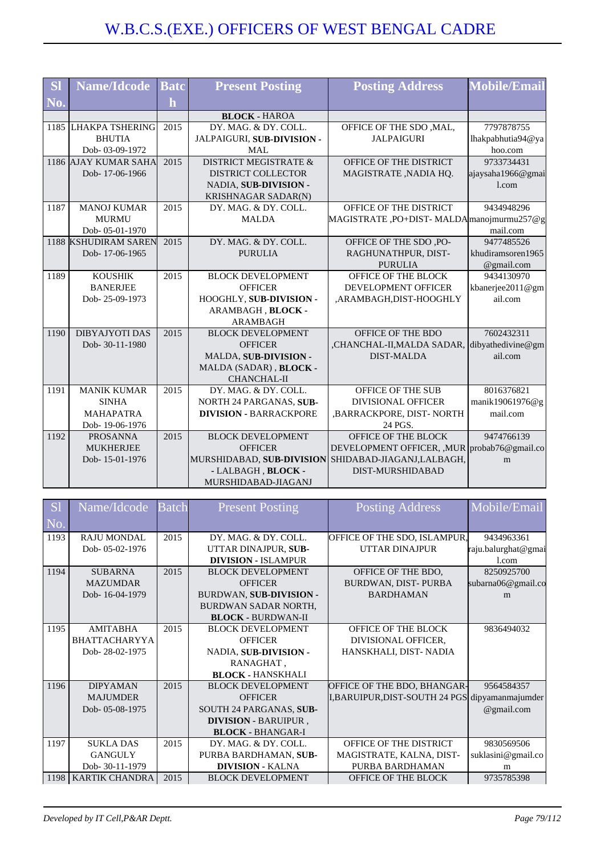| <b>SI</b> | <b>Name/Idcode</b>    | <b>Batc</b> | <b>Present Posting</b>           | <b>Posting Address</b>                              | <b>Mobile/Email</b> |
|-----------|-----------------------|-------------|----------------------------------|-----------------------------------------------------|---------------------|
| No.       |                       | h           |                                  |                                                     |                     |
|           |                       |             | <b>BLOCK - HAROA</b>             |                                                     |                     |
|           | 1185 LHAKPA TSHERING  | 2015        | DY. MAG. & DY. COLL.             | OFFICE OF THE SDO, MAL,                             | 7797878755          |
|           | <b>BHUTIA</b>         |             | JALPAIGURI, SUB-DIVISION -       | <b>JALPAIGURI</b>                                   | lhakpabhutia94@ya   |
|           | Dob-03-09-1972        |             | <b>MAL</b>                       |                                                     | hoo.com             |
|           | 1186 AJAY KUMAR SAHA  | 2015        | <b>DISTRICT MEGISTRATE &amp;</b> | OFFICE OF THE DISTRICT                              | 9733734431          |
|           | Dob-17-06-1966        |             | <b>DISTRICT COLLECTOR</b>        | MAGISTRATE, NADIA HQ.                               | ajaysaha1966@gmai   |
|           |                       |             | NADIA, SUB-DIVISION -            |                                                     | 1.com               |
|           |                       |             | KRISHNAGAR SADAR(N)              |                                                     |                     |
| 1187      | <b>MANOJ KUMAR</b>    | 2015        | DY. MAG. & DY. COLL.             | OFFICE OF THE DISTRICT                              | 9434948296          |
|           | <b>MURMU</b>          |             | <b>MALDA</b>                     | MAGISTRATE, PO+DIST-MALDA manoj murmu $257@g$       |                     |
|           | Dob-05-01-1970        |             |                                  |                                                     | mail.com            |
|           | 1188 KSHUDIRAM SAREN  | 2015        | DY. MAG. & DY. COLL.             | OFFICE OF THE SDO, PO-                              | 9477485526          |
|           | Dob-17-06-1965        |             | <b>PURULIA</b>                   | RAGHUNATHPUR, DIST-                                 | khudiramsoren1965   |
|           |                       |             |                                  | <b>PURULIA</b>                                      | @gmail.com          |
| 1189      | <b>KOUSHIK</b>        | 2015        | <b>BLOCK DEVELOPMENT</b>         | OFFICE OF THE BLOCK                                 | 9434130970          |
|           | <b>BANERJEE</b>       |             | <b>OFFICER</b>                   | DEVELOPMENT OFFICER                                 | kbanerjee2011@gm    |
|           | Dob-25-09-1973        |             | HOOGHLY, SUB-DIVISION -          | ,ARAMBAGH,DIST-HOOGHLY                              | ail.com             |
|           |                       |             | ARAMBAGH, BLOCK -                |                                                     |                     |
|           |                       |             | <b>ARAMBAGH</b>                  |                                                     |                     |
| 1190      | <b>DIBYAJYOTI DAS</b> | 2015        | <b>BLOCK DEVELOPMENT</b>         | OFFICE OF THE BDO                                   | 7602432311          |
|           | Dob-30-11-1980        |             | <b>OFFICER</b>                   | CHANCHAL-II, MALDA SADAR, dibyathedivine@gm         |                     |
|           |                       |             | MALDA, SUB-DIVISION -            | <b>DIST-MALDA</b>                                   | ail.com             |
|           |                       |             | MALDA (SADAR), BLOCK -           |                                                     |                     |
|           |                       |             | <b>CHANCHAL-II</b>               |                                                     |                     |
| 1191      | <b>MANIK KUMAR</b>    | 2015        | DY. MAG. & DY. COLL.             | OFFICE OF THE SUB                                   | 8016376821          |
|           | <b>SINHA</b>          |             | NORTH 24 PARGANAS, SUB-          | <b>DIVISIONAL OFFICER</b>                           | manik19061976@g     |
|           | <b>MAHAPATRA</b>      |             | <b>DIVISION - BARRACKPORE</b>    | , BARRACKPORE, DIST-NORTH                           | mail.com            |
|           | Dob-19-06-1976        |             |                                  | 24 PGS.                                             |                     |
| 1192      | <b>PROSANNA</b>       | 2015        | <b>BLOCK DEVELOPMENT</b>         | OFFICE OF THE BLOCK                                 | 9474766139          |
|           | <b>MUKHERJEE</b>      |             | <b>OFFICER</b>                   | DEVELOPMENT OFFICER, , MUR                          | probab76@gmail.co   |
|           | Dob-15-01-1976        |             |                                  | MURSHIDABAD, SUB-DIVISION SHIDABAD-JIAGANJ,LALBAGH, | m                   |
|           |                       |             | - LALBAGH, BLOCK -               | DIST-MURSHIDABAD                                    |                     |
|           |                       |             | MURSHIDABAD-JIAGANJ              |                                                     |                     |

| S <sub>1</sub> | Name/Idcode           | <b>Batch</b> | <b>Present Posting</b>         | <b>Posting Address</b>                          | Mobile/Email        |
|----------------|-----------------------|--------------|--------------------------------|-------------------------------------------------|---------------------|
| N <sub>o</sub> |                       |              |                                |                                                 |                     |
| 1193           | <b>RAJU MONDAL</b>    | 2015         | DY. MAG. & DY. COLL.           | OFFICE OF THE SDO, ISLAMPUR,                    | 9434963361          |
|                | Dob-05-02-1976        |              | UTTAR DINAJPUR, SUB-           | UTTAR DINAJPUR                                  | raju.balurghat@gmai |
|                |                       |              | <b>DIVISION - ISLAMPUR</b>     |                                                 | 1.com               |
| 1194           | <b>SUBARNA</b>        | 2015         | <b>BLOCK DEVELOPMENT</b>       | OFFICE OF THE BDO.                              | 8250925700          |
|                | <b>MAZUMDAR</b>       |              | <b>OFFICER</b>                 | BURDWAN, DIST-PURBA                             | subarna06@gmail.co  |
|                | Dob-16-04-1979        |              | <b>BURDWAN, SUB-DIVISION -</b> | <b>BARDHAMAN</b>                                | m                   |
|                |                       |              | <b>BURDWAN SADAR NORTH,</b>    |                                                 |                     |
|                |                       |              | <b>BLOCK - BURDWAN-II</b>      |                                                 |                     |
| 1195           | <b>AMITABHA</b>       | 2015         | <b>BLOCK DEVELOPMENT</b>       | OFFICE OF THE BLOCK                             | 9836494032          |
|                | <b>BHATTACHARYYA</b>  |              | <b>OFFICER</b>                 | DIVISIONAL OFFICER,                             |                     |
|                | Dob-28-02-1975        |              | NADIA, SUB-DIVISION -          | HANSKHALI, DIST-NADIA                           |                     |
|                |                       |              | RANAGHAT,                      |                                                 |                     |
|                |                       |              | <b>BLOCK - HANSKHALI</b>       |                                                 |                     |
| 1196           | <b>DIPYAMAN</b>       | 2015         | <b>BLOCK DEVELOPMENT</b>       | OFFICE OF THE BDO, BHANGAR-                     | 9564584357          |
|                | <b>MAJUMDER</b>       |              | <b>OFFICER</b>                 | I, BARUIPUR, DIST-SOUTH 24 PGS dipyamanmajumder |                     |
|                | Dob-05-08-1975        |              | SOUTH 24 PARGANAS, SUB-        |                                                 | @gmail.com          |
|                |                       |              | <b>DIVISION - BARUIPUR,</b>    |                                                 |                     |
|                |                       |              | <b>BLOCK - BHANGAR-I</b>       |                                                 |                     |
| 1197           | <b>SUKLA DAS</b>      | 2015         | DY. MAG. & DY. COLL.           | OFFICE OF THE DISTRICT                          | 9830569506          |
|                | <b>GANGULY</b>        |              | PURBA BARDHAMAN, SUB-          | MAGISTRATE, KALNA, DIST-                        | suklasini@gmail.co  |
|                | Dob-30-11-1979        |              | <b>DIVISION - KALNA</b>        | PURBA BARDHAMAN                                 | m                   |
| 1198 l         | <b>KARTIK CHANDRA</b> | 2015         | <b>BLOCK DEVELOPMENT</b>       | <b>OFFICE OF THE BLOCK</b>                      | 9735785398          |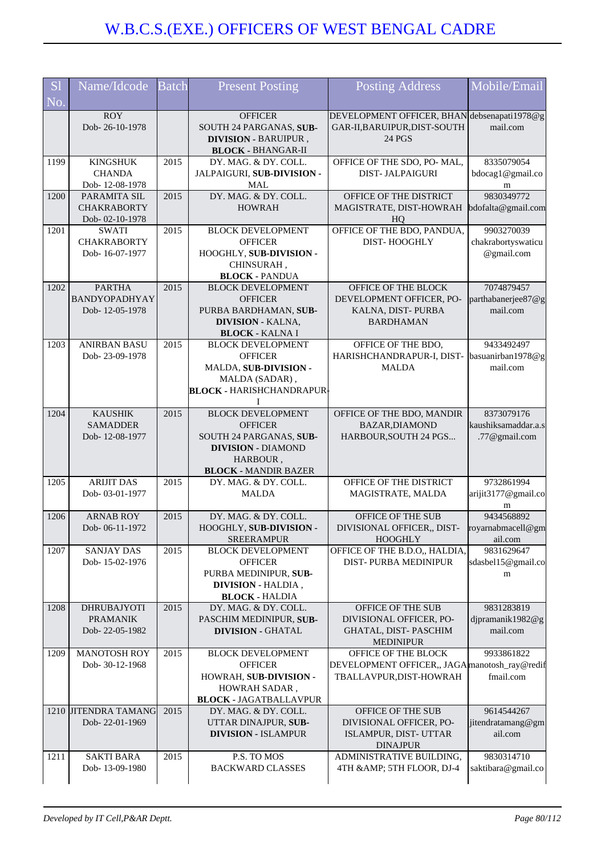| <b>Sl</b> | Name/Idcode                                             | <b>Batch</b> | <b>Present Posting</b>                                                                                                                        | Posting Address                                                                                 | Mobile/Email                                       |
|-----------|---------------------------------------------------------|--------------|-----------------------------------------------------------------------------------------------------------------------------------------------|-------------------------------------------------------------------------------------------------|----------------------------------------------------|
| No.       |                                                         |              |                                                                                                                                               |                                                                                                 |                                                    |
|           | <b>ROY</b><br>Dob-26-10-1978                            |              | <b>OFFICER</b><br>SOUTH 24 PARGANAS, SUB-<br><b>DIVISION - BARUIPUR,</b><br><b>BLOCK - BHANGAR-II</b>                                         | DEVELOPMENT OFFICER, BHAN debsenapati1978@g<br>GAR-II, BARUIPUR, DIST-SOUTH<br>24 PGS           | mail.com                                           |
| 1199      | <b>KINGSHUK</b><br><b>CHANDA</b><br>Dob-12-08-1978      | 2015         | DY. MAG. & DY. COLL.<br>JALPAIGURI, SUB-DIVISION -<br>MAL                                                                                     | OFFICE OF THE SDO, PO- MAL,<br><b>DIST-JALPAIGURI</b>                                           | 8335079054<br>bdocag1@gmail.co<br>m                |
| 1200      | PARAMITA SIL<br><b>CHAKRABORTY</b><br>Dob-02-10-1978    | 2015         | DY. MAG. & DY. COLL.<br><b>HOWRAH</b>                                                                                                         | OFFICE OF THE DISTRICT<br>MAGISTRATE, DIST-HOWRAH<br>HQ                                         | 9830349772<br>bdofalta@gmail.com                   |
| 1201      | <b>SWATI</b><br><b>CHAKRABORTY</b><br>Dob-16-07-1977    | 2015         | <b>BLOCK DEVELOPMENT</b><br><b>OFFICER</b><br>HOOGHLY, SUB-DIVISION -<br>CHINSURAH,<br><b>BLOCK - PANDUA</b>                                  | OFFICE OF THE BDO, PANDUA,<br>DIST-HOOGHLY                                                      | 9903270039<br>chakrabortyswaticu<br>@gmail.com     |
| 1202      | <b>PARTHA</b><br><b>BANDYOPADHYAY</b><br>Dob-12-05-1978 | 2015         | <b>BLOCK DEVELOPMENT</b><br><b>OFFICER</b><br>PURBA BARDHAMAN, SUB-<br><b>DIVISION - KALNA,</b><br><b>BLOCK - KALNA I</b>                     | OFFICE OF THE BLOCK<br>DEVELOPMENT OFFICER, PO-<br>KALNA, DIST-PURBA<br><b>BARDHAMAN</b>        | 7074879457<br>parthabanerjee87@g<br>mail.com       |
| 1203      | <b>ANIRBAN BASU</b><br>Dob-23-09-1978                   | 2015         | <b>BLOCK DEVELOPMENT</b><br><b>OFFICER</b><br>MALDA, SUB-DIVISION -<br>MALDA (SADAR),<br><b>BLOCK - HARISHCHANDRAPUR-</b><br>I                | OFFICE OF THE BDO,<br>HARISHCHANDRAPUR-I, DIST-<br><b>MALDA</b>                                 | 9433492497<br>basuanirban1978@g<br>mail.com        |
| 1204      | <b>KAUSHIK</b><br><b>SAMADDER</b><br>Dob-12-08-1977     | 2015         | <b>BLOCK DEVELOPMENT</b><br><b>OFFICER</b><br>SOUTH 24 PARGANAS, SUB-<br><b>DIVISION - DIAMOND</b><br>HARBOUR,<br><b>BLOCK - MANDIR BAZER</b> | OFFICE OF THE BDO, MANDIR<br>BAZAR, DIAMOND<br>HARBOUR, SOUTH 24 PGS                            | 8373079176<br>kaushiksamaddar.a.s<br>.77@gmail.com |
| 1205      | <b>ARIJIT DAS</b><br>Dob-03-01-1977                     | 2015         | DY. MAG. & DY. COLL.<br><b>MALDA</b>                                                                                                          | OFFICE OF THE DISTRICT<br>MAGISTRATE, MALDA                                                     | 9732861994<br>arijit3177@gmail.co<br>m             |
| 1206      | <b>ARNAB ROY</b><br>Dob-06-11-1972                      | 2015         | DY. MAG. & DY. COLL.<br>HOOGHLY, SUB-DIVISION<br><b>SREERAMPUR</b>                                                                            | OFFICE OF THE SUB<br>DIVISIONAL OFFICER,, DIST-<br>HOOGHLY                                      | 9434568892<br>royarnabmacell@gm<br>ail.com         |
| 1207      | <b>SANJAY DAS</b><br>Dob-15-02-1976                     | 2015         | <b>BLOCK DEVELOPMENT</b><br><b>OFFICER</b><br>PURBA MEDINIPUR, SUB-<br><b>DIVISION - HALDIA,</b><br><b>BLOCK - HALDIA</b>                     | OFFICE OF THE B.D.O., HALDIA,<br>DIST-PURBA MEDINIPUR                                           | 9831629647<br>sdasbel15@gmail.co<br>m              |
| 1208      | <b>DHRUBAJYOTI</b><br><b>PRAMANIK</b><br>Dob-22-05-1982 | 2015         | DY. MAG. & DY. COLL.<br>PASCHIM MEDINIPUR, SUB-<br><b>DIVISION - GHATAL</b>                                                                   | OFFICE OF THE SUB<br>DIVISIONAL OFFICER, PO-<br>GHATAL, DIST-PASCHIM<br><b>MEDINIPUR</b>        | 9831283819<br>djpramanik1982@g<br>mail.com         |
| 1209      | <b>MANOTOSH ROY</b><br>Dob-30-12-1968                   | 2015         | <b>BLOCK DEVELOPMENT</b><br><b>OFFICER</b><br>HOWRAH, SUB-DIVISION -<br>HOWRAH SADAR,<br><b>BLOCK - JAGATBALLAVPUR</b>                        | OFFICE OF THE BLOCK<br>DEVELOPMENT OFFICER,, JAGA manotosh_ray@redif<br>TBALLAVPUR, DIST-HOWRAH | 9933861822<br>fmail.com                            |
|           | 1210 JITENDRA TAMANG<br>Dob-22-01-1969                  | 2015         | DY. MAG. & DY. COLL.<br>UTTAR DINAJPUR, SUB-<br><b>DIVISION - ISLAMPUR</b>                                                                    | OFFICE OF THE SUB<br>DIVISIONAL OFFICER, PO-<br>ISLAMPUR, DIST- UTTAR<br><b>DINAJPUR</b>        | 9614544267<br>jitendratamang@gm<br>ail.com         |
| 1211      | <b>SAKTI BARA</b><br>Dob-13-09-1980                     | 2015         | P.S. TO MOS<br><b>BACKWARD CLASSES</b>                                                                                                        | ADMINISTRATIVE BUILDING,<br>4TH & AMP; 5TH FLOOR, DJ-4                                          | 9830314710<br>saktibara@gmail.co                   |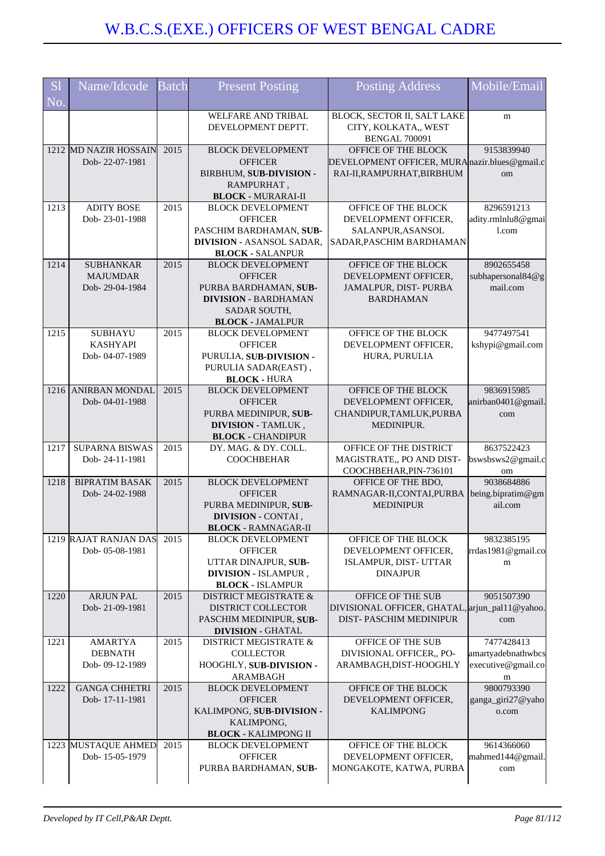| S <sub>1</sub><br>No. | Name/Idcode                             | <b>Batch</b> | <b>Present Posting</b>                               | <b>Posting Address</b>                                                      | Mobile/Email                             |
|-----------------------|-----------------------------------------|--------------|------------------------------------------------------|-----------------------------------------------------------------------------|------------------------------------------|
|                       |                                         |              | WELFARE AND TRIBAL<br>DEVELOPMENT DEPTT.             | BLOCK, SECTOR II, SALT LAKE<br>CITY, KOLKATA,, WEST<br><b>BENGAL 700091</b> | m                                        |
|                       | 1212 MD NAZIR HOSSAIN                   | 2015         | <b>BLOCK DEVELOPMENT</b>                             | OFFICE OF THE BLOCK                                                         | 9153839940                               |
|                       | Dob-22-07-1981                          |              | <b>OFFICER</b><br>BIRBHUM, SUB-DIVISION -            | DEVELOPMENT OFFICER, MURA nazir.blues@gmail.c<br>RAI-II, RAMPURHAT, BIRBHUM | om                                       |
|                       |                                         |              | RAMPURHAT,                                           |                                                                             |                                          |
|                       |                                         |              | <b>BLOCK - MURARAI-II</b>                            |                                                                             |                                          |
| 1213                  | <b>ADITY BOSE</b>                       | 2015         | <b>BLOCK DEVELOPMENT</b>                             | OFFICE OF THE BLOCK                                                         | 8296591213                               |
|                       | Dob-23-01-1988                          |              | <b>OFFICER</b><br>PASCHIM BARDHAMAN, SUB-            | DEVELOPMENT OFFICER,                                                        | adity.rmlnlu8@gmai<br>1.com              |
|                       |                                         |              | <b>DIVISION - ASANSOL SADAR,</b>                     | SALANPUR, ASANSOL<br>SADAR, PASCHIM BARDHAMAN                               |                                          |
|                       |                                         |              | <b>BLOCK - SALANPUR</b>                              |                                                                             |                                          |
| 1214                  | <b>SUBHANKAR</b>                        | 2015         | <b>BLOCK DEVELOPMENT</b>                             | OFFICE OF THE BLOCK                                                         | 8902655458                               |
|                       | <b>MAJUMDAR</b>                         |              | <b>OFFICER</b>                                       | DEVELOPMENT OFFICER,                                                        | subhapersonal84@g                        |
|                       | Dob-29-04-1984                          |              | PURBA BARDHAMAN, SUB-<br><b>DIVISION - BARDHAMAN</b> | JAMALPUR, DIST-PURBA<br><b>BARDHAMAN</b>                                    | mail.com                                 |
|                       |                                         |              | <b>SADAR SOUTH,</b>                                  |                                                                             |                                          |
|                       |                                         |              | <b>BLOCK - JAMALPUR</b>                              |                                                                             |                                          |
| 1215                  | <b>SUBHAYU</b>                          | 2015         | <b>BLOCK DEVELOPMENT</b>                             | OFFICE OF THE BLOCK                                                         | 9477497541                               |
|                       | <b>KASHYAPI</b>                         |              | <b>OFFICER</b>                                       | DEVELOPMENT OFFICER,                                                        | kshypi@gmail.com                         |
|                       | Dob-04-07-1989                          |              | PURULIA, SUB-DIVISION -<br>PURULIA SADAR(EAST),      | HURA, PURULIA                                                               |                                          |
|                       |                                         |              | <b>BLOCK - HURA</b>                                  |                                                                             |                                          |
| 1216                  | <b>ANIRBAN MONDAL</b>                   | 2015         | <b>BLOCK DEVELOPMENT</b>                             | OFFICE OF THE BLOCK                                                         | 9836915985                               |
|                       | Dob-04-01-1988                          |              | <b>OFFICER</b>                                       | DEVELOPMENT OFFICER,                                                        | anirban0401@gmail.                       |
|                       |                                         |              | PURBA MEDINIPUR, SUB-<br><b>DIVISION - TAMLUK,</b>   | CHANDIPUR, TAMLUK, PURBA<br>MEDINIPUR.                                      | com                                      |
|                       |                                         |              | <b>BLOCK - CHANDIPUR</b>                             |                                                                             |                                          |
| 1217                  | <b>SUPARNA BISWAS</b>                   | 2015         | DY. MAG. & DY. COLL.                                 | OFFICE OF THE DISTRICT                                                      | 8637522423                               |
|                       | Dob-24-11-1981                          |              | <b>COOCHBEHAR</b>                                    | MAGISTRATE,, PO AND DIST-                                                   | bswsbsws2@gmail.c                        |
| 1218                  | <b>BIPRATIM BASAK</b>                   | 2015         | <b>BLOCK DEVELOPMENT</b>                             | COOCHBEHAR, PIN-736101<br>OFFICE OF THE BDO,                                | om<br>9038684886                         |
|                       | Dob-24-02-1988                          |              | <b>OFFICER</b>                                       | RAMNAGAR-II, CONTAI, PURBA                                                  | being.bipratim@gm                        |
|                       |                                         |              | PURBA MEDINIPUR, SUB-                                | <b>MEDINIPUR</b>                                                            | ail.com                                  |
|                       |                                         |              | DIVISION - CONTAI,                                   |                                                                             |                                          |
|                       |                                         |              | <b>BLOCK - RAMNAGAR-II</b>                           |                                                                             |                                          |
|                       | 1219 RAJAT RANJAN DAS<br>Dob-05-08-1981 | 2015         | <b>BLOCK DEVELOPMENT</b><br><b>OFFICER</b>           | OFFICE OF THE BLOCK<br>DEVELOPMENT OFFICER,                                 | 9832385195<br>rrdas1981@gmail.co         |
|                       |                                         |              | UTTAR DINAJPUR, SUB-                                 | ISLAMPUR, DIST- UTTAR                                                       | m                                        |
|                       |                                         |              | <b>DIVISION - ISLAMPUR,</b>                          | <b>DINAJPUR</b>                                                             |                                          |
|                       |                                         |              | <b>BLOCK - ISLAMPUR</b>                              |                                                                             |                                          |
| 1220                  | <b>ARJUN PAL</b><br>Dob-21-09-1981      | 2015         | DISTRICT MEGISTRATE &<br>DISTRICT COLLECTOR          | OFFICE OF THE SUB<br>DIVISIONAL OFFICER, GHATAL, arjun_pal11@yahoo.         | 9051507390                               |
|                       |                                         |              | PASCHIM MEDINIPUR, SUB-                              | DIST-PASCHIM MEDINIPUR                                                      | com                                      |
|                       |                                         |              | <b>DIVISION - GHATAL</b>                             |                                                                             |                                          |
| 1221                  | <b>AMARTYA</b>                          | 2015         | DISTRICT MEGISTRATE &                                | OFFICE OF THE SUB                                                           | 7477428413                               |
|                       | <b>DEBNATH</b><br>Dob-09-12-1989        |              | <b>COLLECTOR</b><br>HOOGHLY, SUB-DIVISION -          | DIVISIONAL OFFICER,, PO-<br>ARAMBAGH, DIST-HOOGHLY                          | amartyadebnathwbcs<br>executive@gmail.co |
|                       |                                         |              | ARAMBAGH                                             |                                                                             | m                                        |
| 1222                  | <b>GANGA CHHETRI</b>                    | 2015         | <b>BLOCK DEVELOPMENT</b>                             | OFFICE OF THE BLOCK                                                         | 9800793390                               |
|                       | Dob-17-11-1981                          |              | <b>OFFICER</b>                                       | DEVELOPMENT OFFICER,                                                        | ganga_giri27@yaho                        |
|                       |                                         |              | KALIMPONG, SUB-DIVISION -                            | <b>KALIMPONG</b>                                                            | o.com                                    |
|                       |                                         |              | KALIMPONG,<br><b>BLOCK - KALIMPONG II</b>            |                                                                             |                                          |
|                       | 1223 MUSTAQUE AHMED                     | 2015         | <b>BLOCK DEVELOPMENT</b>                             | OFFICE OF THE BLOCK                                                         | 9614366060                               |
|                       | Dob-15-05-1979                          |              | <b>OFFICER</b>                                       | DEVELOPMENT OFFICER,                                                        | mahmed144@gmail.                         |
|                       |                                         |              | PURBA BARDHAMAN, SUB-                                | MONGAKOTE, KATWA, PURBA                                                     | com                                      |
|                       |                                         |              |                                                      |                                                                             |                                          |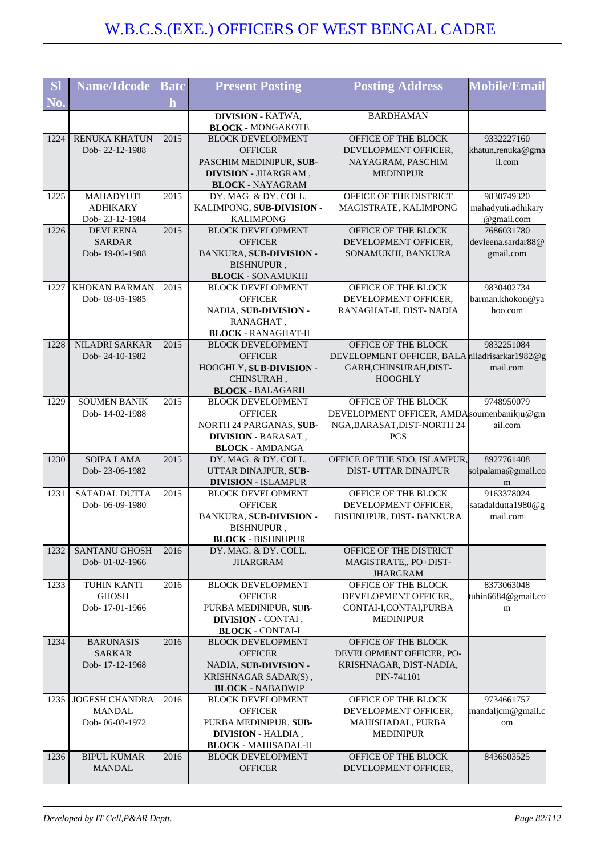| <b>SI</b>                 | <b>Name/Idcode</b>           | <b>Batc</b>       | <b>Present Posting</b>                              | <b>Posting Address</b>                          | <b>Mobile/Email</b>              |
|---------------------------|------------------------------|-------------------|-----------------------------------------------------|-------------------------------------------------|----------------------------------|
| $\overline{\bf N}{\bf 0}$ |                              | $\mathbf{h}$      |                                                     |                                                 |                                  |
|                           |                              |                   | <b>DIVISION - KATWA,</b>                            | <b>BARDHAMAN</b>                                |                                  |
|                           |                              |                   | <b>BLOCK - MONGAKOTE</b>                            |                                                 |                                  |
| 1224                      | RENUKA KHATUN                | 2015              | <b>BLOCK DEVELOPMENT</b>                            | OFFICE OF THE BLOCK                             | 9332227160                       |
|                           | Dob-22-12-1988               |                   | <b>OFFICER</b>                                      | DEVELOPMENT OFFICER,                            | khatun.renuka@gma                |
|                           |                              |                   | PASCHIM MEDINIPUR, SUB-                             | NAYAGRAM, PASCHIM                               | il.com                           |
|                           |                              |                   | DIVISION - JHARGRAM,                                | <b>MEDINIPUR</b>                                |                                  |
|                           |                              |                   | <b>BLOCK - NAYAGRAM</b>                             |                                                 |                                  |
| 1225                      | MAHADYUTI<br><b>ADHIKARY</b> | 2015              | DY. MAG. & DY. COLL.<br>KALIMPONG, SUB-DIVISION -   | OFFICE OF THE DISTRICT<br>MAGISTRATE, KALIMPONG | 9830749320<br>mahadyuti.adhikary |
|                           | Dob-23-12-1984               |                   | <b>KALIMPONG</b>                                    |                                                 | @gmail.com                       |
| 1226                      | <b>DEVLEENA</b>              | 2015              | <b>BLOCK DEVELOPMENT</b>                            | OFFICE OF THE BLOCK                             | 7686031780                       |
|                           | <b>SARDAR</b>                |                   | <b>OFFICER</b>                                      | DEVELOPMENT OFFICER,                            | devleena.sardar88@               |
|                           | Dob-19-06-1988               |                   | BANKURA, SUB-DIVISION -                             | SONAMUKHI, BANKURA                              | gmail.com                        |
|                           |                              |                   | BISHNUPUR,                                          |                                                 |                                  |
|                           |                              |                   | <b>BLOCK - SONAMUKHI</b>                            |                                                 |                                  |
| 1227                      | <b>KHOKAN BARMAN</b>         | 2015              | <b>BLOCK DEVELOPMENT</b>                            | OFFICE OF THE BLOCK                             | 9830402734                       |
|                           | Dob-03-05-1985               |                   | <b>OFFICER</b>                                      | DEVELOPMENT OFFICER,                            | barman.khokon@ya                 |
|                           |                              |                   | NADIA, SUB-DIVISION -                               | RANAGHAT-II, DIST- NADIA                        | hoo.com                          |
|                           |                              |                   | RANAGHAT,                                           |                                                 |                                  |
|                           |                              |                   | <b>BLOCK - RANAGHAT-II</b>                          |                                                 |                                  |
| 1228                      | NILADRI SARKAR               | 2015              | <b>BLOCK DEVELOPMENT</b>                            | OFFICE OF THE BLOCK                             | 9832251084                       |
|                           | Dob-24-10-1982               |                   | <b>OFFICER</b>                                      | DEVELOPMENT OFFICER, BALA miladrisarkar1982@g   |                                  |
|                           |                              |                   | HOOGHLY, SUB-DIVISION -<br>CHINSURAH,               | GARH,CHINSURAH,DIST-<br><b>HOOGHLY</b>          | mail.com                         |
|                           |                              |                   | <b>BLOCK - BALAGARH</b>                             |                                                 |                                  |
| 1229                      | <b>SOUMEN BANIK</b>          | 2015              | <b>BLOCK DEVELOPMENT</b>                            | OFFICE OF THE BLOCK                             | 9748950079                       |
|                           | Dob-14-02-1988               |                   | <b>OFFICER</b>                                      | DEVELOPMENT OFFICER, AMDA soumenbanikju@gm      |                                  |
|                           |                              |                   | NORTH 24 PARGANAS, SUB-                             | NGA, BARASAT, DIST-NORTH 24                     | ail.com                          |
|                           |                              |                   | <b>DIVISION - BARASAT,</b>                          | <b>PGS</b>                                      |                                  |
|                           |                              |                   | <b>BLOCK - AMDANGA</b>                              |                                                 |                                  |
| 1230                      | <b>SOIPA LAMA</b>            | 2015              | DY. MAG. & DY. COLL.                                | OFFICE OF THE SDO, ISLAMPUR,                    | 8927761408                       |
|                           | Dob-23-06-1982               |                   | UTTAR DINAJPUR, SUB-                                | <b>DIST- UTTAR DINAJPUR</b>                     | soipalama@gmail.co               |
|                           |                              |                   | <b>DIVISION - ISLAMPUR</b>                          |                                                 | m                                |
| 1231                      | SATADAL DUTTA                | 2015              | <b>BLOCK DEVELOPMENT</b>                            | OFFICE OF THE BLOCK                             | 9163378024                       |
|                           | Dob-06-09-1980               |                   | <b>OFFICER</b>                                      | DEVELOPMENT OFFICER,                            | satadaldutta1980@g               |
|                           |                              |                   | BANKURA, SUB-DIVISION -                             | BISHNUPUR, DIST- BANKURA                        | mail.com                         |
|                           |                              |                   | <b>BISHNUPUR</b><br><b>BLOCK - BISHNUPUR</b>        |                                                 |                                  |
| 1232                      | <b>SANTANU GHOSH</b>         | 2016              | DY. MAG. & DY. COLL.                                | OFFICE OF THE DISTRICT                          |                                  |
|                           | Dob-01-02-1966               |                   | <b>JHARGRAM</b>                                     | MAGISTRATE,, PO+DIST-                           |                                  |
|                           |                              |                   |                                                     | <b>JHARGRAM</b>                                 |                                  |
| 1233                      | TUHIN KANTI                  | $\overline{2016}$ | <b>BLOCK DEVELOPMENT</b>                            | OFFICE OF THE BLOCK                             | 8373063048                       |
|                           | <b>GHOSH</b>                 |                   | <b>OFFICER</b>                                      | DEVELOPMENT OFFICER.,                           | tuhin6684@gmail.co               |
|                           | Dob-17-01-1966               |                   | PURBA MEDINIPUR, SUB-                               | CONTAI-I,CONTAI,PURBA                           | m                                |
|                           |                              |                   | <b>DIVISION - CONTAI</b> ,                          | <b>MEDINIPUR</b>                                |                                  |
|                           |                              |                   | <b>BLOCK - CONTAI-I</b>                             |                                                 |                                  |
| 1234                      | <b>BARUNASIS</b>             | 2016              | <b>BLOCK DEVELOPMENT</b>                            | OFFICE OF THE BLOCK                             |                                  |
|                           | <b>SARKAR</b>                |                   | <b>OFFICER</b>                                      | DEVELOPMENT OFFICER, PO-                        |                                  |
|                           | Dob-17-12-1968               |                   | NADIA, SUB-DIVISION -                               | KRISHNAGAR, DIST-NADIA,                         |                                  |
|                           |                              |                   | KRISHNAGAR SADAR(S),                                | PIN-741101                                      |                                  |
| 1235                      | <b>JOGESH CHANDRA</b>        | 2016              | <b>BLOCK - NABADWIP</b><br><b>BLOCK DEVELOPMENT</b> | OFFICE OF THE BLOCK                             | 9734661757                       |
|                           | <b>MANDAL</b>                |                   | <b>OFFICER</b>                                      | DEVELOPMENT OFFICER,                            | mandaljcm@gmail.c                |
|                           | Dob-06-08-1972               |                   | PURBA MEDINIPUR, SUB-                               | MAHISHADAL, PURBA                               | om                               |
|                           |                              |                   | <b>DIVISION - HALDIA,</b>                           | <b>MEDINIPUR</b>                                |                                  |
|                           |                              |                   | <b>BLOCK - MAHISADAL-II</b>                         |                                                 |                                  |
| 1236                      | <b>BIPUL KUMAR</b>           | 2016              | <b>BLOCK DEVELOPMENT</b>                            | OFFICE OF THE BLOCK                             | 8436503525                       |
|                           | <b>MANDAL</b>                |                   | <b>OFFICER</b>                                      | DEVELOPMENT OFFICER,                            |                                  |
|                           |                              |                   |                                                     |                                                 |                                  |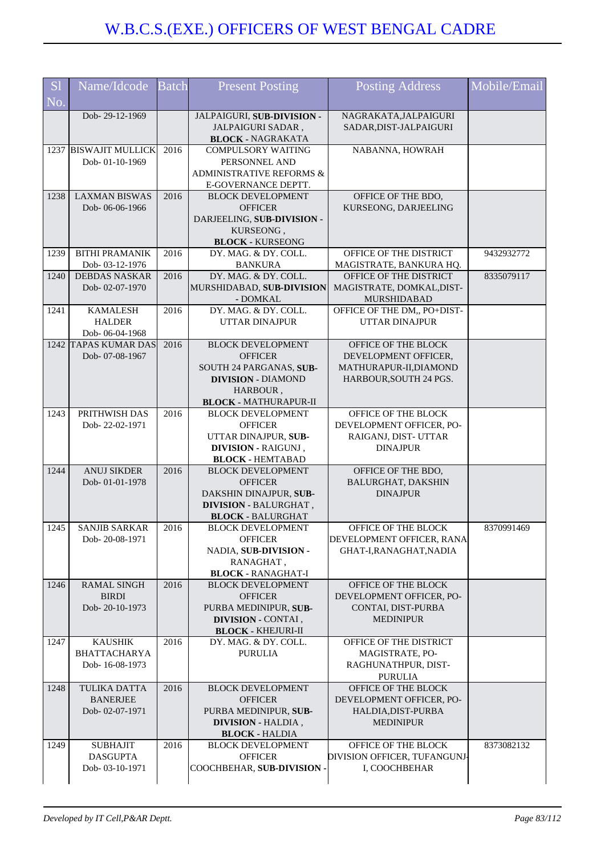| <b>S1</b><br>No. | Name/Idcode                                              | <b>Batch</b> | <b>Present Posting</b>                                                                                                                         | <b>Posting Address</b>                                                                          | Mobile/Email |
|------------------|----------------------------------------------------------|--------------|------------------------------------------------------------------------------------------------------------------------------------------------|-------------------------------------------------------------------------------------------------|--------------|
|                  | Dob-29-12-1969                                           |              | JALPAIGURI, SUB-DIVISION -<br>JALPAIGURI SADAR,<br><b>BLOCK - NAGRAKATA</b>                                                                    | NAGRAKATA, JALPAIGURI<br>SADAR, DIST-JALPAIGURI                                                 |              |
|                  | 1237 BISWAJIT MULLICK<br>Dob-01-10-1969                  | 2016         | <b>COMPULSORY WAITING</b><br>PERSONNEL AND<br>ADMINISTRATIVE REFORMS &<br>E-GOVERNANCE DEPTT.                                                  | NABANNA, HOWRAH                                                                                 |              |
| 1238             | <b>LAXMAN BISWAS</b><br>Dob-06-06-1966                   | 2016         | <b>BLOCK DEVELOPMENT</b><br><b>OFFICER</b><br>DARJEELING, SUB-DIVISION -<br>KURSEONG,                                                          | OFFICE OF THE BDO,<br>KURSEONG, DARJEELING                                                      |              |
| 1239             | <b>BITHI PRAMANIK</b><br>Dob-03-12-1976                  | 2016         | <b>BLOCK - KURSEONG</b><br>DY. MAG. & DY. COLL.<br><b>BANKURA</b>                                                                              | OFFICE OF THE DISTRICT<br>MAGISTRATE, BANKURA HQ.                                               | 9432932772   |
| 1240             | <b>DEBDAS NASKAR</b><br>Dob-02-07-1970                   | 2016         | DY. MAG. & DY. COLL.<br>MURSHIDABAD, SUB-DIVISION<br>- DOMKAL                                                                                  | OFFICE OF THE DISTRICT<br>MAGISTRATE, DOMKAL, DIST-<br>MURSHIDABAD                              | 8335079117   |
| 1241             | <b>KAMALESH</b><br><b>HALDER</b><br>Dob-06-04-1968       | 2016         | DY. MAG. & DY. COLL.<br><b>UTTAR DINAJPUR</b>                                                                                                  | OFFICE OF THE DM,, PO+DIST-<br><b>UTTAR DINAJPUR</b>                                            |              |
|                  | 1242 TAPAS KUMAR DAS<br>Dob-07-08-1967                   | 2016         | <b>BLOCK DEVELOPMENT</b><br><b>OFFICER</b><br>SOUTH 24 PARGANAS, SUB-<br><b>DIVISION - DIAMOND</b><br>HARBOUR,<br><b>BLOCK - MATHURAPUR-II</b> | OFFICE OF THE BLOCK<br>DEVELOPMENT OFFICER,<br>MATHURAPUR-II, DIAMOND<br>HARBOUR, SOUTH 24 PGS. |              |
| 1243             | PRITHWISH DAS<br>Dob-22-02-1971                          | 2016         | <b>BLOCK DEVELOPMENT</b><br><b>OFFICER</b><br>UTTAR DINAJPUR, SUB-<br>DIVISION - RAIGUNJ,<br><b>BLOCK - HEMTABAD</b>                           | OFFICE OF THE BLOCK<br>DEVELOPMENT OFFICER, PO-<br>RAIGANJ, DIST- UTTAR<br><b>DINAJPUR</b>      |              |
| 1244             | <b>ANUJ SIKDER</b><br>Dob-01-01-1978                     | 2016         | <b>BLOCK DEVELOPMENT</b><br><b>OFFICER</b><br>DAKSHIN DINAJPUR, SUB-<br><b>DIVISION - BALURGHAT,</b><br><b>BLOCK - BALURGHAT</b>               | OFFICE OF THE BDO,<br><b>BALURGHAT, DAKSHIN</b><br><b>DINAJPUR</b>                              |              |
| 1245             | <b>SANJIB SARKAR</b><br>Dob-20-08-1971                   | 2016         | <b>BLOCK DEVELOPMENT</b><br><b>OFFICER</b><br>NADIA, SUB-DIVISION -<br>RANAGHAT,<br><b>BLOCK - RANAGHAT-I</b>                                  | OFFICE OF THE BLOCK<br>DEVELOPMENT OFFICER, RANA<br>GHAT-I, RANAGHAT, NADIA                     | 8370991469   |
| 1246             | <b>RAMAL SINGH</b><br><b>BIRDI</b><br>Dob-20-10-1973     | 2016         | <b>BLOCK DEVELOPMENT</b><br><b>OFFICER</b><br>PURBA MEDINIPUR, SUB-<br>DIVISION - CONTAI,<br><b>BLOCK - KHEJURI-II</b>                         | OFFICE OF THE BLOCK<br>DEVELOPMENT OFFICER, PO-<br>CONTAI, DIST-PURBA<br><b>MEDINIPUR</b>       |              |
| 1247             | <b>KAUSHIK</b><br><b>BHATTACHARYA</b><br>Dob-16-08-1973  | 2016         | DY. MAG. & DY. COLL.<br><b>PURULIA</b>                                                                                                         | OFFICE OF THE DISTRICT<br>MAGISTRATE, PO-<br>RAGHUNATHPUR, DIST-<br><b>PURULIA</b>              |              |
| 1248             | <b>TULIKA DATTA</b><br><b>BANERJEE</b><br>Dob-02-07-1971 | 2016         | <b>BLOCK DEVELOPMENT</b><br><b>OFFICER</b><br>PURBA MEDINIPUR, SUB-<br><b>DIVISION - HALDIA,</b><br><b>BLOCK - HALDIA</b>                      | OFFICE OF THE BLOCK<br>DEVELOPMENT OFFICER, PO-<br>HALDIA, DIST-PURBA<br><b>MEDINIPUR</b>       |              |
| 1249             | <b>SUBHAJIT</b><br><b>DASGUPTA</b><br>Dob-03-10-1971     | 2016         | <b>BLOCK DEVELOPMENT</b><br><b>OFFICER</b><br>COOCHBEHAR, SUB-DIVISION -                                                                       | OFFICE OF THE BLOCK<br>DIVISION OFFICER, TUFANGUNJ-<br>I, COOCHBEHAR                            | 8373082132   |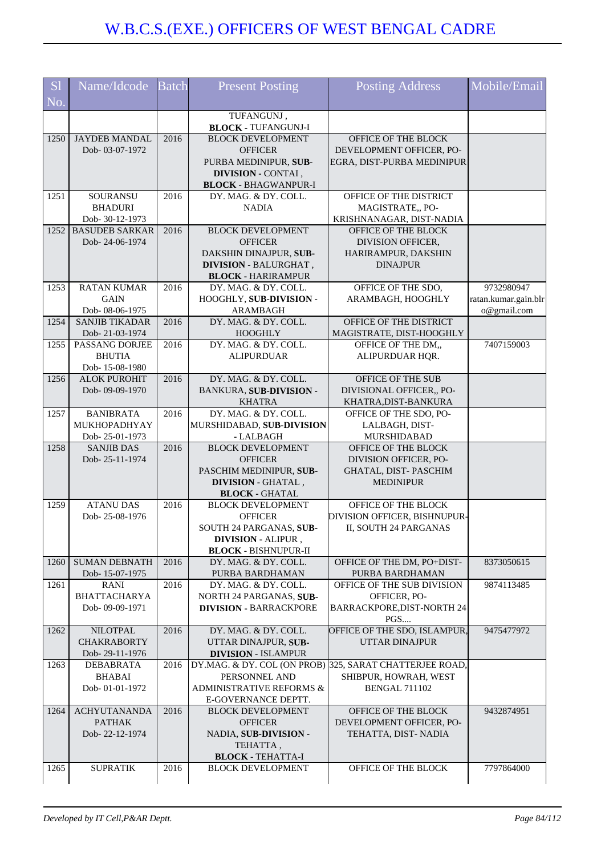| S <sub>1</sub> | Name/Idcode                            | <b>Batch</b> | <b>Present Posting</b>                                    | <b>Posting Address</b>                                  | Mobile/Email         |
|----------------|----------------------------------------|--------------|-----------------------------------------------------------|---------------------------------------------------------|----------------------|
| No.            |                                        |              |                                                           |                                                         |                      |
|                |                                        |              | TUFANGUNJ,                                                |                                                         |                      |
|                |                                        |              | <b>BLOCK - TUFANGUNJ-I</b>                                |                                                         |                      |
| 1250           | <b>JAYDEB MANDAL</b>                   | 2016         | <b>BLOCK DEVELOPMENT</b>                                  | OFFICE OF THE BLOCK                                     |                      |
|                | Dob-03-07-1972                         |              | <b>OFFICER</b>                                            | DEVELOPMENT OFFICER, PO-                                |                      |
|                |                                        |              | PURBA MEDINIPUR, SUB-<br>DIVISION - CONTAI,               | EGRA, DIST-PURBA MEDINIPUR                              |                      |
|                |                                        |              | <b>BLOCK - BHAGWANPUR-I</b>                               |                                                         |                      |
| 1251           | SOURANSU                               | 2016         | DY. MAG. & DY. COLL.                                      | OFFICE OF THE DISTRICT                                  |                      |
|                | <b>BHADURI</b>                         |              | <b>NADIA</b>                                              | MAGISTRATE,, PO-                                        |                      |
|                | Dob-30-12-1973                         |              |                                                           | KRISHNANAGAR, DIST-NADIA                                |                      |
| 1252           | <b>BASUDEB SARKAR</b>                  | 2016         | <b>BLOCK DEVELOPMENT</b>                                  | OFFICE OF THE BLOCK                                     |                      |
|                | Dob-24-06-1974                         |              | <b>OFFICER</b>                                            | DIVISION OFFICER,                                       |                      |
|                |                                        |              | DAKSHIN DINAJPUR, SUB-                                    | HARIRAMPUR, DAKSHIN<br><b>DINAJPUR</b>                  |                      |
|                |                                        |              | <b>DIVISION - BALURGHAT,</b><br><b>BLOCK - HARIRAMPUR</b> |                                                         |                      |
| 1253           | <b>RATAN KUMAR</b>                     | 2016         | DY. MAG. & DY. COLL.                                      | OFFICE OF THE SDO,                                      | 9732980947           |
|                | <b>GAIN</b>                            |              | HOOGHLY, SUB-DIVISION -                                   | ARAMBAGH, HOOGHLY                                       | ratan.kumar.gain.blr |
|                | Dob-08-06-1975                         |              | ARAMBAGH                                                  |                                                         | o@gmail.com          |
| 1254           | <b>SANJIB TIKADAR</b>                  | 2016         | DY. MAG. & DY. COLL.                                      | OFFICE OF THE DISTRICT                                  |                      |
|                | Dob-21-03-1974                         |              | <b>HOOGHLY</b>                                            | MAGISTRATE, DIST-HOOGHLY                                |                      |
| 1255           | PASSANG DORJEE                         | 2016         | DY. MAG. & DY. COLL.                                      | OFFICE OF THE DM,,                                      | 7407159003           |
|                | <b>BHUTIA</b><br>Dob-15-08-1980        |              | <b>ALIPURDUAR</b>                                         | ALIPURDUAR HQR.                                         |                      |
| 1256           | <b>ALOK PUROHIT</b>                    | 2016         | DY. MAG. & DY. COLL.                                      | OFFICE OF THE SUB                                       |                      |
|                | Dob-09-09-1970                         |              | <b>BANKURA, SUB-DIVISION -</b>                            | DIVISIONAL OFFICER,, PO-                                |                      |
|                |                                        |              | <b>KHATRA</b>                                             | KHATRA, DIST-BANKURA                                    |                      |
| 1257           | <b>BANIBRATA</b>                       | 2016         | DY. MAG. & DY. COLL.                                      | OFFICE OF THE SDO, PO-                                  |                      |
|                | MUKHOPADHYAY                           |              | MURSHIDABAD, SUB-DIVISION                                 | LALBAGH, DIST-                                          |                      |
|                | Dob-25-01-1973                         |              | - LALBAGH                                                 | <b>MURSHIDABAD</b>                                      |                      |
| 1258           | <b>SANJIB DAS</b>                      | 2016         | <b>BLOCK DEVELOPMENT</b>                                  | OFFICE OF THE BLOCK                                     |                      |
|                | Dob-25-11-1974                         |              | <b>OFFICER</b>                                            | DIVISION OFFICER, PO-                                   |                      |
|                |                                        |              | PASCHIM MEDINIPUR, SUB-<br><b>DIVISION - GHATAL,</b>      | GHATAL, DIST-PASCHIM<br><b>MEDINIPUR</b>                |                      |
|                |                                        |              | <b>BLOCK - GHATAL</b>                                     |                                                         |                      |
| 1259           | <b>ATANU DAS</b>                       | 2016         | <b>BLOCK DEVELOPMENT</b>                                  | OFFICE OF THE BLOCK                                     |                      |
|                | Dob-25-08-1976                         |              | <b>OFFICER</b>                                            | DIVISION OFFICER, BISHNUPUR-                            |                      |
|                |                                        |              | SOUTH 24 PARGANAS, SUB-                                   | II, SOUTH 24 PARGANAS                                   |                      |
|                |                                        |              | <b>DIVISION - ALIPUR,</b>                                 |                                                         |                      |
|                |                                        |              | <b>BLOCK - BISHNUPUR-II</b>                               |                                                         |                      |
| 1260           | <b>SUMAN DEBNATH</b><br>Dob-15-07-1975 | 2016         | DY. MAG. & DY. COLL.<br>PURBA BARDHAMAN                   | OFFICE OF THE DM, PO+DIST-<br>PURBA BARDHAMAN           | 8373050615           |
| 1261           | <b>RANI</b>                            | 2016         | DY. MAG. & DY. COLL.                                      | OFFICE OF THE SUB DIVISION                              | 9874113485           |
|                | <b>BHATTACHARYA</b>                    |              | NORTH 24 PARGANAS, SUB-                                   | OFFICER, PO-                                            |                      |
|                | Dob-09-09-1971                         |              | <b>DIVISION - BARRACKPORE</b>                             | BARRACKPORE, DIST-NORTH 24                              |                      |
|                |                                        |              |                                                           | PGS                                                     |                      |
| 1262           | <b>NILOTPAL</b>                        | 2016         | DY. MAG. & DY. COLL.                                      | OFFICE OF THE SDO, ISLAMPUR,                            | 9475477972           |
|                | <b>CHAKRABORTY</b>                     |              | UTTAR DINAJPUR, SUB-                                      | <b>UTTAR DINAJPUR</b>                                   |                      |
| 1263           | Dob-29-11-1976<br><b>DEBABRATA</b>     | 2016         | <b>DIVISION - ISLAMPUR</b>                                | DY.MAG. & DY. COL (ON PROB) 325, SARAT CHATTERJEE ROAD, |                      |
|                | <b>BHABAI</b>                          |              | PERSONNEL AND                                             | SHIBPUR, HOWRAH, WEST                                   |                      |
|                | Dob-01-01-1972                         |              | <b>ADMINISTRATIVE REFORMS &amp;</b>                       | <b>BENGAL 711102</b>                                    |                      |
|                |                                        |              | E-GOVERNANCE DEPTT.                                       |                                                         |                      |
| 1264           | <b>ACHYUTANANDA</b>                    | 2016         | <b>BLOCK DEVELOPMENT</b>                                  | OFFICE OF THE BLOCK                                     | 9432874951           |
|                | <b>PATHAK</b>                          |              | <b>OFFICER</b>                                            | DEVELOPMENT OFFICER, PO-                                |                      |
|                | Dob-22-12-1974                         |              | NADIA, SUB-DIVISION -                                     | TEHATTA, DIST-NADIA                                     |                      |
|                |                                        |              | TEHATTA,                                                  |                                                         |                      |
|                |                                        |              | <b>BLOCK - TEHATTA-I</b>                                  |                                                         |                      |
| 1265           | <b>SUPRATIK</b>                        | 2016         | <b>BLOCK DEVELOPMENT</b>                                  | OFFICE OF THE BLOCK                                     | 7797864000           |
|                |                                        |              |                                                           |                                                         |                      |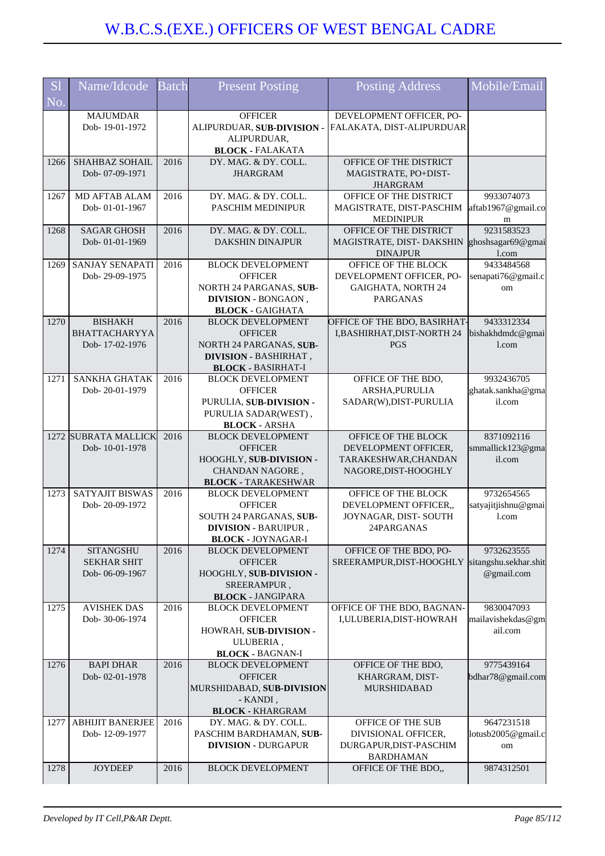| S <sub>1</sub> | Name/Idcode             | <b>Batch</b> | <b>Present Posting</b>                               | Posting Address                       | Mobile/Email                 |
|----------------|-------------------------|--------------|------------------------------------------------------|---------------------------------------|------------------------------|
| No.            |                         |              |                                                      |                                       |                              |
|                | <b>MAJUMDAR</b>         |              | <b>OFFICER</b>                                       | DEVELOPMENT OFFICER, PO-              |                              |
|                | Dob-19-01-1972          |              | ALIPURDUAR, SUB-DIVISION -                           | FALAKATA, DIST-ALIPURDUAR             |                              |
|                |                         |              | ALIPURDUAR,                                          |                                       |                              |
|                |                         |              | <b>BLOCK - FALAKATA</b>                              |                                       |                              |
| 1266           | SHAHBAZ SOHAIL          | 2016         | DY. MAG. & DY. COLL.                                 | OFFICE OF THE DISTRICT                |                              |
|                | Dob-07-09-1971          |              | <b>JHARGRAM</b>                                      | MAGISTRATE, PO+DIST-                  |                              |
|                |                         |              |                                                      | <b>JHARGRAM</b>                       |                              |
| 1267           | <b>MD AFTAB ALAM</b>    | 2016         | DY. MAG. & DY. COLL.                                 | OFFICE OF THE DISTRICT                | 9933074073                   |
|                | Dob-01-01-1967          |              | PASCHIM MEDINIPUR                                    | MAGISTRATE, DIST-PASCHIM              | aftab1967@gmail.co           |
|                |                         |              |                                                      | <b>MEDINIPUR</b>                      | m                            |
| 1268           | <b>SAGAR GHOSH</b>      | 2016         | DY. MAG. & DY. COLL.                                 | OFFICE OF THE DISTRICT                | 9231583523                   |
|                | Dob-01-01-1969          |              | <b>DAKSHIN DINAJPUR</b>                              | MAGISTRATE, DIST-DAKSHIN              | ghoshsagar69@gmai            |
|                |                         |              |                                                      | <b>DINAJPUR</b>                       | l.com                        |
| 1269           | SANJAY SENAPATI         | 2016         | <b>BLOCK DEVELOPMENT</b>                             | OFFICE OF THE BLOCK                   | 9433484568                   |
|                | Dob-29-09-1975          |              | <b>OFFICER</b>                                       | DEVELOPMENT OFFICER, PO-              | senapati76@gmail.c           |
|                |                         |              | NORTH 24 PARGANAS, SUB-                              | GAIGHATA, NORTH 24                    | om                           |
|                |                         |              | DIVISION - BONGAON,                                  | <b>PARGANAS</b>                       |                              |
|                |                         |              | <b>BLOCK - GAIGHATA</b>                              |                                       |                              |
| 1270           | <b>BISHAKH</b>          | 2016         | <b>BLOCK DEVELOPMENT</b>                             | OFFICE OF THE BDO, BASIRHAT-          | 9433312334                   |
|                | BHATTACHARYYA           |              | <b>OFFICER</b>                                       | I, BASHIRHAT, DIST-NORTH 24           | bishakhdmdc@gmai             |
|                | Dob-17-02-1976          |              | NORTH 24 PARGANAS, SUB-                              | <b>PGS</b>                            | 1.com                        |
|                |                         |              | <b>DIVISION - BASHIRHAT,</b>                         |                                       |                              |
|                |                         |              | <b>BLOCK - BASIRHAT-I</b>                            |                                       |                              |
| 1271           | SANKHA GHATAK           | 2016         | <b>BLOCK DEVELOPMENT</b>                             | OFFICE OF THE BDO,                    | 9932436705                   |
|                | Dob-20-01-1979          |              | <b>OFFICER</b>                                       | ARSHA, PURULIA                        | ghatak.sankha@gma            |
|                |                         |              | PURULIA, SUB-DIVISION -                              | SADAR(W), DIST-PURULIA                | il.com                       |
|                |                         |              | PURULIA SADAR(WEST),                                 |                                       |                              |
|                |                         |              | <b>BLOCK - ARSHA</b>                                 |                                       |                              |
|                | 1272 SUBRATA MALLICK    | 2016         | <b>BLOCK DEVELOPMENT</b>                             | OFFICE OF THE BLOCK                   | 8371092116                   |
|                | Dob-10-01-1978          |              | <b>OFFICER</b>                                       | DEVELOPMENT OFFICER,                  | smmallick123@gma             |
|                |                         |              | HOOGHLY, SUB-DIVISION -                              | TARAKESHWAR, CHANDAN                  | il.com                       |
|                |                         |              | CHANDAN NAGORE,                                      | NAGORE, DIST-HOOGHLY                  |                              |
|                |                         |              | <b>BLOCK - TARAKESHWAR</b>                           |                                       |                              |
| 1273           | <b>SATYAJIT BISWAS</b>  | 2016         | <b>BLOCK DEVELOPMENT</b>                             | OFFICE OF THE BLOCK                   | 9732654565                   |
|                | Dob-20-09-1972          |              | <b>OFFICER</b>                                       | DEVELOPMENT OFFICER,,                 | satyajitjishnu@gmai          |
|                |                         |              | SOUTH 24 PARGANAS, SUB-                              | JOYNAGAR, DIST-SOUTH                  | l.com                        |
|                |                         |              | <b>DIVISION - BARUIPUR</b>                           | 24PARGANAS                            |                              |
|                |                         |              | <b>BLOCK - JOYNAGAR-I</b>                            |                                       |                              |
| 1274           | <b>SITANGSHU</b>        | 2016         | <b>BLOCK DEVELOPMENT</b>                             | OFFICE OF THE BDO, PO-                | 9732623555                   |
|                | <b>SEKHAR SHIT</b>      |              | <b>OFFICER</b>                                       | SREERAMPUR, DIST-HOOGHLY              | sitangshu.sekhar.shit        |
|                | Dob-06-09-1967          |              | HOOGHLY, SUB-DIVISION -                              |                                       | @gmail.com                   |
|                |                         |              | SREERAMPUR,                                          |                                       |                              |
| 1275           | <b>AVISHEK DAS</b>      | 2016         | <b>BLOCK - JANGIPARA</b><br><b>BLOCK DEVELOPMENT</b> | OFFICE OF THE BDO, BAGNAN-            | 9830047093                   |
|                | Dob-30-06-1974          |              | <b>OFFICER</b>                                       | I, ULUBERIA, DIST-HOWRAH              |                              |
|                |                         |              |                                                      |                                       | mailavishekdas@gm<br>ail.com |
|                |                         |              | HOWRAH, SUB-DIVISION -                               |                                       |                              |
|                |                         |              | ULUBERIA,                                            |                                       |                              |
| 1276           | <b>BAPI DHAR</b>        | 2016         | <b>BLOCK - BAGNAN-I</b><br><b>BLOCK DEVELOPMENT</b>  | OFFICE OF THE BDO,                    | 9775439164                   |
|                |                         |              |                                                      |                                       |                              |
|                | Dob-02-01-1978          |              | <b>OFFICER</b>                                       | KHARGRAM, DIST-<br><b>MURSHIDABAD</b> | bdhar78@gmail.com            |
|                |                         |              | MURSHIDABAD, SUB-DIVISION<br>- KANDI,                |                                       |                              |
|                |                         |              | <b>BLOCK - KHARGRAM</b>                              |                                       |                              |
| 1277           | <b>ABHIJIT BANERJEE</b> | 2016         | DY. MAG. & DY. COLL.                                 | OFFICE OF THE SUB                     | 9647231518                   |
|                | Dob-12-09-1977          |              | PASCHIM BARDHAMAN, SUB-                              | DIVISIONAL OFFICER,                   | lotusb2005@gmail.c           |
|                |                         |              | <b>DIVISION - DURGAPUR</b>                           | DURGAPUR, DIST-PASCHIM                |                              |
|                |                         |              |                                                      | <b>BARDHAMAN</b>                      | om                           |
| 1278           | <b>JOYDEEP</b>          | 2016         | <b>BLOCK DEVELOPMENT</b>                             | OFFICE OF THE BDO,,                   | 9874312501                   |
|                |                         |              |                                                      |                                       |                              |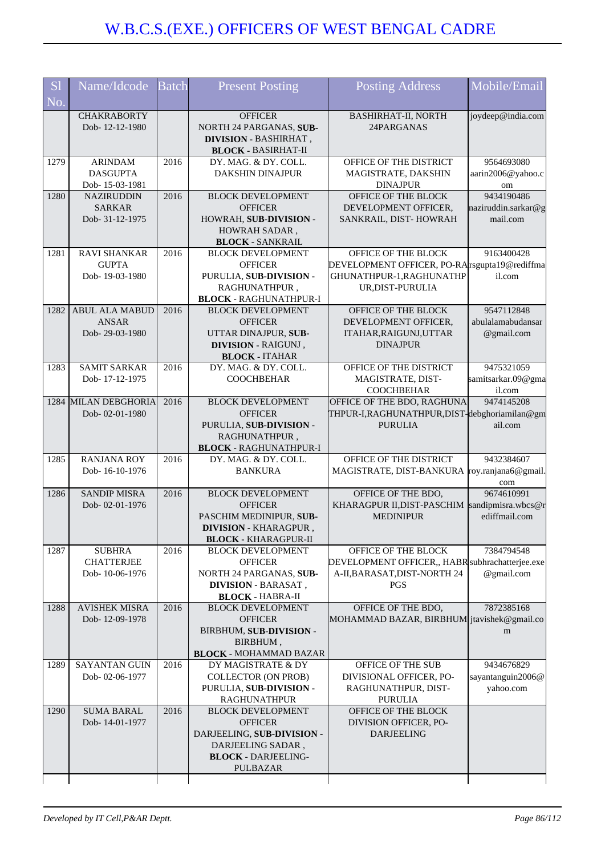| <b>S1</b> | Name/Idcode                            | <b>Batch</b> | <b>Present Posting</b>                                                                                  | <b>Posting Address</b>                                                     | Mobile/Email                    |
|-----------|----------------------------------------|--------------|---------------------------------------------------------------------------------------------------------|----------------------------------------------------------------------------|---------------------------------|
| No.       |                                        |              |                                                                                                         |                                                                            |                                 |
|           | <b>CHAKRABORTY</b><br>Dob-12-12-1980   |              | <b>OFFICER</b><br>NORTH 24 PARGANAS, SUB-<br><b>DIVISION - BASHIRHAT,</b><br><b>BLOCK - BASIRHAT-II</b> | BASHIRHAT-II, NORTH<br>24PARGANAS                                          | joydeep@india.com               |
| 1279      | <b>ARINDAM</b>                         | 2016         | DY. MAG. & DY. COLL.                                                                                    | OFFICE OF THE DISTRICT                                                     | 9564693080                      |
|           | <b>DASGUPTA</b><br>Dob-15-03-1981      |              | <b>DAKSHIN DINAJPUR</b>                                                                                 | MAGISTRATE, DAKSHIN<br><b>DINAJPUR</b>                                     | aarin2006@yahoo.c<br>om         |
| 1280      | NAZIRUDDIN                             | 2016         | <b>BLOCK DEVELOPMENT</b>                                                                                | OFFICE OF THE BLOCK                                                        | 9434190486                      |
|           | <b>SARKAR</b>                          |              | <b>OFFICER</b>                                                                                          | DEVELOPMENT OFFICER,                                                       | naziruddin.sarkar@g             |
|           | Dob- 31-12-1975                        |              | HOWRAH, SUB-DIVISION -<br>HOWRAH SADAR,                                                                 | SANKRAIL, DIST-HOWRAH                                                      | mail.com                        |
|           |                                        |              | <b>BLOCK - SANKRAIL</b>                                                                                 |                                                                            |                                 |
| 1281      | <b>RAVI SHANKAR</b>                    | 2016         | <b>BLOCK DEVELOPMENT</b>                                                                                | OFFICE OF THE BLOCK                                                        | 9163400428                      |
|           | <b>GUPTA</b><br>Dob-19-03-1980         |              | <b>OFFICER</b><br>PURULIA, SUB-DIVISION -                                                               | DEVELOPMENT OFFICER, PO-RA rsgupta 19@rediffma<br>GHUNATHPUR-1, RAGHUNATHP | il.com                          |
|           |                                        |              | RAGHUNATHPUR,                                                                                           | UR, DIST-PURULIA                                                           |                                 |
|           |                                        |              | <b>BLOCK - RAGHUNATHPUR-I</b>                                                                           |                                                                            |                                 |
| 1282      | <b>ABUL ALA MABUD</b><br><b>ANSAR</b>  | 2016         | <b>BLOCK DEVELOPMENT</b><br><b>OFFICER</b>                                                              | OFFICE OF THE BLOCK<br>DEVELOPMENT OFFICER,                                | 9547112848<br>abulalamabudansar |
|           | Dob-29-03-1980                         |              | UTTAR DINAJPUR, SUB-                                                                                    | ITAHAR, RAIGUNJ, UTTAR                                                     | @gmail.com                      |
|           |                                        |              | <b>DIVISION - RAIGUNJ</b> ,                                                                             | <b>DINAJPUR</b>                                                            |                                 |
| 1283      | <b>SAMIT SARKAR</b>                    | 2016         | <b>BLOCK - ITAHAR</b><br>DY. MAG. & DY. COLL.                                                           | OFFICE OF THE DISTRICT                                                     | 9475321059                      |
|           | Dob-17-12-1975                         |              | <b>COOCHBEHAR</b>                                                                                       | MAGISTRATE, DIST-                                                          | samitsarkar.09@gma              |
|           |                                        |              |                                                                                                         | <b>COOCHBEHAR</b>                                                          | il.com                          |
|           | 1284 MILAN DEBGHORIA<br>Dob-02-01-1980 | 2016         | <b>BLOCK DEVELOPMENT</b><br><b>OFFICER</b>                                                              | OFFICE OF THE BDO, RAGHUNA<br>THPUR-I,RAGHUNATHPUR,DIST-debghoriamilan@gm  | 9474145208                      |
|           |                                        |              | PURULIA, SUB-DIVISION -                                                                                 | <b>PURULIA</b>                                                             | ail.com                         |
|           |                                        |              | RAGHUNATHPUR,                                                                                           |                                                                            |                                 |
| 1285      | <b>RANJANA ROY</b>                     | 2016         | <b>BLOCK - RAGHUNATHPUR-I</b><br>DY. MAG. & DY. COLL.                                                   | OFFICE OF THE DISTRICT                                                     | 9432384607                      |
|           | Dob-16-10-1976                         |              | <b>BANKURA</b>                                                                                          | MAGISTRATE, DIST-BANKURA roy.ranjana6@gmail.                               |                                 |
| 1286      | <b>SANDIP MISRA</b>                    | 2016         | <b>BLOCK DEVELOPMENT</b>                                                                                | OFFICE OF THE BDO,                                                         | com<br>9674610991               |
|           | Dob-02-01-1976                         |              | <b>OFFICER</b>                                                                                          | KHARAGPUR II, DIST-PASCHIM                                                 | sandipmisra.wbcs@r              |
|           |                                        |              | PASCHIM MEDINIPUR, SUB-                                                                                 | <b>MEDINIPUR</b>                                                           | ediffmail.com                   |
|           |                                        |              | <b>DIVISION - KHARAGPUR</b>                                                                             |                                                                            |                                 |
| 1287      | <b>SUBHRA</b>                          | 2016         | <b>BLOCK - KHARAGPUR-II</b><br><b>BLOCK DEVELOPMENT</b>                                                 | OFFICE OF THE BLOCK                                                        | 7384794548                      |
|           | <b>CHATTERJEE</b>                      |              | <b>OFFICER</b>                                                                                          | DEVELOPMENT OFFICER,, HABR subhrachatterjee.exe                            |                                 |
|           | Dob-10-06-1976                         |              | NORTH 24 PARGANAS, SUB-<br><b>DIVISION - BARASAT,</b>                                                   | A-II, BARASAT, DIST-NORTH 24<br>PGS                                        | @gmail.com                      |
|           |                                        |              | <b>BLOCK - HABRA-II</b>                                                                                 |                                                                            |                                 |
| 1288      | <b>AVISHEK MISRA</b>                   | 2016         | <b>BLOCK DEVELOPMENT</b>                                                                                | OFFICE OF THE BDO,                                                         | 7872385168                      |
|           | Dob-12-09-1978                         |              | <b>OFFICER</b><br>BIRBHUM, SUB-DIVISION -                                                               | MOHAMMAD BAZAR, BIRBHUM itavishek@gmail.co                                 | m                               |
|           |                                        |              | BIRBHUM,                                                                                                |                                                                            |                                 |
|           |                                        |              | <b>BLOCK - MOHAMMAD BAZAR</b>                                                                           |                                                                            |                                 |
| 1289      | <b>SAYANTAN GUIN</b><br>Dob-02-06-1977 | 2016         | DY MAGISTRATE & DY<br><b>COLLECTOR (ON PROB)</b>                                                        | OFFICE OF THE SUB<br>DIVISIONAL OFFICER, PO-                               | 9434676829<br>sayantanguin2006@ |
|           |                                        |              | PURULIA, SUB-DIVISION -                                                                                 | RAGHUNATHPUR, DIST-                                                        | yahoo.com                       |
|           |                                        |              | <b>RAGHUNATHPUR</b>                                                                                     | <b>PURULIA</b>                                                             |                                 |
| 1290      | <b>SUMA BARAL</b><br>Dob-14-01-1977    | 2016         | <b>BLOCK DEVELOPMENT</b><br><b>OFFICER</b>                                                              | OFFICE OF THE BLOCK<br>DIVISION OFFICER, PO-                               |                                 |
|           |                                        |              | DARJEELING, SUB-DIVISION -                                                                              | <b>DARJEELING</b>                                                          |                                 |
|           |                                        |              | DARJEELING SADAR,                                                                                       |                                                                            |                                 |
|           |                                        |              | <b>BLOCK - DARJEELING-</b><br>PULBAZAR                                                                  |                                                                            |                                 |
|           |                                        |              |                                                                                                         |                                                                            |                                 |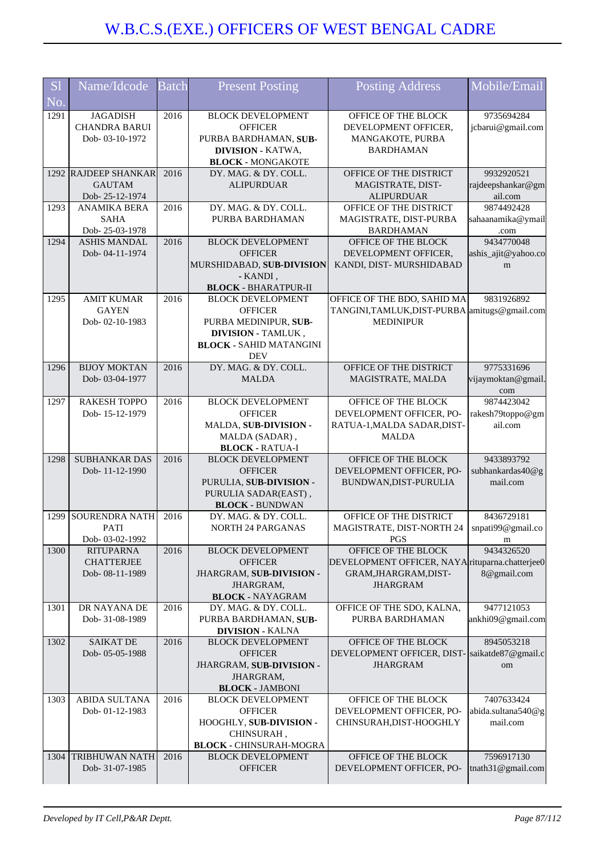| <b>S</b> l | Name/Idcode                             | <b>Batch</b> | <b>Present Posting</b>                                     | <b>Posting Address</b>                                          | Mobile/Email                    |
|------------|-----------------------------------------|--------------|------------------------------------------------------------|-----------------------------------------------------------------|---------------------------------|
|            |                                         |              |                                                            |                                                                 |                                 |
| No.        |                                         |              |                                                            |                                                                 |                                 |
| 1291       | <b>JAGADISH</b><br><b>CHANDRA BARUI</b> | 2016         | <b>BLOCK DEVELOPMENT</b><br><b>OFFICER</b>                 | OFFICE OF THE BLOCK<br>DEVELOPMENT OFFICER,                     | 9735694284<br>jcbarui@gmail.com |
|            | Dob-03-10-1972                          |              | PURBA BARDHAMAN, SUB-                                      | MANGAKOTE, PURBA                                                |                                 |
|            |                                         |              | <b>DIVISION - KATWA,</b>                                   | <b>BARDHAMAN</b>                                                |                                 |
|            |                                         |              | <b>BLOCK - MONGAKOTE</b>                                   |                                                                 |                                 |
|            | 1292 RAJDEEP SHANKAR                    | 2016         | DY. MAG. & DY. COLL.                                       | OFFICE OF THE DISTRICT                                          | 9932920521                      |
|            | <b>GAUTAM</b>                           |              | <b>ALIPURDUAR</b>                                          | MAGISTRATE, DIST-                                               | rajdeepshankar@gm               |
|            | Dob-25-12-1974                          |              |                                                            | <b>ALIPURDUAR</b>                                               | ail.com                         |
| 1293       | <b>ANAMIKA BERA</b><br><b>SAHA</b>      | 2016         | DY. MAG. & DY. COLL.<br>PURBA BARDHAMAN                    | OFFICE OF THE DISTRICT<br>MAGISTRATE, DIST-PURBA                | 9874492428                      |
|            | Dob-25-03-1978                          |              |                                                            | <b>BARDHAMAN</b>                                                | sahaanamika@ymail<br>.com       |
| 1294       | <b>ASHIS MANDAL</b>                     | 2016         | <b>BLOCK DEVELOPMENT</b>                                   | OFFICE OF THE BLOCK                                             | 9434770048                      |
|            | Dob-04-11-1974                          |              | <b>OFFICER</b>                                             | DEVELOPMENT OFFICER,                                            | ashis_ajit@yahoo.co             |
|            |                                         |              | MURSHIDABAD, SUB-DIVISION                                  | KANDI, DIST-MURSHIDABAD                                         | m                               |
|            |                                         |              | - KANDI,                                                   |                                                                 |                                 |
|            |                                         |              | <b>BLOCK - BHARATPUR-II</b>                                |                                                                 |                                 |
| 1295       | <b>AMIT KUMAR</b>                       | 2016         | <b>BLOCK DEVELOPMENT</b>                                   | OFFICE OF THE BDO, SAHID MA                                     | 9831926892                      |
|            | <b>GAYEN</b><br>Dob-02-10-1983          |              | <b>OFFICER</b>                                             | TANGINI,TAMLUK,DIST-PURBA amitugs@gmail.com<br><b>MEDINIPUR</b> |                                 |
|            |                                         |              | PURBA MEDINIPUR, SUB-<br><b>DIVISION - TAMLUK,</b>         |                                                                 |                                 |
|            |                                         |              | <b>BLOCK - SAHID MATANGINI</b>                             |                                                                 |                                 |
|            |                                         |              | <b>DEV</b>                                                 |                                                                 |                                 |
| 1296       | <b>BIJOY MOKTAN</b>                     | 2016         | DY. MAG. & DY. COLL.                                       | OFFICE OF THE DISTRICT                                          | 9775331696                      |
|            | Dob-03-04-1977                          |              | <b>MALDA</b>                                               | MAGISTRATE, MALDA                                               | vijaymoktan@gmail.              |
|            |                                         |              |                                                            |                                                                 | com                             |
| 1297       | <b>RAKESH TOPPO</b>                     | 2016         | <b>BLOCK DEVELOPMENT</b>                                   | OFFICE OF THE BLOCK                                             | 9874423042                      |
|            | Dob-15-12-1979                          |              | <b>OFFICER</b>                                             | DEVELOPMENT OFFICER, PO-                                        | rakesh79toppo@gm                |
|            |                                         |              | MALDA, SUB-DIVISION -                                      | RATUA-1, MALDA SADAR, DIST-<br><b>MALDA</b>                     | ail.com                         |
|            |                                         |              | MALDA (SADAR),<br><b>BLOCK - RATUA-I</b>                   |                                                                 |                                 |
| 1298       | <b>SUBHANKAR DAS</b>                    | 2016         | <b>BLOCK DEVELOPMENT</b>                                   | OFFICE OF THE BLOCK                                             | 9433893792                      |
|            | Dob-11-12-1990                          |              | <b>OFFICER</b>                                             | DEVELOPMENT OFFICER, PO-                                        | subhankardas40@g                |
|            |                                         |              | PURULIA, SUB-DIVISION -                                    | BUNDWAN, DIST-PURULIA                                           | mail.com                        |
|            |                                         |              | PURULIA SADAR(EAST),                                       |                                                                 |                                 |
|            |                                         |              | <b>BLOCK - BUNDWAN</b>                                     |                                                                 |                                 |
| 1299       | <b>SOURENDRA NATH</b>                   | 2016         | DY. MAG. & DY. COLL.                                       | OFFICE OF THE DISTRICT                                          | 8436729181                      |
|            | <b>PATI</b><br>Dob-03-02-1992           |              | NORTH 24 PARGANAS                                          | MAGISTRATE, DIST-NORTH 24<br><b>PGS</b>                         | snpati99@gmail.co               |
| 1300       | <b>RITUPARNA</b>                        | 2016         | <b>BLOCK DEVELOPMENT</b>                                   | OFFICE OF THE BLOCK                                             | m<br>9434326520                 |
|            | <b>CHATTERJEE</b>                       |              | <b>OFFICER</b>                                             | DEVELOPMENT OFFICER, NAYA rituparna.chatterjee0                 |                                 |
|            | Dob-08-11-1989                          |              | JHARGRAM, SUB-DIVISION -                                   | GRAM, JHARGRAM, DIST-                                           | 8@gmail.com                     |
|            |                                         |              | JHARGRAM,                                                  | <b>JHARGRAM</b>                                                 |                                 |
|            |                                         |              | <b>BLOCK - NAYAGRAM</b>                                    |                                                                 |                                 |
| 1301       | DR NAYANA DE                            | 2016         | DY. MAG. & DY. COLL.                                       | OFFICE OF THE SDO, KALNA,                                       | 9477121053                      |
|            | Dob-31-08-1989                          |              | PURBA BARDHAMAN, SUB-                                      | PURBA BARDHAMAN                                                 | ankhi09@gmail.com               |
| 1302       | <b>SAIKAT DE</b>                        | 2016         | <b>DIVISION - KALNA</b>                                    | OFFICE OF THE BLOCK                                             | 8945053218                      |
|            | Dob-05-05-1988                          |              | <b>BLOCK DEVELOPMENT</b><br><b>OFFICER</b>                 | DEVELOPMENT OFFICER, DIST-                                      | saikatde87@gmail.c              |
|            |                                         |              | JHARGRAM, SUB-DIVISION -                                   | <b>JHARGRAM</b>                                                 | om                              |
|            |                                         |              | JHARGRAM,                                                  |                                                                 |                                 |
|            |                                         |              | <b>BLOCK - JAMBONI</b>                                     |                                                                 |                                 |
| 1303       | ABIDA SULTANA                           | 2016         | <b>BLOCK DEVELOPMENT</b>                                   | OFFICE OF THE BLOCK                                             | 7407633424                      |
|            | Dob-01-12-1983                          |              | <b>OFFICER</b>                                             | DEVELOPMENT OFFICER, PO-                                        | abida.sultana540@g              |
|            |                                         |              | HOOGHLY, SUB-DIVISION -                                    | CHINSURAH, DIST-HOOGHLY                                         | mail.com                        |
|            |                                         |              | CHINSURAH,                                                 |                                                                 |                                 |
| 1304       | TRIBHUWAN NATH                          | 2016         | <b>BLOCK - CHINSURAH-MOGRA</b><br><b>BLOCK DEVELOPMENT</b> | OFFICE OF THE BLOCK                                             | 7596917130                      |
|            | Dob- 31-07-1985                         |              | <b>OFFICER</b>                                             | DEVELOPMENT OFFICER, PO-                                        | tnath31@gmail.com               |
|            |                                         |              |                                                            |                                                                 |                                 |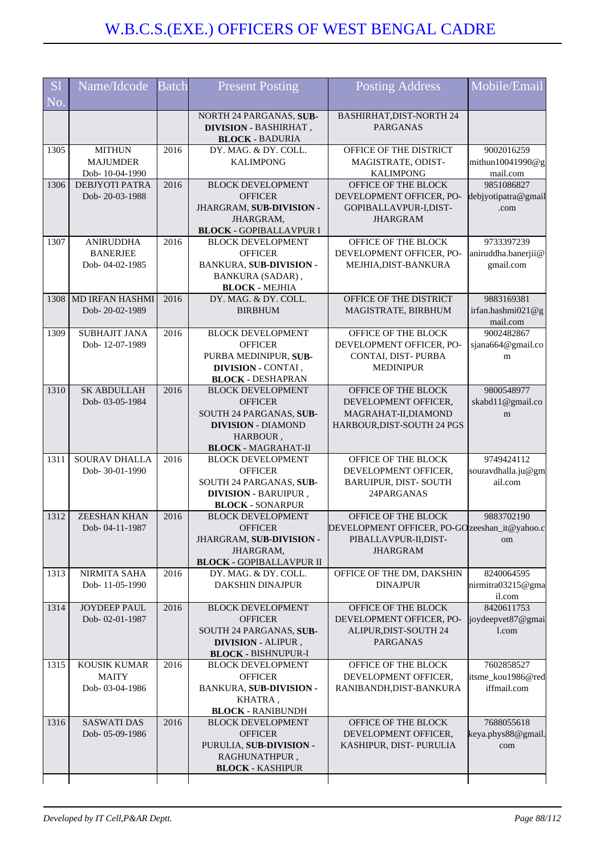| <b>S</b> l<br>No. | Name/Idcode                                           | <b>Batch</b> | <b>Present Posting</b>                                                                                                                       | <b>Posting Address</b>                                                                                           | Mobile/Email                                                      |
|-------------------|-------------------------------------------------------|--------------|----------------------------------------------------------------------------------------------------------------------------------------------|------------------------------------------------------------------------------------------------------------------|-------------------------------------------------------------------|
|                   |                                                       |              | NORTH 24 PARGANAS, SUB-<br><b>DIVISION - BASHIRHAT,</b><br><b>BLOCK - BADURIA</b>                                                            | <b>BASHIRHAT, DIST-NORTH 24</b><br><b>PARGANAS</b>                                                               |                                                                   |
| 1305              | <b>MITHUN</b><br><b>MAJUMDER</b><br>Dob-10-04-1990    | 2016         | DY. MAG. & DY. COLL.<br><b>KALIMPONG</b>                                                                                                     | OFFICE OF THE DISTRICT<br>MAGISTRATE, ODIST-<br><b>KALIMPONG</b>                                                 | 9002016259<br>$\left[\text{minimum}\right]10041990@g$<br>mail.com |
| 1306              | <b>DEBJYOTI PATRA</b><br>Dob-20-03-1988               | 2016         | <b>BLOCK DEVELOPMENT</b><br><b>OFFICER</b><br>JHARGRAM, SUB-DIVISION -<br>JHARGRAM,<br><b>BLOCK - GOPIBALLAVPUR I</b>                        | OFFICE OF THE BLOCK<br>DEVELOPMENT OFFICER, PO-<br>GOPIBALLAVPUR-I,DIST-<br><b>JHARGRAM</b>                      | 9851086827<br>debjyotipatra@gmail<br>.com                         |
| 1307              | <b>ANIRUDDHA</b><br><b>BANERJEE</b><br>Dob-04-02-1985 | 2016         | <b>BLOCK DEVELOPMENT</b><br><b>OFFICER</b><br><b>BANKURA, SUB-DIVISION -</b><br>BANKURA (SADAR),<br><b>BLOCK - MEJHIA</b>                    | OFFICE OF THE BLOCK<br>DEVELOPMENT OFFICER, PO-<br>MEJHIA, DIST-BANKURA                                          | 9733397239<br>aniruddha.banerjii@<br>gmail.com                    |
| 1308              | <b>MD IRFAN HASHMI</b><br>Dob-20-02-1989              | 2016         | DY. MAG. & DY. COLL.<br><b>BIRBHUM</b>                                                                                                       | OFFICE OF THE DISTRICT<br>MAGISTRATE, BIRBHUM                                                                    | 9883169381<br>irfan.hashmi021@g<br>mail.com                       |
| 1309              | <b>SUBHAJIT JANA</b><br>Dob-12-07-1989                | 2016         | <b>BLOCK DEVELOPMENT</b><br><b>OFFICER</b><br>PURBA MEDINIPUR, SUB-<br>DIVISION - CONTAI,<br><b>BLOCK - DESHAPRAN</b>                        | OFFICE OF THE BLOCK<br>DEVELOPMENT OFFICER, PO-<br>CONTAI, DIST-PURBA<br><b>MEDINIPUR</b>                        | 9002482867<br>sjana664@gmail.co<br>m                              |
| 1310              | <b>SK ABDULLAH</b><br>Dob-03-05-1984                  | 2016         | <b>BLOCK DEVELOPMENT</b><br><b>OFFICER</b><br>SOUTH 24 PARGANAS, SUB-<br><b>DIVISION - DIAMOND</b><br>HARBOUR,<br><b>BLOCK - MAGRAHAT-II</b> | OFFICE OF THE BLOCK<br>DEVELOPMENT OFFICER,<br>MAGRAHAT-II, DIAMOND<br>HARBOUR, DIST-SOUTH 24 PGS                | 9800548977<br>skabd11@gmail.co<br>m                               |
| 1311              | SOURAV DHALLA<br>Dob-30-01-1990                       | 2016         | <b>BLOCK DEVELOPMENT</b><br><b>OFFICER</b><br>SOUTH 24 PARGANAS, SUB-<br>DIVISION - BARUIPUR,<br><b>BLOCK - SONARPUR</b>                     | OFFICE OF THE BLOCK<br>DEVELOPMENT OFFICER,<br><b>BARUIPUR, DIST-SOUTH</b><br>24PARGANAS                         | 9749424112<br>souravdhalla.ju@gm<br>ail.com                       |
| 1312              | <b>ZEESHAN KHAN</b><br>Dob-04-11-1987                 | 2016         | <b>BLOCK DEVELOPMENT</b><br><b>OFFICER</b><br>JHARGRAM, SUB-DIVISION -<br>JHARGRAM.<br><b>BLOCK - GOPIBALLAVPUR II</b>                       | OFFICE OF THE BLOCK<br>DEVELOPMENT OFFICER, PO-GO zeeshan_it@yahoo.c<br>PIBALLAVPUR-II, DIST-<br><b>JHARGRAM</b> | 9883702190<br>om                                                  |
| 1313              | NIRMITA SAHA<br>Dob-11-05-1990                        | 2016         | DY. MAG. & DY. COLL.<br><b>DAKSHIN DINAJPUR</b>                                                                                              | OFFICE OF THE DM, DAKSHIN<br><b>DINAJPUR</b>                                                                     | 8240064595<br>nirmitra03215@gma<br>il.com                         |
| 1314              | JOYDEEP PAUL<br>Dob-02-01-1987                        | 2016         | <b>BLOCK DEVELOPMENT</b><br><b>OFFICER</b><br>SOUTH 24 PARGANAS, SUB-<br><b>DIVISION - ALIPUR,</b><br><b>BLOCK - BISHNUPUR-I</b>             | OFFICE OF THE BLOCK<br>DEVELOPMENT OFFICER, PO-<br>ALIPUR, DIST-SOUTH 24<br><b>PARGANAS</b>                      | 8420611753<br>joydeepvet87@gmai<br>1.com                          |
| 1315              | <b>KOUSIK KUMAR</b><br><b>MAITY</b><br>Dob-03-04-1986 | 2016         | <b>BLOCK DEVELOPMENT</b><br><b>OFFICER</b><br><b>BANKURA, SUB-DIVISION -</b><br>KHATRA,<br><b>BLOCK - RANIBUNDH</b>                          | OFFICE OF THE BLOCK<br>DEVELOPMENT OFFICER,<br>RANIBANDH, DIST-BANKURA                                           | 7602858527<br>itsme_kou1986@red<br>iffmail.com                    |
| 1316              | <b>SASWATI DAS</b><br>Dob-05-09-1986                  | 2016         | <b>BLOCK DEVELOPMENT</b><br><b>OFFICER</b><br>PURULIA, SUB-DIVISION -<br>RAGHUNATHPUR,<br><b>BLOCK - KASHIPUR</b>                            | OFFICE OF THE BLOCK<br>DEVELOPMENT OFFICER,<br>KASHIPUR, DIST-PURULIA                                            | 7688055618<br>keya.phys88@gmail.<br>com                           |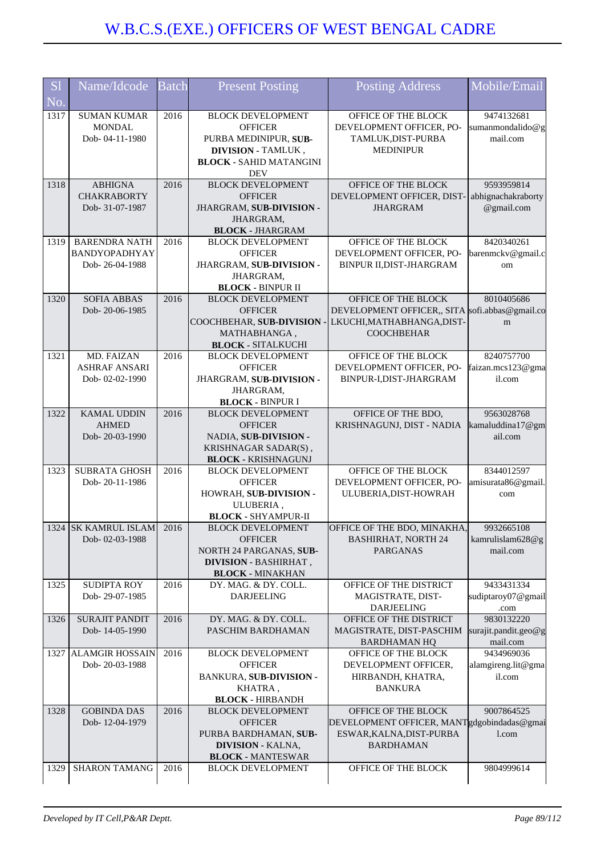| <b>S1</b> | Name/Idcode                        | <b>Batch</b> | <b>Present Posting</b>                                | <b>Posting Address</b>                                                 | Mobile/Email                    |
|-----------|------------------------------------|--------------|-------------------------------------------------------|------------------------------------------------------------------------|---------------------------------|
| No.       |                                    |              |                                                       |                                                                        |                                 |
| 1317      | <b>SUMAN KUMAR</b>                 | 2016         | <b>BLOCK DEVELOPMENT</b>                              | OFFICE OF THE BLOCK                                                    | 9474132681                      |
|           | <b>MONDAL</b><br>Dob-04-11-1980    |              | <b>OFFICER</b><br>PURBA MEDINIPUR, SUB-               | DEVELOPMENT OFFICER, PO-                                               | sumanmondalido@g<br>mail.com    |
|           |                                    |              | <b>DIVISION - TAMLUK,</b>                             | TAMLUK, DIST-PURBA<br><b>MEDINIPUR</b>                                 |                                 |
|           |                                    |              | <b>BLOCK - SAHID MATANGINI</b>                        |                                                                        |                                 |
|           |                                    |              | <b>DEV</b>                                            |                                                                        |                                 |
| 1318      | <b>ABHIGNA</b>                     | 2016         | <b>BLOCK DEVELOPMENT</b>                              | OFFICE OF THE BLOCK                                                    | 9593959814                      |
|           | <b>CHAKRABORTY</b>                 |              | <b>OFFICER</b>                                        | DEVELOPMENT OFFICER, DIST-                                             | abhignachakraborty              |
|           | Dob-31-07-1987                     |              | JHARGRAM, SUB-DIVISION -<br>JHARGRAM,                 | <b>JHARGRAM</b>                                                        | @gmail.com                      |
|           |                                    |              | <b>BLOCK - JHARGRAM</b>                               |                                                                        |                                 |
| 1319      | <b>BARENDRA NATH</b>               | 2016         | <b>BLOCK DEVELOPMENT</b>                              | OFFICE OF THE BLOCK                                                    | 8420340261                      |
|           | BANDYOPADHYAY                      |              | <b>OFFICER</b>                                        | DEVELOPMENT OFFICER, PO-                                               | barenmckv@gmail.c               |
|           | Dob-26-04-1988                     |              | JHARGRAM, SUB-DIVISION -                              | BINPUR II, DIST-JHARGRAM                                               | om                              |
|           |                                    |              | JHARGRAM,<br><b>BLOCK - BINPUR II</b>                 |                                                                        |                                 |
| 1320      | <b>SOFIA ABBAS</b>                 | 2016         | <b>BLOCK DEVELOPMENT</b>                              | OFFICE OF THE BLOCK                                                    | 8010405686                      |
|           | Dob-20-06-1985                     |              | <b>OFFICER</b>                                        | DEVELOPMENT OFFICER,, SITA sofi.abbas@gmail.co                         |                                 |
|           |                                    |              | COOCHBEHAR, SUB-DIVISION -                            | LKUCHI, MATHABHANGA, DIST-                                             | m                               |
|           |                                    |              | MATHABHANGA,                                          | <b>COOCHBEHAR</b>                                                      |                                 |
|           |                                    |              | <b>BLOCK - SITALKUCHI</b><br><b>BLOCK DEVELOPMENT</b> | OFFICE OF THE BLOCK                                                    |                                 |
| 1321      | MD. FAIZAN<br><b>ASHRAF ANSARI</b> | 2016         | <b>OFFICER</b>                                        | DEVELOPMENT OFFICER, PO-                                               | 8240757700<br>faizan.mcs123@gma |
|           | Dob-02-02-1990                     |              | JHARGRAM, SUB-DIVISION -                              | BINPUR-I, DIST-JHARGRAM                                                | il.com                          |
|           |                                    |              | JHARGRAM,                                             |                                                                        |                                 |
|           |                                    |              | <b>BLOCK - BINPUR I</b>                               |                                                                        |                                 |
| 1322      | <b>KAMAL UDDIN</b>                 | 2016         | <b>BLOCK DEVELOPMENT</b>                              | OFFICE OF THE BDO,                                                     | 9563028768                      |
|           | <b>AHMED</b><br>Dob-20-03-1990     |              | <b>OFFICER</b><br>NADIA, SUB-DIVISION -               | KRISHNAGUNJ, DIST - NADIA                                              | kamaluddina17@gm<br>ail.com     |
|           |                                    |              | KRISHNAGAR SADAR(S),                                  |                                                                        |                                 |
|           |                                    |              | <b>BLOCK - KRISHNAGUNJ</b>                            |                                                                        |                                 |
| 1323      | <b>SUBRATA GHOSH</b>               | 2016         | <b>BLOCK DEVELOPMENT</b>                              | OFFICE OF THE BLOCK                                                    | 8344012597                      |
|           | Dob-20-11-1986                     |              | <b>OFFICER</b>                                        | DEVELOPMENT OFFICER, PO-                                               | amisurata86@gmail.              |
|           |                                    |              | HOWRAH, SUB-DIVISION -<br>ULUBERIA,                   | ULUBERIA, DIST-HOWRAH                                                  | com                             |
|           |                                    |              | <b>BLOCK - SHYAMPUR-II</b>                            |                                                                        |                                 |
|           | 1324 SK KAMRUL ISLAM 2016          |              | <b>BLOCK DEVELOPMENT</b>                              | OFFICE OF THE BDO, MINAKHA                                             | 9932665108                      |
|           | Dob-02-03-1988                     |              | <b>OFFICER</b>                                        | <b>BASHIRHAT, NORTH 24</b>                                             | kamrulislam628@g                |
|           |                                    |              | NORTH 24 PARGANAS, SUB-                               | <b>PARGANAS</b>                                                        | mail.com                        |
|           |                                    |              | <b>DIVISION - BASHIRHAT,</b>                          |                                                                        |                                 |
| 1325      | <b>SUDIPTA ROY</b>                 | 2016         | <b>BLOCK - MINAKHAN</b><br>DY. MAG. & DY. COLL.       | OFFICE OF THE DISTRICT                                                 | 9433431334                      |
|           | Dob-29-07-1985                     |              | <b>DARJEELING</b>                                     | MAGISTRATE, DIST-                                                      | sudiptaroy07@gmail              |
|           |                                    |              |                                                       | <b>DARJEELING</b>                                                      | .com                            |
| 1326      | <b>SURAJIT PANDIT</b>              | 2016         | DY. MAG. & DY. COLL.                                  | OFFICE OF THE DISTRICT                                                 | 9830132220                      |
|           | Dob-14-05-1990                     |              | PASCHIM BARDHAMAN                                     | MAGISTRATE, DIST-PASCHIM                                               | surajit.pandit.geo@g            |
| 1327      | <b>ALAMGIR HOSSAIN</b>             | 2016         | <b>BLOCK DEVELOPMENT</b>                              | <b>BARDHAMAN HQ</b><br>OFFICE OF THE BLOCK                             | mail.com<br>9434969036          |
|           | Dob-20-03-1988                     |              | <b>OFFICER</b>                                        | DEVELOPMENT OFFICER,                                                   | alamgireng.lit@gma              |
|           |                                    |              | <b>BANKURA, SUB-DIVISION -</b>                        | HIRBANDH, KHATRA,                                                      | il.com                          |
|           |                                    |              | KHATRA,                                               | <b>BANKURA</b>                                                         |                                 |
|           |                                    |              | <b>BLOCK - HIRBANDH</b>                               |                                                                        |                                 |
| 1328      | <b>GOBINDA DAS</b>                 | 2016         | <b>BLOCK DEVELOPMENT</b>                              | OFFICE OF THE BLOCK                                                    | 9007864525                      |
|           | Dob-12-04-1979                     |              | <b>OFFICER</b><br>PURBA BARDHAMAN, SUB-               | DEVELOPMENT OFFICER, MANTgdgobindadas@gmai<br>ESWAR, KALNA, DIST-PURBA | l.com                           |
|           |                                    |              | <b>DIVISION - KALNA,</b>                              | <b>BARDHAMAN</b>                                                       |                                 |
|           |                                    |              | <b>BLOCK - MANTESWAR</b>                              |                                                                        |                                 |
| 1329      | <b>SHARON TAMANG</b>               | 2016         | <b>BLOCK DEVELOPMENT</b>                              | OFFICE OF THE BLOCK                                                    | 9804999614                      |
|           |                                    |              |                                                       |                                                                        |                                 |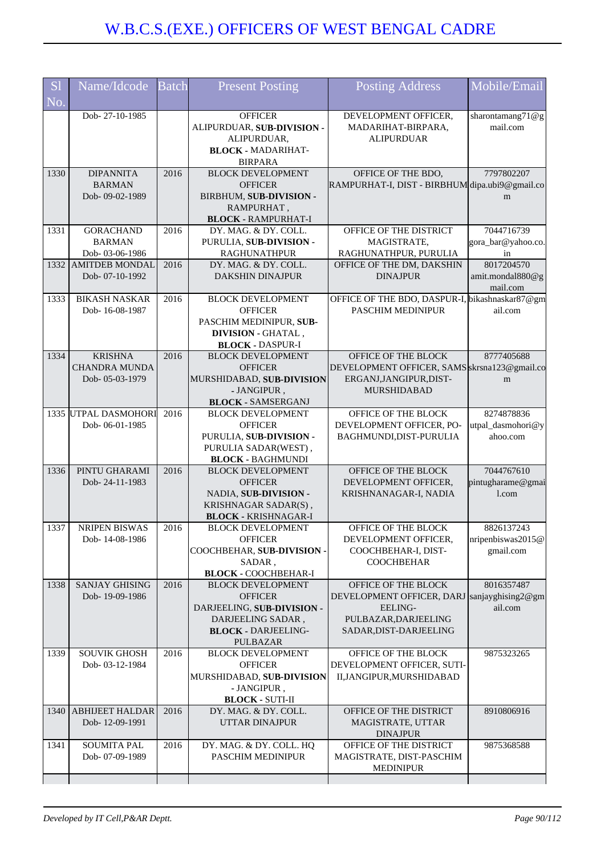| S <sub>1</sub> | Name/Idcode            | <b>Batch</b> | <b>Present Posting</b>                                  | <b>Posting Address</b>                         | Mobile/Email       |
|----------------|------------------------|--------------|---------------------------------------------------------|------------------------------------------------|--------------------|
| No.            |                        |              |                                                         |                                                |                    |
|                | Dob-27-10-1985         |              | <b>OFFICER</b>                                          | DEVELOPMENT OFFICER,                           | sharontamang71@g   |
|                |                        |              | ALIPURDUAR, SUB-DIVISION -                              | MADARIHAT-BIRPARA,                             | mail.com           |
|                |                        |              | ALIPURDUAR,                                             | <b>ALIPURDUAR</b>                              |                    |
|                |                        |              | <b>BLOCK - MADARIHAT-</b>                               |                                                |                    |
|                |                        |              | <b>BIRPARA</b>                                          |                                                |                    |
| 1330           | <b>DIPANNITA</b>       | 2016         | <b>BLOCK DEVELOPMENT</b>                                | OFFICE OF THE BDO,                             | 7797802207         |
|                | <b>BARMAN</b>          |              | <b>OFFICER</b>                                          | RAMPURHAT-I, DIST - BIRBHUM dipa.ubi9@gmail.co |                    |
|                |                        |              |                                                         |                                                |                    |
|                | Dob-09-02-1989         |              | BIRBHUM, SUB-DIVISION -                                 |                                                | m                  |
|                |                        |              | RAMPURHAT,                                              |                                                |                    |
|                |                        |              | <b>BLOCK - RAMPURHAT-I</b>                              |                                                |                    |
| 1331           | <b>GORACHAND</b>       | 2016         | DY. MAG. & DY. COLL.                                    | OFFICE OF THE DISTRICT                         | 7044716739         |
|                | <b>BARMAN</b>          |              | PURULIA, SUB-DIVISION -                                 | MAGISTRATE,                                    | gora_bar@yahoo.co. |
|                | Dob-03-06-1986         |              | <b>RAGHUNATHPUR</b>                                     | RAGHUNATHPUR, PURULIA                          | in                 |
|                | 1332 AMITDEB MONDAL    | 2016         | DY. MAG. & DY. COLL.                                    | OFFICE OF THE DM, DAKSHIN                      | 8017204570         |
|                | Dob-07-10-1992         |              | <b>DAKSHIN DINAJPUR</b>                                 | <b>DINAJPUR</b>                                | amit.mondal880@g   |
|                |                        |              |                                                         |                                                | mail.com           |
| 1333           | <b>BIKASH NASKAR</b>   | 2016         | <b>BLOCK DEVELOPMENT</b>                                | OFFICE OF THE BDO, DASPUR-I, bikashnaskar87@gm |                    |
|                | Dob-16-08-1987         |              | <b>OFFICER</b>                                          | PASCHIM MEDINIPUR                              | ail.com            |
|                |                        |              | PASCHIM MEDINIPUR, SUB-                                 |                                                |                    |
|                |                        |              | <b>DIVISION - GHATAL,</b>                               |                                                |                    |
|                |                        |              | <b>BLOCK - DASPUR-I</b>                                 |                                                |                    |
| 1334           | <b>KRISHNA</b>         | 2016         | <b>BLOCK DEVELOPMENT</b>                                | OFFICE OF THE BLOCK                            | 8777405688         |
|                | <b>CHANDRA MUNDA</b>   |              | <b>OFFICER</b>                                          | DEVELOPMENT OFFICER, SAMS skrsna123@gmail.co   |                    |
|                | Dob-05-03-1979         |              | MURSHIDABAD, SUB-DIVISION                               | ERGANJ, JANGIPUR, DIST-                        | m                  |
|                |                        |              | - JANGIPUR,                                             | <b>MURSHIDABAD</b>                             |                    |
|                |                        |              | <b>BLOCK - SAMSERGANJ</b>                               |                                                |                    |
|                | 1335 UTPAL DASMOHORI   | 2016         | <b>BLOCK DEVELOPMENT</b>                                | OFFICE OF THE BLOCK                            | 8274878836         |
|                | Dob-06-01-1985         |              | <b>OFFICER</b>                                          | DEVELOPMENT OFFICER, PO-                       | utpal_dasmohori@y  |
|                |                        |              | PURULIA, SUB-DIVISION -                                 | BAGHMUNDI, DIST-PURULIA                        | ahoo.com           |
|                |                        |              | PURULIA SADAR(WEST),                                    |                                                |                    |
|                |                        |              | <b>BLOCK - BAGHMUNDI</b>                                |                                                |                    |
| 1336           | PINTU GHARAMI          | 2016         | <b>BLOCK DEVELOPMENT</b>                                | OFFICE OF THE BLOCK                            | 7044767610         |
|                | Dob-24-11-1983         |              | <b>OFFICER</b>                                          | DEVELOPMENT OFFICER,                           | pintugharame@gmai  |
|                |                        |              | NADIA, SUB-DIVISION -                                   | KRISHNANAGAR-I, NADIA                          | 1.com              |
|                |                        |              | KRISHNAGAR SADAR(S),                                    |                                                |                    |
|                |                        |              |                                                         |                                                |                    |
| 1337           | <b>NRIPEN BISWAS</b>   |              | <b>BLOCK - KRISHNAGAR-I</b><br><b>BLOCK DEVELOPMENT</b> | OFFICE OF THE BLOCK                            | 8826137243         |
|                |                        | 2016         |                                                         |                                                |                    |
|                | Dob-14-08-1986         |              | <b>OFFICER</b>                                          | DEVELOPMENT OFFICER,                           | nripenbiswas2015@  |
|                |                        |              | COOCHBEHAR, SUB-DIVISION -                              | COOCHBEHAR-I, DIST-                            | gmail.com          |
|                |                        |              | SADAR,                                                  | <b>COOCHBEHAR</b>                              |                    |
|                |                        |              | <b>BLOCK - COOCHBEHAR-I</b>                             |                                                |                    |
| 1338           | <b>SANJAY GHISING</b>  | 2016         | <b>BLOCK DEVELOPMENT</b>                                | OFFICE OF THE BLOCK                            | 8016357487         |
|                | Dob-19-09-1986         |              | <b>OFFICER</b>                                          | DEVELOPMENT OFFICER, DARJ                      | sanjayghising2@gm  |
|                |                        |              | DARJEELING, SUB-DIVISION -                              | <b>EELING-</b>                                 | ail.com            |
|                |                        |              | DARJEELING SADAR,                                       | PULBAZAR, DARJEELING                           |                    |
|                |                        |              | <b>BLOCK - DARJEELING-</b>                              | SADAR, DIST-DARJEELING                         |                    |
|                |                        |              | PULBAZAR                                                |                                                |                    |
| 1339           | <b>SOUVIK GHOSH</b>    | 2016         | <b>BLOCK DEVELOPMENT</b>                                | OFFICE OF THE BLOCK                            | 9875323265         |
|                | Dob-03-12-1984         |              | <b>OFFICER</b>                                          | DEVELOPMENT OFFICER, SUTI-                     |                    |
|                |                        |              | MURSHIDABAD, SUB-DIVISION                               | II, JANGIPUR, MURSHIDABAD                      |                    |
|                |                        |              | - JANGIPUR,                                             |                                                |                    |
|                |                        |              | <b>BLOCK - SUTI-II</b>                                  |                                                |                    |
| 1340           | <b>ABHIJEET HALDAR</b> | 2016         | DY. MAG. & DY. COLL.                                    | OFFICE OF THE DISTRICT                         | 8910806916         |
|                | Dob-12-09-1991         |              | UTTAR DINAJPUR                                          | MAGISTRATE, UTTAR                              |                    |
|                |                        |              |                                                         | <b>DINAJPUR</b>                                |                    |
| 1341           | <b>SOUMITA PAL</b>     | 2016         | DY. MAG. & DY. COLL. HQ                                 | OFFICE OF THE DISTRICT                         | 9875368588         |
|                | Dob-07-09-1989         |              | PASCHIM MEDINIPUR                                       | MAGISTRATE, DIST-PASCHIM                       |                    |
|                |                        |              |                                                         | <b>MEDINIPUR</b>                               |                    |
|                |                        |              |                                                         |                                                |                    |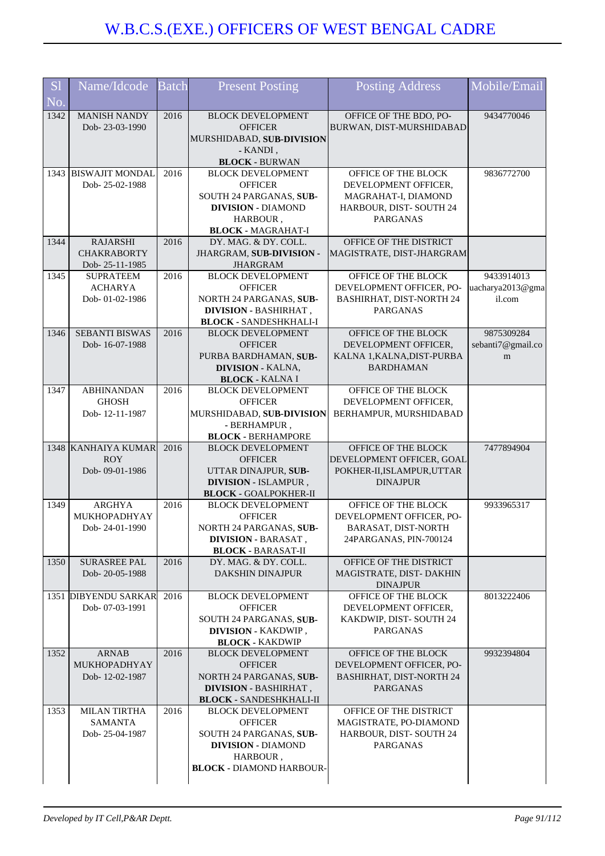| <b>S</b> l | Name/Idcode                           | <b>Batch</b> | <b>Present Posting</b>                                  | Posting Address                                    | Mobile/Email      |
|------------|---------------------------------------|--------------|---------------------------------------------------------|----------------------------------------------------|-------------------|
| No.        |                                       |              |                                                         |                                                    |                   |
| 1342       | <b>MANISH NANDY</b>                   | 2016         | <b>BLOCK DEVELOPMENT</b>                                | OFFICE OF THE BDO, PO-                             | 9434770046        |
|            | Dob-23-03-1990                        |              | <b>OFFICER</b>                                          | BURWAN, DIST-MURSHIDABAD                           |                   |
|            |                                       |              | MURSHIDABAD, SUB-DIVISION                               |                                                    |                   |
|            |                                       |              | - KANDI,<br><b>BLOCK - BURWAN</b>                       |                                                    |                   |
|            | 1343 BISWAJIT MONDAL                  | 2016         | <b>BLOCK DEVELOPMENT</b>                                | OFFICE OF THE BLOCK                                | 9836772700        |
|            | Dob-25-02-1988                        |              | <b>OFFICER</b>                                          | DEVELOPMENT OFFICER,                               |                   |
|            |                                       |              | SOUTH 24 PARGANAS, SUB-                                 | MAGRAHAT-I, DIAMOND                                |                   |
|            |                                       |              | <b>DIVISION - DIAMOND</b>                               | HARBOUR, DIST-SOUTH 24                             |                   |
|            |                                       |              | HARBOUR,                                                | <b>PARGANAS</b>                                    |                   |
|            |                                       |              | <b>BLOCK - MAGRAHAT-I</b>                               |                                                    |                   |
| 1344       | <b>RAJARSHI</b><br><b>CHAKRABORTY</b> | 2016         | DY. MAG. & DY. COLL.                                    | OFFICE OF THE DISTRICT                             |                   |
|            | Dob-25-11-1985                        |              | JHARGRAM, SUB-DIVISION -<br><b>JHARGRAM</b>             | MAGISTRATE, DIST-JHARGRAM                          |                   |
| 1345       | <b>SUPRATEEM</b>                      | 2016         | <b>BLOCK DEVELOPMENT</b>                                | OFFICE OF THE BLOCK                                | 9433914013        |
|            | <b>ACHARYA</b>                        |              | <b>OFFICER</b>                                          | DEVELOPMENT OFFICER, PO-                           | uacharya2013@gma  |
|            | Dob-01-02-1986                        |              | NORTH 24 PARGANAS, SUB-                                 | <b>BASHIRHAT, DIST-NORTH 24</b>                    | il.com            |
|            |                                       |              | DIVISION - BASHIRHAT,                                   | <b>PARGANAS</b>                                    |                   |
|            |                                       |              | <b>BLOCK - SANDESHKHALI-I</b>                           |                                                    |                   |
| 1346       | <b>SEBANTI BISWAS</b>                 | 2016         | <b>BLOCK DEVELOPMENT</b>                                | OFFICE OF THE BLOCK                                | 9875309284        |
|            | Dob-16-07-1988                        |              | <b>OFFICER</b><br>PURBA BARDHAMAN, SUB-                 | DEVELOPMENT OFFICER,<br>KALNA 1, KALNA, DIST-PURBA | sebanti7@gmail.co |
|            |                                       |              | <b>DIVISION - KALNA,</b>                                | <b>BARDHAMAN</b>                                   | m                 |
|            |                                       |              | <b>BLOCK - KALNA I</b>                                  |                                                    |                   |
| 1347       | <b>ABHINANDAN</b>                     | 2016         | <b>BLOCK DEVELOPMENT</b>                                | OFFICE OF THE BLOCK                                |                   |
|            | <b>GHOSH</b>                          |              | <b>OFFICER</b>                                          | DEVELOPMENT OFFICER,                               |                   |
|            | Dob-12-11-1987                        |              | MURSHIDABAD, SUB-DIVISION                               | BERHAMPUR, MURSHIDABAD                             |                   |
|            |                                       |              | - BERHAMPUR,                                            |                                                    |                   |
|            |                                       |              | <b>BLOCK - BERHAMPORE</b>                               |                                                    |                   |
|            | 1348 KANHAIYA KUMAR<br><b>ROY</b>     | 2016         | <b>BLOCK DEVELOPMENT</b><br><b>OFFICER</b>              | OFFICE OF THE BLOCK<br>DEVELOPMENT OFFICER, GOAL   | 7477894904        |
|            | Dob-09-01-1986                        |              | UTTAR DINAJPUR, SUB-                                    | POKHER-II, ISLAMPUR, UTTAR                         |                   |
|            |                                       |              | DIVISION - ISLAMPUR,                                    | <b>DINAJPUR</b>                                    |                   |
|            |                                       |              | <b>BLOCK - GOALPOKHER-II</b>                            |                                                    |                   |
| 1349       | <b>ARGHYA</b>                         | 2016         | <b>BLOCK DEVELOPMENT</b>                                | OFFICE OF THE BLOCK                                | 9933965317        |
|            | MUKHOPADHYAY                          |              | <b>OFFICER</b>                                          | DEVELOPMENT OFFICER, PO-                           |                   |
|            | Dob-24-01-1990                        |              | NORTH 24 PARGANAS, SUB-                                 | BARASAT, DIST-NORTH                                |                   |
|            |                                       |              | <b>DIVISION - BARASAT,</b><br><b>BLOCK - BARASAT-II</b> | 24PARGANAS, PIN-700124                             |                   |
| 1350       | SURASREE PAL                          | 2016         | DY. MAG. & DY. COLL.                                    | OFFICE OF THE DISTRICT                             |                   |
|            | Dob-20-05-1988                        |              | <b>DAKSHIN DINAJPUR</b>                                 | MAGISTRATE, DIST-DAKHIN                            |                   |
|            |                                       |              |                                                         | <b>DINAJPUR</b>                                    |                   |
|            | 1351 DIBYENDU SARKAR                  | 2016         | <b>BLOCK DEVELOPMENT</b>                                | OFFICE OF THE BLOCK                                | 8013222406        |
|            | Dob-07-03-1991                        |              | <b>OFFICER</b>                                          | DEVELOPMENT OFFICER,                               |                   |
|            |                                       |              | SOUTH 24 PARGANAS, SUB-                                 | KAKDWIP, DIST-SOUTH 24<br>PARGANAS                 |                   |
|            |                                       |              | <b>DIVISION - KAKDWIP</b> ,<br><b>BLOCK - KAKDWIP</b>   |                                                    |                   |
| 1352       | <b>ARNAB</b>                          | 2016         | <b>BLOCK DEVELOPMENT</b>                                | OFFICE OF THE BLOCK                                | 9932394804        |
|            | MUKHOPADHYAY                          |              | <b>OFFICER</b>                                          | DEVELOPMENT OFFICER, PO-                           |                   |
|            | Dob-12-02-1987                        |              | NORTH 24 PARGANAS, SUB-                                 | <b>BASHIRHAT, DIST-NORTH 24</b>                    |                   |
|            |                                       |              | <b>DIVISION - BASHIRHAT,</b>                            | PARGANAS                                           |                   |
|            |                                       |              | <b>BLOCK - SANDESHKHALI-II</b>                          |                                                    |                   |
| 1353       | <b>MILAN TIRTHA</b><br><b>SAMANTA</b> | 2016         | <b>BLOCK DEVELOPMENT</b><br><b>OFFICER</b>              | OFFICE OF THE DISTRICT<br>MAGISTRATE, PO-DIAMOND   |                   |
|            | Dob-25-04-1987                        |              | SOUTH 24 PARGANAS, SUB-                                 | HARBOUR, DIST-SOUTH 24                             |                   |
|            |                                       |              | <b>DIVISION - DIAMOND</b>                               | PARGANAS                                           |                   |
|            |                                       |              | HARBOUR,                                                |                                                    |                   |
|            |                                       |              | <b>BLOCK - DIAMOND HARBOUR-</b>                         |                                                    |                   |
|            |                                       |              |                                                         |                                                    |                   |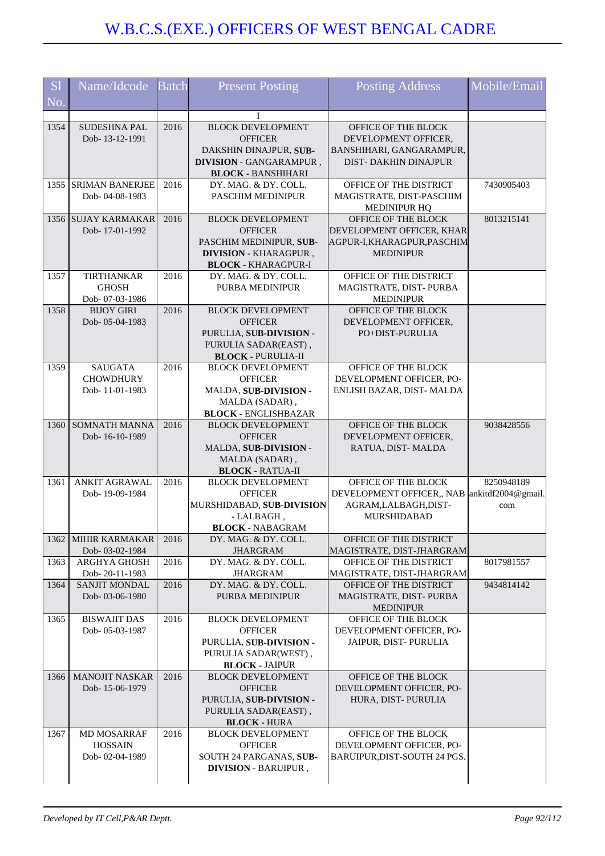| <b>S1</b> | Name/Idcode                            | <b>Batch</b> | <b>Present Posting</b>                               | <b>Posting Address</b>                                              | Mobile/Email |
|-----------|----------------------------------------|--------------|------------------------------------------------------|---------------------------------------------------------------------|--------------|
| No.       |                                        |              |                                                      |                                                                     |              |
|           |                                        |              |                                                      |                                                                     |              |
| 1354      | SUDESHNA PAL                           | 2016         | <b>BLOCK DEVELOPMENT</b>                             | OFFICE OF THE BLOCK                                                 |              |
|           | Dob-13-12-1991                         |              | <b>OFFICER</b>                                       | DEVELOPMENT OFFICER.                                                |              |
|           |                                        |              | DAKSHIN DINAJPUR, SUB-                               | BANSHIHARI, GANGARAMPUR,<br><b>DIST-DAKHIN DINAJPUR</b>             |              |
|           |                                        |              | DIVISION - GANGARAMPUR,<br><b>BLOCK - BANSHIHARI</b> |                                                                     |              |
| 1355      | <b>SRIMAN BANERJEE</b>                 | 2016         | DY. MAG. & DY. COLL.                                 | OFFICE OF THE DISTRICT                                              | 7430905403   |
|           | Dob-04-08-1983                         |              | PASCHIM MEDINIPUR                                    | MAGISTRATE, DIST-PASCHIM                                            |              |
|           |                                        |              |                                                      | <b>MEDINIPUR HQ</b>                                                 |              |
|           | 1356 SUJAY KARMAKAR                    | 2016         | <b>BLOCK DEVELOPMENT</b>                             | OFFICE OF THE BLOCK                                                 | 8013215141   |
|           | Dob-17-01-1992                         |              | <b>OFFICER</b>                                       | DEVELOPMENT OFFICER, KHAR                                           |              |
|           |                                        |              | PASCHIM MEDINIPUR, SUB-                              | AGPUR-I,KHARAGPUR,PASCHIM                                           |              |
|           |                                        |              | DIVISION - KHARAGPUR,                                | <b>MEDINIPUR</b>                                                    |              |
| 1357      | <b>TIRTHANKAR</b>                      | 2016         | <b>BLOCK - KHARAGPUR-I</b><br>DY. MAG. & DY. COLL.   | OFFICE OF THE DISTRICT                                              |              |
|           | <b>GHOSH</b>                           |              | <b>PURBA MEDINIPUR</b>                               | MAGISTRATE, DIST-PURBA                                              |              |
|           | Dob-07-03-1986                         |              |                                                      | <b>MEDINIPUR</b>                                                    |              |
| 1358      | <b>BIJOY GIRI</b>                      | 2016         | <b>BLOCK DEVELOPMENT</b>                             | OFFICE OF THE BLOCK                                                 |              |
|           | Dob-05-04-1983                         |              | <b>OFFICER</b>                                       | DEVELOPMENT OFFICER,                                                |              |
|           |                                        |              | PURULIA, SUB-DIVISION -                              | PO+DIST-PURULIA                                                     |              |
|           |                                        |              | PURULIA SADAR(EAST),                                 |                                                                     |              |
|           |                                        |              | <b>BLOCK - PURULIA-II</b>                            |                                                                     |              |
| 1359      | <b>SAUGATA</b>                         | 2016         | <b>BLOCK DEVELOPMENT</b>                             | OFFICE OF THE BLOCK                                                 |              |
|           | <b>CHOWDHURY</b><br>Dob-11-01-1983     |              | <b>OFFICER</b><br>MALDA, SUB-DIVISION -              | DEVELOPMENT OFFICER, PO-<br>ENLISH BAZAR, DIST- MALDA               |              |
|           |                                        |              | MALDA (SADAR),                                       |                                                                     |              |
|           |                                        |              | <b>BLOCK - ENGLISHBAZAR</b>                          |                                                                     |              |
| 1360      | SOMNATH MANNA                          | 2016         | <b>BLOCK DEVELOPMENT</b>                             | OFFICE OF THE BLOCK                                                 | 9038428556   |
|           | Dob-16-10-1989                         |              | <b>OFFICER</b>                                       | DEVELOPMENT OFFICER,                                                |              |
|           |                                        |              | MALDA, SUB-DIVISION -                                | RATUA, DIST-MALDA                                                   |              |
|           |                                        |              | MALDA (SADAR),                                       |                                                                     |              |
|           |                                        |              | <b>BLOCK - RATUA-II</b>                              |                                                                     |              |
| 1361      | <b>ANKIT AGRAWAL</b><br>Dob-19-09-1984 | 2016         | <b>BLOCK DEVELOPMENT</b><br><b>OFFICER</b>           | OFFICE OF THE BLOCK<br>DEVELOPMENT OFFICER,, NAB ankitdf2004@gmail. | 8250948189   |
|           |                                        |              | MURSHIDABAD, SUB-DIVISION                            | AGRAM, LALBAGH, DIST-                                               | com          |
|           |                                        |              | - LALBAGH,                                           | MURSHIDABAD                                                         |              |
|           |                                        |              | <b>BLOCK - NABAGRAM</b>                              |                                                                     |              |
| 1362      | <b>MIHIR KARMAKAR</b>                  | 2016         | DY. MAG. & DY. COLL.                                 | OFFICE OF THE DISTRICT                                              |              |
|           | Dob-03-02-1984                         |              | <b>JHARGRAM</b>                                      | MAGISTRATE, DIST-JHARGRAM                                           |              |
| 1363      | ARGHYA GHOSH                           | 2016         | DY. MAG. & DY. COLL.                                 | OFFICE OF THE DISTRICT                                              | 8017981557   |
|           | Dob-20-11-1983                         |              | <b>JHARGRAM</b>                                      | MAGISTRATE, DIST-JHARGRAM                                           |              |
| 1364      | SANJIT MONDAL                          | 2016         | DY. MAG. & DY. COLL.                                 | OFFICE OF THE DISTRICT                                              | 9434814142   |
|           | Dob-03-06-1980                         |              | PURBA MEDINIPUR                                      | MAGISTRATE, DIST-PURBA<br><b>MEDINIPUR</b>                          |              |
| 1365      | <b>BISWAJIT DAS</b>                    | 2016         | <b>BLOCK DEVELOPMENT</b>                             | OFFICE OF THE BLOCK                                                 |              |
|           | Dob-05-03-1987                         |              | <b>OFFICER</b>                                       | DEVELOPMENT OFFICER, PO-                                            |              |
|           |                                        |              | PURULIA, SUB-DIVISION -                              | JAIPUR, DIST-PURULIA                                                |              |
|           |                                        |              | PURULIA SADAR(WEST),                                 |                                                                     |              |
|           |                                        |              | <b>BLOCK - JAIPUR</b>                                |                                                                     |              |
| 1366      | <b>MANOJIT NASKAR</b>                  | 2016         | <b>BLOCK DEVELOPMENT</b>                             | OFFICE OF THE BLOCK                                                 |              |
|           | Dob-15-06-1979                         |              | <b>OFFICER</b><br>PURULIA, SUB-DIVISION -            | DEVELOPMENT OFFICER, PO-<br>HURA, DIST-PURULIA                      |              |
|           |                                        |              | PURULIA SADAR(EAST),                                 |                                                                     |              |
|           |                                        |              | <b>BLOCK - HURA</b>                                  |                                                                     |              |
| 1367      | <b>MD MOSARRAF</b>                     | 2016         | <b>BLOCK DEVELOPMENT</b>                             | OFFICE OF THE BLOCK                                                 |              |
|           | <b>HOSSAIN</b>                         |              | <b>OFFICER</b>                                       | DEVELOPMENT OFFICER, PO-                                            |              |
|           | Dob-02-04-1989                         |              | SOUTH 24 PARGANAS, SUB-                              | BARUIPUR, DIST-SOUTH 24 PGS.                                        |              |
|           |                                        |              | <b>DIVISION - BARUIPUR,</b>                          |                                                                     |              |
|           |                                        |              |                                                      |                                                                     |              |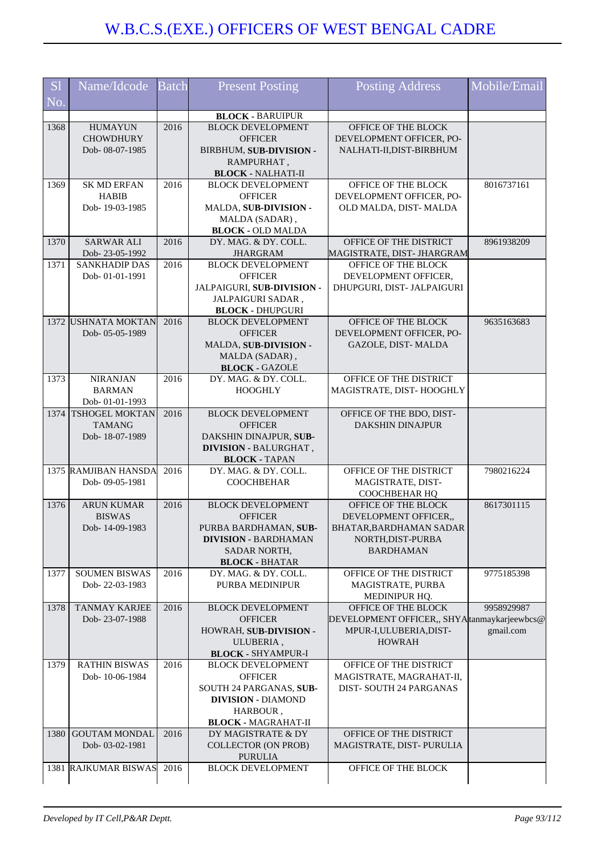| <b>S</b> l<br>No. | Name/Idcode           | <b>Batch</b> | <b>Present Posting</b>                        | Posting Address                               | Mobile/Email |
|-------------------|-----------------------|--------------|-----------------------------------------------|-----------------------------------------------|--------------|
|                   |                       |              | <b>BLOCK - BARUIPUR</b>                       |                                               |              |
| 1368              | <b>HUMAYUN</b>        | 2016         | <b>BLOCK DEVELOPMENT</b>                      | OFFICE OF THE BLOCK                           |              |
|                   | <b>CHOWDHURY</b>      |              | <b>OFFICER</b>                                | DEVELOPMENT OFFICER, PO-                      |              |
|                   | Dob-08-07-1985        |              | BIRBHUM, SUB-DIVISION -                       | NALHATI-II, DIST-BIRBHUM                      |              |
|                   |                       |              | RAMPURHAT,                                    |                                               |              |
|                   |                       |              | <b>BLOCK - NALHATI-II</b>                     |                                               |              |
| 1369              | <b>SK MD ERFAN</b>    | 2016         | <b>BLOCK DEVELOPMENT</b>                      | OFFICE OF THE BLOCK                           | 8016737161   |
|                   | <b>HABIB</b>          |              | <b>OFFICER</b>                                | DEVELOPMENT OFFICER, PO-                      |              |
|                   | Dob-19-03-1985        |              | MALDA, SUB-DIVISION -                         | OLD MALDA, DIST-MALDA                         |              |
|                   |                       |              | MALDA (SADAR),                                |                                               |              |
|                   |                       |              | <b>BLOCK - OLD MALDA</b>                      |                                               |              |
| 1370              | <b>SARWAR ALI</b>     | 2016         | DY. MAG. & DY. COLL.                          | OFFICE OF THE DISTRICT                        | 8961938209   |
|                   | Dob-23-05-1992        |              | JHARGRAM                                      | MAGISTRATE, DIST- JHARGRAM                    |              |
| 1371              | <b>SANKHADIP DAS</b>  | 2016         | <b>BLOCK DEVELOPMENT</b>                      | OFFICE OF THE BLOCK                           |              |
|                   | Dob-01-01-1991        |              | <b>OFFICER</b>                                | DEVELOPMENT OFFICER,                          |              |
|                   |                       |              | JALPAIGURI, SUB-DIVISION -                    | DHUPGURI, DIST- JALPAIGURI                    |              |
|                   |                       |              | JALPAIGURI SADAR,                             |                                               |              |
|                   |                       |              | <b>BLOCK - DHUPGURI</b>                       |                                               |              |
|                   | 1372 USHNATA MOKTAN   | 2016         | <b>BLOCK DEVELOPMENT</b><br><b>OFFICER</b>    | OFFICE OF THE BLOCK                           | 9635163683   |
|                   | Dob-05-05-1989        |              | MALDA, SUB-DIVISION -                         | DEVELOPMENT OFFICER, PO-                      |              |
|                   |                       |              | MALDA (SADAR),                                | GAZOLE, DIST-MALDA                            |              |
|                   |                       |              | <b>BLOCK - GAZOLE</b>                         |                                               |              |
| 1373              | <b>NIRANJAN</b>       | 2016         | DY. MAG. & DY. COLL.                          | OFFICE OF THE DISTRICT                        |              |
|                   | <b>BARMAN</b>         |              | <b>HOOGHLY</b>                                | MAGISTRATE, DIST-HOOGHLY                      |              |
|                   | Dob-01-01-1993        |              |                                               |                                               |              |
| 1374              | <b>TSHOGEL MOKTAN</b> | 2016         | <b>BLOCK DEVELOPMENT</b>                      | OFFICE OF THE BDO, DIST-                      |              |
|                   | <b>TAMANG</b>         |              | <b>OFFICER</b>                                | <b>DAKSHIN DINAJPUR</b>                       |              |
|                   | Dob-18-07-1989        |              | DAKSHIN DINAJPUR, SUB-                        |                                               |              |
|                   |                       |              | <b>DIVISION - BALURGHAT,</b>                  |                                               |              |
|                   |                       |              | <b>BLOCK - TAPAN</b>                          |                                               |              |
|                   | 1375 RAMJIBAN HANSDA  | 2016         | DY. MAG. & DY. COLL.                          | OFFICE OF THE DISTRICT                        | 7980216224   |
|                   | Dob-09-05-1981        |              | <b>COOCHBEHAR</b>                             | MAGISTRATE, DIST-                             |              |
|                   |                       |              |                                               | COOCHBEHAR HQ                                 |              |
| 1376              | <b>ARUN KUMAR</b>     | 2016         | <b>BLOCK DEVELOPMENT</b>                      | OFFICE OF THE BLOCK                           | 8617301115   |
|                   | <b>BISWAS</b>         |              | <b>OFFICER</b>                                | DEVELOPMENT OFFICER,                          |              |
|                   | Dob-14-09-1983        |              | PURBA BARDHAMAN, SUB-                         | BHATAR BARDHAMAN SADAR                        |              |
|                   |                       |              | <b>DIVISION - BARDHAMAN</b>                   | NORTH, DIST-PURBA                             |              |
|                   |                       |              | SADAR NORTH,                                  | <b>BARDHAMAN</b>                              |              |
| 1377              | <b>SOUMEN BISWAS</b>  | 2016         | <b>BLOCK - BHATAR</b><br>DY. MAG. & DY. COLL. | OFFICE OF THE DISTRICT                        | 9775185398   |
|                   | Dob-22-03-1983        |              | PURBA MEDINIPUR                               | MAGISTRATE, PURBA                             |              |
|                   |                       |              |                                               | MEDINIPUR HQ.                                 |              |
| 1378              | <b>TANMAY KARJEE</b>  | 2016         | <b>BLOCK DEVELOPMENT</b>                      | OFFICE OF THE BLOCK                           | 9958929987   |
|                   | Dob-23-07-1988        |              | <b>OFFICER</b>                                | DEVELOPMENT OFFICER,, SHYA tanmay karjeewbcs@ |              |
|                   |                       |              | HOWRAH, SUB-DIVISION -                        | MPUR-I, ULUBERIA, DIST-                       | gmail.com    |
|                   |                       |              | ULUBERIA,                                     | <b>HOWRAH</b>                                 |              |
|                   |                       |              | <b>BLOCK - SHYAMPUR-I</b>                     |                                               |              |
| 1379              | <b>RATHIN BISWAS</b>  | 2016         | <b>BLOCK DEVELOPMENT</b>                      | OFFICE OF THE DISTRICT                        |              |
|                   | Dob-10-06-1984        |              | <b>OFFICER</b>                                | MAGISTRATE, MAGRAHAT-II,                      |              |
|                   |                       |              | SOUTH 24 PARGANAS, SUB-                       | DIST-SOUTH 24 PARGANAS                        |              |
|                   |                       |              | <b>DIVISION - DIAMOND</b>                     |                                               |              |
|                   |                       |              | HARBOUR,                                      |                                               |              |
|                   |                       |              | <b>BLOCK - MAGRAHAT-II</b>                    |                                               |              |
| 1380              | <b>GOUTAM MONDAL</b>  | 2016         | DY MAGISTRATE & DY                            | OFFICE OF THE DISTRICT                        |              |
|                   | Dob-03-02-1981        |              | <b>COLLECTOR (ON PROB)</b>                    | MAGISTRATE, DIST- PURULIA                     |              |
|                   |                       |              | <b>PURULIA</b>                                |                                               |              |
|                   | 1381 RAJKUMAR BISWAS  | 2016         | <b>BLOCK DEVELOPMENT</b>                      | OFFICE OF THE BLOCK                           |              |
|                   |                       |              |                                               |                                               |              |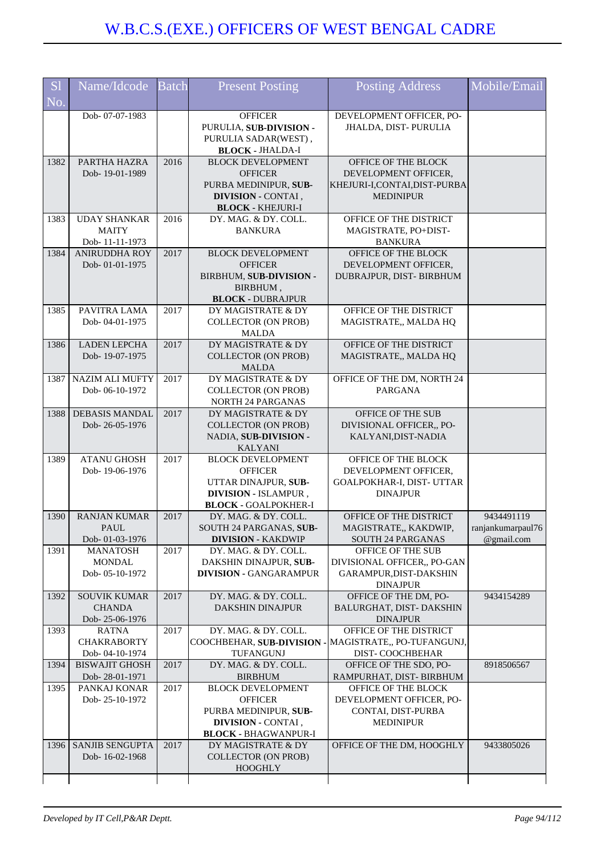| <b>S1</b> | Name/Idcode                        | <b>Batch</b> | <b>Present Posting</b>                              | <b>Posting Address</b>                          | Mobile/Email      |
|-----------|------------------------------------|--------------|-----------------------------------------------------|-------------------------------------------------|-------------------|
| No.       |                                    |              |                                                     |                                                 |                   |
|           | Dob-07-07-1983                     |              | <b>OFFICER</b>                                      | DEVELOPMENT OFFICER, PO-                        |                   |
|           |                                    |              | PURULIA, SUB-DIVISION -                             | JHALDA, DIST- PURULIA                           |                   |
|           |                                    |              | PURULIA SADAR(WEST),<br><b>BLOCK - JHALDA-I</b>     |                                                 |                   |
| 1382      | PARTHA HAZRA                       | 2016         | <b>BLOCK DEVELOPMENT</b>                            | OFFICE OF THE BLOCK                             |                   |
|           | Dob-19-01-1989                     |              | <b>OFFICER</b>                                      | DEVELOPMENT OFFICER,                            |                   |
|           |                                    |              | PURBA MEDINIPUR, SUB-                               | KHEJURI-I,CONTAI,DIST-PURBA                     |                   |
|           |                                    |              | DIVISION - CONTAI,                                  | <b>MEDINIPUR</b>                                |                   |
| 1383      | <b>UDAY SHANKAR</b>                | 2016         | <b>BLOCK - KHEJURI-I</b><br>DY. MAG. & DY. COLL.    | OFFICE OF THE DISTRICT                          |                   |
|           | <b>MAITY</b>                       |              | <b>BANKURA</b>                                      | MAGISTRATE, PO+DIST-                            |                   |
|           | Dob-11-11-1973                     |              |                                                     | <b>BANKURA</b>                                  |                   |
| 1384      | <b>ANIRUDDHA ROY</b>               | 2017         | <b>BLOCK DEVELOPMENT</b>                            | OFFICE OF THE BLOCK                             |                   |
|           | Dob-01-01-1975                     |              | <b>OFFICER</b>                                      | DEVELOPMENT OFFICER,                            |                   |
|           |                                    |              | BIRBHUM, SUB-DIVISION -                             | DUBRAJPUR, DIST- BIRBHUM                        |                   |
|           |                                    |              | BIRBHUM,<br><b>BLOCK - DUBRAJPUR</b>                |                                                 |                   |
| 1385      | PAVITRA LAMA                       | 2017         | DY MAGISTRATE & DY                                  | OFFICE OF THE DISTRICT                          |                   |
|           | Dob-04-01-1975                     |              | <b>COLLECTOR (ON PROB)</b>                          | MAGISTRATE,, MALDA HQ                           |                   |
|           |                                    |              | <b>MALDA</b>                                        |                                                 |                   |
| 1386      | <b>LADEN LEPCHA</b>                | 2017         | DY MAGISTRATE & DY                                  | OFFICE OF THE DISTRICT                          |                   |
|           | Dob-19-07-1975                     |              | <b>COLLECTOR (ON PROB)</b><br><b>MALDA</b>          | MAGISTRATE,, MALDA HQ                           |                   |
| 1387      | <b>NAZIM ALI MUFTY</b>             | 2017         | DY MAGISTRATE & DY                                  | OFFICE OF THE DM, NORTH 24                      |                   |
|           | Dob-06-10-1972                     |              | <b>COLLECTOR (ON PROB)</b>                          | <b>PARGANA</b>                                  |                   |
|           |                                    |              | NORTH 24 PARGANAS                                   |                                                 |                   |
| 1388      | <b>DEBASIS MANDAL</b>              | 2017         | DY MAGISTRATE & DY                                  | OFFICE OF THE SUB                               |                   |
|           | Dob-26-05-1976                     |              | <b>COLLECTOR (ON PROB)</b><br>NADIA, SUB-DIVISION - | DIVISIONAL OFFICER,, PO-<br>KALYANI, DIST-NADIA |                   |
|           |                                    |              | <b>KALYANI</b>                                      |                                                 |                   |
| 1389      | <b>ATANU GHOSH</b>                 | 2017         | <b>BLOCK DEVELOPMENT</b>                            | OFFICE OF THE BLOCK                             |                   |
|           | Dob-19-06-1976                     |              | <b>OFFICER</b>                                      | DEVELOPMENT OFFICER,                            |                   |
|           |                                    |              | UTTAR DINAJPUR, SUB-                                | GOALPOKHAR-I, DIST- UTTAR                       |                   |
|           |                                    |              | DIVISION - ISLAMPUR,<br><b>BLOCK - GOALPOKHER-I</b> | <b>DINAJPUR</b>                                 |                   |
| 1390      | <b>RANJAN KUMAR</b>                | 2017         | DY. MAG. & DY. COLL.                                | OFFICE OF THE DISTRICT                          | 9434491119        |
|           | PAUL.                              |              | <b>SOUTH 24 PARGANAS, SUB-</b>                      | MAGISTRATE,, KAKDWIP,                           | ranjankumarpaul76 |
|           | Dob-01-03-1976                     |              | <b>DIVISION - KAKDWIP</b>                           | <b>SOUTH 24 PARGANAS</b>                        | @gmail.com        |
| 1391      | MANATOSH                           | 2017         | DY. MAG. & DY. COLL.                                | OFFICE OF THE SUB                               |                   |
|           | <b>MONDAL</b><br>Dob-05-10-1972    |              | DAKSHIN DINAJPUR, SUB-                              | DIVISIONAL OFFICER,, PO-GAN                     |                   |
|           |                                    |              | <b>DIVISION - GANGARAMPUR</b>                       | GARAMPUR, DIST-DAKSHIN<br><b>DINAJPUR</b>       |                   |
| 1392      | <b>SOUVIK KUMAR</b>                | 2017         | DY. MAG. & DY. COLL.                                | OFFICE OF THE DM, PO-                           | 9434154289        |
|           | <b>CHANDA</b>                      |              | <b>DAKSHIN DINAJPUR</b>                             | BALURGHAT, DIST-DAKSHIN                         |                   |
|           | Dob-25-06-1976                     |              |                                                     | <b>DINAJPUR</b>                                 |                   |
| 1393      | <b>RATNA</b><br><b>CHAKRABORTY</b> | 2017         | DY. MAG. & DY. COLL.                                | OFFICE OF THE DISTRICT                          |                   |
|           | Dob-04-10-1974                     |              | COOCHBEHAR, SUB-DIVISION -<br>TUFANGUNJ             | MAGISTRATE,, PO-TUFANGUNJ,<br>DIST-COOCHBEHAR   |                   |
| 1394      | <b>BISWAJIT GHOSH</b>              | 2017         | DY. MAG. & DY. COLL.                                | OFFICE OF THE SDO, PO-                          | 8918506567        |
|           | Dob-28-01-1971                     |              | <b>BIRBHUM</b>                                      | RAMPURHAT, DIST- BIRBHUM                        |                   |
| 1395      | PANKAJ KONAR                       | 2017         | <b>BLOCK DEVELOPMENT</b>                            | OFFICE OF THE BLOCK                             |                   |
|           | Dob-25-10-1972                     |              | <b>OFFICER</b>                                      | DEVELOPMENT OFFICER, PO-                        |                   |
|           |                                    |              | PURBA MEDINIPUR, SUB-<br>DIVISION - CONTAI,         | CONTAI, DIST-PURBA<br><b>MEDINIPUR</b>          |                   |
|           |                                    |              | <b>BLOCK - BHAGWANPUR-I</b>                         |                                                 |                   |
| 1396      | SANJIB SENGUPTA                    | 2017         | DY MAGISTRATE & DY                                  | OFFICE OF THE DM, HOOGHLY                       | 9433805026        |
|           | Dob-16-02-1968                     |              | <b>COLLECTOR (ON PROB)</b>                          |                                                 |                   |
|           |                                    |              | <b>HOOGHLY</b>                                      |                                                 |                   |
|           |                                    |              |                                                     |                                                 |                   |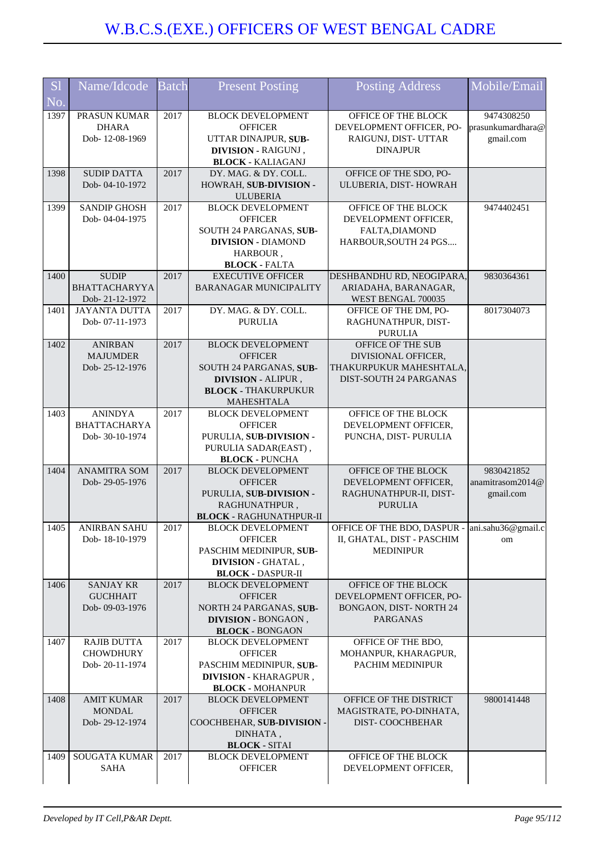| <b>S1</b><br>No. | Name/Idcode                                              | Batch | <b>Present Posting</b>                                                                                                                  | <b>Posting Address</b>                                                                               | Mobile/Email                                 |
|------------------|----------------------------------------------------------|-------|-----------------------------------------------------------------------------------------------------------------------------------------|------------------------------------------------------------------------------------------------------|----------------------------------------------|
| 1397             | PRASUN KUMAR<br><b>DHARA</b><br>Dob-12-08-1969           | 2017  | <b>BLOCK DEVELOPMENT</b><br><b>OFFICER</b><br>UTTAR DINAJPUR, SUB-<br><b>DIVISION - RAIGUNJ</b> ,<br><b>BLOCK - KALIAGANJ</b>           | OFFICE OF THE BLOCK<br>DEVELOPMENT OFFICER, PO-<br>RAIGUNJ, DIST- UTTAR<br><b>DINAJPUR</b>           | 9474308250<br>prasunkumardhara@<br>gmail.com |
| 1398             | <b>SUDIP DATTA</b><br>Dob-04-10-1972                     | 2017  | DY. MAG. & DY. COLL.<br>HOWRAH, SUB-DIVISION -<br><b>ULUBERIA</b>                                                                       | OFFICE OF THE SDO, PO-<br>ULUBERIA, DIST-HOWRAH                                                      |                                              |
| 1399             | <b>SANDIP GHOSH</b><br>Dob-04-04-1975                    | 2017  | <b>BLOCK DEVELOPMENT</b><br><b>OFFICER</b><br>SOUTH 24 PARGANAS, SUB-<br><b>DIVISION - DIAMOND</b><br>HARBOUR,<br><b>BLOCK - FALTA</b>  | OFFICE OF THE BLOCK<br>DEVELOPMENT OFFICER,<br>FALTA, DIAMOND<br>HARBOUR, SOUTH 24 PGS               | 9474402451                                   |
| 1400             | <b>SUDIP</b><br>BHATTACHARYYA<br>Dob-21-12-1972          | 2017  | <b>EXECUTIVE OFFICER</b><br><b>BARANAGAR MUNICIPALITY</b>                                                                               | DESHBANDHU RD, NEOGIPARA,<br>ARIADAHA, BARANAGAR,<br>WEST BENGAL 700035                              | 9830364361                                   |
| 1401             | <b>JAYANTA DUTTA</b><br>Dob-07-11-1973                   | 2017  | DY. MAG. & DY. COLL.<br><b>PURULIA</b>                                                                                                  | OFFICE OF THE DM, PO-<br>RAGHUNATHPUR, DIST-<br><b>PURULIA</b>                                       | 8017304073                                   |
| 1402             | <b>ANIRBAN</b><br><b>MAJUMDER</b><br>Dob-25-12-1976      | 2017  | <b>BLOCK DEVELOPMENT</b><br><b>OFFICER</b><br>SOUTH 24 PARGANAS, SUB-<br>DIVISION - ALIPUR,<br><b>BLOCK - THAKURPUKUR</b><br>MAHESHTALA | OFFICE OF THE SUB<br>DIVISIONAL OFFICER,<br>THAKURPUKUR MAHESHTALA,<br><b>DIST-SOUTH 24 PARGANAS</b> |                                              |
| 1403             | <b>ANINDYA</b><br><b>BHATTACHARYA</b><br>Dob-30-10-1974  | 2017  | <b>BLOCK DEVELOPMENT</b><br><b>OFFICER</b><br>PURULIA, SUB-DIVISION -<br>PURULIA SADAR(EAST),<br><b>BLOCK - PUNCHA</b>                  | OFFICE OF THE BLOCK<br>DEVELOPMENT OFFICER,<br>PUNCHA, DIST-PURULIA                                  |                                              |
| 1404             | <b>ANAMITRA SOM</b><br>Dob-29-05-1976                    | 2017  | <b>BLOCK DEVELOPMENT</b><br><b>OFFICER</b><br>PURULIA, SUB-DIVISION -<br>RAGHUNATHPUR,<br><b>BLOCK - RAGHUNATHPUR-II</b>                | OFFICE OF THE BLOCK<br>DEVELOPMENT OFFICER.<br>RAGHUNATHPUR-II, DIST-<br><b>PURULIA</b>              | 9830421852<br>anamitrasom2014@<br>gmail.com  |
| 1405             | <b>ANIRBAN SAHU</b><br>Dob-18-10-1979                    | 2017  | <b>BLOCK DEVELOPMENT</b><br><b>OFFICER</b><br>PASCHIM MEDINIPUR, SUB-<br><b>DIVISION - GHATAL,</b><br><b>BLOCK - DASPUR-II</b>          | OFFICE OF THE BDO, DASPUR - ani.sahu36@gmail.c<br>II, GHATAL, DIST - PASCHIM<br><b>MEDINIPUR</b>     | om                                           |
| 1406             | <b>SANJAY KR</b><br><b>GUCHHAIT</b><br>Dob-09-03-1976    | 2017  | <b>BLOCK DEVELOPMENT</b><br><b>OFFICER</b><br>NORTH 24 PARGANAS, SUB-<br><b>DIVISION - BONGAON</b> ,<br><b>BLOCK - BONGAON</b>          | OFFICE OF THE BLOCK<br>DEVELOPMENT OFFICER, PO-<br>BONGAON, DIST-NORTH 24<br><b>PARGANAS</b>         |                                              |
| 1407             | <b>RAJIB DUTTA</b><br><b>CHOWDHURY</b><br>Dob-20-11-1974 | 2017  | <b>BLOCK DEVELOPMENT</b><br><b>OFFICER</b><br>PASCHIM MEDINIPUR, SUB-<br><b>DIVISION - KHARAGPUR,</b><br><b>BLOCK - MOHANPUR</b>        | OFFICE OF THE BDO,<br>MOHANPUR, KHARAGPUR,<br>PACHIM MEDINIPUR                                       |                                              |
| 1408             | <b>AMIT KUMAR</b><br><b>MONDAL</b><br>Dob-29-12-1974     | 2017  | <b>BLOCK DEVELOPMENT</b><br><b>OFFICER</b><br>COOCHBEHAR, SUB-DIVISION -<br>DINHATA,<br><b>BLOCK - SITAI</b>                            | OFFICE OF THE DISTRICT<br>MAGISTRATE, PO-DINHATA,<br><b>DIST- COOCHBEHAR</b>                         | 9800141448                                   |
| 1409             | SOUGATA KUMAR<br><b>SAHA</b>                             | 2017  | <b>BLOCK DEVELOPMENT</b><br><b>OFFICER</b>                                                                                              | OFFICE OF THE BLOCK<br>DEVELOPMENT OFFICER,                                                          |                                              |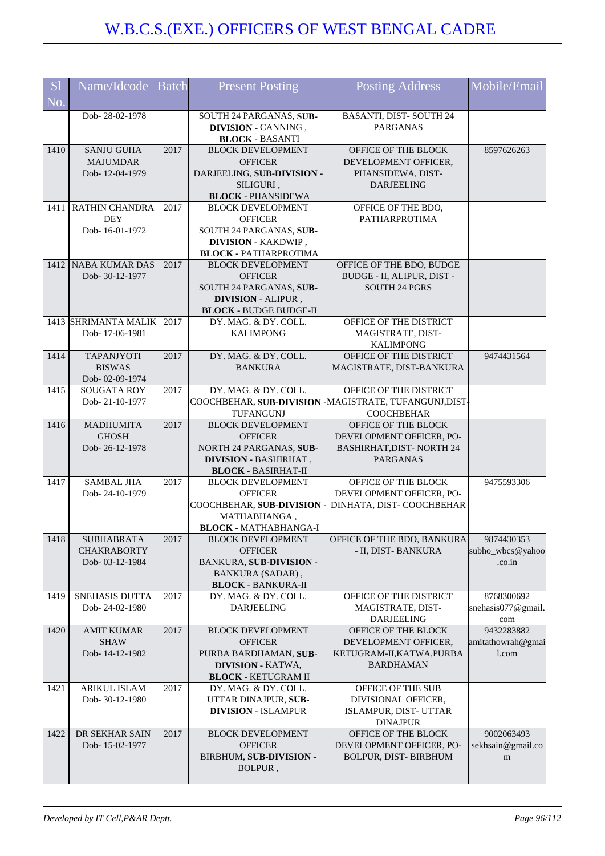| S <sub>1</sub><br>No. | Name/Idcode                                               | <b>Batch</b> | <b>Present Posting</b>                                                                                                               | <b>Posting Address</b>                                                                                 | Mobile/Email                             |
|-----------------------|-----------------------------------------------------------|--------------|--------------------------------------------------------------------------------------------------------------------------------------|--------------------------------------------------------------------------------------------------------|------------------------------------------|
|                       | Dob-28-02-1978                                            |              | SOUTH 24 PARGANAS, SUB-<br><b>DIVISION - CANNING</b> ,<br><b>BLOCK - BASANTI</b>                                                     | <b>BASANTI, DIST-SOUTH 24</b><br><b>PARGANAS</b>                                                       |                                          |
| 1410                  | <b>SANJU GUHA</b><br><b>MAJUMDAR</b><br>Dob-12-04-1979    | 2017         | <b>BLOCK DEVELOPMENT</b><br><b>OFFICER</b><br>DARJEELING, SUB-DIVISION -<br>SILIGURI,<br><b>BLOCK - PHANSIDEWA</b>                   | OFFICE OF THE BLOCK<br>DEVELOPMENT OFFICER,<br>PHANSIDEWA, DIST-<br><b>DARJEELING</b>                  | 8597626263                               |
|                       | 1411 RATHIN CHANDRA<br><b>DEY</b><br>Dob-16-01-1972       | 2017         | <b>BLOCK DEVELOPMENT</b><br><b>OFFICER</b><br>SOUTH 24 PARGANAS, SUB-<br><b>DIVISION - KAKDWIP</b> ,<br><b>BLOCK - PATHARPROTIMA</b> | OFFICE OF THE BDO,<br>PATHARPROTIMA                                                                    |                                          |
|                       | 1412 NABA KUMAR DAS<br>Dob-30-12-1977                     | 2017         | <b>BLOCK DEVELOPMENT</b><br><b>OFFICER</b><br>SOUTH 24 PARGANAS, SUB-<br>DIVISION - ALIPUR,<br><b>BLOCK - BUDGE BUDGE-II</b>         | OFFICE OF THE BDO, BUDGE<br>BUDGE - II, ALIPUR, DIST -<br><b>SOUTH 24 PGRS</b>                         |                                          |
|                       | 1413 SHRIMANTA MALIK<br>Dob-17-06-1981                    | 2017         | DY. MAG. & DY. COLL.<br><b>KALIMPONG</b>                                                                                             | OFFICE OF THE DISTRICT<br>MAGISTRATE, DIST-<br><b>KALIMPONG</b>                                        |                                          |
| 1414                  | <b>TAPANJYOTI</b><br><b>BISWAS</b><br>Dob-02-09-1974      | 2017         | DY. MAG. & DY. COLL.<br><b>BANKURA</b>                                                                                               | OFFICE OF THE DISTRICT<br>MAGISTRATE, DIST-BANKURA                                                     | 9474431564                               |
| 1415                  | SOUGATA ROY<br>Dob-21-10-1977                             | 2017         | DY. MAG. & DY. COLL.<br><b>TUFANGUNJ</b>                                                                                             | OFFICE OF THE DISTRICT<br>COOCHBEHAR, SUB-DIVISION - MAGISTRATE, TUFANGUNJ, DIST<br><b>COOCHBEHAR</b>  |                                          |
| 1416                  | <b>MADHUMITA</b><br><b>GHOSH</b><br>Dob-26-12-1978        | 2017         | <b>BLOCK DEVELOPMENT</b><br><b>OFFICER</b><br>NORTH 24 PARGANAS, SUB-<br><b>DIVISION - BASHIRHAT,</b><br><b>BLOCK - BASIRHAT-II</b>  | OFFICE OF THE BLOCK<br>DEVELOPMENT OFFICER, PO-<br><b>BASHIRHAT, DIST- NORTH 24</b><br><b>PARGANAS</b> |                                          |
| 1417                  | <b>SAMBAL JHA</b><br>Dob-24-10-1979                       | 2017         | <b>BLOCK DEVELOPMENT</b><br><b>OFFICER</b><br>COOCHBEHAR, SUB-DIVISION -<br>MATHABHANGA,<br><b>BLOCK - MATHABHANGA-I</b>             | OFFICE OF THE BLOCK<br>DEVELOPMENT OFFICER, PO-<br>DINHATA, DIST-COOCHBEHAR                            | 9475593306                               |
| 1418                  | <b>SUBHABRATA</b><br><b>CHAKRABORTY</b><br>Dob-03-12-1984 | 2017         | <b>BLOCK DEVELOPMENT</b><br><b>OFFICER</b><br>BANKURA, SUB-DIVISION -<br><b>BANKURA (SADAR)</b> ,<br><b>BLOCK - BANKURA-II</b>       | OFFICE OF THE BDO, BANKURA<br>- II, DIST- BANKURA                                                      | 9874430353<br>subho_wbcs@yahoo<br>.co.in |
| 1419                  | SNEHASIS DUTTA<br>Dob-24-02-1980                          | 2017         | DY. MAG. & DY. COLL.<br><b>DARJEELING</b>                                                                                            | OFFICE OF THE DISTRICT<br>MAGISTRATE, DIST-<br><b>DARJEELING</b>                                       | 8768300692<br>snehasis077@gmail.<br>com  |
| 1420                  | <b>AMIT KUMAR</b><br><b>SHAW</b><br>Dob-14-12-1982        | 2017         | <b>BLOCK DEVELOPMENT</b><br><b>OFFICER</b><br>PURBA BARDHAMAN, SUB-<br><b>DIVISION - KATWA,</b><br><b>BLOCK - KETUGRAM II</b>        | OFFICE OF THE BLOCK<br>DEVELOPMENT OFFICER,<br>KETUGRAM-II, KATWA, PURBA<br><b>BARDHAMAN</b>           | 9432283882<br>amitathowrah@gmai<br>l.com |
| 1421                  | ARIKUL ISLAM<br>Dob-30-12-1980                            | 2017         | DY. MAG. & DY. COLL.<br>UTTAR DINAJPUR, SUB-<br><b>DIVISION - ISLAMPUR</b>                                                           | OFFICE OF THE SUB<br>DIVISIONAL OFFICER,<br>ISLAMPUR, DIST- UTTAR<br><b>DINAJPUR</b>                   |                                          |
| 1422                  | DR SEKHAR SAIN<br>Dob-15-02-1977                          | 2017         | <b>BLOCK DEVELOPMENT</b><br><b>OFFICER</b><br>BIRBHUM, SUB-DIVISION -<br>BOLPUR,                                                     | OFFICE OF THE BLOCK<br>DEVELOPMENT OFFICER, PO-<br>BOLPUR, DIST-BIRBHUM                                | 9002063493<br>sekhsain@gmail.co<br>m     |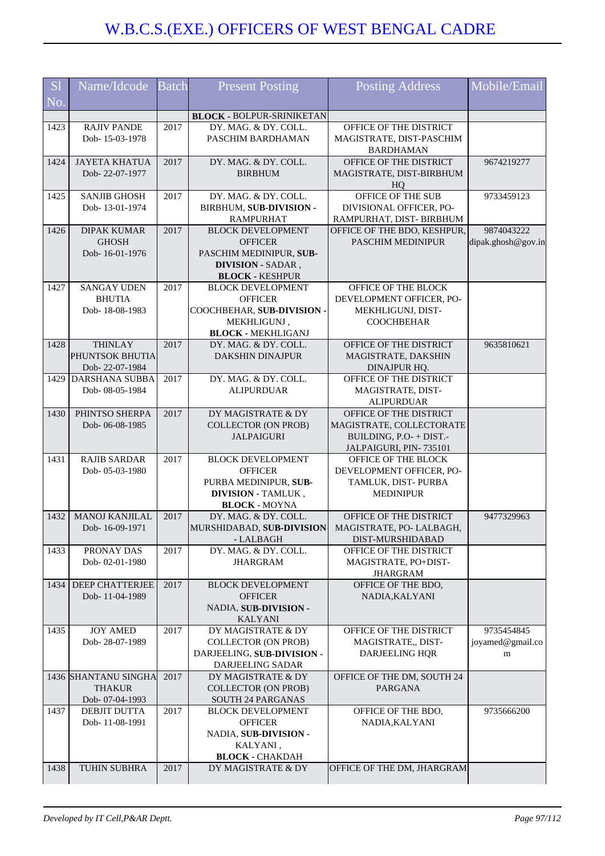| <b>S1</b> | Name/Idcode                              | <b>Batch</b> | <b>Present Posting</b>                               | Posting Address                                    | Mobile/Email       |
|-----------|------------------------------------------|--------------|------------------------------------------------------|----------------------------------------------------|--------------------|
| No.       |                                          |              |                                                      |                                                    |                    |
|           |                                          |              | <b>BLOCK - BOLPUR-SRINIKETAN</b>                     |                                                    |                    |
| 1423      | <b>RAJIV PANDE</b><br>Dob-15-03-1978     | 2017         | DY. MAG. & DY. COLL.                                 | OFFICE OF THE DISTRICT                             |                    |
|           |                                          |              | PASCHIM BARDHAMAN                                    | MAGISTRATE, DIST-PASCHIM<br><b>BARDHAMAN</b>       |                    |
| 1424      | <b>JAYETA KHATUA</b>                     | 2017         | DY. MAG. & DY. COLL.                                 | OFFICE OF THE DISTRICT                             | 9674219277         |
|           | Dob-22-07-1977                           |              | <b>BIRBHUM</b>                                       | MAGISTRATE, DIST-BIRBHUM                           |                    |
|           |                                          |              |                                                      | HO                                                 |                    |
| 1425      | <b>SANJIB GHOSH</b>                      | 2017         | DY. MAG. & DY. COLL.                                 | OFFICE OF THE SUB                                  | 9733459123         |
|           | Dob-13-01-1974                           |              | BIRBHUM, SUB-DIVISION -                              | DIVISIONAL OFFICER, PO-                            |                    |
|           |                                          | 2017         | <b>RAMPURHAT</b>                                     | RAMPURHAT, DIST- BIRBHUM                           | 9874043222         |
| 1426      | <b>DIPAK KUMAR</b><br><b>GHOSH</b>       |              | <b>BLOCK DEVELOPMENT</b><br><b>OFFICER</b>           | OFFICE OF THE BDO, KESHPUR,<br>PASCHIM MEDINIPUR   | dipak.ghosh@gov.in |
|           | Dob-16-01-1976                           |              | PASCHIM MEDINIPUR, SUB-                              |                                                    |                    |
|           |                                          |              | DIVISION - SADAR,                                    |                                                    |                    |
|           |                                          |              | <b>BLOCK - KESHPUR</b>                               |                                                    |                    |
| 1427      | <b>SANGAY UDEN</b>                       | 2017         | <b>BLOCK DEVELOPMENT</b>                             | OFFICE OF THE BLOCK                                |                    |
|           | <b>BHUTIA</b>                            |              | <b>OFFICER</b>                                       | DEVELOPMENT OFFICER, PO-                           |                    |
|           | Dob-18-08-1983                           |              | COOCHBEHAR, SUB-DIVISION -                           | MEKHLIGUNJ, DIST-                                  |                    |
|           |                                          |              | MEKHLIGUNJ,<br><b>BLOCK - MEKHLIGANJ</b>             | <b>COOCHBEHAR</b>                                  |                    |
| 1428      | <b>THINLAY</b>                           | 2017         | DY. MAG. & DY. COLL.                                 | OFFICE OF THE DISTRICT                             | 9635810621         |
|           | PHUNTSOK BHUTIA                          |              | <b>DAKSHIN DINAJPUR</b>                              | MAGISTRATE, DAKSHIN                                |                    |
|           | Dob-22-07-1984                           |              |                                                      | DINAJPUR HQ.                                       |                    |
|           | 1429 DARSHANA SUBBA                      | 2017         | DY. MAG. & DY. COLL.                                 | OFFICE OF THE DISTRICT                             |                    |
|           | Dob-08-05-1984                           |              | <b>ALIPURDUAR</b>                                    | MAGISTRATE, DIST-                                  |                    |
|           |                                          |              |                                                      | <b>ALIPURDUAR</b>                                  |                    |
| 1430      | PHINTSO SHERPA<br>Dob-06-08-1985         | 2017         | DY MAGISTRATE & DY<br><b>COLLECTOR (ON PROB)</b>     | OFFICE OF THE DISTRICT<br>MAGISTRATE, COLLECTORATE |                    |
|           |                                          |              | <b>JALPAIGURI</b>                                    | BUILDING, P.O- + DIST.-                            |                    |
|           |                                          |              |                                                      | JALPAIGURI, PIN-735101                             |                    |
| 1431      | <b>RAJIB SARDAR</b>                      | 2017         | <b>BLOCK DEVELOPMENT</b>                             | OFFICE OF THE BLOCK                                |                    |
|           | Dob-05-03-1980                           |              | <b>OFFICER</b>                                       | DEVELOPMENT OFFICER, PO-                           |                    |
|           |                                          |              | PURBA MEDINIPUR, SUB-                                | TAMLUK, DIST-PURBA                                 |                    |
|           |                                          |              | <b>DIVISION - TAMLUK,</b>                            | <b>MEDINIPUR</b>                                   |                    |
| 1432      | <b>MANOJ KANJILAL</b>                    | 2017         | <b>BLOCK - MOYNA</b><br>DY. MAG. & DY. COLL.         | OFFICE OF THE DISTRICT                             | 9477329963         |
|           | Dob-16-09-1971                           |              | MURSHIDABAD, SUB-DIVISION   MAGISTRATE, PO- LALBAGH, |                                                    |                    |
|           |                                          |              | - LALBAGH                                            | DIST-MURSHIDABAD                                   |                    |
| 1433      | PRONAY DAS                               | 2017         | DY. MAG. & DY. COLL.                                 | OFFICE OF THE DISTRICT                             |                    |
|           | Dob-02-01-1980                           |              | <b>JHARGRAM</b>                                      | MAGISTRATE, PO+DIST-                               |                    |
|           |                                          |              |                                                      | <b>JHARGRAM</b>                                    |                    |
| 1434      | <b>DEEP CHATTERJEE</b><br>Dob-11-04-1989 | 2017         | <b>BLOCK DEVELOPMENT</b><br><b>OFFICER</b>           | OFFICE OF THE BDO,<br>NADIA, KALYANI               |                    |
|           |                                          |              | NADIA, SUB-DIVISION -                                |                                                    |                    |
|           |                                          |              | <b>KALYANI</b>                                       |                                                    |                    |
| 1435      | <b>JOY AMED</b>                          | 2017         | DY MAGISTRATE & DY                                   | OFFICE OF THE DISTRICT                             | 9735454845         |
|           | Dob-28-07-1989                           |              | <b>COLLECTOR (ON PROB)</b>                           | MAGISTRATE,, DIST-                                 | joyamed@gmail.co   |
|           |                                          |              | DARJEELING, SUB-DIVISION -                           | <b>DARJEELING HQR</b>                              | m                  |
|           |                                          |              | DARJEELING SADAR                                     |                                                    |                    |
|           | 1436 SHANTANU SINGHA<br><b>THAKUR</b>    | 2017         | DY MAGISTRATE & DY<br><b>COLLECTOR (ON PROB)</b>     | OFFICE OF THE DM, SOUTH 24<br><b>PARGANA</b>       |                    |
|           | Dob- 07-04-1993                          |              | <b>SOUTH 24 PARGANAS</b>                             |                                                    |                    |
| 1437      | DEBJIT DUTTA                             | 2017         | <b>BLOCK DEVELOPMENT</b>                             | OFFICE OF THE BDO,                                 | 9735666200         |
|           | Dob-11-08-1991                           |              | <b>OFFICER</b>                                       | NADIA, KALYANI                                     |                    |
|           |                                          |              | NADIA, SUB-DIVISION -                                |                                                    |                    |
|           |                                          |              | KALYANI,                                             |                                                    |                    |
| 1438      | TUHIN SUBHRA                             | 2017         | <b>BLOCK - CHAKDAH</b><br>DY MAGISTRATE & DY         | OFFICE OF THE DM, JHARGRAM                         |                    |
|           |                                          |              |                                                      |                                                    |                    |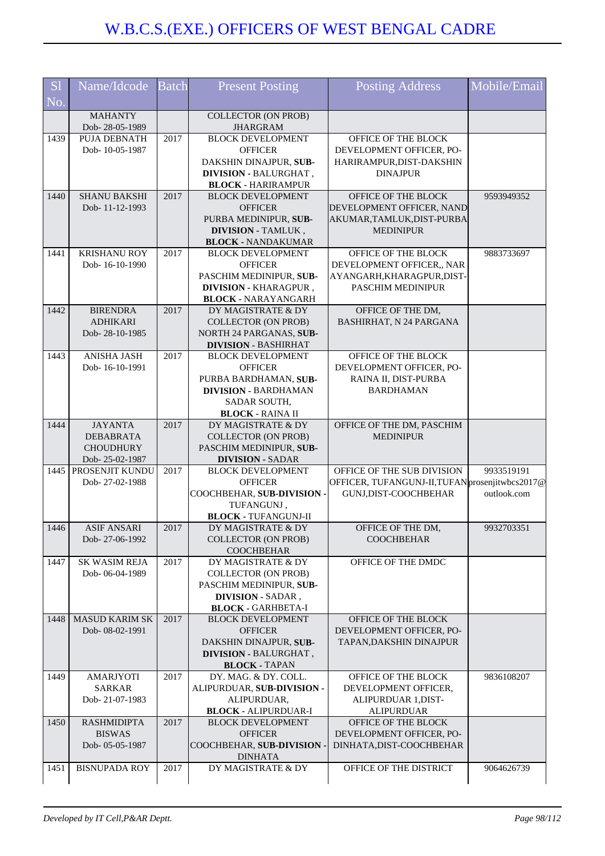| S <sub>1</sub><br>No. | Name/Idcode                                                              | <b>Batch</b> | <b>Present Posting</b>                                                                                                                        | <b>Posting Address</b>                                                                                 | Mobile/Email              |
|-----------------------|--------------------------------------------------------------------------|--------------|-----------------------------------------------------------------------------------------------------------------------------------------------|--------------------------------------------------------------------------------------------------------|---------------------------|
|                       | <b>MAHANTY</b><br>Dob-28-05-1989                                         |              | <b>COLLECTOR (ON PROB)</b><br><b>JHARGRAM</b>                                                                                                 |                                                                                                        |                           |
| 1439                  | PUJA DEBNATH<br>Dob-10-05-1987                                           | 2017         | <b>BLOCK DEVELOPMENT</b><br><b>OFFICER</b><br>DAKSHIN DINAJPUR, SUB-<br><b>DIVISION - BALURGHAT,</b><br><b>BLOCK - HARIRAMPUR</b>             | OFFICE OF THE BLOCK<br>DEVELOPMENT OFFICER, PO-<br>HARIRAMPUR, DIST-DAKSHIN<br><b>DINAJPUR</b>         |                           |
| 1440                  | SHANU BAKSHI<br>Dob-11-12-1993                                           | 2017         | <b>BLOCK DEVELOPMENT</b><br><b>OFFICER</b><br>PURBA MEDINIPUR, SUB-<br><b>DIVISION - TAMLUK,</b><br><b>BLOCK - NANDAKUMAR</b>                 | OFFICE OF THE BLOCK<br>DEVELOPMENT OFFICER, NAND<br>AKUMAR, TAMLUK, DIST-PURBA<br><b>MEDINIPUR</b>     | 9593949352                |
| 1441                  | <b>KRISHANU ROY</b><br>Dob-16-10-1990                                    | 2017         | <b>BLOCK DEVELOPMENT</b><br><b>OFFICER</b><br>PASCHIM MEDINIPUR, SUB-<br>DIVISION - KHARAGPUR,<br><b>BLOCK - NARAYANGARH</b>                  | OFFICE OF THE BLOCK<br>DEVELOPMENT OFFICER,, NAR<br>AYANGARH, KHARAGPUR, DIST-<br>PASCHIM MEDINIPUR    | 9883733697                |
| 1442                  | <b>BIRENDRA</b><br><b>ADHIKARI</b><br>Dob-28-10-1985                     | 2017         | DY MAGISTRATE & DY<br><b>COLLECTOR (ON PROB)</b><br>NORTH 24 PARGANAS, SUB-<br><b>DIVISION - BASHIRHAT</b>                                    | OFFICE OF THE DM,<br>BASHIRHAT, N 24 PARGANA                                                           |                           |
| 1443                  | <b>ANISHA JASH</b><br>Dob-16-10-1991                                     | 2017         | <b>BLOCK DEVELOPMENT</b><br><b>OFFICER</b><br>PURBA BARDHAMAN, SUB-<br><b>DIVISION - BARDHAMAN</b><br>SADAR SOUTH,<br><b>BLOCK - RAINA II</b> | OFFICE OF THE BLOCK<br>DEVELOPMENT OFFICER, PO-<br>RAINA II, DIST-PURBA<br><b>BARDHAMAN</b>            |                           |
| 1444                  | <b>JAYANTA</b><br><b>DEBABRATA</b><br><b>CHOUDHURY</b><br>Dob-25-02-1987 | 2017         | DY MAGISTRATE & DY<br><b>COLLECTOR (ON PROB)</b><br>PASCHIM MEDINIPUR, SUB-<br><b>DIVISION - SADAR</b>                                        | OFFICE OF THE DM, PASCHIM<br><b>MEDINIPUR</b>                                                          |                           |
| 1445                  | PROSENJIT KUNDU<br>Dob-27-02-1988                                        | 2017         | <b>BLOCK DEVELOPMENT</b><br><b>OFFICER</b><br>COOCHBEHAR, SUB-DIVISION -<br>TUFANGUNJ,<br><b>BLOCK - TUFANGUNJ-II</b>                         | OFFICE OF THE SUB DIVISION<br>OFFICER, TUFANGUNJ-II, TUFAN prosenjitwbcs2017@<br>GUNJ, DIST-COOCHBEHAR | 9933519191<br>outlook.com |
| 1446                  | <b>ASIF ANSARI</b><br>Dob-27-06-1992                                     | 2017         | DY MAGISTRATE & DY<br><b>COLLECTOR (ON PROB)</b><br><b>COOCHBEHAR</b>                                                                         | OFFICE OF THE DM.<br><b>COOCHBEHAR</b>                                                                 | 9932703351                |
| 1447                  | SK WASIM REJA<br>Dob-06-04-1989                                          | 2017         | DY MAGISTRATE & DY<br><b>COLLECTOR (ON PROB)</b><br>PASCHIM MEDINIPUR, SUB-<br><b>DIVISION - SADAR,</b><br><b>BLOCK - GARHBETA-I</b>          | OFFICE OF THE DMDC                                                                                     |                           |
| 1448                  | <b>MASUD KARIM SK</b><br>Dob-08-02-1991                                  | 2017         | <b>BLOCK DEVELOPMENT</b><br><b>OFFICER</b><br>DAKSHIN DINAJPUR, SUB-<br><b>DIVISION - BALURGHAT,</b><br><b>BLOCK - TAPAN</b>                  | OFFICE OF THE BLOCK<br>DEVELOPMENT OFFICER, PO-<br>TAPAN, DAKSHIN DINAJPUR                             |                           |
| 1449                  | AMARJYOTI<br><b>SARKAR</b><br>Dob-21-07-1983                             | 2017         | DY. MAG. & DY. COLL.<br>ALIPURDUAR, SUB-DIVISION -<br>ALIPURDUAR,<br><b>BLOCK - ALIPURDUAR-I</b>                                              | OFFICE OF THE BLOCK<br>DEVELOPMENT OFFICER,<br>ALIPURDUAR 1, DIST-<br><b>ALIPURDUAR</b>                | 9836108207                |
| 1450                  | <b>RASHMIDIPTA</b><br><b>BISWAS</b><br>Dob- 05-05-1987                   | 2017         | <b>BLOCK DEVELOPMENT</b><br><b>OFFICER</b><br>COOCHBEHAR, SUB-DIVISION<br><b>DINHATA</b>                                                      | OFFICE OF THE BLOCK<br>DEVELOPMENT OFFICER, PO-<br>DINHATA, DIST-COOCHBEHAR                            |                           |
| 1451                  | <b>BISNUPADA ROY</b>                                                     | 2017         | DY MAGISTRATE & DY                                                                                                                            | OFFICE OF THE DISTRICT                                                                                 | 9064626739                |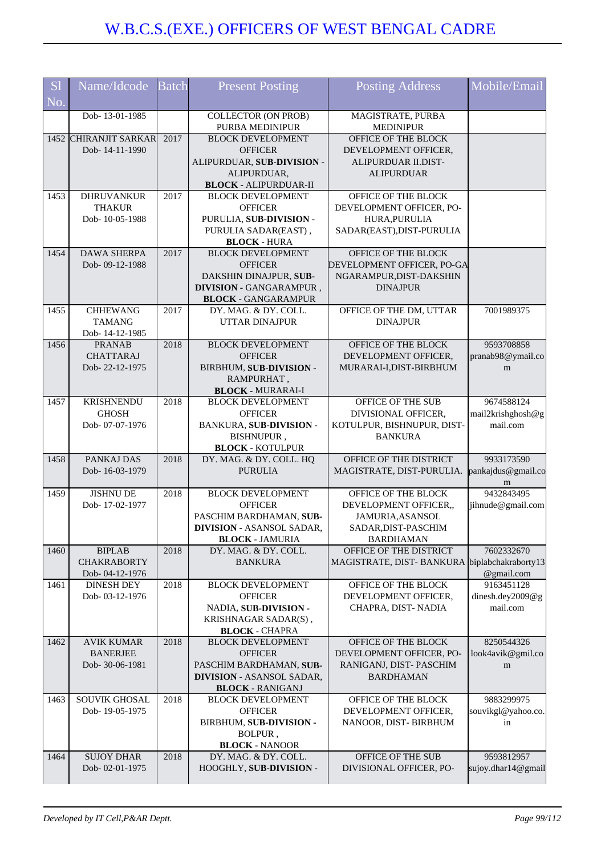| <b>S</b> l | Name/Idcode                     | Batch | <b>Present Posting</b>                          | <b>Posting Address</b>                       | Mobile/Email                 |
|------------|---------------------------------|-------|-------------------------------------------------|----------------------------------------------|------------------------------|
| No.        |                                 |       |                                                 |                                              |                              |
|            | Dob-13-01-1985                  |       | <b>COLLECTOR (ON PROB)</b>                      | MAGISTRATE, PURBA                            |                              |
|            |                                 |       | PURBA MEDINIPUR                                 | <b>MEDINIPUR</b>                             |                              |
|            | 1452 CHIRANJIT SARKAR           | 2017  | <b>BLOCK DEVELOPMENT</b>                        | OFFICE OF THE BLOCK                          |                              |
|            | Dob-14-11-1990                  |       | <b>OFFICER</b><br>ALIPURDUAR, SUB-DIVISION -    | DEVELOPMENT OFFICER,<br>ALIPURDUAR II.DIST-  |                              |
|            |                                 |       | ALIPURDUAR,                                     | <b>ALIPURDUAR</b>                            |                              |
|            |                                 |       | <b>BLOCK - ALIPURDUAR-II</b>                    |                                              |                              |
| 1453       | DHRUVANKUR                      | 2017  | <b>BLOCK DEVELOPMENT</b>                        | OFFICE OF THE BLOCK                          |                              |
|            | <b>THAKUR</b>                   |       | <b>OFFICER</b>                                  | DEVELOPMENT OFFICER, PO-                     |                              |
|            | Dob-10-05-1988                  |       | PURULIA, SUB-DIVISION -                         | HURA, PURULIA                                |                              |
|            |                                 |       | PURULIA SADAR(EAST),                            | SADAR(EAST), DIST-PURULIA                    |                              |
| 1454       | <b>DAWA SHERPA</b>              | 2017  | <b>BLOCK - HURA</b><br><b>BLOCK DEVELOPMENT</b> | OFFICE OF THE BLOCK                          |                              |
|            | Dob-09-12-1988                  |       | <b>OFFICER</b>                                  | DEVELOPMENT OFFICER, PO-GA                   |                              |
|            |                                 |       | DAKSHIN DINAJPUR, SUB-                          | NGARAMPUR, DIST-DAKSHIN                      |                              |
|            |                                 |       | <b>DIVISION - GANGARAMPUR,</b>                  | <b>DINAJPUR</b>                              |                              |
|            |                                 |       | <b>BLOCK - GANGARAMPUR</b>                      |                                              |                              |
| 1455       | <b>CHHEWANG</b>                 | 2017  | DY. MAG. & DY. COLL.                            | OFFICE OF THE DM, UTTAR                      | 7001989375                   |
|            | <b>TAMANG</b>                   |       | <b>UTTAR DINAJPUR</b>                           | <b>DINAJPUR</b>                              |                              |
| 1456       | Dob-14-12-1985<br><b>PRANAB</b> | 2018  | <b>BLOCK DEVELOPMENT</b>                        | OFFICE OF THE BLOCK                          | 9593708858                   |
|            | <b>CHATTARAJ</b>                |       | <b>OFFICER</b>                                  | DEVELOPMENT OFFICER,                         | pranab98@ymail.co            |
|            | Dob-22-12-1975                  |       | BIRBHUM, SUB-DIVISION -                         | MURARAI-I, DIST-BIRBHUM                      | m                            |
|            |                                 |       | RAMPURHAT,                                      |                                              |                              |
|            |                                 |       | <b>BLOCK - MURARAI-I</b>                        |                                              |                              |
| 1457       | <b>KRISHNENDU</b>               | 2018  | <b>BLOCK DEVELOPMENT</b>                        | OFFICE OF THE SUB                            | 9674588124                   |
|            | <b>GHOSH</b>                    |       | <b>OFFICER</b>                                  | DIVISIONAL OFFICER,                          | mail2krishghosh@g            |
|            | Dob-07-07-1976                  |       | BANKURA, SUB-DIVISION -                         | KOTULPUR, BISHNUPUR, DIST-                   | mail.com                     |
|            |                                 |       | BISHNUPUR,<br><b>BLOCK - KOTULPUR</b>           | <b>BANKURA</b>                               |                              |
| 1458       | PANKAJ DAS                      | 2018  | DY. MAG. & DY. COLL. HQ                         | OFFICE OF THE DISTRICT                       | 9933173590                   |
|            | Dob-16-03-1979                  |       | <b>PURULIA</b>                                  | MAGISTRATE, DIST-PURULIA.                    | pankajdus@gmail.co           |
|            |                                 |       |                                                 |                                              | m                            |
| 1459       | <b>JISHNU DE</b>                | 2018  | <b>BLOCK DEVELOPMENT</b>                        | OFFICE OF THE BLOCK                          | 9432843495                   |
|            | Dob-17-02-1977                  |       | <b>OFFICER</b><br>PASCHIM BARDHAMAN, SUB-       | DEVELOPMENT OFFICER,,<br>JAMURIA, ASANSOL    | jihnude@gmail.com            |
|            |                                 |       | <b>DIVISION - ASANSOL SADAR,</b>                | SADAR, DIST-PASCHIM                          |                              |
|            |                                 |       | <b>BLOCK - JAMURIA</b>                          | <b>BARDHAMAN</b>                             |                              |
| 1460       | <b>BIPLAB</b>                   | 2018  | DY. MAG. & DY. COLL.                            | OFFICE OF THE DISTRICT                       | 7602332670                   |
|            | <b>CHAKRABORTY</b>              |       | <b>BANKURA</b>                                  | MAGISTRATE, DIST-BANKURA biplabchakraborty13 |                              |
|            | Dob-04-12-1976                  |       |                                                 |                                              | @gmail.com                   |
| 1461       | <b>DINESH DEY</b>               | 2018  | <b>BLOCK DEVELOPMENT</b>                        | OFFICE OF THE BLOCK                          | 9163451128                   |
|            | Dob-03-12-1976                  |       | <b>OFFICER</b><br>NADIA, SUB-DIVISION -         | DEVELOPMENT OFFICER,                         | dinesh.dey2009@g<br>mail.com |
|            |                                 |       | KRISHNAGAR SADAR(S),                            | CHAPRA, DIST-NADIA                           |                              |
|            |                                 |       | <b>BLOCK - CHAPRA</b>                           |                                              |                              |
| 1462       | <b>AVIK KUMAR</b>               | 2018  | <b>BLOCK DEVELOPMENT</b>                        | OFFICE OF THE BLOCK                          | 8250544326                   |
|            | <b>BANERJEE</b>                 |       | <b>OFFICER</b>                                  | DEVELOPMENT OFFICER, PO-                     | look4avik@gmil.co            |
|            | Dob-30-06-1981                  |       | PASCHIM BARDHAMAN, SUB-                         | RANIGANJ, DIST-PASCHIM                       | m                            |
|            |                                 |       | <b>DIVISION - ASANSOL SADAR,</b>                | <b>BARDHAMAN</b>                             |                              |
| 1463       | SOUVIK GHOSAL                   | 2018  | <b>BLOCK - RANIGANJ</b>                         | OFFICE OF THE BLOCK                          | 9883299975                   |
|            | Dob-19-05-1975                  |       | <b>BLOCK DEVELOPMENT</b><br><b>OFFICER</b>      | DEVELOPMENT OFFICER,                         | souvikgl@yahoo.co.           |
|            |                                 |       | BIRBHUM, SUB-DIVISION -                         | NANOOR, DIST- BIRBHUM                        | in                           |
|            |                                 |       | BOLPUR,                                         |                                              |                              |
|            |                                 |       | <b>BLOCK - NANOOR</b>                           |                                              |                              |
| 1464       | <b>SUJOY DHAR</b>               | 2018  | DY. MAG. & DY. COLL.                            | OFFICE OF THE SUB                            | 9593812957                   |
|            | Dob-02-01-1975                  |       | HOOGHLY, SUB-DIVISION -                         | DIVISIONAL OFFICER, PO-                      | sujoy.dhar14@gmail           |
|            |                                 |       |                                                 |                                              |                              |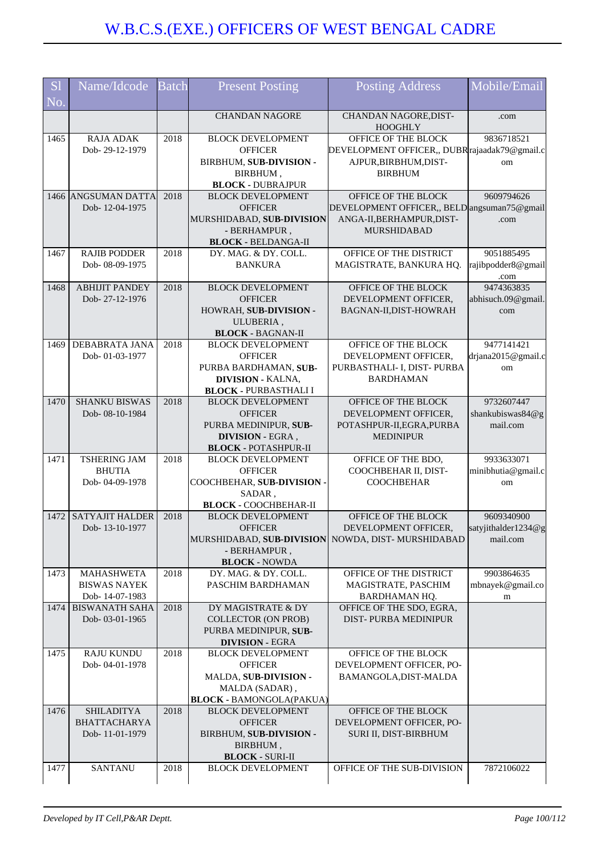| <b>S</b> l<br>No. | Name/Idcode                           | <b>Batch</b> | <b>Present Posting</b>                                            | <b>Posting Address</b>                                                   | Mobile/Email               |
|-------------------|---------------------------------------|--------------|-------------------------------------------------------------------|--------------------------------------------------------------------------|----------------------------|
|                   |                                       |              | <b>CHANDAN NAGORE</b>                                             | CHANDAN NAGORE, DIST-                                                    | .com                       |
|                   |                                       |              |                                                                   | <b>HOOGHLY</b>                                                           |                            |
| 1465              | <b>RAJA ADAK</b>                      | 2018         | <b>BLOCK DEVELOPMENT</b>                                          | OFFICE OF THE BLOCK                                                      | 9836718521                 |
|                   | Dob-29-12-1979                        |              | <b>OFFICER</b><br>BIRBHUM, SUB-DIVISION -                         | DEVELOPMENT OFFICER,, DUBR rajaadak79@gmail.c<br>AJPUR, BIRBHUM, DIST-   | om                         |
|                   |                                       |              | BIRBHUM,                                                          | <b>BIRBHUM</b>                                                           |                            |
|                   |                                       |              | <b>BLOCK - DUBRAJPUR</b>                                          |                                                                          |                            |
|                   | 1466 ANGSUMAN DATTA                   | 2018         | <b>BLOCK DEVELOPMENT</b>                                          | OFFICE OF THE BLOCK                                                      | 9609794626                 |
|                   | Dob-12-04-1975                        |              | <b>OFFICER</b><br>MURSHIDABAD, SUB-DIVISION                       | DEVELOPMENT OFFICER,, BELD angsuman75@gmail<br>ANGA-II, BERHAMPUR, DIST- | .com                       |
|                   |                                       |              | - BERHAMPUR,                                                      | <b>MURSHIDABAD</b>                                                       |                            |
|                   |                                       |              | <b>BLOCK - BELDANGA-II</b>                                        |                                                                          |                            |
| 1467              | <b>RAJIB PODDER</b>                   | 2018         | DY. MAG. & DY. COLL.                                              | OFFICE OF THE DISTRICT                                                   | 9051885495                 |
|                   | Dob-08-09-1975                        |              | <b>BANKURA</b>                                                    | MAGISTRATE, BANKURA HQ.                                                  | rajibpodder8@gmail<br>.com |
| 1468              | <b>ABHIJIT PANDEY</b>                 | 2018         | <b>BLOCK DEVELOPMENT</b>                                          | OFFICE OF THE BLOCK                                                      | 9474363835                 |
|                   | Dob-27-12-1976                        |              | <b>OFFICER</b><br>HOWRAH, SUB-DIVISION -                          | DEVELOPMENT OFFICER,                                                     | abhisuch.09@gmail.         |
|                   |                                       |              | ULUBERIA,                                                         | BAGNAN-II, DIST-HOWRAH                                                   | com                        |
|                   |                                       |              | <b>BLOCK - BAGNAN-II</b>                                          |                                                                          |                            |
| 1469              | <b>DEBABRATA JANA</b>                 | 2018         | <b>BLOCK DEVELOPMENT</b>                                          | OFFICE OF THE BLOCK                                                      | 9477141421                 |
|                   | Dob-01-03-1977                        |              | <b>OFFICER</b>                                                    | DEVELOPMENT OFFICER,                                                     | drjana2015@gmail.c         |
|                   |                                       |              | PURBA BARDHAMAN, SUB-<br><b>DIVISION - KALNA,</b>                 | PURBASTHALI- I, DIST- PURBA<br><b>BARDHAMAN</b>                          | om                         |
|                   |                                       |              | <b>BLOCK - PURBASTHALI I</b>                                      |                                                                          |                            |
| 1470              | <b>SHANKU BISWAS</b>                  | 2018         | <b>BLOCK DEVELOPMENT</b>                                          | OFFICE OF THE BLOCK                                                      | 9732607447                 |
|                   | Dob-08-10-1984                        |              | <b>OFFICER</b>                                                    | DEVELOPMENT OFFICER,                                                     | shankubiswas84@g           |
|                   |                                       |              | PURBA MEDINIPUR, SUB-<br><b>DIVISION - EGRA,</b>                  | POTASHPUR-II, EGRA, PURBA<br><b>MEDINIPUR</b>                            | mail.com                   |
|                   |                                       |              | <b>BLOCK - POTASHPUR-II</b>                                       |                                                                          |                            |
| 1471              | <b>TSHERING JAM</b>                   | 2018         | <b>BLOCK DEVELOPMENT</b>                                          | OFFICE OF THE BDO,                                                       | 9933633071                 |
|                   | <b>BHUTIA</b>                         |              | <b>OFFICER</b>                                                    | COOCHBEHAR II, DIST-                                                     | minibhutia@gmail.c         |
|                   | Dob-04-09-1978                        |              | COOCHBEHAR, SUB-DIVISION -<br>SADAR,                              | <b>COOCHBEHAR</b>                                                        | om                         |
|                   |                                       |              | <b>BLOCK - COOCHBEHAR-II</b>                                      |                                                                          |                            |
| 1472              | <b>SATYAJIT HALDER</b>                | 2018         | <b>BLOCK DEVELOPMENT</b>                                          | OFFICE OF THE BLOCK                                                      | 9609340900                 |
|                   | Dob-13-10-1977                        |              | <b>OFFICER</b>                                                    | DEVELOPMENT OFFICER,                                                     | satyjithalder1234@g        |
|                   |                                       |              | MURSHIDABAD, SUB-DIVISION NOWDA, DIST-MURSHIDABAD<br>- BERHAMPUR, |                                                                          | mail.com                   |
|                   |                                       |              | <b>BLOCK - NOWDA</b>                                              |                                                                          |                            |
| 1473              | <b>MAHASHWETA</b>                     | 2018         | DY. MAG. & DY. COLL.                                              | OFFICE OF THE DISTRICT                                                   | 9903864635                 |
|                   | <b>BISWAS NAYEK</b><br>Dob-14-07-1983 |              | PASCHIM BARDHAMAN                                                 | MAGISTRATE, PASCHIM<br>BARDHAMAN HQ.                                     | mbnayek@gmail.co           |
| 1474              | <b>BISWANATH SAHA</b>                 | 2018         | DY MAGISTRATE & DY                                                | OFFICE OF THE SDO, EGRA,                                                 | m                          |
|                   | Dob-03-01-1965                        |              | <b>COLLECTOR (ON PROB)</b>                                        | DIST-PURBA MEDINIPUR                                                     |                            |
|                   |                                       |              | PURBA MEDINIPUR, SUB-                                             |                                                                          |                            |
| 1475              | <b>RAJU KUNDU</b>                     | 2018         | <b>DIVISION - EGRA</b><br><b>BLOCK DEVELOPMENT</b>                | OFFICE OF THE BLOCK                                                      |                            |
|                   | Dob-04-01-1978                        |              | <b>OFFICER</b>                                                    | DEVELOPMENT OFFICER, PO-                                                 |                            |
|                   |                                       |              | MALDA, SUB-DIVISION -                                             | BAMANGOLA, DIST-MALDA                                                    |                            |
|                   |                                       |              | MALDA (SADAR),                                                    |                                                                          |                            |
| 1476              | <b>SHILADITYA</b>                     | 2018         | <b>BLOCK - BAMONGOLA(PAKUA)</b><br><b>BLOCK DEVELOPMENT</b>       | OFFICE OF THE BLOCK                                                      |                            |
|                   | <b>BHATTACHARYA</b>                   |              | <b>OFFICER</b>                                                    | DEVELOPMENT OFFICER, PO-                                                 |                            |
|                   | Dob-11-01-1979                        |              | BIRBHUM, SUB-DIVISION -                                           | SURI II, DIST-BIRBHUM                                                    |                            |
|                   |                                       |              | BIRBHUM,                                                          |                                                                          |                            |
| 1477              | <b>SANTANU</b>                        | 2018         | <b>BLOCK - SURI-II</b><br><b>BLOCK DEVELOPMENT</b>                | OFFICE OF THE SUB-DIVISION                                               | 7872106022                 |
|                   |                                       |              |                                                                   |                                                                          |                            |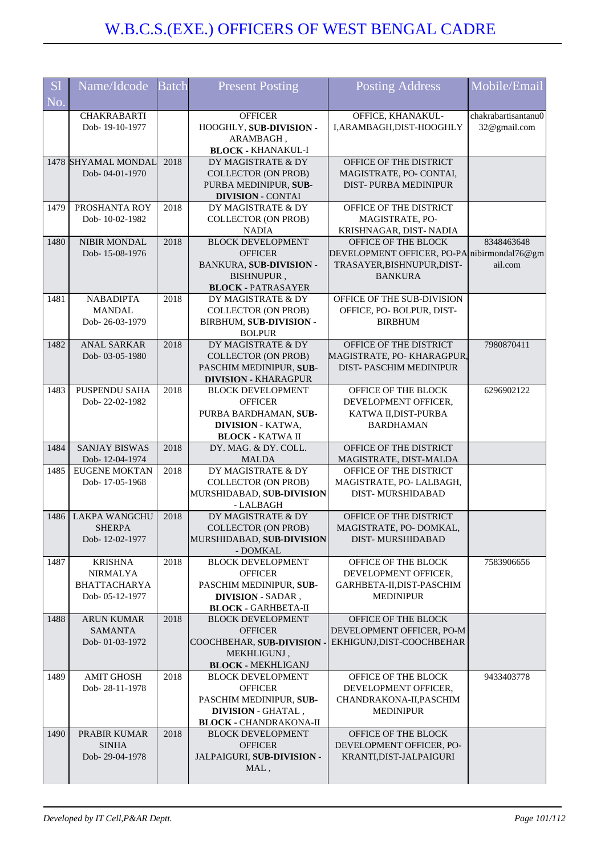| <b>S1</b> | Name/Idcode          | <b>Batch</b> | <b>Present Posting</b>                                    | <b>Posting Address</b>                              | Mobile/Email        |
|-----------|----------------------|--------------|-----------------------------------------------------------|-----------------------------------------------------|---------------------|
| No.       |                      |              |                                                           |                                                     |                     |
|           | <b>CHAKRABARTI</b>   |              | <b>OFFICER</b>                                            | OFFICE, KHANAKUL-                                   | chakrabartisantanu0 |
|           | Dob-19-10-1977       |              | HOOGHLY, SUB-DIVISION -<br>ARAMBAGH,                      | I, ARAMBAGH, DIST-HOOGHLY                           | 32@gmail.com        |
|           |                      |              | <b>BLOCK - KHANAKUL-I</b>                                 |                                                     |                     |
|           | 1478 SHYAMAL MONDAL  | 2018         | DY MAGISTRATE & DY                                        | OFFICE OF THE DISTRICT                              |                     |
|           | Dob-04-01-1970       |              | <b>COLLECTOR (ON PROB)</b>                                | MAGISTRATE, PO- CONTAI,                             |                     |
|           |                      |              | PURBA MEDINIPUR, SUB-<br><b>DIVISION - CONTAI</b>         | DIST-PURBA MEDINIPUR                                |                     |
| 1479      | PROSHANTA ROY        | 2018         | DY MAGISTRATE & DY                                        | OFFICE OF THE DISTRICT                              |                     |
|           | Dob-10-02-1982       |              | <b>COLLECTOR (ON PROB)</b>                                | MAGISTRATE, PO-                                     |                     |
| 1480      | NIBIR MONDAL         | 2018         | <b>NADIA</b><br><b>BLOCK DEVELOPMENT</b>                  | KRISHNAGAR, DIST- NADIA<br>OFFICE OF THE BLOCK      | 8348463648          |
|           | Dob-15-08-1976       |              | <b>OFFICER</b>                                            | DEVELOPMENT OFFICER, PO-PA nibirmondal76@gm         |                     |
|           |                      |              | <b>BANKURA, SUB-DIVISION -</b>                            | TRASAYER, BISHNUPUR, DIST-                          | ail.com             |
|           |                      |              | BISHNUPUR,                                                | <b>BANKURA</b>                                      |                     |
| 1481      | <b>NABADIPTA</b>     | 2018         | <b>BLOCK - PATRASAYER</b><br>DY MAGISTRATE & DY           | OFFICE OF THE SUB-DIVISION                          |                     |
|           | <b>MANDAL</b>        |              | <b>COLLECTOR (ON PROB)</b>                                | OFFICE, PO-BOLPUR, DIST-                            |                     |
|           | Dob-26-03-1979       |              | BIRBHUM, SUB-DIVISION -                                   | <b>BIRBHUM</b>                                      |                     |
|           |                      |              | <b>BOLPUR</b>                                             |                                                     |                     |
| 1482      | <b>ANAL SARKAR</b>   | 2018         | DY MAGISTRATE & DY                                        | OFFICE OF THE DISTRICT                              | 7980870411          |
|           | Dob-03-05-1980       |              | <b>COLLECTOR (ON PROB)</b><br>PASCHIM MEDINIPUR, SUB-     | MAGISTRATE, PO-KHARAGPUR,<br>DIST-PASCHIM MEDINIPUR |                     |
|           |                      |              | <b>DIVISION - KHARAGPUR</b>                               |                                                     |                     |
| 1483      | PUSPENDU SAHA        | 2018         | <b>BLOCK DEVELOPMENT</b>                                  | OFFICE OF THE BLOCK                                 | 6296902122          |
|           | Dob-22-02-1982       |              | <b>OFFICER</b>                                            | DEVELOPMENT OFFICER,                                |                     |
|           |                      |              | PURBA BARDHAMAN, SUB-                                     | KATWA II, DIST-PURBA                                |                     |
|           |                      |              | <b>DIVISION - KATWA,</b><br><b>BLOCK - KATWA II</b>       | <b>BARDHAMAN</b>                                    |                     |
| 1484      | <b>SANJAY BISWAS</b> | 2018         | DY. MAG. & DY. COLL.                                      | OFFICE OF THE DISTRICT                              |                     |
|           | Dob-12-04-1974       |              | <b>MALDA</b>                                              | MAGISTRATE, DIST-MALDA                              |                     |
| 1485      | <b>EUGENE MOKTAN</b> | 2018         | DY MAGISTRATE & DY                                        | OFFICE OF THE DISTRICT                              |                     |
|           | Dob-17-05-1968       |              | <b>COLLECTOR (ON PROB)</b><br>MURSHIDABAD, SUB-DIVISION   | MAGISTRATE, PO-LALBAGH,<br>DIST-MURSHIDABAD         |                     |
|           |                      |              | - LALBAGH                                                 |                                                     |                     |
| 1486      | <b>LAKPA WANGCHU</b> | 2018         | DY MAGISTRATE & DY                                        | OFFICE OF THE DISTRICT                              |                     |
|           | <b>SHERPA</b>        |              | <b>COLLECTOR (ON PROB)</b>                                | MAGISTRATE, PO- DOMKAL                              |                     |
|           | Dob-12-02-1977       |              | MURSHIDABAD, SUB-DIVISION<br>- DOMKAL                     | DIST-MURSHIDABAD                                    |                     |
| 1487      | <b>KRISHNA</b>       | 2018         | <b>BLOCK DEVELOPMENT</b>                                  | OFFICE OF THE BLOCK                                 | 7583906656          |
|           | <b>NIRMALYA</b>      |              | <b>OFFICER</b>                                            | DEVELOPMENT OFFICER,                                |                     |
|           | <b>BHATTACHARYA</b>  |              | PASCHIM MEDINIPUR, SUB-                                   | GARHBETA-II, DIST-PASCHIM                           |                     |
|           | Dob-05-12-1977       |              | DIVISION - SADAR,<br><b>BLOCK - GARHBETA-II</b>           | <b>MEDINIPUR</b>                                    |                     |
| 1488      | <b>ARUN KUMAR</b>    | 2018         | <b>BLOCK DEVELOPMENT</b>                                  | OFFICE OF THE BLOCK                                 |                     |
|           | <b>SAMANTA</b>       |              | <b>OFFICER</b>                                            | DEVELOPMENT OFFICER, PO-M                           |                     |
|           | Dob-01-03-1972       |              | COOCHBEHAR, SUB-DIVISION -                                | EKHIGUNJ, DIST-COOCHBEHAR                           |                     |
|           |                      |              | MEKHLIGUNJ,<br><b>BLOCK - MEKHLIGANJ</b>                  |                                                     |                     |
| 1489      | <b>AMIT GHOSH</b>    | 2018         | <b>BLOCK DEVELOPMENT</b>                                  | OFFICE OF THE BLOCK                                 | 9433403778          |
|           | Dob-28-11-1978       |              | <b>OFFICER</b>                                            | DEVELOPMENT OFFICER,                                |                     |
|           |                      |              | PASCHIM MEDINIPUR, SUB-                                   | CHANDRAKONA-II, PASCHIM                             |                     |
|           |                      |              | <b>DIVISION - GHATAL,</b>                                 | <b>MEDINIPUR</b>                                    |                     |
| 1490      | PRABIR KUMAR         | 2018         | <b>BLOCK - CHANDRAKONA-II</b><br><b>BLOCK DEVELOPMENT</b> | OFFICE OF THE BLOCK                                 |                     |
|           | <b>SINHA</b>         |              | <b>OFFICER</b>                                            | DEVELOPMENT OFFICER, PO-                            |                     |
|           | Dob-29-04-1978       |              | JALPAIGURI, SUB-DIVISION -                                | KRANTI, DIST-JALPAIGURI                             |                     |
|           |                      |              | MAL,                                                      |                                                     |                     |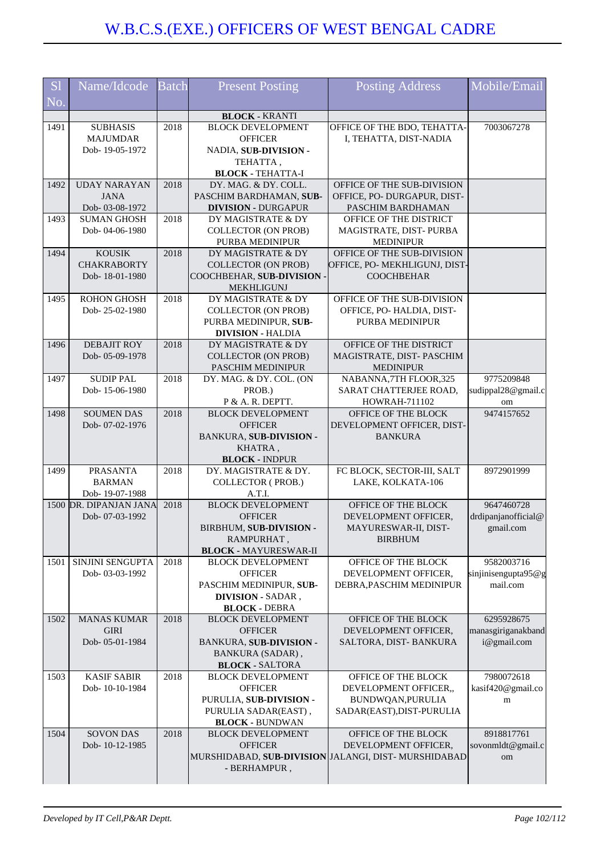| <b>S1</b> | Name/Idcode                         | <b>Batch</b> | <b>Present Posting</b>                           | <b>Posting Address</b>                              | Mobile/Email                     |
|-----------|-------------------------------------|--------------|--------------------------------------------------|-----------------------------------------------------|----------------------------------|
| No.       |                                     |              |                                                  |                                                     |                                  |
|           |                                     |              | <b>BLOCK - KRANTI</b>                            |                                                     |                                  |
| 1491      | <b>SUBHASIS</b>                     | 2018         | <b>BLOCK DEVELOPMENT</b>                         | OFFICE OF THE BDO, TEHATTA-                         | 7003067278                       |
|           | <b>MAJUMDAR</b>                     |              | <b>OFFICER</b>                                   | I, TEHATTA, DIST-NADIA                              |                                  |
|           | Dob-19-05-1972                      |              | NADIA, SUB-DIVISION -                            |                                                     |                                  |
|           |                                     |              | TEHATTA,                                         |                                                     |                                  |
| 1492      | <b>UDAY NARAYAN</b>                 | 2018         | <b>BLOCK - TEHATTA-I</b><br>DY. MAG. & DY. COLL. | OFFICE OF THE SUB-DIVISION                          |                                  |
|           | <b>JANA</b>                         |              | PASCHIM BARDHAMAN, SUB-                          | OFFICE, PO- DURGAPUR, DIST-                         |                                  |
|           | Dob-03-08-1972                      |              | <b>DIVISION - DURGAPUR</b>                       | PASCHIM BARDHAMAN                                   |                                  |
| 1493      | <b>SUMAN GHOSH</b>                  | 2018         | DY MAGISTRATE & DY                               | OFFICE OF THE DISTRICT                              |                                  |
|           | Dob-04-06-1980                      |              | <b>COLLECTOR (ON PROB)</b>                       | MAGISTRATE, DIST-PURBA                              |                                  |
|           |                                     |              | PURBA MEDINIPUR                                  | <b>MEDINIPUR</b>                                    |                                  |
| 1494      | <b>KOUSIK</b>                       | 2018         | DY MAGISTRATE & DY                               | OFFICE OF THE SUB-DIVISION                          |                                  |
|           | <b>CHAKRABORTY</b>                  |              | <b>COLLECTOR (ON PROB)</b>                       | OFFICE, PO- MEKHLIGUNJ, DIST-                       |                                  |
|           | Dob-18-01-1980                      |              | COOCHBEHAR, SUB-DIVISION -                       | <b>COOCHBEHAR</b>                                   |                                  |
| 1495      | <b>ROHON GHOSH</b>                  | 2018         | <b>MEKHLIGUNJ</b><br>DY MAGISTRATE & DY          | OFFICE OF THE SUB-DIVISION                          |                                  |
|           | Dob-25-02-1980                      |              | <b>COLLECTOR (ON PROB)</b>                       | OFFICE, PO-HALDIA, DIST-                            |                                  |
|           |                                     |              | PURBA MEDINIPUR, SUB-                            | PURBA MEDINIPUR                                     |                                  |
|           |                                     |              | <b>DIVISION - HALDIA</b>                         |                                                     |                                  |
| 1496      | <b>DEBAJIT ROY</b>                  | 2018         | DY MAGISTRATE & DY                               | OFFICE OF THE DISTRICT                              |                                  |
|           | Dob-05-09-1978                      |              | <b>COLLECTOR (ON PROB)</b>                       | MAGISTRATE, DIST-PASCHIM                            |                                  |
|           |                                     |              | <b>PASCHIM MEDINIPUR</b>                         | <b>MEDINIPUR</b>                                    |                                  |
| 1497      | <b>SUDIP PAL</b>                    | 2018         | DY. MAG. & DY. COL. (ON                          | NABANNA,7TH FLOOR,325                               | 9775209848                       |
|           | Dob-15-06-1980                      |              | PROB.)                                           | SARAT CHATTERJEE ROAD,                              | sudippal28@gmail.c               |
|           |                                     |              | P & A. R. DEPTT.                                 | HOWRAH-711102                                       | om                               |
| 1498      | <b>SOUMEN DAS</b><br>Dob-07-02-1976 | 2018         | <b>BLOCK DEVELOPMENT</b><br><b>OFFICER</b>       | OFFICE OF THE BLOCK<br>DEVELOPMENT OFFICER, DIST-   | 9474157652                       |
|           |                                     |              | BANKURA, SUB-DIVISION -                          | <b>BANKURA</b>                                      |                                  |
|           |                                     |              | KHATRA,                                          |                                                     |                                  |
|           |                                     |              | <b>BLOCK - INDPUR</b>                            |                                                     |                                  |
| 1499      | <b>PRASANTA</b>                     | 2018         | DY. MAGISTRATE & DY.                             | FC BLOCK, SECTOR-III, SALT                          | 8972901999                       |
|           | <b>BARMAN</b>                       |              | <b>COLLECTOR (PROB.)</b>                         | LAKE, KOLKATA-106                                   |                                  |
|           | Dob-19-07-1988                      |              | A.T.I.                                           |                                                     |                                  |
|           | 1500 DR. DIPANJAN JANA              | 2018         | <b>BLOCK DEVELOPMENT</b>                         | OFFICE OF THE BLOCK                                 | 9647460728                       |
|           | Dob-07-03-1992                      |              | <b>OFFICER</b>                                   | DEVELOPMENT OFFICER,                                | drdipanjanofficial@              |
|           |                                     |              | BIRBHUM, SUB-DIVISION -<br>RAMPURHAT,            | MAYURESWAR-II, DIST-<br><b>BIRBHUM</b>              | gmail.com                        |
|           |                                     |              | <b>BLOCK - MAYURESWAR-II</b>                     |                                                     |                                  |
| 1501      | SINJINI SENGUPTA                    | 2018         | <b>BLOCK DEVELOPMENT</b>                         | OFFICE OF THE BLOCK                                 | 9582003716                       |
|           | Dob-03-03-1992                      |              | <b>OFFICER</b>                                   | DEVELOPMENT OFFICER,                                | sinjinisengupta95@g              |
|           |                                     |              | PASCHIM MEDINIPUR, SUB-                          | DEBRA, PASCHIM MEDINIPUR                            | mail.com                         |
|           |                                     |              | <b>DIVISION - SADAR,</b>                         |                                                     |                                  |
|           |                                     |              | <b>BLOCK - DEBRA</b>                             |                                                     |                                  |
| 1502      | <b>MANAS KUMAR</b><br><b>GIRI</b>   | 2018         | <b>BLOCK DEVELOPMENT</b><br><b>OFFICER</b>       | OFFICE OF THE BLOCK                                 | 6295928675<br>manasgiriganakband |
|           | Dob-05-01-1984                      |              | BANKURA, SUB-DIVISION -                          | DEVELOPMENT OFFICER,<br>SALTORA, DIST-BANKURA       | i@gmail.com                      |
|           |                                     |              | <b>BANKURA (SADAR)</b> ,                         |                                                     |                                  |
|           |                                     |              | <b>BLOCK - SALTORA</b>                           |                                                     |                                  |
| 1503      | <b>KASIF SABIR</b>                  | 2018         | <b>BLOCK DEVELOPMENT</b>                         | OFFICE OF THE BLOCK                                 | 7980072618                       |
|           | Dob-10-10-1984                      |              | <b>OFFICER</b>                                   | DEVELOPMENT OFFICER,,                               | kasif420@gmail.co                |
|           |                                     |              | PURULIA, SUB-DIVISION -                          | BUNDWQAN, PURULIA                                   | m                                |
|           |                                     |              | PURULIA SADAR(EAST),                             | SADAR(EAST), DIST-PURULIA                           |                                  |
|           |                                     |              | <b>BLOCK - BUNDWAN</b>                           |                                                     |                                  |
| 1504      | <b>SOVON DAS</b>                    | 2018         | <b>BLOCK DEVELOPMENT</b>                         | OFFICE OF THE BLOCK                                 | 8918817761                       |
|           | Dob-10-12-1985                      |              | <b>OFFICER</b>                                   | DEVELOPMENT OFFICER,                                | sovonmldt@gmail.c                |
|           |                                     |              | - BERHAMPUR,                                     | MURSHIDABAD, SUB-DIVISION JALANGI, DIST-MURSHIDABAD | om                               |
|           |                                     |              |                                                  |                                                     |                                  |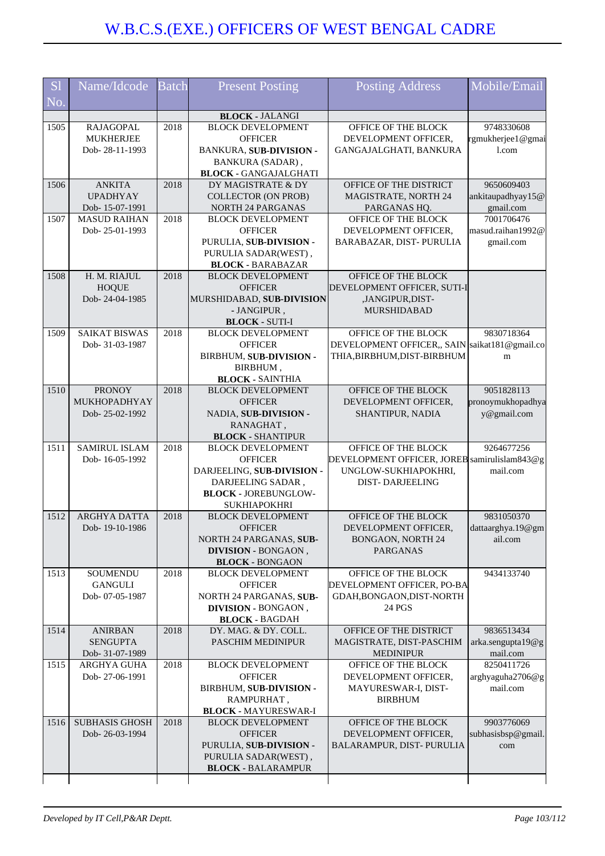| <b>S1</b> | Name/Idcode                            | <b>Batch</b> | <b>Present Posting</b>                             | <b>Posting Address</b>                                                       | Mobile/Email           |
|-----------|----------------------------------------|--------------|----------------------------------------------------|------------------------------------------------------------------------------|------------------------|
| No.       |                                        |              |                                                    |                                                                              |                        |
|           |                                        |              | <b>BLOCK - JALANGI</b>                             |                                                                              |                        |
| 1505      | <b>RAJAGOPAL</b>                       | 2018         | <b>BLOCK DEVELOPMENT</b>                           | OFFICE OF THE BLOCK                                                          | 9748330608             |
|           | <b>MUKHERJEE</b>                       |              | <b>OFFICER</b>                                     | DEVELOPMENT OFFICER,                                                         | rgmukherjee1@gmai      |
|           | Dob-28-11-1993                         |              | BANKURA, SUB-DIVISION -                            | GANGAJALGHATI, BANKURA                                                       | 1.com                  |
|           |                                        |              | BANKURA (SADAR),                                   |                                                                              |                        |
| 1506      | <b>ANKITA</b>                          | 2018         | <b>BLOCK - GANGAJALGHATI</b><br>DY MAGISTRATE & DY | OFFICE OF THE DISTRICT                                                       | 9650609403             |
|           | <b>UPADHYAY</b>                        |              | <b>COLLECTOR (ON PROB)</b>                         | <b>MAGISTRATE, NORTH 24</b>                                                  | ankitaupadhyay15@      |
|           | Dob-15-07-1991                         |              | <b>NORTH 24 PARGANAS</b>                           | PARGANAS HQ.                                                                 | gmail.com              |
| 1507      | <b>MASUD RAIHAN</b>                    | 2018         | <b>BLOCK DEVELOPMENT</b>                           | OFFICE OF THE BLOCK                                                          | 7001706476             |
|           | Dob-25-01-1993                         |              | <b>OFFICER</b>                                     | DEVELOPMENT OFFICER,                                                         | masud.raihan1992@      |
|           |                                        |              | PURULIA, SUB-DIVISION -                            | BARABAZAR, DIST- PURULIA                                                     | gmail.com              |
|           |                                        |              | PURULIA SADAR(WEST),                               |                                                                              |                        |
|           |                                        |              | <b>BLOCK - BARABAZAR</b>                           |                                                                              |                        |
| 1508      | H. M. RIAJUL                           | 2018         | <b>BLOCK DEVELOPMENT</b>                           | OFFICE OF THE BLOCK                                                          |                        |
|           | <b>HOQUE</b>                           |              | <b>OFFICER</b>                                     | DEVELOPMENT OFFICER, SUTI-I                                                  |                        |
|           | Dob-24-04-1985                         |              | MURSHIDABAD, SUB-DIVISION                          | ,JANGIPUR,DIST-                                                              |                        |
|           |                                        |              | - JANGIPUR,                                        | MURSHIDABAD                                                                  |                        |
|           |                                        |              | <b>BLOCK - SUTI-I</b>                              |                                                                              |                        |
| 1509      | <b>SAIKAT BISWAS</b><br>Dob-31-03-1987 | 2018         | <b>BLOCK DEVELOPMENT</b>                           | OFFICE OF THE BLOCK                                                          | 9830718364             |
|           |                                        |              | <b>OFFICER</b><br>BIRBHUM, SUB-DIVISION -          | DEVELOPMENT OFFICER,, SAIN saikat181@gmail.co<br>THIA, BIRBHUM, DIST-BIRBHUM | m                      |
|           |                                        |              | BIRBHUM,                                           |                                                                              |                        |
|           |                                        |              | <b>BLOCK - SAINTHIA</b>                            |                                                                              |                        |
| 1510      | <b>PRONOY</b>                          | 2018         | <b>BLOCK DEVELOPMENT</b>                           | OFFICE OF THE BLOCK                                                          | 9051828113             |
|           | MUKHOPADHYAY                           |              | <b>OFFICER</b>                                     | DEVELOPMENT OFFICER,                                                         | pronoymukhopadhya      |
|           | Dob-25-02-1992                         |              | NADIA, SUB-DIVISION -                              | SHANTIPUR, NADIA                                                             | y@gmail.com            |
|           |                                        |              | RANAGHAT,                                          |                                                                              |                        |
|           |                                        |              | <b>BLOCK - SHANTIPUR</b>                           |                                                                              |                        |
| 1511      | <b>SAMIRUL ISLAM</b>                   | 2018         | <b>BLOCK DEVELOPMENT</b>                           | OFFICE OF THE BLOCK                                                          | 9264677256             |
|           | Dob-16-05-1992                         |              | <b>OFFICER</b>                                     | DEVELOPMENT OFFICER, JOREB samirulislam843@g                                 |                        |
|           |                                        |              | DARJEELING, SUB-DIVISION -                         | UNGLOW-SUKHIAPOKHRI,                                                         | mail.com               |
|           |                                        |              | DARJEELING SADAR,                                  | <b>DIST-DARJEELING</b>                                                       |                        |
|           |                                        |              | <b>BLOCK - JOREBUNGLOW-</b><br><b>SUKHIAPOKHRI</b> |                                                                              |                        |
| 1512      | <b>ARGHYA DATTA</b>                    | 2018         | <b>BLOCK DEVELOPMENT</b>                           | OFFICE OF THE BLOCK                                                          | 9831050370             |
|           | Dob-19-10-1986                         |              | <b>OFFICER</b>                                     | <b>DEVELOPMENT OFFICER</b>                                                   | dattaarghya.19@gm      |
|           |                                        |              | NORTH 24 PARGANAS, SUB-                            | <b>BONGAON, NORTH 24</b>                                                     | ail.com                |
|           |                                        |              | <b>DIVISION - BONGAON,</b>                         | <b>PARGANAS</b>                                                              |                        |
|           |                                        |              | <b>BLOCK - BONGAON</b>                             |                                                                              |                        |
| 1513      | SOUMENDU                               | 2018         | <b>BLOCK DEVELOPMENT</b>                           | OFFICE OF THE BLOCK                                                          | 9434133740             |
|           | <b>GANGULI</b>                         |              | <b>OFFICER</b>                                     | DEVELOPMENT OFFICER, PO-BA                                                   |                        |
|           | Dob-07-05-1987                         |              | NORTH 24 PARGANAS, SUB-                            | GDAH, BONGAON, DIST-NORTH                                                    |                        |
|           |                                        |              | DIVISION - BONGAON,                                | 24 PGS                                                                       |                        |
|           |                                        |              | <b>BLOCK - BAGDAH</b>                              |                                                                              |                        |
| 1514      | <b>ANIRBAN</b>                         | 2018         | DY. MAG. & DY. COLL.                               | OFFICE OF THE DISTRICT                                                       | 9836513434             |
|           | <b>SENGUPTA</b>                        |              | <b>PASCHIM MEDINIPUR</b>                           | MAGISTRATE, DIST-PASCHIM                                                     | arka.sengupta19@g      |
| 1515      | Dob- 31-07-1989<br>ARGHYA GUHA         | 2018         | <b>BLOCK DEVELOPMENT</b>                           | <b>MEDINIPUR</b><br>OFFICE OF THE BLOCK                                      | mail.com<br>8250411726 |
|           | Dob-27-06-1991                         |              | <b>OFFICER</b>                                     | DEVELOPMENT OFFICER,                                                         | arghyaguha2706@g       |
|           |                                        |              | BIRBHUM, SUB-DIVISION -                            | MAYURESWAR-I, DIST-                                                          | mail.com               |
|           |                                        |              | RAMPURHAT,                                         | <b>BIRBHUM</b>                                                               |                        |
|           |                                        |              | <b>BLOCK - MAYURESWAR-I</b>                        |                                                                              |                        |
| 1516      | <b>SUBHASIS GHOSH</b>                  | 2018         | <b>BLOCK DEVELOPMENT</b>                           | OFFICE OF THE BLOCK                                                          | 9903776069             |
|           | Dob-26-03-1994                         |              | <b>OFFICER</b>                                     | DEVELOPMENT OFFICER,                                                         | subhasisbsp@gmail.     |
|           |                                        |              | PURULIA, SUB-DIVISION -                            | BALARAMPUR, DIST-PURULIA                                                     | com                    |
|           |                                        |              | PURULIA SADAR(WEST),                               |                                                                              |                        |
|           |                                        |              | <b>BLOCK - BALARAMPUR</b>                          |                                                                              |                        |
|           |                                        |              |                                                    |                                                                              |                        |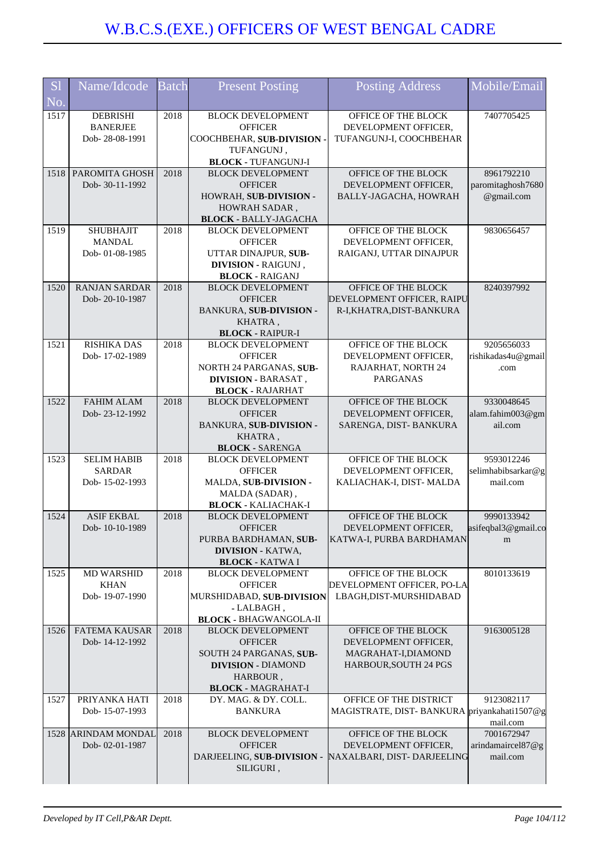| S <sub>1</sub> | Name/Idcode                         | <b>Batch</b> | <b>Present Posting</b>                              | Posting Address                                       | Mobile/Email                      |
|----------------|-------------------------------------|--------------|-----------------------------------------------------|-------------------------------------------------------|-----------------------------------|
| No.            |                                     |              |                                                     |                                                       |                                   |
| 1517           | <b>DEBRISHI</b>                     | 2018         | <b>BLOCK DEVELOPMENT</b>                            | OFFICE OF THE BLOCK                                   | 7407705425                        |
|                | <b>BANERJEE</b>                     |              | <b>OFFICER</b>                                      | DEVELOPMENT OFFICER,                                  |                                   |
|                | Dob-28-08-1991                      |              | COOCHBEHAR, SUB-DIVISION .<br>TUFANGUNJ,            | TUFANGUNJ-I, COOCHBEHAR                               |                                   |
|                |                                     |              | <b>BLOCK - TUFANGUNJ-I</b>                          |                                                       |                                   |
| 1518           | PAROMITA GHOSH                      | 2018         | <b>BLOCK DEVELOPMENT</b>                            | OFFICE OF THE BLOCK                                   | 8961792210                        |
|                | Dob-30-11-1992                      |              | <b>OFFICER</b>                                      | DEVELOPMENT OFFICER,                                  | paromitaghosh7680                 |
|                |                                     |              | HOWRAH, SUB-DIVISION -                              | BALLY-JAGACHA, HOWRAH                                 | @gmail.com                        |
|                |                                     |              | HOWRAH SADAR,<br><b>BLOCK - BALLY-JAGACHA</b>       |                                                       |                                   |
| 1519           | <b>SHUBHAJIT</b>                    | 2018         | <b>BLOCK DEVELOPMENT</b>                            | OFFICE OF THE BLOCK                                   | 9830656457                        |
|                | <b>MANDAL</b>                       |              | <b>OFFICER</b>                                      | DEVELOPMENT OFFICER,                                  |                                   |
|                | Dob-01-08-1985                      |              | UTTAR DINAJPUR, SUB-                                | RAIGANJ, UTTAR DINAJPUR                               |                                   |
|                |                                     |              | DIVISION - RAIGUNJ,<br><b>BLOCK - RAIGANJ</b>       |                                                       |                                   |
| 1520           | <b>RANJAN SARDAR</b>                | 2018         | <b>BLOCK DEVELOPMENT</b>                            | OFFICE OF THE BLOCK                                   | 8240397992                        |
|                | Dob-20-10-1987                      |              | <b>OFFICER</b>                                      | DEVELOPMENT OFFICER, RAIPU                            |                                   |
|                |                                     |              | BANKURA, SUB-DIVISION -                             | R-I,KHATRA,DIST-BANKURA                               |                                   |
|                |                                     |              | KHATRA,                                             |                                                       |                                   |
| 1521           | RISHIKA DAS                         | 2018         | <b>BLOCK - RAIPUR-I</b><br><b>BLOCK DEVELOPMENT</b> | OFFICE OF THE BLOCK                                   | 9205656033                        |
|                | Dob-17-02-1989                      |              | <b>OFFICER</b>                                      | DEVELOPMENT OFFICER,                                  | rishikadas4u@gmail                |
|                |                                     |              | NORTH 24 PARGANAS, SUB-                             | RAJARHAT, NORTH 24                                    | .com                              |
|                |                                     |              | <b>DIVISION - BARASAT,</b>                          | <b>PARGANAS</b>                                       |                                   |
|                |                                     |              | <b>BLOCK - RAJARHAT</b>                             |                                                       |                                   |
| 1522           | FAHIM ALAM<br>Dob-23-12-1992        | 2018         | <b>BLOCK DEVELOPMENT</b><br><b>OFFICER</b>          | OFFICE OF THE BLOCK<br>DEVELOPMENT OFFICER,           | 9330048645<br>alam.fahim003@gm    |
|                |                                     |              | BANKURA, SUB-DIVISION -                             | SARENGA, DIST-BANKURA                                 | ail.com                           |
|                |                                     |              | KHATRA,                                             |                                                       |                                   |
|                |                                     |              | <b>BLOCK - SARENGA</b>                              |                                                       |                                   |
| 1523           | <b>SELIM HABIB</b><br><b>SARDAR</b> | 2018         | <b>BLOCK DEVELOPMENT</b><br><b>OFFICER</b>          | OFFICE OF THE BLOCK<br>DEVELOPMENT OFFICER,           | 9593012246<br>selimhabibsarkar@g  |
|                | Dob-15-02-1993                      |              | MALDA, SUB-DIVISION -                               | KALIACHAK-I, DIST- MALDA                              | mail.com                          |
|                |                                     |              | MALDA (SADAR),                                      |                                                       |                                   |
|                |                                     |              | <b>BLOCK - KALIACHAK-I</b>                          |                                                       |                                   |
| 1524           | <b>ASIF EKBAL</b><br>Dob-10-10-1989 | 2018         | <b>BLOCK DEVELOPMENT</b><br><b>OFFICER</b>          | OFFICE OF THE BLOCK<br>DEVELOPMENT OFFICER,           | 9990133942<br>asifeqbal3@gmail.co |
|                |                                     |              | PURBA BARDHAMAN, SUB-                               | KATWA-I, PURBA BARDHAMAN                              | m                                 |
|                |                                     |              | <b>DIVISION - KATWA.</b>                            |                                                       |                                   |
|                |                                     |              | <b>BLOCK - KATWA I</b>                              |                                                       |                                   |
| 1525           | <b>MD WARSHID</b>                   | 2018         | <b>BLOCK DEVELOPMENT</b>                            | OFFICE OF THE BLOCK                                   | 8010133619                        |
|                | <b>KHAN</b><br>Dob-19-07-1990       |              | <b>OFFICER</b><br>MURSHIDABAD, SUB-DIVISION         | DEVELOPMENT OFFICER, PO-LA<br>LBAGH, DIST-MURSHIDABAD |                                   |
|                |                                     |              | - LALBAGH,                                          |                                                       |                                   |
|                |                                     |              | <b>BLOCK - BHAGWANGOLA-II</b>                       |                                                       |                                   |
| 1526           | <b>FATEMA KAUSAR</b>                | 2018         | <b>BLOCK DEVELOPMENT</b>                            | OFFICE OF THE BLOCK                                   | 9163005128                        |
|                | Dob-14-12-1992                      |              | <b>OFFICER</b><br>SOUTH 24 PARGANAS, SUB-           | DEVELOPMENT OFFICER,<br>MAGRAHAT-I, DIAMOND           |                                   |
|                |                                     |              | <b>DIVISION - DIAMOND</b>                           | HARBOUR, SOUTH 24 PGS                                 |                                   |
|                |                                     |              | HARBOUR,                                            |                                                       |                                   |
|                |                                     |              | <b>BLOCK - MAGRAHAT-I</b>                           |                                                       |                                   |
| 1527           | PRIYANKA HATI                       | 2018         | DY. MAG. & DY. COLL.                                | OFFICE OF THE DISTRICT                                | 9123082117                        |
|                | Dob-15-07-1993                      |              | <b>BANKURA</b>                                      | MAGISTRATE, DIST-BANKURA priyankahati1507@g           | mail.com                          |
|                | 1528 ARINDAM MONDAL                 | 2018         | <b>BLOCK DEVELOPMENT</b>                            | OFFICE OF THE BLOCK                                   | 7001672947                        |
|                | Dob-02-01-1987                      |              | <b>OFFICER</b>                                      | DEVELOPMENT OFFICER,                                  | arindamaircel87@g                 |
|                |                                     |              | DARJEELING, SUB-DIVISION -                          | NAXALBARI, DIST-DARJEELING                            | mail.com                          |
|                |                                     |              | SILIGURI,                                           |                                                       |                                   |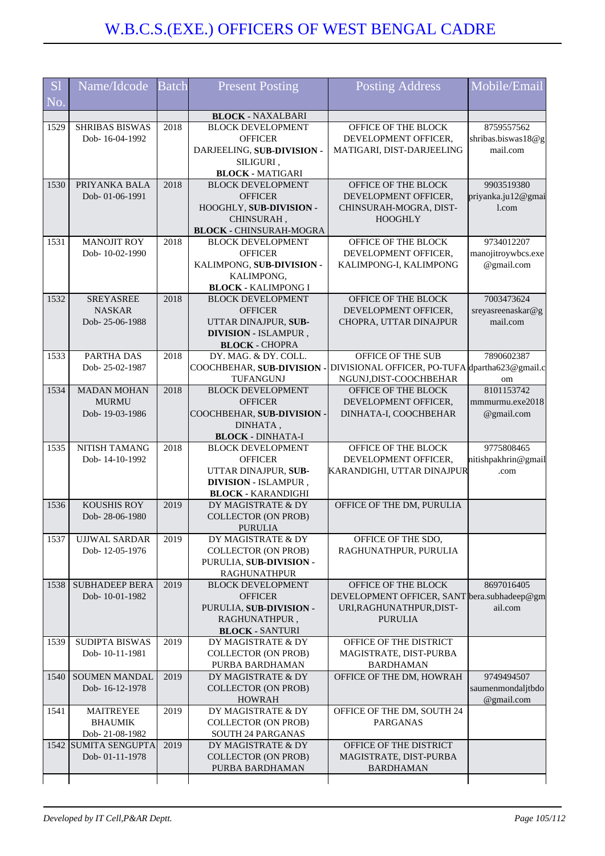| S <sub>1</sub><br>N <sub>o</sub> | Name/Idcode                      | <b>Batch</b> | <b>Present Posting</b>                                | <b>Posting Address</b>                                                   | Mobile/Email                |
|----------------------------------|----------------------------------|--------------|-------------------------------------------------------|--------------------------------------------------------------------------|-----------------------------|
|                                  |                                  |              | <b>BLOCK - NAXALBARI</b>                              |                                                                          |                             |
| 1529                             | <b>SHRIBAS BISWAS</b>            | 2018         | <b>BLOCK DEVELOPMENT</b>                              | OFFICE OF THE BLOCK                                                      | 8759557562                  |
|                                  | Dob-16-04-1992                   |              | <b>OFFICER</b>                                        | DEVELOPMENT OFFICER,                                                     | shribas.biswas18@g          |
|                                  |                                  |              | DARJEELING, SUB-DIVISION -                            | MATIGARI, DIST-DARJEELING                                                | mail.com                    |
|                                  |                                  |              | SILIGURI,                                             |                                                                          |                             |
| 1530                             | PRIYANKA BALA                    | 2018         | <b>BLOCK - MATIGARI</b><br><b>BLOCK DEVELOPMENT</b>   | OFFICE OF THE BLOCK                                                      | 9903519380                  |
|                                  | Dob-01-06-1991                   |              | <b>OFFICER</b>                                        | DEVELOPMENT OFFICER,                                                     | priyanka.ju12@gmai          |
|                                  |                                  |              | HOOGHLY, SUB-DIVISION -                               | CHINSURAH-MOGRA, DIST-                                                   | 1.com                       |
|                                  |                                  |              | CHINSURAH,                                            | <b>HOOGHLY</b>                                                           |                             |
|                                  |                                  |              | <b>BLOCK - CHINSURAH-MOGRA</b>                        |                                                                          |                             |
| 1531                             | <b>MANOJIT ROY</b>               | 2018         | <b>BLOCK DEVELOPMENT</b>                              | OFFICE OF THE BLOCK                                                      | 9734012207                  |
|                                  | Dob-10-02-1990                   |              | <b>OFFICER</b>                                        | DEVELOPMENT OFFICER,                                                     | manojitroywbcs.exe          |
|                                  |                                  |              | KALIMPONG, SUB-DIVISION -                             | KALIMPONG-I, KALIMPONG                                                   | @gmail.com                  |
|                                  |                                  |              | KALIMPONG,<br><b>BLOCK - KALIMPONG I</b>              |                                                                          |                             |
| 1532                             | <b>SREYASREE</b>                 | 2018         | <b>BLOCK DEVELOPMENT</b>                              | OFFICE OF THE BLOCK                                                      | 7003473624                  |
|                                  | <b>NASKAR</b>                    |              | <b>OFFICER</b>                                        | DEVELOPMENT OFFICER,                                                     | sreyasreenaskar@g           |
|                                  | Dob-25-06-1988                   |              | UTTAR DINAJPUR, SUB-                                  | CHOPRA, UTTAR DINAJPUR                                                   | mail.com                    |
|                                  |                                  |              | <b>DIVISION - ISLAMPUR,</b>                           |                                                                          |                             |
|                                  |                                  |              | <b>BLOCK - CHOPRA</b>                                 |                                                                          |                             |
| 1533                             | PARTHA DAS                       | 2018         | DY. MAG. & DY. COLL.                                  | OFFICE OF THE SUB                                                        | 7890602387                  |
|                                  | Dob-25-02-1987                   |              | COOCHBEHAR, SUB-DIVISION -<br>TUFANGUNJ               | DIVISIONAL OFFICER, PO-TUFA dpartha623@gmail.c<br>NGUNJ, DIST-COOCHBEHAR | om                          |
| 1534                             | <b>MADAN MOHAN</b>               | 2018         | <b>BLOCK DEVELOPMENT</b>                              | OFFICE OF THE BLOCK                                                      | 8101153742                  |
|                                  | <b>MURMU</b>                     |              | <b>OFFICER</b>                                        | DEVELOPMENT OFFICER,                                                     | mmmurmu.exe2018             |
|                                  | Dob-19-03-1986                   |              | COOCHBEHAR, SUB-DIVISION -                            | DINHATA-I, COOCHBEHAR                                                    | @gmail.com                  |
|                                  |                                  |              | DINHATA,                                              |                                                                          |                             |
|                                  |                                  |              | <b>BLOCK - DINHATA-I</b>                              |                                                                          |                             |
| 1535                             | NITISH TAMANG                    | 2018         | <b>BLOCK DEVELOPMENT</b>                              | OFFICE OF THE BLOCK                                                      | 9775808465                  |
|                                  | Dob-14-10-1992                   |              | <b>OFFICER</b><br>UTTAR DINAJPUR, SUB-                | DEVELOPMENT OFFICER,<br>KARANDIGHI, UTTAR DINAJPUR                       | nitishpakhrin@gmail<br>.com |
|                                  |                                  |              | <b>DIVISION - ISLAMPUR,</b>                           |                                                                          |                             |
|                                  |                                  |              | <b>BLOCK - KARANDIGHI</b>                             |                                                                          |                             |
| 1536                             | <b>KOUSHIS ROY</b>               | 2019         | DY MAGISTRATE & DY                                    | OFFICE OF THE DM, PURULIA                                                |                             |
|                                  | Dob-28-06-1980                   |              | <b>COLLECTOR (ON PROB)</b>                            |                                                                          |                             |
|                                  |                                  |              | <b>PURULIA</b>                                        |                                                                          |                             |
| 1537                             | <b>UJJWAL SARDAR</b>             | 2019         | DY MAGISTRATE & DY                                    | OFFICE OF THE SDO,                                                       |                             |
|                                  | Dob-12-05-1976                   |              | <b>COLLECTOR (ON PROB)</b><br>PURULIA, SUB-DIVISION - | RAGHUNATHPUR, PURULIA                                                    |                             |
|                                  |                                  |              | <b>RAGHUNATHPUR</b>                                   |                                                                          |                             |
| 1538                             | <b>SUBHADEEP BERA</b>            | 2019         | <b>BLOCK DEVELOPMENT</b>                              | OFFICE OF THE BLOCK                                                      | 8697016405                  |
|                                  | Dob-10-01-1982                   |              | <b>OFFICER</b>                                        | DEVELOPMENT OFFICER, SANT bera.subhadeep@gm                              |                             |
|                                  |                                  |              | PURULIA, SUB-DIVISION -                               | URI, RAGHUNATHPUR, DIST-                                                 | ail.com                     |
|                                  |                                  |              | RAGHUNATHPUR,                                         | <b>PURULIA</b>                                                           |                             |
|                                  | <b>SUDIPTA BISWAS</b>            |              | <b>BLOCK - SANTURI</b>                                |                                                                          |                             |
| 1539                             | Dob-10-11-1981                   | 2019         | DY MAGISTRATE & DY<br><b>COLLECTOR (ON PROB)</b>      | OFFICE OF THE DISTRICT<br>MAGISTRATE, DIST-PURBA                         |                             |
|                                  |                                  |              | PURBA BARDHAMAN                                       | <b>BARDHAMAN</b>                                                         |                             |
| 1540                             | <b>SOUMEN MANDAL</b>             | 2019         | DY MAGISTRATE & DY                                    | OFFICE OF THE DM, HOWRAH                                                 | 9749494507                  |
|                                  | Dob-16-12-1978                   |              | <b>COLLECTOR (ON PROB)</b>                            |                                                                          | saumenmondaljtbdo           |
|                                  |                                  |              | <b>HOWRAH</b>                                         |                                                                          | @gmail.com                  |
| 1541                             | <b>MAITREYEE</b>                 | 2019         | DY MAGISTRATE & DY                                    | OFFICE OF THE DM, SOUTH 24                                               |                             |
|                                  | <b>BHAUMIK</b><br>Dob-21-08-1982 |              | <b>COLLECTOR (ON PROB)</b><br>SOUTH 24 PARGANAS       | <b>PARGANAS</b>                                                          |                             |
|                                  | 1542 SUMITA SENGUPTA             | 2019         | DY MAGISTRATE & DY                                    | OFFICE OF THE DISTRICT                                                   |                             |
|                                  | Dob-01-11-1978                   |              | <b>COLLECTOR (ON PROB)</b>                            | MAGISTRATE, DIST-PURBA                                                   |                             |
|                                  |                                  |              | PURBA BARDHAMAN                                       | <b>BARDHAMAN</b>                                                         |                             |
|                                  |                                  |              |                                                       |                                                                          |                             |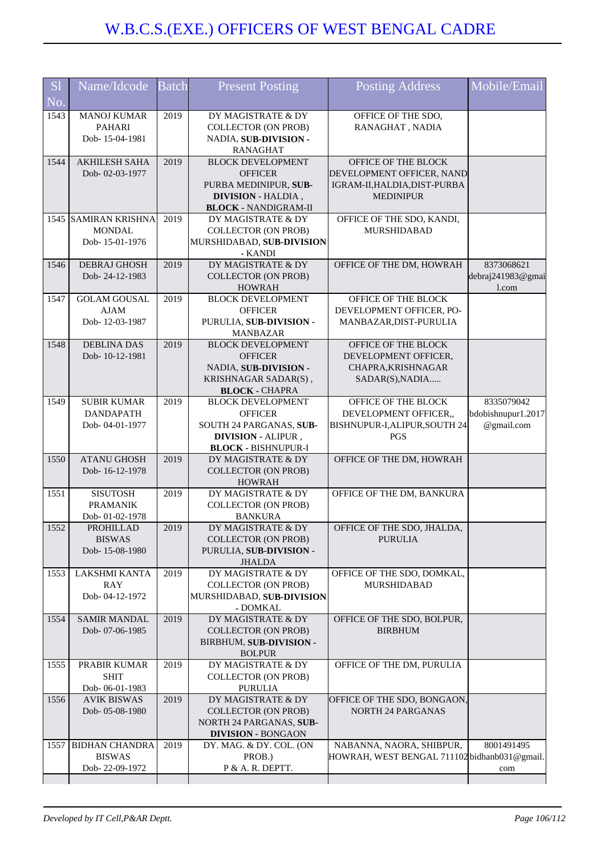| <b>S</b> l | Name/Idcode                        | <b>Batch</b> | <b>Present Posting</b>                                   | <b>Posting Address</b>                       | Mobile/Email       |
|------------|------------------------------------|--------------|----------------------------------------------------------|----------------------------------------------|--------------------|
| No.        |                                    |              |                                                          |                                              |                    |
| 1543       | <b>MANOJ KUMAR</b>                 | 2019         | DY MAGISTRATE & DY                                       | OFFICE OF THE SDO,                           |                    |
|            | <b>PAHARI</b>                      |              | <b>COLLECTOR (ON PROB)</b>                               | RANAGHAT, NADIA                              |                    |
|            | Dob-15-04-1981                     |              | NADIA, SUB-DIVISION -<br><b>RANAGHAT</b>                 |                                              |                    |
| 1544       | <b>AKHILESH SAHA</b>               | 2019         | <b>BLOCK DEVELOPMENT</b>                                 | OFFICE OF THE BLOCK                          |                    |
|            | Dob-02-03-1977                     |              | <b>OFFICER</b>                                           | DEVELOPMENT OFFICER, NAND                    |                    |
|            |                                    |              | PURBA MEDINIPUR, SUB-                                    | IGRAM-II, HALDIA, DIST-PURBA                 |                    |
|            |                                    |              | <b>DIVISION - HALDIA,</b><br><b>BLOCK - NANDIGRAM-II</b> | <b>MEDINIPUR</b>                             |                    |
|            | 1545 SAMIRAN KRISHNA               | 2019         | DY MAGISTRATE & DY                                       | OFFICE OF THE SDO, KANDI,                    |                    |
|            | <b>MONDAL</b>                      |              | <b>COLLECTOR (ON PROB)</b>                               | <b>MURSHIDABAD</b>                           |                    |
|            | Dob-15-01-1976                     |              | MURSHIDABAD, SUB-DIVISION                                |                                              |                    |
| 1546       | <b>DEBRAJ GHOSH</b>                | 2019         | - KANDI<br>DY MAGISTRATE & DY                            | OFFICE OF THE DM, HOWRAH                     | 8373068621         |
|            | Dob-24-12-1983                     |              | <b>COLLECTOR (ON PROB)</b>                               |                                              | debraj241983@gmai  |
|            |                                    |              | <b>HOWRAH</b>                                            |                                              | 1.com              |
| 1547       | <b>GOLAM GOUSAL</b>                | 2019         | <b>BLOCK DEVELOPMENT</b>                                 | OFFICE OF THE BLOCK                          |                    |
|            | <b>AJAM</b><br>Dob-12-03-1987      |              | <b>OFFICER</b><br>PURULIA, SUB-DIVISION -                | DEVELOPMENT OFFICER, PO-                     |                    |
|            |                                    |              | <b>MANBAZAR</b>                                          | MANBAZAR, DIST-PURULIA                       |                    |
| 1548       | <b>DEBLINA DAS</b>                 | 2019         | <b>BLOCK DEVELOPMENT</b>                                 | OFFICE OF THE BLOCK                          |                    |
|            | Dob-10-12-1981                     |              | <b>OFFICER</b>                                           | DEVELOPMENT OFFICER,                         |                    |
|            |                                    |              | NADIA, SUB-DIVISION -                                    | CHAPRA, KRISHNAGAR                           |                    |
|            |                                    |              | KRISHNAGAR SADAR(S),<br><b>BLOCK - CHAPRA</b>            | SADAR(S), NADIA                              |                    |
| 1549       | <b>SUBIR KUMAR</b>                 | 2019         | <b>BLOCK DEVELOPMENT</b>                                 | OFFICE OF THE BLOCK                          | 8335079042         |
|            | <b>DANDAPATH</b>                   |              | <b>OFFICER</b>                                           | DEVELOPMENT OFFICER,,                        | bdobishnupur1.2017 |
|            | Dob-04-01-1977                     |              | SOUTH 24 PARGANAS, SUB-                                  | BISHNUPUR-I, ALIPUR, SOUTH 24                | @gmail.com         |
|            |                                    |              | DIVISION - ALIPUR,<br><b>BLOCK - BISHNUPUR-I</b>         | PGS                                          |                    |
| 1550       | <b>ATANU GHOSH</b>                 | 2019         | DY MAGISTRATE & DY                                       | OFFICE OF THE DM, HOWRAH                     |                    |
|            | Dob-16-12-1978                     |              | <b>COLLECTOR (ON PROB)</b>                               |                                              |                    |
|            |                                    |              | <b>HOWRAH</b>                                            |                                              |                    |
| 1551       | <b>SISUTOSH</b><br><b>PRAMANIK</b> | 2019         | DY MAGISTRATE & DY<br><b>COLLECTOR (ON PROB)</b>         | OFFICE OF THE DM, BANKURA                    |                    |
|            | Dob-01-02-1978                     |              | <b>BANKURA</b>                                           |                                              |                    |
| 1552       | PROHILLAD                          | 2019         | DY MAGISTRATE & DY                                       | OFFICE OF THE SDO, JHALDA,                   |                    |
|            | <b>BISWAS</b>                      |              | <b>COLLECTOR (ON PROB)</b>                               | <b>PURULIA</b>                               |                    |
|            | Dob-15-08-1980                     |              | PURULIA, SUB-DIVISION -<br><b>JHALDA</b>                 |                                              |                    |
| 1553       | LAKSHMI KANTA                      | 2019         | DY MAGISTRATE & DY                                       | OFFICE OF THE SDO, DOMKAL,                   |                    |
|            | <b>RAY</b>                         |              | <b>COLLECTOR (ON PROB)</b>                               | MURSHIDABAD                                  |                    |
|            | Dob-04-12-1972                     |              | MURSHIDABAD, SUB-DIVISION<br>- DOMKAL                    |                                              |                    |
| 1554       | <b>SAMIR MANDAL</b>                | 2019         | DY MAGISTRATE & DY                                       | OFFICE OF THE SDO, BOLPUR,                   |                    |
|            | Dob-07-06-1985                     |              | <b>COLLECTOR (ON PROB)</b>                               | <b>BIRBHUM</b>                               |                    |
|            |                                    |              | BIRBHUM, SUB-DIVISION -                                  |                                              |                    |
| 1555       | PRABIR KUMAR                       | 2019         | <b>BOLPUR</b><br>DY MAGISTRATE & DY                      | OFFICE OF THE DM, PURULIA                    |                    |
|            | <b>SHIT</b>                        |              | <b>COLLECTOR (ON PROB)</b>                               |                                              |                    |
|            | Dob-06-01-1983                     |              | <b>PURULIA</b>                                           |                                              |                    |
| 1556       | <b>AVIK BISWAS</b>                 | 2019         | DY MAGISTRATE & DY                                       | OFFICE OF THE SDO, BONGAON,                  |                    |
|            | Dob-05-08-1980                     |              | <b>COLLECTOR (ON PROB)</b><br>NORTH 24 PARGANAS, SUB-    | <b>NORTH 24 PARGANAS</b>                     |                    |
|            |                                    |              | <b>DIVISION - BONGAON</b>                                |                                              |                    |
| 1557       | <b>BIDHAN CHANDRA</b>              | 2019         | DY. MAG. & DY. COL. (ON                                  | NABANNA, NAORA, SHIBPUR,                     | 8001491495         |
|            | <b>BISWAS</b>                      |              | PROB.)                                                   | HOWRAH, WEST BENGAL 711102 bidhanb031@gmail. |                    |
|            | Dob-22-09-1972                     |              | P & A. R. DEPTT.                                         |                                              | com                |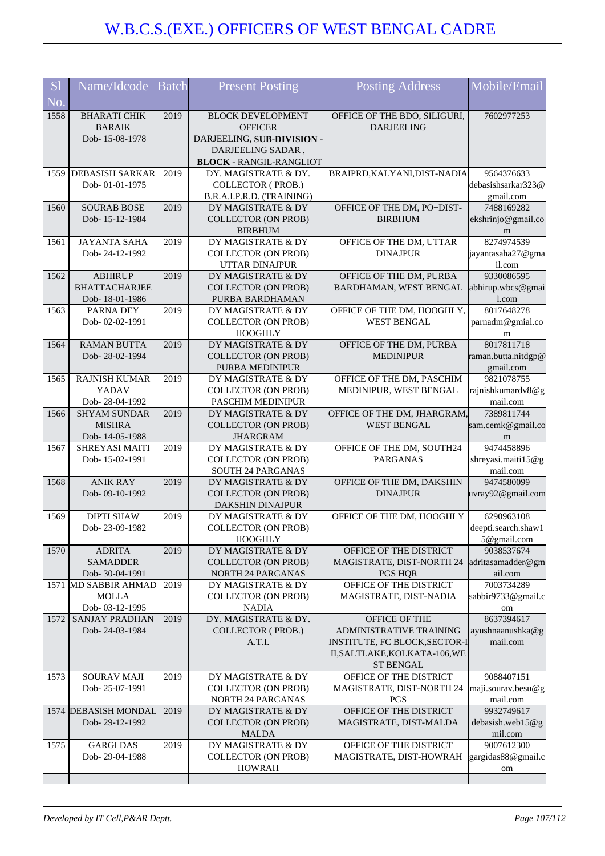| <b>S1</b>                | Name/Idcode                           | <b>Batch</b> | <b>Present Posting</b>                                | <b>Posting Address</b>                                         | Mobile/Email                       |
|--------------------------|---------------------------------------|--------------|-------------------------------------------------------|----------------------------------------------------------------|------------------------------------|
| $\overline{\text{No}}$ . |                                       |              |                                                       |                                                                |                                    |
| 1558                     | <b>BHARATI CHIK</b>                   | 2019         | <b>BLOCK DEVELOPMENT</b>                              | OFFICE OF THE BDO, SILIGURI,                                   | 7602977253                         |
|                          | <b>BARAIK</b><br>Dob-15-08-1978       |              | <b>OFFICER</b><br>DARJEELING, SUB-DIVISION -          | <b>DARJEELING</b>                                              |                                    |
|                          |                                       |              | DARJEELING SADAR,                                     |                                                                |                                    |
|                          |                                       |              | <b>BLOCK - RANGIL-RANGLIOT</b>                        |                                                                |                                    |
|                          | 1559 DEBASISH SARKAR                  | 2019         | DY. MAGISTRATE & DY.                                  | BRAIPRD, KALYANI, DIST-NADIA                                   | 9564376633                         |
|                          | Dob-01-01-1975                        |              | <b>COLLECTOR (PROB.)</b><br>B.R.A.I.P.R.D. (TRAINING) |                                                                | debasishsarkar323@<br>gmail.com    |
| 1560                     | <b>SOURAB BOSE</b>                    | 2019         | DY MAGISTRATE & DY                                    | OFFICE OF THE DM, PO+DIST-                                     | 7488169282                         |
|                          | Dob-15-12-1984                        |              | <b>COLLECTOR (ON PROB)</b>                            | <b>BIRBHUM</b>                                                 | ekshrinjo@gmail.co                 |
|                          |                                       |              | <b>BIRBHUM</b>                                        |                                                                | m                                  |
| 1561                     | <b>JAYANTA SAHA</b><br>Dob-24-12-1992 | 2019         | DY MAGISTRATE & DY<br><b>COLLECTOR (ON PROB)</b>      | OFFICE OF THE DM, UTTAR<br><b>DINAJPUR</b>                     | 8274974539<br>jayantasaha27@gma    |
|                          |                                       |              | UTTAR DINAJPUR                                        |                                                                | il.com                             |
| 1562                     | <b>ABHIRUP</b>                        | 2019         | DY MAGISTRATE & DY                                    | OFFICE OF THE DM, PURBA                                        | 9330086595                         |
|                          | <b>BHATTACHARJEE</b>                  |              | <b>COLLECTOR (ON PROB)</b>                            | BARDHAMAN, WEST BENGAL                                         | abhirup.wbcs@gmai                  |
| 1563                     | Dob-18-01-1986<br>PARNA DEY           | 2019         | PURBA BARDHAMAN<br>DY MAGISTRATE & DY                 | OFFICE OF THE DM, HOOGHLY,                                     | 1.com<br>8017648278                |
|                          | Dob-02-02-1991                        |              | <b>COLLECTOR (ON PROB)</b>                            | <b>WEST BENGAL</b>                                             | parnadm@gmial.co                   |
|                          |                                       |              | <b>HOOGHLY</b>                                        |                                                                | m                                  |
| 1564                     | <b>RAMAN BUTTA</b>                    | 2019         | DY MAGISTRATE & DY                                    | OFFICE OF THE DM, PURBA                                        | 8017811718                         |
|                          | Dob-28-02-1994                        |              | <b>COLLECTOR (ON PROB)</b><br><b>PURBA MEDINIPUR</b>  | <b>MEDINIPUR</b>                                               | raman.butta.nitdgp@<br>gmail.com   |
| 1565                     | <b>RAJNISH KUMAR</b>                  | 2019         | DY MAGISTRATE & DY                                    | OFFICE OF THE DM, PASCHIM                                      | 9821078755                         |
|                          | YADAV                                 |              | <b>COLLECTOR (ON PROB)</b>                            | MEDINIPUR, WEST BENGAL                                         | rajnishkumardv8@g                  |
|                          | Dob-28-04-1992                        |              | PASCHIM MEDINIPUR                                     |                                                                | mail.com                           |
| 1566                     | <b>SHYAM SUNDAR</b><br><b>MISHRA</b>  | 2019         | DY MAGISTRATE & DY<br><b>COLLECTOR (ON PROB)</b>      | OFFICE OF THE DM, JHARGRAM,<br><b>WEST BENGAL</b>              | 7389811744<br>sam.cemk@gmail.co    |
|                          | Dob-14-05-1988                        |              | <b>JHARGRAM</b>                                       |                                                                | m                                  |
| 1567                     | SHREYASI MAITI                        | 2019         | DY MAGISTRATE & DY                                    | OFFICE OF THE DM, SOUTH24                                      | 9474458896                         |
|                          | Dob-15-02-1991                        |              | <b>COLLECTOR (ON PROB)</b>                            | <b>PARGANAS</b>                                                | shreyasi.maiti15@g                 |
| 1568                     | <b>ANIK RAY</b>                       | 2019         | SOUTH 24 PARGANAS<br>DY MAGISTRATE & DY               | OFFICE OF THE DM, DAKSHIN                                      | mail.com<br>9474580099             |
|                          | Dob-09-10-1992                        |              | <b>COLLECTOR (ON PROB)</b>                            | <b>DINAJPUR</b>                                                | uvray92@gmail.com                  |
|                          |                                       |              | DAKSHIN DINAJPUR                                      |                                                                |                                    |
| 1569                     | <b>DIPTI SHAW</b>                     | 2019         | DY MAGISTRATE & DY                                    | OFFICE OF THE DM, HOOGHLY                                      | 6290963108                         |
|                          | Dob-23-09-1982                        |              | <b>COLLECTOR (ON PROB)</b><br><b>HOOGHLY</b>          |                                                                | deepti.search.shaw1<br>5@gmail.com |
| 1570                     | <b>ADRITA</b>                         | 2019         | DY MAGISTRATE & DY                                    | OFFICE OF THE DISTRICT                                         | 9038537674                         |
|                          | <b>SAMADDER</b>                       |              | <b>COLLECTOR (ON PROB)</b>                            | MAGISTRATE, DIST-NORTH 24                                      | adritasamadder@gm                  |
|                          | Dob- 30-04-1991                       |              | NORTH 24 PARGANAS                                     | <b>PGS HQR</b>                                                 | ail.com                            |
|                          | 1571 MD SABBIR AHMAD<br><b>MOLLA</b>  | 2019         | DY MAGISTRATE & DY<br><b>COLLECTOR (ON PROB)</b>      | OFFICE OF THE DISTRICT<br>MAGISTRATE, DIST-NADIA               | 7003734289<br>sabbir9733@gmail.c   |
|                          | Dob- 03-12-1995                       |              | <b>NADIA</b>                                          |                                                                | om                                 |
| 1572                     | <b>SANJAY PRADHAN</b>                 | 2019         | DY. MAGISTRATE & DY.                                  | OFFICE OF THE                                                  | 8637394617                         |
|                          | Dob-24-03-1984                        |              | <b>COLLECTOR (PROB.)</b>                              | <b>ADMINISTRATIVE TRAINING</b>                                 | ayushnaanushka@g                   |
|                          |                                       |              | A.T.I.                                                | INSTITUTE, FC BLOCK, SECTOR-I<br>II, SALTLAKE, KOLKATA-106, WE | mail.com                           |
|                          |                                       |              |                                                       | <b>ST BENGAL</b>                                               |                                    |
| 1573                     | <b>SOURAV MAJI</b>                    | 2019         | DY MAGISTRATE & DY                                    | OFFICE OF THE DISTRICT                                         | 9088407151                         |
|                          | Dob-25-07-1991                        |              | <b>COLLECTOR (ON PROB)</b>                            | MAGISTRATE, DIST-NORTH 24                                      | maji.sourav.besu@g                 |
|                          | 1574 DEBASISH MONDAL                  | 2019         | <b>NORTH 24 PARGANAS</b><br>DY MAGISTRATE & DY        | <b>PGS</b><br>OFFICE OF THE DISTRICT                           | mail.com<br>9932749617             |
|                          | Dob-29-12-1992                        |              | <b>COLLECTOR (ON PROB)</b>                            | MAGISTRATE, DIST-MALDA                                         | debasish.web15@g                   |
|                          |                                       |              | <b>MALDA</b>                                          |                                                                | mil.com                            |
| 1575                     | <b>GARGI DAS</b>                      | 2019         | DY MAGISTRATE & DY                                    | OFFICE OF THE DISTRICT                                         | 9007612300                         |
|                          | Dob-29-04-1988                        |              | <b>COLLECTOR (ON PROB)</b><br><b>HOWRAH</b>           | MAGISTRATE, DIST-HOWRAH                                        | gargidas88@gmail.c<br>om           |
|                          |                                       |              |                                                       |                                                                |                                    |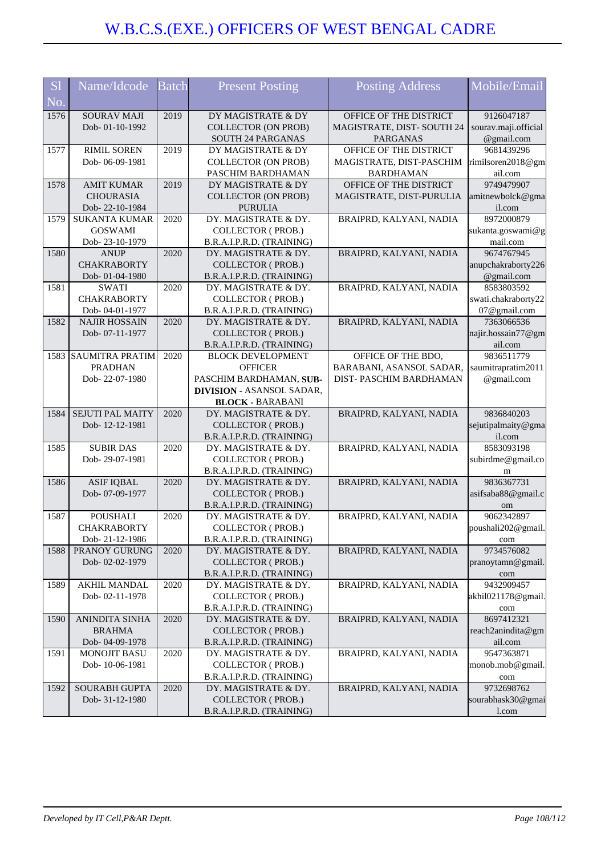| <b>S1</b> | Name/Idcode                            | Batch | <b>Present Posting</b>                           | <b>Posting Address</b>                         | Mobile/Email             |
|-----------|----------------------------------------|-------|--------------------------------------------------|------------------------------------------------|--------------------------|
|           |                                        |       |                                                  |                                                |                          |
| No.       |                                        |       |                                                  |                                                |                          |
| 1576      | <b>SOURAV MAJI</b>                     | 2019  | DY MAGISTRATE & DY<br><b>COLLECTOR (ON PROB)</b> | OFFICE OF THE DISTRICT                         | 9126047187               |
|           | Dob-01-10-1992                         |       |                                                  | MAGISTRATE, DIST-SOUTH 24                      | sourav.maji.official     |
| 1577      | RIMIL SOREN                            | 2019  | SOUTH 24 PARGANAS<br>DY MAGISTRATE & DY          | <b>PARGANAS</b><br>OFFICE OF THE DISTRICT      | @gmail.com<br>9681439296 |
|           | Dob-06-09-1981                         |       | <b>COLLECTOR (ON PROB)</b>                       | MAGISTRATE, DIST-PASCHIM                       | rimilsoren2018@gm        |
|           |                                        |       | PASCHIM BARDHAMAN                                | <b>BARDHAMAN</b>                               | ail.com                  |
| 1578      | <b>AMIT KUMAR</b>                      | 2019  | DY MAGISTRATE & DY                               | OFFICE OF THE DISTRICT                         | 9749479907               |
|           | <b>CHOURASIA</b>                       |       | <b>COLLECTOR (ON PROB)</b>                       | MAGISTRATE, DIST-PURULIA                       | amitnewbolck@gma         |
|           | Dob-22-10-1984                         |       | <b>PURULIA</b>                                   |                                                | il.com                   |
| 1579      | <b>SUKANTA KUMAR</b>                   | 2020  | DY. MAGISTRATE & DY.                             | BRAIPRD, KALYANI, NADIA                        | 8972000879               |
|           | <b>GOSWAMI</b>                         |       | <b>COLLECTOR (PROB.)</b>                         |                                                | sukanta.goswami@g        |
|           | Dob-23-10-1979                         |       | B.R.A.I.P.R.D. (TRAINING)                        |                                                | mail.com                 |
| 1580      | <b>ANUP</b>                            | 2020  | DY. MAGISTRATE & DY.                             | BRAIPRD, KALYANI, NADIA                        | 9674767945               |
|           | <b>CHAKRABORTY</b>                     |       | <b>COLLECTOR (PROB.)</b>                         |                                                | anupchakraborty226       |
|           | Dob- 01-04-1980                        |       | B.R.A.I.P.R.D. (TRAINING)                        |                                                | @gmail.com               |
| 1581      | <b>SWATI</b>                           | 2020  | DY. MAGISTRATE & DY.                             | BRAIPRD, KALYANI, NADIA                        | 8583803592               |
|           | <b>CHAKRABORTY</b>                     |       | COLLECTOR (PROB.)                                |                                                | swati.chakraborty22      |
|           | Dob-04-01-1977                         |       | B.R.A.I.P.R.D. (TRAINING)                        |                                                | 07@gmail.com             |
| 1582      | <b>NAJIR HOSSAIN</b>                   | 2020  | DY. MAGISTRATE & DY.                             | BRAIPRD, KALYANI, NADIA                        | 7363066536               |
|           | Dob-07-11-1977                         |       | <b>COLLECTOR (PROB.)</b>                         |                                                | najir.hossain77@gm       |
|           |                                        | 2020  | B.R.A.I.P.R.D. (TRAINING)                        |                                                | ail.com<br>9836511779    |
|           | 1583 SAUMITRA PRATIM<br><b>PRADHAN</b> |       | <b>BLOCK DEVELOPMENT</b><br><b>OFFICER</b>       | OFFICE OF THE BDO,<br>BARABANI, ASANSOL SADAR, | saumitrapratim2011       |
|           | Dob-22-07-1980                         |       | PASCHIM BARDHAMAN, SUB-                          | DIST-PASCHIM BARDHAMAN                         | @gmail.com               |
|           |                                        |       | <b>DIVISION - ASANSOL SADAR,</b>                 |                                                |                          |
|           |                                        |       | <b>BLOCK - BARABANI</b>                          |                                                |                          |
| 1584      | <b>SEJUTI PAL MAITY</b>                | 2020  | DY. MAGISTRATE & DY.                             | BRAIPRD, KALYANI, NADIA                        | 9836840203               |
|           | Dob-12-12-1981                         |       | <b>COLLECTOR (PROB.)</b>                         |                                                | sejutipalmaity@gma       |
|           |                                        |       | B.R.A.I.P.R.D. (TRAINING)                        |                                                | il.com                   |
| 1585      | <b>SUBIR DAS</b>                       | 2020  | DY. MAGISTRATE & DY.                             | BRAIPRD, KALYANI, NADIA                        | 8583093198               |
|           | Dob-29-07-1981                         |       | <b>COLLECTOR (PROB.)</b>                         |                                                | subirdme@gmail.co        |
|           |                                        |       | B.R.A.I.P.R.D. (TRAINING)                        |                                                | m                        |
| 1586      | <b>ASIF IQBAL</b>                      | 2020  | DY. MAGISTRATE & DY.                             | BRAIPRD, KALYANI, NADIA                        | 9836367731               |
|           | Dob- 07-09-1977                        |       | <b>COLLECTOR (PROB.)</b>                         |                                                | asifsaba88@gmail.c       |
|           |                                        |       | B.R.A.I.P.R.D. (TRAINING)                        |                                                | om                       |
| 1587      | <b>POUSHALI</b>                        | 2020  | DY. MAGISTRATE & DY.                             | BRAIPRD, KALYANI, NADIA                        | 9062342897               |
|           | <b>CHAKRABORTY</b>                     |       | <b>COLLECTOR (PROB.)</b>                         |                                                | poushali202@gmail.       |
|           | Dob-21-12-1986                         |       | B.R.A.I.P.R.D. (TRAINING)                        |                                                | com                      |
| 1588      | PRANOY GURUNG                          | 2020  | DY. MAGISTRATE & DY.<br><b>COLLECTOR (PROB.)</b> | BRAIPRD, KALYANI, NADIA                        | 9734576082               |
|           | Dob-02-02-1979                         |       | B.R.A.I.P.R.D. (TRAINING)                        |                                                | pranoytamn@gmail.        |
| 1589      | <b>AKHIL MANDAL</b>                    | 2020  | DY. MAGISTRATE & DY.                             | BRAIPRD, KALYANI, NADIA                        | com<br>9432909457        |
|           | Dob-02-11-1978                         |       | <b>COLLECTOR (PROB.)</b>                         |                                                | akhil021178@gmail.       |
|           |                                        |       | B.R.A.I.P.R.D. (TRAINING)                        |                                                | com                      |
| 1590      | <b>ANINDITA SINHA</b>                  | 2020  | DY. MAGISTRATE & DY.                             | BRAIPRD, KALYANI, NADIA                        | 8697412321               |
|           | <b>BRAHMA</b>                          |       | <b>COLLECTOR (PROB.)</b>                         |                                                | reach2anindita@gm        |
|           | Dob-04-09-1978                         |       | B.R.A.I.P.R.D. (TRAINING)                        |                                                | ail.com                  |
| 1591      | <b>MONOJIT BASU</b>                    | 2020  | DY. MAGISTRATE & DY.                             | BRAIPRD, KALYANI, NADIA                        | 9547363871               |
|           | Dob-10-06-1981                         |       | <b>COLLECTOR (PROB.)</b>                         |                                                | monob.mob@gmail.         |
|           |                                        |       | B.R.A.I.P.R.D. (TRAINING)                        |                                                | com                      |
| 1592      | SOURABH GUPTA                          | 2020  | DY. MAGISTRATE & DY.                             | BRAIPRD, KALYANI, NADIA                        | 9732698762               |
|           | Dob- 31-12-1980                        |       | COLLECTOR (PROB.)                                |                                                | sourabhask30@gmai        |
|           |                                        |       | B.R.A.I.P.R.D. (TRAINING)                        |                                                | l.com                    |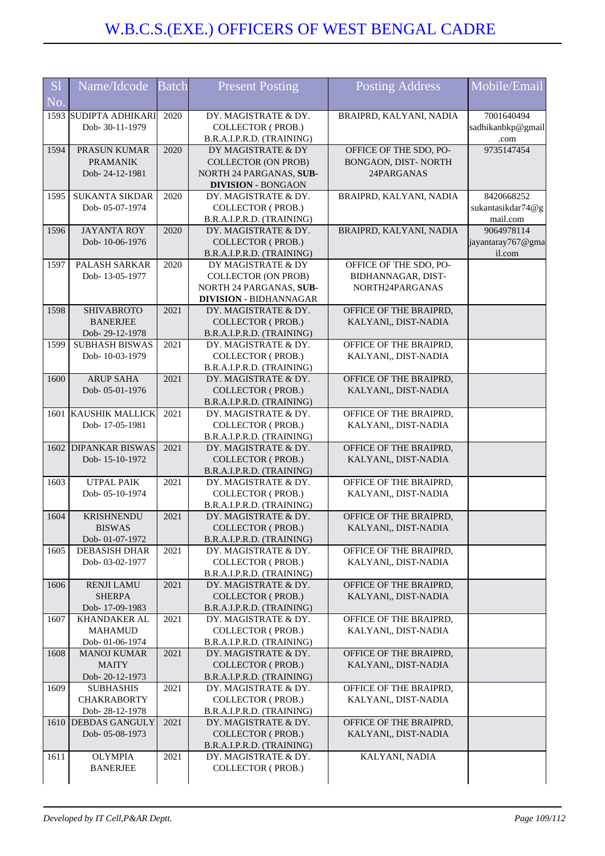| <b>S1</b><br>No. | Name/Idcode                             | <b>Batch</b> | <b>Present Posting</b>                            | <b>Posting Address</b>                         | Mobile/Email      |
|------------------|-----------------------------------------|--------------|---------------------------------------------------|------------------------------------------------|-------------------|
|                  | 1593 SUDIPTA ADHIKARI                   | 2020         | DY. MAGISTRATE & DY.                              | BRAIPRD, KALYANI, NADIA                        | 7001640494        |
|                  | Dob- 30-11-1979                         |              | <b>COLLECTOR (PROB.)</b>                          |                                                | sadhikanbkp@gmail |
|                  |                                         |              | B.R.A.I.P.R.D. (TRAINING)                         |                                                | .com              |
| 1594             | PRASUN KUMAR                            | 2020         | DY MAGISTRATE & DY                                | OFFICE OF THE SDO, PO-                         | 9735147454        |
|                  | <b>PRAMANIK</b>                         |              | <b>COLLECTOR (ON PROB)</b>                        | BONGAON, DIST-NORTH                            |                   |
|                  | Dob-24-12-1981                          |              | NORTH 24 PARGANAS, SUB-                           | 24PARGANAS                                     |                   |
|                  |                                         |              | <b>DIVISION - BONGAON</b>                         |                                                |                   |
| 1595             | <b>SUKANTA SIKDAR</b>                   | 2020         | DY. MAGISTRATE & DY.                              | BRAIPRD, KALYANI, NADIA                        | 8420668252        |
|                  | Dob- 05-07-1974                         |              | COLLECTOR (PROB.)                                 |                                                | sukantasikdar74@g |
|                  |                                         |              | B.R.A.I.P.R.D. (TRAINING)                         |                                                | mail.com          |
| 1596             | <b>JAYANTA ROY</b>                      | 2020         | DY. MAGISTRATE & DY.                              | BRAIPRD, KALYANI, NADIA                        | 9064978114        |
|                  | Dob-10-06-1976                          |              | <b>COLLECTOR (PROB.)</b>                          |                                                | jayantaray767@gma |
|                  |                                         |              | B.R.A.I.P.R.D. (TRAINING)                         |                                                | il.com            |
| 1597             | PALASH SARKAR                           | 2020         | DY MAGISTRATE & DY                                | OFFICE OF THE SDO, PO-                         |                   |
|                  | Dob-13-05-1977                          |              | <b>COLLECTOR (ON PROB)</b>                        | BIDHANNAGAR, DIST-                             |                   |
|                  |                                         |              | NORTH 24 PARGANAS, SUB-                           | NORTH24PARGANAS                                |                   |
|                  |                                         |              | <b>DIVISION - BIDHANNAGAR</b>                     |                                                |                   |
| 1598             | <b>SHIVABROTO</b>                       | 2021         | DY. MAGISTRATE & DY.                              | OFFICE OF THE BRAIPRD,                         |                   |
|                  | <b>BANERJEE</b>                         |              | <b>COLLECTOR (PROB.)</b>                          | KALYANI,, DIST-NADIA                           |                   |
| 1599             | Dob-29-12-1978<br><b>SUBHASH BISWAS</b> | 2021         | B.R.A.I.P.R.D. (TRAINING)<br>DY. MAGISTRATE & DY. | OFFICE OF THE BRAIPRD,                         |                   |
|                  | Dob-10-03-1979                          |              | <b>COLLECTOR (PROB.)</b>                          | KALYANI,, DIST-NADIA                           |                   |
|                  |                                         |              | B.R.A.I.P.R.D. (TRAINING)                         |                                                |                   |
| 1600             | <b>ARUP SAHA</b>                        | 2021         | DY. MAGISTRATE & DY.                              | OFFICE OF THE BRAIPRD,                         |                   |
|                  | Dob-05-01-1976                          |              | <b>COLLECTOR (PROB.)</b>                          | KALYANI,, DIST-NADIA                           |                   |
|                  |                                         |              | B.R.A.I.P.R.D. (TRAINING)                         |                                                |                   |
|                  | 1601 KAUSHIK MALLICK                    | 2021         | DY. MAGISTRATE & DY.                              | OFFICE OF THE BRAIPRD,                         |                   |
|                  | Dob-17-05-1981                          |              | COLLECTOR (PROB.)                                 | KALYANI,, DIST-NADIA                           |                   |
|                  |                                         |              | B.R.A.I.P.R.D. (TRAINING)                         |                                                |                   |
| 1602             | <b>DIPANKAR BISWAS</b>                  | 2021         | DY. MAGISTRATE & DY.                              | OFFICE OF THE BRAIPRD,                         |                   |
|                  | Dob-15-10-1972                          |              | <b>COLLECTOR (PROB.)</b>                          | KALYANI,, DIST-NADIA                           |                   |
|                  |                                         |              | B.R.A.I.P.R.D. (TRAINING)                         |                                                |                   |
| 1603             | <b>UTPAL PAIK</b>                       | 2021         | DY. MAGISTRATE & DY.                              | OFFICE OF THE BRAIPRD,                         |                   |
|                  | Dob-05-10-1974                          |              | <b>COLLECTOR (PROB.)</b>                          | KALYANI,, DIST-NADIA                           |                   |
|                  |                                         |              | B.R.A.I.P.R.D. (TRAINING)                         |                                                |                   |
| 1604             | <b>KRISHNENDU</b>                       | 2021         | DY. MAGISTRATE & DY.                              | OFFICE OF THE BRAIPRD,                         |                   |
|                  | <b>BISWAS</b>                           |              | <b>COLLECTOR (PROB.)</b>                          | KALYANI,, DIST-NADIA                           |                   |
|                  | Dob-01-07-1972                          |              | B.R.A.I.P.R.D. (TRAINING)                         |                                                |                   |
| 1605             | <b>DEBASISH DHAR</b>                    | 2021         | DY. MAGISTRATE & DY.                              | OFFICE OF THE BRAIPRD,                         |                   |
|                  | Dob- 03-02-1977                         |              | <b>COLLECTOR (PROB.)</b>                          | KALYANI,, DIST-NADIA                           |                   |
|                  |                                         |              | B.R.A.I.P.R.D. (TRAINING)                         |                                                |                   |
| 1606             | <b>RENJI LAMU</b><br><b>SHERPA</b>      | 2021         | DY. MAGISTRATE & DY.<br><b>COLLECTOR (PROB.)</b>  | OFFICE OF THE BRAIPRD,<br>KALYANI,, DIST-NADIA |                   |
|                  | Dob-17-09-1983                          |              | B.R.A.I.P.R.D. (TRAINING)                         |                                                |                   |
| 1607             | KHANDAKER AL                            | 2021         | DY. MAGISTRATE & DY.                              | OFFICE OF THE BRAIPRD,                         |                   |
|                  | <b>MAHAMUD</b>                          |              | <b>COLLECTOR (PROB.)</b>                          | KALYANI,, DIST-NADIA                           |                   |
|                  | Dob-01-06-1974                          |              | B.R.A.I.P.R.D. (TRAINING)                         |                                                |                   |
| 1608             | <b>MANOJ KUMAR</b>                      | 2021         | DY. MAGISTRATE & DY.                              | OFFICE OF THE BRAIPRD,                         |                   |
|                  | <b>MAITY</b>                            |              | <b>COLLECTOR (PROB.)</b>                          | KALYANI,, DIST-NADIA                           |                   |
|                  | Dob-20-12-1973                          |              | B.R.A.I.P.R.D. (TRAINING)                         |                                                |                   |
| 1609             | <b>SUBHASHIS</b>                        | 2021         | DY. MAGISTRATE & DY.                              | OFFICE OF THE BRAIPRD,                         |                   |
|                  | <b>CHAKRABORTY</b>                      |              | <b>COLLECTOR (PROB.)</b>                          | KALYANI,, DIST-NADIA                           |                   |
|                  | Dob-28-12-1978                          |              | B.R.A.I.P.R.D. (TRAINING)                         |                                                |                   |
| 1610             | <b>DEBDAS GANGULY</b>                   | 2021         | DY. MAGISTRATE & DY.                              | OFFICE OF THE BRAIPRD,                         |                   |
|                  | Dob-05-08-1973                          |              | COLLECTOR (PROB.)                                 | KALYANI,, DIST-NADIA                           |                   |
|                  |                                         |              | B.R.A.I.P.R.D. (TRAINING)                         |                                                |                   |
| 1611             | <b>OLYMPIA</b>                          | 2021         | DY. MAGISTRATE & DY.                              | KALYANI, NADIA                                 |                   |
|                  | <b>BANERJEE</b>                         |              | <b>COLLECTOR (PROB.)</b>                          |                                                |                   |
|                  |                                         |              |                                                   |                                                |                   |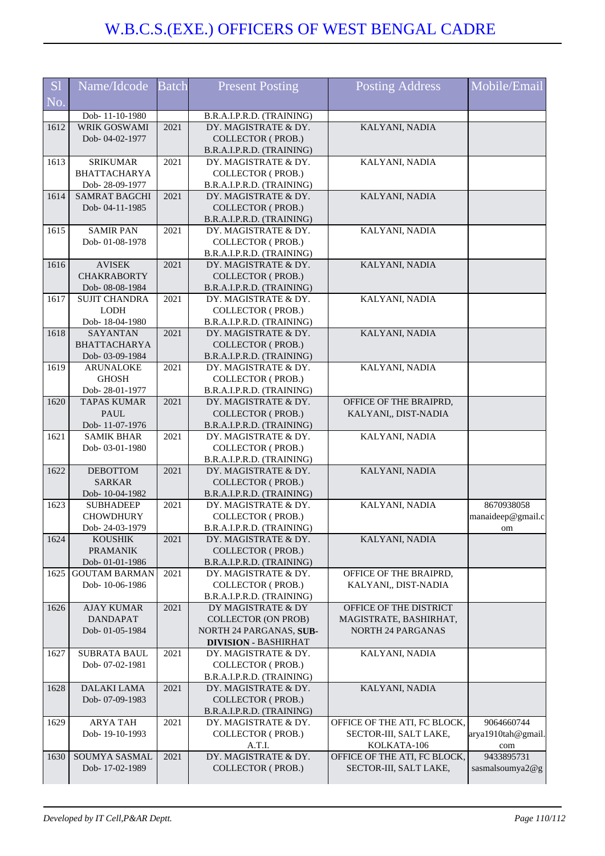| S <sub>1</sub>         | Name/Idcode                             | <b>Batch</b> | <b>Present Posting</b>                            | <b>Posting Address</b>       | Mobile/Email       |
|------------------------|-----------------------------------------|--------------|---------------------------------------------------|------------------------------|--------------------|
| $\overline{\text{No}}$ |                                         |              |                                                   |                              |                    |
|                        | Dob-11-10-1980                          |              | B.R.A.I.P.R.D. (TRAINING)                         |                              |                    |
| 1612                   | <b>WRIK GOSWAMI</b>                     | 2021         | DY. MAGISTRATE & DY.                              | KALYANI, NADIA               |                    |
|                        | Dob-04-02-1977                          |              | COLLECTOR (PROB.)                                 |                              |                    |
|                        |                                         |              | B.R.A.I.P.R.D. (TRAINING)                         |                              |                    |
| 1613                   | <b>SRIKUMAR</b>                         | 2021         | DY. MAGISTRATE & DY.                              | KALYANI, NADIA               |                    |
|                        | <b>BHATTACHARYA</b>                     |              | <b>COLLECTOR (PROB.)</b>                          |                              |                    |
|                        | Dob-28-09-1977                          |              | B.R.A.I.P.R.D. (TRAINING)                         |                              |                    |
| 1614                   | <b>SAMRAT BAGCHI</b>                    | 2021         | DY. MAGISTRATE & DY.                              | KALYANI, NADIA               |                    |
|                        | Dob-04-11-1985                          |              | <b>COLLECTOR (PROB.)</b>                          |                              |                    |
|                        |                                         |              | B.R.A.I.P.R.D. (TRAINING)                         |                              |                    |
| 1615                   | <b>SAMIR PAN</b>                        | 2021         | DY. MAGISTRATE & DY.                              | KALYANI, NADIA               |                    |
|                        | Dob-01-08-1978                          |              | <b>COLLECTOR (PROB.)</b>                          |                              |                    |
|                        |                                         |              | B.R.A.I.P.R.D. (TRAINING)                         |                              |                    |
| 1616                   | <b>AVISEK</b>                           | 2021         | DY. MAGISTRATE & DY.                              | KALYANI, NADIA               |                    |
|                        | <b>CHAKRABORTY</b>                      |              | COLLECTOR (PROB.)                                 |                              |                    |
| 1617                   | Dob- 08-08-1984<br><b>SUJIT CHANDRA</b> | 2021         | B.R.A.I.P.R.D. (TRAINING)<br>DY. MAGISTRATE & DY. | KALYANI, NADIA               |                    |
|                        | <b>LODH</b>                             |              | <b>COLLECTOR (PROB.)</b>                          |                              |                    |
|                        | Dob-18-04-1980                          |              | B.R.A.I.P.R.D. (TRAINING)                         |                              |                    |
| 1618                   | <b>SAYANTAN</b>                         | 2021         | DY. MAGISTRATE & DY.                              | KALYANI, NADIA               |                    |
|                        | <b>BHATTACHARYA</b>                     |              | <b>COLLECTOR (PROB.)</b>                          |                              |                    |
|                        | Dob-03-09-1984                          |              | B.R.A.I.P.R.D. (TRAINING)                         |                              |                    |
| 1619                   | <b>ARUNALOKE</b>                        | 2021         | DY. MAGISTRATE & DY.                              | KALYANI, NADIA               |                    |
|                        | <b>GHOSH</b>                            |              | COLLECTOR (PROB.)                                 |                              |                    |
|                        | Dob-28-01-1977                          |              | B.R.A.I.P.R.D. (TRAINING)                         |                              |                    |
| 1620                   | <b>TAPAS KUMAR</b>                      | 2021         | DY. MAGISTRATE & DY.                              | OFFICE OF THE BRAIPRD,       |                    |
|                        | <b>PAUL</b>                             |              | <b>COLLECTOR (PROB.)</b>                          | KALYANI,, DIST-NADIA         |                    |
|                        | Dob-11-07-1976                          |              | B.R.A.I.P.R.D. (TRAINING)                         |                              |                    |
| 1621                   | <b>SAMIK BHAR</b>                       | 2021         | DY. MAGISTRATE & DY.                              | KALYANI, NADIA               |                    |
|                        | Dob-03-01-1980                          |              | <b>COLLECTOR (PROB.)</b>                          |                              |                    |
|                        |                                         |              | B.R.A.I.P.R.D. (TRAINING)                         |                              |                    |
| 1622                   | <b>DEBOTTOM</b>                         | 2021         | DY. MAGISTRATE & DY.                              | KALYANI, NADIA               |                    |
|                        | <b>SARKAR</b>                           |              | <b>COLLECTOR (PROB.)</b>                          |                              |                    |
|                        | Dob-10-04-1982                          |              | B.R.A.I.P.R.D. (TRAINING)                         |                              |                    |
| 1623                   | <b>SUBHADEEP</b><br><b>CHOWDHURY</b>    | 2021         | DY. MAGISTRATE & DY.                              | KALYANI, NADIA               | 8670938058         |
|                        | Dob-24-03-1979                          |              | COLLECTOR (PROB.)<br>B.R.A.I.P.R.D. (TRAINING)    |                              | manaideep@gmail.c  |
| 1624                   | <b>KOUSHIK</b>                          | 2021         | DY. MAGISTRATE & DY.                              | KALYANI, NADIA               | om                 |
|                        | <b>PRAMANIK</b>                         |              | <b>COLLECTOR (PROB.)</b>                          |                              |                    |
|                        | Dob-01-01-1986                          |              | B.R.A.I.P.R.D. (TRAINING)                         |                              |                    |
| 1625                   | <b>GOUTAM BARMAN</b>                    | 2021         | DY. MAGISTRATE & DY.                              | OFFICE OF THE BRAIPRD,       |                    |
|                        | Dob-10-06-1986                          |              | <b>COLLECTOR (PROB.)</b>                          | KALYANI,, DIST-NADIA         |                    |
|                        |                                         |              | B.R.A.I.P.R.D. (TRAINING)                         |                              |                    |
| 1626                   | <b>AJAY KUMAR</b>                       | 2021         | DY MAGISTRATE & DY                                | OFFICE OF THE DISTRICT       |                    |
|                        | <b>DANDAPAT</b>                         |              | <b>COLLECTOR (ON PROB)</b>                        | MAGISTRATE, BASHIRHAT,       |                    |
|                        | Dob-01-05-1984                          |              | NORTH 24 PARGANAS, SUB-                           | <b>NORTH 24 PARGANAS</b>     |                    |
|                        |                                         |              | <b>DIVISION - BASHIRHAT</b>                       |                              |                    |
| 1627                   | <b>SUBRATA BAUL</b>                     | 2021         | DY. MAGISTRATE & DY.                              | KALYANI, NADIA               |                    |
|                        | Dob-07-02-1981                          |              | <b>COLLECTOR (PROB.)</b>                          |                              |                    |
|                        |                                         |              | B.R.A.I.P.R.D. (TRAINING)                         |                              |                    |
| 1628                   | DALAKI LAMA                             | 2021         | DY. MAGISTRATE & DY.                              | KALYANI, NADIA               |                    |
|                        | Dob-07-09-1983                          |              | <b>COLLECTOR (PROB.)</b>                          |                              |                    |
| 1629                   | <b>ARYA TAH</b>                         | 2021         | B.R.A.I.P.R.D. (TRAINING)<br>DY. MAGISTRATE & DY. | OFFICE OF THE ATI, FC BLOCK, | 9064660744         |
|                        | Dob-19-10-1993                          |              | COLLECTOR (PROB.)                                 | SECTOR-III, SALT LAKE,       | arya1910tah@gmail. |
|                        |                                         |              | A.T.I.                                            | KOLKATA-106                  | com                |
| 1630                   | <b>SOUMYA SASMAL</b>                    | 2021         | DY. MAGISTRATE & DY.                              | OFFICE OF THE ATI, FC BLOCK, | 9433895731         |
|                        | Dob-17-02-1989                          |              | <b>COLLECTOR (PROB.)</b>                          | SECTOR-III, SALT LAKE,       | sasmalsoumya2@g    |
|                        |                                         |              |                                                   |                              |                    |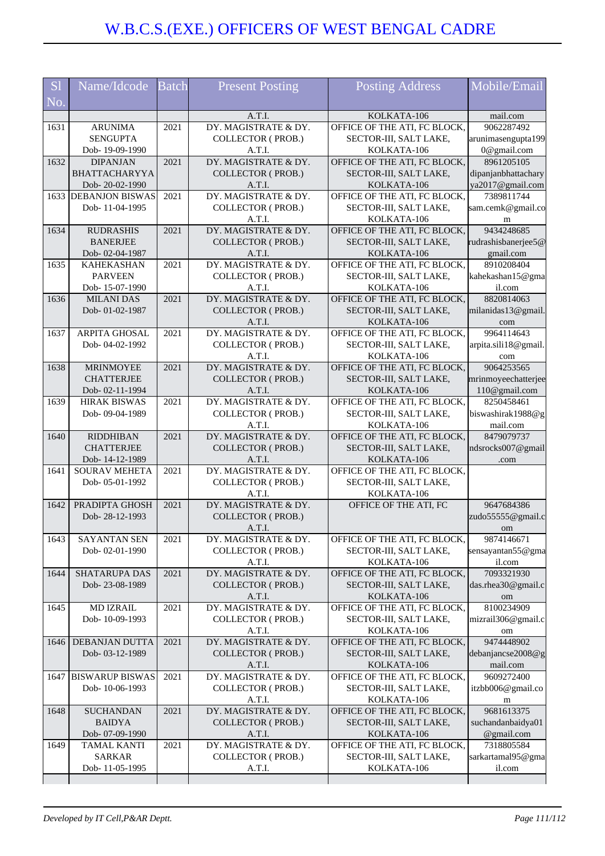| <b>S1</b> | Name/Idcode                           | <b>Batch</b> | <b>Present Posting</b>                           | <b>Posting Address</b>                                 | Mobile/Email                    |
|-----------|---------------------------------------|--------------|--------------------------------------------------|--------------------------------------------------------|---------------------------------|
| No.       |                                       |              |                                                  |                                                        |                                 |
|           |                                       |              | A.T.I.                                           | KOLKATA-106                                            | mail.com                        |
| 1631      | <b>ARUNIMA</b>                        | 2021         | DY. MAGISTRATE & DY.                             | OFFICE OF THE ATI, FC BLOCK,                           | 9062287492                      |
|           | <b>SENGUPTA</b>                       |              | <b>COLLECTOR (PROB.)</b>                         | SECTOR-III, SALT LAKE,                                 | arunimasengupta199              |
| 1632      | Dob-19-09-1990<br><b>DIPANJAN</b>     | 2021         | A.T.I.<br>DY. MAGISTRATE & DY.                   | KOLKATA-106<br>OFFICE OF THE ATI, FC BLOCK,            | 0@gmail.com<br>8961205105       |
|           | <b>BHATTACHARYYA</b>                  |              | <b>COLLECTOR (PROB.)</b>                         | SECTOR-III, SALT LAKE,                                 | dipanjanbhattachary             |
|           | Dob-20-02-1990                        |              | A.T.I.                                           | KOLKATA-106                                            | ya2017@gmail.com                |
|           | 1633 DEBANJON BISWAS                  | 2021         | DY. MAGISTRATE & DY.                             | OFFICE OF THE ATI, FC BLOCK,                           | 7389811744                      |
|           | Dob-11-04-1995                        |              | <b>COLLECTOR (PROB.)</b>                         | SECTOR-III, SALT LAKE,                                 | sam.cemk@gmail.co               |
|           |                                       |              | A.T.I.                                           | KOLKATA-106                                            | m                               |
| 1634      | <b>RUDRASHIS</b>                      | 2021         | DY. MAGISTRATE & DY.                             | OFFICE OF THE ATI, FC BLOCK,                           | 9434248685                      |
|           | <b>BANERJEE</b>                       |              | <b>COLLECTOR (PROB.)</b>                         | SECTOR-III, SALT LAKE,                                 | rudrashisbanerjee5@             |
|           | Dob-02-04-1987                        |              | A.T.I.<br>DY. MAGISTRATE & DY.                   | KOLKATA-106                                            | gmail.com<br>8910208404         |
| 1635      | <b>KAHEKASHAN</b><br><b>PARVEEN</b>   | 2021         | <b>COLLECTOR (PROB.)</b>                         | OFFICE OF THE ATI, FC BLOCK,<br>SECTOR-III, SALT LAKE, | kahekashan15@gma                |
|           | Dob-15-07-1990                        |              | A.T.I.                                           | KOLKATA-106                                            | il.com                          |
| 1636      | <b>MILANI DAS</b>                     | 2021         | DY. MAGISTRATE & DY.                             | OFFICE OF THE ATI, FC BLOCK,                           | 8820814063                      |
|           | Dob-01-02-1987                        |              | <b>COLLECTOR (PROB.)</b>                         | SECTOR-III, SALT LAKE,                                 | milanidas13@gmail.              |
|           |                                       |              | A.T.I.                                           | KOLKATA-106                                            | com                             |
| 1637      | <b>ARPITA GHOSAL</b>                  | 2021         | DY. MAGISTRATE & DY.                             | OFFICE OF THE ATI, FC BLOCK,                           | 9964114643                      |
|           | Dob-04-02-1992                        |              | COLLECTOR (PROB.)                                | SECTOR-III, SALT LAKE,                                 | arpita.sili18@gmail.            |
|           |                                       |              | A.T.I.                                           | KOLKATA-106                                            | com                             |
| 1638      | <b>MRINMOYEE</b>                      | 2021         | DY. MAGISTRATE & DY.                             | OFFICE OF THE ATI, FC BLOCK,                           | 9064253565                      |
|           | <b>CHATTERJEE</b>                     |              | <b>COLLECTOR (PROB.)</b>                         | SECTOR-III, SALT LAKE,                                 | mrinmoyeechatterjee             |
|           | Dob-02-11-1994                        |              | A.T.I.                                           | KOLKATA-106                                            | 110@gmail.com                   |
| 1639      | <b>HIRAK BISWAS</b><br>Dob-09-04-1989 | 2021         | DY. MAGISTRATE & DY.<br><b>COLLECTOR (PROB.)</b> | OFFICE OF THE ATI, FC BLOCK,<br>SECTOR-III, SALT LAKE, | 8250458461<br>biswashirak1988@g |
|           |                                       |              | A.T.I.                                           | KOLKATA-106                                            | mail.com                        |
| 1640      | <b>RIDDHIBAN</b>                      | 2021         | DY. MAGISTRATE & DY.                             | OFFICE OF THE ATI, FC BLOCK,                           | 8479079737                      |
|           | <b>CHATTERJEE</b>                     |              | <b>COLLECTOR (PROB.)</b>                         | SECTOR-III, SALT LAKE,                                 | ndsrocks007@gmail               |
|           | Dob-14-12-1989                        |              | A.T.I.                                           | KOLKATA-106                                            | .com                            |
| 1641      | <b>SOURAV MEHETA</b>                  | 2021         | DY. MAGISTRATE & DY.                             | OFFICE OF THE ATI, FC BLOCK,                           |                                 |
|           | Dob-05-01-1992                        |              | <b>COLLECTOR (PROB.)</b>                         | SECTOR-III, SALT LAKE,                                 |                                 |
|           |                                       |              | A.T.I.                                           | KOLKATA-106                                            |                                 |
| 1642      | PRADIPTA GHOSH                        | 2021         | DY. MAGISTRATE & DY.                             | OFFICE OF THE ATI, FC                                  | 9647684386                      |
|           | Dob-28-12-1993                        |              | <b>COLLECTOR (PROB.)</b>                         |                                                        | zudo55555@gmail.c               |
| 1643      | <b>SAYANTAN SEN</b>                   | 2021         | A.T.I.<br>DY. MAGISTRATE & DY.                   | OFFICE OF THE ATI, FC BLOCK,                           | om<br>9874146671                |
|           | Dob-02-01-1990                        |              | <b>COLLECTOR (PROB.)</b>                         | SECTOR-III, SALT LAKE,                                 | sensayantan55@gma               |
|           |                                       |              | A.T.I.                                           | KOLKATA-106                                            | il.com                          |
| 1644      | <b>SHATARUPA DAS</b>                  | 2021         | DY. MAGISTRATE & DY.                             | OFFICE OF THE ATI, FC BLOCK,                           | 7093321930                      |
|           | Dob-23-08-1989                        |              | <b>COLLECTOR (PROB.)</b>                         | SECTOR-III, SALT LAKE,                                 | das.rhea30@gmail.c              |
|           |                                       |              | A.T.I.                                           | KOLKATA-106                                            | om                              |
| 1645      | <b>MD IZRAIL</b>                      | 2021         | DY. MAGISTRATE & DY.                             | OFFICE OF THE ATI, FC BLOCK,                           | 8100234909                      |
|           | Dob-10-09-1993                        |              | <b>COLLECTOR (PROB.)</b>                         | SECTOR-III, SALT LAKE,                                 | mizrail306@gmail.c              |
|           |                                       |              | A.T.I.                                           | KOLKATA-106                                            | om                              |
| 1646      | DEBANJAN DUTTA                        | 2021         | DY. MAGISTRATE & DY.                             | OFFICE OF THE ATI, FC BLOCK,                           | 9474448902                      |
|           | Dob-03-12-1989                        |              | COLLECTOR (PROB.)<br>A.T.I.                      | SECTOR-III, SALT LAKE,<br>KOLKATA-106                  | debanjancse2008@g<br>mail.com   |
|           | 1647 BISWARUP BISWAS                  | 2021         | DY. MAGISTRATE & DY.                             | OFFICE OF THE ATI, FC BLOCK,                           | 9609272400                      |
|           | Dob-10-06-1993                        |              | <b>COLLECTOR (PROB.)</b>                         | SECTOR-III, SALT LAKE,                                 | itzbb006@gmail.co               |
|           |                                       |              | A.T.I.                                           | KOLKATA-106                                            | m                               |
| 1648      | <b>SUCHANDAN</b>                      | 2021         | DY. MAGISTRATE & DY.                             | OFFICE OF THE ATI, FC BLOCK,                           | 9681613375                      |
|           | <b>BAIDYA</b>                         |              | COLLECTOR (PROB.)                                | SECTOR-III, SALT LAKE,                                 | suchandanbaidya01               |
|           | Dob-07-09-1990                        |              | A.T.I.                                           | KOLKATA-106                                            | @gmail.com                      |
| 1649      | <b>TAMAL KANTI</b>                    | 2021         | DY. MAGISTRATE & DY.                             | OFFICE OF THE ATI, FC BLOCK,                           | 7318805584                      |
|           | <b>SARKAR</b>                         |              | <b>COLLECTOR (PROB.)</b>                         | SECTOR-III, SALT LAKE,                                 | sarkartamal95@gma               |
|           | Dob-11-05-1995                        |              | A.T.I.                                           | KOLKATA-106                                            | il.com                          |